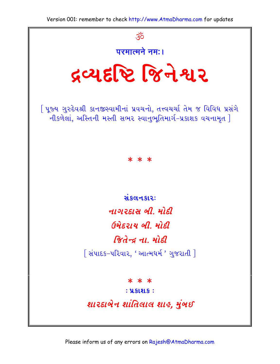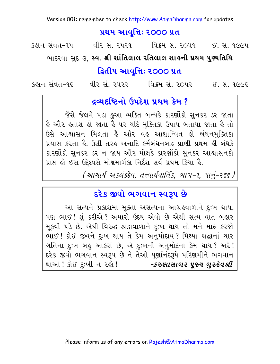#### પ્રથમ આવૃત્તિઃ ૨૦૦૦ પ્રત

કહ્રાન સંવત-૧૫ વીર સં. ૨૫૨૧ વિક્રમ સં. ૨૦૫૧ ઈ. સ. ૧૯૯૫

ભાદરવા સુદ ૩, સ્વ. શ્રી શાંતિલાલ રતિલાલ શાહની પ્રથમ પુણ્યતિથિ

### દ્વિતીય આવૃત્તિ: 2000 પ્રત

વીર સં. ૨૫૨૨ વિક્રમ સં. ૨૦૫૨ ઈ. સ. ૧૯૯૬ કહાન સંવત–૧૬

### દવ્યદૃષ્ટિનો ઉપદેશ પ્રથમ કેમ ?

જૈસે જેલમેં ૫ડા હુઆ વ્યક્તિ બન્ધકે કારણોંકો સુનકર ડર જાતા કૈ ઔર ક્રતાશ ક્રો જાતા કૈ ૫૨ યદિ મુક્તિકા ઉપાય બતાયા જાતા કૈ તો ઉસે આશ્વાસન મિલતા કૈ ઔર વઙ આશાન્વિત ક્રો બંધનમુક્તિકા પ્રયાસ કરતા કે. ઉસી તરફ અનાદિ કર્મબંધનબદ્ધ પ્રાણી પ્રથમ ફી બંધકે કારણોંકો સુનકર ડર ન જાય ઔર મોક્ષકે કારણોંકો સુનકર આશ્વાસનકો પ્રાપ્ત હો ઈસ ઉદ્દેશ્યસે મોક્ષમાર્ગકા નિર્દેશ સર્વ પ્રથમ કિયા હૈ.

(આચાર્ય અકલંકદેવ. તત્ત્વાર્થવાર્તિક. ભાગ−૧. પાનું-૨૬૬ )

### દરેક જીવો ભગવાન સ્વરૂપ છે

આ સત્યને પ્રકાશમાં મૂક્તાં અસત્યના આગ્રહવાળાને દુઃખ થાય, પણ ભાઈ ! શું કરીએ ? અમારો ઉદય એવો છે એથી સત્ય વાત બહાર મૂકવી પડે છે. એથી વિરુદ્ધ શ્રદ્ધાવાળાને દુઃખ થાય તો મને માફ કરજો ભાઈ! કોઈ જીવને દુઃખ થાય તે કેમ અનુમોદાય? મિથ્યા શ્રદ્ધાનાં ચાર ગતિના દુઃખ બહુ આકરાં છે, એ દુઃખની અનુમોદના કેમ થાય ? અરે ! દરેક જીવો ભગવાન સ્વરૂપ છે ને તેઓ પર્ણાનંદરૂપે પરિણમીને ભગવાન થાઓ ! કોઈ દુઃખી ન રહો ! *-કરુણાસાગર પૂજ્ય ગુરુદેવશ્રી*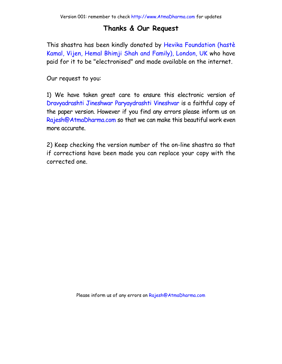### **Thanks & Our Request**

This shastra has been kindly donated by Hevika Foundation (hastè Kamal, Vijen, Hemal Bhimji Shah and Family), London, UK who have paid for it to be "elect[ronised" and made avail](http://www.AtmaDharma.com)able on the internet.

Our request to you:

1) We have taken great care to ensure this electronic version of Dravyadrashti Jineshwar Paryaydrashti Vineshvar is a faithful copy of the paper version. However if you find any errors please inform us on Rajesh@AtmaDharma.com so that we can make this beautiful work even more accurate.

2) Keep checking the version number of the on-line shastra so that if corrections have been made you can replace your copy with the corrected one.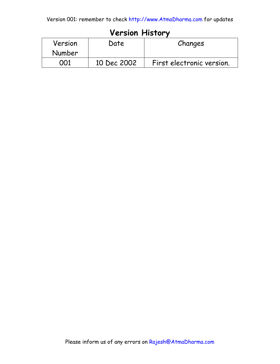### **Version History**

| Version<br>Number | Date        | Changes                   |  |
|-------------------|-------------|---------------------------|--|
| ററ1               | 10 Dec 2002 | First electronic version. |  |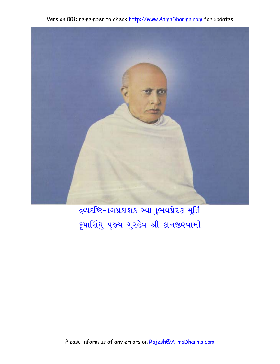

द्रव्यदृष्टिभार्गप्र प्रशश् स्वानुलयप्रेरशाभूर्ति કૃપાસિંધુ પૂજ્ય ગુરુદેવ શ્રી કાનજીસ્વામી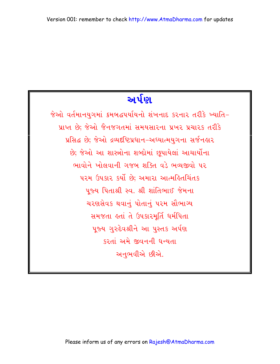# અર્પણ

જેઓ વર્તમાનયુગમાં ક્રમબદ્ધપર્યાયનો શંખનાદ કરનાર તરીકે ખ્યાતિ-પ્રાપ્ત છે; જેઓ જૈનજગતમાં સમયસારના પ્રખર પ્રચારક તરીકે પ્રસિદ્ધ છે; જેઓ દ્રવ્યદ્દષ્ટિપ્રધાન-અધ્યાત્મયગના સર્જનહાર છે; જેઓ આ શાસ્ત્રોના શબ્દોમાં છૂપાયેલાં આચાર્યોના ભાવોને ખોલવાની ગજબ શક્તિ વડે ભવ્યજીવો પર પરમ ઉપકાર કર્યો છે: અમારા આત્મહિતચિંતક ૫જ્ય પિતાશ્રી સ્વ. શ્રી શાંતિભાઈ જેમના ચરણસેવક થવાનું પોતાનું પરમ સૌભાગ્ય સમજતા હતાં તે ઉપકારમૂર્તિ ધર્મપિતા પૂજ્ય ગુરુદેવશ્રીને આ પુસ્તક અર્પણ કરતાં અમે જીવનની ધન્યતા અનુભવીએ છીએ.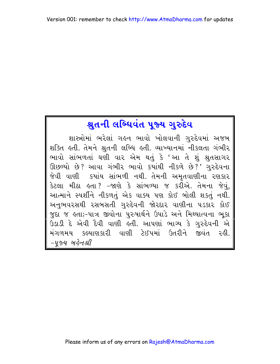## શ્રુતની લબ્ધિવંત પૂજ્ય ગુરુદેવ

શાસ્ત્રોમાં ભરેલાં ગહુન ભાવો ખોલવાની ગુરુદેવમાં અજબ શક્તિ હતી. તેમને શ્રુતની લબ્ધિ હતી. વ્યાખ્યાનમાં નીકલતા ગંભીર ભાવો સાંભળતાં ઘણી વાર એમ થતું કે 'આ તે શું શ્રુતસાગર ઊછળ્યો છે? આવા ગંભીર ભાવો કયાંથી નીકળે છે?' ગુરુદેવના જેવી વાણી કયાંય સાંભળી નથી. તેમની અમૃતવાણીના રણકાર કેટલા મીઠા હતા? –જાણે કે સાંભળ્યા જ કર્રોએ. તેમના જેવું, આત્માને સ્પર્શીને નીકળતું એક વાક્ય પણ કોઈ બોલી શકતું નથી. અનુભવરસથી રસબસતી ગુરુદેવની જોરદાર વાણીના ૫ડકાર કોઈ જુદા જ હતા;-પાત્ર જીવોના પુરુષાર્થને ઉપાડે અને મિથ્યાત્વના ભૂકા ઉડાડી દે એવી દૈવી વાણી હતી. આપણાં ભાગ્ય કે ગુરુદેવની એ મંગળમય કલ્યાણકારી વાણી ટેઈપમાં ઉતરીને જીવંત રહી. -૫જ્ય બહેનશ્રી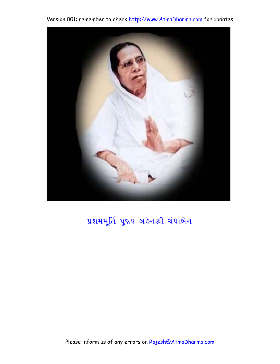

## પ્રશમમૂર્તિ પૂજ્ય બહેનશ્રી ચંપાબેન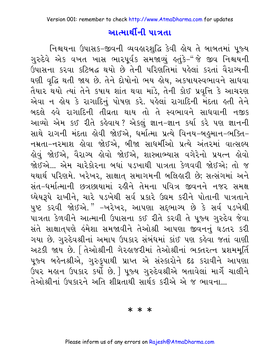### <u>આત્માર્થીની પાત્રતા</u>

નિશ્ચયના ઉપાસક-જીવની વ્યવહારશુદ્ધિ કેવી હોય તે બાબતમાં પૂજ્ય ગુરુદેવે એક વખત ખાસ ભારપૂર્વક સમજાવ્યું કહ્યુંકે-"જે જીવ નિશ્ચયની ઉપાસના કરવા કટિબદ્ધ થયો છે તેની પરિણતિમાં પહેલાં કરતાં વૈરાગ્યની ઘણી વૃદ્ધિ થતી જાય છે. તેને દોષોનો ભય હોય, અકષાયસ્વભાવને સાધવા તૈયાર થયો ત્યાં તેને કષાય શાંત થવા માંડે, તેની કોઈ પ્રવૃત્તિ કે આચરણ એવા ન હોય કે રાગાદિનું પોષણ કરે. પહેલાં રાગાદિની મંદતા હતી તેને બદલે હવે રાગાદિની તીવ્રતા થાય તો તે સ્વભાવને સાધવાની નજીક આવ્યો એમ કઈ રીતે કહેવાય? એકલું જ્ઞાન-જ્ઞાન કર્યા કરે પણ જ્ઞાનની સાથે રાગની મંદતા કોવી જોઈએ, ધર્માત્મા પ્રત્યે વિનય-બહુમાન-ભક્તિ-નમ્રતા-નરમાશ હોવા જોઈએ, બીજા સાધર્મીઓ પ્રત્યે અંતરમાં વાત્સલ્ય હોવું જોઈએ, વૈરાગ્ય હોવો જોઈએ, શાસ્ત્રાભ્યાસ વગેરેનો પ્રયત્ન હોવો જોઈએ... એમ ચારેકોરના બધાં ૫ડખાથી પાત્રતા કેળવવી જોઈએ; તો જ યથાર્થ પરિણમે. ખરેખર, સાક્ષાત્ સમાગમની બલિહારી છે; સત્સંગમાં અને સંત-ધર્માત્માની છત્રછાયામાં રહીને તેમના પવિત્ર જીવનને નજર સમક્ષ ઘ્યેયરૂપે રાખીને, ચારે ૫ડખેથી સર્વ પ્રકારે ઉદ્યમ કરીને પોતાની પાત્રતાને પુષ્ટ કરવી જોઈએ." –ખરેખર, આપણા સદ્દભાગ્ય છે કે સર્વ ૫ડખેથી પાત્રતા કેળવીને આત્માની ઉપાસના કઈ રીતે કરવી તે પૂજ્ય ગુરુદેવ જેવા સંતે સાક્ષાત્પણે હંમેશા સમજાવીને તેઓશ્રી આપણા જીવનનું ઘડતર કરી ગયા છે. ગુરુદેવશ્રીનાં અમાપ ઉપકાર સંબંધમાં કાંઈ પણ કહેવા જતાં વાણી અટકી જાય છે. તિઓશ્રીની ગેરહાજરીમાં તેઓશ્રીનાં ભક્તરત્ન પ્રશમમૂર્તિ પૂજ્ય બહેનશ્રીએ, ગુરુકૂપાથી પ્રાપ્ત એ સંસ્કારોને દઢ કરાવીને આપણા ઉપર મહાન ઉપકાર કર્યો છે. | પૂજ્ય ગુરુદેવશ્રીએ બતાવેલાં માર્ગે ચાલીને તેઓશ્રીનાં ઉપકારને અતિ શીઘ્રતાથી સાર્થક કરીએ એ જ ભાવના...

\* \* \*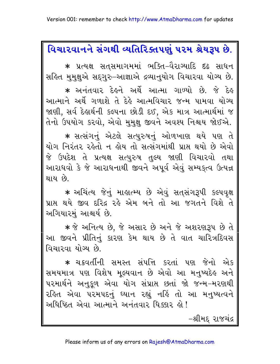## વિચારવાનને સંગથી વ્યતિરિક્તપણું ૫૨મ શ્રેયરૂપ છે.

\* પ્રત્યક્ષ સતસમાગમમાં ભક્તિ–વૈરાગ્યાદિ દઢ સાધન સહિત મમક્ષુએ સદગુરુ-આજ્ઞાએ દ્રવ્યાનયોગ વિચારવા યોગ્ય છે.

\* અનંતવાર દેહને અર્થે આત્મા ગાળ્યો છે. જે દેહ આત્માને અર્થે ગળાશે તે દેહે આત્મવિચાર જન્મ પામવા યોગ્ય જાણી, સર્વ દેહાર્થની કલ્પના છોડી દઈ, એક માત્ર આત્માર્થમાં જ તેનો ઉપયોગ કરવો, એવો મુમુક્ષુ જીવને અવશ્ય નિશ્ચય જોઈએ.

\* સત્સંગનું એટલે સત્પુરુષનું ઓળખાણ થયે પણ તે યોગ નિરંતર રહેતો ન હોય તો સત્સંગમાંથી પ્રાપ્ત થયો છે એવો જે ઉપદેશ તે પ્રત્યક્ષ સત્પુરુષ તુલ્ય જાણી વિચારવો તથા આરાધવો કે જે આરાધનાથી જીવને અપૂર્વ એવું સમ્યકુત્વ ઉત્પન્ન થાય છે

\* અચિંત્ય જેનું માહાત્મ્ય છે એવું સતસંગરૂપી કલ્પવૃક્ષ પ્રાપ્ત થયે જીવ દરિદ્ર રહે એમ બને તો આ જગતને વિશે તે અગિયારમં આશ્ચર્ય છે.

 $\ast$  જે અનિત્ય છે, જે અસાર છે અને જે અશરણરૂપ છે તે આ જીવને પ્રીતિનું કારણ કેમ થાય છે તે વાત ચારિત્રદિવસ વિચારવા યોગ્ય છે.

\* ચક્રવર્તીની સમસ્ત સંપત્તિ કરતાં પણ જેનો એક સમયમાત્ર પણ વિશેષ મૂલ્યવાન છે એવો આ મનુષ્યદેહ અને પરમાર્થને અનુકૂળ એવા યોગ સંપ્રાપ્ત છતાં જો જન્મ–મરણથી રહિત એવા પરમપદનું ધ્યાન રહ્યું નહિં તો આ મનુષ્યત્વને અધિષ્ઠિત એવા આત્માને અનંતવાર ધિક્કાર હો!

−શ્રીમદ રાજચંદ્ર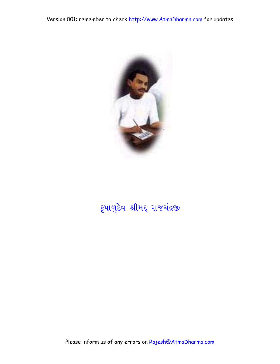

# કૃપાળુદેવ શ્રીમદ્ રાજચંદ્રજી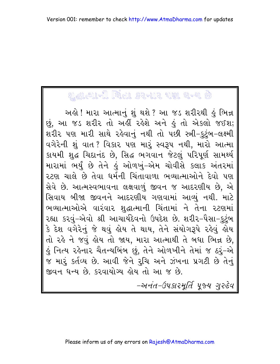# **UGIAIH PIAI** SZUR UN EU

અહો ! મારા આત્માનું શું થશે ? આ જડ શરીરથી હું ભિન્ન છું, આ જડ શરીર તો અહીં રહેશે અને હું તો એકલો જઈશ; શરીર પણ મારી સાથે રહેવાનું નથી તો પછી સ્ત્રી-કુટુંબ-લક્ષ્મી વગેરેની શું વાત ? વિકાર પણ મારું સ્વરૂપ નથી, મારો આત્મા કાયમી શુદ્ધ ચિદાનંદ છે, સિદ્ધ ભગવાન જેટલું પરિપૂર્ણ સામર્થ્ય મારામાં ભર્યું છે તેને હું ઓળખું–એમ ચોવીસે કલાક અંતરમાં ૨ટણ ચાલે છે તેવા ધર્મની ચિંતાવાળા ભવ્યાત્માઓને દેવો પણ સેવે છે. આત્મસ્વભાવના લક્ષવાળું જીવન જ આદરણીય છે, એ સિવાય બીજા જીવનને આદરણીય ગણવામાં આવ્યું નથી. માટે ભવ્યાત્માઓએ વારંવાર શદ્ધાત્માની ચિંતામાં ને તેના રટણમાં રહ્યા કરવું–એવો શ્રી આચાર્યદેવનો ઉપદેશ છે. શરીર–પૈસા–કુટુંબ કે દેશ વગેરેનું જે થવું હોય તે થાય, તેને સંયોગરૂપે રહેવું હોય તો રહે ને જવું હોય તો જાય, મારા આત્માથી તે બધા ભિન્ન છે, હું નિત્ય રહેનાર ચૈતન્યબિંબ છું, તેને ઓળખીને તેમાં જ ઠરું-એ જ મારૂં કર્તવ્ય છે. આવી જેને રુચિ અને ઝંખના પ્રગટી છે તેનું જીવન ધન્ય છે. કરવાયોગ્ય લોય તો આ જ છે.

-અનંત-ઉપકારમૂર્તિ પૂજ્ય ગુરુદેવ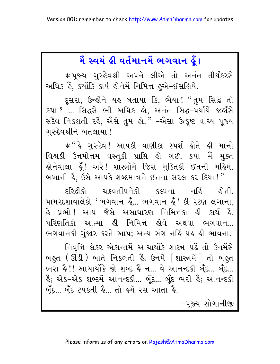# મૈ સ્વયં ક્રી વર્તમાનમેં ભગવાન ક્ર્રે।

\* ૫ુજ્ય ગુરુદેવશ્રી અપને લીએ તો અનંત તીર્થંકરસે અધિક હૈં, કર્યોકિ કાર્ય હોનેમેં નિમિત્ત હુએ-ઈસલિયે.

દૂસરા, ઉન્હોંને યહ બતાયા કિ, ભૈયા! "તુમ સિદ્ધ તો કયા ? ... સિદ્ધસે ભી અધિક હો, અનંત સિદ્ધ-૫યર્યિ જહાઁસે સદૈવ નિકલતી રહે, એેસે તુમ હો." -એેસા ઉત્કૃષ્ટ વાચ્ય પૂજ્ય ગરુદેવશ્રીને બતલાયા !

\* " કે ગુરુદેવ ! આપકી વાણીકા સ્પર્શ ક્રોતે ક્રી માનો વિશ્વકી ઉત્તમોત્તમ વસ્તુકી પ્રાપ્તિ હો ગઈ. કયા મૈં મુક્ત હોનેવાલા હૂઁ! અરે! શાસ્ત્રોંમેં જિસ મુક્તિકી ઈતની મહિમા બખાની હૈ, ઉસે આપકે શબ્દમાત્રને ઈતના સરલ કર દિયા!"

દરિદ્રીકો ચક્રવર્તીપનેકી કલ્પના હોતી. નહિં પામરદશાવાલેકો 'ભગવાન હૂઁ... ભગવાન હૂઁ ' કી રટણ લગાના, હે પ્રભો ! આપ જૈસે અસાધારણ નિમિત્તકા હી કાર્ય હૈ. પરિણતિકો આત્મા હી નિમિત્ત હોવે અથવા ભગવાન... ભગવાનકી ગુંજાર કરતે આપ; અન્ય સંગ નહિં યહ હી ભાવના.

નિવૃત્તિ લેકર એકાન્તમેં આચાર્યોકે શાસ્ત્ર પહેં તો ઉનમેંસે બહુત (ઊંડી) બાતે નિકલતી હૈં; ઉનમેં [શાસ્ત્રમેં] તો બહુત ભરા હૈ!! આચાર્યોકે જો શબ્દ હૈં ન... વે આનન્દકી બુઁદ... બુઁદ... ર્ઙે; એક–એક શબ્દમેં આનન્દકી... બૂઁદ... બૂઁદ ભરી ઙેં; આનન્દકી બૂઁદ… બૂઁદ ટપકતી કે… તો ક્રમેં રસ આતા કે.

-૫જ્ય સોગાનીજી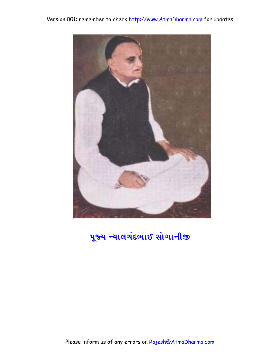



## પૂજ્ય ન્યાલચંદભાઈ સોગાનીજી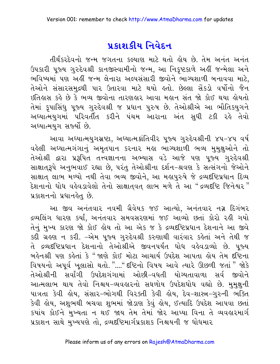## પ્રકાશકીય નિવેદન

તીર્થંકરદેવનો જન્મ જગતના કલ્યાણ માટે થતો હોય છે. તેમ અનંત અનંત ઉપકારી પૂજ્ય ગુરુદેવશ્રી કાનજીસ્વામીનો જન્મ, આ નિકૃષ્ટકાળે અહીં જન્મેલા અને ભવિષ્યમાં પણ અહીં જન્મ લેનારા અલ્પસંસારી જીવોને ભાગ્યશાળી બનાવવા માટે, તેઓને સંસારસમુદ્રથી પાર ઉતારવા માટે થયો હતો. છેલ્લા સેંકડો વર્ષોનો જૈન ઇતિહાસ કહે છે કે ભવ્ય જીવોના તારણહાર આવા મહાન સંત જો કોઈ થયા હોયતો તેમાં કૃપાસિંધુ પૂજ્ય ગુરુદેવશ્રી જ પ્રધાન પુરુષ છે. તેઓશ્રીએ આ ભૌતિકયુગને અઘ્યાત્મયુગમાં પરિવર્તીત કરીને પંચમ આરાના અંત સુધી ટકી રહે તેવો અઘ્યાત્મયુગ સર્જ્યો છે.

આવા અધ્યાત્મયુગસ્રષ્ટા, અધ્યાત્મક્રાંતિવીર પૂજ્ય ગુરુદેવશ્રીની ૪૫-૪૫ વર્ષ વહેલી અઘ્યાત્મગંગાનું અમૃતપાન કરનાર મહા ભાગ્યશાળી ભવ્ય મુમુક્ષુઓને તો તેઓશ્રી દ્વારા પ્રરૂપિત તત્ત્વજ્ઞાનના અભ્યાસ વડે આજે પણ પુજ્ય ગુરુદેવશ્રી સાક્ષાતરૂપે અનુભવાઈ રહ્યા છે, પરંતુ તેઓશ્રીના દર્શન-શ્રવણ કે સત્સંગનો જેઓને સાક્ષાત લાભ મળ્યો નથી તેવા ભવ્ય જીવોને, આ મહાપુરુષે જે દ્રવ્યદષ્ટિપ્રધાન દિવ્ય દેશનાનો ધોધ વહેવડાવેલો તેનો સાક્ષાતવત લાભ મળે તે આ "દ્રવ્યદષ્ટિ જિનેશ્વર" પ્રકાશનનો પ્રધાનહેતુ છે.

આ જીવ અનંતવાર નવમી ગ્રૈવેયક જઈ આત્યો, અનંતવાર નગ્ન દિગંબર દ્રવ્યલિંગ ધારણ કર્યાં, અનંતવાર સમવસરણમાં જઈ આવ્યો છતાં કોરો રહી ગયો તેનું મુખ્ય કારણ જો કોઈ હોય તો આ એક જ કે દ્રવ્યદષ્ટિપ્રધાન દેશનાને આ જીવે કદી ગ્રહણ ન કરી. –એમ પુજ્ય ગુરુદેવશ્રી કરુણાથી વારંવાર કહેતાં અને તેથી જ તે દ્રવ્યદષ્ટિપ્રધાન દેશનાનો તેઓશ્રીએ જીવનપર્યંત ધોધ વહેવડાવ્યો છે. ૫જ્ય બહેનશ્રી પણ કહેતાં કે "જાણે કોઈ મોટા આચાર્ય ઉપદેશ આપતા હોય તેમ દષ્ટિના વિષયનો અપૂર્વ ખૂલાસો થતો. "...." દષ્ટિનો વિષય આવે ત્યારે ઊછળી જતાં " જોકે તેઓશ્રીની સર્વાંગી ઉપદેશગંગામાં ઓછી-વધતી યોગ્યતાવાળા સર્વ જીવોને આત્મલાભ થાય તેવો નિશ્ચય-વ્યવહારનો સઘળોય ઉપદેશધોધ વહ્યો છે. મુમુક્ષુની પાત્રતા કેવી લેય, સંસાર-ભોગથી વિરક્તી કેવી લેય, દેવ-શાસ્ત્ર-ગુરુની ભક્તિ કેવી <mark>લોય, અશુભથી બચવા શુભમાં જોડાણ કેવું લોય,</mark> ઈત્યાદિ ઉપદેશ આપવા છતાં કયાંય કોઈને મુખ્યતા ન થઈ જાય તેમ તેમાં જોર આપ્યા વિના તે વ્યવહારમાર્ગ પ્રકાશન સાથે મુખ્યપણે તો, દ્રવ્યદ્દષ્ટિમાર્ગપ્રકાશક નિશ્ચયની જ ધોધમાર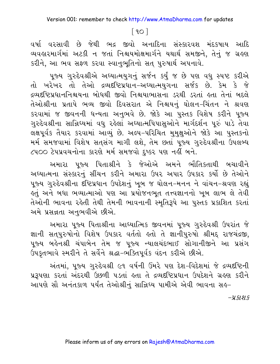### $\lceil 90 \rceil$

વર્ષા વરસાવી છે જેથી ભદ્ર જીવો અનાદિના સંસ્કારવશ મંદકષાય આદિ વ્યવહારમાર્ગમાં અટકી ન જતાં નિશ્ચયમોક્ષમાર્ગને યથાર્થ સમજીને, તેનું જ ગ્રહણ કરીને, આ ભવ સફળ કરવા સ્વાનુભુતિનો સત પુરુષાર્થ અપનાવે.

પુજ્ય ગુરુદેવશ્રીએ અઘ્યાત્મયુગનું સર્જન કર્યું જ છે પણ વધુ સ્પષ્ટ કરીએ તો ખરેખર તો તેઓ દ્રવ્યદષ્ટિપ્રધાન-અધ્યાત્મયુગના સર્જક છે. કેમ કે જે દ્રવ્યદ્રષ્ટિપ્રધાનનિશ્ચયના બોધથી જીવો નિશ્ચયાભાસના ડરથી ડરતાં હતા તેનાં બદલે તેઓશ્રીના પ્રતાપે ભવ્ય જીવો દિવસરાત એ નિશ્ચયનું ઘોલન–ચિંતન ને શ્રવણ કરવામાં જ જીવનની ધન્યતા અનુભવે છે. જોકે આ પુસ્તક વિશેષ કરીને પુજ્ય ગુરુદેવશ્રીના સાન્નિઘ્યમાં વધુ રહેલાં અઘ્યાત્મપિપાસઓને માર્ગદર્શન પુરું પાડે તેવા લક્ષપૂર્વક તૈયાર કરવામાં આવ્યું છે. અલ્પ-પરિચિત મુમુક્ષુઓને જોકે આ પુસ્તકનો મર્મ સમજવામાં વિશેષ સતસંગ માગી લશે, તેમ છતાં પુજ્ય ગુરુદેવશ્રીના ઉપલબ્ધ ૮૫૦૦ ટેપપ્રવચનોના કારણે મર્મ સમજવો દષ્કર પણ નહીં બને.

અમારા પૂજ્ય પિતાશ્રીને કે જેઓએ અમને ભૌતિકતાથી બચાવીને અઘ્યાત્મના સંસ્કારનું સીંચન કરીને અમારા ઉપર અપાર ઉપકાર કર્યો છે તેઓને પુજ્ય ગુરુદેવશ્રીના દષ્ટિપ્રધાન ઉપદેશનું ખૂબ જ ઘોલન−મનન ને વાંચન−શ્રવણ રહ્યું કુતું અને બધા ભવ્યાત્માઓ પણ આ પ્રયોજનભુત તત્ત્વજ્ઞાનનો ખુબ લાભ લે તેવી તેઓની ભાવના રહેતી તેથી તેમની ભાવનાની સ્મૃતિરૂપે આ પુસ્તક પ્રકાશિત કરતાં અમે પ્રસન્નતા અનુભવીએ છીએ.

અમારા ૫જ્ય પિતાશ્રીના આધ્યાત્મિક જીવનમાં ૫જ્ય ગુરુદેવશ્રી ઉપરાંત જે જ્ઞાની સત્પુરુષોનો વિશેષ ઉપકાર વર્તતો હતો તે જ્ઞાનીપુરુષો શ્રીમદ્દ રાજચંદ્રજી, પુજ્ય બહેનશ્રી ચંપાબેન તેમ જ પુજ્ય ન્યાલચંદભાઈ સોગાનીજીને આ પ્રસંગ ઉપકૃતભાવે સ્મરીને તે સર્વેને શ્રદ્ધા-ભક્તિપૂર્વક વંદન કરીએ છીએ.

અંતમાં, પૂજ્ય ગુરુદેવશ્રી ૯૧ વર્ષની ઉંમરે પણ દેશ-વિદેશમાં જે દ્રવ્યદષ્ટિની પ્રરૂપણા કરતાં અંદરથી ઉછળી પડતાં હતા તે દ્રવ્યદૃષ્ટિપ્રધાન ઉપદેશને ગ્રહણ કરીને આપણે સૌ અનંતકાળ પર્યંત તેઓશ્રીનું સાન્નિધ્ય પામીએ એવી ભાવના સઙ્-

 $-4.5191.5$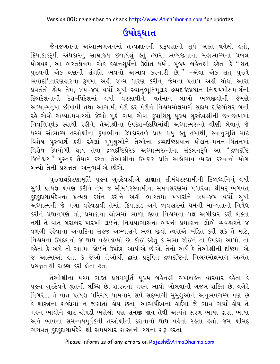# ઉપોદ્ઘાત

જૈનજગતના અધ્યાત્મગગનમાં તત્ત્વજ્ઞાનની પ્રરૂપણાનો સૂર્ય અસ્ત થયેલો હતો, ક્રિયાકાંડરૂપી અંધકારનું સામ્રાજ્ય છવાયેલું કતું ત્યારે, ભવ્યજીવોના મહાભાગ્યના પ્રબલ યોગવશ, આ ભરતક્ષેત્રમાં એક કહ્યનસૂર્યનો ઉઘોત થયો.. પૂજ્ય બહેનશ્રી કહેતાં કે "સત્ પુરુષની એક ક્ષણની સંગતિ ભવનો અભાવ કરનારી છે." –એવા એક સત પુરુષે .<br>ભવોદધિતારણહારના રૂપમાં અહીં જન્મ ધારણ કરીને, જેમના પ્રતાપે અહીં ચોથો આરો પ્રવર્તતો હોય તેમ, ૪૫-૪૫ વર્ષો સુધી સ્વાનુભુતિમુલક દ્રવ્યદષ્ટિપ્રધાન નિશ્ચયમોક્ષમાર્ગની દિવ્યદેશનાની દેશ-વિદેશમાં વર્ષા વરસાવીને. વર્તમાન લાખો ભવ્યજીવોની જેમણે અધ્યાત્મતૃષા છીપાવી તથા આગામી પેઢી દર પેઢીને નિશ્ચયમોક્ષમાર્ગ સદાય દષ્ટિગોચર બની રહે એવો અઘ્યાત્મવારસો જેઓ મૂકી ગયા એવા કૃપાસિંધુ પૂજ્ય ગુરુદેવશ્રીની છત્રછાયામાં નિવૃત્તિપૂર્વક સ્થાયી રહીને, તેઓશ્રીના ઉપદેશ-ઉદર્થિમાંથી અઘ્યાત્મરત્નો વીણી લેવાનું જે પરમ સૌભાગ્ય તેઓશ્રીના કૃપાભીના ઉપકારતળે પ્રાપ્ત થયું હતું તેમાંથી, સ્વાનુભૂતિ માટે વિશેષ પુરુષાર્થ કરી રહેલાં મુમુક્ષુઓને તેઓના દ્રવ્યદષ્ટિપ્રધાન ઘોલન-મનન-ચિંતનમાં વિશેષ ઉપયોગી થાય તેવા દ્રવ્યદષ્ટિપ્રેરક અધ્યાત્મરત્નોના સંકલનરૂપે આ "દ્રવ્યદૃષ્ટિ જિનેશ્વર" પુસ્તક તૈયાર કરતાં તેઓશ્રીના ઉપકાર પ્રતિ અહોભાવ વ્યક્ત કરવાનો યોગ બન્યો તેની પ્રસન્નતા અનભવીએ છીએ.

પુરુષાર્થપ્રેરણામૂર્તિ પૂજ્ય ગુરુદેવશ્રીએ સાક્ષાત્ સીમંધરસ્વામીની દિવ્યધ્વનિનું વર્ષો સુધી પ્રત્યક્ષ શ્રવણ કરીને તેમ જ સીમંધરસ્વામીના સમવસરણમાં પધારેલાં શ્રીમદ્દ ભગવત્ કુંદકુંદાચાર્યદેવના પ્રત્યક્ષ દર્શન કરીને અહીં ભારતમાં પધારીને ૪૫-૪૫ વર્ષો સુધી અઘ્યાત્મની જે ગંગા વહેવડાવી તેમાં, ક્રિયાકાંડ અને વ્યવહારમાં ધર્મની માન્યતાનો નિષેધ કરીને પ્રધાનપણે તો, પ્રમાણના લોભમાં ભોળા જીવો નિશ્ચયનો પક્ષ અંગીકાર કરી શક્તા નથી તે વાત બરાબર પારખી લઈને, નિશ્ચયાભાસના ભયની પ્રમાણના લોભે વ્યવહારને જ વળગી રહેવાના અનાદિના સહજ અભ્યાસને ભવ્ય જીવો ત્વરાએ ખંડિત કરી શકે તે માટે, નિશ્ચયના ઉપદેશનો જ ધોધ વહેવડાવ્યો છે. કોઈ કહેતું કે સભા જોઈને તો ઉપદેશ આપો. તો કહેતાં કે અમે તો આત્મા જોઈને ઉપદેશ આપીએ છીએ. તેનો અર્થ કે તેઓશ્રીની દષ્ટિમાં એ જ આત્માઓ હતા કે જેઓ તેઓશ્રી દ્વારા પ્રરૂપિત દ્રવ્યદષ્ટિનો નિશ્ચયમોક્ષમાર્ગ અત્યંત પ્રસન્નતાથી ગ્રહણ કરી લેતાં હતાં.

તેઓશ્રીના પરમ ભક્ત પ્રશમમૂર્તિ પૂજ્ય બહેનશ્રી ચંપાબહેન વારંવાર કહેતાં કે પુજ્ય ગુરુદેવને શ્રુતની લબ્ધિ છે. શાસ્ત્રના ગહુન ભાવો ખોલવાની ગજબ શક્તિ છે. વગેરે વિગેરે... તે વાત પ્રત્યક્ષ પરિચય પામનાર સર્વે સદ્દભાગી મુમુક્ષુઓને અનુભવગમ્ય પણ છે કે શાસ્ત્રના શબ્દોમાં ન જણાતાં કોય છતાં, આચાર્યદેવના ક્ષર્દમાં જે ભાવ ભર્યાં ક્રોય તે ગહન ભાવોને ચાર ચોપડી ભણેલો પણ સમજી જાય તેવી અત્યંત સરળ ભાષા દ્વારા, ભાષા અને ભાવના સમન્વયપૂર્વકની તેઓશ્રીની દેશનાનો ધોધ વહેતો રહેતો હતો. જેમ શ્રીમદ્ ભગવત કુંદકુંદાચાર્યદેવે શ્રી સમયસાર શાસ્ત્રની રચના શરૂ કરતાં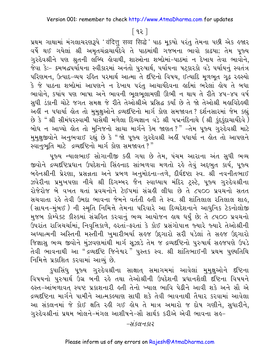### $[92]$

<u>પ્રથમ ગાથામાં મંગલાચરણરૂપે 'વંदित्तु</u> सव्व सिद्धे' પાઠ મૂકયો પરંતુ તેમના પછી એક હજાર વર્ષે થઈ ગયેલાં શ્રી અમૃતચંદ્રાચાર્યદેવે તે પાઠમાંથી ગજબના ભાવો કાઢયા; તેમ પૂજ્ય ગુરુદેવશ્રીને પણ શ્રુતની લબ્ધિ લેવાથી, શાસ્ત્રોના શબ્દોમાં–પાઠમાં ન દેખાય તેવા ભાવોને, .<br>જેવા કેઃ– ક્રમબદ્ધપર્યાયના સ્વીકારમાં અનંતો પુરુષાર્થ, પર્યાયના ષટ્કારકો વડે પર્યાયનું સ્વતંત્ર પરિણમન, ઉત્પાદ-વ્યય રહિત પરમાર્થ આત્મા તે દષ્ટિનો વિષય, ઈત્યાદિ મળભત ગઢ રહસ્યો કે જે પાઠના શબ્દોમાં આપણને ન દેખાય પરંતુ આચાર્યદેવના હાર્દમાં ભરેલાં હોય તે બધા ભાવોને, કયાંય પણ ભાષા અને ભાવની ભૂલભૂલામણી ઊભી ન થાય તે રીતે ૪૫-૪૫ વર્ષ સુધી ડંકાની ચોટે જગત સમક્ષ જે રીતે તેઓશ્રીએ પ્રસિદ્ધ કર્યાં છે તે જો તેઓશ્રી મહાવિદેલ્થી અહીં ન પધાર્યા હોત તો મુમુક્ષુઓને દ્રવ્યદષ્ટિનો માર્ગ કોણ સમજાવત ? દર્શનસારમાં જેમ કહ્યું છે કે " શ્રી સીમંધરસ્વામી પાસેથી મળેલા દિવ્યજ્ઞાન વડે શ્રી પદ્મનંદિનાથે ( શ્રી કુંદુકુંદાચાર્યદેવે ) બોધ ન આપ્યો હોત તો મુનિજનો સાચા માર્ગને કેમ જાણત?" –તેમ પૂજ્ય ગુરુદેવશ્રી માટે મુમુક્ષુજીવોને અનુભવાઈ રહ્યું છે કે "જો પૂજ્ય ગુરુદેવશ્રી અહીં પધાર્યા ન લોત તો આપણને <u>સ્વાનુભૂતિ માટે દ્રવ્યદ્દષ્ટિનો માર્ગ કોણ સમજાવત?</u>"

પૂજ્ય ન્યાલભાઈ સોગાનીજી કહી ગયા છે તેમ, પંચમ આરાના અંત સુધી ભવ્ય જીવોને દ્રવ્યદષ્ટિપ્રધાન ઉપદેશનો સિંહનાદ સાંભળવા મળતો રહે તેવું અદ્દભુત કાર્ય, પૂજ્ય બહેનશ્રીની પ્રેરણા, પ્રસન્નતા અને પ્રબળ અનુમોદના-તળે, દીર્ઘદષ્ટા સ્વ. શ્રી નવનીતભાઈ ઝવેરીના પ્રમુખપણા નીચે શ્રી દિગમ્બર જૈન સ્વાઘ્યાય મંદિર ટ્રસ્ટે, પૂજ્ય ગુરુદેવશ્રીના રોજેરોજ બે વખત થતાં પ્રવચનોને ટેઈપમાં સંગ્રહી લીધા છે તે ૮૫૦૦ પ્રવચનો સતત સચવાતા રહે તેવી ઉમદા ભાવના જેમને વર્તતી હતી તે સ્વ. શ્રી શાંતિલાલ રતિલાલ શાહ. (સાયન-મુંબઈ ) ની સ્મૃતિ નિમિત્તે તેમના પરિવારે આ દિવ્યદેશનાને આધુનિક ટેકનોલોજી મુજબ કોમ્પેક્ટ કીસ્કમાં સંગ્રહિત કરવાનું ભવ્ય આયોજન હાથ ધર્યું છે; તે ૮૫૦૦ પ્રવચનો ઉપરાંત રાત્રિચર્ચામાં, નિવૃત્તિકાળે, હરતાં-ફરતાં કે કોઈ પ્રસંગોપાત્ત જ્યારે જ્યારે તેઓશ્રીની અઘ્યાત્મની અસ્તિની મસ્તીની ખુમારીભર્યા સહજ ઉદ્દગારો સરી પડેલાં તે સહજ ઉદ્દગારો જિજ્ઞાસ ભવ્ય જીવોને મુંઝવણમાંથી માર્ગ સૂઝાડે તેમ જ દ્રવ્યદૃષ્ટિનો પુરુષાર્થ સહજપણે ઉપડે તેવી ભાવનાથી આ "દ્રવ્યદષ્ટિ જિનેશ્વર "પુસ્તક સ્વ. શ્રી શાંતિભાઈની પ્રથમ પુર્ણ્યતિથિ નિમિત્તે પ્રકાશિત કરવામાં આવ્યું છે.

કુપાસિંધુ પૂજ્ય ગુરુદેવશ્રીના સાક્ષાત્ સમાગમમાં આવેલાં મુમુક્ષુઓને દષ્ટિના વિષયનો પુરુષાર્થ ઉંગ્ર બની રહે તથા તેઓશ્રીની ઉપદેશની પ્રધાનશૈલી દષ્ટિના વિષયને ૬સ્ત−આંબળાવત સ્પષ્ટ પ્રકાશનારી ૬તી તેનો ખ્યાલ ભાવિ પેઢીને આવી શકે અને સૌ એ દ્રવ્યદ્દષ્ટિના માર્ગને પામીને આત્મકલ્યાણ સાધી શકે તેવી ભાવનાથી તૈયાર કરવામાં આવેલા આ સંકલનમાં જે કોઈ ક્ષતિ રહી ગઈ હોય તે માત્ર અમારો જ દોષ ગણીને, સુધારીને, ગુરુદેવશ્રીનાં પ્રથમ બોલને-મંગલ આશીષને-સૌ સાર્થક કરીએ એવી ભાવના સહ-

-સંકલનકાર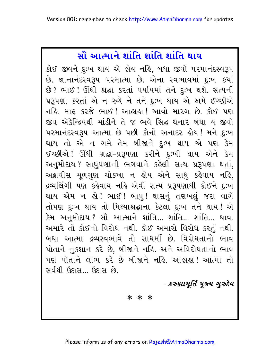# સૌ આત્માને શાંતિ શાંતિ શાંતિ થાવ

કોઈ જીવને દુઃખ થાય એ હોય નહિ, બધા જીવો પરમાનંદસ્વરૂપ છે. જ્ઞાનાનંદસ્વરૂપ પરમાત્મા છે. એના સ્વભાવમાં દુઃખ કયાં છે? ભાઈ! ઊંઘી શ્રદ્ધા કરતાં પર્યાયમાં તને દઃખ થશે. સત્યની પ્રરૂપણા કરતાં એ ન રુચે ને તને દુઃખ થાય એ અમે ઈચ્છીએ નહિ. માફ કરજે ભાઈ ! આહાહા ! આવો મારગ છે. કોઈ પણ જીવ એકેન્દ્રિયથી માંડીને તે જ ભવે સિદ્ધ થનાર બધા ય જીવો પરમાનંદસ્વરૂપ આત્મા છે પછી કોનો અનાદર હોય!મને દુઃખ થાય તો એ ન ગમે તેમ બીજાને દુઃખ થાય એ પણ કેમ ઈચ્છીએ ! ઊંઘી શ્રદ્ધા-પ્રરૂપણા કરીને દુઃખી થાય એને કેમ અનુમોદાય ? સાધુપણાની ભગવાને કહેલી સત્ય પ્રરૂપણા થતાં, અક્રાવીસ મૂળગુણ ચોક્ખા ન હોય એને સાધુ કહેવાય નહિ, દ્રવ્યલિંગી પણ કહેવાય નહિ–એવી સત્ય પ્રરૂપણાથી કોઈને દુઃખ થાય એમ ન હો ! ભાઈ ! બાપુ ! ઘાસનું તણખલું જરા વાગે તોપણ દુઃખ થાય તો મિથ્યાશ્રદ્ધાના કેટલા દુઃખ તને થાય ! એ કેમ અનુમોદાય? સૌ આત્માને શાંતિ... શાંતિ... શાંતિ... થાવ. અમારે તો કોઈનો વિરોધ નથી. કોઈ અમારો વિરોધ કરતં નથી. બધા આત્મા દ્રવ્યસ્વભાવે તો સાધર્મી છે. વિરોધતાનો ભાવ પોતાને નુકશાન કરે છે, બીજાને નહિ. અને અવિરોધતાનો ભાવ પણ પોતાને લાભ કરે છે બીજાને નહિ. આહાહા! આત્મા તો સર્વથી ઉદાસ... ઉદાસ છે.

- કરુણામર્તિ પજ્ય ગુરુદેવ

\* \* \*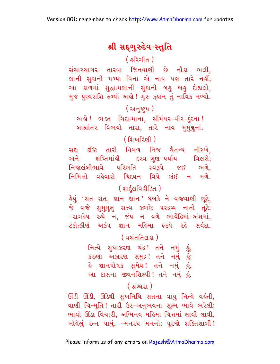### શ્રી સદ્ગુરુદેવ-સ્તુતિ

( ફરિગીત ) |

સંસારસાગર તારવા જિનવાણી છે નૌકા ભલી, જ્ઞાની સુકાની મળ્યા વિના એ નાવ પણ તારે નહીં; આ કાળમાં શુદ્ધાત્મજ્ઞાની સુકાની બહુ બહુ દોહ્યલો, મુજ પુણ્યરાશિ ફળ્યો અહો! ગુરુ કુહાન તું નાવિક મળ્યો.

### (અનુષ્ટ્રપ)

અહો! ભક્ત ચિદાત્માના, સીમંધર-વીર-કુંદના! બાહ્યાંતર વિભવો તારા, તારે નાવ મમક્ષનાં.

### ( શિખરિણી )

<mark>સદા દ</mark>ષ્ટિ તારી વિમળ નિજ ચૈતન્ય નીરખે, અને જ્ઞપ્તિમાંહી દરવ-ગુણ-પર્યાય વિલસે; નિજાલંબીભાવે પરિણતિ સ્વરૂપે જઈ ભળે, નિમિત્તો વહેવારો ચિદઘન વિષે કાંઈ ન મળે.

### ( शार्दुલવિક્રીડિત)

ड़ैयुं 'सत सत, ज्ञान ज्ञान' धजडे ने व थाएी छूटे, જે વજે સુમુમુક્ષ સત્ત્વ ઝળકે; પરદ્રવ્ય નાતો તૂટે; -રાગદ્વેષ રુચે ન, જંપ ન વળે ભાવેંદ્રિમાં-અંશમાં, ટંકોત્કીર્ણ અકંપ જ્ઞાન મહિમા હૃદયે રહે સર્વદા.

### <u>( વસંતતિલકા )</u>

નિત્યે સુધાઝરણ ચંદ્ર! તને નમું હું, કરુણા અકારણ સમુદ્ર! તને નમું હું; હે જ્ઞાનપોષક સુમેઘ! તને નમું <mark>હું</mark>, આ દાસના જીવનશિલ્પી! તને નમું હું.

#### <u>( સગ્ધરા )</u>

ઊંડી ઊંડી, ઊંડેથી સખનિધિ સતના વાયુ નિત્યે વહુંતી, વાણી ચિન્મૂર્તિ ! તારી ઉર-અનુભવના સુક્ષ્મ ભાવે ભરેલી; ભાવો ઊંડા વિચારી. અભિનવ મહિમા ચિત્તમાં લાવી લાવી. ખોયેલું ૨ત્ન પામું, –મન૨થ મનનો; પૂરજો શક્તિશાળી!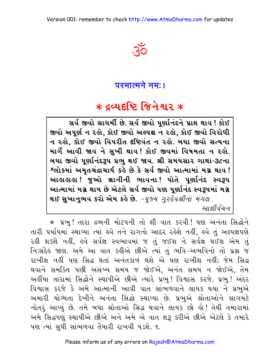

## परमात्मने नम: ।

# \* द्रव्यदृष्टि જિનેશ્વર \*

સર્વ જીવો સાઘર્મી છે. સર્વ જીવો પર્ણાનંદને પ્રાપ્ત થાવ ! કોઈ જીવો અપર્ણ ન રહો. કોઈ જીવો અલ્પજ્ઞ ન રહો. કોઈ જીવો વિરોધી ન રહો, કોઈ જીવો વિપરીત દષ્ટિવંત ન રહો. બધા જીવો સત્યના માર્ગે આવી જાવ ને સુખી થાવ! કોઈ જીવમાં વિષમતા ન રહો. બધા જીવો પૂર્ણાનંદરૂપ પ્રભુ થઈ જાવ. શ્રી સમયસાર ગાથા-૩૮ના શ્લોકમાં અમૃતચંદ્રાચાર્ય કહે છે કે સર્વ જીવો આત્મામાં મગ્ન થાવ! આહાહાહા ! જુઓ જ્ઞાનીની ભાવના ! પોતે પૂર્ણાનંદ સ્વરૂપ આત્મામાં મગ્ન થાય છે એટલે સર્વ જીવો પણ પુર્ણાનંદ સ્વરૂપમાં મગ્ન થઈ સુખાનુભવ કરો એમ કહે છે. -પૂજ્ય ગુરુદેવશ્રીના મંગલ આશીર્વચન

\* પ્રભુ! તારા દ્રવ્યની મોટપની તો શી વાત કરવી! પણ અનંતા સિદ્ધોને તારી પર્યાયમાં સ્થાપ્યા ત્યાં હવે તને રાગનો આદર રહેશે નહીં, હવે તું અલ્પજ્ઞપણે રહી શકશે નહીં, હવે સર્વજ્ઞ સ્વભાવમાં જ તું જઈશ ને સર્વજ્ઞ થઈશ એમ તું નિઃસંદેહ જાણ. અમે આ વાત કહીએ છીએ ત્યાં તું ભવિ-અભવિનો તો પ્રશ્ન જ રાખીશ નહીં પણ સિદ્ધ થતાં અનંતકાળ થશે એ પણ રાખીશ નહીં; જેમ સિદ્ધ થવાને સમકિત પછી અસંખ્ય સમય જ જોઈએ, અનંત સમય ન જોઈએ, તેમ અહીંયા તારામાં સિદ્ધોને સ્થાપીએ છીએ ત્યારે પ્રભ! વિશ્વાસ કરજે. પ્રભ! અંદર વિશ્વાસ કરજે કે અમે આત્માની આવી વાત સાંભળવાને લાયક થયા ને પ્રભુએ અમારી યોગ્યતા દેખીને અનંતા સિદ્ધો સ્થાપ્યા છે. પ્રભુએ શ્રોતાઓને સાગમટે નોતરૂં આપ્યું છે. તમે બધા શ્રોતાઓ સિદ્ધ થવાને લાયક છો હો! તેથી તમારામાં અમે સિદ્ધપણું સ્થાપીએ છીએ અને અમે એ વાત શરૂ કરીએ છીએ એટલે કે તમારે પણ ત્યાં સુધી સાંભળવા તૈયારી રાખવી પડશે. ૧.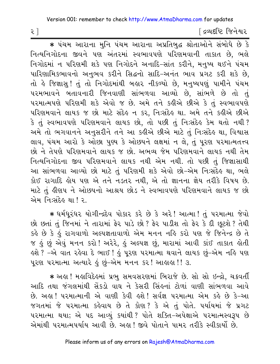[ દ્રવ્યદષ્ટિ જિનેશ્વર

\* પંચમ આરાના મુનિ પંચમ આરાના અપ્રતિબુદ્ધ શ્રોતાઓને સંબોધે છે કે નિત્યનિગોદના જીવને પણ અંતરમાં સ્વભાવપણે પરિણમવાની તાકાત છે, ભલે નિગોદમાં ન પરિણમી શકે પણ નિગોદને અનાદિ-સાંત કરીને, મનુષ્ય થઈને પંચમ પારિણામિકભાવનો અનુભવ કરીને સિદ્ધનો સાદિ-અનંત ભાવ પ્રગટ કરી શકે છે, તો કે જિજ્ઞાસુ! તું તો નિગોદમાંથી બહાર નીકળ્યો છે, મનુષ્યપણું પામીને પંચમ પરમભાવને બતાવનારી જિનવાણી સાંભળવા આવ્યો છે, સાંભળે છે તો તું પરમાત્મપણે પરિણમી શકે એવો જ છે. અમે તને કહીએ છીએ કે તું સ્વભાવપણે પરિણમવાને લાયક જ છો માટે સંદેહ ન કર, નિ:સંદેહ થા. અમે તને કહીએ છીએ કે તું સ્વભાવપણે પરિણમવાને લાયક છો, તો પછી તું નિ:સંદેહ કેમ થતો નથી ? અમે તો ભગવાનને અનુસરીને તને આ કહીએ છીએ માટે તું નિઃસંદેહ થા, વિશ્વાસ લાવ, પંચમ આરો કે ઓછા પુણ્ય કે ઓછપને લક્ષમાં ન લે, તું પુરણ પરમાત્મતત્ત્વ છો ને તેપણે પરિણમવાને લાયક જ છો. અભવ્ય જેમ પરિણમવાને લાયક નથી તેમ નિત્યનિગોદના જીવ પરિણમવાને લાયક નથી એમ નથી. તો પછી તું જિજ્ઞાસાથી આ સાંભળવા આવ્યો છો માટે તું પરિણમી શકે એવો છો-એમ નિઃસંદેહ થા, ભલે કોઈ રાગાદિ હોય પણ એ તને નડતર નથી, એ તો જ્ઞાનના જ્ઞેય તરીકે વિષય છે. માટે તું હીણપ ને ઓછપનો આશ્રય છોડ ને સ્વભાવપણે પરિણમવાને લાયક જ છો એમ નિ:સંદેહ થા ! ર

\* ધર્મધુરંધર યોગીન્દ્રદેવ પોકાર કરે છે કે અરે! આત્મા! તું પરમાત્મા જેવો છો છતાં તું જિનમાં ને તારામાં ફેર પાડે છો? ફેર પાડીશ તો ફેર કે દી છૂટશે? તેથી કહે છે કે હું રાગવાળો અલ્પજ્ઞતાવાળો એમ મનન નહિ કરો પણ જે જિનેન્દ્ર છે તે જ હું છું એવું મનન કરો ! અરેરે, હું અલ્પજ્ઞ છું, મારામાં આવી કાંઈ તાકાત હોતી ઙ્શે ? –એ વાત રઙેવા દે ભાઈ ! ઙું પૂરણ પરમાત્મા થવાને લાયક છું–એમ નહિ પણ પરણ પરમાત્મા અત્યારે હું છું-એમ મનન કર! આહાહા!! ૩.

★ અહા ! મહાવિદેહમાં પ્રભુ સમવસરણમાં બિરાજે છે. સો સો ઇન્દ્રો, ચક્રવર્તી આદિ તથા જંગલમાંથી સેંકડો વાઘ ને કેસરી સિંહનાં ટોળાં વાણી સાંભળવા આવે છે. અલા ! પરમાત્માની એ વાણી કેવી લશે ! સર્વજ્ઞ પરમાત્મા એમ કહે છે કે-આ જગતમાં જે પરમાત્મા કહેવાય છે તે કોણ? કે એ તું પોતે. પર્યાયમાં જે પ્રગટ ૫૨માત્મા થયા; એ ૫દ આવ્યં કયાંથી ? પોતે શક્તિ-અપેક્ષાએ ૫૨માત્મસ્વરૂપ છે એમાંથી પરમાત્મપર્યાય આવી છે. અહ્યુ! જીવે પોતાને પામર તરીકે સ્વીકાર્યો છે.

 $\mathcal{E}$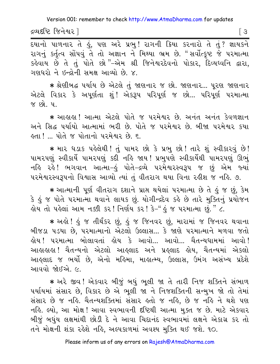દ્રવ્યદષ્ટિ જિનેશ્વર ]

 $\sqrt{3}$ 

<u>.</u><br>हयानो पाणनार ते डुं, पश અरे प्रलु! रागनी डिया डरनारो ते तुं? ज्ञायडने રાગનું કર્તત્વ સોંપવું તે તો અજ્ઞાન ને મિથ્યા ભ્રમ છે. "સર્વોત્કૃષ્ટ જે પરમાત્મા કહેવાય છે તે તું પોતે છો "-એમ શ્રી જિનેશ્વરદેવનો પોકાર, દિવ્યધ્વનિ દ્વારા, ગણધરો ને ઇન્દ્રોની સમક્ષ આવ્યો છે. ૪.

★ શ્રેણીબદ્ધ ૫ર્યાય છે એટલે તું જાણના૨ જ છો. જાણના૨... પૂરણ જાણના૨ એટલે વિકાર કે અપૂર્ણતા શું! એકરૂપ પરિપૂર્ણ જ છો... પરિપૂર્ણ પરમાત્મા જ છો. પા

\* આહાહા! આત્મા એટલે પોતે જ પરમેશ્વર છે. અનંત અનંત કેવળજ્ઞાન અને સિદ્ધ પર્યાયો આત્મામાં ભરી છે. પોતે જ પરમેશ્વર છે. બીજા પરમેશ્વર કયા હતા ! .. પોતે જ પોતાનો પરમેશ્વર છે. ૬.

\* માર ધડાક પહેલેથી! તું પામર છો કે પ્રભુ છો! તારે શું સ્વીકારવું છે! પામરપણું સ્વીકાર્યે પામરપણું કદી નહિ જાય ! પ્રભુપણે સ્વીકાર્યેથી પામરપણું ઊભું નહિ રહે! ભગવાન આત્મા−હું પોતે−દ્રવ્યે પરમેશ્વરસ્વરૂપ જ છું એમ જ્યાં ૫૨મેશ્વરસ્વરૂપનો વિશ્વાસ આવ્યો ત્યાં તું વીતરાગ થયા વિના રહીશ જ નહિ. ૭.

\* આત્માની પૂર્ણ વીતરાગ દશાને પ્રાપ્ત થયેલાં પરમાત્મા છે તે કું જ છું, કેમ કે કું જ પોતે પરમાત્મા થવાને લાયક છું. યોગીન્દ્રદેવ કરે છે તારે મુક્તિનું પ્રયોજન હોય તો પહેલાં આમ નક્કી કર! નિર્ણય કર! કે−" હું જ પરમાત્મા છું. " ૮.

★ અલો ! હું જ તીર્થંકર છું, હું જ જિનવર છું, મારામાં જ જિનવર થવાના બીજડા પડયા છે, પરમાત્માનો એટલો ઉલ્લાસ... કે જાણે પરમાત્માને મળવા જતો હોય ! પરમાત્મા બોલાવતાં હોય કે આવો... આવો... ચૈતન્યધામમાં આવો ! આહાહાહા ! ચૈતન્યનો એટલો આહલાદ અને પ્રહલાદ હોય, ચૈતન્યમાં એકલો આહ્લાદ જ ભર્યો છે, એનો મહિમા, માહ્યત્મ્ય, ઉલ્લાસ, ઉમંગ અસંખ્ય પ્રદેશે આવવો જોઈએ. ૯.

\* અરે જીવ! એકવાર બીજું બધું ભુલી જા તે તારી નિજ શક્તિને સંભાળ પર્યાયમાં સંસાર છે, વિકાર છે એ ભૂલી જા ને નિજશક્તિની સન્મુખ જો તો તેમાં સંસાર છે જ નહિ. ચૈતન્યશક્તિમાં સંસાર હતો જ નહિ, છે જ નહિ ને થશે પણ નહિ. લ્યો, આ મોક્ષ! આવા સ્વભાવની દષ્ટિથી આત્મા મુક્ત જ છે. માટે એકવાર બીજું બધુંય લક્ષમાંથી છોડી દે ને આવા ચિદાનંદ સ્વભાવમાં લક્ષને એકાગ્ર કર તો તને મોક્ષની શંકા રહેશે નહિ, અલ્પકાળમાં અવશ્ય મુક્તિ થઈ જશે. ૧૦.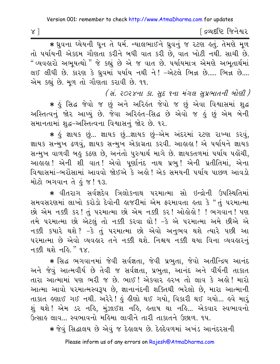∫ દ્રવ્યદષ્ટિ જિનેશ્વર

\* ध्रुवना ध्येयनी धून ते धर्म. न्यालला हि ध्रुवनुं ४ २२ छा इतुं. तेमशे भूण તો પર્યાયની એકદમ ગૌણતા કરીને બધી વાત કરી છે. વાત ખોટી નથી. સાચી છે. " વ્યવહારો અભૂયત્થો " જે કહ્યું છે એ જ વાત છે. પર્યાયમાત્ર એમણે અભૂતાર્થમાં લઈ લીધી છે. કારણ કે ધ્રુવમાં ૫ર્યાય નથી ને! -એટલે ભિન્ન છે..... ભિન્ન છે.... એમ કહ્યું છે. મૂળ તો ગૌણતા કરાવી છે. ૧૧.

(સં. ૨૦૨૪ના કા. સુદ ૧ના મંગલ સૂપ્રભાતની બોણી) \* કું સિદ્ધ જેવો જ છું અને અરિકંત જેવો જ છું એવા વિશ્વાસમાં શુદ્ધ અસ્તિત્વનું જોર આપ્યું છે. જેવા અરિહંત-સિદ્ધ છે એવો જ હું છું એમ બેની સમાનતામાં શુદ્ધ-અસ્તિત્વના વિશ્વાસનું જોર છે. ૧૨.

∗ કું જ્ઞાયક છું... જ્ઞાયક છું...જ્ઞાયક છું–એમ અંદરમાં ૨ટણ રાખ્યા કરવું, જ્ઞાયક સન્મુખ ઢળવું, જ્ઞાયક સન્મુખ એકાગ્રતા કરવી. આહાહા ! એ પર્યાયને જ્ઞાયક સન્મુખ વાળવી બહુ કઠણ છે, અનંતો પુરુષાર્થ માગે છે. જ્ઞાયકતળમાં પર્યાય પહોંચી, આહાહા ! એની શી વાત ! એવો પૂર્ણાનંદ નાથ પ્રભુ ! એની પ્રતીતિમાં, એના વિશ્વાસમાં-ભરોસામાં આવવો જોઈએ કે અહો! એક સમયની પર્યાય પાછળ આવડો મોટો ભગવાન તે કું જ! ૧૩.

∗ વીતરાગ સર્વજ્ઞદેવ ત્રિલોકનાથ પરમાત્મા સો ઇન્દ્રોની ઉપસ્થિતિમાં સમવસરણમાં લાખો કરોડો દેવોની હાજરીમાં એમ ફરમાવતા હતા કે "તું પરમાત્મા છો એમ નક્કી કર! તું પરમાત્મા છો એમ નક્કી કર! ઓહોહો! ! ભગવાન! પણ તમે પરમાત્મા છો એટલું તો નક્કી કરવા ઘો! –કે એ પરમાત્મા અમે છીએ એ નક્કી કયારે થશે? –કે તું પરમાત્મા છો એવો અનુભવ થશે ત્યારે પછી આ ૫૨માત્મા છે એવો વ્યવહાર તને નક્કી થશે. નિશ્ચય નક્કી થયા વિના વ્યવહારનું નક્કી થશે નહિ." ૧૪.

\* સિદ્ધ ભગવાનમાં જેવી સર્વજ્ઞતા, જેવી પ્રભતા, જેવો અતીન્દ્રિય આનંદ અને જેવું આત્મવીર્ય છે તેવી જ સર્વજ્ઞતા, પ્રભુતા, આનંદ અને વીર્યની તાકાત તારા આત્મામાં પણ ભરી જ છે. ભાઈ ! એકવાર હરખ તો લાવ કે અહો ! મારો આત્મા આવો પરમાત્મસ્વરૂપ છે, જ્ઞાનાનંદની શક્તિથી ભરેલો છે, મારા આત્માની તાકાત હુણાઈ ગઈ નથી. અરેરે! હું હીણો થઈ ગયો, વિકારી થઈ ગયો... હુવે મારૂં શું થશે ! એમ ડર નહિ, મુંઝાઈશ નહિ, હતાષ થા નહિ... એકવાર સ્વભાવનો ઉત્સાહ લાવ... સ્વભાવનો મહિમા લાવીને તારી તાકાતને ઉછાળ. ૧૫.

∗ જેવું સિદ્ધાલય છે એવું જ દેહાલય છે. દેહ્રદેવળમાં અખંડ આનંદરસની

 $x$ ]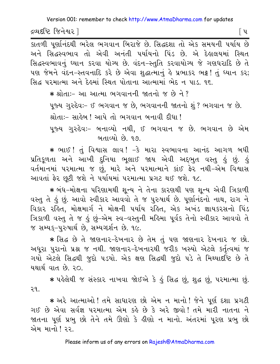દ્રવ્યદષ્ટિ જિનેશ્વર l

<u>કાતળી પૃર્ણાનંદથી ભરેલ ભગવાન બિરાજે છે. સિદ્ધદશા તો એક સમયની પર્યાય છે</u> અને સિદ્ધસ્વભાવ તો એવી અનંતી પર્યાયનો પિંડ છે. એ દેહાલયમાં સ્થિત સિદ્ધસ્વભાવનું ઘ્યાન કરવા યોગ્ય છે. વંદન-સ્તુતિ કરવાયોગ્ય જે ગણધરાદિ છે તે પણ જેમને વંદન-સ્તવનાદિ કરે છે એવા શુદ્ધાત્માનું હે પ્રભાકર ભટ્ટ! તું ધ્યાન કર; સિદ્ધ પરમાત્મા અને દેહમાં સ્થિત પોતાના આત્મામાં ભેદ ન પાડ. ૧૬.

\* શ્રોતા:- આ આત્મા ભગવાનની જાતનો જ છે ને ? પૂજ્ય ગુરુદેવઃ- ઈ ભગવાન જ છે, ભગવાનની જાતનો શું ? ભગવાન જ છે. શ્રોતા:– સાહેબ ! આપે તો ભગવાન બનાવી દીધા ! પુજ્ય ગુરુદેવઃ– બનાવ્યો નથી, ઈ ભગવાન જ છે. ભગવાન છે એમ બતાવ્યો છે. ૧૭.

\* ભાઈ! તું વિશ્વાસ લાવ! -કે મારા સ્વભાવના આનંદ આગળ બધી પ્રતિકૂળતા અને આખી દુનિયા ભૂલાઈ જાય એવી અદ્દભુત વસ્તુ હું છું. હું વર્તમાનમાં પરમાત્મા જ છું. મારે અને પરમાત્માને કાંઈ ફેર નથી-એમ વિશ્વાસ આવતાં ફેર છુટી જશે ને પર્યાયમાં પરમાત્મા પ્રગટ થઈ જશે. ૧૮.

∗ બંધ−મોક્ષના પરિણામથી શ્ન્ય ને તેના કારણથી પણ શ્ન્ય એવી ત્રિકાળી વસ્તુ તે કું છું. આવો સ્વીકાર આવવો તે જ પુરુષાર્થ છે. પૃર્ણાનંદનો નાથ, રાગ ને વિકાર રહિત, મોક્ષમાર્ગ ને મોક્ષની પર્યાય રહિત, એક અખંડ જ્ઞાયકરસનો પિંડ ત્રિકાળી વસ્તુ તે જ હું છું-એમ સ્વ-વસ્તુની મહિમા પૂર્વક તેનો સ્વીકાર આવવો તે જ સમ્યક-પુરુષાર્થ છે. સમ્યગ્દર્શન છે. ૧૯.

\* સિદ્ધ છે તે જાણનાર-દેખનાર છે તેમ તું પણ જાણનાર દેખનાર જ છો. અધૂરા પુરાનો પ્રશ્ન જ નથી. જાણનાર-દેખનારથી જરીક ખસ્યો એટલે કર્તૃત્વમાં જ ગયો એટલે સિદ્ધથી જુદો પડયો. એક ક્ષણ સિદ્ધથી જુદો પડે તે મિથ્યાર્દાષ્ટે છે તે યથાર્થ વાત છે. ૨૦.

\* પહેલેથી જ સંસ્કાર નાખવા જોઈએ કે હું સિદ્ધ છું, શુદ્ધ છું, પરમાત્મા છું. ૨૧.

\* અરે આત્માઓ ! તમે સાધારણ છો એમ ન માનો ! જેને પૂર્ણ દશા પ્રગટી ગઈ છે એવા સર્વજ્ઞ પરમાત્મા એમ કહે છે કે અરે જીવો! તમે મારી નાતના ને જાતના પૂર્ણ પ્રભુ છો તેને તમે ઊણો કે લીણો ન માનો. અંતરમાં પૂરણ પ્રભુ છો એમ માનો ! ૨૨.

Please inform us of any errors on Rajesh@AtmaDharma.com

િપ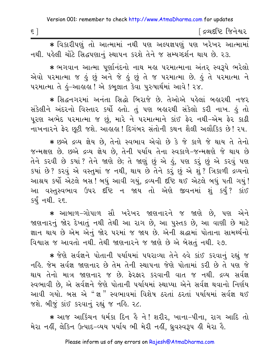| $\epsilon$<br>- | ંદ્રવ્યદષ્ટિ જિનેશ્વર |
|-----------------|-----------------------|
|                 |                       |

\* વિકારીપણું તો આત્મામાં નથી પણ અલ્પજ્ઞપણું પણ ખરેખર આત્મામાં નથી. પહેલી ચોંટે સિદ્ધપણાનું સ્થાપન કરશે તેને જ સમ્યગ્દર્શન થાય છે. ૨૩.

\* ભગવાન આત્મા પૂર્ણાનંદનો નાથ મહા પરમાત્માના અંતર સ્વરૂપે ભરેલો એવો પરમાત્મા જ હું છું અને જે હું છું તે જ પરમાત્મા છે. હું તે પરમાત્મા ને પરમાત્મા તે કું-આક્રાકા ! એ કબુલાત કેવા પુરુષાર્થમાં આવે ! ૨૪.

\* સિદ્ધનગરમાં અનંતા સિદ્ધો બિરાજે છે. તેઓએ પહેલાં બહારથી નજર સંકેલીને અંદરનો વિસ્તાર કર્યો હતો. તું પણ બહારથી સંકેલો કરી નાખ. હું તો પૂરણ અભેદ પરમાત્મા જ છું, મારે ને પરમાત્માને કાંઈ ફેર નથી-એમ ફેર કાઢી નાખનારને ફેર છૂટી જશે. આહાહા ! દિગંબર સંતોની કથન શૈલી અલૌકિક છે ! ૨૫.

\* છએ દ્રવ્ય જ્ઞેય છે. તેનો સ્વભાવ એવો છે કે જે કાળે જે થાય તે તેનો જન્મક્ષણ છે. છએ દ્રવ્ય જ્ઞેય છે. તેની પર્યાય તેના સ્વકાળે-જન્મક્ષણે જે થાય છે તેને કરવી છે કયાં ? તેને જાણે છે; તે જાણું છું એ હું, પણ કરું છું એ કરવું પણ કયાં છે? કરવું એ વસ્તુમાં જ નથી, થાય છે તેને કરું છું એ શું? ત્રિકાળી દ્રવ્યનો આશ્રય કર્યો એટલે બસ ! બધું આવી ગયું, દ્રવ્યની દષ્ટિ થઈ એટલે બધું ૫તી ગયું ! આ વસ્તુસ્વભાવ ઉપર દષ્ટિ ન જાય તો એણે જીવનમાં શું કર્યું? કાંઈ કર્યું નથી. ૨૬.

\* આબાળ-ગોપાળ સૌ ખરેખર જાણનારને જ જાણે છે, પણ એને જાણનારનું જોર દેખાતું નથી તેથી આ રાગ છે, આ પુસ્તક છે, આ વાણી છે માટે જ્ઞાન થાય છે એમ એનું જોર પરમાં જ જાય છે. એની શ્રદ્ધામાં પોતાના સામર્થ્યનો વિશ્વાસ જ આવતો નથી. તેથી જાણનારને જ જાણે છે એ બેસતં નથી. ૨૭.

\* જેણે સર્વજ્ઞને પોતાની પર્યાયમાં પધરાવ્યા તેને હવે કાંઈ કરવાનું રહ્યું જ નહિ. જેમ સર્વજ્ઞ જાણનાર છે તેમ તેની સ્થાપના જેણે પોતામાં કરી છે તે પણ જે થાય તેનો માત્ર જાણનાર જ છે. ફેરફાર કરવાની વાત જ નથી. દ્રવ્ય સર્વજ્ઞ સ્વભાવી છે, એ સર્વજ્ઞને જેણે પોતાની પર્યાયમાં સ્થાપ્યા એને સર્વજ્ઞ થવાનો નિર્ણય આવી ગયો. બસ એ "જ્ઞ" સ્વભાવમાં વિશેષ ઠરતાં ઠરતાં પર્યાયમાં સર્વજ્ઞ થઈ જશે. બીજું કાંઈ કરવાનું રહ્યું જ નહિ. ૨૮.

∗ આજ આકિંચન ધર્મકા દિન હૈ ને ! શરીર, ખાના−પીના, રાગ આદિ તો મેરા નહીં, લેકિન ઉત્પાદ-વ્યય પર્યાય ભી મેરી નહીં, ધ્રવસ્વરૂપ હી મેરા હૈ.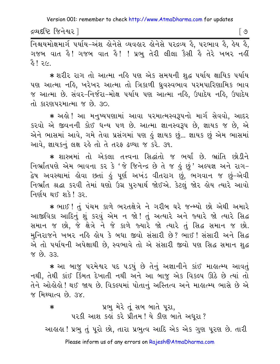દ્રવ્યદષ્ટિ જિનેશ્વર l

[ ଓ

નિશ્ચયમોક્ષમાર્ગ ૫ર્યાય-અંશ લોનેસે વ્યવલાર લોનેસે ૫રદ્રવ્ય હૈ, ૫રભાવ હૈ, હેય હૈ, ગજબ વાત હૈ! ગજબ વાત હૈ! ! પ્રભુ તેરી લીલા કૈસી હૈ તેરે ખબર નહીં  $3618$ 

∗ શરીર રાગ તો આત્મા નહિ પણ એક સમયની શદ્ધ પર્યાય ક્ષાયિક પર્યાય પણ આત્મા નહિ, ખરેખર આત્મા તો ત્રિકાળી ધ્રુવસ્વભાવ પરમપારિણામિક ભાવ જ આત્મા છે. સંવર–નિર્જરા–મોક્ષ પર્યાય પણ આત્મા નહિ. ઉપાદેય નહિ. ઉપાદેય તો કારણપરમાત્મા જ છે. ૩૦.

∗ અલ્રો ! આ મનુષ્યપણામાં આવા પરમાત્મસ્વરૂપનો માર્ગ સેવવો, આદર કરવો એ જીવનની કોઈ ધન્ય ૫ળ છે. આત્મા જ્ઞાનસ્વરૂપ છે, જ્ઞાયક જ છે, એ એને ભાસમાં આવે, ગમે તેવા પ્રસંગમાં પણ હું જ્ઞાયક છું ... જ્ઞાયક છું એમ ભાસમાં આવે, જ્ઞાયકનું લક્ષ રહે તો તે તરફ ઢળ્યા જ કરે. ૩૧.

\* શાસ્ત્રમાં તો એકલા તત્ત્વના સિદ્ધાંતો જ ભર્યાં છે. ભ્રાંતિ છોડીને નિર્ભ્રાંતપણે એમ ભાવના કર કે 'જે જિનેન્દ્ર છે તે જ કું છું' અલ્પજ્ઞ અને રાગ-દ્વેષ અવસ્થામાં ક્ષેવા છતાં કું પૂર્ણ અખંડ વીતરાગ છું, ભગવાન જ છું−એવી નિર્ભ્રાંત શ્રદ્ધા કરવી તેમાં ઘણો ઉગ્ર પુરુષાર્થ જોઈએ. કેટલું જોર હોય ત્યારે આવો નિર્ણય થઈ શકે! ૩૨.

\* ભાઈ ! તું પંચમ કાળે ભરતક્ષેત્રે ને ગરીબ ઘરે જન્મ્યો છો એથી અમારે આજીવિકા આદિનું શું કરવું એમ ન જો ! તું અત્યારે અને જ્યારે જો ત્યારે સિદ્ધ સમાન જ છો, જે ક્ષેત્રે ને જે કાળે જ્યારે જો ત્યારે તું સિદ્ધ સમાન જ છો. મુનિરાજને ખબર નહિ હોય કે બધા જીવો સંસારી છે? ભાઈ! સંસારી અને સિદ્ધ એ તો પર્યાયની અપેક્ષાથી છે, સ્વભાવે તો એ સંસારી જીવો પણ સિદ્ધ સમાન શુદ્ધ <u>જ છે. ૩૩</u>

\* આ બાજુ પરમેશ્વર પદ પડયું છે તેનું અજ્ઞાનીને કાંઈ માહાત્મ્ય આવતું નથી, તેથી કાંઈ કિંમત દેખાતી નથી અને આ બાજુ એક વિકલ્પ ઊઠે છે ત્યાં તો તેને ઓલોલો ! થઈ જાય છે. વિકલ્પમાં પોતાનું અસ્તિત્વ અને માલાત્મ્ય ભાસે છે એ જ મિથ્યાત્વ છે. ૩૪.

પ્રભુ મેરે તું સબ બાતે પૂરા,  $\ast$ પરકી આશ કહ્યું કરે પ્રીતમ ! યે કીણ બાતે અધરા ? આહાહા ! પ્રભુ તું પુરો છો, તારા પ્રભુત્વ આદિ એક એક ગુણ પુરણ છે. તારી Please inform us of any errors on Rajesh@AtmaDharma.com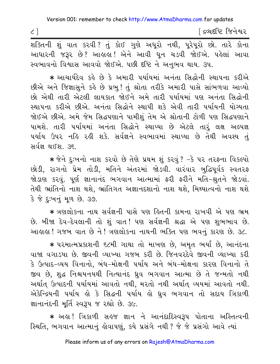∫ દ્રવ્યદષ્ટિ જિનેશ્વર

શક્તિની શું વાત કરવી ? તું કોઈ ગુણે અધૂરો નથી, પૂરેપૂરો છો. તારે કોના આધારની જરૂર છે? આહાહા! એને આવી ધૂન ચડવી જોઈએ. પહેલાં આવા સ્વભાવનો વિશ્વાસ આવવો જોઈએ. પછી દષ્ટિ ને અનુભવ થાય. ૩૫.

\* આચાર્યદેવ કહે છે કે અમારી પર્યાયમાં અનંતા સિદ્ધોની સ્થાપના કરીએ છીએ અને જિજ્ઞાસુને કહે છે પ્રભુ! તું શ્રોતા તરીકે અમારી પાસે સાંભળવા આવ્યો છો એથી તારી એટલી લાયકાત જોઈને અમે તારી પર્યાયમાં પણ અનંતા સિદ્ધોની સ્થાપના કરીએ છીએ. અનંતા સિદ્ધોને સ્થાપી શકે એવી તારી પર્યાયની યોગ્યતા જોઈએ છીએ. અમે જેમ સિદ્ધપણાને પામીશું તેમ એ શ્રોતાની ટોળી પણ સિદ્ધપણાને પામશે. તારી પર્યાયમાં અનંતા સિદ્ધોને સ્થાપ્યા છે એટલે તારૂં લક્ષ અલ્પજ્ઞ પર્યાય ઉપર નહિ રહી શકે. સર્વજ્ઞને સ્વભાવમાં સ્થાપ્યા છે તેથી અવશ્ય તું સર્વજ્ઞ થઈશ હક

\* જેને દુઃખનો નાશ કરવો છે તેણે પ્રથમ શું કરવું ? -કે પર તરફના વિકલ્પો છોડી, રાગનો પ્રેમ તોડી, મતિને અંતરમાં જોડવી. વારંવાર બુદ્ધિપૂર્વક સ્વતરફ જોડાણ કરવું. પૂર્ણ જ્ઞાનાનંદ ભગવાન આત્મામાં ફરી ફરીને મતિ-શ્રતને જોડવાં. તેથી ભ્રાંતિનો નાશ થશે, ભ્રાંતિગત અજ્ઞાનદશાનો નાશ થશે, મિથ્યાત્વનો નાશ થશે કે જે દુઃખનું મૂળ છે. ૩૭.

\* ત્રણલોકના નાથ સર્વજ્ઞની પાસે પણ હિતની કામના રાખવી એ પણ ભ્રમ છે. બીજા દેવ-દેવલાની તો શું વાત! પણ સર્વજ્ઞની શ્રદ્ધા એ પણ શુભભાવ છે. આહાહા ! ગજબ વાત છે ને ! ત્રણલોકના નાથની ભક્તિ પણ ભવનું કારણ છે. ૩૮.

\* પરમાત્મપ્રકાશની ૬૮મી ગાથા તો માખણ છે. અમૃત ભર્યાં છે. આનંદના વાજા વગાડયા છે. જીવની વ્યાખ્યા ગજબ કરી છે. જિનવરદેવે જીવની વ્યાખ્યા કરી કે ઉત્પાદ–વ્યય વિનાનો, બંધ–મોક્ષની પર્યાય અને બંધ–મોક્ષના કારણ વિનાનો તે જીવ છે. શદ્ધ નિશ્ચયનયથી નિત્યાનંદ ધ્રવ ભગવાન આત્મા છે તે જન્મતો નથી અર્થાત ઉત્પાદની પર્યાયમાં આવતો નથી, મરતો નથી અર્થાત વ્યયમાં આવતો નથી. એકેન્દ્રિયની પર્યાય હો કે સિદ્ધની પર્યાય હો ઘ્રુવ ભગવાન તો સદાય ત્રિકાળી જ્ઞાનાનંદની મૂર્તિ સ્વરૂપ જ રહ્યો છે. ૩૯.

\* અહા ! ત્રિકાળી સહજ જ્ઞાન ને આનંદાદિસ્વરૂપ પોતાના અસ્તિત્વની સ્થિતિ, ભગવાન આત્માનું હોવાપણું, કર્ય પ્રસંગે નથી ? જે જે પ્રસંગો આવે ત્યાં

 $\zeta$ ]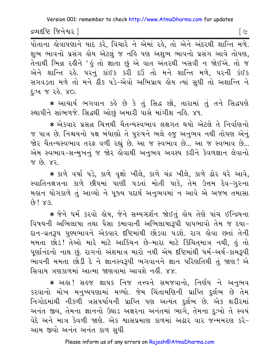$\lceil c \rceil$ 

દ્રવ્યદષ્ટિ જિનેશ્વર l

पोताना डोवापशाने याह કરે, વિચારે ને એમાં રહે, તો એને અંદરથી શાન્તિ મળે. શુભ ભાવનો પ્રસંગ હોય એટલું જ નહિ પણ અશુભ ભાવનો પ્રસંગ આવે તોપણ. તેનાથી ભિન્ન રહીને 'હું તો જ્ઞાતા છું એ વાત અંતરથી ખસવી ન જોઈએ. તો જ એને શાન્તિ રહે. ૫૨નું કાંઈક કરી દઉં તો મને શાન્તિ મળે, ૫૨ની કંઈક સગવડતા મળે તો મને ઠીક પડે-એવો અભિપ્રાય હોય ત્યાં સુધી તો અશાન્તિ ને દઃખ જ ર*હે.* ૪૦.

\* આચાર્ય ભગવાન કહે છે કે તું સિદ્ધ છો, તારામાં તું તને સિદ્ધપણે સ્થાપીને સાંભળજે. સિદ્ધથી ઓછું અમારી પાસે માંગીશ નહિ. ૪૧.

\* એકવાર પ્રસન્ન ચિત્તથી ચૈતન્યસ્વભાવ લક્ષગત થયો એટલે તે નિર્વાણનો જ પાત્ર છે. નિશ્ચયનો પક્ષ બંધાણો તે પુરુષને ભલે હજુ અનુભવ નથી તોપણ એનું જોર ચૈતન્યસ્વભાવ તરફ વળી રહ્યું છે. આ જ સ્વભાવ છે... આ જ સ્વભાવ છે... એમ સ્વભાવ-સન્મુખનું જ જોર હોવાથી અનુભવ અવશ્ય કરીને કેવળજ્ઞાન લેવાનો  $ex$   $63$   $x$ 

\* કાળે વર્ષા પડે, કાળે વૃક્ષો ખીલે, કાળે ચંદ્ર ખીલે, કાળે ઢોર ઘરે આવે, સ્વાતિનક્ષત્રના કાળે છીપમાં પાણી પડતાં મોતી પાકે, તેમ ઉત્તમ દેવ-ગુરુના મહાન યોગકાળે તું આવ્યો ને પુજ્ય પદાર્થ અનુભવમાં ન આવે એ અજબ તમાસા  $69!$   $83.$ 

\* જેને ધર્મ કરવો હોય, જેને સમ્યગ્દર્શન જોઈતું હોય તેણે પાંચ ઈન્દ્રિયના વિષયની અભિલાષા તથા પૈસા કમાવાની અભિલાષારૂપી પાપભાવો તેમ જ દયા-દાન-વ્રતરૂપ પુણ્યભાવને એકવાર દષ્ટિમાંથી છોડવા પડશે. રાગ લેવા છતાં તેની મમતા છોડ! તેઓ મારે માટે આકિંચન છે-મારા માટે કિંચિત્માત્ર નથી, કું તો પુર્ણાનંદનો નાથ છું. રાગનો અંશમાત્ર મારો નથી એમ દષ્ટિમાંથી ધર્મ-અર્થ-કામરૂપી ભાવની મમતા છોડી દે ને જ્ઞાનસ્વરૂપી ભગવાનને જ્ઞાન પરિણતિથી તું જાણ! એ સિવાય ત્રણકાળમાં આત્મા જાણવામાં આવશે નહીં. ૪૪.

\* અહા! સહજ જ્ઞાયક નિજ તત્ત્વને સમજવાનો, નિર્ણય ને અનુભવ કરવાનો મોખ મનુષ્યપણામાં મળ્યો. જેમ ચિંતામણિની પ્રાપ્તિ દુર્લભ છે તેમ નિગોદમાંથી નીકળી ત્રસપર્યાયની પ્રાપ્તિ પણ અત્યંત દર્લભ છે. એક શરીરમાં અનંત જીવ, તેમના જ્ઞાનનો ઉઘાડ અક્ષરના અનંતમાં ભાગે, તેમના દુઃખો તે સ્વયં વેદે અને માત્ર કેવળી જાણે. એક શાસપ્રમાણ કાળમાં અઢાર વાર જન્મમરણ કરે-આમ જીવો અનંત અનંત કાળ સુધી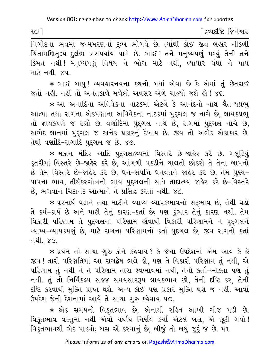[ દ્રવ્યદષ્ટિ જિનેશ્વર

નિગોદના ભવમાં જન્મમરણનાં દુઃખ ભોગવે છે. ત્યાંથી કોઈ જીવ બહાર નીકળી ચિંતામણિતલ્ય દુર્લભ ત્રસપર્યાય પામે છે. ભાઈ! તને મનુષ્યપણું મળ્યું તેની તને કિંમત નથી! મનુષ્યપણું વિષય ને ભોગ માટે નથી, વ્યાપાર ધંધા ને પાપ માટે નથી. ૪૫.

★ ભાઈ બાપુ! વ્યવહારનયના કથનો બધાં એવા છે કે એમાં તું છેતરાઈ જતો નહીં. નહીં તો અનંતકાળે મળેલો અવસર એળે ચાલ્યો જશે હો! ૪૬.

\* આ અનાદિના અવિવેકના નાટકમાં એટલે કે આનંદનો નાથ ચૈતન્યપ્રભુ આત્મા તથા રાગના એકપણાના અવિવેકના નાટકમાં પુદ્દગલ જ નાચે છે, જ્ઞાયકપ્રભુ તો જ્ઞાયકપણે જ રહ્યો છે. વર્ણાદિમાં પુદ્દગલ નાચે છે, રાગમાં પુદ્દગલ નાચે છે, અભેદ જ્ઞાનમાં પુદ્ગલ જ અનેક પ્રકારનું દેખાય છે. જીવ તો અભેદ એકાકાર છે. તેથી વર્ણાદિ-રાગાદિ પુદ્ગલ જ છે. ૪૭.

\* મકાન મંદિર આદિ પુદગલદ્રવ્યમાં વિસ્તરે છે-જાહેર કરે છે. ગલુડિયું કૂતરીમાં વિસ્તરે છે-જાહેર કરે છે, આંગળી પકડીને ચાલતો છોકરો તે તેના બાપનો છે તેમ વિસ્તરે છે-જાહેર કરે છે, ધન-સંપત્તિ ધનવંતને જાહેર કરે છે. તેમ પુણ્ય-પાપના ભાવ, તીર્થંકરગોત્રનો ભાવ પુદ્ગલની સાથે તાદાત્મ્ય જાહેર કરે છે-વિસ્તરે છે, ભગવાન ચિદાનંદ આત્માને તે પ્રસિદ્ધ કરતા નથી. ૪૮.

\* પરમાર્થે ઘડાને તથા માટીને વ્યાપ્ય-વ્યાપકભાવનો સદ્દભાવ છે, તેથી ઘડો તે કર્મ-કાર્ય છે અને માટી તેનું કારણ-કર્તા છે; પણ કુંભાર તેનું કારણ નથી. તેમ વિકારી પરિણામ તે પદગલના પરિણામ લેવાથી વિકારી પરિણામને ને પુદગલને વ્યાપ્ય-વ્યાપકપણું છે, માટે રાગના પરિણામનો કર્તા પુદ્ગલ છે, જીવ રાગનો કર્તા નથી. *૪૯.* 

\* પ્રથમ તો સાચા ગુરુ કોને કહેવાય ? કે જેના ઉપદેશમાં એમ આવે કે હે જીવ ! તારી પરિણતિમાં આ રાગદ્વેષ ભલે હો. પણ તે વિકારી પરિણામ તું નથી. એ પરિણામ તું નથી ને તે પરિણામ તારા સ્વભાવમાં નથી, તેનો કર્તા-ભોક્તા પણ તું નથી. તું તો નિર્વિકલ્પ સહજ સમયસારરૂપ જ્ઞાયકભાવ છો, તેની દષ્ટિ કર, તેની દીષ્ટે કરવાથી મુક્તિ પ્રાપ્ત થશે, અન્ય કોઈ પણ પ્રકારે મુક્તિ થશે જ નહીં. આવો ઉપદેશ જેની દેશનામાં આવે તે સાચા ગુરુ કહેવાય ૫૦.

\* એક સમયનો વિકૃતભાવ છે, એનાથી રહિત આખી ચીજ ૫ડી છે. વિકૃતભાવ વસ્તુમાં નથી એવો યર્થાથ નિર્ણય કર્યો એટલે બસ, એ છૂટી ગયો ! વિકૃતભાવથી ભેદ પાડવો; બસ એ કરવાનું છે, બીજું તો બધું જુદું જ છે. ૫૧.

 $90$ ]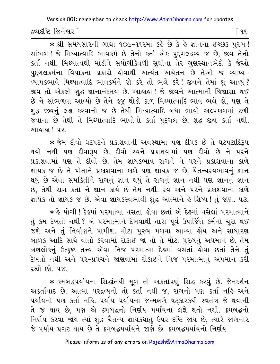દ્રવ્યદષ્ટિ જિનેશ્વર l

\* श्री समयसारनी गाथा १०८-११२मां डुड़े छे डे डे ज्ञानना ४२७९ पुरुष! સાંભળ! જે મિથ્યાત્વાદિ ભાવકર્મ છે તેનો કર્તા એક પદગલદ્રવ્ય જ છે. જીવ તેનો કર્તા નથી. મિથ્યાત્વથી માંડીને સયોગીકેવળી સુધીના તેર ગુણસ્થાનભેદો કે જેઓ પુદ્દગલકર્મના વિપાકના પ્રકારો હોવાથી અત્યંત અચેતન છે તેઓ જ વ્યાપ્ય– વ્યાપકભાવે મિથ્યાત્વાદિ ભાવકર્મને જો કરે તો ભલે કરે! જીવને તેમાં શું આવ્યું? જીવ તો એકલો શદ્ધ જ્ઞાનાનંદમય છે. આહાહા! જે જીવને આત્માની જિજ્ઞાસા થઈ છે ને સાંભળવા આવ્યો છે તેને હજુ થોડો કાળ મિથ્યાત્વાદિ ભાવ ભલે હો, પણ તે શુદ્ધ જીવનું લક્ષ કરવાનો જ છે તેથી મિથ્યાત્વાદિ બધા ભાવો અલ્પકાળમાં ટળી જવાના છે તેથી તે મિથ્યાત્વાદિ ભાવોનો કર્તા પુદ્દગલ છે, શુદ્ધ જીવ કર્તા નથી. આઢાઢા ! ૫૨

\* જેમ દીવો ઘટપટને પ્રકાશવાની અવસ્થામાં પણ દીપક છે તે ઘટપટાદિરૂપ થયો નથી પણ દીવારૂપ છે. દીવો સ્વને પ્રકાશવામાં પણ દીવો છે ને પરને પ્રકાશવામાં પણ તે દીવો છે. તેમ જ્ઞાયકભાવ રાગને ને પરને પ્રકાશવાના કાળે જ્ઞાયક જ છે ને પોતાને પ્રકાશવાના કાળે પણ જ્ઞાયક જ છે. ચૈતન્યસ્વભાવનું જ્ઞાન થયું છે એવા સમકિતીને રાગનું જ્ઞાન થયું તે રાગનું જ્ઞાન નથી પણ જ્ઞાનનું જ્ઞાન છે, તેથી રાગ કર્તા ને જ્ઞાન કાર્ય છે તેમ નથી. સ્વ અને પરને પ્રકાશવાના કાળે જ્ઞાયક તો જ્ઞાયક જ છે. એવા જ્ઞાયકસ્વભાવી શદ્ધ આત્માને હે શિષ્ય! તં જાણ. ૫૩.

\* કે યોગી ! દેકમાં પરમાત્મા વસતા કોવા છતાં એ દેકમાં વસેલાં પરમાત્માને તું કેમ દેખતો નથી ? એ પરમાત્માને દેખવાથી તારા પૂર્વ ઉપાર્જિત કર્મના ચૂરા થઈ જશે અને તું નિર્વાણને પામીશ. મોટા પુરુષ મળવા આવ્યા હોય અને સાધારણ બાળક આદિ સાથે વાતો કરવામાં રોકાઈ જા તો તે મોટા પુરુષનું અપમાન છે. તેમ ત્રણલોકનું ઉત્કૃષ્ટ તત્ત્વ એવા નિજ પરમાત્મા દેહમાં વસતાં હોવા છતાં તેને તું દેખતો નથી અને ૫૨-પ્રપંચને જાણવામાં રોકાઈને નિજ ૫૨માત્માનું અ૫માન કરી રહ્યો છો પ∀

\* ક્રમબદ્ધપર્યાયના સિદ્ધાંતથી મૂળ તો અકર્તાપણું સિદ્ધ કરવું છે. જૈનદર્શન અકર્તાવાદ છે. આત્મા પરદ્રવ્યનો તો કર્તા નથી જ, રાગનો પણ કર્તા નહિ અને પર્યાયનો પણ કર્તા નહિ. પર્યાય પર્યાયના જન્મક્ષણે ષટ્કારકથી સ્વતંત્ર જે થવાની તે જ થાય છે, પણ એ ક્રમબદ્ધનો નિર્ણય પર્યાયના લક્ષે થતો નથી. ક્રમબદ્ધનો નિર્ણય કરવા જાય ત્યાં શુદ્ધ ચૈતન્ય જ્ઞાયકધાતુ ઉપર દષ્ટિ જાય છે, ત્યારે જાણનાર જે પર્યાય પ્રગટ થાય છે તે ક્રમબદ્ધપર્યાયને જાણે છે. ક્રમબદ્ધપર્યાયનો નિર્ણય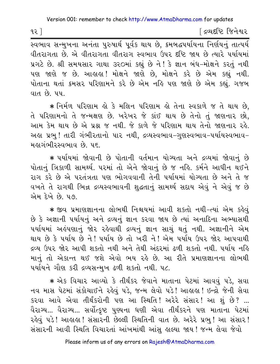∫ દ્રવ્યદષ્ટિ જિનેશ્વર

સ્વભાવ સન્મુખના અનંતા પુરુષાર્થ પૂર્વક થાય છે, ક્રમબદ્ધપર્યાયના નિર્ણયનું તાત્પર્ય વીતરાગતા છે. એ વીતરાગતા વીતરાગ સ્વભાવ ઉપર દષ્ટિ જાય છે ત્યારે પર્યાયમાં પ્રગટે છે. શ્રી સમયસાર ગાથા ૩૨૦માં કહ્યું છે ને ! કે જ્ઞાન બંધ-મોક્ષને કરતું નથી પણ જાણે જ છે. આહાહા! મોક્ષને જાણે છે, મોક્ષને કરે છે એમ કહ્યું નથી. પોતાના થતાં કમસર પરિણામને કરે છે એમ નહિ પણ જાણે છે એમ કહ્યું. ગજબ વાત છે. ૫૫.

\* નિર્મળ પરિણામ હો કે મલિન પરિણામ હો તેના સ્વકાળે જ તે થાય છે. તે પરિણામનો તે જન્મક્ષણ છે. ખરેખર જે કાંઈ થાય છે તેનો તું જાણનાર છો, આમ કેમ થાય છે એ પ્રશ્ન જ નથી. જે કાળે જે પરિણામ થાય તેનો જાણનાર રહે. અહ્ય પ્રભુ ! તારી ગંભીરતાનો પાર નથી, દ્રવ્યસ્વભાવ-ગુણસ્વભાવ-પર્યાયસ્વભાવ-મહાગંભીરસ્વભાવ છે. ૫૬.

\* પર્યાયમાં જોવાની છે પોતાની વર્તમાન યોગ્યતા અને દ્રવ્યમાં જોવાનં છે પોતાનું ત્રિકાળી સામર્થ્ય. ૫૨માં તો એને જોવાનું છે જ નહિ. કર્મને આધીન થઈને રાગ કરે છે એ પરતંત્રતા પણ ભોગવવાની તેની પર્યાયમાં યોગ્યતા છે અને તે જ વખતે તે રાગથી ભિન્ન દ્રવ્યસ્વભાવની શુદ્ધતાનું સામર્થ્ય સદાય એવું ને એવું જ છે એમ દેખે છે. ૫૭.

\* જીવ પ્રમાણજ્ઞાનના લોભથી નિશ્ચયમાં આવી શકતો નથી-ત્યાં એમ કહેવું છે કે અજ્ઞાની પર્યાયનું અને દ્રવ્યનું જ્ઞાન કરવા જાય છે ત્યાં અનાદિના અભ્યાસથી પર્યાયમાં અહંપણાનું જોર રહેવાથી દ્રવ્યનું જ્ઞાન સાચું થતું નથી. અજ્ઞાનીને એમ થાય છે કે પર્યાય છે ને ! પર્યાય છે તો ખરી ને ! એમ પર્યાય ઉપર જોર આપવાથી દ્રવ્ય ઉપર જોર આપી શકતો નથી અને તેથી અંદરમાં ઢળી શકતો નથી. પર્યાય નહિ માનું તો એકાન્ત થઈ જશે એવો ભય રહે છે. આ રીતે પ્રમાણજ્ઞાનના લોભથી પર્યાયને ગૌણ કરી દ્રવ્યસન્મુખ ઢળી શકતો નથી. ૫૮.

\* એક વિચાર આવ્યો કે તીર્થંકર જેવાને માતાના પેટમાં આવવું પડે, સવા નવ માસ પેટમાં સંકોચાઈને રહેવું પડે, જન્મ લેવો પડે! આહાહા! ઇન્દ્રો જેની સેવા કરવા આવે એવા તીર્થંકરોની પણ આ સ્થિતિ! અરેરે સંસાર! આ શું છે? ... વૈરાગ્ય... વૈરાગ્ય... સર્વોત્કૃષ્ટ પુણ્યના ઘણી એવા તીર્થંકરને પણ માતાના પેટમાં રહેવું ૫ડે! આહાહા! સંસારની છેલ્લી સ્થિતિની વાત છે. અરેરે પ્રભુ! આ સંસાર! સંસારની આવી સ્થિતિ વિચારતાં આંખમાંથી આંસુ હાલ્યા જાય ! જન્મ લેવા જેવો

૧૨ $\lceil$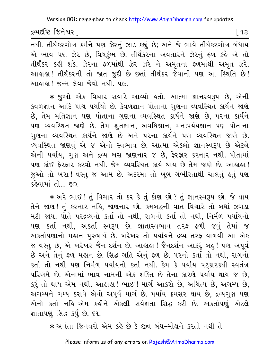દ્રવ્યદષ્ટિ જિનેશ્વર l

[ ૧૩

નથી. તીર્થંકરગોત્ર કર્મને પણ ઝેરનું ઝાડ કહ્યું છે; અને જે ભાવે તીર્થંકરગોત્ર બંધાય એ ભાવ પણ ઝેર છે, વિષકુંભ છે. તીર્થંકરના અવતારને ઝેરનું ફળ કહે એ તો તીર્થંકર કહી શકે. ઝેરના ફળમાંથી ઝેર ઝરે ને અમૃતના ફળમાંથી અમૃત ઝરે. આહાહા! તીર્થંકરની તો જાત જુદી છે છતાં તીર્થંકર જેવાની પણ આ સ્થિતિ છે! આહાહા ! જન્મ લેવા જેવો નથી. ૫૯.

\* જુઓ એક વિચાર સવારે આવ્યો હતો. આત્મા જ્ઞાનસ્વરૂપ છે, એની કેવળજ્ઞાન આદિ પાંચ ૫ર્યાયો છે. કેવળજ્ઞાન પોતાના ગુણના વ્યવસ્થિત કાર્યને જાણે છે, તેમ મતિજ્ઞાન પણ પોતાના ગુણના વ્યવસ્થિત કાર્યને જાણે છે, પરના કાર્યને પણ વ્યવસ્થિત જાણે છે. તેમ શ્રુતજ્ઞાન, અવધિજ્ઞાન, મનઃપર્યયજ્ઞાન પણ પોતાના ગુણના વ્યવસ્થિત કાર્યને જાણે છે અને પરના કાર્યને પણ વ્યવસ્થિત જાણે છે. વ્યવસ્થિત જાણવું એ જ એનો સ્વભાવ છે. આત્મા એકલો જ્ઞાનસ્વરૂપ છે એટલે એની પર્યાય, ગુણ અને દ્રવ્ય બસ જાણનાર જ છે, ફેરફાર કરનાર નથી. પોતામાં પણ કાંઈ ફેરફાર કરવો નથી. જેમ વ્યવસ્થિત કાર્ય થાય છે તેમ જાણે છે. આહાહા! જુઓ તો ખરા! વસ્તુ જ આમ છે. અંદરમાં તો ખૂબ ગંભીરતાથી ચાલતું હતું પણ કહેવામાં તો $_{\odot}$   $\epsilon$  $\odot$ 

\* અરે ભાઈ ! તું વિચાર તો કર કે તું કોણ છો ? તું જ્ઞાનસ્વરૂપ છો. જે થાય તેને જાણ! તું કરનાર નહિ, જાણનાર છો. કમબદ્ધની વાત વિચારે તો બધાં ઝગડા મટી જાય. પોતે પરદ્રવ્યનો કર્તા તો નથી, રાગનો કર્તા તો નથી, નિર્મળ પર્યાયનો પણ કર્તા નથી, અકર્તા સ્વરૂપ છે. જ્ઞાતાસ્વભાવ તરફ ઢળી જવું તેમાં જ અકર્તાપણાનો મહાન પુરુષાર્થ છે. ખરેખર તો પર્યાયને દ્રવ્ય તરફ વાળવી આ એક જ વસ્તુ છે, એ ખરેખર જૈન દર્શન છે. આહાહા ! જૈનદર્શન આકરું બહુ ! પણ અપૂર્વ છે અને તેનું ફળ મહાન છે. સિદ્ધ ગતિ એનું ફળ છે. પરનો કર્તા તો નથી, રાગનો કર્તા તો નથી પણ નિર્મળ પર્યાયનો કર્તા નથી. કેમ કે પર્યાય ષટકારકથી સ્વતંત્ર પરિણમે છે. એનામાં ભાવ નામની એક શક્તિ છે તેના કારણે પર્યાય થાય જ છે, કરૂં તો થાય એમ નથી. આહાહા ! ભાઈ ! માર્ગ આકરો છે, અચિંત્ય છે, અગમ્ય છે, અગમ્યને ગમ્ય કરાવે એવો અપર્વ માર્ગ છે. ૫ર્યાય ક્રમસર થાય છે. દ્રવ્યગુણ ૫ણ એનો કર્તા નહિ-એમ કહીને એકલી સર્વજ્ઞતા સિદ્ધ કરી છે. અકર્તાપણું એટલે જ્ઞાતાપણું સિદ્ધ કર્યું છે. ૬૧.

\* અનંતા જિનવરો એમ કહે છે કે જીવ બંધ-મોક્ષને કરતો નથી તે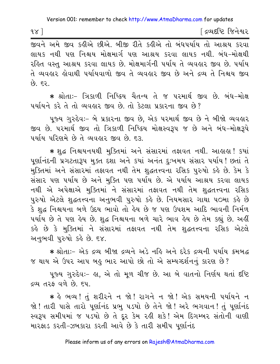∫ દ્રવ્યદષ્ટિ જિનેશ્વર

લાયક નથી પણ નિશ્ચય મોક્ષમાર્ગ પણ આશ્રય કરવા લાયક નથી. બંધ-મોક્ષથી રહિત વસ્ત આશ્રય કરવા લાયક છે. મોક્ષમાર્ગની પર્યાય તે વ્યવહાર જીવ છે. પર્યાય તે વ્યવહાર હોવાથી ૫ર્યાયવાળો જીવ તે વ્યવહાર જીવ છે અને દ્રવ્ય તે નિશ્ચય જીવ  $596$ 

∗ શ્રોતાઃ− ત્રિકાળી નિષ્ક્રિય ચૈતન્ય તે જ પરમાર્થ જીવ છે. બંધ−મોક્ષ પર્યાયને કરે તે તો વ્યવહાર જીવ છે. તો કેટલા પ્રકારના જીવ છે?

પુજ્ય ગુરુદેવઃ- બે પ્રકારના જીવ છે. એક પરમાર્થ જીવ છે ને બીજો વ્યવહાર જીવ છે. પરમાર્થ જીવ તો ત્રિકાળી નિષ્ક્રિય મોક્ષસ્વરૂપ જ છે અને બંધ–મોક્ષરૂપે ૫ર્યાય પરિણમે છે તે વ્યવહાર જીવ છે. દર.

\* શુદ્ધ નિશ્ચયનયથી મુક્તિમાં અને સંસારમાં તફાવત નથી. આહાહા ! કયાં પૂર્ણાનંદની પ્રગટતારૂપ મુક્ત દશા અને કયાં અનંત દુઃખમય સંસાર પર્યાય! છતાં તે મુક્તિમાં અને સંસારમાં તફાવત નથી તેમ શુદ્ધતત્ત્વના રસિક પુરુષો કહે છે. કેમ કે સંસાર પણ પર્યાય છે અને મુક્તિ પણ પર્યાય છે. એ પર્યાય આશ્રય કરવા લાયક નથી એ અપેક્ષાએ મુક્તિમાં ને સંસારમાં તફાવત નથી તેમ શુદ્ધતત્ત્વના રસિક પુરુષો એટલે શુદ્ધતત્ત્વના અનુભવી પુરુષો કહે છે. નિયમસાર ગાથા ૫૦મા કહે છે કે શદ્ધ નિશ્ચયના બળે ઉદય ભાવો તો હેય છે જ પણ ઉપશમ આદિ ભાવની નિર્મળ પર્યાય છે તે પણ હેય છે. શુદ્ધ નિશ્ચયના બળે ચારે ભાવ હેય છે તેમ કહ્યું છે. અહીં કહે છે કે મુક્તિમાં ને સંસારમાં તફાવત નથી તેમ શુદ્ધતત્ત્વના રસિક એટલે અનભવી પુરુષો કહે છે. ૬૪.

\* श्रोता:- એક द्रव्य બીજા द्रव्यने અડે નહિ અને દરેક દ્રવ્યની પર્યાય ક્રમબદ્ધ જ થાય એ ઉપર આપ બહુ ભાર આપો છો તો એ સમ્યગ્દર્શનનું કારણ છે?

પુજ્ય ગુરુદેવઃ- હ્રા. એ તો મળ ચીજ છે. આ બે વાતનો નિર્ણય થતાં દષ્ટિ દ્રવ્ય તરફ વળે છે. ૬૫.

∗ હે ભવ્ય! તું શરીરને ન જો! રાગને ન જો! એક સમયની પર્યાયને ન જો! તારી પાસે તારો પૂર્ણાનંદ પ્રભુ પડયો છે તેને જો! અરે ભગવાન! તું પૂર્ણાનંદ સ્વરૂપ સમીપમાં જ પડયો છે તે દૂર કેમ રહી શકે! એમ દિગમ્બર સંતોની વાણી મારફાડ કરતી-ઝબકારા કરતી આવે છે કે તારી સમીપ પૂર્ણાનંદ

 $98$ ]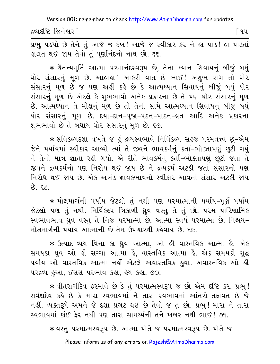દ્રવ્યદષ્ટિ જિનેશ્વર l

િવપ

પ્રભુ પડયો છે તેને તું આજે જ દેખ! આજે જ સ્વીકાર કર ને હા પાડ! હા પાડતાં હાલત થઈ જાય તેવો તું પુર્ણાનંદનો નાથ છો. ૬૬.

★ ચૈતન્યમૂર્તિ આત્મા પરમાનંદસ્વરૂપ છે, તેના ઘ્યાન સિવાયનું બીજું બધું ઘોર સંસારનું મૂળ છે. આલાલ! આકરી વાત છે ભાઈ! અશુભ રાગ તો ઘોર સંસારનું મૂળ છે જ પણ અહીં કહે છે કે આત્મઘ્યાન સિવાયનું બીજું બધું ઘોર સંસારનું મૂળ છે એટલે કે શુભભાવો અનેક પ્રકારના છે તે પણ ઘોર સંસારનું મૂળ છે. આત્મઘ્યાન તે મોક્ષનું મૂળ છે તો તેની સામે આત્મઘ્યાન સિવાયનું બીજું બઘું ઘોર સંસારનું મૂળ છે. દયા−દાન−પૂજા−પઠન−પાઠન−વ્રત આદિ અનેક પ્રકારના શુભભાવો છે તે બધાય ઘોર સંસારનું મૂળ છે. ૬૭.

\* સવિકલ્પદશા વખતે જ હું દ્રવ્યસ્વભાવે નિર્વિકલ્પ સહજ પરમતત્ત્વ છું-એમ જેને પર્યાયમાં સ્વીકાર આવ્યો ત્યાં તે જીવને ભાવકર્મનું કર્તા-ભોક્તાપણું છૂટી ગયું ને તેનો માત્ર જ્ઞાતા રહી ગયો. એ રીતે ભાવકર્મનું કર્તા-ભોક્તાપણું છૂટી જતાં તે જીવને દ્રવ્યકર્મનો પણ નિરોધ થઈ જાય છે ને દ્રવ્યકર્મ અટકી જતાં સંસારનો પણ નિરોધ થઈ જાય છે. એક અખંડ જ્ઞાયકભાવનો સ્વીકાર આવતાં સંસાર અટકી જાય છે. *દ*૮.

\* મોક્ષમાર્ગની પર્યાય જેટલો તું નથી પણ પરમાત્માની પર્યાય–પૂર્ણ પર્યાય જેટલો પણ તું નથી. નિર્વિકલ્પ ત્રિકાળી ધ્રુવ વસ્તુ તે તું છો. પરમ પારિણામિક સ્વભાવભાવ ઘ્રુવ વસ્તુ તે નિજ પરમાત્મા છે. આત્મા સ્વયં પરમાત્મા છે. નિશ્ચય-મોક્ષમાર્ગની પર્યાય આત્માની છે તેમ ઉપચારથી કહેવાય છે. ૬૯.

\* ઉત્પાદ-વ્યય વિના કા ધ્રુવ આત્મા, ઓ હી વાસ્તવિક આત્મા હૈ. એક સમયકા ઘ્રુવ ઓ હી સચ્ચા આત્મા હૈ, વાસ્તવિક આત્મા હૈ. એક સમયકી શુદ્ધ ૫ર્યાય ઓ વાસ્તવિક આત્મા નહીં એટલે અવાસ્તવિક હુવા. અવાસ્તવિક ઓ હી ૫૨દ્રવ્ય હુઆ, ઈસસે ૫૨ભાવ કહ્ય, હેય કહ્ય. ૭૦.

\* વીતરાગીદેવ ફરમાવે છે કે તું પરમાત્મસ્વરૂપ જ છો એમ દૃષ્ટિ કર. પ્રભુ! સર્વજ્ઞદેવ કહે છે કે મારા સ્વભાવમાં ને તારા સ્વભાવમાં આંતરો-તફાવત છે જે નહીં. વ્યક્તરૂપે અમને જે દશા પ્રગટ થઈ છે તેવો જ તું છો. પ્રભુ! મારા ને તારા સ્વભાવમાં કાંઈ ફેર નથી પણ તારા સામર્થ્યની તને ખબર નથી ભાઈ ! ૭૧.

\* વસ્તુ પરમાત્મસ્વરૂપ છે. આત્મા પોતે જ પરમાત્મસ્વરૂપ છે. પોતે જ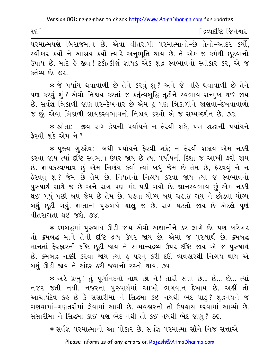$95$ ]

∫ દ્રવ્યદષ્ટિ જિનેશ્વર

સ્વીકાર કર્યો ને આશ્રય કર્યો ત્યારે અનુભૂતિ થાય છે. તે એક જ કર્મથી છૂટવાનો ઉપાય છે. માટે કે જીવ! ટંકોત્કીર્ણ જ્ઞાયક એક શુદ્ધ સ્વભાવનો સ્વીકાર કર, એ જ કર્તવ્ય છે. ૭૨

★ જે પર્યાય થવાવાળી છે તેને કરવું શું઼? અને જે નહિ થવાવાળી છે તેને ૫ણ કરવું શું ? એવો નિશ્ચય કરતાં જ કર્તૃત્વબુદ્ધિ તૂટીને સ્વભાવ સન્મુખ થઈ જાય છે. સર્વજ્ઞ ત્રિકાળી જાણનાર-દેખનાર છે એમ કું પણ ત્રિકાળીને જાણવા-દેખવાવાળો જ છું. એવા ત્રિકાળી જ્ઞાયકસ્વભાવનો નિશ્ચય કરવો એ જ સમ્યગ્દર્શન છે. ૭૩.

\* શ્રોતાઃ- જીવ રાગ-દ્વેષની પર્યાયને ન ફેરવી શકે, પણ શ્રદ્ધાની પર્યાયને  $\frac{2}{3}$ રૂવી શકે એમ ને ?

\* ૫જ્ય ગુરુદેવઃ- બધી ૫ર્યાયને ફેરવી શકે; ન ફેરવી શકાય એમ નક્કી કરવા જાય ત્યાં દૃષ્ટિ સ્વભાવ ઉપર જાય છે ત્યાં પર્યાયની દિશા જ આખી કરી જાય છે. જ્ઞાયકસ્વભાવ છું એમ નિર્ણય કર્યો ત્યાં બધું જેમ છે તેમ છે, ફેરવવું ને ન ફેરવવું શું ? જેમ છે તેમ છે. નિયતનો નિશ્ચય કરવા જાય ત્યાં જ સ્વભાવનો પુરુષાર્થ સાથે જ છે અને રાગ પણ મંદ ૫ડી ગયો છે. જ્ઞાનસ્વભાવ છું એમ નક્કી થઈ ગયું પછી બધું જેમ છે તેમ છે. ગ્રહવા યોગ્ય બધું ગ્રહ્મઈ ગયું ને છોડવા યોગ્ય બધું છુટી ગયું. જ્ઞાતાનો પુરુષાર્થ ચાલુ જ છે. રાગ ઘટતો જાય છે એટલે પૂર્ણ વીતરાગતા થઈ જશે. ૭૪.

\* ક્રમબદ્ધમાં પુરુષાર્થ ઊડી જાય એવો અજ્ઞાનીને ડર લાગે છે. પણ ખરેખર તો ક્રમબદ્ધ માને તેની દૃષ્ટિ દ્રવ્ય ઉપર જાય છે. એમાં જ પુરુષાર્થ છે. ક્રમબદ્ધ માનતાં ફેરફારની દષ્ટિ છૂટી જાય ને સામાન્યદ્રવ્ય ઉપર દષ્ટિ જાય એ જ પુરુષાર્થ છે. ક્રમબદ્ધ નક્કી કરવા જાય ત્યાં હું પરનું કરી દઉં, વ્યવહારથી નિશ્ચય થાય એ બધું ઊડી જાય ને અંદર ઠરી જવાનો રસ્તો થાય. ૭૫.

\* અરે પ્રભુ! તું પૂર્ણાનંદનો નાથ છો ને! તારી સત્તા છે... છે... છે... ત્યાં નજર જતી નથી. નજરના પુરુષાર્થમાં આખો ભગવાન દેખાય છે. અહીં તો આચાર્યદેવ કહે છે કે સંસારીમાં ને સિદ્ધમાં કઈ નયથી ભેદ પાડું? શુદ્ધનયને જ ગણવામાં-ગણતરીમાં લેવામાં આવી છે. વ્યવહારનો તો ઉપહાસ કરવામાં આવ્યો છે. સંસારીમાં ને સિદ્ધમાં કાંઈ પણ ભેદ નથી તો કઈ નયથી ભેદ જાણું ? ૭૬.

\* સર્વજ્ઞ પરમાત્માનો આ પોકાર છે. સર્વજ્ઞ પરમાત્મા સૌને નિજ સત્તાએ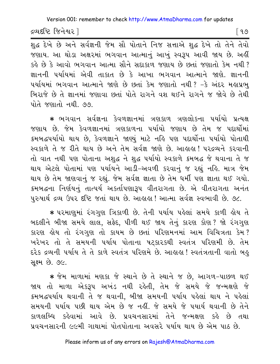દ્રવ્યદષ્ટિ જિનેશ્વર l

શુદ્ધ દેખે છે અને સર્વજ્ઞની જેમ સૌ પોતાને નિજ સત્તાએ શુદ્ધ દેખે તો તેને તેવો જણાય. આ થોડા અક્ષરમાં ભગવાન આત્માનું આખું સ્વરૂપ આવી જાય છે. અહીં કહે છે કે આવો ભગવાન આત્મા સૌને સદાકાળ જણાય છે છતાં જણાતો કેમ નથી ? જ્ઞાનની પર્યાયમાં એવી તાકાત છે કે આખા ભગવાન આત્માને જાણે. જ્ઞાનની પર્યાયમાં ભગવાન આત્માને જાણે છે છતાં કેમ જણાતો નથી ? –કે અંદર મહાપ્રભુ બિરાજે છે તે જ્ઞાનમાં જણાવા છતાં પોતે રાગને વશ થઈને રાગને જ જોવે છે તેથી પોતે જણાતો નથી ૭૭

\* ભગવાન સર્વજ્ઞના કેવળજ્ઞાનમાં ત્રણકાળ ત્રણલોકના ૫ર્યાયો પ્રત્યક્ષ જણાય છે. જેમ કેવળજ્ઞાનમાં ત્રણકાળના પર્યાયો જણાય છે તેમ જ પદાર્થોમાં ક્રમબદ્ધપર્યાયો થાય છે, કેવળજ્ઞાને જાણ્યું માટે નહિ પણ પદાર્થોના પર્યાયો પોતાથી સ્વકાળે તે જ રીતે થાય છે અને તેમ સર્વજ્ઞ જાણે છે. આહાહા! પરદ્રવ્યને કરવાની તો વાત નથી પણ પોતાના અશુદ્ધ ને શુદ્ધ પર્યાયો સ્વકાળે ક્રમબદ્ધ જે થવાના તે જ થાય એટલે પોતામાં પણ પર્યાયને આડી–અવળી કરવાનું જ રહ્યું નહિ. માત્ર જેમ થાય છે તેમ જાણવાનું જ રહ્યું. જેમ સર્વજ્ઞ જ્ઞાતા છે તેમ ધર્મી પણ જ્ઞાતા થઈ ગયો. ક્રમબદ્ધના નિર્ણયનું તાત્પર્ય અકર્તાપણારૂપ વીતરાગતા છે. એ વીતરાગતા અનંત પુરુષાર્થ દ્રવ્ય ઉપર દષ્ટિ જતાં થાય છે. આહાહા ! આત્મા સર્વજ્ઞ સ્વભાવી છે. ૭૮.

∗ પરમાણુમાં રંગગુણ ત્રિકાળી છે. તેની પર્યાય પહેલાં સમયે કાળી હોય તે બદલીને બીજા સમયે લાલ, સફેદ, પીળી થઈ જાય તેનું કારણ કોણ? જો રંગગુણ કારણ હોય તો રંગગૃણ તો કાયમ છે છતાં પરિણમનમાં આમ વિચિત્રતા કેમ? ખરેખર તો તે સમયની પર્યાય પોતાના ષટકારકથી સ્વતંત્ર પરિણમી છે. તેમ દરેક દ્રવ્યની પર્યાય તે તે કાળે સ્વતંત્ર પરિણમે છે. આહાહા! સ્વતંત્રતાની વાતો બહુ <u>સ</u>ક્ષ્મ છે. ૭૯.

\* જેમ માળામાં મણકા જે સ્થાને છે તે સ્થાને જ છે. આગળ-પાછળ થઈ જાય તો માળા એકરૂપ અખંડ નથી રહેતી, તેમ જે સમયે જે જન્મક્ષણે જે કમબદ્ધપર્યાય થવાની તે જ થવાની, બીજા સમયની પર્યાય પહેલાં થાય ને પહેલાં સમયની પર્યાય પછી થાય એમ છે જ નહીં. જે સમયે જે પયાર્ય થવાની છે તેને કાળલબ્ધિ કહેવામાં આવે છે. પ્રવચનસારમાં તેને જન્મક્ષણ કહે છે તથા પ્રવચનસારની ૯૯મી ગાથામાં પોતપોતાના અવસરે પર્યાય થાય છે એમ પાઠ છે.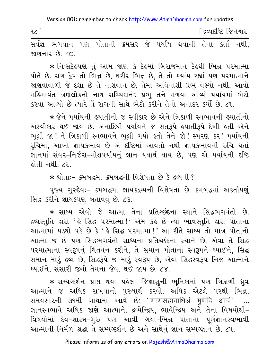∫ દ્રવ્યદષ્ટિ જિનેશ્વર  $\mathfrak{c}$  ] 

જાણનાર છે ૮૦

★ નિઃસંદેહપણે તું આમ જાણ કે દેહમાં બિરાજમાન દેહથી ભિન્ન પરમાત્મા પોતે છે. રાગ દ્વેષ તો ભિન્ન છે, શરીર ભિન્ન છે, તે તો કયાંય રહ્યાં પણ પરમાત્માને જાણવાવાળી જે દશા છે તે નાશવાન છે, તેમાં અવિનાશી પ્રભુ વસ્યો નથી. આવો મહિમાવંત ત્રણલોકનો નાથ સચ્ચિદાનંદ પ્રભ તને મળવા આવ્યો-પર્યાયમાં ભેટો કરવા આવ્યો છે ત્યારે તેં રાગની સાથે ભેટો કરીને તેનો અનાદર કર્યો છે. ૮૧.

\* જેને પર્યાયની હયાતીનો જ સ્વીકાર છે એને ત્રિકાળી સ્વભાવની હયાતીનો અસ્વીકાર થઈ જાય છે. અનાદિથી પર્યાયને જ સતરૂપે-હયાતીરૂપે દેખી હતી એને ભલી જા! ને ત્રિકાળી સ્વભાવને ભલી ગયો હતો તેને જો! સ્મરણ કર! ૫ર્યાયની રૂચિમાં, આખો જ્ઞાયકભાવ છે એ દષ્ટિમાં આવતો નથી જ્ઞાયકભાવની રુચિ થતાં જ્ઞાનમાં સંવર-નિર્જરા-મોક્ષપર્યાયનું જ્ઞાન યથાર્થ થાય છે, પણ એ પર્યાયની દષ્ટિ હોતી નથી. ૮૨.

\* શ્રોતાઃ- કમબદ્ધમાં કમબદ્ધની વિશેષતા છે કે દ્રવ્યની ?

પૂજ્ય ગુરુદેવઃ- ક્રમબદ્ધમાં જ્ઞાયકદ્રવ્યની વિશેષતા છે. ક્રમબદ્ધમાં અકર્તાપણું સિદ્ધ કરીને જ્ઞાયકપણ બતાવવું છે. ૮૩.

\* સાધ્ય એવો જે આત્મા તેના પ્રતિચ્છંદના સ્થાને સિદ્ધભગવંતો છે. દ્રવ્યસ્તુતિ દ્વારા 'હે સિદ્ધ પરમાત્મા!' એમ કહે છે ત્યાં ભાવસ્તુતિ દ્વારા પોતાના આત્મામાં ૫ડઘો ૫ડે છે કે 'હે સિદ્ધ ૫૨માત્મા!' આ રીતે સાધ્ય તો માત્ર પોતાનો આત્મા જ છે પણ સિદ્ધભગવંતો સાધ્યના પ્રતિચ્છંદના સ્થાને છે. એવા તે સિદ્ધ પરમાત્માના સ્વરૂપનું ચિંતવન કરીને, તે સમાન પોતાના સ્વરૂપને ઘ્યાઈને, સિદ્ધ સમાન મારું દ્રવ્ય છે, સિદ્ધરૂપે જ મારું સ્વરૂપ છે, એવા સિદ્ધસ્વરૂપ નિજ આત્માને ધ્યાઈને, સંસારી જીવો તેમના જેવા થઈ જાય છે. ૮૪.

\* સમ્યગ્દર્શન પ્રાપ્ત થયા પહેલાં જિજ્ઞાસની ભમિકામાં પણ ત્રિકાળી ધ્રવ આત્માને જ અધિક રાખવાનો પુરુષાર્થ કરવો. અધિક એટલે પરથી ભિન્ન. સમયસારની ૩૧મી ગાથામાં આવે છેઃ 'णाणसहावाधिअं मुणदि आदं' -... જ્ઞાનસ્વભાવે અધિક જાણે આત્માને. દ્રવ્યેન્દ્રિય, ભાવેન્દ્રિય અને તેના વિષયોથી-વિષયોમાં દેવ-શાસ્ત્ર-ગુરુ પણ આવી ગયા-ભિન્ન પોતાના પર્ણજ્ઞાનસ્વભાવી આત્માની નિર્મળ શ્રદ્ધા તે સમ્યગ્દર્શન છે અને સાથેનું જ્ઞાન સમ્યગ્જ્ઞાન છે. ૮૫.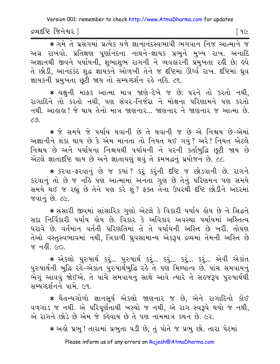દ્રવ્યદષ્ટિ જિનેશ્વર l

િ ૧૯

\* ગમે તે પ્રસંગમાં પ્રત્યેક પળે જ્ઞાનાનંદસ્વભાવી ભગવાન નિજ આત્માને જ અગ્ર રાખવો. પ્રતિક્ષણ પુર્ણાનંદના નાથને-જ્ઞાયક પ્રભુને મુખ્ય રાખ. અનાદિ અજ્ઞાનથી જીવને પર્યાયની, શુભાશુભ રાગની ને વ્યવહારની પ્રમુખતા રહી છે; હવે તે છોડી, આનંદકંદ શુદ્ધ જ્ઞાયકને ઓળખી તેને જ દષ્ટિમાં ઊર્ધ્વ રાખ. દષ્ટિમાં ઘ્રુવ જ્ઞાયકની પ્રમુખતા છૂટી જાય તો સમ્યગ્દર્શન રહે નહિ. ૮૬.

\* ચક્ષુની માફક આત્મા માત્ર જાણે–દેખે જ છે; પરને તો કરતો નથી, રાગાદિને તો કરતો નથી, પણ સંવર-નિર્જરા ને મોક્ષના પરિણામને પણ કરતો નથી. આહાહા ! જે થાય તેનો માત્ર જાણનાર... જાણનાર ને જાણનાર જ આત્મા છે.  $79.$ 

\* જે સમયે જે પર્યાય થવાની છે તે થવાની જ છે એ નિશ્ચય છે–એમાં અજ્ઞાનીને શંકા થાય છે કે એમ માનતા તો નિયત થઈ ગયું? અરે! નિયત એટલે નિશ્ચય છે અને પર્યાયના નિશ્ચયથી પર્યાયની ને પરની કર્તાબુદ્ધિ છૂટી જાય છે એટલે જ્ઞાતાદી િ થાય છે અને જ્ઞાતાપણું થવું તે ક્રમબદ્ધનું પ્રયોજન છે. ૮૮.

\* इरवा-इरवानुं છे જ કયાં ? કરું કરુંની દૃષ્ટિ જ છોડવાની છે. રાગને કરવાનું તો છે જ નહિ પણ આત્મામાં અનંતા ગુણ છે તેનું પરિણમન પણ સમયે સમયે થઈ જ રહ્યું છે તેને પણ કરે શું ? ફક્ત તેના ઉપરથી દૃષ્ટિ છોડીને અંદરમાં જવાનં છે. ૮૯.

\* સંસારી જીવમાં સાંસારિક ગુણો એટલે કે વિકારી પર્યાય હોય છે ને સિદ્ધને સદા નિર્વિકારી ૫ર્યાય હોય છે. વિકાર કે અવિકાર અવસ્થા ૫ર્યાયમાં અસ્તિત્વ ધરાવે છે. વર્તમાન વર્તતી પરિણતિમાં તે તે પર્યાયની અસ્તિ છે ખરી. તોપણ તેઓ વસ્તસ્વભાવમાં નથી, ત્રિકાળી ધ્રવસામાન્ય એકરૂપ દ્રવ્યમાં તેમની અસ્તિ છે ४ मही ५०

\* એકલો પુરુષાર્થ કરૂં... પુરુષાર્થ કરૂં... કરૂં... કરૂં... કરૂં... એવી એકાંત પુરુષાર્થની બુદ્ધિ રહે–એકાંત પુરુષાર્થેબુદ્ધિ રહે તે પણ મિથ્યાત્વ છે. પાંચ સમવાયનું ભેગું આવવું જોઈએ. તે પાંચે સમવાયનું સાથે આવે ત્યારે તે સહજરૂપ પુરુષાર્થથી સમ્યગ્દર્શનને પામે. ૯૧.

\* ચૈતન્યગોળો જ્ઞાનસર્ય એકલો જાણનાર જ છે. એને રાગાદિનો કોઈ વળગાડ જ નથી. એ પરિપૂર્ણતાથી ખસ્યો જ નથી, એ રાગ સ્વરૂપે થયો જ નથી, એ રાગને છોડે છે એમ જે કહેવાય છે તે પણ નામમાત્ર કથન છે. ૯૨.

\* અહો પ્રભુ ! તારામાં પ્રભુતા પડી છે, તું પોતે જ પ્રભુ છો. તારા પેટમાં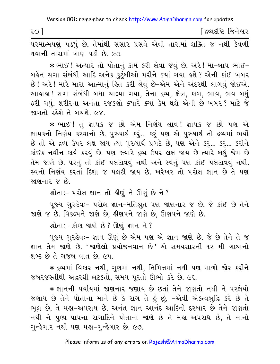| २० | <sup>ા</sup> દ્રવ્યદષ્ટિ જિનેશ્વર |  |
|----|-----------------------------------|--|
|----|-----------------------------------|--|

પરમાત્મપણું પડયું છે, તેમાંથી સંસાર પ્રસવે એવી તારામાં શક્તિ જ નથી કેવળી થવાની તારામાં ખાણ પડી છે. ૯૩.

∗ ભાઈ ! અત્યારે તો પોતાનું કામ કરી લેવા જેવું છે. અરે ! મા−બાપ ભાઈ− બહેન સગા સંબંધી આદિ અનેક કુટુંબીઓ મરીને ક્યાં ગયા હશે ? એની કાંઈ ખબર છે! અરે! મારે મારા આત્માનું હિત કરી લેવું છે–એમ એને અંદરથી લાગવું જોઈએ. આહાહા ! સગા સંબંધી બધા ચાલ્યા ગયા, તેના દ્રવ્ય, ક્ષેત્ર, કાળ, ભાવ, ભવ બધું ફરી ગયું. શરીરના અનંતા રજકણો ક્યારે ક્યાં કેમ થશે એની છે ખબર? માટે જે જાગતો રહેશે તે બચશે. ૯૪.

\* ભાઈ ! તું જ્ઞાયક જ છો એમ નિર્ણય લાવ ! જ્ઞાયક જ છો પણ એ જ્ઞાયકનો નિર્ણય કરવાનો છે. પુરુષાર્થ કરું... કરું પણ એ પુરુષાર્થ તો દ્રવ્યમાં ભર્યો છે તો એ દ્રવ્ય ઉપર લક્ષ જાય ત્યાં પુરુષાર્થ પ્રગટે છે, પણ એને કરૂં... કરૂં... કરીને કાંઈક નવીન કાર્ય કરવું છે. પણ જ્યારે દ્રવ્ય ઉપર લક્ષ જાય છે ત્યારે બધું જેમ છે તેમ જાણે છે. ૫૨નું તો કાંઈ ૫લટાવવું નથી અને સ્વનું ૫ણ કાંઈ ૫લટાવવું નથી. સ્વનો નિર્ણય કરતાં દિશા જ પલટી જાય છે. ખરેખર તો પરોક્ષ જ્ઞાન છે તે પણ જાણનાર જ છે.

શ્રોતાઃ- પરોક્ષ જ્ઞાન તો હીણું ને ઊણું છે ને?

પુજ્ય ગુરુદેવઃ- પરોક્ષ જ્ઞાન-મતિશ્રુત પણ જાણનાર જ છે. જે કાંઈ છે તેને જાણે જ છે. વિકલ્પને જાણે છે, હીણપને જાણે છે, ઊણપને જાણે છે.

શ્રોતાઃ- કોણ જાણે છે? ઊણું જ્ઞાન ને?

પુજ્ય ગુરુદેવઃ- જ્ઞાન ઊણું છે એમ પણ એ જ્ઞાન જાણે છે. જે છે તેને તે જ જ્ઞાન તેમ જાણે છે. 'જાણેલો પ્રયોજનવાન છે' એ સમયસારની ૧૨ મી ગાથાનો શબ્દ છે તે ગજબ વાત છે. ૯૫.

★ દ્રવ્યમાં વિકાર નથી, ગુણમાં નથી, નિમિત્તમાં નથી પણ માળો જોર કરીને જબરજસ્તીથી અદ્ધરથી લટકતો, સમય પૂરતો ઊભો કરે છે. ૯૬.

∗ જ્ઞાનની પર્યાયમાં જાણનાર જણાય છે છતાં તેને જાણતો નથી ને પરજ્ઞેયો જણાય છે તેને પોતાના માને છે કે રાગ તે કું છું, -એવી એકત્વબુદ્ધિ કરે છે તે ભૂલ છે. તે મહા-અપરાધ છે. અનંત જ્ઞાન આનંદ આદિનો દરબાર છે તેને જાણતો નથી ને પુણ્ય-પાપના રાગાદિને પોતાના જાણે છે તે મહા-અપરાધ છે, તે નાનો ગુન્હેગા૨ નથી પણ મહા−ગુન્હેગા૨ છે. ૯૭.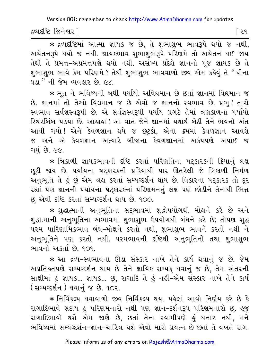દ્રવ્યદષ્ટિ જિનેશ્વર l

િર૧

\* द्रव्यदृष्टिमां આत्मा ज्ञायड ४ छे, ते शुलाशुल लावरूपे थयो ४ नथी, અચેતનરૂપે થયો જ નથી. જ્ઞાયકભાવ શભાશભરૂપે પરિણમે તો અચેતન થઈ જાય તેથી તે પ્રમત્ત-અપ્રમત્તપણે થયો નથી. અસંખ્ય પ્રદેશે જ્ઞાનનો પૂંજ જ્ઞાયક છે તે શુભાશુભ ભાવે કેમ પરિણમે ? તેથી શુભાશુભ ભાવવાળો જીવ એમ કહેવું તે "ઘીના <u>ઘડા " ની જેમ વ્યવહાર છે. ૯૮.</u>

\* ભૂત ને ભવિષ્યની બધી પર્યાયો અવિદ્યમાન છે છતાં જ્ઞાનમાં વિદ્યમાન જ છે. જ્ઞાનમાં તો તેઓ વિઘમાન જ છે એવો જ જ્ઞાનનો સ્વભાવ છે. પ્રભુ! તારો સ્વભાવ સર્વજ્ઞસ્વરૂપી છે. એ સર્વજ્ઞસ્વરૂપી પર્યાય પ્રગટે તેમાં ત્રણકાળના પર્યાયો સ્થિરબિંબ પડયા છે. આહાહા ! આ વાત જેને જ્ઞાનમાં યથાર્થ બેઠી તેને ભવનો અંત આવી ગયો !એને કેવળજ્ઞાન થયે જ છૂટકો, એના ક્રમમાં કેવળજ્ઞાન આવશે જ અને એ કેવળજ્ઞાન અત્યારે બીજાના કેવળજ્ઞાનમાં અકંપપણે અર્પાઈ જ ગયં છે. ૯૯.

\* ત્રિકાળી જ્ઞાયકભાવની દષ્ટિ કરતાં પરિણતિના ષટ્કારકની ક્રિયાનું લક્ષ છૂટી જાય છે. પર્યાયના પટ્કારકની પ્રક્રિયાથી પાર ઊતરેલી જે ત્રિકાળી નિર્મળ .<br>અનુભૂતિ તે હું છું એમ લક્ષ કરતાં સમ્યગ્દર્શન થાય છે. વિકારના પટ્કારક તો દૂર રહ્યાં પણ જ્ઞાનની પર્યાયના ષટ્કારકનાં પરિણમનનું લક્ષ પણ છોડીને તેનાથી ભિન્ન છં એવી દૃષ્ટિ કરતાં સમ્યગ્દર્શન થાય છે. ૧૦૦.

\* શુદ્ધાત્માની અનુભૂતિના સદ્દભાવમાં શુદ્ધોપયોગથી મોક્ષને કરે છે અને શુદ્ધાત્માની અનુભૂતિના અભાવમાં શુભાશુભ ઉપયોગથી બંધને કરે છે; તોપણ શુદ્ધ પરમ પારિણામિકભાવ બંધ-મોક્ષને કરતો નથી, શુભાશુભ ભાવને કરતો નથી ને અનુભુતિને પણ કરતો નથી. પરમભાવની દષ્ટિથી અનુભુતિનો તથા શુભાશુભ ભાવનો અકર્તા છે. ૧૦૧.

\* આ દ્રવ્ય-સ્વભાવના ઊંડા સંસ્કાર નાખે તેને કાર્ય થવાનું જ છે. જેમ અપ્રતિહ્નપણે સમ્યગ્દર્શન થાય છે તેને ક્ષાયિક સમ્યક થવાનું જ છે. તેમ અંતરની સાક્ષીમાં હું જ્ઞાયક... જ્ઞાયક... છું, રાગાદિ તે હું નહીં-એમ સંસ્કાર નાખે તેને કાર્ય ( સમ્યગ્દર્શન) થવાનું જ છે. ૧૦૨.

\* નિર્વિકલ્પ થવાવાળો જીવ નિર્વિકલ્પ થયા પહેલાં આવો નિર્ણય કરે છે કે રાગાદિભાવે સદાય હું પરિણમનારો નથી પણ જ્ઞાન-દર્શનરૂપ પરિણમનારો છું. હજુ રાગાદિભાવો થશે એમ જાણે છે, છતાં તેના સ્વામીપણે હું થનાર નથી, મને ભવિષ્યમાં સમ્યગ્દર્શન-જ્ઞાન-ચારિત્ર થશે એવો મારો પ્રયત્ન છે છતાં તે વખતે રાગ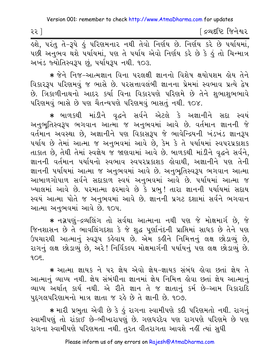૨૨ ]

[ દ્રવ્યદષ્ટિ જિનેશ્વર

પછી અનુભવ થશે પર્યાયમાં, પણ તે પર્યાય એવો નિર્ણય કરે છે કે હું તો ચિન્માત્ર અખંડ જ્યોતિસ્વરૂપ છું, પર્યાયરૂપ નથી. ૧૦૩.

\* જેને નિજ-આત્મજ્ઞાન વિના પરલક્ષી જ્ઞાનનો વિશેષ ક્ષયોપશમ હોય તેને વિકાર3૫ પરિણમવું જ ભાસે છે. પરસત્તાવલંબી જ્ઞાનના પ્રેમમાં સ્વભાવ પ્રત્યે દ્વેષ છે. ત્રિકાળીનાથનો આદર કર્યા વિના વિકારપણે પરિણમે છે તેને શુભાશુભભાવે ૫રિણમવું ભાસે છે પણ ચૈતન્યપણે પરિણમવું ભાસતું નથી. ૧૦૪.

\* બાળકથી માંડીને વૃદ્ધને સર્વને એટલે કે અજ્ઞાનીને સદા સ્વયં અનુભૂતિસ્વરૂપ ભગવાન આત્મા જ અનુભવમાં આવે છે. વર્તમાન જ્ઞાનની જે વર્તમાન અવસ્થા છે, અજ્ઞાનીને પણ વિકાસરૂપ જે ભાવેન્દ્રિયની ખંડખંડ જ્ઞાનરૂપ પર્યાય છે તેમાં આત્મા જ અનુભવમાં આવે છે, કેમ કે તે પર્યાયમાં સ્વપરપ્રકાશક તાકાત છે, તેથી તેમાં સ્વજ્ઞેય જ જાણવામાં આવે છે. બાળકથી માંડીને વૃદ્ધને સર્વને, જ્ઞાનની વર્તમાન પર્યાયનો સ્વભાવ સ્વપરપ્રકાશક કોવાથી, અજ્ઞાનીને પણ તેની જ્ઞાનની પર્યાયમાં આત્મા જ અનુભવમાં આવે છે. અનુભૂતિસ્વરૂપ ભગવાન આત્મા આબાળગોપાળ સર્વને સદાકાળ સ્વયં અનુભવમાં આવે છે. પર્યાયમાં આત્મા જ ખ્યાલમાં આવે છે. પરમાત્મા ફરમાવે છે કે પ્રભુ! તારા જ્ઞાનની પર્યાયમાં સદાય સ્વયં આત્મા પોતે જ અનુભવમાં આવે છે. જ્ઞાનની પ્રગટ દશામાં સર્વને ભગવાન આત્મા અનભવમાં આવે છે. ૧૦૫.

★ નગ્નપણું-દ્રવ્યલિંગ તો સર્વથા આત્માના નથી પણ જે મોક્ષમાર્ગ છે, જે જિનશાસન છે તે ભાવલિંગદશા કે જે શુદ્ધ પૂર્ણાનંદની પ્રાપ્તિમાં સાધક છે તેને પણ ઉપચારથી આત્માનું સ્વરૂપ કહેવાય છે. એમ કહીને નિમિત્તનું લક્ષ છોડાવ્યું છે, રાગનું લક્ષ છોડાવ્યું છે, અરે! નિર્વિકલ્પ મોક્ષમાર્ગની પર્યાયનું પણ લક્ષ છોડાવ્યું છે.  $9.05.$ 

\* આત્મા જ્ઞાયક ને ૫૨ જ્ઞેય એવો જ્ઞેય-જ્ઞાયક સંબંધ હોવા છતાં જ્ઞેય તે આત્માનું વ્યાપ્ય નથી. જ્ઞેય સંબંધીના જ્ઞાનમાં જ્ઞેય નિમિત્ત હોવા છતાં જ્ઞેય આત્માનું વ્યાપ્ય અર્થાત્ કાર્ય નથી. એ રીતે જ્ઞાન તે જ જ્ઞાતાનું કર્મ છે-આમ વિકારાદિ પુદ્ગલપરિણામનો માત્ર જ્ઞાતા જ રહે છે તે જ્ઞાની છે. ૧૦૭.

\* મારી પ્રભુતા એવી છે કે કું રાગના સ્વામીપણે કદી પરિણમતો નથી. રાગનું સ્વામીપણું તો રાંકાઈ છે-ભીખારાપણું છે. ગણધરદેવ પણ રાગપણે પરિણમે છે પણ રાગના સ્વામીપણે પરિણમતા નથી. તુરત વીતરાગતા આવશે નહીં ત્યાં સુધી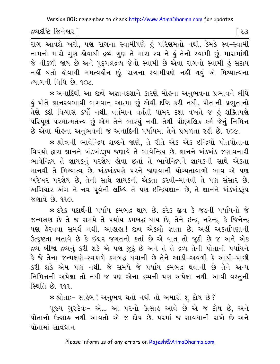દ્રવ્યદષ્ટિ જિનેશ્વર l

નામનો મારો ગુણ લોવાથી દ્રવ્ય-ગુણ તે મારા સ્વ ને હું તેનો સ્વામી છું. મારામાંથી જે નીકળી જાય છે અને પુદગલદ્રવ્ય જેનો સ્વામી છે એવા રાગનો સ્વામી હું સદાય નહીં થતો લોવાથી મમત્વહીન છું. રાગના સ્વામીપણે નહીં થવું એ મિથ્યાત્વના ત્યાગની વિધિ છે. ૧૦૮.

∗ અનાદિથી આ જીવે અજ્ઞાનદશાને કારણે મોઙના અનુભવના પ્રભાવને લીધે કું પોતે જ્ઞાનસ્વભાવી ભગવાન આત્મા છું એવી દષ્ટિ કરી નથી. પોતાની પ્રભુતાનો તેણે કદી વિશ્વાસ કર્યો નથી. વર્તમાન વર્તતી પામર દશા વખતે જ હું શક્તિપણે પરિપૂર્ણ પરમાત્મતત્ત્વ છું એમ તેને ભાસ્યું નથી. તેથી પૌદ્દગલિક કર્મ જેનું નિમિત્ત છે એવા મોહના અનુભવની જ અનાદિની પર્યાયમાં તેને પ્રબળતા રહી છે. ૧૦૯.

\* શ્રોત્રની ભાવેન્દ્રિય શબ્દને જાણે, તે રીતે એક એક ઇન્દ્રિયો પોતપોતાના વિષયો દ્વારા જ્ઞાનને ખંડખંડરૂપ જણાવે તે ભાવેન્દ્રિય છે. જ્ઞાનને ખંડખંડ જણાવનારી ભાવેન્દ્રિય તે જ્ઞાયકનું પરજ્ઞેય હોવા છતાં તે ભાવેન્દ્રિયને જ્ઞાયકની સાથે એકતા માનવી તે મિથ્યાત્વ છે. ખંડખંડપણે પરને જાણવાની યોગ્યતાવાળો ભાવ એ પણ ખરેખર પરજ્ઞેય છે. તેની સાથે જ્ઞાયકની એકતા કરવી-માનવી તે પણ સંસાર છે. અગિયાર અંગ ને નવ પૂર્વની લબ્ધિ તે પણ ઇન્દ્રિયજ્ઞાન છે, તે જ્ઞાનને ખંડખંડરૂપ <u>જણાવે છે. ૧૧૦.</u>

\* દરેક પદાર્થની પર્યાય ક્રમબદ્ધ થાય છે. દરેક જીવ કે જડની પર્યાયનો જે જન્મક્ષણ છે તે જ સમયે તે પર્યાય ક્રમબદ્ધ થાય છે. તેને ઇન્દ્ર, નરેન્દ્ર, કે જિનેન્દ્ર પણ ફેરવવા સમર્થ નથી. આહાહા! જીવ એકલો જ્ઞાતા છે. અહીં અકર્તાપણાની ઉત્કૃષ્ટતા બતાવે છે કે ઇશ્વર જગતનો કર્તા છે એ વાત તો જૂઠી છે જ અને એક દ્રવ્ય બીજા દ્રવ્યનું કરી શકે એ પણ જુઠું છે અને તે તે દ્રવ્ય તેની પોતાની પર્યાયને કે જે તેના જન્મક્ષણે-સ્વકાળે ક્રમબદ્ધ થવાની છે તેને આડી-અવળી કે આઘી-પાછી કરી શકે એમ પણ નથી. જે સમયે જે પર્યાય ક્રમબદ્ધ થવાની છે તેને અન્ય નિમિત્તની અપેક્ષા તો નથી જ પણ એના દ્રવ્યની પણ અપેક્ષા નથી. આવી વસ્તુની <u>સ્થિતિ છે. ૧૧૧.</u>

\* શ્રોતાઃ- સાહેબ ! અનુભવ થતો નથી તો અમારો શું દોષ છે?

પૂજ્ય ગુરુદેવઃ- એ... આ પરનો ઉત્સાહ આવે છે એ જ દોષ છે, અને પોતાનો ઉત્સાહ નથી આવતો એ જ દોષ છે. પરમાં જ સાવધાની રાખે છે અને પોતામાં સાવધાન

Please inform us of any errors on Rajesh@AtmaDharma.com

િર૩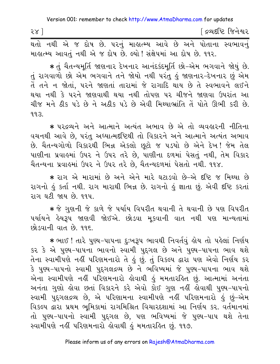| २४ ] |  |  |  |                                                                   |  |  | [ દ્રવ્યદષ્ટિ જિનેશ <mark>્</mark> વર                           |
|------|--|--|--|-------------------------------------------------------------------|--|--|-----------------------------------------------------------------|
|      |  |  |  |                                                                   |  |  | થતો નથી એ જ દોષ છે. પરનું માહાત્મ્ય આવે છે અને પોતાના સ્વભાવનું |
|      |  |  |  | માહ્યત્મ્ય આવતું નથી એ જ દોષ છે. લ્યો ! સંક્ષેપમાં આ દોષ છે. ૧૧૨. |  |  |                                                                 |

★ તું ચૈતન્યમૂર્તિ જાણનાર દેખનાર આનંદકંદમૂર્તિ છો−એમ ભગવાને જોયું છે. તું રાગવાળો છો એમ ભગવાને તને જોયો નથી પરંતુ હું જાણનાર-દેખનાર છું એમ તેં તને ન જોતાં, પરને જાણતાં તારામાં જે રાગાદિ થાય છે તે સ્વભાવને લઈને થયા નથી કે પરને જાણવાથી થયા નથી તોપણ પર ચીજને જાણવા ઉપરાંત આ ચીજ મને ઠીક પડે છે ને અઠીક પડે છે એવી મિથ્યાભ્રાંતિ તેં પોતે ઊભી કરી છે.  $9.9.3.$ 

\* પરદ્રવ્યને અને આત્માને અત્યંત અભાવ છે એ તો વ્યવહારની નીતિના વચનથી આવે છે. પરંતુ અધ્યાત્મદષ્ટિથી તો વિકારને અને આત્માને અત્યંત અભાવ છે. ચૈતન્યગોળો વિકારથી ભિન્ન એકલો છુટો જ ૫ડયો છે એને દેખ! જેમ તેલ પાણીના પ્રવાહમાં ઉપર ને ઉપર તરે છે, પાણીના દળમાં પેસતું નથી, તેમ વિકાર ચૈતન્યના પ્રવાહમાં ઉપર ને ઉપર તરે છે, ચૈતન્યદળમાં પેસતો નથી. ૧૧૪.

\* રાગ એ મારામાં છે અને એને મારે ઘટાડવો છે-એ દૃષ્ટિ જ મિથ્યા છે રાગનો કું કર્તા નથી. રાગ મારાથી ભિન્ન છે. રાગનો કું જ્ઞાતા છું. એવી દષ્ટિ કરતાં રાગ ઘટી જાય છે. ૧૧૫.

∗ જે ગુણની જે કાળે જે પર્યાય વિપરીત થવાની તે થવાની છે પણ વિપરીત પર્યાયને હેયરૂપ જાણવી જોઈએ. છોડવા મૂકવાની વાત નથી પણ માન્યતામાં છોડવાની વાત છે. ૧૧૬.

∗ ભાઈ ! તારે પુણ્ય−પાપના દુઃખરૂપ ભાવથી નિવર્તવું હોય તો પહેલાં નિર્ણય કર કે એ પુણ્ય-પાપના ભાવનો સ્વામી પુદ્દગલ છે અને પુણ્ય-પાપના ભાવ થશે તેના સ્વામીપણે નહીં પરિણમનારો તે હું છું. તું વિકલ્પ દ્વારા પણ એવો નિર્ણય કર કે પુણ્ય–પાપનો સ્વામી પુદ્દગલદ્રવ્ય છે ને ભવિષ્યમાં જે પુણ્ય–પાપના ભાવ થશે એના સ્વામીપણે નહીં પરિણમનારો લેવાથી હું મમતારહિત છું. આત્મામાં અનંતા અનંતા ગુણો હોવા છતાં વિકારને કરે એવો કોઈ ગુણ નહીં હોવાથી પુણ્ય-પાપનો સ્વામી પુદગલદ્રવ્ય છે, એ પરિણામના સ્વામીપણે નહીં પરિણમનારો હું છું–એમ વિકલ્પ દ્વારા પ્રથમ ભૂમિકામાં રાગમિશ્રિત વિચારદશામાં આ નિર્ણય કર. વર્તમાનમાં તો પુણ્ય-પાપનો સ્વામી પુદ્દગલ છે, પણ ભવિષ્યમાં જે પુણ્ય-પાપ થશે તેના સ્વામીપણે નહીં પરિણમનારો હોવાથી હું મમતારહિત છું. ૧૧૭.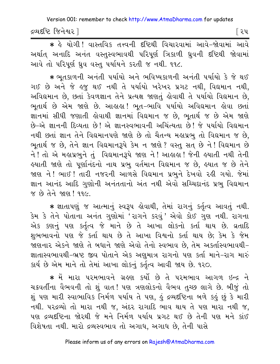દ્રવ્યદષ્ટિ જિનેશ્વર l

િરપ

\* કે યોગી ! વાસ્તવિક તત્ત્વની દષ્ટિથી વિચારવામાં આવે-જોવામાં આવે અર્થાત અનાદિ અનંત વસ્તુસ્વભાવથી પરિપૂર્ણ ત્રિકાળી ઘ્રુવની દષ્ટિથી જોવામાં આવે તો પરિપૂર્ણ ઘ્રુવ વસ્તુ પર્યાયને કરતી જ નથી. ૧૧૮.

\* ભૂતકાળની અનંતી પર્યાયો અને ભવિષ્યકાળની અનંતી પર્યાયો કે જે થઈ ગઈ છે અને જે હજુ થઈ નથી તે પર્યાયો ખરેખર પ્રગટ નથી, વિદ્યમાન નથી, અવિદ્યમાન છે, છતાં કેવળજ્ઞાન તેને પ્રત્યક્ષ જાણતું લેવાથી તે પર્યાયો વિદ્યમાન છે, ભૂતાર્થ છે એમ જાણે છે. આહાહા! ભૂત-ભાવિ પર્યાયો અવિદ્યમાન હોવા છતાં જ્ઞાનમાં સીધી જણાતી લોવાથી જ્ઞાનમાં વિદ્યમાન જ છે, ભૂતાર્થ જ છે એમ જાણે છે-એ જ્ઞાનની દિવ્યતા છે! એ જ્ઞાનસ્વભાવની અચિંત્યતા છે! જે પર્યાયો વિદ્યમાન નથી છતાં જ્ઞાન તેને વિદ્યમાનપણે જાણે છે તો ચૈતન્ય મહાપ્રભુ તો વિદ્યમાન જ છે, ભુતાર્થ જ છે, તેને જ્ઞાન વિદ્યમાનરૂપે કેમ ન જાણે ? વસ્તુ સત છે ને ! વિદ્યમાન છે ને ! તો એ મહાપ્રભુને તું વિદ્યમાનરૂપે જાણ ને ! આહાહા ! જેની હયાતી નથી તેની હયાતી જાણે તો પૂર્ણાનંદનો નાથ પ્રભુ વર્તમાન વિદ્યમાન જ છે, હયાત જ છે તેને જાણ ને ! ભાઈ ! તારી નજરની આળસે વિદ્યમાન પ્રભુને દેખવો રહી ગયો. જેમાં જ્ઞાન આનંદ આદિ ગુણોની અનંતતાનો અંત નથી એવો સચ્ચિદાનંદ પ્રભુ વિદ્યમાન જ છે તેને જાણ! ૧૧૯.

\* જ્ઞાતાપણું જ આત્માનું સ્વરૂપ હોવાથી, તેમાં રાગનું કર્તૃત્વ આવતું નથી. કેમ કે તેને પોતાના અનંત ગુણોમાં 'રાગને કરવું' એવો કોઈ ગુણ નથી. રાગના એક કણનું પણ કર્તૃત્વ જે માને છે તે આખા લોકનો કર્તા થાય છે. વ્રતાદિ શુભભાવનો પણ જે કર્તા થાય છે તે આખા વિશ્વનો કર્તા થાય છે; કેમ કે જેમ જાણનાર એકને જાણે તે બધાને જાણે એવો તેનો સ્વભાવ છે, તેમ અકર્તાસ્વભાવથી-જ્ઞાતાસ્વભાવથી-ભ્રષ્ટ જીવ પોતાને એક અણુમાત્ર રાગનો પણ કર્તા માને-રાગ મારું કાર્ય છે એમ માને તો તેમાં આખા લોકનું કર્તૃત્વ આવી જાય છે. ૧૨૦.

\* મેં મારા પરમભાવને ગ્રહણ કર્યો છે તે પરમભાવ આગળ ઇન્દ્ર ને ચક્રવર્તીના વૈભવની તો શું વાત! પણ ત્રણલોકનો વૈભવ તુચ્છ લાગે છે. બીજું તો શું પણ મારી સ્વાભાવિક નિર્મળ પર્યાય તે પણ, હું દ્રવ્યદષ્ટિના બળે કહું છું કે મારી નથી. પરદ્રવ્યો તો મારા નથી જ, અંદર રાગાદિ ભાવ થાય તે પણ મારા નથી જ, પણ દ્રવ્યદષ્ટિના જોરથી જે મને નિર્મળ પર્યાય પ્રગટ થઈ છે તેની પણ મને કાંઈ વિશેષતા નથી. મારો દ્રવ્યસ્વભાવ તો અગાધ, અગાધ છે, તેની પાસે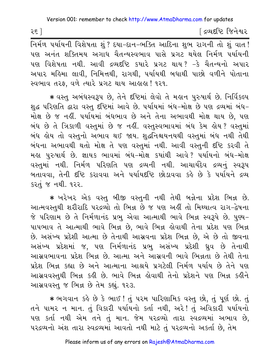२६ ]

[ દ્રવ્યદષ્ટિ જિનેશ્વર

નિર્મળ પર્યાયની વિશેષતા શું ? દયા-દાન-ભક્તિ આદિના શુભ રાગની તો શું વાત ! પણ અનંત શક્તિમય અગાધ ચૈતન્યસ્વભાવ પાસે પ્રગટ થયેલ નિર્મળ પર્યાયની પણ વિશેષતા નથી. આવી દ્રવ્યદષ્ટિ કયારે પ્રગટ થાય? −કે ચૈતન્યનો અપાર અપાર મહિમા લાવી, નિમિત્તથી, રાગથી, પર્યાયથી બધાથી પાછો વળીને પોતાના સ્વભાવ તરફ, વળે ત્યારે પ્રગટ થાય આહાહા ! ૧૨૧.

★ વસ્તુ અબંધસ્વરૂપ છે, તેને દષ્ટિમાં લેવો તે મહાન પુરુષાર્થ છે. નિર્વિકલ્પ શુદ્ધ પરિણતિ દ્વારા વસ્તુ દૃષ્ટિમાં આવે છે. પર્યાયમાં બંધ−મોક્ષ છે પણ દ્રવ્યમાં બંધ− મોક્ષ છે જ નહીં. પર્યાયમાં બંધભાવ છે અને તેના અભાવથી મોક્ષ થાય છે, પણ બંધ છે તે ત્રિકાળી વસ્તમાં છે જ નહીં. વસ્તસ્વભાવમાં બંધ કેમ હોય? વસ્તમાં બંધ હોય તો વસ્તુનો અભાવ થઈ જાય. શુદ્ધનિશ્ચયનયથી વસ્તુમાં બંધ નથી તેથી બંધના અભાવથી થતો મોક્ષ તે પણ વસ્તુમાં નથી. આવી વસ્તુની દષ્ટિ કરવી તે મહા પુરુષાર્થ છે. જ્ઞાયક ભાવમાં બંધ–મોક્ષ કયાંથી આવે? પર્યાયનો બંધ–મોક્ષ વસ્તુમાં નથી. નિર્મળ પરિણતિ પણ દ્રવ્યની નથી. આચાર્યદેવ દ્રવ્યનું સ્વરૂપ બતાવવા, તેની દષ્ટિ કરાવવા અને પર્યાયદષ્ટિ છોડાવવા કહે છે કે પર્યાયને દ્રવ્ય કરતું જ નથી. ૧૨૨.

\* ખરેખર એક વસ્તુ બીજી વસ્તુની નથી તેથી બન્નેના પ્રદેશ ભિન્ન છે. આત્મવસ્તથી શરીરાદિ પરદ્રવ્યો તો ભિન્ન છે જ પણ અહીં તો મિથ્યાત્વ રાગ-દ્વેષના જે પરિણામ છે તે નિર્મળાનંદ પ્રભુ એવા આત્માથી ભાવે ભિન્ન સ્વરૂપે છે. પુણ્ય-પાપભાવ તે આત્માથી ભાવે ભિન્ન છે, ભાવે ભિન્ન કોવાથી તેના પ્રદેશ પણ ભિન્ન છે. અસંખ્ય પ્રદેશી આત્મા છે તેનાથી આસ્રવના પ્રદેશ ભિન્ન છે, એ છે તો જીવના અસંખ્ય પ્રદેશમાં જ, પણ નિર્મળાનંદ પ્રભુ અસંખ્ય પ્રદેશી ઘ્રુવ છે તેનાથી આસવભાવના પ્રદેશ ભિન્ન છે. આત્મા અને આસવની ભાવે ભિન્નતા છે તેથી તેના પ્રદેશ ભિન્ન કહ્યા છે અને આત્માના આશ્રયે પ્રગટેલી નિર્મળ પર્યાય છે તેને પણ આસવવસ્તુથી ભિન્ન કહી છે. ભાવે ભિન્ન હોવાથી તેનો પ્રદેશને પણ ભિન્ન કહીને આસવવસ્તુ જ ભિન્ન છે તેમ કહ્યું. ૧૨૩.

\* ભગવાન કહે છે કે ભાઈ ! તું પરમ પારિણામિક વસ્તુ છો, તું પૂર્ણ છો. તું તને પામર ન માન. તું વિકારી પર્યાયનો કર્તા નથી, અરે! તું અવિકારી પર્યાયનો પણ કર્તા નથી એમ તને તું માન. જેમ પરદ્રવ્યો તારા સ્વદ્રવ્યમાં અભાવ છે, પરદ્રવ્યનો અંશ તારા સ્વદ્રવ્યમાં આવતો નથી માટે તું પરદ્રવ્યનો અકર્તા છે, તેમ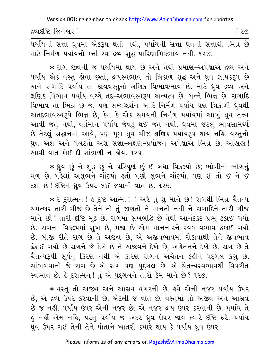દ્રવ્યદષ્ટિ જિનેશ્વર l

િર૭

<u>પર્યાયની સત્તા ધ્રુવમાં એકરૂપ થતી નથી, પર્યાયની સત્તા ધ્રુવની સત્તાથી ભિન્ન છે</u> માટે નિર્મળ પર્યાયનો કર્તા સ્વ-દ્રવ્ય-શુદ્ધ પારિણામિકભાવ નથી. ૧૨૪.

∗ રાગ જીવની જ પર્યાયમાં થાય છે અને તેથી પ્રમાણ−અપેક્ષાએ દ્રવ્ય અને ૫ર્યાય એક વસ્તુ હોવા છતાં, દ્રવ્યસ્વભાવ તો ત્રિકાળ શુદ્ધ અને ધ્રુવ જ્ઞાયકરૂપ છે અને રાગાદિ પર્યાય તો જીવવસ્તુનો ક્ષણિક વિભાવભાવ છે. માટે ધ્રુવ દ્રવ્ય અને ક્ષણિક વિભાવ પર્યાય વચ્ચે તદ્દ-અભાવસ્વરૂપ અન્યત્વ છે. બન્ને ભિન્ન છે. રાગાદિ વિભાવ તો ભિન્ન છે જ, પણ સમ્યગ્દર્શન આદિ નિર્મળ પર્યાય પણ ત્રિકાળી ધ્રુવથી અતદ્દભાવસ્વરૂપે ભિન્ન છે, કેમ કે એક સમયની નિર્મળ પર્યાયમાં આખું ઘ્રુવ તત્ત્વ આવી જતું નથી, વર્તમાન પર્યાય જેવડું થઈ જતું નથી. ઘ્રવમાં જેટલું ભાવસામર્થ્ય છે તેટલું શ્રદ્ધાનમાં આવે, પણ મૂળ ધ્રુવ ચીજ ક્ષણિક પર્યાયરૂપ થાય નહિ. વસ્તુનો ધ્રુવ અંશ અને પલટતો અંશ સંજ્ઞા-લક્ષણ-પ્રયોજન અપેક્ષાએ ભિન્ન છે. આહાહા! આવી વાત કોઈ દી સાંભળી ન હોય. ૧૨૫.

\* ધ્રુવ છું ને શુદ્ધ છું ને પરિપૂર્ણ છું ઈ બધા વિકલ્પો છે; ભોગીના ભોગનું મૂળ છે. પહેલાં અશુભને ચોંટયો હતો પછી શુભને ચોંટયો, પણ ઈ તો ઈ ને ઈ દશા છે! દૃષ્ટિને ધ્રુવ ઉપર લઈ જવાની વાત છે. ૧૨૬.

\* રે દુરાત્મન્! કે દુષ્ટ આત્મા! ! અરે તું શું માને છે! રાગથી ભિન્ન ચૈતન્ય ચમત્કાર તારી ચીજ છે તેને તો તું જાણતો ને માનતો નથી ને રાગાદિને તારી ચીજ માને છો! તારી દષ્ટિ મૂઢ છે. રાગમાં સુખબુદ્ધિ છે તેથી આનંદકંદ પ્રભુ ઢંકાઈ ગયો છે. રાગના વિકલ્પમાં સુખ છે, મજા છે એમ માનનારને સ્વભાવભાવ ઢંકાઈ ગયો છે. બીજી રીતે રાગ છે તે અજીવ છે, એ અજીવભાવમાં રોકાવાથી તેને જીવભાવ ઢંકાઈ ગયો છે રાગને જે દેખે છે તે અજીવને દેખે છે, અચેતનને દેખે છે. રાગ છે તે ચૈતન્યરૂપી સૂર્યનું કિરણ નથી એ કારણે રાગને અચેતન કઢીને પુદ્ગલ કહ્યું છે. સાંભળવાનો જે રાગ છે એ રાગ પણ પુદ્દગલ છે. એ ચૈતન્યસ્વભાવથી વિપરીત સ્વભાવ છે. હે દરાત્મન ! તું એ પુદગલને તારો કેમ માને છે? ૧૨૭.

★ વસ્તુ તો અજીવ અને આસ્રવ વગરની છે. ઙ્વે એની નજર ૫ર્યાય ઉપર છે, એ દ્રવ્ય ઉપર કરવાની છે, એટલી જ વાત છે. વસ્તુમાં તો અજીવ અને આસ્રવ છે જ નહીં. પર્યાય ઉપર એની નજર છે. એ નજર દ્રવ્ય ઉપર કરવાની છે. પર્યાય તે હું નહીં–એમ નહિ, પરંતુ પર્યાય જ અંદર ધ્રુવ ઉપર જાય ત્યારે દષ્ટિ ફરે. પર્યાય ધ્રુવ ઉપર ગઈ તેની તેને પોતાને ખાતરી કયારે થાય કે પર્યાય ધ્રુવ ઉપર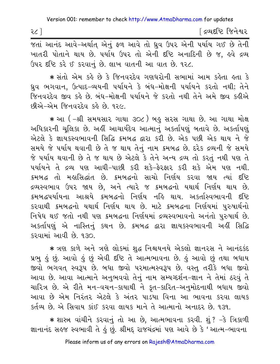| -<br>$\sim$<br>-11<br>ے ۔ | દ્રવ્યદષ્ટિ<br>ि ने श<br>ાવ્યા |
|---------------------------|--------------------------------|
|                           |                                |

જતાં આનંદ આવે–અર્થાત એનું ફળ આવે તો ઘ્રુવ ઉપર એની પર્યાય ગઈ છે તેની ખાતરી પોતાને થાય છે. ૫ર્યાય ઉપર તો એની દષ્ટિ અનાદિની છે જ, ઙવે દ્રવ્ય ઉપર દૃષ્ટિ કરે ઈ કરવાનું છે. લાખ વાતની આ વાત છે. ૧૨૮.

∗ સંતો એમ કહે છે કે જિનવરદેવ ગણધરોની સભામાં આમ કહેતા હતા કે ધ્રવ ભગવાન. ઉત્પાદ-વ્યયની પર્યાયને કે બંધ-મોક્ષની પર્યાયને કરતો નથી; તેને જિનવરદેવ જીવ કહે છે. બંધ-મોક્ષની પર્યાયને જે કરતો નથી તેને અમે જીવ કહીએ છીએ–એમ જિનવરદેવ કહે છે ૧૨૯

∗ આ ( –શ્રી સમયસાર ગાથા ૩૦૮ ) બહુ સરસ ગાથા છે. આ ગાથા મોક્ષ અધિકારની ચૂલિકા છે. અહીં આચાર્યદેવ આત્માનું અકર્તાપણું બતાવે છે. અકર્તાપણું એટલે કે જ્ઞાયકસ્વભાવની સિદ્ધિ ક્રમબદ્ધ દ્વારા કરી છે. એક પછી એક થાય ને જે સમયે જે પર્યાય થવાની છે તે જ થાય તેનું નામ ક્રમબદ્ધ છે. દરેક દ્રવ્યની જે સમયે જે પર્યાય થવાની છે તે જ થાય છે એટલે કે તેને અન્ય દ્રવ્ય તો કરતં નથી પણ તે પર્યાયને તે દ્રવ્ય પણ આઘી-પાછી કરી શકે-ફેરફાર કરી શકે એમ પણ નથી. ક્રમબદ્ધ તો મહાસિદ્ધાંત છે. ક્રમબદ્ધનો સાચો નિર્ણય કરવા જાય ત્યાં દષ્ટિ દ્રવ્યસ્વભાવ ઉપર જાય છે, અને ત્યારે જ ક્રમબદ્ધનો યથાર્થ નિર્ણય થાય છે. ક્રમબદ્ધપર્યાયના આશ્રયે ક્રમબદ્ધનો નિર્ણય નહિ થાય. અકર્તાસ્વભાવની દષ્ટિ કરવાથી ક્રમબદ્ધનો યથાર્થ નિર્ણય થાય છે. માટે ક્રમબદ્ધના નિર્ણયમાં પુરુષાર્થનો નિષેધ થઈ જતો નથી પણ ક્રમબદ્ધના નિર્ણયમાં દ્રવ્યસ્વભાવનો અનંતો પુરુષાર્થ છે. અકર્તાપણું એ નાસ્તિનું કથન છે. ક્રમબદ્ધ દ્વારા જ્ઞાયકસ્વભાવની અહીં સિદ્ધિ  $529111$  and  $30.930$ 

\* ત્રણ કાળે અને ત્રણે લોકમાં શુદ્ધ નિશ્ચયનયે એકલો જ્ઞાનરસ ને આનંદકંદ પ્રભુ હું છું. આવો હું છું એવી દૃષ્ટિ તે આત્મભાવના છે. હું આવો છું તથા બધાય જીવો ભગવત સ્વરૂપ છે. બધા જીવો પરમાત્મસ્વરૂપ છે. વસ્તુ તરીકે બધા જીવો આવા છે. આવા આત્માને અનુભવવો તેનું નામ સમ્યગ્દર્શન-જ્ઞાન ને તેમાં ઠરવું તે ચારિત્ર છે. એ રીતે મન-વચન-કાયાથી ને કૃત-કારિત-અનુમોદનાથી બધાય જીવો આવા છે એમ નિરંતર એટલે કે અંતર પાડયા વિના આ ભાવના કરવા લાયક કર્તવ્ય છે. એ સિવાય કાંઈ કરવા લાયક માને તે આત્માનો અનાદર છે. ૧૩૧.

\* શાસ્ત્ર વાંચીને કરવાનું તો આ છે, આત્મભાવના કરવી. શું ? -કે ત્રિકાળી જ્ઞાનાનંદ સહજ સ્વભાવી તે હું છું. શ્રીમદ્ રાજચંદ્રમાં પણ આવે છે કે 'આત્મ-ભાવના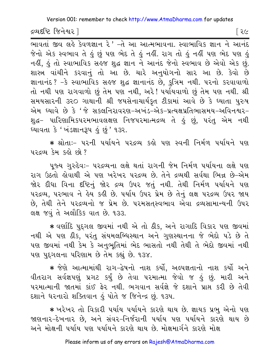દ્રવ્યદષ્ટિ જિનેશ્વર l

ભાવતાં જીવ લહે કેવળજ્ઞાન રે ' -તે આ આત્મભાવના. સ્વાભાવિક જ્ઞાન ને આનંદ જેનો એક સ્વભાવ તે કું છું પણ ભેદ તે કું નકીં. રાગ તો કું નકીં પણ ભેદ પણ કું નહીં, હું તો સ્વાભાવિક સહજ શુદ્ધ જ્ઞાન ને આનંદ જેનો સ્વભાવ છે એવો એક છું. શાસ્ત્ર વાંચીને કરવાનું તો આ છે. ચારે અનુયોગનો સાર આ છે. કેવો છે જ્ઞાનાનંદ ? -કે સ્વાભાવિક સહજ શુદ્ધ જ્ઞાનાનંદ છે, કુત્રિમ નથી. ૫૨નો કરવાવાળો તો નથી પણ રાગવાળો છું તેમ પણ નથી, અરે! પર્યાયવાળો છું તેમ પણ નથી. શ્રી સમયસારની ૩૨૦ ગાથાની શ્રી જયસેનાચાર્યકૃત ટીકામાં આવે છે કે ઘ્યાતા પુરુષ એમ ઘ્યાવે છે કે 'જે સકલનિરાવરણ-અખંડ-એક-પ્રત્યક્ષપ્રતિભાસમય-અવિનશ્વર-શુદ્ધ- પારિણામિકપરમભાવલક્ષણ નિજપરમાત્મદ્રવ્ય તે હું છું, પરંતુ એમ નથી ધ્યાવતા કે ' ખંડજ્ઞાનરૂપ હું છું ' ૧૩૨.

\* શ્રોતાઃ- ૫૨ની ૫ર્યાયને ૫૨દ્રવ્ય કહો ૫ણ સ્વની નિર્મળ ૫ર્યાયને ૫ણ ૫૨૬વ્ય કેમ કહો છો?

પૂજ્ય ગુરુદેવઃ- ૫૨દ્રવ્યના લક્ષે થતાં રાગની જેમ નિર્મળ ૫ર્યાયના લક્ષે ૫ણ રાગ ઉઠતો કોવાથી એ પણ ખરેખર પરદ્રવ્ય છે. તેને દ્રવ્યથી સર્વથા ભિન્ન છે-એમ જોર દીધા વિના દષ્ટિનું જોર દ્રવ્ય ઉપર જતું નથી. તેથી નિર્મળ પર્યાયને પણ પરદ્રવ્ય, પરભાવ ને હેય કહી છે. પર્યાય ઉપર પ્રેમ છે તેનું લક્ષ પરદ્રવ્ય ઉપર જાય છે, તેથી તેને પરદ્રવ્યનો જ પ્રેમ છે. પરમસતસ્વભાવ એવા દ્રવ્યસામાન્યની ઉપર લક્ષ જવું તે અલૌકિક વાત છે. ૧૩૩.

\* વર્ણાદિ પદગલ જીવમાં નથી એ તો ઠીક, અને રાગાદિ વિકાર પણ જીવમાં નથી એ પણ ઠીક, પરંતુ સંયમલબ્ધિસ્થાન અને ગુણસ્થાનના જે ભેદો પડે છે તે પણ જીવમાં નથી કેમ કે અનુભુતિમાં ભેદ ભાસતો નથી તેથી તે ભેદો જીવમાં નથી પણ પુદ્દગલના પરિણામ છે તેમ કહ્યું છે. ૧૩૪.

\* જેણે આત્મામાંથી રાગ-દ્વેષનો નાશ કર્યો, અલ્પજ્ઞતાનો નાશ કર્યો અને વીતરાગ સર્વજ્ઞપણું પ્રગટ કર્યું છે તેવા પરમાત્મા જેવો જ હું છું. મારી અને પરમાત્માની જાતમાં કાંઈ ફેર નથી. ભગવાન સર્વજ્ઞે જે દશાને પ્રાપ્ત કરી છે તેવી દશાને ધરનારો શક્તિવાન કું પોતે જ જિનેન્દ્ર છું. ૧૩૫.

★ ખરેખર તો વિકારી પર્યાય પર્યાયને કારણે થાય છે. જ્ઞાયક પ્રભુ એનો પણ જાણનાર-દેખનાર છે, અને સંવર-નિર્જરાની પર્યાય પણ પર્યાયને કારણે થાય છે અને મોક્ષની પર્યાય પણ પર્યાયને કારણે થાય છે. મોક્ષમાર્ગને કારણે મોક્ષ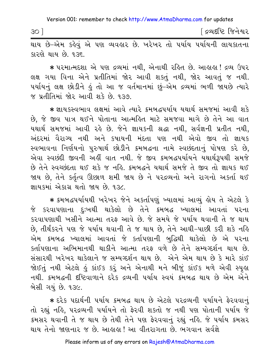∫ દ્રવ્યદષ્ટિ જિનેશ્વર  $30<sup>-1</sup>$ 

.<br>થાય છે-એમ કહેવું એ પણ વ્યવહાર છે. ખરેખર તો પર્યાય પર્યાયની લાયકાતના કારણે થાય છે. ૧૩૬

\* પરમાત્મદશા એ પણ દ્રવ્યમાં નથી, એનાથી રહિત છે. આહાહા! દ્રવ્ય ઉપર લક્ષ ગયા વિના એને પ્રતીતિમાં જોર આવી શકતું નથી, જોર આવતું જ નથી. પર્યાયનું લક્ષ છોડીને કું તો આ જ વર્તમાનમાં છું-એમ દ્રવ્યમાં ભળી જાયછે ત્યારે જ પ્રતીતિમાં જોર આવી શકે છે. ૧૩૭.

\* જ્ઞાયકસ્વભાવ લક્ષમાં આવે ત્યારે ક્રમબદ્ધપર્યાય યથાર્થ સમજમાં આવી શકે છે, જે જીવ પાત્ર થઈને પોતાના આત્મહિત માટે સમજવા માગે છે તેને આ વાત યથાર્થ સમજમાં આવી રહે છે. જેને જ્ઞાયકની શ્રદ્ધા નથી, સર્વજ્ઞની પ્રતીત નથી, અંદરમાં વૈરાગ્ય નથી અને કપાયની મંદતા પણ નથી એવો જીવ તો જ્ઞાયક સ્વભાવના નિર્ણયનો પુરુષાર્થ છોડીને ક્રમબદ્ધના નામે સ્વછંદતાનું પોષણ કરે છે, એવા સ્વછંદી જીવની અહીં વાત નથી. જે જીવ ક્રમબદ્ધપર્યાયને યથાર્થરૂપથી સમજે છે તેને સ્વચ્છંદતા થઈ શકે જ નહિ. ક્રમબદ્ધને યથાર્થ સમજે તે જીવ તો જ્ઞાયક થઈ જાય છે, તેને કર્તૃત્વ ઊછાળ શમી જાય છે ને પરદ્રવ્યનો અને રાગનો અકર્તા થઈ જ્ઞાયકમાં એકાગ્ર થતો જાય છે. ૧૩૮.

\* ક્રમબદ્ધપર્યાયથી ખરેખર જેને અકર્તાપણું ખ્યાલમાં આવ્યું હોય તે એટલે કે જે કરવાપણાના દુઃખથી થાકેલો છે તેને ક્રમબદ્ધ ખ્યાલમાં આવતાં પરના કરવાપણાથી ખસીને આત્મા તરફ આવે છે. જે સમયે જે પર્યાય થવાની તે જ થાય છે, તીર્થંકરને પણ જે પર્યાય થવાની તે જ થાય છે, તેને આઘી-પાછી કરી શકે નહિ એમ ક્રમબદ્ધ ખ્યાલમાં આવતાં જે કર્તાપણાની બુદ્ધિથી થાકેલો છે એ પરના કર્તાપણાના અભિમાનથી થાકીને આત્મા તરફ વળે છે તેને સમ્યગ્દર્શન થાય છે. સંસારથી ખરેખર થાકેલાને જ સમ્યગ્દર્શન થાય છે. એને એમ થાય છે કે મારે કાંઈ જોઈતું નથી એટલે હું કાંઈક કરું અને એનાથી મને બીજું કાંઈક મળે એવી સ્પૃહ્ય નથી. ક્રમબદ્ધની દષ્ટિવાળાને દરેક દ્રવ્યની પર્યાય સ્વયં ક્રમબદ્ધ થાય છે એમ એને બેસી ગયું છે. ૧૩૯.

\* દરેક પદાર્થની પર્યાય ક્રમબદ્ધ થાય છે એટલે પરદ્રવ્યની પર્યાયને ફેરવવાનું તો રહ્યું નહિ, પરદ્રવ્યની પર્યાયને તો ફેરવી શકતો જ નથી પણ પોતાની પર્યાય જે ક્રમસર થવાની તે જ થાય છે તેથી તેને પણ ફેરવવાનું રહ્યું નહિ. જે પર્યાય ક્રમસર થાય તેનો જાણનાર જ છે. આહાહા ! આ વીતરાગતા છે. ભગવાન સર્વજ્ઞે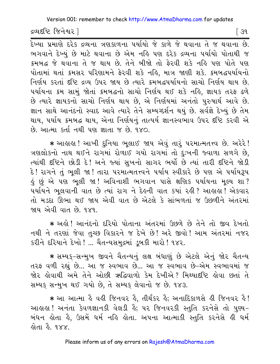દ્રવ્યદષ્ટિ જિનેશ્વર l

<u>.<br>દેખ્યા પ્રમાણે દરેક દ્રવ્યના ત્રણકાળના પર્યાયો જે કાળે જે થવાના તે જ થવાના છે.</u> ભગવાને દેખ્યું છે માટે થવાના છે એમ નહિ પણ દરેક દ્રવ્યના પર્યાયો પોતાથી જ ક્રમબદ્ધ જે થવાના તે જ થાય છે. તેને બીજો તો ફેરવી શકે નહિ પણ પોતે પણ પોતામાં થતાં ક્રમસર પરિણામને ફેરવી શકે નહિ, માત્ર જાણી શકે. ક્રમબદ્ધપર્યાયનો નિર્ણય કરતાં દૃષ્ટિ દ્રવ્ય ઉપર જાય છે ત્યારે ક્રમબદ્ધપર્યાયનો સાચો નિર્ણય થાય છે. ૫ર્યાયના ક્રમ સામું જોતાં ક્રમબદ્ધનો સાચો નિર્ણય થઈ શકે નહિ, જ્ઞાયક તરફ ઢળે છે ત્યારે જ્ઞાયકનો સાચો નિર્ણય થાય છે, એ નિર્ણયમાં અનંતો પુરુષાર્થ આવે છે. જ્ઞાન સાથે આનંદનો સ્વાદ આવે ત્યારે તેને સમ્યગ્દર્શન થયું છે. સર્વજ્ઞે દેખ્યું છે તેમ થાય, પર્યાય ક્રમબદ્ધ થાય, એના નિર્ણયનું તાત્પર્ય જ્ઞાનસ્વભાવ ઉપર દષ્ટિ કરવી એ છે. આત્મા કર્તા નથી પણ જ્ઞાતા જ છે. ૧૪૦.

★ આઙાઙા !આખી દુનિયા ભુલાઈ જાય એવું તારૃં પરમાત્મતત્ત્વ છે. અરેરે ! ત્રણલોકનો નાથ થઈને રાગમાં રોળાઈ ગયો રાગમાં તો દુઃખની જ્વાળા સળગે છે, ત્યાંથી દૃષ્ટિને છોડી દે! અને જ્યાં સુખનો સાગર ભર્યો છે ત્યાં તારી દૃષ્ટિને જોડી દે! રાગને તું ભૂલી જા! તારા પરમાત્મતત્ત્વને પર્યાય સ્વીકારે છે પણ એ પર્યાયરૂપ ડું છું એ પણ ભુલી જા ! અવિનાશી ભગવાન પાસે ક્ષણિક પર્યાયના મુલ્ય શા ? ૫ર્યાયને ભૂલવાની વાત છે ત્યાં રાગ ને દેહની વાત કયાં રહી ? આહાહા ! એકવાર તો મડદા ઊભા થઈ જાય એવી વાત છે એટલે કે સાંભળતાં જ ઉછળીને અંતરમાં જાય એવી વાત છે. ૧૪૧.

\* અલે! આનંદનો દરિયો પોતાના અંતરમાં ઉછળે છે તેને તો જીવ દેખતો નથી ને તરણાં જેવા તુચ્છ વિકારને જ દેખે છે! અરે જીવો! આમ અંતરમાં નજર કરીને દરિયાને દેખો ! ... ચૈતન્યસમદ્રમાં ડબકી મારો ! ૧૪૨.

★ સમ્યક્−સન્મુખ જીવને ચૈતન્યનું લક્ષ બંધાણું છે એટલે એનું જોર ચૈતન્ય તરફ વળી રહ્યું છે... આ જ સ્વભાવ છે... આ જ સ્વભાવ છે-એમ સ્વભાવમાં જ જોર લોવાથી અમે તેને ઓછી ઋદ્ધિવાળો કેમ દેખીએ? મિથ્યાદષ્ટિ લોવા છતાં તે સમ્યક સન્મુખ થઈ ગયો છે, તે સમ્યક લેવાનો જ છે. ૧૪૩.

\* આ આત્મા કે વહી જિનવર કે, તીર્થંકર કે; અનાદિકાળસે હી જિનવર કે! આહાહા! અનંતા કેવળજ્ઞાનકી વેલડી હૈ; ૫૨ જિનવરકી સ્તુતિ કરનેસે તો પુણ્ય-બંધન હોતા હૈ, ઉસમેં ધર્મ નહિ હોતા. અપના આત્માકી સ્તુતિ કરનેસે હી ધર્મ હોતા હૈ. ૧૪x.

Please inform us of any errors on Rajesh@AtmaDharma.com

િ ૩૧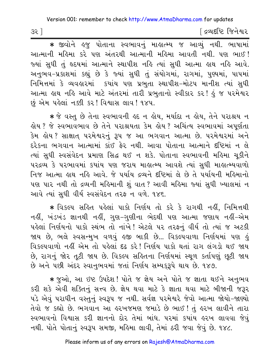| દ્રવ્યદષ્ટિ જિનેશ્વર |
|----------------------|
|----------------------|

\* જીવોને હજુ પોતાના સ્વભાવનું માહાત્મ્ય જ આવ્યું નથી. ભાષામાં આત્માની મહિમા કરે પણ અંતરથી આત્માની મહિમા આવતી નથી. પણ ભાઈ! જ્યાં સુધી તું હૃદયમાં આત્માને સ્થાપીશ નહિ ત્યાં સુધી આત્મા હાથ નહિ આવે. અનુભવ-પ્રકાશમાં કહ્યું છે કે જ્યાં સુધી તું સંયોગમાં, રાગમાં, પુણ્યમાં, પાપમાં નિમિત્તમાં કે વ્યવહારમાં કયાંય પણ પ્રભુતા સ્થાપીશ-મોટપ માનીશ ત્યાં સુધી આત્મા હાથ નહિ આવે માટે અંતરમાં તારી પ્રભુતાનો સ્વીકાર કર! હું જ પરમેશ્વર છું એમ પહેલાં નક્કી કર! વિશ્વાસ લાવ! ૧૪૫.

\* જે વસ્તુ છે તેના સ્વભાવની હૃદ ન હોય, મર્યાદા ન હોય, તેને પરાશ્રય ન હોય ? જે સ્વભાવભાવ છે તેને પરાશ્રયતા કેમ હોય ? અચિંત્ય સ્વભાવમાં અપૂર્ણતા દરેકના ભગવાન આત્મામાં કાંઈ ફેર નથી. આવા પોતાના આત્માને દષ્ટિમાં ન લે ત્યાં સુધી સ્વસંવેદન પ્રમાણ સિદ્ધ થઈ ન શકે. પોતાના સ્વભાવની મહિમા ચૂકીને પરદ્રવ્ય કે પરભાવમાં કયાંય પણ જરાય માહાત્મ્ય આવશે ત્યાં સુધી માહાત્મ્યવાળો નિજ આત્મા હાથ નહિ આવે. જે પર્યાય દ્રવ્યને દષ્ટિમાં લે છે તે પર્યાયની મહિમાનો પણ પાર નથી તો દ્રવ્યની મહિમાની શું વાત ? આવી મહિમા જ્યાં સુધી ખ્યાલમાં ન આવે ત્યાં સુધી વીર્ય સ્વસંવેદન તરફ ન વળે. ૧૪૬.

\* વિકલ્પ સહિત પહેલાં પાકો નિર્ણય તો કરે કે રાગથી નહીં, નિમિત્તથી નહીં, ખંડખંડ જ્ઞાનથી નહીં, ગુણ–ગુણીના ભેદથી પણ આત્મા જણાય નહીં–એમ પહેલાં નિર્ણયનો પાકો સ્થંભ તો નાંખે! એટલે ૫૨ તરફનું વીર્ય તો ત્યાં જ અટકી જાય છે, ભલે સ્વસન્મુખ વળવું હજી બાકી છે... વિકલ્પવાળા નિર્ણયમાં પણ હું વિકલ્પવાળો નહીં એમ તો પહેલાં દઢ કરે! નિર્ણય પાકો થતાં રાગ લંગડો થઈ જાય છે, રાગનું જોર તૂટી જાય છે. વિકલ્પ સહિતના નિર્ણયમાં સ્થૂળ કર્તાપણું છૂટી જાય છે અને પછી અંદર સ્વાનુભવમાં જતાં નિર્ણય સમ્યકુરૂપે થાય છે. ૧૪૭.

\* જુઓ, આ ઇષ્ટ ઉપદેશ! પોતે જ જ્ઞેય અને પોતે જ જ્ઞાતા થઈને અનુભવ કરી શકે એવી શક્તિનું સત્ત્વ છે. જ્ઞેય થવા માટે કે જ્ઞાતા થવા માટે બીજાની જરૂર પડે એવું પરાધીન વસ્તુનું સ્વરૂપ જ નથી. સર્વજ્ઞ પરમેશ્વરે જેવો આત્મા જોયો-જાણ્યો તેવો જ કહ્યો છે. ભગવાન આ હરખજમણ જમાડે છે ભાઈ ! તું હરખ લાવીને તારા સ્વભાવનો વિશ્વાસ કરી જ્ઞાનનો દોર તેમાં બાંધ. ૫રમાં કયાંય હરખ લાવવા જેવું નથી. પોતે પોતાનું સ્વરૂપ સમજી, મહિમા લાવી, તેમાં ઠરી જવા જેવું છે. ૧૪૮.

 $32$ ]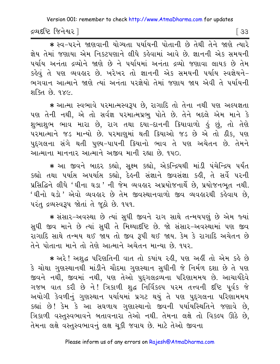દ્રવ્યદષ્ટિ જિનેશ્વર l

 $\sqrt{33}$ 

\* સ્વ-પરને જાણવાની યોગ્યતા પર્યાયની પોતાની છે તેથી તેને જાણે ત્યારે જ્ઞેય તેમાં જણાયા એમ નિકટપણાને લીધે કહેવામાં આવે છે. જ્ઞાનની એક સમયની પર્યાય અનંતા દ્રવ્યોને જાણે છે ને પર્યાયમાં અનંતા દ્રવ્યો જણાવા લાયક છે તેમ કહેવું તે પણ વ્યવહાર છે. ખરેખર તો જ્ઞાનની એક સમયની પર્યાય સ્વજ્ઞેયને-ભગવાન આત્માને જાણે ત્યાં અનંતા પરજ્ઞેયો તેમાં જણાય જાય એવી તે પર્યાયની शक्ति छे १४५

\* આત્મા સ્વભાવે પરમાત્મસ્વરૂપ છે, રાગાદિ તો તેના નથી પણ અલ્પજ્ઞતા પણ તેની નથી, એ તો સર્વજ્ઞ પરમાત્મપ્રભુ પોતે છે. તેને બદલે એમ માને કે શુભાશુભ ભાવ મારા છે, રાગ તથા દયા-દાનની ક્રિયાવાળો કું છું, તો તેણે પરમાત્માને જડ માન્યો છે. પરમાણુમાં થતી ક્રિયાઓ જડ છે એ તો ઠીક, પણ પુદ્ગલના સંગે થતી પુણ્ય-પાપની ક્રિયાનો ભાવ તે પણ અચેતન છે. તેમને આત્માના માનનાર આત્માને અજીવ માની રહ્યા છે. ૧૫૦.

\* આ જીવને બાદર કહ્યો, સૂક્ષ્મ કહ્યો, એકન્દ્રિયથી માંડી પંચેન્દ્રિય પર્યંત કહ્યો તથા પર્યાસ અપર્યાસ કહ્યો, દેહની સંજ્ઞાને જીવસંજ્ઞા કહી, તે સર્વે પરની પ્રસિદ્ધિને લીધે 'ઘીના ઘડા 'ની જેમ વ્યવહાર અપ્રયોજનાર્થે છે, પ્રયોજનભુત નથી. 'ઘીનો ઘડો' એવો વ્યવહાર છે તેમ જીવસ્થાનવાળો જીવ વ્યવહારથી કહેવાય છે. પરંતુ દ્રવ્યસ્વરૂપ જોતાં તે જુઠો છે. ૧૫૧.

\* સંસાર-અવસ્થા છે ત્યાં સુધી જીવને રાગ સાથે તન્મયપણું છે એમ જ્યાં સુધી જીવ માને છે ત્યાં સુધી તે મિથ્યાદષ્ટિ છે. જો સંસાર-અવસ્થામાં પણ જીવ રાગાદિ સાથે તન્મય થઈ જાય તો જીવ રૂપી થઈ જાય. કેમ કે રાગાદિ અચેતન છે તેને પોતાના માને તો તેણે આત્માને અચેતન માન્યા છે. ૧૫૨.

★ અરે ! અશુદ્ધ પરિણતિની વાત તો કયાંય રહી, પણ અહીં તો એમ કહે છે કે ચોથા ગુણસ્થાનથી માંડીને ચૌદમા ગુણસ્થાન સુધીની જે નિર્મળ દશા છે તે પણ જીવને નથી, જીવમાં નથી, પણ તેઓ પુદ્ગલદ્રવ્યના પરિણામમય છે. આચાર્યદેવે ગજબ વાત કરી છે ને! ત્રિકાળી શુદ્ધ નિર્વિકલ્પ પરમ તત્ત્વની દષ્ટિ પૂર્વક જે અયોગી કેવળીનું ગુણસ્થાન પર્યાયમાં પ્રગટ થયું તે પણ પુદ્દગલના પરિણામમય કહ્યાં છે! કેમ કે આ સઘળાય ગુણાસ્થાનો જીવની પર્યાયસ્થિતિને જણાવે છે, ત્રિકાળી વસ્તુસ્વભાવને બતાવનારા તેઓ નથી. તેમના લક્ષે તો વિકલ્પ ઊઠે છે, તેમના લક્ષે વસ્તુસ્વભાવનું લક્ષ ચૂકી જવાય છે. માટે તેઓ જીવના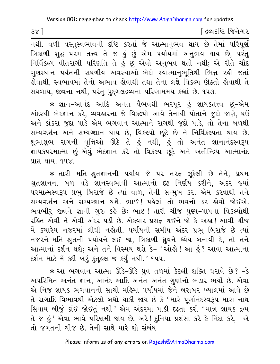[ દ્રવ્યદષ્ટિ જિનેશ્વર

नथी. वળી વસ્તુસ્વભાવની દષ્ટિ કરતાં જે આત્માનુભવ થાય છે તેમાં પરિપૂર્ણ ત્રિકાળી શુદ્ધ પરેમ તત્ત્વ તે જ હું છું એમ પર્યાયમાં અનુભવ થાય છે, પરંતુ<br>નિર્વિકલ્પ વીતરાગી પરિણતિ તે હું છું એવો અનુભવ થતો નથી; એ રીતે ચૌદ ગુણસ્થાન પર્યંતની સઘળીય અવસ્થાઓ–ભેદો સ્વાત્માનુભૂતિથી ભિન્ન રહી જતાં હોવાથી, સ્વભાવમાં તેનો અભાવ હોવાથી તથા તેના લક્ષે વિકલ્પ ઊઠતો હોવાથી તે સઘળાય, જીવના નથી, પરંતુ પુદગલદ્રવ્યના પરિણામમય કહ્યાં છે. ૧૫૩.

★ જ્ઞાન−આનંદ આદિ અનંત વૈભવથી ભરપુર ઙું જ્ઞાયકતત્ત્વ છું−એમ અંદરથી ભેદજ્ઞાન કરે, વ્યવહારના જે વિકલ્પો આવે તેનાથી પોતાને જુદો જાણે, ઘઉં અને કાંકરા જુદા પાડે એમ ભગવાન આત્માને રાગથી જુદો પાડે, તો તેના બળથી સમ્યગ્દર્શન અને સમ્યગ્જ્ઞાન થાય છે, વિકલ્પો છૂટે છે ને નિર્વિકલ્પતા થાય છે. શભાશભ રાગની વૃત્તિઓ ઊઠે તે કું નથી, કું તો અનંત જ્ઞાનાનંદસ્વરૂપ જ્ઞાયકપરમાત્મા છું-એવું ભેદજ્ઞાન કરે તો વિકલ્પ છૂટે અને અતીન્દ્રિય આત્માનંદ 112 212 948

\* તારી મતિ-શ્રુતજ્ઞાનની પર્યાય જે ૫૨ ત૨ફ ઝૂકેલી છે તેને, પ્રથમ શ્રુતજ્ઞાનના બળ વડે જ્ઞાનસ્વભાવી આત્માનો દઢ નિર્ણય કરીને, અંદર જ્યાં પરમાત્મસ્વરૂપ પ્રભુ બિરાજે છે ત્યાં વાળ, તેની સન્મુખ કર. એમ કરવાથી તને સમ્યગ્દર્શન અને સમ્યગ્જ્ઞાન થશે. ભાઈ! પહેલાં તો ભવનો ડર હોવો જોઈએ. ભવભીરૂં જીવને જ્ઞાની ગુરુ કહે છેઃ ભાઈ! તારી ચીજ પુણ્ય-પાપના વિકલ્પોથી રહિત એવી ને એવી અંદર ૫ડી છે. એકવાર પ્રસન્ન થઈને જો કે-અહ્ય! આવી ચીજ મેં કયારેય નજરમાં લીધી નહોતી. ૫ર્યાયની સમીપ અંદર પ્રભુ બિરાજે છે ત્યાં નજરને-મતિ-શ્રુતની પર્યાયને-લઈ જા, ત્રિકાળી ધ્રુવને ઘ્યેય બનાવી દે, તો તને આત્માનાં દર્શન થશે; અને તને વિસ્મય થશે કે- 'ઓલ્રો ! આ હું ? આવા આત્માના દર્શન માટે મેં કદી ખરું કુતુ લ જ કર્યું નથી.' ૧૫૫.

\* આ ભગવાન આત્મા ઊંડે-ઊંડે ધ્રુવ તળમાં કેટલી શક્તિ ધરાવે છે? -કે અપરિમિત અનંત જ્ઞાન, આનંદ આદિ અનંત-અનંત ગુણોનો ભંડાર ભર્યો છે. એવા એ નિજ જ્ઞાયક ભગવાનનો સાચો મહિમા પર્યાયમાં જેને બરાબર ખ્યાલમાં આવે છે તે રાગાદિ વિભાવથી એટલો બધો થાકી જાય છે કે 'મારે પુર્ણાનંદસ્વરૂપ મારા નાથ સિવાય બીજું કાંઈ જોઈતું નથી ' એમ અંદરમાં પાકી દઢતા કરી 'માત્ર જ્ઞાયક દ્રવ્ય તે જ <u>હ</u>ું ' એવા ભાવે પરિણમી જાય છે. અરે ! દુનિયા પ્રશંસા કરે કે નિંદા કરે, <sup>\_</sup>એ તો જગતની ચીજ છે. તેની સાથે મારે શો સંબંધ

Please inform us of any errors on Rajesh@AtmaDharma.com

 $38$ ]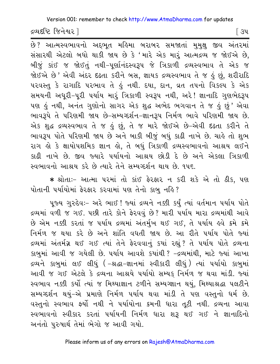Version 001: remember to check http://www.AtmaDharma.com for updates

દ્રવ્યદૃષ્ટિ જિનેશ્વર 1

િ ૩૫

.<br>છે? આત્મસ્વભાવનો અદ્દભૂત મહિમા બરાબર સમજાતાં મુમુક્ષુ જીવ અંતરમાં સંસારથી એટલો બધો થાકી જાય છે કે 'મારે એક માર આત્મદ્રવ્ય જ જોઈએ છે. બીજું કાંઈ જ જોઈતું નથી-પૂર્ણાનંદસ્વરૂપ જે ત્રિકાળી દ્રવ્યસ્વભાવ તે એક જ જોઈએ છે' એવી અંદર દઢતા કરીને બસ, જ્ઞાયક દ્રવ્યસ્વભાવ તે જ કું છું, શરીરાદિ ૫૨૧સ્ત કે રાગાદિ ૫૨ભાવ તે હું નથી. દયા, દાન, વ્રત ત૫નો વિકલ્પ કે એક સમયની અધુરી-પુરી પર્યાય મારૂં ત્રિકાળી સ્વરૂપ નથી, અરે! જ્ઞાનાદિ ગુણભેદરૂપ <u>પણ કું નથી, અનંત ગુણોનો સાગર એક શુદ્ધ અભેદ ભગવાન તે જ કું છું' એવા</u> ભાવરૂપે તે પરિણમી જાય છે-સમ્યગ્દર્શન-જ્ઞાનરૂપ નિર્મળ ભાવે પરિણમી જાય છે. એક શુદ્ધ દ્રવ્યસ્વભાવ તે જ કું છું, તે જ મારે જોઈએ છે-એવી દઢતા કરીને તે ભાવરૂપ પોતે પરિણમી જાય છે અને બાકી બીજું બધું કાઢી નાખે છે. ચાહે તો શુભ રાગ હો કે ક્ષાયોપશમિક જ્ઞાન હો, તે બધું ત્રિકાળી દ્રવ્યસ્વભાવનો આશ્રય લઈને કાઢી નાખે છે. જીવ જ્યારે ૫ર્યાયનો આશ્રય છોડી દે છે અને એકલા ત્રિકાળી સ્વભાવનો આશ્રય કરે છે ત્યારે તેને સમ્યગ્દર્શન થાય છે. ૧૫૬.

\* શ્રોતાઃ- આત્મા પરમાં તો કાંઈ ફેરફાર ન કરી શકે એ તો ઠીક. પણ પોતાની પર્યાયોમાં ફેરફાર કરવામાં પણ તેનો કાબુ નહિ?

પુજ્ય ગુરુદેવઃ- અરે ભાઈ ! જ્યાં દ્રવ્યને નક્કી કર્યું ત્યાં વર્તમાન પર્યાય પોતે દ્રવ્યમાં વળી જ ગઈ. પછી તારે કોને ફેરવવું છે? મારી પર્યાય મારા દ્રવ્યમાંથી આવે છે એમ નક્કી કરતાં જ પર્યાય દ્રવ્યમાં અંતર્મુખ થઈ ગઈ, તે પર્યાય હવે ક્રમે ક્રમે નિર્મળ જ થયા કરે છે અને શાંતિ વધતી જાય છે. આ રીતે પર્યાય પોતે જ્યાં દ્રવ્યમાં અંતર્મગ્ન થઈ ગઈ ત્યાં તેને ફેરવવાનું કયાં રહ્યું? તે પર્યાય પોતે દ્રવ્યના કાબુમાં આવી જ ગયેલી છે. ૫ર્યાય આવશે કયાંથી ? -દ્રવ્યમાંથી, માટે જ્યાં આખા દ્રવ્યને કાબુમાં લઈ લીધું ( –શ્રદ્ધા–જ્ઞાનમાં સ્વીકારી લીધું ) ત્યાં પર્યાયો કાબુમાં આવી જ ગઈ એટલે કે દ્રવ્યના આશ્રયે પર્યાયો સમ્યક નિર્મળ જ થવા માંડી. જ્યાં સ્વભાવ નક્કી કર્યો ત્યાં જ મિથ્યાજ્ઞાન ટળીને સમ્યગ્જ્ઞાન થયું, મિથ્યાશ્રદ્ધા પલટીને સમ્યગ્દર્શન થયું-એ પ્રમાણે નિર્મળ પર્યાય થવા માંડી તે પણ વસ્તુનો ધર્મ છે. વસ્તુનો સ્વભાવ ફર્યો નથી ને પર્યાયોના ક્રમની ધારા તટી નથી. દ્રવ્યના આવા સ્વભાવનો સ્વીકાર કરતાં પર્યાયની નિર્મળ ધારા શરૂ થઈ ગઈ ને જ્ઞાનાદિનો અનંતો પુરુષાર્થ તેમાં ભેગો જ આવી ગયો.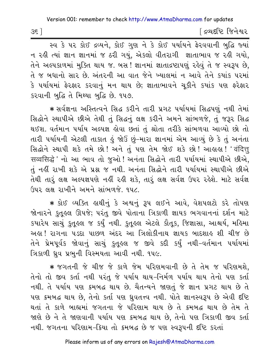| 35 | ∫ દ્રવ્યદષ્ટિ જિનેશ્વર |
|----|------------------------|
|----|------------------------|

સ્વ કે પર કોઈ દ્રવ્યને, કોઈ ગુણ ને કે કોઈ પર્યાયને ફેરવવાની બુદ્ધિ જ્યાં ન રહી ત્યાં જ્ઞાન જ્ઞાનમાં જ ઠરી ગયું. એકલો વીતરાગી જ્ઞાતાભાવ જ રહી ગયો. તેને અલ્પકાળમાં મુક્તિ થાય જ. બસ! જ્ઞાનમાં જ્ઞાતાદ્રષ્ટાપણું રહેવું તે જ સ્વરૂપ છે, તે જ બધાનો સાર છે. અંતરની આ વાત જેને ખ્યાલમાં ન આવે તેને કયાંક પરમાં કે પર્યાયમાં ફેરફાર કરવાનું મન થાય છે; જ્ઞાતાભાવને ચકીને કયાંક પણ ફરેફાર કરવાની બુદ્ધિ તે મિથ્યા બુદ્ધિ છે. ૧૫૭.

\* સર્વજ્ઞના અસ્તિત્વને સિદ્ધ કરીને તારી પ્રગટ પર્યાયમાં સિદ્ધપણું નથી તેમાં સિદ્ધોને સ્થાપીએ છીએ તેથી તું સિદ્ધનું લક્ષ કરીને અમને સાંભળજે, તું જરૂર સિદ્ધ થઈશ. વર્તમાન ૫ર્યાય અલ્પજ્ઞ હોવા છતાં તું શ્રોતા તરીકે સાંભળવા આવ્યો છો તો તારી પર્યાયની એટલી તાકાત કું જોઉં છું-મારા જ્ઞાનમાં એમ આવ્યું છે કે તું અનંતા सिद्धोने स्थापी शङे तमे છो! અને तुं पણ तेम જોઈ શકે છો! આહાહા! 'वंदित्तू सव्वसिद्धे' नो આ ભાવ તો જુઓ! અનંતા સિદ્ધોને તારી પર્યાયમાં સ્થાપીએ છીએ, તું નહીં રાખી શકે એ પ્રશ્ન જ નથી. અનંતા સિદ્ધોને તારી પર્યાયમાં સ્થાપીએ છીએ તેથી તારૂં લક્ષ અલ્પજ્ઞપણે નહીં રહી શકે, તારું લક્ષ સર્વજ્ઞ ઉપર રહેશે. માટે સર્વજ્ઞ ઉપર લક્ષ રાખીને અમને સાંભળજે. ૧૫૮.

\* કોઈ વ્યક્તિ હાથીનું કે અશ્વનું રૂપ લઈને આવે, વેશપલટો કરે તોપણ જોનારને કતુલ્લ ઊપજે; પરંતુ જીવે પોતાના ત્રિકાળી જ્ઞાયક ભગવાનનાં દર્શન માટે કયારેય સાચું કુતુલ્લ જ કર્યું નથી. કુતુલ્લ એટલે કૌતુક, જિજ્ઞાસા, આશ્ચર્ય, મહિમા અલ! રાગના ૫ડદા પાછળ અંદર આ ત્રિલોકીનાથ જ્ઞાયક બાદશાલ શી ચીજ છે તેને પ્રેમપૂર્વક જોવાનું સાચું કુતૂહલ જ જીવે કદી કર્યું નથી-વર્તમાન પર્યાયમાં ત્રિકાળી ધ્રુવ પ્રભુની વિસ્મયતા આવી નથી. ૧૫૯.

\* જગતની જે ચીજ જે કાળે જેમ પરિણમવાની છે તે તેમ જ પરિણમશે, તેનો તો જીવ કર્તા નથી પરંતુ જે પર્યાય થાય-નિર્મળ પર્યાય થાય તેનો પણ કર્તા નથી. તે પર્યાય પણ ક્રમબદ્ધ થાય છે. ચૈતન્યને જાણતું જે જ્ઞાન પ્રગટ થાય છે તે પણ ક્રમબદ્ધ થાય છે, તેનો કર્તા પણ ધ્રુવતત્ત્વ નથી. પોતે જ્ઞાનસ્વરૂપ છે એવી દષ્ટિ થતાં તે કાળે બાહ્યમાં જગતના જે પરિણામ થાય છે તે ક્રમબદ્ધ થાય છે તેમ તે જાણે છે ને તે જાણવાની પર્યાય પણ ક્રમબદ્ધ થાય છે, તેનો પણ ત્રિકાળી જીવ કર્તા નથી. જગતના પરિણામ-ક્રિયા તો ક્રમબદ્ધ છે જ પણ સ્વરૂપની દષ્ટિ કરતાં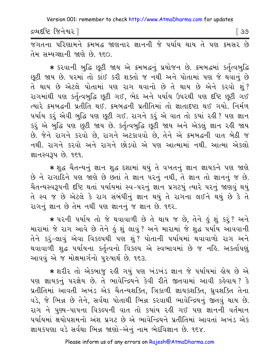દ્રવ્યદષ્ટિ જિનેશ્વર l

। ଓଡ

જગતના પરિશામને ક્રમબદ્ધ જાણનાર જ્ઞાનની જે પર્યાય થાય તે પણ ક્રમસર છે તેમ સમ્યગ્જ્ઞાની જાણે છે. ૧૬૦.

\* કરવાની બુદ્ધિ છૂટી જાય એ ક્રમબદ્ધનું પ્રયોજન છે. ક્રમબદ્ધમાં કર્તૃત્વબુદ્ધિ છૂટી જાય છે. પરમાં તો કાંઈ કરી શક્તો જ નથી અને પોતામાં પણ જે થવાનું છે તે થાય છે એટલે પોતામાં પણ રાગ થવાનો છે તે થાય છે એને કરવો શં? રાગમાંથી પણ કર્તૃત્વબુદ્ધિ છૂટી ગઈ, ભેદ અને પર્યાય ઉપરથી પણ દષ્ટિ છૂટી ગઈ ત્યારે ક્રમબદ્ધની પ્રતીતિ થઈ. ક્રમબદ્ધની પ્રતીતિમાં તો જ્ઞાતાદષ્ટા થઈ ગયો. નિર્મળ પર્યાય કરૂં એવી બુદ્ધિ પણ છૂટી ગઈ. રાગને કરૂં એ વાત તો કયાં રહી ? પણ જ્ઞાન કરું એ બુદ્ધિ પણ છુટી જાય છે. કર્તૃત્વબુદ્ધિ છૂટી જાય અને એકલું જ્ઞાન રહી જાય છે. જેને રાગને કરવો છે, રાગને અટકાવવો છે, તેને એ ક્રમબદ્ધની વાત બેઠી જ નથી. રાગને કરવો અને રાગને છોડવો એ પણ આત્મામાં નથી. આત્મા એકલો જ્ઞાનસ્વરૂપ છે. ૧૬૧.

\* શહ ચૈતન્યનું જ્ઞાન શહ દશામાં થયું તે વખતનું જ્ઞાન જ્ઞાયકને પણ જાણે છે ને રાગાદિને પણ જાણે છે છતાં તે જ્ઞાન પરનું નથી, તે જ્ઞાન તો જ્ઞાનનું જ છે. ચૈતન્યસ્વરૂપની દષ્ટિ થતાં પર્યાયમાં સ્વ-પરનું જ્ઞાન પ્રગટયું ત્યારે પરનું જાણવું થયું તે સ્વ જ છે એટલે કે રાગ સંબંધીનું જ્ઞાન થયું તે રાગના લઈને થયું છે કે તે રાગનું જ્ઞાન છે તેમ નથી પણ જ્ઞાનનું જ જ્ઞાન છે. ૧૬૨.

\* પરની પર્યાય તો જે થવાવાળી છે તે થાય જ છે, તેને હું શું કરૂં? અને મારામાં જે રાગ આવે છે તેને કું શું લાવું ? અને મારામાં જે શુદ્ધ પર્યાય આવવાની તેને કરું–લાવું એવા વિકલ્પથી પણ શું? પોતાની પર્યાયમાં થવાવાળો રાગ અને થવાવાળી શુદ્ધ પર્યાયના કર્તૃત્વનો વિકલ્પ એ સ્વભાવમાં છે જ નહિ. અકર્તાપણું આવવું એ જ મોક્ષમાર્ગનો પુરુષાર્થ છે. ૧૬૩.

\* શરીર તો એકબાજુ રહી ગયું પણ ખંડખંડ જ્ઞાન જે પર્યાયમાં હોય છે એ પણ જ્ઞાયકનું પરજ્ઞેય છે. તે ભાવેન્દ્રિયને કેવી રીતે જીતવામાં આવી કહેવાય? કે પ્રતીતિમાં આવતી અખંડ એક ચૈતન્યશક્તિ, ત્રિકાળી જ્ઞાયકશક્તિ, ધ્રવશક્તિ તેના વડે, જે ભિન્ન છે તેને, સર્વથા પોતાથી ભિન્ન કરવાથી ભાવેન્દ્રિયનું જીતવું થાય છે. રાગ ને પુણ્ય-પાપના વિકલ્પની વાત તો કયાંય રહી ગઈ પણ જ્ઞાનની વર્તમાન પર્યાયમાં ક્ષયોપશમનો અંશ પ્રગટ છે એ ભાવેન્દ્રિયને પ્રતીતિમાં આવતાં અખંડ એક જ્ઞાયકપણા વડે સર્વથા ભિન્ન જાણો-એનું નામ ભેદવિજ્ઞાન છે. ૧૬૪.

Please inform us of any errors on Rajesh@AtmaDharma.com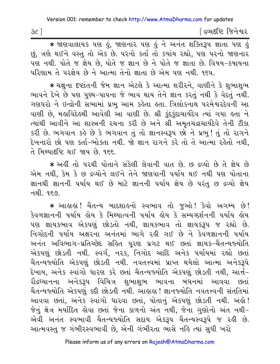|  | ∣ દ્રવ્યદષ્ટિ જિનેશ્વર |  |
|--|------------------------|--|
|  |                        |  |

\* श्रष्टावायाय पड़ा हुं, श्रष्टानार पड़ा हुं ने अनंत शक्तिरूप ज्ञाता पड़ा हुं છું, ત્રણે થઈને વસ્તુ તો એક છે. પરનો કર્તા તો કયાંય રહ્યો, પણ પરનો જાણનાર પણ નથી. પોતે જ જ્ઞેય છે, પોતે જ જ્ઞાન છે ને પોતે જ જ્ઞાતા છે. વિષય-કષાયના પરિણામ તે પરજ્ઞેય છે ને આત્મા તેનો જ્ઞાતા છે એમ પણ નથી. ૧૬૫.

∗ ચક્ષના દષ્ટાંતની જેમ જ્ઞાન એટલે કે આત્મા શરીરને. વાણીને કે શભાશભ ભાવને દેખે છે પણ પુણ્ય-પાપના જે ભાવ થાય તેને જ્ઞાન કરતું નથી કે વેદતું નથી. ગણધરો ને ઇન્દ્રોની સભામાં પ્રભુ આમ કહેતા હતા. ત્રિલોકનાથ પરમેશ્વરદેવની આ વાણી છે, મહાવિદેહથી આવેલી આ વાણી છે. શ્રી કુંદકુંદાચાર્યદેવ ત્યાં ગયા હતા ને ત્યાંથી આવીને આ શાસ્ત્રની રચના કરી છે અને શ્રી અમતચંદ્રાચાર્યદેવે તેની ટીકા કરી છે. ભગવાન કહે છે કે ભગવાન તું તો જ્ઞાનસ્વરૂપ છો ને પ્રભુ! તું તો રાગને દેખનારો છો પણ કર્તા-ભોક્તા નથી. જો જ્ઞાન રાગને કરે તો તે આત્મા રહેતો નથી, તે મિથ્યાદષ્ટિ થઈ જાય છે. ૧૬૬.

\* અહીં તો પરથી પોતાને સંકેલી લેવાની વાત છે. છ દ્રવ્યો છે તે જ્ઞેય છે એમ નથી, કેમ કે છ દ્રવ્યોને લઈને તેને જાણવાની પર્યાય થઈ નથી પણ પોતાના જ્ઞાનથી જ્ઞાનની પર્યાય થઈ છે માટે જ્ઞાનની પર્યાય જ્ઞેય છે પરંતુ છ દ્રવ્યો જ્ઞેય નથી. ૧૬૭.

\* આહાહા ! ચૈતન્ય બાદશાહનો સ્વભાવ તો જુઓ ! કેવો અગમ્ય છે ! કેવળજ્ઞાનની પર્યાય હોય કે મિથ્યાત્વની પર્યાય હોય કે સમ્યગ્દર્શનની પર્યાય હોય પણ જ્ઞાયકભાવ એકપણું છોડતો નથી, જ્ઞાયકભાવ તો જ્ઞાયકરૂપ જ રહ્યો છે. નિગોદની પર્યાય અક્ષરના અનંતમાં ભાગે રહી ગઈ છે ને કેવળજ્ઞાનની પર્યાય અનંત અવિભાગ-પ્રતિચ્છેદ સહિત પૂરણ પ્રગટ થઈ છતાં જ્ઞાયક-ચૈતન્યજ્યોતિ એકપણું છોડતી નથી. સ્વર્ગ, નરક, નિગોદ આદિ અનેક પર્યાયમાં રહ્યો છતાં ચૈતન્યજ્યોતિ એકપણું છોડતી નથી. નવતત્ત્વમાં પ્રાપ્ત થયેલો આત્મા અનેકરૂપે દેખાય, અનેક સ્વાંગો ધારણ કરે છતાં ચૈતન્યજ્યોતિ એકપણું છોડતી નથી, આર્ત− રૌદ્રઘ્યાનના અનેકરૂપ વિચિત્ર શુભાશુભ ભાવના બંધનમાં આવવા છતાં ચૈતન્યજ્યોતિ એકપણું કદી છોડતી નથી. આહાહા ! જ્ઞાનજ્યોતિ નવતત્ત્વની સંતતિમાં આવવા છતાં, અનેક સ્વાંગો ધારવા છતાં, પોતાનું એકપણું છોડતી નથી. અહો! જેનું ક્ષેત્ર મર્યાદિત હોવા છતાં જેના કાળનો અંત નથી, જેના ગુણોનો અંત નથી-એવી અનંત સ્વભાવી ચૈતન્યજ્યોતિ સદાય એકરૂપ ચૈતન્યસ્વરૂપે જ રહી છે. આત્મવસ્તુ જ ગંભીરસ્વભાવી છે, એની ગંભીરતા ભાસે નહિ ત્યાં સુધી ખરો

 $3c$ ]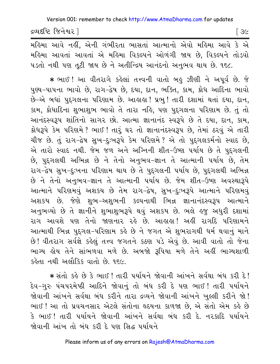| દ્રવ્યદષ્ટિ જિનેશ્વર <sup>ા</sup> |
|-----------------------------------|
|-----------------------------------|

મહિમા આવે નહીં, એની ગંભીરતા ભાસતાં આત્માનો એવો મહિમા આવે કે એ મહિમા આવતાં આવતાં એ મહિમા વિકલ્પને ઓળંગી જાય છે, વિકલ્પને તોડવો ૫ડતો નથી પણ તૂટી જાય છે ને અતીન્દ્રિય આનંદનો અનુભવ થાય છે. ૧૬૮.

\* ભાઈ ! આ વીતરાગે કહેલાં તત્ત્વની વાતો બહુ ઝીણી ને અપૂર્વ છે. જે પુણ્ય-પાપના ભાવો છે, રાગ-દ્વેષ છે, દયા, દાન, ભક્તિ, કામ, ક્રોધ આદિના ભાવો છે-એ બધાં પુદ્દગલના પરિણામ છે. આહાહા ! પ્રભુ ! તારી દશામાં થતાં દયા, દાન, કામ, ક્રોધાદિના શુભાશુભ ભાવો તે તારા નહિ, પણ પુદ્ગલના પરિણામ છે. તું તો આનંદસ્વરૂપ શાંતિનો સાગર છો. આત્મા જ્ઞાનાનંદ સ્વરૂપે છે તે દયા, દાન, કામ, ક્રોધરૂપે કેમ પરિણમે? ભાઈ! તારૂ ઘર તો જ્ઞાનાનંદસ્વરૂપ છે, તેમાં ઠરવું એ તારી ચીજ છે. તું રાગ-દ્વેષ સુખ-દુઃખરૂપે કેમ પરિણમે ? એ તો પુદ્દગલકર્મનો સ્વાદ છે, એ તારો સ્વાદ નથી. જેમ જળ અને અગ્નિની શીત-ઉષ્ણ પર્યાય છે તે પુદ્દગલની છે, પુદ્દગલથી અભિન્ન છે ને તેનો અનુભવ-જ્ઞાન તે આત્માની પર્યાય છે, તેમ રાગ-દ્વેષ સુખ-દુઃખના પરિણામ થાય છે તે પુદ્દગલની પર્યાય છે, પુદ્દગલથી અભિન્ન છે ને તેનો અનુભવ-જ્ઞાન તે આત્માની પર્યાય છે. જેમ શીત-ઉષ્ણ અવસ્થારૂપે આત્માને પરિણમવું અશકય છે તેમ રાગ-દ્વેષ, સુખ-દુ:ખરૂપે આત્માને પરિણમવું અશકય છે. જેણે શુભ–અશુભની કલ્પનાથી ભિન્ન જ્ઞાનાનંદસ્વરૂપ આત્માને અનુભવ્યો છે તે જ્ઞાનીને શુભાશુભરૂપે થવું અશકય છે. ભલે હજુ અધુરી દશામાં રાગ આવશે પણ તેનો જાણનાર રહે છે. આહાહા! અહીં રાગદિ પરિણામને આત્માથી ભિન્ન પુદ્દગલ-પરિણામ કહે છે ને જગત એ શુભરાગથી ધર્મ થવાનું માને છે! વીતરાગ સર્વજ્ઞે કહેલું તત્ત્વ જગતને કઠણ પડે એવું છે. આવી વાતો તો જેના ભાગ્ય હોય તેને સાંભળવા મળે છે. અબજો રૂપિયા મળે તેને અહીં ભાગ્યશાળી કહેતા નથી અલૌકિક વાતો છે. ૧૬૯.

\* સંતો કહે છે કે ભાઈ ! તારી પર્યાયને જોવાની આંખને સર્વથા બંધ કરી દે ! દેવ−ગુરુ પંચપરમેષ્ઠી આદિને જોવાનું તો બંધ કરી દે પણ ભાઈ ! તારી પર્યાયને જોવાની આંખને સર્વથા બંધ કરીને તારા દ્રવ્યને જોવાની આંખને ખુલ્લી કરીને જો! ભાઈ! આ તો પ્રવચનસાર એટલે સંતોના હૃદયના કાળજા છે, એ સંતો એમ કહે છે કે ભાઈ! તારી પર્યાયને જોવાની આંખને સર્વથા બંધ કરી દે. નરકાદિ પર્યાયને જોવાની આંખ તો બંધ કરી દે પણ સિદ્ધ પર્યાયને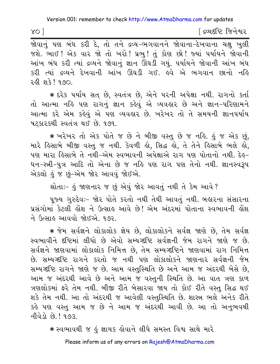.<br>જોવાનું પણ બંધ કરી દે, તો તને દ્રવ્ય-ભગવાનને જોવાના-દેખવાના ચક્ષુ ખુલી જશે. ભાઈ! એક વાર જો તો ખરો! પ્રભ! તું કોણ છો! જ્યાં ૫ર્યાયને જોવાની આંખ બંધ કરી ત્યાં દ્રવ્યને જોવાનું જ્ઞાન ઊઘડી ગયું. પર્યાયને જોવાની આંખ બંધ કરી ત્યાં દ્રવ્યને દેખવાની આંખ ઊઘડી ગઈ. હવે એ ભગવાન છાનો નહિ રહી શકે! ૧૭૦.

\* દરેક પર્યાય સત છે, સ્વતંત્ર છે, એને પરની અપેક્ષા નથી. રાગનો કર્તા તો આત્મા નહિ પણ રાગનું જ્ઞાન કહેવું એ વ્યવહાર છે અને જ્ઞાન-પરિણામને આત્મા કરે એમ કહેવું એ પણ વ્યવહાર છે. ખરેખર તો તે સમયની જ્ઞાનપર્યાય પટકારકથી સ્વતંત્ર થઈ છે. ૧૭૧.

\* ખરેખર તો એક પોતે જ છે ને બીજી વસ્ત છે જ નહિ. હું જ એક છું. મારે હિસાબે બીજી વસ્તુ જ નથી. કેવળી હો, સિદ્ધ હો, તે તેને હિસાબે ભલે હો, પણ મારા હિસાબે તે નથી-એમ સ્વભાવની અપેક્ષાએ રાગ પણ પોતાનો નથી. દેહ-ધન-સ્ત્રી-પુત્ર આદિ તો એના છે જ નહિ પણ રાગ પણ તેનો નથી. જ્ઞાનસ્વરૂપ એકલો હું જ છું–એમ જોર આવવું જોઈએ.

શ્રોતાઃ- હું જાણનાર જ છું એવું જોર આવતું નથી તે કેમ આવે ?

પુજ્ય ગુરુદેવઃ- જોર પોતે કરતો નથી તેથી આવતું નથી. બહારના સંસારના પ્રસંગોમાં કેટલી લોશ ને ઉત્સાલ આવે છે! એમ અંદરમાં પોતાના સ્વભાવની લોશ ને ઉત્સાહ આવવો જોઈએ. ૧૭૨.

\* જેમ સર્વજ્ઞને લોકાલોક જ્ઞેય છે, લોકાલોકને સર્વજ્ઞ જાણે છે, તેમ સર્વજ્ઞ સ્વભાવીને દૃષ્ટિમાં લીધો છે એવો સમ્યગ્દૃષ્ટિ સર્વજ્ઞની જેમ રાગને જાણે જ છે. સર્વજ્ઞને જાણવામાં લોકાલોક નિમિત્ત છે, તેમ સમ્યગ્દષ્ટિને જાણવામાં રાગ નિમિત્ત છે. સમ્યગ્દષ્ટિ રાગને કરતો જ નથી પણ લોકાલોકને જાણનાર સર્વજ્ઞની જેમ સમ્યગ્દષ્ટિ રાગને જાણે જ છે. આમ વસ્તસ્થિતિ છે અને આમ જ અંદરથી બેસે છે. આમ જ અંદરથી આવે છે અને આમ જ વસ્તુની સ્થિતિ છે. આ વાત ત્રણ કાળ ત્રણલોકમાં ફરે તેમ નથી. બીજી રીતે બેસારવા જાય તો કોઈ રીતે વસ્તુ સિદ્ધ થઈ શકે તેમ નથી. આ તો અંદરથી જ આવેલી વસ્તુસ્થિતિ છે. શાસ્ત્ર ભલે અનેક રીતે કહે પણ વસ્તુ આમ જ છે ને આમ જ અંદરથી આવી છે. આ તો અનુભવથી नीवेडो छे । १७३

\* સ્વભાવથી જ હું જ્ઞાયક હોવાને લીધે સમસ્ત વિશ્વ સાથે મારે

Please inform us of any errors on Rajesh@AtmaDharma.com

 $XO$ ]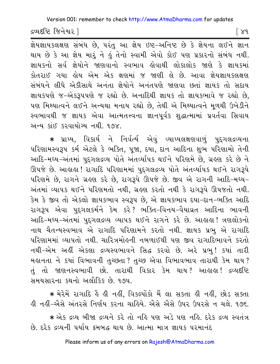Version 001: remember to check http://www.AtmaDharma.com for updates

દ્રવ્યદષ્ટિ જિનેશ્વર l

િ ૪૧

જ્ઞેયજ્ઞાયકલક્ષણ સંબંધ છે, પરંતુ આ જ્ઞેય ઇષ્ટ-અનિષ્ટ છે કે જ્ઞેયના લઈને જ્ઞાન થાય છે કે આ જ્ઞેય મારૂં ને હું તેનો સ્વામી એવો કોઈ પણ પ્રકારનો સંબંધ નથી. જ્ઞાયકનો સર્વ જ્ઞેયોને જાણવાનો સ્વભાવ લેવાથી લોકાલોક જાણે કે જ્ઞાયકમાં કોતરાઈ ગયા હોય એમ એક ક્ષણમાં જ જાણી લે છે. આવા જ્ઞેયજ્ઞાયકલક્ષણ સંબંધને લીધે એકીસાથે અનંતા જ્ઞેયોને અનંતપણે જાણવા છતાં જ્ઞાયક તો સદાય જ્ઞાયકપણે જ-એકરૂપપણે જ રહ્યો છે. અનાદિથી જ્ઞાયક તો જ્ઞાયકભાવે જ રહ્યો છે, પણ મિથ્યાત્વને લઈને અન્યથા મનાય રહ્યો છે, તેથી એ મિથ્યાત્વને મૂળથી ઉખેડીને સ્વભાવથી જ જ્ઞાયક એવા આત્મતત્ત્વના જ્ઞાનપૂર્વક શદ્ધાત્મામાં પ્રવર્તવા સિવાય અન્ય કાંઈ કરવાયોગ્ય નથી ૧૭૪

\* પ્રાપ્ય, વિકાર્ય ને નિર્વર્ત્ય એવું વ્યાપ્યલક્ષણવાળું પુદ્ગલદ્રવ્યના પરિણામસ્વરૂપ કર્મ એટલે કે ભક્તિ, પૂજા, દયા, દાન આદિના શુભ પરિણામો તેની આદિ-મધ્ય-અંતમાં પુદ્દગલદ્રવ્ય પોતે અંતર્વ્યાપક થઈને પરિણમે છે, ગ્રહણ કરે છે ને ઊપજે છે. આહાહા ! રાગાદિ પરિણામમાં પુદ્ગલદ્રવ્ય પોતે અંતર્વ્યાપક થઈને રાગરૂપે પરિણમે છે, રાગને ગ્રહણ કરે છે, રાગરૂપે ઊપજે છે. જીવ એ રાગની આદિ-મધ્ય-અંતમાં વ્યાપક થઈને પરિણમતો નથી, ગ્રહણ કરતો નથી કે રાગરૂપે ઊપજતો નથી. કેમ કે જીવ તો એકલો જ્ઞાયકભાવ સ્વરૂપ છે, એ જ્ઞાયકભાવ દયા-દાન-ભક્તિ આદિ રાગરૂપ એવા પુદ્દગલકર્મને કેમ કરે? ભક્તિ-વિનય-વૈયાવ્રત આદિના ભાવની આદિ-મધ્ય-અંતમાં પુદ્દગલદ્રવ્ય વ્યાપક થઈને રાગને કરે છે. આહાહા! ત્રણલોકનો નાથ ચૈતન્યસ્વભાવ એ રાગાદિ પરિણામને કરતો નથી. જ્ઞાયક પ્રભુ એ રાગાદિ પરિણામમાં વ્યાપતો નથી. ચારિત્રમોઙ્ની નબળાઈથી પણ જીવ રાગાદિભાવને કરતો નથી-એમ અહીં એકલા દ્રવ્યસ્વભાવને સિદ્ધ કરવો છે. અરે પ્રભુ! કયાં તારી મહાનતા ને કયાં વિભાવની તુચ્છતા ? તુચ્છ એવા વિભાવભાવ તારાથી કેમ થાય ? તું તો જાણનસ્વભાવી છો. તારાથી વિકાર કેમ થાય? આહાહા! દ્રવ્યદષ્ટિ સમયસારના કથનો અલૌકિક છે. ૧૭૫.

\* મેરેમેં રાગાદિ કે ક્રી નક્ષીં, વિકલ્પોંકો મૈં લા સકતા ક્રી નક્ષીં, છોડ સક્તા કી નહીં-એસે અંતરસે નિર્ણય કરના ચાહિયે. એસે એસે ઉપર ઉપરસે ન ચલે. ૧૭૬. \* એક દ્રવ્ય બીજા દ્રવ્યને કરે તો નહિ પણ અડે પણ નહિ. દરેક દ્રવ્ય સ્વતંત્ર છે. દરેક દ્રવ્યની પર્યાય ક્રમબદ્ધ થાય છે. આત્મા માત્ર જ્ઞાયક પરમાનંદ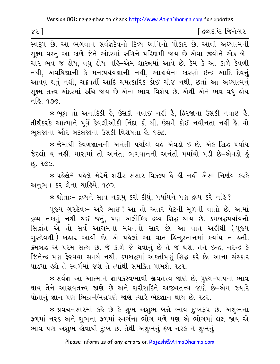<u>ડિ</u>લ્પદષ્ટિ જિનેશ્વર

સક્ષ્મ વસ્તુ આ કાળે જેને અંદરમાં રુચિને પરિણમી જાય છે એવા જીવોને એક-બે-ચાર ભવ જ હોય, વધુ હોય નહિ-એમ શાસ્ત્રમાં આવે છે. કેમ કે આ કાળે કેવળી નથી, અવધિજ્ઞાની કે મનઃપર્યયજ્ઞાની નથી, આશ્ચર્યના કારણો ઇન્દ્ર આદિ દેવનું આવવું થતું નથી, ચક્રવર્તી આદિ ચમત્કારિક કોઈ ચીજ નથી, છતાં આ અધ્યાત્મનું સૂક્ષ્મ તત્ત્વ અંદરમાં રુચિ જાય છે એના ભાવ વિશેષ છે. એથી એને ભવ વધુ લોય न.हि. १७७.

\* ભૂલ તો અનાદિકી કે, ઉસકી નવાઈ નહીં કે, ફિરજાના ઉસકી નવાઈ કે. તીર્થંકરકે આત્માને પૂર્વે કેવલીઓંકી નિંદા કી થી. ઉસમેં કોઈ નવીનતા નહીં હૈ. વો ભલજાના ઔર બદલજાના ઉસકી વિશેષતા હૈ. ૧૭૮.

★ જેમાંથી કેવળજ્ઞાનની અનંતી પર્યાયો વહે એવડો ઇ છે. એક સિદ્ધ પર્યાય જેટલો ય નહીં. મારામાં તો અનંતા ભગવાનની અનંતી પર્યાયો ૫ડી છે-એવડો હું છું. ૧૭૯.

\* પહેલેમેં પહેલે મેરેમેં શરીર-સંસાર-વિકલ્પ હૈ હી નહીં ઐસા નિર્ણય કરકે અનભવ કર લેના ચાહિયે. ૧૮૦.

\* શ્રોતાઃ- દ્રવ્યને સાવ નકામુ કરી દીધું, પર્યાયને પણ દ્રવ્ય કરે નહિ?

પુજ્ય ગુરુદેવઃ- અરે ભાઈ! આ તો અંતર પેટની મૂળની વાતો છે. આમાં દ્રવ્ય નકામું નથી થઈ જતું, પણ અલૌકિક દ્રવ્ય સિદ્ધ થાય છે. ક્રમબદ્ધપર્યાયનો સિદ્ધાંત એ તો સર્વ આગમના મંથનનો સાર છે. આ વાત અહીંથી (પૂજ્ય ગુરુદેવથી ) બહાર આવી છે. એ પહેલાં આ વાત હિન્દુસ્તાનમાં કયાંય ન હતી. ક્રમબદ્ધ એ પરમ સત્ય છે. જે કાળે જે થવાનું છે તે જ થશે. તેને ઇન્દ્ર, નરેન્દ્ર કે જિનેન્દ્ર પણ ફેરવવા સમર્થ નથી. ક્રમબદ્ધમાં અકર્તાપણું સિદ્ધ કરે છે. આના સંસ્કાર પાડયા હશે તે સ્વર્ગમાં જશે તે ત્યાંથી સમકિત પામશે. ૧૮૧.

\* સર્વજ્ઞ આ આત્માને જ્ઞાયકસ્વભાવી જીવતત્ત્વ જાણે છે, પુણ્ય-પાપના ભાવ થાય તેને આસ્રવતત્ત્વ જાણે છે અને શરીરાદિને અજીવતત્ત્વ જાણે છે–એમ જ્યારે પોતાનું જ્ઞાન પણ ભિન્ન-ભિન્નપણે જાણે ત્યારે ભેદજ્ઞાન થાય છે. ૧૮૨.

∗ પ્રવચનસારમાં કહે છે કે શભ−અશભ બન્ને ભાવ દઃખરૂપ છે. અશભના ફળમાં ન૨ક અને શુભના ફળમાં સ્વર્ગના ભોગ મળે પણ એ ભોગમાં લક્ષ જાય એ ભાવ પણ અશુભ હોવાથી દુઃખ છે. તેથી અશુભનું ફળ નરક ને શુભનું

Please inform us of any errors on Rajesh@AtmaDharma.com

 $85$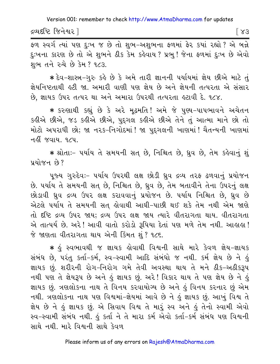દ્રવ્યદષ્ટિ જિનેશ્વર l

 $| \lambda$ 3

ફળ સ્વર્ગ ત્યાં પણ દુઃખ જ છે તો શુભ-અશુભના ફળમાં ફેર કયાં રહ્યો ? એ બન્ને દઃખના કારણ છે તો એ શભને ઠીક કેમ કહેવાય? પ્રભ! જેના ફળમાં દઃખ છે એવો શભ તને રુચે છે કેમ? ૧૮૩.

\* દેવ-શાસ્ત્ર-ગુરુ કહે છે કે અમે તારી જ્ઞાનની પર્યાયમાં જ્ઞેય છીએ માટે તું જ્ઞેયનિષ્ટતાથી હટી જા. અમારી વાણી પણ જ્ઞેય છે અને જ્ઞેયની તત્પરતા એ સંસાર છે, જ્ઞાયક ઉપર તત્પર થા અને અમારા ઉપરથી તત્પરતા હટાવી દે. ૧૮૪.

∗ કરુણાથી કહ્યું છે કે અરે મૃઢમતિ! અમે જે પુણ્ય−પાપભાવને અચેતન કહીએ છીએ, જડ કહીએ છીએ, પદગલ કહીએ છીએ તેને તું આત્મા માને છો તો મોટો અપરાધી છો; જા નરક-નિગોદમાં! જા પુદ્ગલની ખાણમાં! ચૈતન્યની ખાણમાં નહીં જવાય. ૧૮૫.

\* શ્રોતાઃ- પર્યાય તે સમયની સત છે, નિશ્ચિત છે, ધ્રુવ છે, તેમ કહેવાનું શું પ્રયોજન છે?

પૂજ્ય ગુરુદેવઃ- ૫ર્યાય ઉપરથી લક્ષ છોડી ધ્રુવ દ્રવ્ય તરફ ઢળવાનું પ્રયોજન છે. પર્યાય તે સમયની સત છે, નિશ્ચિત છે, ધ્રુવ છે, તેમ બતાવીને તેના ઉપરનું લક્ષ છોડાવી ઘ્રુવ દ્રવ્ય ઉપર લક્ષ કરાવવાનું પ્રયોજન છે. ૫ર્યાય નિશ્ચિત છે, ઘ્રુવ છે એટલે પર્યાય તે સમયની સત્ હોવાથી આઘી-પાછી થઈ શકે તેમ નથી એમ જાણે તો દૃષ્ટિ દ્રવ્ય ઉપર જાય; દ્રવ્ય ઉપર લક્ષ જાય ત્યારે વીતરાગતા થાય. વીતરાગતા એ તાત્પર્ય છે. અરે! આવી વાતો કરોડો રૂપિયા દેતાં પણ મળે તેમ નથી. આહાહા! જે જાણતા વીતરાગતા થાય એની કિંમત શું ? ૧૮૬.

∗ કું સ્વભાવથી જ જ્ઞાયક કોવાથી વિશ્વની સાથે મારે કેવળ જ્ઞેય-જ્ઞાયક સંબંધ છે, પરંતુ કર્તા-કર્મ, સ્વ-સ્વામી આદિ સંબંધો જ નથી. કર્મ જ્ઞેય છે ને હું જ્ઞાયક છું. શરીરની રોગ-નિરોગ ગમે તેવી અવસ્થા થાય તે મને ઠીક-અઠીકરૂપ નથી પણ તે જ્ઞેયરૂપ છે અને હું જ્ઞાયક છું. અરે! વિકાર થાય તે પણ જ્ઞેય છે ને હું જ્ઞાયક છું. ત્રણલોકના નાથ તે વિનય કરવાયોગ્ય છે અને હું વિનય કરનાર છું એમ નથી. ત્રણલોકના નાથ પણ વિશ્વમાં-જ્ઞેયમાં આવે છે ને હું જ્ઞાયક છું. આખું વિશ્વ તે જ્ઞેય છે ને હું જ્ઞાયક છું. એ સિવાય વિશ્વ તે મારું સ્વ અને હું તેનો સ્વામી એવો સ્વ-સ્વામી સંબંધ નથી. હું કર્તા ને તે મારા કર્મ એવો કર્તા-કર્મ સંબંધ પણ વિશ્વની સાથે નથી. મારે વિશ્વની સાથે કેવળ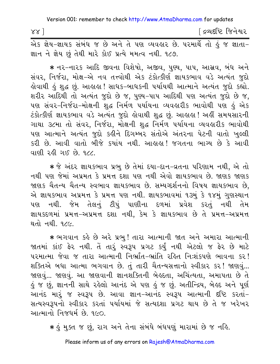| $88$ ] |                                                                            |  |  |  |  |  |  | ∫ દ્રવ્યદષ્ટિ જિનેશ્વર |
|--------|----------------------------------------------------------------------------|--|--|--|--|--|--|------------------------|
|        | એક જ્ઞેય-જ્ઞાયક સંબંધ જ છે અને તે પણ વ્યવહાર છે. પરમાર્થે તો હું જ જ્ઞાતા- |  |  |  |  |  |  |                        |

જ્ઞાન ને જ્ઞેય છું તેથી મારે કોઈ પ્રત્યે મમત્વ નથી. ૧૮૭.

★ નર−નારક આદિ જીવના વિશેષો, અજીવ, પુણ્ય, પાપ, આસ્રવ, બંધ અને સંવર, નિર્જરા, મોક્ષ-એ નવ તત્ત્વોથી એક ટંકોત્કીર્ણ જ્ઞાયકભાવ વડે અત્યંત જુદો હોવાથી હું શુદ્ધ છું. આહાહા ! સાધક-બાધકની પર્યાયથી આત્માને અત્યંત જુદો કહ્યો. શરીર આદિથી તો અત્યંત જુદો છે જ, પુણ્ય-પાપ આદિથી પણ અત્યંત જુદો છે જ, પણ સંવર-નિર્જરા-મોક્ષની શુદ્ધ નિર્મળ પર્યાયના વ્યવહારીક ભાવોથી પણ હું એક ટંકોત્કીર્ણ જ્ઞાયકભાવ વડે અત્યંત જુદો હોવાથી શુદ્ધ છું. આહાહા! અહીં સમયસારની ગાથા ૩૮મા તો સંવર, નિર્જરા, મોક્ષની શુદ્ધ નિર્મળ પર્યાયના વ્યવહારીક ભાવોથી પણ આત્માને અત્યંત જુદો કહીને દિગમ્બર સંતોએ અંતરના પેટની વાતો ખુલ્લી કરી છે. આવી વાતો બીજે કયાંય નથી. આહાહા! જગતના ભાગ્ય છે કે આવી વાણી રહી ગઈ છે. ૧૮૮.

\* જે અંદર જ્ઞાયકભાવ પ્રભુ છે તેમાં દયા-દાન-વ્રતના પરિણામ નથી, એ તો નથી પણ જેમાં અપ્રમત કે પ્રમત્ત દશા પણ નથી એવો જ્ઞાયકભાવ છે. જાણક જાણક જાણક ચૈતન્ય ચૈતન્ય સ્વભાવ જ્ઞાયકભાવ છે. સમ્યગ્દર્શનનો વિષય જ્ઞાયકભાવ છે, એ જ્ઞાયકભાવ અપ્રમત્ત કે પ્રમત્ત પણ નથી. જ્ઞાયકભાવમાં ૧૩મું કે ૧૪મું ગુણસ્થાન પણ નથી. જેમ તેલનું ટીપું પાણીના દળમાં પ્રવેશ કરતું નથી તેમ જ્ઞાયકદળમાં પ્રમત્ત-અપ્રમત્ત દશા નથી, કેમ કે જ્ઞાયકભાવ છે તે પ્રમત્ત-અપ્રમત્ત થતો નથી. ૧૮૯.

\* ભગવાન કહે છે અરે પ્રભુ! તારા આત્માની જાત અને અમારા આત્માની જાતમાં કાંઈ ફેર નથી. તેં તારું સ્વરૂપ પ્રગટ કર્યું નથી એટલો જ ફેર છે માટે પરમાત્મા જેવા જ તારા આત્માની નિર્ભ્રાત-ભ્રાંતિ રહિત નિઃશંકપણે ભાવના કર! શક્તિએ બધા આત્મા ભગવાન છે. તું તારી ચૈતન્યસત્તાનો સ્વીકાર કર! જાણવું... જાણવું... જાણવું. આ જાણવાની જ્ઞાનશક્તિની બેલ્કતા, અચિંત્યતા, અમાપતા છે તે હું જ છું, જ્ઞાનની સાથે રહેલો આનંદ એ પણ હું જ છું. અતીન્દ્રિય, બેહ્દ અને પૂર્ણ આનંદ મારૂં જ સ્વરૂપ છે. આવા જ્ઞાન-આનંદ સ્વરૂપ આત્માની દષ્ટિ કરતાં-સત્યસ્વરૂપનો સ્વીકાર કરતાં પર્યાયમાં જે સત્યદશા પ્રગટ થાય છે તે જ ખરેખર આત્માનો નિજધર્મ છે. ૧૯૦.

∗ હું મુક્ત જ છું, રાગ અને તેના સંબંધે બંધપણું મારામાં છે જ નહિ.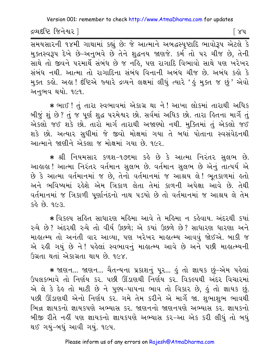દ્રવ્યદષ્ટિ જિનેશ્વર l

િ ૪૫

મુક્તસ્વરૂપ દેખે છે-અનુભવે છે તેને શદ્ધનય જાણજે. કર્મ તો પર ચીજ છે, તેની સાથે તો જીવને પરમાર્થે સંબંધ છે જ નહિ, પણ રાગાદિ વિભાવો સાથે પણ ખરેખર સંબંધ નથી. આત્મા તો રાગાદિના સંબંધ વિનાની અબંધ ચીજ છે. અબંધ કહો કે મુક્ત કહો. અહા !દંષ્ટિએ જ્યારે દ્રવ્યને લક્ષમાં લીધું ત્યારે 'હું મુક્ત જ છું' એવો અનભવ થયો. ૧૯૧.

\* ભાઈ ! તું તારા સ્વભાવમાં એકાગ્ર થા ને ! આખા લોકમાં તારાથી અધિક બીજું શું છે? તું જ પૂર્ણ શુદ્ધ પરમેશ્વર છો. સર્વમાં અધિક છો. તારા હ્રિતના માર્ગે તું એકલો જઈ શકે છો. તારો માર્ગ તારાથી અજાણ્યો નથી. મુક્તિમાં તું એકલો જઈ શકે છો. અત્યાર સુધીમાં જે જીવો મોક્ષમાં ગયા તે બધાં પોતાના સ્વસંવેદનથી આત્માને જાણીને એકલા જ મોક્ષમાં ગયા છે. ૧૯૨.

\* શ્રી નિયમસાર કળશ-૧૭૬મા કહે છે કે આત્મા નિરંતર સુલભ છે. આહાહા! આત્મા નિરંતર વર્તમાન સુલભ છે. વર્તમાન સુલભ છે એનું તાત્પર્ય એ છે કે આત્મા વર્તમાનમાં જ છે, તેનો વર્તમાનમાં જ આશ્રય લે! ભૂતકાળમાં હતો અને ભવિષ્યમાં રહેશે એમ ત્રિકાળ લેતા તેમાં કાળની અપેક્ષા આવે છે. તેથી વર્તમાનમાં જ ત્રિકાળી પૂર્ણાનંદનો નાથ ૫ડયો છે તો વર્તમાનમાં જ આશ્રય લે તેમ  $5.99$   $96$   $88$ 

\* વિકલ્પ સહિત સાધારણ મહિમા આવે તે મહિમા ન કહેવાય. અંદરથી કયાં રુચે છે? અંદરથી રુચે તો વીર્ય ઉછળે; એ કયાં ઉછળે છે? સાધારણ ધારણા અને માહાત્મ્ય તો અનંતી વાર આવ્યા, પણ ખરેખર માહાત્મ્ય આવવું જોઈએ. બાકી જ એ રહી ગયું છે ને! પહેલાં સ્વભાવનું માહાત્મ્ય આવે છે અને પછી માહાત્મ્યની ઉગ્રતા થતાં એકાગ્રતા થાય છે. ૧૯૪.

★ જાણન... જાણન... ચૈતન્યના પ્રકાશનું પૂર... હું તો જ્ઞાયક છું-એમ પહેલાં ઉપલકભાવે તો નિર્ણય કર. પછી ઊંડાણથી નિર્ણય કર. વિકલ્પથી અંદર વિચારમાં એ લે કે દેહ તો માટી છે ને પુણ્ય-પાપના ભાવ તો વિકાર છે, હું તો જ્ઞાયક છું. પછી ઊંડાણથી એનો નિર્ણય કર. ગમે તેમ કરીને એ માર્ગે જા. શુભાશુભ ભાવથી ભિન્ન જ્ઞાયકનો જ્ઞાયકપણે અભ્યાસ કર. જાણનનો જાણનપણે અભ્યાસ કર. જ્ઞાયકનો બીજી રીતે નહીં પણ જ્ઞાયકનો જ્ઞાયકપણે અભ્યાસ કર-આ એક કરી લીધું તો બધું થઈ ગયું-બધું આવી ગયું. ૧૯૫.

Please inform us of any errors on Rajesh@AtmaDharma.com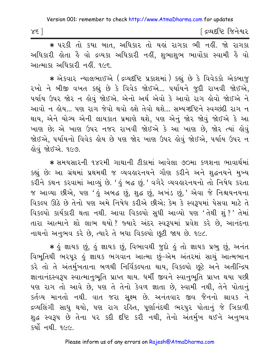| $X\xi$ | દ્રવ્યદષ્ટિ જિનેશ્વર |  |
|--------|----------------------|--|
|        |                      |  |

\* પરકી તો કયા બાત, અધિકાર તો યહાં રાગકા ભી નહીં. જો રાગકા અધિકારી હોતા હૈ વો દ્રવ્યકા અધિકારી નહીં. શભાશભ ભાવોંકા સ્વામી હૈ વો આત્માકા અધિકારી નહીં. ૧૯૬.

\* એકવાર ન્યાલભાઈએ (દ્રવ્યદષ્ટિ પ્રકાશમાં) કહ્યું છે કે વિવેકકો એકબાજુ રખો ને બીજી વખત કહ્યું છે કે વિવેક જોઈએ... પર્યાયને જુદી રાખવી જોઈએ, પર્યાય ઉપર જોર ન હોવું જોઈએ. એનો અર્થ એવો કે આવો રાગ હોવો જોઈએ ને આવો ન લોય... પણ રાગ જેવો થવો હશે તેવો થશે... સમ્યગ્દષ્ટિને સ્વચ્છંદી રાગ ન થાય, એને યોગ્ય એની લાયકાત પ્રમાણે થશે. પણ એનું જોર જોવું જોઈએ કે આ ખાણ છે; એ ખાણ ઉપર નજર રાખવી જોઈએ કે આ ખાણ છે, જોર ત્યાં હોવું જોઈએ, પર્યાયનો વિવેક હોય છે પણ જોર ખાણ ઉપર હોવું જોઈએ, પર્યાય ઉપર ન લોવું જોઈએ. ૧૯૭.

\* સમયસારની ૧૪૨મી ગાથાની ટીકામાં આવેલા ૭૦મા કળશના ભાવાર્થમાં કહ્યું છે: આ ગ્રંથમાં પ્રથમથી જ વ્યવહારનયને ગૌણ કરીને અને શુદ્ધનયને મુખ્ય કરીને કથન કરવામાં આવ્યું છે. ' હું બદ્ધ છું.' વગેરે વ્યવહારનયનો તો નિષેધ કરતા જ આવ્યા છીએ, પણ 'હું અબદ્ધ છું, શુદ્ધ છું, અખંડ છું,' એવા જે નિશ્ચયનયના વિકલ્પ ઊઠે છે તેનો પણ અમે નિષેધ કરીએ છીએ; કેમ કે સ્વરૂપમાં પેસવા માટે તે વિકલ્પો કાર્યકારી થતા નથી. આવા વિકલ્પો સુધી આવ્યો પણ 'તેથી શું ?' તેમાં તારા આત્માને શો લાભ થયો? જ્યારે અંદર સ્વરૂપમાં પ્રવેશ કરે છે. આનંદના નાથનો અનુભવ કરે છે, ત્યારે તે બધા વિકલ્પો છૂટી જાય છે. ૧૯૮.

\* કું જ્ઞાયક છું, કું જ્ઞાયક છું, વિભાવથી જુદો કું તો જ્ઞાયક પ્રભુ છું, અનંત વિભૂતિથી ભરપૂર કું જ્ઞાયક ભગવાન આત્મા છું-એમ અંતરમાં સાચું આત્મભાન કરે તો તે અંતર્મુખતાના બળથી નિર્વિકલ્પતા થાય, વિકલ્પો છૂટે અને અતીન્દ્રિય જ્ઞાનાનંદસ્વરૂપ સ્વાત્માનુભૂતિ પ્રાપ્ત થાય. ધર્મી જીવને સ્વાનુભૂતિ પ્રાપ્ત થયા પછી પણ રાગ તો આવે છે, પણ તે તેનો કેવળ જ્ઞાતા છે, સ્વામી નથી, તેને પોતાનું કર્તવ્ય માનતો નથી. વાત જરા સૂક્ષ્મ છે. અનંતવાર જીવ જૈનનો શ્રાવક ને દ્રવ્યલિંગી સાધુ થયો, પણ રાગ રહિત, પૂર્ણાનંદથી ભરપુર પોતાનું જે ત્રિકાળી શુદ્ધ સ્વરૂપ છે તેના ૫૨ કદી દષ્ટિ કરી નથી, તેનો અંતર્મુખ થઈને અનુભવ કર્યો નથી. ૧૯૯.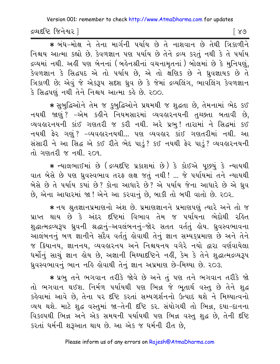દ્રવ્યદષ્ટિ જિનેશ્વર ી

[ ୪७

\* બંધ-મોક્ષ ને તેના માર્ગની પર્યાય છે તે નાશવાન છે તેથી ત્રિકાળીને નિશ્ચય આત્મા કહ્યો છે. કેવળજ્ઞાન પણ પર્યાય છે તેને દ્રવ્ય કરતું નથી કે તે પર્યાય દ્રવ્યમાં નથી. અહીં પણ બેનનાં (બહેનશ્રીનાં વચનામૃતનાં ) બોલમાં છે કે મુનિપણું, .<br>કેવળજ્ઞાન કે સિદ્ધપદ એ તો પર્યાય છે, એ તો ક્ષણિક છે ને ધ્રુવજ્ઞાયક છે તે ત્રિકાળી છે; એવું જે એકરૂપ સદશ ધ્રુવ છે કે જેમાં દ્રવ્યલિંગ, ભાવલિંગ કેવળજ્ઞાન કે સિદ્ધપણું નથી તેને નિશ્ચય આત્મા કહે છે. ૨૦૦.

∗ સુબુદ્ધિઓને તેમ જ કુબુદ્ધિઓને પ્રથમથી જ શુદ્ધતા છે, તેમનામાં ભેદ કઈ નયથી જાણું? –એમ કહીને નિયમસારમાં વ્યવહારનયની તુચ્છતા બતાવી છે, વ્યવહારનયની કાંઈ ગણતરી જ કરી નથી. અરે પ્રભુ! તારામાં ને સિદ્ધમાં કઈ નયથી ફેર ગણું? –વ્યવહારનયથી... પણ વ્યવહાર કાંઈ ગણતરીમાં નથી. આ સંસારી ને આ સિદ્ધ એ કઈ રીતે ભેદ પાડું? કઈ નયથી ફેર પાડું? વ્યવહારનયની તો ગણતરી જ નથી. ૨૦૧.

\* ન્યાલભાઈમાં છે (દ્રવ્યદષ્ટિ પ્રકાશમાં છે) કે કોઈએ પૂછ્યું કે ન્યાયથી વાત બેસે છે પણ ઘ્રુવસ્વભાવ તરફ લક્ષ જતું નથી ! ... જે પર્યાયમાં તને ન્યાયથી બેસે છે તે પર્યાય કયાં છે? કોના આધારે છે? એ પર્યાય જેના આધારે છે એ ઘ્રુવ છે, એના આધારમાં જા ! એને આ કરવાનું છે, બાકી તો બધી વાતો છે. ૨૦૨.

\* નય શ્રુતજ્ઞાનપ્રમાણનો અંશ છે. પ્રમાણજ્ઞાનને પ્રમાણપણું ત્યારે અને તો જ પ્રાપ્ત થાય છે કે અંદર દષ્ટિમાં વિભાવ તેમ જ પર્યાયના ભેદોથી રહિત શુદ્ધાત્મદ્રવ્યરૂપ ધ્રુવની શ્રદ્ધાનું-અવલંબનનું-જોર સતત વર્તતું હોય. ધ્રુવસ્વભાવના આલંબનનું બળ જ્ઞાનીને સદૈવ વર્તતું હોવાથી તેનું જ્ઞાન સમ્યક્પ્રમાણ છે અને તેને જ કિયાનય, જ્ઞાનનય, વ્યવહારનય અને નિશ્ચયનય વગેરે નયો દ્વારા વર્ણવાયેલા ધર્મોનું સાચું જ્ઞાન હોય છે, અજ્ઞાની મિથ્યાદષ્ટિને નહીં, કેમ કે તેને શુદ્ધાત્મદ્રવ્યરૂપ ધ્રુવસ્વભાવનું ભાન નહિ હોવાથી તેનું જ્ઞાન અપ્રમાણ છે-મિથ્યા છે. ૨૦૩.

\* પ્રભુ તને ભગવાન તરીકે જોવે છે અને તું પણ તને ભગવાન તરીકે જો તો ભગવાન થઈશ. નિર્મળ પર્યાયથી પણ ભિન્ન જે ભૂતાર્થ વસ્તુ છે તેને શુદ્ધ કહેવામાં આવે છે, તેના ૫૨ દીષ્ટિ કરતાં સમ્યગ્દર્શનનો ઉત્પાદ થશે ને મિથ્યાત્વનો વ્યય થશે. માટે શુદ્ધ વસ્તુમાં જા-તેની દૃષ્ટિ કર. સંયોગથી તો ભિન્ન, દયા-દાનના વિકલ્પથી ભિન્ન અને એક સમયની પર્યાયથી પણ ભિન્ન વસ્તુ શુદ્ધ છે, તેની દૃષ્ટિ કરતાં ધર્મની શરૂઆત થાય છે. આ એક જ ધર્મની રીત છે,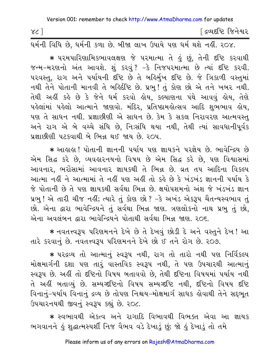| X <sub>C</sub> | <sup>ા</sup> દ્રવ્યદષ્ટિ  જિનેશ્વર |
|----------------|------------------------------------|
|                |                                    |

ધર્મની વિધિ છે, ધર્મની કળા છે. બીજા લાખ ઉપાયે પણ ધર્મ થશે નહીં. ૨૦૪.

\* પરમપારિણામિકભાવલક્ષણ જે પરમાત્મા તે હું છું. તેની દષ્ટિ કરવાથી જન્મ-મરણનો અંત આવશે. શું કરવું ? -કે નિજપરમાત્મા છે ત્યાં દૃષ્ટિ કરવી. ૫૨વસ્તુ, રાગ અને ૫ર્યાયની દષ્ટિ છે તે બર્હિર્મુખ દષ્ટિ છે. જે ત્રિકાળી વસ્તુમાં નથી તેને પોતાની માનવી તે બર્હિર્દીષ્ટિ છે. પ્રભુ! તું કોણ છો એ તને ખબર નથી. તેથી અહીં કહે છે કે જેને ધર્મ કરવો હોય, કલ્યાણના પંથે આવવું હોય, તેણે પહેલાંમાં પહેલો આત્માને જાણવો. મંદિર, પ્રતિષ્ઠામહોત્સવ આદિ શુભભાવ હોય, પણ તે સાધન નથી. પ્રજ્ઞાછીણી એ સાધન છે. કેમ કે સકલ નિરાવરણ આત્મવસ્ત અને રાગ એ બે વચ્ચે સંધિ છે, નિઃસંધિ થયા નથી, તેથી ત્યાં સાવધાનીપૂર્વક પ્રજ્ઞાછીણી પટકવાથી બે ભિન્ન થઈ જાય છે. ૨૦૫.

\* આહાહા ! પોતાની જ્ઞાનની પર્યાય પણ જ્ઞાયકને પરજ્ઞેય છે. ભાવેન્દ્રિય છે એમ સિદ્ધ કરે છે, વ્યવહારનયનો વિષય છે એમ સિદ્ધ કરે છે, પણ વિશ્વાસમાં આવનાર, ભરોસામાં આવનાર જ્ઞાયકથી તે ભિન્ન છે. વ્રત તપ આદિના વિકલ્પ આત્મા નહીં ને આત્મામાં તે નહીં પણ અહીં તો કહે છે કે ખંડખંડ જ્ઞાનની પર્યાય કે જે પોતાની છે તે પણ જ્ઞાયકથી સર્વથા ભિન્ન છે. ક્ષયોપશમનો અંશ જે ખંડખંડ જ્ઞાન પ્રભુ ! એ તારી ચીજ નહીં; ત્યારે તું કોણ છો ? -કે અખંડ એકરૂપ ચૈતન્યસ્વભાવ તું છો. એના દ્વારા ભાવેન્દ્રિયને તું સર્વથા ભિન્ન જાણ. ત્રણલોકનો નાથ પ્રભુ તું છો. એના અવલંબન દ્વારા ભાવેન્દ્રિયને પોતાથી સર્વથા ભિન્ન જાણ, ૨૦૬.

★ નવતત્ત્વરૂપ પરિણમનને દેખે છે તે દેખવું છોડી દે અને વસ્તુને દેખ! આ તારે કરવાનું છે. નવતત્ત્વરૂપ પરિણમનને દેખે છો ઈ તને રોગ છે. ૨૦૭.

\* ૫૨૬વ્ય તો આત્માનું સ્વરૂપ નથી, રાગ તો તારો નથી ૫શ નિર્વિકલ્પ મોક્ષમાર્ગની દશા પણ તારું વાસ્તવિક સ્વરૂપ નથી, તે પણ ઉપચારથી આત્માનું સ્વરૂપ છે. અહીં તો દષ્ટિનો વિષય બતાવવો છે. તેથી દષ્ટિના વિષયમાં ૫ર્યાય નથી તે અહીં બતાવ્યું છે. સમ્યગ્દષ્ટિનો વિષય સમ્યગ્દષ્ટિ નથી, દષ્ટિનો વિષય દષ્ટિ વિનાનું-પર્યાય વિનાનું દ્રવ્ય છે તોપણ નિશ્ચય-મોક્ષમાર્ગ સાધક લેવાથી તેને સદ્દભૂત ઉપચારનયથી જીવનું સ્વરૂપ કહ્યું છે. ૨૦૮.

\* સ્વભાવથી એકત્વ અને રાગાદિ વિભાવથી વિભક્ત એવા આ જ્ઞાયક ભગવાનને કું શુદ્ધાત્મસ્પર્શી નિજ વૈભવ વડે દેખાડું છું; જો કું દેખાડું તો તમે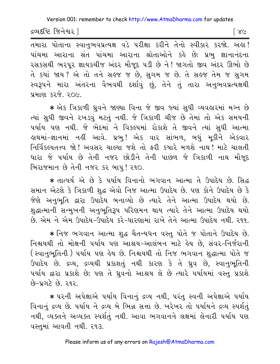દ્રવ્યદષ્ટિ જિનેશ્વર ]

ि ४८

તમારા પોતાના સ્વાનુભવપ્રત્યક્ષ વડે પરીક્ષા કરીને તેનો સ્વીકાર કરજો. અહા! પાંચમા આરાના સંત પાંચમા આરાના શ્રોતાઓને કહે છે: પ્રભુ જ્ઞાનાનંદના રસકસથી ભરપૂર જ્ઞાયકચીજ અંદર મૌજૂદ ૫ડી છે ને! જાગતો જીવ અંદર ઊભો છે તે કયાં જાય? એ તો તને સહજ જ છે, સુગમ જ છે. તે સહજ તેમ જ સુગમ સ્વરૂપને મારા અંતરના વૈભવથી દર્શાવું છું, તેને તું તારા અનુભવપ્રત્યક્ષથી પ્રમાણ કરજે. ૨૦૯

\* એક ત્રિકાળી ધ્રુવને જાણ્યા વિના જે જીવ જ્યાં સુધી વ્યવહારમાં મગ્ન છે ત્યાં સુધી જીવને રખડવું મટતું નથી. જે ત્રિકાળી ચીજ છે તેમાં તો એક સમયની પર્યાય પણ નથી. જે ભેદમાં ને વિકલ્પમાં રોકાશે તે જીવને ત્યાં સુધી આત્મા હાથમાં−જ્ઞાનમાં નહીં આવે. પ્રભ્! એક વાર સાંભળ, બધું મકીને એકવાર નિર્વિકલ્પતત્ત્વ જો! અવસર ચાલ્યા જશે તો ફરી કયારે મળશે નાથ! માટે ચાલતી ધારા જે પર્યાય છે તેની નજર છોડીને તેની પાછળ જે ત્રિકાળી નાથ મૌજૂદ બિરાજમાન છે તેની નજર કર બાપુ! ૨૧૦.

\* તાત્પર્ય એ છે કે પર્યાય વિનાનો ભગવાન આત્મા તે ઉપાદેય છે. સિદ્ધ સમાન એટલે કે ત્રિકાળી શુદ્ધ એવો નિજ આત્મા ઉપાદેય છે. પણ કોને ઉપાદેય છે કે જેણે અનુભુતિ દ્વારા ઉપાદેય બનાવ્યો છે ત્યારે તેને આત્મા ઉપાદેય થયો છે. શુદ્ધાત્માની સન્મુખની અનુભુતિરૂપ પરિણમન થાય ત્યારે તેને આત્મા ઉપાદેય થયો છે. એમ. ને. એમ. ઉપાદેય-ઉપાદેય, કરે-ધારણામાં રાખે તેને આત્મા ઉપાદેય નથી. ર૧૧..

\* નિજ ભગવાન આત્મા શુદ્ધ ચૈતન્યધન વસ્તુ પોતે જ પોતાને ઉપાદેય છે. નિશ્ચયથી તો મોક્ષની પર્યાય પણ આશ્રય-આલંબન માટે હેય છે, સંવર-નિર્જરાની (સ્વાનુભૂતિની ) પર્યાય પણ હેય છે. નિશ્ચયથી તો નિજ ભગવાન શુદ્ધાત્મા પોતે જ ઉપાદેય છે. દ્રવ્ય, દ્રવ્યથી પ્રકાશતું નથી કારણ કે તે ધ્રુવ છે, સ્વાનુભૂતિની પર્યાય દ્વારા પ્રકાશે છે; પણ તે ઘ્રુવનો આશ્રય લે છે ત્યારે પર્યાયમાં વસ્તુ પ્રકાશે  $9 - 49$   $29$   $30$ 

\* પરની અપેક્ષાએ પર્યાય વિનાનું દ્રવ્ય નથી, પરંતુ સ્વની અપેક્ષાએ પર્યાય વિનાનું દ્રવ્ય છે. ૫ર્યાય ને દ્રવ્ય બે ભિન્ન સત્તા છે. ખરેખર તો ૫ર્યાયને દ્રવ્ય સ્પર્શતું નથી, વ્યક્તને અવ્યક્ત સ્પર્શતું નથી. આવા ભગવાનને લક્ષમાં લેનારી પર્યાય પણ વસ્તુમાં આવતી નથી. ર૧૩.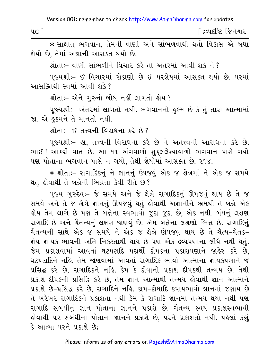| 40 <sup>o</sup> | જિનેશ્વર<br>દ્રવ્યદીષ્ટે |
|-----------------|--------------------------|
|                 |                          |

 $\,$  **\*** સાક્ષાત ભગવાન, તેમની વાણી અને સાંભળવાથી થતો વિકાસ એ બધા જ્ઞેયો છે, તેમાં અજ્ઞાની આસક્ત થયો છે.

શ્રોતા:– વાણી સાંભળીને વિચાર કરે તો અંતરમાં આવી શકે ને ?

પુજ્યશ્રીઃ- ઈ વિચારમાં રોકાણો છે ઈ પરજ્ઞેયમાં આસક્ત થયો છે. પરમાં આસક્તિથી સ્વમાં આવી શકે?

શ્રોતાઃ– એને ગુરુનો બોધ નહીં લાગતો હોય ?

પજ્યશ્રીઃ– અંતરમાં લાગતો નથી. ભગવાનનો હુકમ છે કે તું તારા આત્મામાં જા. એ હુકમને તે માનતો નથી.

 $\mathcal{B}$ ldi:  $\mathcal{B}$  drugh queen  $\mathcal{B}$  is  $\mathcal{B}$ 

પજ્યશ્રી:- હા. તત્ત્વની વિરાધના કરે છે ને અતત્ત્વની આરાધના કરે છે. ભાઈ! આકરી વાત છે. આ ૧૧ અંગવાળો શુક્લલેશ્યાવાળો ભગવાન પાસે ગયો પણ પોતાના ભગવાન પાસે ન ગયો, તેથી જ્ઞેયોમાં આસક્ત છે. ૨૧૪.

\* શ્રોતા:- રાગાદિકનું ને જ્ઞાનનું ઉપજવું એક જ ક્ષેત્રમાં ને એક જ સમયે થતું હોવાથી તે બન્નેની ભિન્નતા કેવી રીતે છે?

પજ્ય ગરુદેવ:- જે સમયે અને જે ક્ષેત્રે રાગાદિકનં ઊપજવં થાય છે તે જ સમયે અને તે જ ક્ષેત્રે જ્ઞાનનું ઊપજવું થતું હોવાથી અજ્ઞાનીને ભ્રમથી તે બન્ને એક ક્રોય તેમ લાગે છે પણ તે બન્નેના સ્વભાવો જુદા જુદા છે. એક નથી. બંધનું લક્ષણ રાગાદિ છે અને ચૈતન્યનું લક્ષણ જાણવું છે. એમ બન્નેના લક્ષણો ભિન્ન છે. રાગાદિનું ચૈતન્યની સાથે એક જ સમયે ને એક જ ક્ષેત્રે ઊપજવું થાય છે તે ચૈત્ય-ચેતક-જ્ઞેય–જ્ઞાયક ભાવની અતિ નિકટતાથી થાય છે પણ એક દ્રવ્યપણાના લીધે નથી થત<mark>ં</mark>. જેમ પ્રકાશવામાં આવતાં ઘટપટાદિ પદાર્થો દીપકના પ્રકાશપણાને જાહેર કરે છે. ઘટપટાદિને નહિ. તેમ જાણવામાં આવતાં રાગાદિક ભાવો આત્માના જ્ઞાયકપણાને જ પ્રસિદ્ધ કરે છે, રાગાદિકને નહિ. કેમ કે દીવાનો પ્રકાશ દીપકથી તન્મય છે. તેથી પ્રકાશ દીપકની પ્રસિદ્ધિ કરે છે, તેમ જ્ઞાન આત્માથી તન્મય હોવાથી જ્ઞાન આત્માને પ્રકાશે છે–પ્રસિદ્ધ કરે છે. રાગાદિને નહિ. કામ–ક્રોધાદિ કપાયભાવો જ્ઞાનમાં જણાય છે તે ખરેખર રાગાદિકને પ્રકાશતા નથી કેમ કે રાગાદિ જ્ઞાનમાં તન્મય થયા નથી પણ રાગાદિ સંબંધીનું જ્ઞાન પોતાના જ્ઞાનને પ્રકાશે છે. ચૈતન્ય સ્વયં પ્રકાશસ્વભાવી કોવાથી ૫૨ સંબંધીના પોતાના જ્ઞાનને પ્રકાશે છે, ૫૨ને પ્રકાશતો નથી. ૫કેલાં કહ્યું કે આત્મા પરને પ્રકાશે છે;

Please inform us of any errors on Rajesh@AtmaDharma.com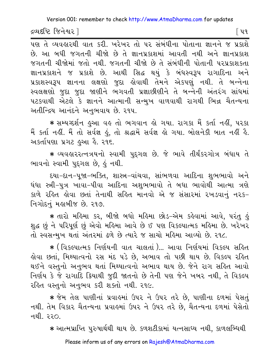દ્રવ્યદષ્ટિ જિનેશ્વર l

િપવ

.<br>પણ તે વ્યવહારથી વાત કરી. ખરેખર તો પર સંબંધીના પોતાના જ્ઞાનને જ પ્રકાશે છે. આ બધી જગતની ચીજો છે તે જ્ઞાનપ્રકાશમાં આવતી નથી અને જ્ઞાનપ્રકાશ જગતની ચીજોમાં જતો નથી. જગતની ચીજો છે તે સંબંધીની પોતાની પરપ્રકાશકતા જ્ઞાનપ્રકાશને જ પ્રકાશે છે. આથી સિદ્ધ થયું કે બંધસ્વરૂપ રાગાદિના અને પ્રકાશસ્વરૂપ જ્ઞાનના લક્ષણો જુદા હોવાથી તેમને એકપણું નથી. તે બન્નેના સ્વલક્ષણો જુદા જુદા જાણીને ભગવતી પ્રજ્ઞાછીણીને તે બન્નેની અંતરંગ સાંધમાં પટકવાથી એટલે કે જ્ઞાનને આત્માની સન્મુખ વાળવાથી રાગથી ભિન્ન ચૈતન્યના અતીન્દ્રિય આનંદને અનુભવાય છે. ૨૧૫.

★ સમ્યગ્દર્શન હુઆ વહ તો ભગવાન હો ગયા. રાગકા મૈં કર્તા નહીં, પરકા મૈં કર્તા નહીં. મૈં તો સર્વજ્ઞ હું, તો શ્રદ્ધામેં સર્વજ્ઞ હો ગયા. બોલનેકી બાત નહીં હૈ. અકર્તાપણા પ્રગટ હુઆ હૈ. ૨૧૬.

★ વ્યવહારરત્નત્રયનો સ્વામી પુદ્દગલ છે. જે ભાવે તીર્થંકરગોત્ર બંધાય તે ભાવનો સ્વામી પુદગલ છે, કું નથી.

દયા-દાન-પૂજા-ભક્તિ, શાસ્ત્ર-વાંચવા, સાંભળવા આદિના શુભભાવો અને ધંધા સ્ત્રી-પુત્ર ખાવા-પીવા આદિના અશભભાવો તે બધા ભાવોથી આત્મા ત્રણે કાળે રહિત હોવા છતાં તેનાથી સહિત માનવો એ જ સંસારમાં રખડવાનું નરક-નિગોદનું મહાબીજ છે. ૨૧૭.

★ તારો મહિમા કર, બીજો બધો મહિમા છોડ−એમ કહેવામાં આવે, પરંતુ હું શુદ્ધ છું ને પરિપૂર્ણ છું એવો મહિમા આવે છે ઈ પણ વિકલ્પાત્મક મહિમા છે. ખરેખર તો સ્વસન્મુખ થતાં અંતરમાં ઢળે છે ત્યારે જ સાચો મહિમા આવ્યો છે. ૨૧૮.

\* (વિકલ્પાત્મક નિર્ણયની વાત ચાલતાં)... આવા નિર્ણયમાં વિકલ્પ સહિત હોવા છતાં, મિથ્યાત્વનો રસ મંદ ૫ડે છે, અભાવ તો ૫છી થાય છે. વિકલ્પ રહિત થઈને વસ્તુનો અનુભવ થતાં મિથ્યાત્વનો અભાવ થાય છે. જેને રાગ સહિત આવો નિર્ણય કે જે રાગાદિ ક્રિયાથી જુદી જાતનો છે તેની પણ જેને ખબર નથી, તે વિકલ્પ રહિત વસ્તુનો અનુભવ કરી શક્તો નથી. ૨૧૯.

∗ જેમ તેલ પાણીનાં પ્રવાહમાં ઉપર ને ઉપર તરે છે, પાણીના દળમાં પેસતું નથી. તેમ વિકાર ચૈતન્યના પ્રવાહમાં ઉપર ને ઉપર તરે છે, ચૈતન્યના દળમાં પેસેતો નથી ૨૨೧

\* આત્મપ્રાપ્તિ પુરુષાર્થથી થાય છે. કળશટીકામાં યત્નસાધ્ય નથી, કાળલબ્ધિથી

Please inform us of any errors on Rajesh@AtmaDharma.com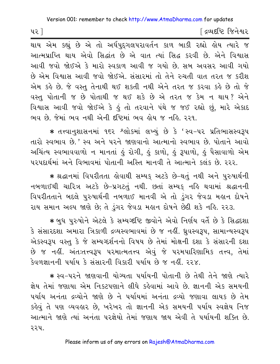પર 1

દિવ્યદષ્ટિ જિનેશ્વર

થાય એમ કહ્યું છે એ તો અર્ધપુદ્દગલપરાવર્તન કાળ બાકી રહ્યો હોય ત્યારે જ આત્મપ્રાપ્તિ થાય એવો સિદ્ધાંત છે એ વાત ત્યાં સિદ્ધ કરવી છે. એને વિશ્વાસ આવી જવો જોઈએ કે મારો સ્વ.કાળ આવી જ ગયો છે. સુબ અવસર આવી ગયો છે એમ વિશ્વાસ આવી જવો જોઈએ. સંસારમાં તો તેને રુચતી વાત તરત જ કરીશ એમ કહે છે. જે વસ્તુ તેનાથી થઈ શકતી નથી એને તરત જ કરવા કહે છે તો જે વસ્તુ પોતાની જ છે પોતાથી જ થઈ શકે છે એ તરત જ કેમ ન થાય? એને વિશ્વાસ આવી જવો જોઈએ કે હું તો તરવાને પંથે જ જઈ રહ્યો છું, મારે એકાદ ભવ છે. જેમાં ભવ નથી એની દષ્ટિમાં ભવ હોય જ નહિ. ૨૨૧.

\* તત્ત્વાનુશાસનમાં ૧૬૨ શ્લોકમાં લખ્યું છે કે 'સ્વ-૫૨ પ્રતિભાસસ્વરૂપ તારો સ્વભાવ છે.' સ્વ અને પરને જાણવાનો આત્માનો સ્વભાવ છે. પોતાને આવો અચિંત્ય સ્વભાવવાળો ન માનતાં કું રોગી, કું કાળો, કું રૂપાળો, કું પૈસાવાળો એમ परपहार्थमां अने विભावमां पोतानी अस्ति मानवी ते आत्माने इलंड છે. २२२.

\* શ્રદ્ધાનમાં વિપરીતતા હોવાથી સમ્યક અટકે છે-થતું નથી અને પુરુષાર્થની નબળાઈથી ચારિત્ર અટકે છે-પ્રગટતું નથી. છતાં સમ્યક નહિ થવામાં શ્રદ્ધાનની વિપરીતતાને બદલે પુરુષાર્થની નબળાઈ માનવી એ તો ડુંગર જેવડા મહાન દોષને રાય સમાન અલ્પ જાણે છે; તે ડુંગર જેવડા મહાન દોષને છેદી શકે નહિ. ૨૨૩.

∗ બુધ પુરુષોને એટલે કે સમ્યગ્દષ્ટિ જીવોને એવો નિર્ણય વર્તે છે કે સિદ્ધદશા કે સંસારદશા અમારા ત્રિકાળી દ્રવ્યસ્વભાવમાં છે જ નહીં. ધ્રુવસ્વરૂપ, સામાન્યસ્વરૂપ એકસ્વરૂપ વસ્તુ કે જે સમ્યગ્દર્શનનો વિષય છે તેમાં મોક્ષની દશા કે સંસારની દશા છે જ નહીં. અંતઃતત્ત્વરૂપ પરમાત્મતત્ત્વ એવું જે પરમપારિણામિક તત્ત્વ, તેમાં કેવળજ્ઞાનની પર્યાય કે સંસારની વિકારી પર્યાય છે જ નહીં. ૨૨૪.

\* સ્વ-પરને જાણવાની યોગ્યતા પર્યાયની પોતાની છે તેથી તેને જાણે ત્યારે જ્ઞેય તેમાં જણાયા એમ નિકટપણાને લીધે કહેવામાં આવે છે. જ્ઞાનની એક સમયની પર્યાય અનંતા દ્રવ્યોને જાણે છે ને પર્યાયમાં અનંતા દ્રવ્યો જણાવા લાયક છે તેમ કહેવું તે પણ વ્યવહાર છે, ખરેખર તો જ્ઞાનની એક સમયની પર્યાય સ્વજ્ઞેય નિજ આત્માને જાણે ત્યાં અનંતા પરજ્ઞેયો તેમાં જણાય જાય એવી તે પર્યાયની શક્તિ છે. ૨૨૫.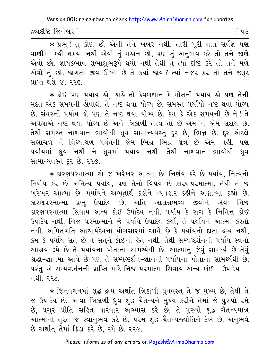દ્રવ્યદષ્ટિ જિનેશ્વર ]

િપ૩

\* प्रभु! तुं डोश छो એनी तने ખબર नथी. तारी पूरी वात सर्वज्ञ पश વાણીમાં કહી શકયા નથી એવો તું મહાન છો, પણ તું અનુભવ કરે તો તને જાણે એવો છો. જ્ઞાયકભાવ શુભાશુભરૂપે થયો નથી તેથી તું ત્યાં દૃષ્ટિ કરે તો તને મળે એવો તું છો. જાગતો જીવ ઊભો છે તે કયાં જાય? ત્યાં નજર કર તો તને જરૂર પ્રાપ્ત થશે જ. ૨૨૬.

\* કોઈ પણ પર્યાય હો. ચાહે તો કેવળજ્ઞાન કે મોક્ષની પર્યાય હો પણ તેની મુદત એક સમયની લોવાથી તે નષ્ટ થવા યોગ્ય છે. સમસ્ત પર્યાયો નષ્ટ થવા યોગ્ય છે. સંવરની પર્યાય હો પણ તે નષ્ટ થયા યોગ્ય છે. કેમ કે એક સમયની છે ને ! તે અપેક્ષાએ નષ્ટ થયા યોગ્ય છે અને ત્રિકાળી તત્ત્વ તો છે એમ ને એમ સદાય છે. તેથી સમસ્ત નાશવાન ભાવોથી ધ્રુવ સામાન્યવસ્તુ દૂર છે, ભિન્ન છે. દૂર એટલે સહ્યાંચળ ને વિંધ્યાચળ પર્વતની જેમ ભિન્ન ભિન્ન ક્ષેત્ર છે એમ નહીં, પણ પર્યાયમાં ઘ્રુવ નથી ને ઘ્રુવમાં પર્યાય નથી. તેથી નાશવાન ભાવોથી ઘ્રુવ સામાન્યવસ્ત દર છે. ૨૨૭.

\* કારણપરમાત્મા એ જ ખરેખર આત્મા છે. નિર્ણય કરે છે પર્યાય, નિત્યનો નિર્ણય કરે છે અનિત્ય પર્યાય, પણ તેનો વિષય છે કારણપરમાત્મા, તેથી તે જ ખરેખર આત્મા છે. ૫ર્યાયને અભૂતાર્થ કહીને વ્યવહાર કહીને અણાત્મા કહ્યો છે. કારણપરમાત્મા પ્રભુ ઉપાદેય છે, અતિ આસન્નભવ્ય જીવોને એવા નિજ કારણપરમાત્મા સિવાય અન્ય કોઈ ઉપાદેય નથી. ૫ર્યાય કે રાગ કે નિમિત્ત કોઈ ઉપાદેય નથી. નિજ પરમાત્માને જે પર્યાયે ઉપાદેય કર્યો, તે પર્યાયને આત્મા કરતો નથી. અમિતગતિ આચાર્યદેવના યોગસારમાં આવે છે કે પર્યાયનો દાતા દ્રવ્ય નથી. .<br>કેમ કે પર્યાય સત્ છે ને સત્**ને કોઈનો હેતું નથી. તેથી સમ્ય**ગ્દર્શનની પર્યાય સ્વનો આશ્રય લ્યે છે તે પર્યાયના પોતાના સામર્થ્યથી છે. આત્માનું જેવું સામર્થ્ય છે તેવું શ્રદ્ધા-જ્ઞાનમાં આવે છે પણ તે સમ્યગ્દર્શન-જ્ઞાનની પર્યાયના પોતાના સામર્થ્યથી છે, પરંતુ એ સમ્યગ્દર્શનની પ્રાપ્તિ માટે નિજ પરમાત્મા સિવાય અન્ય કાંઈ ઉપાદેય નથી. <u>૨૨૮.</u>

\* જિનવચનમાં શુદ્ધ દ્રવ્ય અર્થાત ત્રિકાળી ધ્રુવવસ્તુ તે જ મુખ્ય છે, તેથી તે જ ઉપાદેય છે. આવા ત્રિકાળી ઘ્રુવ શુદ્ધ ચૈતન્યને મુખ્ય કરીને તેમાં જે પુરુષો રમે છે, પ્રચુર પ્રીતિ સહિત વારંવાર અભ્યાસ કરે છે, તે પુરુષો શુદ્ધ ચૈતન્યમાત્ર આત્માનો તુરત જ સ્વાનુભવ કરે છે, ૫૨મ શુદ્ધ ચૈતન્યજ્યોતિને દેખે છે, અનુભવે છે અર્થાત તેમાં ક્રિડા કરે છે, રમે છે. ૨૨૯.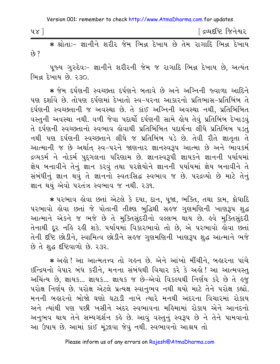Version 001: remember to check http://www.AtmaDharma.com for updates

| 48 |               |        |        |               | ંદ્રવ્યદષ્ટિ જિનેશ્વર |
|----|---------------|--------|--------|---------------|-----------------------|
|    | $\sim$ $\sim$ | $\sim$ | $\sim$ | $\sim$ $\sim$ | $\sim$ $\sim$         |

\* શ્રોતાઃ- જ્ઞાનીને શરીર જેમ ભિન્ન દેખાય છે તેમ રાગાદિ ભિન્ન દેખાય  $69.2$ 

પૂજ્ય ગુરુદેવઃ- જ્ઞાનીને શરીરની જેમ જ રાગાદિ ભિન્ન દેખાય છે, અત્યંત ભિન્ન દેખાય છે. ૨૩૦.

\* જેમ દર્પણની સ્વચ્છતા દર્પણને બતાવે છે અને અગ્નિની જ્વાળા આદિને પણ દર્શાવે છે. તોપણ દર્પણમાં દેખાતો સ્વ-પરના આકારનો પ્રતિભાસ-પ્રતિબિંબ તે દર્પણની સ્વચ્છતાની જ અવસ્થા છે. તે કાંઈ અગ્નિની અવસ્થા નથી, પ્રતિબિંબિત વસ્તુની અવસ્થા નથી. વળી જેવા પદાર્થો દર્પણની સામે લેય તેવું પ્રતિબિંબ દેખાડવું તે દર્પણની સ્વચ્છતાનો સ્વભાવ કોવાથી પ્રતિબિંબિત પદાર્થના લીધે પ્રતિબિંબ પડતં નથી પણ દર્પણની સ્વચ્છતાને લીધે જ પ્રતિબિંબ પડે છે. તેવી રીતે જ્ઞાતુતા તે આત્માની જ છે અર્થાત્ સ્વ-પરને જાણનાર જ્ઞાનસ્વરૂપ આત્મા છે અને ભાવકર્મ દ્રવ્યકર્મ ને નોકર્મ પુદ્દગલના પરિણામ છે. જ્ઞાનસ્વરૂપી જ્ઞાયકને જ્ઞાનની પર્યાયમાં જ્ઞેય બનાવીને તેનું જ્ઞાન કરવું તથા પરજ્ઞેયોને જ્ઞાનની પર્યાયમાં જ્ઞેય બનાવીને તે સંબંધીનું જ્ઞાન થવું તે જ્ઞાનનો સ્વતઃસિદ્ધ સ્વભાવ જ છે. ૫૨૬વ્યો છે માટે તેનું જ્ઞાન થયું એવો પરતંત્ર સ્વભાવ જ નથી. ર૩૧.

\* પરભાવ હોવા છતાં એટલે કે દયા, દાન, પૂજા, ભક્તિ, તથા કામ, ક્રોધાદિ ૫૨ભાવો કોવા છતાં જે પોતાની તીક્ષ્ણ બુદ્ધિથી સહજ ગુણમણિની ખાણરૂપ શુદ્ધ આત્માને એકને જ ભજે છે તે મુક્તિસુંદરીનો વલ્લભ થાય છે. હવે મુક્તિસુંદરી તેનાથી દૂર નહિ રહી શકે. પર્યાયમાં વિકારભાવો તો છે, એ પરભાવો હોવા છતાં તેની દષ્ટિ છોડીને, સ્વામિત્વ છોડીને સહજ ગુણમણિની ખાણરૂપ શુદ્ધ આત્માને ભજે છે તે શુદ્ધ દષ્ટિવાળો છે. ૨૩૨.

∗ અલે ! આ આત્મતત્ત્વ તો ગલ્ન છે. એને આંખો મીંચીને, બલુરના પાંચે ઇન્દ્રિયનો વેપાર બંધ કરીને, મનના સંબંધથી વિચાર કરે કે અહો! આ આત્મવસ્તુ અચિંત્ય છે, જ્ઞાયક... જ્ઞાયક... જ્ઞાયક જ છે-એવો વિકલ્પથી નિર્ણય કરે છે તે હજુ પરોક્ષ નિર્ણય છે. પરોક્ષ એટલે પ્રત્યક્ષ સ્વાનુભવ નથી થયો માટે તેને પરોક્ષ કહ્યો. મનની બહારનો બોજો ઘણો ઘટાડી નાખે ત્યારે મનથી અંદરના વિચારમાં રોકાય અને ત્યાંથી પણ પછી ખસીને અંદર સ્વભાવના મહિમામાં રોકાય એને આનંદનો અનુભવ થાય તેને સમ્યગ્દર્શન કહે છે. આવું વસ્તુનું સ્વરૂપ છે ને તેને પામવાનો આ ઉપાય છે. આમાં કાંઈ મુંઝાવા જેવું નથી. સ્વભાવનો આશ્રય તો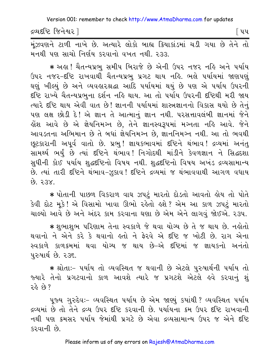દ્રવ્યદષ્ટિ જિનેશ્વર l

િપપ

મુંઝવણને ટાળી નાખે છે. અત્યારે લોકો બાહ્ય ક્રિયાકાંડમાં ચડી ગયા છે તેને તો મનથી પણ સાચો નિર્ણય કરવાનો વખત નથી. ૨૩૩.

★ અહ્ય ! ચૈતન્યપ્રભુ સમીપ બિરાજે છે એની ઉપર નજર નહિ અને પર્યાય ઉપર નજર-દષ્ટિ રાખવાથી ચૈતન્યપ્રભુ પ્રગટ થાય નહિ. ભલે પર્યાયમાં જાણપણું ઘણું ખીલ્યું છે અને વ્યવહારશ્રદ્ધા આદિ પર્યાયમાં થયું છે પણ એ પર્યાય ઉપરની દૃષ્ટિ રાખ્યે ચૈતન્યપ્રભના દર્શન નહિ થાય. આ તો પર્યાય ઉપરની દૃષ્ટિથી મરી જાય ત્યારે દષ્ટિ થાય એવી વાત છે! જ્ઞાનની પર્યાયમાં શાસ્ત્રજ્ઞાનનો વિકાસ થયો છે તેનું પણ લક્ષ છોડી દે! એ જ્ઞાન તે આત્માનું જ્ઞાન નથી. પરસત્તાવલંબી જ્ઞાનમાં જેને હોંશ આવે છે એ જ્ઞેયનિમગ્ન છે, તેને જ્ઞાનસ્વરૂપમાં મગ્નતા નહિ આવે. જેન<mark>ે</mark> આવડતના અભિમાન છે તે બધાં જ્ઞેયનિમગ્ન છે, જ્ઞાનનિમગ્ન નથી. આ તો ભવથી છૂટકારાની અપૂર્વ વાતો છે. પ્રભુ! જ્ઞાયકભાવમાં દષ્ટિને થંભાવ! દ્રવ્યમાં અનંતુ સામર્થ્ય ભર્યું છે ત્યાં દષ્ટિને થંભાવ! નિગોદથી માંડીને કેવળજ્ઞાન ને સિદ્ધદશા સુધીની કોઈ પર્યાય શુદ્ધદષ્ટિનો વિષય નથી. શુદ્ધદષ્ટિનો વિષય અખંડ દ્રવ્યસામાન્ય છે. ત્યાં તારી દષ્ટિને થંભાવ-ઝૂકાવ! દષ્ટિને દ્રવ્યમાં જ થંભાવવાથી આગળ વધાય  $XESG$   $63$ 

\* પોતાની પાછળ વિકરાળ વાઘ ઝપટું મારતો દોડતો આવતો હોય તો પોતે કેવી દોટ મૂકે! એ વિસામો ખાવા ઊભો રહેતો હશે? એમ આ કાળ ઝપટું મારતો ચાલ્યો આવે છે અને અંદર કામ કરવાના ઘણા છે એમ એને લાગવું જોઈએ. ર૩૫.

∗ શુભાશુભ પરિણામ તેના સ્વકાળે જે થવા યોગ્ય છે તે જ થાય છે. નહોતો થવાનો ને એને કરે કે થવાનો હતો ને ફેરવે એ દષ્ટિ જ ખોટી છે. રાગ એના સ્વકાળે કાળક્રમમાં થવા યોગ્ય જ થાય છે–એ દષ્ટિમાં જ જ્ઞાયકનો અનંતો ૫રુષાર્થ છે. ૨૩૬.

\* શ્રોતાઃ- ૫ર્યાય તો વ્યવસ્થિત જ થવાની છે એટલે પુરુષાર્થની ૫ર્યાય તો જ્યારે તેનો પ્રગટવાનો કાળ આવશે ત્યારે જ પ્રગટશે એટલે હવે કરવાનું શું રહે છે?

પુજ્ય ગુરુદેવઃ- વ્યવસ્થિત ૫ર્યાય છે એમ જાણ્યું કયાંથી ? વ્યવસ્થિત ૫ર્યાય દ્રવ્યમાં છે તો તેને દ્રવ્ય ઉપર દ્દષ્ટિ કરવાની છે. ૫ર્યાયના ક્રમ ઉપર દૃષ્ટિ રાખવાની નથી પણ ક્રમસર પર્યાય જેમાંથી પ્રગટે છે એવા દ્રવ્યસામાન્ય ઉપર જ એને દષ્ટિ કરવાની છે.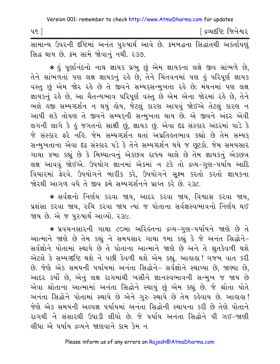| પ૬ |        |        |  |  |  |  | <sup>r</sup> દ્રવ્યદષ્ટિ જિનેશ્વર |  |
|----|--------|--------|--|--|--|--|-----------------------------------|--|
|    | $\sim$ | $\sim$ |  |  |  |  |                                   |  |

સામાન્ય ઉપરની દષ્ટિમાં અનંત પુરુષાર્થ આવે છે. ક્રમબદ્ધના સિદ્ધાંતથી અકર્તાપણું સિદ્ધ થાય છે. કમ સામે જોવાનું નથી. ૨૩૭.

∗ હું પૂર્ણાનંદનો નાથ જ્ઞાયક પ્રભુ છું એમ જ્ઞાયકના લક્ષે જીવ સાંભળે છે, તેને સાંભળતાં પણ લક્ષ જ્ઞાયકનું રહે છે, તેને ચિંતવનમાં પણ હું પરિપૂર્ણ જ્ઞાયક વસ્તુ છું એમ જોર રહે છે તે જીવને સમ્યક્સન્મુખતા રહે છે; મંથનમાં પણ લક્ષ જ્ઞાયકનું રહે છે, આ ચૈતન્યભાવ પરિપૂર્ણ વસ્તુ છે એમ એના જોરમાં રહે છે, તેને ભલે હજી સમ્યગ્દર્શન ન થયું હોય. જેટલું કારણ આપવું જોઈએ તેટલું કારણ ન આપી શકે તોપણ તે જીવને સમ્યકની સન્મુખતા થાય છે. એ જીવને અંદર એવી લગની લાગે કે હું જગતનો સાક્ષી છું, જ્ઞાયક છું. એવા દઢ સંસ્કાર અંદરમાં પાડે કે જે સંસ્કાર ફરે નહિ. જેમ સમ્યગ્દર્શન થતાં અપ્રતિહતભાવ કહ્યો છે તેમ સમ્યક્ સન્મુખતાના એવા દઢ સંસ્કાર પડે કે તેને સમ્યગ્દર્શન થયે જ છૂટકો. જેમ સમયસાર ગાથા ૪મા કહ્યું છે કે મિથ્યાત્વનું એકછત્ર રાજ્ય ચાલે છે તેમ જ્ઞાયકનું એકછત્ર લક્ષ આવવું જોઈએ. ઉપયોગ જ્ઞાનમાં એકમાં ન ટકે તો દ્રવ્ય-ગુણ-પર્યાય આદિ વિચારમાં ફેરવે. ઉપયોગને બારીક કરે, ઉપયોગને સૂક્ષ્મ કરતો કરતો જ્ઞાયકના જોરથી આગળ વધે તે જીવ ક્રમે સમ્યગ્દર્શનને પ્રાપ્ત કરે છે. રુ૩૮.

★ સર્વજ્ઞનો નિર્ણય કરવા જાય, આદર કરવા જાય, વિશ્વાસ કરવા જાય, પ્રશંસા કરવા જાય, રુચિ કરવા જાય ત્યાં જ પોતાના સર્વજ્ઞસ્વભાવનો નિર્ણય થઈ જાય છે. એ જ પુરુષાર્થ આવ્યો. ૨૩૯.

\* પ્રવચનસારની ગાથા ૮૦મા અરિહંતના દ્રવ્ય-ગુણ-પર્યાયને જાણે છે તે આત્માને જાણે છે તેમ કહ્યું ને સમયસાર ગાથા ૧મા કહ્યું કે જે અનંત સિદ્ધોને-સર્વજ્ઞોને પોતામાં સ્થાપે છે તે પોતાના આત્માને જાણે છે અને તે શ્રુતકેવળી થશે એટલે કે સમ્યગ્દષ્ટિ થશે ને પછી કેવળી થશે એમ કહ્યું. આહાહા! ગજબ વાત કરી છે. જેણે એક સમયની પર્યાયમાં અનંતા સિદ્ધોને- સર્વજ્ઞોને સ્થાપ્યા છે, જાણ્યા છે, આદર કર્યો છે, એનું લક્ષ રાગમાંથી ખસીને જ્ઞાનસ્વભાવની સન્મુખ જ જાય છે એવા શ્રોતાના આત્મામાં અનંતા સિદ્ધોને સ્થાપું છું એમ કહ્યું છે. જે શ્રોતા પોતે અનંતા સિદ્ધોને પોતામાં સ્થાપે છે એને ગુરુ સ્થાપે છે તેમ કહેવાય છે. આહાહા! જેણે એક સમયની અલ્પજ્ઞ પર્યાયમાં અનંતા સિદ્ધોની સ્થાપના કરી છે તેણે પોતાને રાગથી ને સંસારથી ઉપાડી લીધો છે. જે પર્યાય અનંતા સિદ્ધોને પી ગઈ-જાણી લીધા એ પર્યાય દ્રવ્યને જાણવાને કામ કેમ ન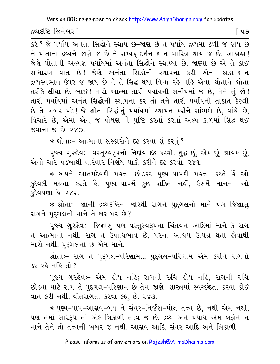દ્રવ્યદષ્ટિ જિનેશ્વર l

િપ૭

<u>કરે ? જે પર્યાય અનંતા સિદ્ધોને સ્થાપે છે-જાણે છે તે પર્યાય દ્રવ્યમાં ઢળી જ જાય છે</u> ને પોતાના દ્રવ્યને જાણે જ છે ને સમ્યક દર્શન-જ્ઞાન-ચારિત્ર થાય જ છે. આહાહા ! જેણે પોતાની અલ્પજ્ઞ પર્યાયમાં અનંતા સિદ્ધોને સ્થાપ્યા છે, જાણ્યા છે એ તે કાંઈ સાધારણ વાત છે! જેણે અનંતા સિદ્ધોની સ્થાપના કરી એના શ્રદ્ધા-જ્ઞાન દ્રવ્યસ્વભાવ ઉપર જ જાય છે ને તે સિદ્ધ થયા વિના રહે નહિ એવા શ્રોતાને શ્રોતા તરીકે લીધા છે. ભાઈ ! તારો આત્મા તારી પર્યાયની સમીપમાં જ છે, તેને તું જો ! તારી પર્યાયમાં અનંત સિદ્ધોની સ્થાપના કર તો તને તારી પર્યાયની તાકાત કેટલી છે તે ખબર પડે! જે શ્રોતા સિદ્ધોનું પર્યાયમાં સ્થાપન કરીને સાંભળે છે, વાંચે છે, વિચારે છે, એમાં એનું જ પોષણ ને પુષ્ટિ કરતાં કરતાં અલ્પ કાળમાં સિદ્ધ થઈ જવાના જ છે. ૨xo

\* શ્રોતાઃ- આત્માના સંસ્કારોને દઢ કરવા શંકરવં ?

પૂજ્ય ગુરુદેવઃ- વસ્તુસ્વરૂપનો નિર્ણય દઢ કરવો. શુદ્ધ છું, એક છું, જ્ઞાયક છું, એનો ચારે ૫.૬ખાથી વારંવાર નિર્ણય પાકો કરીને દઢ કરવો ૨૪૧

∗ અપને આતમદેવકી મઙત્તા છોડકર પુણ્ય−પાપકી મઙત્તા કરતે ઙેં ઓ કુદેવકી મહત્તા કરતે હૈ. પુણ્ય–પાપમેં કુછ શક્તિ નહીં, ઉસમેં માનના ઓ કુદેવપણા હૈ. ૨૪૨.

\* શ્રોતાઃ- જ્ઞાની દ્રવ્યદષ્ટિના જોરથી રાગને પુદ્દગલનો માને પણ જિજ્ઞાસુ રાગને પુદ્ગલનો માને તે બરાબર છે?

પુજ્ય ગુરુદેવઃ– જિજ્ઞાસુ પણ વસ્તુસ્વરૂપના ચિંતવન આદિમાં માને કે રાગ તે આત્માનો નથી, રાગ તે ઉપાધિભાવ છે, પરના આશ્રયે ઉત્પન્ન થતો હોવાથી મારો નથી, પુદ્ગલનો છે એમ માને.

શ્રોતાઃ- રાગ તે પુદ્દગલ-પરિણામ... પુદ્દગલ-પરિણામ એમ કરીને રાગનો ડર રહે નહિ તો ?

પૂજ્ય ગુરુદેવઃ- એમ હોય નહિ; રાગની રુચિ હોય નહિ, રાગની રુચિ છોડવા માટે રાગ તે પુદ્ગલ-પરિણામ છે તેમ જાણે. શાસ્ત્રમાં સ્વચ્છંદતા કરવા કોઈ વાત કરી નથી, વીતરાગતા કરવા કહ્યું છે. ૨૪૩.

★ પુણ્ય−પાપ−આસ્રવ−બંધ ને સંવર−નિર્જરા−મોક્ષ તત્ત્વ છે, નથી એમ નથી, પણ તેમાં સારરૂપ તો એક ત્રિકાળી તત્ત્વ જ છે. દ્રવ્ય અને પર્યાય એમ બન્નેને ન માને તેને તો તત્ત્વની ખબર જ નથી. આસ્રવ આદિ, સંવર આદિ અને ત્રિકાળી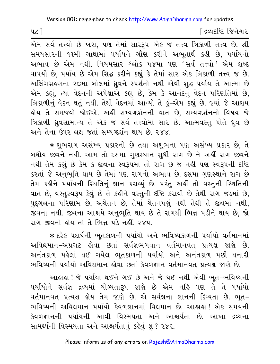[ દ્રવ્યદષ્ટિ જિનેશ્વર

એમ સર્વ તત્ત્વો છે ખરા, પણ તેમાં સારરૂપ એક જ તત્ત્વ-ત્રિકાળી તત્ત્વ છે. શ્રી સમયસારની ૧૧મી ગાથામાં પર્યાયને ગૌણ કરીને અભુતાર્થ કઢી છે, પર્યાયનો અભાવ છે એમ નથી. નિયમસાર શ્લોક ૫૪મા પણ 'સર્વ તત્ત્વો*'* એમ શબ્દ વાપર્યો છે, પર્યાય છે એમ સિદ્ધ કરીને કહ્યું કે તેમાં સાર એક ત્રિકાળી તત્ત્વ જ છે. અલિંગગ્રહણના ૨૦મા બોલમાં ધ્રુવને સ્પર્શતો નથી એવી શુદ્ધ પર્યાય તે આત્મા છે એમ કહ્યું, ત્યાં વેદનની અપેક્ષાએ કહ્યું છે, કેમ કે આનંદનું વેદન પરિણતિમાં છે, ત્રિકાળીનું વેદન થતું નથી. તેથી વેદનમાં આવ્યો તે કું-એમ કહ્યું છે. જ્યાં જે આશય હોય તે સમજવો જોઈએ. અહીં સમ્યગ્દર્શનની વાત છે, સમ્યગ્દર્શનનો વિષય જ<mark>ે</mark> ત્રિકાળી ધ્રુવસામાન્ય તે એક જ સર્વ તત્ત્વોમાં સાર છે. આત્મવસ્તુ પોતે ધ્રુવ છે અને તેના ઉપર લક્ષ જતાં સમ્યગ્દર્શન થાય છે. ૨૪૪.

\* શુભરાગ અસંખ્ય પ્રકારનો છે તથા અશુભના પણ અસંખ્ય પ્રકાર છે, તે બધોય જીવને નથી. આમ તો દસમા ગુણસ્થાન સુધી રાગ છે ને અહીં રાગ જીવને નથી તેમ કહ્યું છે કેમ કે જીવના સ્વરૂપમાં તો રાગ છે જ નહીં પણ સ્વરૂપની દષ્ટિ કરતાં જે અનુભૂતિ થાય છે તેમાં પણ રાગનો અભાવ છે. દસમા ગુણસ્થાને રાગ છે તેમ કહીને પર્યાયની સ્થિતિનું જ્ઞાન કરાવ્યું છે. પરંતુ અહીં તો વસ્તુની સ્થિતિની વાત છે, વસ્તુસ્વરૂપ કેવું છે તે કહીને વસ્તુની દૃષ્ટિ કરાવી છે તેથી રાગ જડમાં છે, પુદ્ગલના પરિણામ છે, અચેતન છે, તેમાં ચેતનપણું નથી તેથી તે જીવમાં નથી, જીવના નથી. જીવના આશ્રયે અનુભુતિ થાય છે તે રાગથી ભિન્ન પડીને થાય છે, જો રાગ જીવનો લોય તો તે ભિન્ન પડે નહીં <u>રુ</u>×પ

\* દરેક પદાર્થની ભુતકાળની પર્યાયો અને ભવિષ્યકાળની પર્યાયો વર્તમાનમાં અવિદ્યમાન-અપ્રગટ હોવા છતાં સર્વજ્ઞભગવાન વર્તમાનવત પ્રત્યક્ષ જાણે છે. અનંતકાળ પહેલાં થઈ ગયેલ ભૂતકાળની પર્યાયો અને અનંતકાળ પછી થનારી ભવિષ્યની પર્યાયો અવિદ્યમાન હોવા છતાં કેવળજ્ઞાન વર્તમાનવત પ્રત્યક્ષ જાણે છે.

આહાહા ! જે પર્યાયા થઈને ગઈ છે અને જે થઈ નથી એવી ભૂત-ભવિષ્યની પર્યાયોને સર્વજ્ઞ દ્રવ્યમાં યોગ્યતારૂપ જાણે છે એમ નહિ પણ તે તે પર્યાયો વર્તમાનવત પ્રત્યક્ષ હોય તેમ જાણે છે. એ સર્વજ્ઞના જ્ઞાનની દિવ્યતા છે. ભૂત-ભવિષ્યની અવિદ્યમાન પર્યાયો કેવળજ્ઞાનમાં વિદ્યમાન છે. આહાહા! એક સમયની કેવળજ્ઞાનની ૫ર્યાયની આવી વિસ્મયતા અને આશ્ચર્યતા છે. આખા દ્રવ્યના સામર્થ્યની વિસ્મયતા અને આશ્ચર્યતાનું કહેવું શું ? ૨૪૬.

 $4c$ ]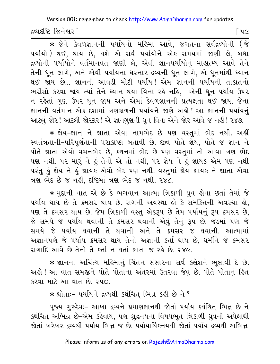દ્રવ્યદષ્ટિ જિનેશ્વર l

\* જેને કેવળજ્ઞાનની પર્યાયનો મહિમા આવે, જગતના સર્વદ્રવ્યોની (જે પર્યાયો ) થઈ, થાય છે, થશે એ સર્વ પર્યાયોને એક સમયમાં જાણી લે, બધા દ્રવ્યોની પર્યાયોને વર્તમાનવત્ જાણી લે, એવી જ્ઞાનપર્યાયોનું માહ્યત્મ્ય આવે તેને તેની ધુન લાગે, અને એવી પર્યાયના ધરનાર દ્રવ્યની ધુન લાગે, એ ધુનમાંથી ઘ્યાન થઈ જાય છે... જ્ઞાનની આવડી મોટી પર્યાય! એમ જ્ઞાનની પર્યાયની તાકાતનો ભરોંસો કરવા જાય ત્યાં તેને ઘ્યાન થયા વિના રહે નહિ, –એની ધન પર્યાય ઉપર ન રહેતાં ગુણ ઉપર ધુન જાય અને એમાં કેવળજ્ઞાનની પ્રત્યક્ષતા થઈ જાય. જેના જ્ઞાનની વર્તમાન એક દશામાં ત્રણકાળની પર્યાયને જાણે અલે! આ જ્ઞાનની પર્યાયનું આટલું જોર! આટલી જોરદાર! એ જ્ઞાનગુણની ધૂન વિના એને જોર આવે જ નહીં! ૨૪૭.

\* જ્ઞેય-જ્ઞાન ને જ્ઞાતા એવા નામભેદ છે પણ વસ્તમાં ભેદ નથી. અહીં સ્વતંત્રતાની-પરિપૂર્ણતાની પરાકાષ્ઠા બતાવી છે. જીવ પોતે જ્ઞેય, પોતે જ જ્ઞાન ને પોતે જ્ઞાતા એવો વચનભેદ છે, કથનમાં ભેદ છે પણ વસ્તુમાં તો આવા ત્રણ ભેદ પણ નથી. પર મારું ને હું તેનો એ તો નથી, પર જ્ઞેય ને હું જ્ઞાયક એમ પણ નથી પરંતુ કું જ્ઞેય ને કું જ્ઞાયક એવો ભેદ પણ નથી. વસ્તુમાં જ્ઞેય-જ્ઞાયક ને જ્ઞાતા એવા ત્રણ ભેદ છે જ નહીં. દષ્ટિમાં ત્રણ ભેદ જ નથી. ૨૪૮.

★ મુદ્દાની વાત એ છે કે ભગવાન આત્મા ત્રિકાળી ઘ્રુવ હોવા છતાં તેમાં જે પર્યાય થાય છે તે ક્રમસર થાય છે. રાગની અવસ્થા હો કે સમકિતની અવસ્થા હો, પણ તે ક્રમસર થાય છે. જેમ ત્રિકાળી વસ્તુ એકરૂપ છે તેમ પર્યાયનું રૂપ ક્રમસર છે. જે સમયે જે પર્યાય થવાની તે ક્રમસર થવાની એવું તેનું રૂપ છે. જડમાં પણ જે સમયે જે પર્યાય થવાની તે થવાની અને તે ક્રમસર જ થવાની. આત્મામાં અજ્ઞાનપણે જે પર્યાય ક્રમસર થાય તેનો અજ્ઞાની કર્તા થાય છે, ધર્મીને જે ક્રમસર રાગાદિ આવે છે તેનો તે કર્તા ન થતાં જ્ઞાતા જ રહે છે. ૨૪૯.

\* જ્ઞાનના અચિંત્ય મહિમાનું ચિંતન સંસારના સર્વ કલેશને ભૂલાવી દે છે. અલ્રો ! આ વાત સમજીને પોતે પોતાના અંતરમાં ઉતરવા જેવું છે. પોતે પોતાનું હિત કરવા માટે આ વાત છે. ૨૫૦.

\* श्रोता :- पर्यायने द्रव्यथी डथंयित् लिज्ञ डडी છे ने?

પૂજ્ય ગુરુદેવઃ– આખા દ્રવ્યને પ્રમાણજ્ઞાનથી જોતાં પર્યાય કથંચિત ભિન્ન છે ને કથંચિત અભિન્ન છે-એમ કહેવાય, પણ શુદ્ધનયના વિષયભૂત ત્રિકાળી ઘ્રુવની અપેક્ષાથી જોતાં ખરેખર દ્રવ્યથી પર્યાય ભિન્ન જ છે. પર્યાયાર્થિકનયથી જોતાં પર્યાય દ્રવ્યથી અભિન્ન

િપ૯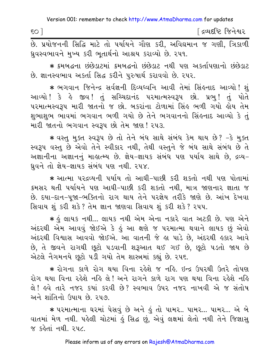| SO <sub>1</sub> |  |  |  |                                                                          |  | ∫ દ્રવ્યદષ્ટિ જિનેશ્વર |
|-----------------|--|--|--|--------------------------------------------------------------------------|--|------------------------|
|                 |  |  |  | છે. પ્રયોજનની સિદ્ધિ માટે તો પર્યાયને ગૌણ કરી, અવિદ્યમાન જ ગણી, ત્રિકાળી |  |                        |

ધ્રુવસ્વભાવને મુખ્ય કરી ભુતાર્થનો આશ્રય કરાવ્યો છે. ૨૫૧. \* ક્રમબદ્ધના છંછેડાટમાં ક્રમબદ્ધનો છંછેડાટ નથી પણ અકર્તાપણાનો છંછેડાટ છે. જ્ઞાનસ્વભાવ અકર્તા સિદ્ધ કરીને પુરુષાર્થ કરાવવો છે. ૨૫૨.

\* ભગવાન જિનેન્દ્ર સર્વજ્ઞની દિવ્યધ્વનિ આવી તેમાં સિંહનાદ આવ્યો !શું આવ્યો ! કે હે જીવ ! તું સચ્ચિદાનંદ પરમાત્મસ્વરૂપ છો. પ્રભુ ! તું પોતે પરમાત્મસ્વરૂપ મારી જાતનો જ છો. બકરાંના ટોળામાં સિંહ ભળી ગયો હોય તેમ શુભાશુભ ભાવમાં ભગવાન ભળી ગયો છે તેને ભગવાનનો સિંહનાદ આવ્યો કે તું મારી જાતનો ભગવાન સ્વરૂપ છો તેમ જાણ ! ૨૫૩.

\* વસ્તુ મુક્ત સ્વરૂપ છે તો તેને બંધ સાથે સંબંધ કેમ થાય છે? -કે મુક્ત સ્વરૂપ વસ્તુ છે એવો તેને સ્વીકાર નથી, તેથી વસ્તુને જે બંધ સાથે સંબંધ છે તે અજ્ઞાનીના અજ્ઞાનનું માહાત્મ્ય છે. જ્ઞેય-જ્ઞાયક સંબંધ પણ પર્યાય સાથે છે, દ્રવ્ય-ધ્રુવને તો જ્ઞેય-જ્ઞાયક સંબંધ પણ નથી. ૨૫૪.

\* આત્મા પરદ્રવ્યની પર્યાય તો આઘી-પાછી કરી શકતો નથી પણ પોતામાં ક્રમસર થતી પર્યાયને પણ આઘી-પાછી કરી શકતો નથી, માત્ર જાણનાર જ્ઞાતા જ છે. દયા-દાન-પૂજા-ભક્તિનો રાગ થાય તેને પરજ્ઞેય તરીકે જાણે છે. આંખ દેખવા સિવાય શું કરી શકે? તેમ જ્ઞાન જાણવા સિવાય શું કરી શકે? ૨૫૫.

\* કું લાયક નથી... લાયક નથી એમ એના નકારે વાત અટકી છે. પણ એને અંદરથી એમ આવવું જોઈએ કે હું આ ક્ષણે જ પરમાત્મા થવાને લાયક છું એવો અંદરથી વિશ્વાસ આવવો જોઈએ. આ વાતની જે હા પાડે છે, અંદરથી હકાર આવે છે. તે જીવને રાગથી છુટો ૫ડવાની શરૂઆત થઈ ગઈ છે. છુટો ૫ડતો જાય છે એટલે નૈગમનયે છુટો પડી ગયો તેમ શાસ્ત્રમાં કહ્યું છે. ૨૫૬.

\* રોગના કાળે રોગ થયા વિના રહેશે જ નહિ. ઇન્દ્ર ઉપરથી ઉતરે તોપણ રોગ થયા વિના રહેશે નહિ લે! અને રાગને કાળે રાગ પણ થયા વિના રહેશે નહિ લે! હવે તારે નજર કયાં કરવી છે? સ્વભાવ ઉપર નજર નાખવી એ જ સંતોષ અને શાંતિનો ઉપાય છે. ૨૫૭

\* પરમાત્માના ઘરમાં પેસવું છે અને ઢું તો પામર.. પામર... પામર... એ બે વાતમાં મેળ નથી. પહેલી ચોટમાં હું સિદ્ધ છું, એવું લક્ષમાં લેતો નથી તેને જિજ્ઞાસુ જ કહેતાં નથી. ૨૫૮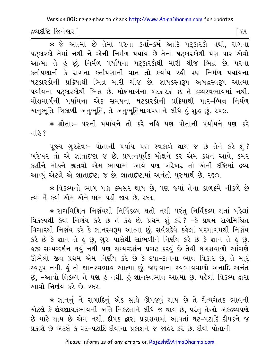દ્રવ્યદષ્ટિ જિનેશ્વર ]

િદ૧

\* જે આત્મા છે તેમાં પરના કર્તા-કર્મ આદિ ષટ્કારકો નથી, રાગના ષટકારકો તેમાં નથી ને એની નિર્મળ પર્યાય છે તેના ષટકારકોથી પણ પાર એવો આત્મા તે કું છું. નિર્મળ પર્યાયના ષટકારકોથી મારી ચીજ ભિન્ન છે. પરના કર્તાપણાની કે રાગના કર્તાપણાની વાત તો કયાંય રહી પણ નિર્મળ પર્યાયના ષટકારકોની પ્રક્રિયાથી ભિન્ન મારી ચીજ છે. જ્ઞાયકસ્વરૂપ અબદ્ધસ્વરૂપ આત્મા પર્યાયના ષટકારકોથી ભિન્ન છે. મોક્ષમાર્ગના ષટકારકો છે તે દ્રવ્યસ્વભાવમાં નથી. મોક્ષમાર્ગની પર્યાયના એક સમયના ષટકારકોની પ્રક્રિયાથી પાર-ભિન્ન નિર્મળ અનુભૂતિ-ત્રિકાળી અનુભૂતિ, તે અનુભૂતિમાત્રપણાને લીધે હું શુદ્ધ છું. ૨૫૯.

\* શ્રોતાઃ- પરની પર્યાયને તો કરે નહિ પણ પોતાની પર્યાયને પણ કરે न $\approx$  ?

પૂજ્ય ગુરુદેવઃ- પોતાની પર્યાય પણ સ્વકાળે થાય જ છે તેને કરે શું? ખરેખર તો એ જ્ઞાતાદષ્ટા જ છે. પ્રયત્નપૂર્વક મોક્ષને કર એમ કથન આવે, કમર કસીને મોહને જીતવો એમ ભાષામાં આવે પણ ખરેખર તો એની દષ્ટિમાં દ્રવ્ય આવ્યું એટલે એ જ્ઞાતાદષ્ટા જ છે. જ્ઞાતાદષ્ટામાં અનંતો પુરુષાર્થ છે. ૨૬૦.

∗ વિકલ્પનો ભાગ પણ ક્રમસર થાય છે. પણ જ્યાં તેના કાળક્રમે નીકળે છે ત્યાં મેં કર્યો એમ એને ભ્રમ પડી જાય છે. રહ્યુ

\* રાગમિશ્રિત નિર્ણયથી નિર્વિકલ્પ થતો નથી પરંતુ નિર્વિકલ્પ થતાં પહેલાં વિકલ્પથી કેવો નિર્ણય કરે છે તે કહે છે. પ્રથમ શું કરે? -કે પ્રથમ રાગમિશ્રિત વિચારથી નિર્ણય કરે કે જ્ઞાનસ્વરૂપ આત્મા છું. સર્વજ્ઞદેવે કહેલાં પરમાગમથી નિર્ણય કરે છે કે જ્ઞાન તે હું છું, ગુરુ પાસેથી સાંભળીને નિર્ણય કરે છે કે જ્ઞાન તે હું છું. ઙુજી સમ્યગ્દર્શન થયું નથી પણ સમ્યગ્દર્શન પ્રગટ કરવું છે તેવી ધગશવાળો આંગણે ઊભેલો જીવ પ્રથમ એમ નિર્ણય કરે છે કે દયા-દાનના ભાવ વિકાર છે, તે મારૃં સ્વરૂપ નથી. કું તો જ્ઞાનસ્વભાવ આત્મા છું. જાણવાના સ્વભાવવાળો અનાદિ-અનંત છું, -આવો વિકલ્પ તે પણ હું નથી. હું જ્ઞાનસ્વભાવ આત્મા છું. પહેલાં વિકલ્પ દ્વારા .<br>આવો નિર્ણય કરે છે. ર*૬ર.* 

\* જ્ઞાનનું ને રાગાદિનું એક સાથે ઊપજવું થાય છે તે ચૈત્યચેતક ભાવની એટલે કે જ્ઞેયજ્ઞાયકભાવની અતિ નિકટતાને લીધે જ થાય છે, પરંતુ તેઓ એકદ્રવ્યપણે છે માટે થાય છે એમ નથી. દીપક દ્વારા પ્રકાશવામાં આવતાં ઘટ-પટાદિ દીપકને જ પ્રકાશે છે એટલે કે ઘટ-પટાદિ દીવાના પ્રકાશને જ જાહેર કરે છે. દીવો પોતાની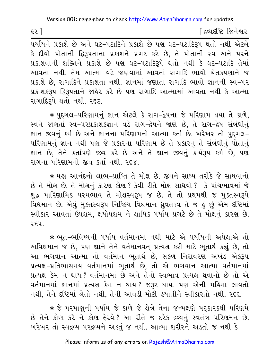[ દ્રવ્યદષ્ટિ જિનેશ્વર

પર્યાયને પ્રકાશે છે અને ઘટ-પટાદિને પ્રકાશે છે પણ ઘટ-પટાદિરૂપ થતો નથી એટલે કે દીવો પોતાની દ્વિરૂપતાના પ્રકાશને પ્રગટ કરે છે. તે પોતાની સ્વ અને પરને પ્રકાશવાની શક્તિને પ્રકાશે છે પણ ઘટ-પટાદિરૂપે થતો નથી કે ઘટ-પટાદિ તેમાં આવતા નથી. તેમ આત્મા વડે જાણવામાં આવતાં રાગાદિ ભાવો ચેતકપણાને જ પ્રકાશે છે, રાગાદિને પ્રકાશતા નથી. જ્ઞાનમાં જણાતા રાગાદિ ભાવો જ્ઞાનની સ્વ-૫ર પ્રકાશકરૂપ દ્વિરૂપતાને જાહેર કરે છે પણ રાગાદિ આત્મામાં આવતા નથી કે આત્મા રાગાદિરૂપે થતો નથી. ર૬૩.

∗ પુદ્ગલ−પરિણામનું જ્ઞાન એટલે કે રાગ−દ્વેષના જે પરિણામ થયા તે કાળે, સ્વને જાણતાં સ્વ-પરપ્રકાશકજ્ઞાન વડે રાગ-દ્વેષને જાણે છે. તે રાગ-દ્વેષ સંબંધીનું જ્ઞાન જીવનું કર્મ છે અને જ્ઞાનના પરિણામનો આત્મા કર્તા છે. ખરેખર તો પુદગલ-પરિણામનું જ્ઞાન નથી પણ જે પ્રકારના પરિણામ છે તે પ્રકારનું તે સંબંધીનું પોતાનું જ્ઞાન છે, તેને કર્તાપણે જીવ કરે છે અને તે જ્ઞાન જીવનું કાર્યરૂપ કર્મ છે, પણ રાગના પરિણામનો જીવ કર્તા નથી **ર**દ×

\* મહા આનંદનો લાભ-પ્રાપ્તિ તે મોક્ષ છે. જીવને સાધ્ય તરીકે જે સાધવાનો છે તે મોક્ષ છે. તે મોક્ષનું કારણ કોણ ? કેવી રીતે મોક્ષ સાધવો ? -કે પાંચભાવમાં જે શુદ્ધ પારિણામિક પરમભાવ તે મોક્ષસ્વરૂપ જ છે. તે તો પ્રથમથી જ મુક્તસ્વરૂપે વિદ્યમાન છે. એવું મુક્તસ્વરૂપ નિષ્ક્રિય વિદ્યમાન ધ્રુવતત્ત્વ તે જ હું છું એમ દષ્ટિમાં સ્વીકાર આવતાં ઉપશમ, ક્ષયોપશમ ને ક્ષાયિક પર્યાય પ્રગટે છે તે મોક્ષનું કારણ છે. ર૬૫.

★ ભૂત−ભવિષ્યની પર્યાય વર્તમાનમાં નથી માટે એ પર્યાયની અપેક્ષાએ તો અવિદ્યમાન જ છે, પણ જ્ઞાને તેને વર્તમાનવત્ પ્રત્યક્ષ કરી માટે ભૂતાર્થ કહ્યું છે, તો આ ભગવાન આત્મા તો વર્તમાન ભૂતાર્થ છે, સકળ નિરાવરણ અખંડ એકરૂપ પ્રત્યક્ષ-પ્રતિભાસમય વર્તમાનમાં ભૂતાર્થ છે, તો એ ભગવાન આત્મા વર્તમાનમાં પ્રત્યક્ષ કેમ ન થાય? વર્તમાનમાં છે અને તેનો સ્વભાવ પ્રત્યક્ષ થવાનો છે તો એ વર્તમાનમાં જ્ઞાનમાં પ્રત્યક્ષ કેમ ન થાય? જરૂર થાય. પણ એની મહિમા લાવતો નથી, તેને દષ્ટિમાં લેતો નથી, તેની આવડી મોટી હયાતીને સ્વીકારતો નથી. ર૬૬.

★ જે પરમાણુની પર્યાય જે કાળે જે ક્ષેત્રે તેના જન્મક્ષણે પટકારકથી પરિણમે છે તેને કોણ કરે ને કોણ ફેરવે? આ રીતે જ દરેક દ્રવ્યનું સ્વતંત્ર પરિણમન છે. ખરેખર તો સ્વદ્રવ્ય પરદ્રવ્યને અડતં જ નથી. આત્મા શરીરને અડતો જ નથી કે

 $53$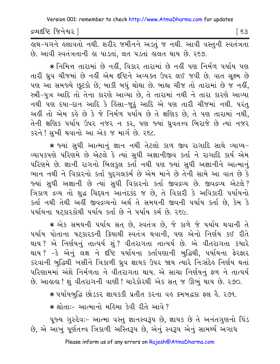દ્રવ્યદષ્ટિ જિનેશ્વર l

် 53

લુથ−૫ગને લ્લાવતો નથી. શરીર જમીનને અડતં જ નથી. આવી વસ્તની સ્વતંત્રતા છે. આવી સ્વતંત્રતાની હા પાડતાં, લત પડતાં હાલત થાય છે. ર૬૭.

★ નિમિત્ત તારામાં છે નહીં, વિકાર તારામાં છે નહીં પણ નિર્મળ પર્યાય પણ તારી ધ્રુવ ચીજમાં છે નહીં એમ દષ્ટિને અવ્યક્ત ઉપર લઈ જવી છે. વાત સુક્ષ્મ છે પણ આ સમજ્યે છૂટકો છે, બાકી બધું થોથા છે. બાહ્ય ચીજ તો તારામાં છે જ નહીં, સ્ત્રી-પુત્ર આદિ તો તેના કારણે આવ્યા છે. તે તારામાં નથી ને તારા કારણે આવ્યા નથી પણ દયા-દાન આદિ કે હિંસા-જૂઠું આદિ એ પણ તારી ચીજમાં નથી. પરંતુ અહીં તો એમ કહે છે કે જે નિર્મળ પર્યાય છે તે ક્ષણિક છે, તે પણ તારામાં નથી, તેની ક્ષણિક પર્યાય ઉપર નજર ન કર, પણ જ્યાં ધ્રુવતત્ત્વ બિરાજે છે ત્યાં નજર કરને ! સખી થવાનો આ એક જ માર્ગ છે. ૨૬૮.

\* જ્યાં સુધી આત્માનું જ્ઞાન નથી તેટલો કાળ જીવ રાગાદિ સાથે વ્યાપ્ય-વ્યાપકપણે પરિણમે છે એટલે કે ત્યાં સુધી અજ્ઞાનીજીવ કર્તા ને રાગાદિ કાર્ય એમ પરિણમે છે. જ્ઞાની રાગનો બિલકુલ કર્તા નથી પણ જ્યાં સુધી અજ્ઞાનીને આત્માનું ભાન નથી ને વિકારનો કર્તા પુદ્દગલકર્મ છે એમ માને છે તેની સામે આ વાત છે કે જ્યાં સુધી અજ્ઞાની છે ત્યાં સુધી વિકારનો કર્તા જીવદ્રવ્ય છે. જીવદ્રવ્ય એટલે? ત્રિકાળ દ્રવ્ય તો શુદ્ધ ચિદ્દઘન આનંદકંદ જ છે, તે વિકારી કે અવિકારી પર્યાયનો કર્તા નથી તેથી અહીં જીવદ્રવ્યનો અર્થ તે સમયની જીવની પર્યાય કર્તા છે, કેમ કે ૫ર્યાયના ષટકારકોથી ૫ર્યાય કર્તા છે ને ૫ર્યાય કર્મ છે. ૨૬૯.

\* એક સમયની પર્યાય સત છે, સ્વતંત્ર છે, જે કાળે જે પર્યાય થવાની તે પર્યાય પોતાના ષટ્કારકની ક્રિયાથી સ્વતંત્ર થવાની, પણ એનો નિર્ણય કઈ રીતે થાય? એ નિર્ણયનું તાત્પર્ય શું? વીતરાગતા તાત્પર્ય છે. એ વીતરાગતા કયારે થાય ? −કે એનું લક્ષ ને દષ્ટિ પર્યાયના કર્તાપણાની બુદ્ધિથી, પર્યાયના ફેરફાર કરવાની બુદ્ધિથી ખસીને ત્રિકાળી ધ્રુવ જ્ઞાયક ઉપર જાય ત્યારે નિઃસંદેહ નિર્ણય થતાં પરિણામમાં અંશે નિર્મળતા ને વીતરાગતા થાય. એ સાચા નિર્ણયનું ફળ ને તાત્પર્ય છે. આલાલ! શું વીતરાગની વાણી ! ચારેકોરથી એક સત જ ઊભું થાય છે. ૨૭૦.

\* ૫ર્યાયબુદ્ધિ છોડકર જ્ઞાયકકી પ્રતીત કરના વહ ક્રમબદ્ધકા ફ્લ હૈ. ૨૭૧.

∗ શ્રોતાઃ− આત્માનો મહિમા કેવી રીતે આવે ?

પુજ્ય ગુરુદેવઃ- આત્મા વસ્તુ જ્ઞાનસ્વરૂપ છે. જ્ઞાયક છે તે અનંતગુણનો પિંડ છે, એ આખું પૂર્ણતત્ત્વ ત્રિકાળી અસ્તિરૂપ છે, એનું સ્વરૂપ એનું સામર્થ્ય અગાધ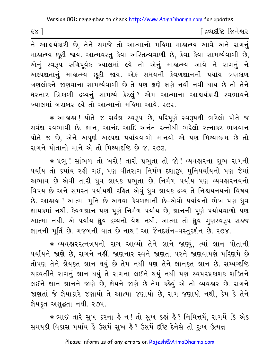$58$ ]

દિવ્યદષ્ટિ જિનેશ્વર

ને આશ્ચર્યકારી છે, તેને સમજે તો આત્માનો મહિમા–માહાત્મ્ય આવે અને રાગનું માહાત્મ્ય છુટી જાય. આત્મવસ્તુ કેવા અસ્તિત્વવાળી છે, કેવા કેવા સામર્થ્યવાળી છે, એનું સ્વરૂપ રુચિપૂર્વક ખ્યાલમાં લ્યે તો એનું માહ્યત્મ્ય આવે ને રાગનું ને અલ્પજ્ઞતાનું માહાત્મ્ય છૂટી જાય. એક સમયની કેવળજ્ઞાનની પર્યાય ત્રણકાળ ત્રણલોકને જાણવાના સામર્થ્યવાળી છે તે પણ ક્ષણે ક્ષણે નવી નવી થાય છે તો તેને ધરનાર ત્રિકાળી દ્રવ્યનું સામર્થ્ય કેટલું? એમ આત્માના આશ્ચર્યકારી સ્વભાવને ખ્યાલમાં બરાબર લ્યે તો આત્માનો મહિમા આવે. ર૭ર.

∗ આહાહા ! પોતે જ સર્વજ્ઞ સ્વરૂપ છે, પરિપૂર્ણ સ્વરૂપથી ભરેલો પોતે જ સર્વજ્ઞ સ્વભાવી છે. જ્ઞાન, આનંદ આદિ અનંત રત્નોથી ભરેલો રત્નાકર ભગવાન પોતે જ છે, એને અપૂર્ણ અલ્પજ્ઞ પર્યાયવાળો માનવો એ પણ મિથ્યાભ્રમ છે તો રાગને પોતાનો માને એ તો મિથ્યાદષ્ટિ છે જ. ૨૭૩.

\* પ્રભુ! સાંભળ તો ખરો! તારી પ્રભુતા તો જો! વ્યવહારના શુભ રાગની પર્યાય તો કયાંય રહી ગઈ, પણ વીતરાગ નિર્મળ દશારૂપ મુનિપર્યાયનો પણ જેમાં અભાવ છે એવી તારી ઘ્રુવ જ્ઞાયક પ્રભુતા છે. નિર્મળ પર્યાય પણ વ્યવહારનયનો વિષય છે અને સમસ્ત પર્યાયથી રહિત એવું ધ્રુવ જ્ઞાયક દ્રવ્ય તે નિશ્ચયનયનો વિષય છે. આલ્રહ્મ ! આત્મા મુનિ છે અથવા કેવળજ્ઞાની છે–એવો પર્યાયનો ભેખ પણ ઘ્રુવ જ્ઞાયકમાં નથી. કેવળજ્ઞાન પણ પૂર્ણ નિર્મળ પર્યાય છે, જ્ઞાનની પૂર્ણ પર્યાયવાળો પણ આત્મા નથી. એ ૫ર્યાય ધ્રુવ દ્રવ્યનો વેશ નથી. આત્મા તો ધ્રુવ ગુણસ્વરૂપ સહજ જ્ઞાનની મૂર્તિ છે. ગજબની વાત છે નાથ! આ જૈનદર્શન-વસ્તુદર્શન છે. ૨૭૪.

\* વ્યવહારરત્નત્રયનો રાગ આવ્યો તેને જ્ઞાને જાણ્યું, ત્યાં જ્ઞાન પોતાની પર્યાયને જાણે છે, રાગને નહીં. જાણનાર સ્વને જાણતાં પરને જાણવાપણે પરિણમે છે તોપણ તેને જ્ઞેયકૃત જ્ઞાન થયું છે તેમ નથી પણ તેને જ્ઞાનકૃત જ્ઞાન છે. સમ્યગ્દષ્ટિ ચક્રવર્તીને રાગનું જ્ઞાન થયું તે રાગના લઈને થયું નથી પણ સ્વપરપ્રકાશક શક્તિને લઈને જ્ઞાન જ્ઞાનને જાણે છે, જ્ઞેયને જાણે છે તેમ કહેવું એ તો વ્યવહાર છે. રાગને જાણતાં જે જ્ઞેયાકારે જણાયો તે આત્મા જણાયો છે, રાગ જણાયો નથી, કેમ કે તેને જ્ઞેયકૃત અશુદ્ધતા નથી. ૨૭૫.

★ ભાઈ તારે સુખ કરના હૈ ન ! તો સુખ કહાં હૈ ? નિમિત્તમેં, રાગમેં કિ એક સમયકી વિકાસ પર્યાય હૈ ઉસમેં સુખ હૈ ? ઉસમેં દૃષ્ટિ દેનેસે તો દુઃખ ઉત્પન્ન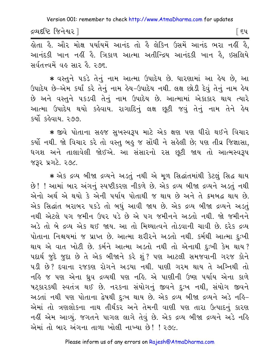દ્રવ્યદષ્ટિ જિનેશ્વર l

િદપ

હોતા હૈ. ઔર મોક્ષ ૫ર્યાયમેં આનંદ તો હૈ લેકિન ઉસમેં આનંદ ભરા નહીં હૈ, આનંદકી ખાન નહીં હૈ. ત્રિકાળ આત્મા અતીન્દ્રિય આનંદકી ખાન હૈ, ઇસલિયે સર્વતત્ત્વમેં વહ સાર હૈ. ૨૭૬.

\* વસ્તુને પકડે તેનું નામ આત્મા ઉપાદેય છે. ધારણામાં આ હેય છે, આ ઉપાદેય છે-એમ કર્યાં કરે તેનું નામ હેય-ઉપાદેય નથી. લક્ષ છોડી દેવું તેનું નામ હેય છે અને વસ્તુને પકડવી તેનું નામ ઉપાદેય છે. આત્મામાં એકાકાર થાય ત્યારે આત્મા ઉપાદેય થયો કહેવાય. રાગાદિનું લક્ષ છૂટી જવું તેનું નામ તેને હેય કર્યો કહેવાય ૨૭૭

\* જીવે પોતાના સહજ સુખસ્વરૂપ માટે એક ક્ષણ પણ ધીરો થઈને વિચાર કર્યો નથી. જો વિચાર કરે તો વસ્તુ બહુ જ સોંધી ને સહેલી છે; પણ તીવ્ર જિજ્ઞાસા, ધગશ અને તાલાવેલી જોઈએ. આ સંસારનો રસ છુટી જાય તો આત્મસ્વરૂપ જરૂર પ્રગટે. ૨૭૮.

\* એક દ્રવ્ય બીજા દ્રવ્યને અડતું નથી એ મૂળ સિદ્ધાંતમાંથી કેટલું સિદ્ધ થાય છે! ! આમાં બાર અંગનું સ્પષ્ટીકરણ નીકળે છે. એક દ્રવ્ય બીજા દ્રવ્યને અડતું નથી એનો અર્થ એ થયો કે એની પર્યાય પોતાથી જ થાય છે અને તે ક્રમબદ્ધ થાય છે. એક સિદ્ધાંત બરાબર ૫કડે તો બધું આવી જાય છે. એક દ્રવ્ય બીજા દ્રવ્યને અડતું નથી એટલે પગ જમીન ઉપર પડે છે એ પગ જમીનને અડતો નથી. જો જમીનને અડે તો બે દ્રવ્ય એક થઈ જાય. આ તો મિથ્યાત્વને તોડવાની ચાવી છે. દરેક દ્રવ્ય પોતાના નિશ્ચયમાં જ પ્રાપ્ત છે. આત્મા શરીરને અડતો નથી. કર્મથી આત્મા દુઃખી થાય એ વાત ખોટી છે. કર્મને આત્મા અડતો નથી તો એનાથી દુઃખી કેમ થાય? પદાર્થ જુદે જુદા છે તે એક બીજાને કરે શું ? પણ આટલી સમજવાની ગરજ કોને ૫ડી છે? દવાના ૨જકણ રોગને અડયા નથી. પાણી ગરમ થાય તે અગ્નિથી તો નહિ જ પણ એના ઘ્રુવ દ્રવ્યથી પણ નહિ. એ પાણીની ઉષ્ણ પર્યાય એના કાળે ષટ્કારકથી સ્વતંત્ર થઈ છે. નરકના સંયોગનું જીવને દુઃખ નથી, સંયોગ જીવને અડતાં નથી પણ પોતાના દ્વેષથી દુ:ખ થાય છે. એક દ્રવ્ય બીજા દ્રવ્યને અડે નહિ-એમાં તો ત્રણલોકના નાથ તીર્થંકર અને તેમની વાણી પણ તારા ઉત્પાદનું કારણ નહીં એમ આવ્યું. જગતને પાગલ લાગે તેવું છે. એક દ્રવ્ય બીજા દ્રવ્યને અડે નહિ એમાં તો બાર અંગના તાળા ખોલી નાખ્યા છે! ! ર૭૯.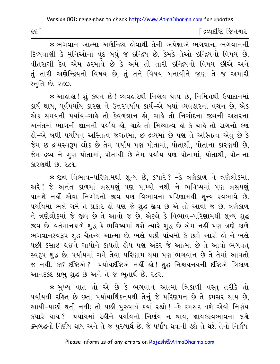∫ દ્રવ્યદષ્ટિ જિનેશ્વર

\* ભગવાન આત્મા અણેન્દ્રિય હોવાથી તેની અપેક્ષાએ ભગવાન, ભગવાનની દિવ્યવાણી કે મુનિઓનાં વૃંદ બધું જ ઇન્દ્રિય છે. કેમકે તેઓ ઇન્દ્રિયનો વિષય છે. વીતરાગી દેવ એમ ફરમાવે છે કે અમે તો તારી ઇન્દ્રિયનો વિષય છીએ અને તું તારી અણેન્દ્રિયનો વિષય છે, તું તને વિષય બનાવીને જાણ તે જ અમારી સ્તુતિ છે. ૨૮૦.

\* આહાહા ! શું કથન છે ! વ્યવહારથી નિશ્ચય થાય છે, નિમિત્તથી ઉપાદાનમાં કાર્ય થાય, પૂર્વપર્યાય કારણ ને ઉત્તરપર્યાય કાર્ય-એ બધાં વ્યવહારના વચન છે, એક એક સમયની પર્યાય-ચાહે તો કેવળજ્ઞાન હો, ચાહે તો નિગોદના જીવની અક્ષરના અનંતમાં ભાગની જ્ઞાનની પર્યાય હો, ચાહે તો મિથ્યાત્વ હો કે ચાહે તો રાગનો કણ લ્રો−એ બધી પર્યાયનું અસ્તિત્વ જગતમાં, છ દ્રવ્યમાં છે પણ તે અસ્તિત્વ એવું છે કે જેમ છ દ્રવ્યસ્વરૂપ લોક છે તેમ પર્યાય પણ પોતામાં, પોતાથી, પોતાના કારણથી છે, જેમ દ્રવ્ય ને ગુણ પોતામાં, પોતાથી છે તેમ પર્યાય પણ પોતામાં, પોતાથી, પોતાના કારણથી છે રૂ૮૧

\* જીવ વિભાવ-પરિણામથી શુન્ય છે, કયારે? -કે ત્રણેકાળ ને ત્રણેલોકમાં. અરે! જે અનંત કાળમાં ત્રસપણું પણ પામ્યો નથી ને ભવિષ્યમાં પણ ત્રસપણું પામશે નહીં એવા નિગોદનો જીવ પણ વિભાવના પરિણામથી શન્ય સ્વભાવે છે. પર્યાયમાં ભલે ગમે તે પ્રકાર હો પણ જે શુદ્ધ જીવ છે એ તો આવો જ છે. ત્રણેકાળ ને ત્રણેલોકમાં જે જીવ છે તે આવો જ છે, એટલે કે વિભાવ-પરિણામથી શુન્ય શુદ્ધ જીવ છે. વર્તમાનકાળે શદ્ધ કે ભવિષ્યમાં થશે ત્યારે શદ્ધ છે એમ નહીં પણ ત્રણે કાળે ભગવાનસ્વરૂપ શુદ્ધ ચૈતન્ય આત્મા છે. ભલે પછી પાંચમો કે છઢો આરો હો ને ભલે પછી કસાઈ થઈને ગાયોને કાપતો હોય પણ અંદર જે આત્મા છે તે આવો ભગવત સ્વરૂપ શુદ્ધ છે. પર્યાયમાં ગમે તેવા પરિણામ થયા પણ ભગવાન છે તે તેમાં આવતો જ નથી. કઈ દષ્ટિએ ? -૫ર્યાયદષ્ટિએ નહીં હો ! શુદ્ધ નિશ્ચયનયની દષ્ટિએ ત્રિકાળ આનંદકંદ પ્રભુ શુદ્ધ છે અને તે જ ભૂતાર્થ છે. ૨૮૨.

\* મુખ્ય વાત તો એ છે કે ભગવાન આત્મા ત્રિકાળી વસ્તુ તરીકે તો પર્યાયથી રહિત છે છતાં પર્યાયાર્થિકનયથી તેનું જે પરિણમન છે તે ક્રમસર થાય છે, આઘી-પાછી થતી નથી; તો પછી પુરુષાર્થ કયાં રહ્યો ! -કે ક્રમસર થશે એવો નિર્ણય કયારે થાય? -પર્યાયમાં રહીને પર્યાયનો નિર્ણય ન થાય, જ્ઞાયકસ્વભાવના લક્ષે ક્રમબદ્ધનો નિર્ણય થાય અને તે જ પુરુષાર્થ છે. જે પર્યાય થવાની હશે તે થશે તેનો નિર્ણય

 $55$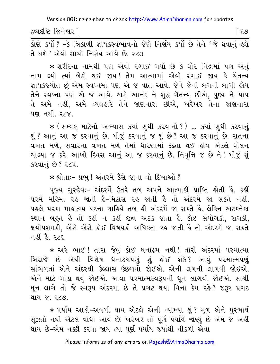દ્રવ્યદષ્ટિ જિનેશ્વર l

। ६७

તે થશે ' એવો સાચો નિર્ણય આવે છે. ૨૮૩.

★ શરીરના નામથી પણ એવો રંગાઈ ગયો છે કે ઘોર નિંદ્રામાં પણ એનું નામ લ્યો ત્યાં બેઠો થઈ જાય! તેમ આત્મામાં એવો રંગાઈ જાય કે ચૈતન્ય જ્ઞાયકજ્યોત છું એમ સ્વપ્નમાં પણ એ જ વાત આવે. જેને જેની લગની લાગી હોય તેને સ્વપ્ના પણ એ જ આવે. અમે આનંદ ને શુદ્ધ ચૈતન્ય છીએ, પુણ્ય ને પાપ તે અમે નહીં, અમે વ્યવહારે તેને જાણનારા છીએ, ખરેખર તેના જાણનારા <u>પણ નથી. ૨૮૪.</u>

\* (સમ્યક માટેનો અભ્યાસ કયાં સુધી કરવાનો?) ... કયાં સુધી કરવાનું શું ? આનું આ જ કરવાનું છે. બીજું કરવાનું જ શું છે ? આ જ કરવાનું છે. રાતના વખત મળે, સવારના વખત મળે તેમાં ધારણામાં દઢતા થઈ હોય એટલે ઘોલન ચાલ્યા જ કરે. આખો દિવસ આનું આ જ કરવાનું છે. નિવૃત્તિ જ છે ને ! બીજું શું કરવાનું છે? ૨૮૫.

\* શ્રોતાઃ- પ્રભુ ! અંતરમેં કૈસે જાના વો દિખાઓ ?

પૂજ્ય ગુરુદેવઃ- અંદરમેં ઉતરે તબ અપને આત્માકી પ્રાપ્તિ હોતી હૈ. કહીં પરમેં મહિમા રહ જાતી હૈ-મિઠાસ રહ જાતી હૈ તો અંદરમેં જા સકતે નહીં. ૫ઙલે ૫૨કા માહાત્મ્ય ઘટના ચાહિયે તબ હી અંદરમેં જા સકતે હૈ. લેકિન અટકનેકા સ્થાન બહુત હૈ તો કહીં ન કહીં જીવ અટક જાતા હૈ. કોઈ સંયોગકી, રાગકી, ક્ષયોપશમકી, ઐસે ઐસે કોઈ વિષયકી અધિકતા રહ જાતી હૈ તો અંદરમેં જા સકતે નહીં હૈ ર⁄દ

\* અરે ભાઈ ! તારા જેવું કોઈ ધનાઢય નથી ! તારી અંદરમાં પરમાત્મા બિરાજે છે એથી વિશેષ ધનાઢયપણું શું હોઈ શકે? આવું પરમાત્મપણું સાંભળતાં એને અંદરથી ઉલ્લાસ ઉછળવો જોઈએ. એની લગની લાગવી જોઈએ. એને માટે ગાંડા થવું જોઈએ. આવા પરમાત્મસ્વરૂપની ધૂન લાગવી જોઈએ. સાચી ધૂન લાગે તો જે સ્વરૂપ અંદરમાં છે તે પ્રગટ થયા વિના કેમ રહે? જરૂર પ્રગટ <u>थाय % २८९</u>

★ પર્યાય આડી−અવળી થાય એટલે એની વ્યાખ્યા શું? મૂળ એને પુરુષાર્થ સઝતો નથી એટલે વાંધા આવે છે. ખરેખર તો પૂર્ણ પર્યાયે જાણ્યું છે એમ જ અહીં થાય છે-એમ નક્કી કરવા જાય ત્યાં પૂર્ણ પર્યાય જ્યાંથી નીકળી એવા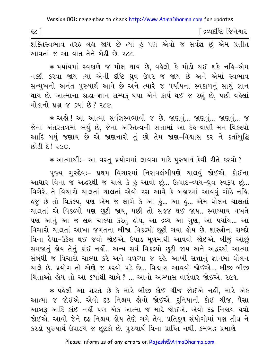∫ દ્રવ્યદષ્ટિ જિનેશ્વર م 2€ આવતાં જ આ વાત તેને બેઠી છે. ૨૮૮.

∗ ૫ર્યાયમાં સ્વકાળે જ મોક્ષ થાય છે. વહેલો કે મોડો થઈ શકે નહિ−એમ નક્કી કરવા જાય ત્યાં એની દષ્ટિ ધ્રુવ ઉપર જ જાય છે અને એમાં સ્વભાવ સન્મુખનો અનંત પુરુષાર્થ આવે છે અને ત્યારે જ પર્યાયના સ્વકાળનું સાચું જ્ઞાન થાય છે. આત્માના શ્રદ્ધા-જ્ઞાન સમ્યક્ થયા એને કાર્ય થઈ જ રહ્યું છે, પછી વહેલાં મોડાનો પ્રશ્ન જ ક્યાં છે? ૨૮૯.

\* અહો! આ આત્મા સર્વજ્ઞસ્વભાવી જ છે. જાણવું... જાણવું... જાણવું... જ જેના અંતરતળમાં ભર્યું છે, જેના અસ્તિત્વની સત્તામાં આ દેઙ્-વાણી-મન-વિકલ્પો આદિ બધું જણાય છે એ જાણનારો તું છો તેમ જાણ-વિશ્વાસ કર ને કર્તાબુદ્ધિ  $OSP3$   $\beta$   $\beta$   $\beta$ 

\* આત્માર્થીઃ- આ વસ્તુ પ્રયોગમાં લાવવા માટે પુરુષાર્થ કેવી રીતે કરવો ?

પુજ્ય ગુરુદેવઃ– પ્રથમ વિચારમાં નિરાવલંબીપણે ચાલવું જોઈએ. કોઈના આધાર વિના જ અદ્ધરથી જ ચાલે કે હું આવો છું... ઉત્પાદ-વ્યય-ધ્રુવ સ્વરૂપ છું... વિગેરે. તે વિચારો ચાલતાં ચાલતાં એવો રસ આવે કે બહારમાં આવવું ગોઠે નહિ. ઙુજ છે તો વિકલ્પ, પણ એમ જ લાગે કે આ ડું... આ ડું... એમ ઘોલન ચાલતાં ચાલતાં એ વિકલ્પો પણ છૂટી જાય, પછી તો સહજ થઈ જાય.. સ્વાધ્યાય વખતે પણ આનું આ જ લક્ષ ચાલ્યા કરતું હોય, આ દ્રવ્ય આ ગુણ, આ પર્યાય... આ વિચારો ચાલતાં આખા જગતના બીજા વિકલ્પો છૂટી ગયા હોય છે. શાસ્ત્રોના શબ્દો વિના હૈયા-ઉકેલ થઈ જવો જોઈએ. ઉપાડ મૂળમાંથી આવવો જોઈએ. બીજું ઓછું સમજાતું લોય તેનું કાંઈ નહીં.. અન્ય સર્વ વિકલ્પો છુટી જાય અને અદ્ધરથી આત્મા સંબંધી જ વિચારો ચાલ્યા કરે અને વળગ્યા જ રહે. આખી સત્તાનું જ્ઞાનમાં ઘોલન ચાલે છે. પ્રયોગ તો એણે જ કરવો પડે છે... વિશ્વાસ આવવો જોઈએ... બીજી બીજી ચિંતાઓ લોય તો આ કયાંથી ચાલે ? ... આનો અભ્યાસ વારંવાર જોઈએ. ર૯૧.

\* પહેલી આ શરત છે કે મારે બીજી કોઈ ચીજ જોઈએ નહીં, મારે એક આત્મા જ જોઈએ. એવો દઢ નિશ્ચય હોવો જોઈએ. દનિયાની કોઈ ચીજ, પૈસા આબરૂ આદિ કાંઈ નહીં પણ એક આત્મા જ મારે જોઈએ. એવો દઢ નિશ્ચય થવો જોઈએ. આવો જેને દઢ નિશ્ચય હોય તેણે ગમે તેવા પ્રતિકુળ સંયોગોમાં પણ તીવ્ર ને કરડો પુરુષાર્થ ઉપાડયે જ છૂટકો છે. પુરુષાર્થ વિના પ્રાપ્તિ નથી. કમબદ્ધ પ્રમાણે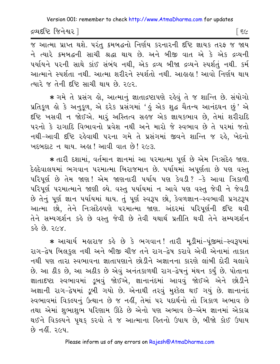દ્રવ્યદૃષ્ટિ જિનેશ્વર 1

િ દલ

જ આત્મા પ્રાપ્ત થશે. પરંતુ ક્રમબદ્ધનો નિર્ણય કરનારની દષ્ટિ જ્ઞાયક તરફ જ જાય ને ત્યારે ક્રમબદ્ધની સાચી શ્રદ્ધા થાય છે. અને બીજી વાત એ કે એક દ્રવ્યની પર્યાયને પરની સાથે કાંઈ સંબંધ નથી, એક દ્રવ્ય બીજા દ્રવ્યને સ્પર્શતું નથી. કર્મ આત્માને સ્પર્શતા નથી. આત્મા શરીરને સ્પર્શતો નથી. આહાહા ! આવો નિર્ણય થાય ત્યારે જ તેની દષ્ટિ સાચી થાય છે ૨૯૨

\* ગમે તે પ્રસંગ હો, આત્માનું જ્ઞાતાદ્રષ્ટાપણે રહેવું તે જ શાન્તિ છે. સંયોગો પ્રતિકૂળ હો કે અનુકૂળ, એ દરેક પ્રસંગમાં 'હું એક શુદ્ધ ચૈતન્ય આનંદઘન છું' એ દૃષ્ટિ ખસવી ન જોઈએ. મારૂં અસ્તિત્વ સહજ એક જ્ઞાયકભાવ છે, તેમાં શરીરાદિ પરનો કે રાગાદિ વિભાવનો પ્રવેશ નથી અને મારો જે સ્વભાવ છે તે પરમાં જતો નથી-આવી દષ્ટિ રહેવાથી પરના ગમે તે પ્રસંગમાં જીવને શાન્તિ જ રહે, ખેદનો 

\* તારી દશામાં, વર્તમાન જ્ઞાનમાં આ પરમાત્મા પૂર્ણ છે એમ નિઃસંદેહ જાણ. દેલ્ર્દેવાલયમાં ભગવાન પરમાત્મા બિરાજમાન છે. પર્યાયમાં અપૂર્ણતા છે પણ વસ્તુ પરિપર્ણ છે તેમ જાણ! એમ જાણનારી પર્યાય પણ કેવડી? -કે આવા ત્રિકાળી પરિપૂર્ણ પરમાત્માને જાણી લ્યે. વસ્તુ પર્યાયમાં ન આવે પણ વસ્તુ જેવી ને જેવડી છે તેનું પૂર્ણ જ્ઞાન પર્યાયમાં થાય. તું પૂર્ણ સ્વરૂપ છો, કેવળજ્ઞાન-સ્વભાવી પ્રગટરૂપ આત્મા છો, તેને નિઃસંદેહપણે પરમાત્મા જાણ. અંદરમાં પરિપૂર્ણની દષ્ટિ થવી તેને સમ્યગ્દર્શન કહે છે વસ્તુ જેવી છે તેવી યથાર્થ પ્રતીતિ થવી તેને સમ્યગ્દર્શન  $588.89.76X$ 

\* આચાર્ય મહારાજ કહે છે કે ભગવાન! તારી મડીમાં-પંજીમાં-સ્વરૂપમાં રાગ-દ્વેષ બિલકુલ નથી અને બીજી ચીજ તને રાગ-દ્વેષ કરાવે એવી એનામાં તાકાત નથી પણ તારા સ્વભાવના જ્ઞાતાપણાને છોડીને અજ્ઞાનના કારણે લાંબી દોરી ચલાવે છે. આ ઠીક છે, આ અઠીક છે એવું અનંતકાળથી રાગ-દ્વેષનું મંથન કર્યું છે. પોતાના જ્ઞાતાદષ્ટા સ્વભાવમાં ડૂબવું જોઈએ, જ્ઞાનાનંદમાં આવવું જોઈએ એને છોડીને અજ્ઞાની રાગ-દ્વેષમાં ડૂબી ગયો છે. એનાથી તરવું મુશ્કેલ થઈ ગયું છે. જ્ઞાનાનંદ સ્વભાવમાં વિકલ્પનું ઉત્થાન છે જ નહીં, તેમાં ૫૨ પદાર્થનો તો ત્રિકાળ અભાવ છે તથા એમાં શુભાશુભ પરિણામ ઊઠે છે એનો પણ અભાવ છે-એમ જ્ઞાનમાં એકાગ્ર થઈને વિકલ્પને પૃથક્ કરવો તે જ આત્માના હિતનો ઉપાય છે, બીજો કોઈ ઉપાય  $69 - 61 - 364$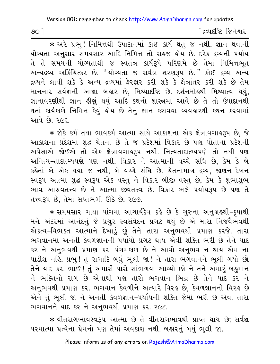[ દ્રવ્યદષ્ટિ જિનેશ્વર

\* અરે પ્રભુ! નિમિત્તથી ઉપાદાનમાં કાંઈ કાર્ય થતું જ નથી. જ્ઞાન થવાની યોગ્યતા અનસાર સમયસાર આદિ નિમિત્ત તો સહજ હોય છે. દરેક દ્રવ્યની પર્યાય તે તે સમયની યોગ્યતાથી જ સ્વતંત્ર કાર્યરૂપે પરિણમે છે તેમાં નિમિત્તભૂત અન્યદ્રવ્ય અર્કિચિત્કર છે. "યોગ્યતા જ સર્વત્ર શરણરૂપ છે." કોઈ દ્રવ્ય અન્ય દ્રવ્યને લાવી શકે કે અન્ય દ્રવ્યમાં ફેરફાર કરી શકે કે ક્ષેત્રાંતર કરી શકે છે તેમ માનનાર સર્વજ્ઞની આજ્ઞા બહાર છે. મિથ્યાદષ્ટિ છે. દર્શનમોહથી મિથ્યાત્વ થયું. જ્ઞાનાવરણીથી જ્ઞાન હીણું થયું આદિ કથનો શાસ્ત્રમાં આવે છે તે તો ઉપાદાનથી થતાં કાર્યકાળે નિમિત્ત કેવું હોય છે તેનું જ્ઞાન કરાવવા વ્યવહારથી કથન કરવામાં આવે છે. ૨૯૬.

★ જોકે કર્મ તથા ભાવકર્મ આત્મા સાથે આકાશના એક ક્ષેત્રાવગાહરૂપ છે, જે આકાશના પ્રદેશમાં શુદ્ધ ચેતના છે તે જ પ્રદેશમાં વિકાર છે પણ પોતાના પ્રદેશની અપેક્ષાએ જોઈએ તો એક ક્ષેત્રાવગાહરૂપ નથી. નિત્યતાદાત્મ્યપણે તો નથી પણ અનિત્ય-તાદાત્મ્યપણે પણ નથી. વિકાર ને આત્માની વચ્ચે સંધિ છે, કેમ કે બે કહેતાં બે એક થયા જ નથી, બે વચ્ચે સંધિ છે. ચેતનામાત્ર દ્રવ્ય, જાણન-દેખન સ્વરૂપ આત્મા શુદ્ધ સ્વરૂપ એક વસ્તુ ને વિકાર બીજી વસ્તુ છે, કેમ કે શુભાશુભ ભાવ આસવતત્ત્વ છે ને આત્મા જીવતત્ત્વ છે. વિકાર ભલે પર્યાયરૂપ છે પણ તે તત્ત્વરૂપ છે. તેમાં સપ્તભંગી ઊઠે છે. ૨૯૭.

★ સમયસાર ગાથા પાંચમા આચાર્યદેવ કહે છે કે ગુરુના અનુગ્રહથી−કુપાથી મને અંદરમાં આનંદનું જે પ્રચર સ્વસંવેદન પ્રગટ થયું છે એ મારા નિજવૈભવથી એકત્વ-વિભક્ત આત્માને દેખાડું છું તેને તારા અનુભવથી પ્રમાણ કરજે. તારા ભગવાનમાં અનંતી કેવળજ્ઞાનની પર્યાયો પ્રગટ થાય એવી શક્તિ ભરી છે તેને યાદ કર ને અનુભવથી પ્રમાણ કર. પંચમકાળ છે ને આવો અનુભવ ન થાય એમ ના પાડીશ નહિ. પ્રભુ ! તું રાગાદિ બધું ભૂલી જા ! ને તારા ભગવાનને ભૂલી ગયો છો તેને યાદ કર. ભાઈ ! તું અમારી પાસે સાંભળવા આવ્યો છો ને તને અમારૂં બહુમાન ને ભક્તિનો રાગ છે એનાથી પણ તારો ભગવાન ભિન્ન છે તેને યાદ કર ને અનુભવથી પ્રમાણ કર. ભગવાન કેવળીને અત્યારે વિરહ છે, કેવળજ્ઞાનનો વિરહ છે એને તું ભૂલી જા ને અનંતી કેવળજ્ઞાન-પર્યાયની શક્તિ જેમાં ભરી છે એવા તારા ભગવાનને યાદ કર ને અનુભવથી પ્રમાણ કર. ૨૯૮.

\* વીતરાગભાવસ્વરૂપ આત્મા છે તે વીતરાગભાવથી પ્રાપ્ત થાય છે; સર્વજ્ઞ પરમાત્મા પ્રત્યેના પ્રેમનો પણ તેમાં અવકાશ નથી. બહારનું બધું ભૂલી જા.

 $\infty$  ]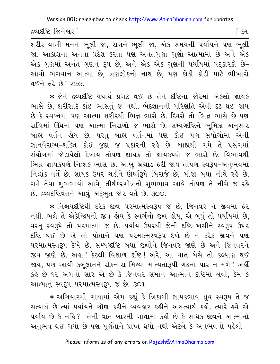દ્રવ્યદષ્ટિ જિનેશ્વર l

∫ ૭૧

.<br>શરીર-વાણી-મનને ભૂલી જા, રાગને ભૂલી જા, એક સમયની પર્યાયને પણ ભૂલી જા. આકાશના અનંતા પ્રદેશ કરતાં પણ અનંતગુણા ગુણો આત્મામાં છે અને એક એક ગુણમાં અનંત ગુણનું રૂપ છે, અને એક એક ગુણની પર્યાયમાં પટકારકો છે-આવો ભગવાન આત્મા છે, ત્રણલોકનો નાથ છે, પણ કોડી કોડી માટે ભીખારો થઈને કરે છે! ર૯૯.

\* જેને દ્રવ્યદૃષ્ટિ યથાર્થ પ્રગટ થઈ છે તેને દૃષ્ટિના જોરમાં એકલો જ્ઞાયક ભાસે છે. શરીરાદિ કાંઈ ભાસતું જ નથી. ભેદજ્ઞાનની પરિણતિ એવી દઢ થઈ જાય છે કે સ્વપ્નમાં પણ આત્મા શરીરથી ભિન્ન ભાસે છે. દિવસે તો ભિન્ન ભાસે છે પણ રાત્રિમાં ઊંઘમાં પણ આત્મા નિરાળો જ ભાસે છે. સમ્યગ્દષ્ટિને ભૂમિકા અનુસાર બાહ્ય વર્તન હોય છે. પરંતુ બાહ્ય વર્તનમાં પણ કોઈ પણ સંયોગોમાં એની જ્ઞાનવૈરાગ્ય-શક્તિ કોઈ જુદા જ પ્રકારની રહે છે. બાહ્યથી ગમે તે પ્રસંગમાં સંયોગમાં જોડાયેલો દેખાય તોપણ જ્ઞાયક તો જ્ઞાયકપણે જ ભાસે છે. વિભાવથી ભિન્ન જ્ઞાયકપણે નિઃશંક ભાસે છે. આખું બ્રહ્માંડ ફરી જાય તોપણ સ્વરૂપ-અનુભવમાં નિઃશંક વર્તે છે. જ્ઞાયક ઉપર ચડીને ઊર્ધ્વરૂપે બિરાજે છે, બીજા બધા નીચે રહે છે. ગમે તેવા શુભભાવો આવે, તીર્થંકરગોત્રનો શુભભાવ આવે તોપણ તે નીચે જ રહે છે. દ્રવ્યદૃષ્ટિવંતને આવું અદ્દભુત જોર વર્તે છે. 300.

\* નિશ્ચયદષ્ટિથી દરેક જીવ પરમાત્મસ્વરૂપ જ છે, જિનવર ને જીવમાં ફેર નથી. ભલે તે એકેન્દ્રિયનો જીવ લોય કે સ્વર્ગનો જીવ લોય, એ બધું તો પર્યાયમાં છે, વસ્ત સ્વરૂપે તો પરમાત્મા જ છે. પર્યાય ઉપરથી જેની દષ્ટિ ખસીને સ્વરૂપ ઉપર દૃષ્ટિ થઈ છે એ તો પોતાને પણ પરમાત્મસ્વરૂપ દેખે છે ને દરેક જીવને પણ ૫૨માત્મસ્વરૂપ દેખે છે. સમ્યગ્દષ્ટિ બધા જીવોને જિનવર જાણે છે અને જિનવરને જીવ જાણે છે. અહ્ય! કેટલી વિશાળ દષ્ટિ! અરે, આ વાત બેસે તો કલ્યાણ થઈ જાય, પણ આવી કબુલાતને રોકનારા મિથ્યા-માન્યતારૂપી ગઢના પાર ન મળે! અહીં કહે છે ૧૨ અંગનો સાર એ છે કે જિનવર સમાન આત્માને દૃષ્ટિમાં લેવો, કેમ કે આત્માનું સ્વરૂપ પરમાત્મસ્વરૂપ જ છે. ૩૦૧.

\* અગિયારમી ગાથામાં એમ કહ્યું કે ત્રિકાળી જ્ઞાયકભાવ ધ્રુવ સ્વરૂપ તે જ સત્યાર્થ છે ત્યાં ૫ર્યાયને ગૌણ કરીને વ્યવહાર કહીને અસત્યાર્થ કહી. ત્યારે હવે એ પર્યાય છે કે નહિ? -તેની વાત બારમી ગાથામાં કહી છે કે સાધક જીવને આત્માનો અનુભવ થઈ ગયો છે પણ પૂર્ણતાને પ્રાપ્ત થયો નથી એટલે કે અનુભવનો પહેલો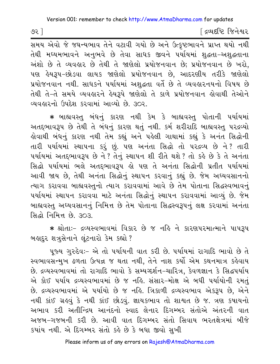9૨] જિનેશ્વર (જિનેશ્વર (જિનેશ્વર (જિનેશ્વર (જિનેશ્વર (જિનેશ્વર (જિનેશ્વર (જિનેશ્વર (જિનેશ્વર (જિનેશ્વર (જિનેશ્વર (જિનેશ્વર (જિનેશ્વર (જિનેશ્વર (જિનેશ્વર (જિનેશ્વર (જિનેશ્વર (જિનેશ્વર (જિનેશ્વર (જિનેશ્વર (જિનેશ્વર (જિનેશ્વર

સમય એવો જે જઘન્યભાવ તેને વટાવી ગયો છે અને ઉત્કૃષ્ટભાવને પ્રાપ્ત થયો નથી તેથી મધ્યમભાવને અનુભવે છે તેવા સાધક જીવને પર્યાયમાં શુદ્ધતા-અશુદ્ધતાના અંશો છે તે વ્યવહાર છે તેથી તે જાણેલો પ્રયોજનવાન છે; પ્રયોજનવાન છે ખરો, પણ હેયરૂપ-છોડવા લાયક જાણેલો પ્રયોજનવાન છે, આદરણીય તરીકે જાણેલો પ્રયોજનવાન નથી. સાધકને પર્યાયમાં અશદ્ધતા વર્તે છે તે વ્યવહારનયનો વિષય છે તેથી તે-તે સમયે વ્યવહારને હેયરૂપે જાણેલો તે કાળે પ્રયોજનવાન હોવાથી તેઓને વ્યવહારનો ઉપદેશ કરવામાં આવ્યો છે. ૩૦૨.

 $\,$  બાહ્યવસ્તુ બંધનું કારણ નથી કેમ કે બાહ્યવસ્તુ પોતાની પર્યાયમાં અતદ્દભાવરૂપ છે તેથી તે બંધનું કારણ થતું નથી. કર્મ શરીરાદિ બાહ્યવસ્તુ પરદ્રવ્યો કોવાથી બંધનું કારણ નથી તેમ કહ્યું અને પહેલી ગાથામાં કહ્યું કે અનંત સિદ્ધોની તારી પર્યાયમાં સ્થાપના કરું છું. પણ અનંતા સિદ્ધો તો પરદ્રવ્ય છે ને? તારી પર્યાયમાં અતદ્દભાવરૂપ છે ને ? તેનું સ્થાપન શી રીતે થશે ? તો કહે છે કે તે અનંતા સિદ્ધો પર્યાયમાં ભલે અતદ્દભાવરૂપ હો પણ તે અનંતા સિદ્ધોની પ્રતીત પર્યાયમાં આવી જાય છે, તેથી અનંતા સિદ્ધોનું સ્થાપન કરવાનું કહ્યું છે. જેમ અઘ્યવસાનનો ત્યાગ કરાવવા બાહ્યવસ્તુનો ત્યાગ કરાવવામાં આવે છે તેમ પોતાના સિદ્ધસ્વભાવનું પર્યાયમાં સ્થાપન કરાવવા માટે અનંતા સિદ્ધોનું સ્થાપન કરાવવામાં આવ્યું છે. જેમ બાહ્યવસ્તુ અધ્યવસાનનું નિમિત્ત છે તેમ પોતાના સિદ્ધસ્વરૂપનું લક્ષ કરવામાં અનંતા સિદ્ધો નિમિત્ત છે. 303.

\* શ્રોતાઃ- દ્રવ્યસ્વભાવમાં વિકાર છે જ નહિ ને કારણપરમાત્માને પાપરૂપ બહાદર શત્રસેનાને લંટનારો કેમ કહ્યો ?

પુજ્ય ગુરુદેવ:– એ તો પર્યાયની વાત કરી છે. પર્યાયમાં રાગાદિ ભાવો છે તે સ્વભાવસન્મખ ઢળતા ઉત્પન્ન જ થતા નથી, તેને નાશ કર્યો એમ કથનમાત્ર કહેવાય છે. દ્રવ્યસ્વભાવમાં તો રાગાદિ ભાવો કે સમ્યગ્દર્શન-ચારિત્ર, કેવળજ્ઞાન કે સિદ્ધપર્યાય એ કોઈ પર્યાય દ્રવ્યસ્વભાવમાં છે જ નહિ. સંસાર-મોક્ષ એ બધી પર્યાયોની રમતું છે. દ્રવ્યસ્વભાવમાં એ પર્યાયો છે જ નહિ. ત્રિકાળી દ્રવ્યસ્વભાવ એકરૂપ છે, એને નથી કાંઈ ગ્રહવું કે નથી કાંઈ છોડવું. જ્ઞાયકભાવ તો શાશ્વત છે જ. ત્રણ કપાયનો અભાવ કરી અતીન્દ્રિય આનંદનો સ્વાદ લેનાર દિગમ્બર સંતોએ અંતરની વાત અજબ-ગજબની કરી છે. આવી વાત દિગમ્બર સંતો સિવાય ભરતક્ષેત્રમાં બીજે કયાંય નથી. એ દિગમ્બર સંતો કહે છે કે બધા જીવો સખી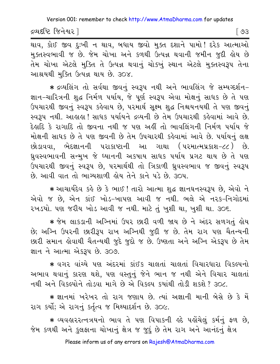દ્રવ્યદષ્ટિ જિનેશ્વર ]

[ ७३

થાવ, કોઈ જીવ દુઃખી ન થાવ, બધાય જીવો મુક્ત દશાને પામો! દરેક આત્માઓ મુક્તસ્વભાવી જ છે. જેમ ચોખા અને કળથી ઉત્પન્ન થવાની જમીન જુદી હોય છે તેમ ચોખા એટલે મુક્તિ તે ઉત્પન્ન થવાનું ચોક્ખું સ્થાન એટલે મુક્તસ્વરૂપ તેના આશ્રયથી મુક્તિ ઉત્પન્ન થાય છે. ૩૦૪.

\* દ્રવ્યલિંગ તો સર્વથા જીવનું સ્વરૂપ નથી અને ભાવલિંગ જે સમ્યગ્દર્શન-જ્ઞાન-ચારિત્રની શુદ્ધ નિર્મળ પર્યાય, જે પૂર્ણ સ્વરૂપ એવા મોક્ષનું સાધક છે તે પણ ઉપચારથી જીવનું સ્વરૂપ કહેવાય છે, પરમાર્થ સૂક્ષ્મ શુદ્ધ નિશ્ચયનયથી તે પણ જીવનું સ્વરૂપ નથી. આહાહા ! સાધક પર્યાયને દ્રવ્યની છે તેમ ઉપચારથી કહેવામાં આવે છે. દેહાદિ કે રાગાદિ તો જીવના નથી જ પણ અહીં તો ભાવલિંગની નિર્મળ પર્યાય જે મોક્ષની સાધક છે તે પણ જીવની છે તેમ ઉપચારથી કહેવામાં આવે છે. પર્યાયનું લક્ષ છોડાવવા. ભેદજ્ઞાનની પરાકાષ્ટાની આ ગાથા (પરમાત્મપ્રકાશ-૮૮) છે. ધ્રુવસ્વભાવની સન્મુખ જે ઘ્યાનની અકપાય સાધક પર્યાય પ્રગટ થાય છે તે પણ ઉપચારથી જીવનું સ્વરૂપ છે, પરમાર્થથી તો ત્રિકાળી ધ્રુવસ્વભાવ જ જીવનું સ્વરૂપ છે. આવી વાત તો ભાગ્યશાળી હોય તેને કાને પડે છે. ૩૦૫

\* આચાર્યદેવ કહે છે કે ભાઈ ! તારો આત્મા શુદ્ધ જ્ઞાનઘનસ્વરૂપ છે, એવો ને એવો જ છે, એન કાંઈ ખોડ-ખાપણ આવી જ નથી. ભલે એ નરક-નિગોદમાં ૨ખડયો. પણ જરીય ખોડ આવી જ નથી. માટે તું ખુશી થા, ખુશી થા. ૩૦૬.

∗ જેમ લાકડાની અગ્નિમાં ઉપર છારી વળી જાય છે ને અંદર સળગતું હોય છે; અગ્નિ ઉપરની છારીરૂપ રાખ અગ્નિથી જુદી જ છે. તેમ રાગ પણ ચૈતન્યની છારી સમાન હોવાથી ચૈતન્યથી જુદે જુદો જ છે. ઉષ્ણતા અને અગ્નિ એકરૂપ છે તેમ જ્ઞાન ને આત્મા એકરૂપ છે. ૩૦૭.

\* વગર વાંચ્યે પણ અંદરમાં કાંઈક ચાલતાં ચાલતાં વિચારધારા વિકલ્પનો અભાવ થવાનું કારણ થશે. પણ વસ્તુનું જેને ભાન જ નથી એને વિચાર ચાલતાં નથી અને વિકલ્પોને તોડવા માગે છે એ વિકલ્પ કયાંથી તોડી શકશે ? ૩૦૮.

★ જ્ઞાનમાં ખરેખર તો રાગ જણાય છે. ત્યાં અજ્ઞાની માની બેસે છે કે મેં રાગ કર્યો; એ રાગનું કર્તૃત્વ જ મિથ્યાદર્શન છે. ૩૦૯.

∗ વ્યવહારરત્નત્રયનો ભાવ તે પણ વિપાકની લ્રદે પહોંચેલું કર્મનું ફળ છે, જેમ કળથી અને કુલફાના ચોખાનું ક્ષેત્ર જ જુદું છે તેમ રાગ અને આનંદનું ક્ષેત્ર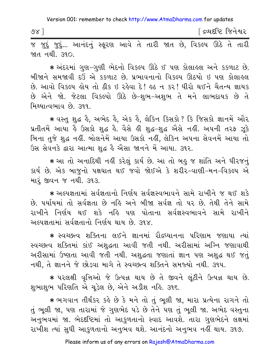| $\delta \lambda$ |  |  |  |  |        | <sup>r</sup> દ્રવ્યદષ્ટિ જિનેશ્વર |  |
|------------------|--|--|--|--|--------|-----------------------------------|--|
|                  |  |  |  |  | $\sim$ | $ -$                              |  |

જ જુદું જુદું... આનંદનું સ્કૂરણ આવે તે તારી જાત છે, વિકલ્પ ઊઠે તે તારી <u>જાત નથી. ૩૧૦.</u>

\* અંદરમાં ગુણ-ગુણી ભેદનો વિકલ્પ ઊઠે ઈ પણ કોલાહલ અને કકળાટ છે. બીજાને સમજાવી દઉં એ કકળાટ છે. પ્રભાવનાનો વિકલ્પ ઊઠયો ઇ પણ કોલાહુલ છે. આવો વિકલ્પ લોય તો ઠીક ઇ રહેવા દે! હઠ ન કર! ધીરો થઈને ચૈતન્ય જ્ઞાયક છે એને જો. જેટલા વિકલ્પો ઊઠે છે-શુભ-અશુભ તે મને લાભદાયક છે તે મિથ્યાત્વભાવ છે. 399.

\* વસ્તુ શુદ્ધ હૈ, અભેદ હૈ, એક હૈ, લેકિન કિસકો ? કિ જિસકો જ્ઞાનમેં ઔર પ્રતીતમેં આયા કે ઉસકો શુદ્ધ કે. વૈસે ક્રી શુદ્ધ-શુદ્ધ એેસે નહીં. અપની તરફ ઝૂકે બિના તુજે શુદ્ધ નહીં. બોલનેમેં આયા ઉસકો નહીં, લેકિન અપના સેવનમેં આયા તો ઉસ સેવનકે દ્વારા આત્મા શુદ્ધ હૈ ઐસા જાનને મેં આયા. ૩૧૨.

★ આ તો અનાદિથી નહીં કરેલું કાર્ય છે. આ તો બહુ જ શાંતિ અને ધીરજનું કાર્ય છે. એક બાજુનો પક્ષઘાત થઈ જવો જોઈએ કે શરીર-વાણી-મન-વિકલ્પ એ મારં જીવન જ નથી. ૩૧૩.

\* અલ્પજ્ઞતામાં સર્વજ્ઞતાનો નિર્ણય સર્વજ્ઞસ્વભાવને સામે રાખીને જ થઈ શકે છે. પર્યાયમાં તો સર્વજ્ઞતા છે નહિ અને બીજા સર્વજ્ઞ તો પર છે. તેથી તેને સામે રાખીને નિર્ણય થઈ શકે નહિ પણ પોતાના સર્વજ્ઞસ્વભાવને સામે રાખીને અલ્પજ્ઞતામાં સર્વજ્ઞતાનો નિર્ણય થાય છે. ૩૧૪.

\* સ્વચ્છત્વ શક્તિના લઈને જ્ઞાનમાં રૌદ્રધ્યાનના પરિણામ જણાયા ત્યાં સ્વચ્છત્વ શક્તિમાં કાંઈ અશુદ્ધતા આવી જતી નથી. અરીસામાં અગ્નિ જણાવાથી અરીસામાં ઉષ્ણતા આવી જતી નથી. અશુદ્ધતા જણાતાં જ્ઞાન પણ અશુદ્ધ થઈ જતું નથી, તે જ્ઞાનને જે છોડવા માગે તે સ્વચ્છત્વ શક્તિને સમજ્યો નથી. ૩૧૫.

\* પરલક્ષી વૃત્તિઓ જે ઉત્પન્ન થાય છે તે જીવને લૂંટીને ઉત્પન્ન થાય છે. શુભાશુભ પરિણતિ એ ચૂડેલ છે, એને અડીશ નહિ. ૩૧૬.

\* ભગવાન તીર્થંકર કહે છે કે મને તો તું ભૂલી જા, મારા પ્રત્યેના રાગને તો તું ભૂલી જા, પણ તારામાં જે ગુણભેદ ૫ડે છે તેને પણ તું ભૂલી જા. અભેદ વસ્તુના અનુભવમાં જા. ભેદદષ્ટિમાં તો આકુળતાનો સ્વાદ આવશે. તારા ગુણભેદને લક્ષમાં રાખીશ ત્યાં સુધી આકુળતાનો અનુભવ થશે. આનંદનો અનુભવ નહીં થાય. ૩૧૭.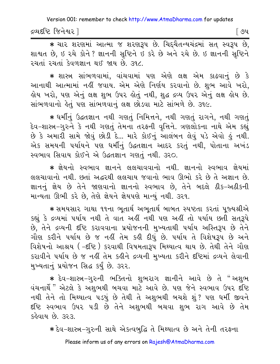દ્રવ્યદષ્ટિ જિનેશ્વર l

\* यार शरणमां આत्मा ४ शरणहरूप छे. यिद्यैतन्ययंद्रमां सत् स्वरूप छे, શાશ્વત છે. ઇ રચે કોને ? જ્ઞાનની સૃષ્ટિને ઇ કરે છે અને રચે છે. ઇ જ્ઞાનની સૃષ્ટિને રચતાં રચતાં કેવળજ્ઞાન થઈ જાય છે. ૩૧૮.

★ શાસ્ત્ર સાંભળવામાં, વાંચવામાં પણ એણે લક્ષ એમ કાઢવાનું છે કે આનાથી આત્મામાં નહીં જવાય. એમ એણે નિર્ણય કરવાનો છે. શુભ આવે ખરો, હોય ખરો, પણ એનું લક્ષ શુભ ઉપર હોતું નથી, શુદ્ધ દ્રવ્ય ઉપર એનું લક્ષ હોય છે. સાંભળવાનો હેતું પણ સાંભળવાનું લક્ષ છોડવા માટે સાંભળે છે. ૩૧૯.

\* धर्मीनुं ઉद्धतज्ञान नथी गशतुं निमित्तने, नथी गशतुं रागने, नथी गशतुं દેવ-શાસ્ત્ર-ગુરુને કે નથી ગણતું તેમના તરફની વૃત્તિને. ત્રણલોકના નાથે એમ કહ્યું છે કે અમારી સામે જોવું છોડી દે... મારે કોઈનું આલંબન લેવું ૫ડે એવો હું નથી. એક સમયની પર્યાયને પણ ધર્મીનું ઉદ્ધતજ્ઞાન આદર કરતું નથી, પોતાના અખંડ સ્વભાવ સિવાય કોઈને એ ઉદ્ધતજ્ઞાન ગણતું નથી. ૩૨૦.

\* જ્ઞેયનો સ્વભાવ જ્ઞાનને લલચાવવાનો નથી. જ્ઞાનનો સ્વભાવ જ્ઞેયમાં લલચાવાનો નથી. છતાં અદ્ધરથી લલચાય જવાનો ભાવ ઊભો કરે છે તે અજ્ઞાન છે. જ્ઞાનનું જ્ઞેય છે તેને જાણવાનો જ્ઞાનનો સ્વભાવ છે. તેને બદલે ઠીક-અઠીકની માન્યતા ઊભી કરે છે, તેણે જ્ઞેયને જ્ઞેયપણે માન્યું નથી. ૩૨૧.

\* સમયસાર ગાથા ૧૧ના ભુતાર્થ અભુતાર્થ બાબત સ્પષ્ટતા કરતાં પુજ્યશ્રીએ કહ્યું કે દ્રવ્યમાં ૫ર્યાય નથી તે વાત અહીં નથી ૫ણ અહીં તો ૫ર્યાય છતી સતરૂપે છે, તેને દ્રવ્યની દષ્ટિ કરાવવાના પ્રયોજનની મુખ્યતાથી ૫ર્યાય અસ્તિરૂપ છે તેને ગૌણ કરીને પર્યાય છે જ નહીં તેમ કહી દીધું છે. ૫ર્યાય તે વિશેષરૂપ છે અને વિશેષનો આશ્રય (-દૃષ્ટિ) કરવાથી વિષમતારૂપ મિથ્યાત્વ થાય છે. તેથી તેને ગૌણ કરાવીને પર્યાય છે જ નહીં તેમ કહીને દ્રવ્યની મુખ્યતા કરીને દષ્ટિમાં દ્રવ્યને લેવાની મુખ્યતાનું પ્રયોજન સિદ્ધ કર્યું છે. ૩૨૨.

\* દેવ-શાસ્ત્ર-ગુરુની ભક્તિનો શુભરાગ જ્ઞાનીને આવે છે તે "અશુભ વંચનાર્થે" એટલે કે અશુભથી બચવા માટે આવે છે. પણ જેને સ્વભાવ ઉપર દષ્ટિ નથી તેને તો મિથ્યાત્વ ૫ડયું છે તેથી તે અશુભથી બચશે શું ? ૫ણ ધર્મી જીવને દૃષ્ટિ સ્વભાવ ઉપર ૫ડી છે તેને અશુભથી બચવા શુભ રાગ આવે છે તેમ કહેવાય છે. ૩૨૩.

\* દેવ-શાસ્ત્ર-ગુરુની સાથે એકત્વબુદ્ધિ તે મિથ્યાત્વ છે અને તેની તરફના

Please inform us of any errors on Rajesh@AtmaDharma.com

િ૭૫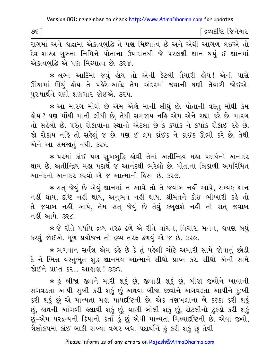| ৩૬ | ંદ્રવ્યદષ્ટિ જિનેશ્વર |
|----|-----------------------|
|    |                       |

રાગમાં અને શ્રદ્ધામાં એકત્વબુદ્ધિ તે પણ મિથ્યાત્વ છે અને એથી આગળ લઈએ તો દેવ–શાસ્ત્ર–ગુરુના નિમિત્તે પોતાના ઉપાદાનથી જે પરલક્ષી જ્ઞાન થયું ઈ જ્ઞાનમાં એકત્વબુદ્ધિ એ પણ મિથ્યાત્વ છે. ૩૨૪.

\* લગ્ન આદિમાં જવં હોય તો એની કેટલી તૈયારી હોય! એની પાસે ઊંચામાં ઊંચું ક્રોય તે પકેરે-આઢે; તેમ અંદરમાં જવાની ઘણી તૈયારી જોઈએ. પુરુષાર્થને ઘણો શણગાર જોઈએ. ૩૨૫.

\* આ મારગ મોઘોં છે એમ એણે માની લીધું છે. પોતાની વસ્તુ મોંઘી કેમ હોય ? પણ મોંઘી માની લીધી છે, તેથી સમજાય નહિ એમ એને રહ્યા કરે છે. મારગ તો સહેલો છે. પરંતુ રોકાવાના સ્થાનો એટલા છે કે કયાંક ને કયાંક રોકાઈ રહે છે. જો રોકાય નહિ તો સહેલું જ છે. પણ ઈ લપ કાંઈક ને કાંઈક ઊભી કરે છે. તેથી એને આ સમજાતું નથી. ૩૨૬.

∗ પરમાં કાંઈ પણ સુખબુદ્ધિ હોવી તેમાં અતીન્દ્રિય મહા પદાર્થનો અનાદર થાય છે. અતીન્દ્રિય મહા પદાર્થ જ આનંદથી ભરેલો છે. પોતાના ત્રિકાળી અપરિમિત આનંદનો અનાદર કરવો એ જ આત્માની હિંસા છે. ૩૨૭.

∗ સત જેવું છે એવું જ્ઞાનમાં ન આવે તો તે જવાબ નહીં આપે, સમ્યક્ જ્ઞાન નહીં થાય, દષ્ટિ નહીં થાય, અનુભવ નહીં થાય. શ્રીમંતને કોઈ ભીખારી કહે તો તે જવાબ નહીં આપે, તેમ સત જેવું છે તેવું કબલશે નહીં તો સત જવાબ નહીં આપે ૩૨૮

★ જે રીતે પર્યાય દ્રવ્ય તરફ ઢળે એ રીતે વાંચન, વિચાર, મનન, શ્રવણ બધું કરવું જોઈએ. મૂળ પ્રયોજન તો દ્રવ્ય તરફ ઢળવું એ જ છે. ૩૨૯.

★ ભગવાન સર્વજ્ઞ એમ કર્લ્ડ છે કે તું પહેલી ચોટે અમારી સામે જોવાનું છોડી દે ને ભિન્ન વસ્તુભૂત શુદ્ધ જ્ઞાનમય આત્માને સીધો પ્રાપ્ત કર. સીધો એની સામે જોઈને પ્રાપ્ત કર… આહાહા ! ૩૩૦.

\* કું બીજા જીવને મારી શકું છું, જીવાડી શકું છું, બીજા જીવોને ખાવાની સગવડતા આપી સુખી કરી શકું છું અથવા બીજા જીવોને અગવડતા આપીને દુઃખી કરી શકું છું એ માન્યતા મહા પાપદષ્ટિની છે. એક તણખલાના બે કટકા કરી શકું છું, હાથની આંગળી હલાવી શકું છું, વાણી બોલી શકું છું, રોટલીનો ટુકડો કરી શકું છું-એમ પરદ્રવ્યની ક્રિયાનો કર્તા હું છું એવી માન્યતા મિથ્યાદષ્ટિની છે. એવા જીવો, ત્રૈલોકયમાં કાંઈ બાકી રાખ્યા વગર બધા પદાર્થોને હું કરી શકું છું તેવી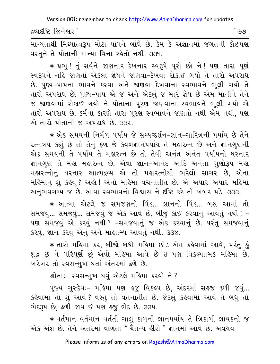દ્રવ્યદષ્ટિ જિનેશ્વર l

માન્યતાથી મિથ્યાત્વરૂપ મોટા પાપને બાંધે છે. કેમ કે અજ્ઞાનમાં જગતની કોઈપણ વસ્તુને તે પોતાની માન્યા વિના રહેતો નથી. ૩૩૧.

\* પ્રભુ! તું સર્વને જાણનાર દેખનાર સ્વરૂપે પૂરો છો ને! પણ તારા પૂર્ણ સ્વરૂપને નહિ જાણતાં એકલા જ્ઞેયને જાણવા-દેખવા રોકાઈ ગયો તે તારો અપરાધ છે. પુણ્ય-પાપના ભાવને કરવા અને જાણવા દેખવાના સ્વભાવને ભૂલી ગયો તે તારો અપરાધ છે. પુણ્ય-પાપ એ જ અને એટલું જ મારું જ્ઞેય છે એમ માનીને તેને જ જાણવામાં રોકાઈ ગયો ને પોતાના પુરણ જાણવાના સ્વભાવને ભૂલી ગયો એ તારો અપરાધ છે. કર્મના કારણે તારા પૂરણ સ્વભાવને જાણતો નથી એમ નથી, પણ એ તારો પોતાનો જ અપરાધ છે. ૩૩૨.

∗ એક સમયની નિર્મળ પર્યાય જે સમ્યગ્દર્શન−જ્ઞાન−ચારિત્રની પર્યાય છે તેને રત્નત્રય કહ્યું છે તો તેનું ફળ જે કેવળજ્ઞાનપર્યાય તે મહારત્ન છે અને જ્ઞાનગુણની એક સમયની તે પર્યાય તે મહારત્ન છે તો તેવી અનંત અનંત પર્યાયનો ધરનાર જ્ઞાનગુણ તે મહા મહારત્ન છે. એવા જ્ઞાન-આનંદ આદિ અનંતા ગુણોરૂપ મહા મહારત્નોનું ધરનાર આત્મદ્રવ્ય એ તો મહારત્નોથી ભરેલો સાગર છે, એના મહિમાનું શું કહેવું ? અહો ! એનો મહિમા વચનાતીત છે. એ અપાર અપાર મહિમા અનુભવગમ્ય જ છે. આવા સ્વભાવનો વિશ્વાસ ને દૃષ્ટિ કરે તો ખબર પડે. ૩૩૩.

\* આત્મા એટલે જ સમજણનો પિંડ... જ્ઞાનનો પિંડ... બસ આમાં તો સમજવું... સમજવું... સમજવું જ એક આવે છે, બીજું કાંઈ કરવાનું આવતું નથી ! -પણ સમજવું એ કરવું નથી ? -સમજવાનું જ એક કરવાનું છે. પરંતુ સમજવાનું કરવું, જ્ઞાન કરવું એનું એને માહાત્મ્ય આવતું નથી. ૩૩૪.

∗ તારો મહિમા કર, બીજો બધો મહિમા છોડ−એમ કહેવામાં આવે, પરંતુ હું શુદ્ધ છું ને પરિપૂર્ણ છું એવો મહિમા આવે છે ઇ પણ વિકલ્પાત્મક મહિમા છે. ખરેખર તો સ્વસન્મુખ થતાં અંતરમાં ઢળે છે.

શ્રોતાઃ- સ્વસન્મુખ થવું એટલે મહિમા કરવો ને?

પૂજ્ય ગુરુદેવઃ- મહિમા પણ હજુ વિકલ્પ છે, અંદરમાં સહજ ઢળી જવું... કહેવામાં તો શું આવે ? વસ્તુ તો વતનાતીત છે. જેટલું કહેવામાં આવે તે બધું તો ભેદરૂપ છે, ઢળી જાવ ઈ પણ હજુ ભેદ છે. ૩૩૫.

★ વર્તમાન વર્તમાન વર્તતી ચાલુ કાળની જ્ઞાનપર્યાય તે ત્રિકાળી જ્ઞાયકનો જ એક અંશ છે. તેને અંતરમાં વાળતા "ચૈતન્ય હીરો " જ્ઞાનમાં આવે છે. અવયવ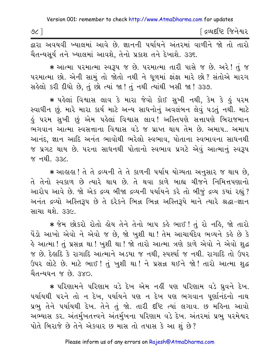દ્વારા અવયવી ખ્યાલમાં આવે છે. જ્ઞાનની પર્યાયને અંતરમાં વાળીને જો તો તારો ચૈતન્યસર્ય તને ખ્યાલમાં આવશે. તેનો પ્રકાશ તને દેખાશે. ૩૩૬.

\* આત્મા પરમાત્મા સ્વરૂપ જ છે. પરમાત્મા તારી પાસે જ છે. અરે! તું જ પરમાત્મા છો. એની સામું તો જોતો નથી ને ધળમાં ફાંફા મારે છો? સંતોએ મારગ સહેલો કરી દીધો છે, તું છો ત્યાં જા! તું નથી ત્યાંથી ખસી જા! ૩૩૭.

\* પહેલાં વિશ્વાસ લાવ કે મારા જેવો કોઈ સુખી નથી, કેમ કે હું પરમ સ્વાધીન છું. મારે મારા કાર્ય માટે અન્ય સાધનોનું અવલંબન લેવું ૫ડતું નથી. માટે ડું પરમ સુખી છું એમ પહેલાં વિશ્વાસ લાવ! અસ્તિપણે સત્તાપણે બિરાજમાન ભગવાન આત્મા સ્વસત્તાના વિશ્વાસ વડે જ પ્રાપ્ત થાય તેમ છે. અમાપ.. અમાપ આનંદ, જ્ઞાન આદિ અનંત ભાવોથી ભરેલો સ્વભાવ, પોતાના સ્વભાવના સાધનથી જ પ્રગટ થાય છે. પરના સાધનથી પોતાનો સ્વભાવ પ્રગટે એવું આત્માનું સ્વરૂપ <u>%</u> नथी. उउट.

∗ આહાહા ! તે તે દ્રવ્યની તે તે કાળની પર્યાય યોગ્યતા અનુસાર જ થાય છે. તે તેનો સ્વકાળ છે ત્યારે થાય છે. તે થવા કાળે બાહ્ય ચીજને નિમિત્તપણાનો આરોપ આવે છે. જો એક દ્રવ્ય બીજા દ્રવ્યની પર્યાયને કરે તો બીજું દ્રવ્ય કયાં રહ્યું? અનંત દ્રવ્યો અસ્તિરૂપ છે તે દરેકને ભિન્ન ભિન્ન અસ્તિરૂપે માને ત્યારે શ્રદ્ધા-જ્ઞાન સાચા થશે. ૩૩૯.

\* જેમ છોકરો રોતો હોય તેને તેનો બાપ કહે ભાઈ! તું રો નહિ, જો તારો પેંડો આખો એવો ને એવો જ છે, જો ખુશી થા! તેમ આચાર્યદેવ ભવ્યને કહે છે કે હે આત્મા ! તું પ્રસન્ન થા ! ખુશી થા ! જો તારો આત્મા ત્રણે કાળે એવો ને એવો શુદ્ધ જ છે. દેહાદિ કે રાગાદિ આત્માને અડયા જ નથી, સ્પર્થ્યા જ નથી. રાગાદિ તો ઉપર ઉપર લોટે છે. માટે ભાઈ ! તું ખુશી થા ! ને પ્રસન્ન થઈને જો ! તારો આત્મા શુદ્ધ यैतन्यधन *% છે. ३*४०.

\* પરિણામને પરિણામ વડે દેખ એમ નહીં પણ પરિણામ વડે ધ્રુવને દેખ. પર્યાયથી પરને તો ન દેખ, પર્યાયને પણ ન દેખ પણ ભગવાન પર્ણાનંદનો નાથ પ્રભુ તેને પર્યાયથી દેખ. તેને તું જો. તારી દષ્ટિ ત્યાં લગાવ. છ મહિના આવો અભ્યાસ કર. અંતર્મુખતત્ત્વને અંતર્મુખના પરિણામ વડે દેખ. અંતરમાં પ્રભુ ૫૨મેશ્વર પોતે બિરાજે છે તેને એકવાર છ માસ તો તપાસ કે આ શું છે?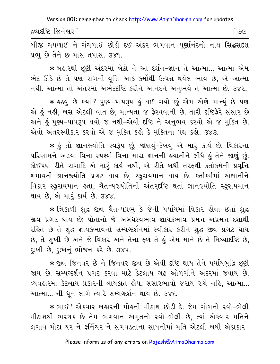દ્રવ્યદષ્ટિ જિનેશ્વર l

। ৩૯

બીજી ચપળાઈ ને ચંચળાઈ છોડી દઈ અંદર ભગવાન પુર્ણાનંદનો નાથ સિદ્ધસદશ પ્રભ છે તેને છ માસ તપાસ. ૩૪૧.

\* બહારથી છૂટી અંદરમાં બેઠો ને આ દર્શન-જ્ઞાન તે આત્મા... આત્મા એમ ભેદ ઊઠે છે તે પણ રાગની વૃત્તિ આઠ કર્મોથી ઉત્પન્ન થયેલ ભાવ છે, એ આત્મા નથી. આત્મા તો અંતરમાં અભેદર્દષ્ટિ કરીને આનંદને અનુભવે તે આત્મા છે. ૩૪૨.

\* હઠવું છે કયાં ? પુણ્ય-પાપરૂપ હું થઈ ગયો છું એમ એણે માન્યું છે પણ એ હું નહીં, બસ એટલી વાત છે, માન્યતા જ ફેરવવાની છે. તારી દષ્ટિફેરે સંસાર છે અને હું પુણ્ય-પાપરૂપ થયો જ નથી-એવી દષ્ટિ ને અનુભવ કરવો એ જ મુક્તિ છે. એવો અંતરસ્વીકાર કરવો એ જ મુક્તિ કહો કે મુક્તિના પંથ કહો. ૩૪૩.

\* કું તો જ્ઞાનજ્યોતિ સ્વરૂપ છું, જાણવું-દેખવું એ મારૂં કાર્ય છે. વિકારના પરિણામને અડયા વિના સ્પર્થ્યા વિના મારા જ્ઞાનની હયાતીને લીધે હું તેને જાણું છું. કોઈપણ રીતે રાગાદિ એ મારૂં કાર્ય નથી, એ રીતે બધી તરફથી કર્તાકર્મની પ્રવૃત્તિ શમાવતી જ્ઞાનજ્યોતિ પ્રગટ થાય છે, સ્ફુરાયમાન થાય છે. કર્તાકર્મમાં અજ્ઞાનીને વિકાર સ્ફરાયમાન હતા, ચૈતન્યજ્યોતિની અંતરદૃષ્ટિ થતાં જ્ઞાનજ્યોતિ સ્ફરાયમાન થાય છે, એ મારૂં કાર્ય છે. ૩૪૪.

∗ ત્રિકાળી શુદ્ધ જીવ ચૈતન્યપ્રભુ કે જેની પર્યાયમાં વિકાર હોવા છતાં શુદ્ધ જીવ પ્રગટ થાય છે; પોતાનો જે અબંધસ્વભાવ જ્ઞાયકભાવ પ્રમત્ત-અપ્રમત્ત દશાથી રહિત છે તે શુદ્ધ જ્ઞાયકભાવનો સમ્યગ્દર્શનમાં સ્વીકાર કરીને શુદ્ધ જીવ પ્રગટ થાય છે, તે સુખી છે અને જે વિકાર અને તેના ફળ તે હું એમ માને છે તે મિથ્યાદષ્ટિ છે, દઃખી છે. દઃખનું ભોજન કરે છે. ૩૪૫.

\* જીવ જિનવર છે ને જિનવર જીવ છે એવી દષ્ટિ થાય તેને પર્યાયબુદ્ધિ છુટી જાય છે. સમ્યગ્દર્શન પ્રગટ કરવા માટે કેટલાય ગઢ ઓળંગીને અંદરમાં જવાય છે. વ્યવહારમાં કેટલાય પ્રકારની લાયકાત હોય, સંસારભાવો જરાય રુચે નહિ, આત્મા... આત્મા... ની ધૂન લાગે ત્યારે સમ્યગ્દર્શન થાય છે. ૩૪૬.

∗ ભાઈ ! એકવાર બહારની મોહની મીઠાશ છોડી દે. જેમ ગોળનો રવો−ભેલી મીઠાશથી ભરચક છે તેમ ભગવાન અમૃતનો રવો-ભેલી છે, ત્યાં એકવાર મતિને લગાવ મોટા ઘર ને ફર્નિચર ને સગવડતાના સાધનોમાં મતિ એટલી બધી એકાકાર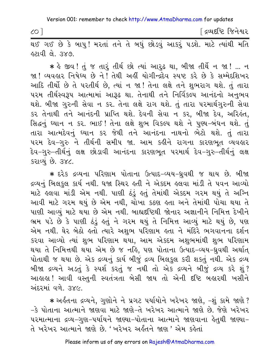∫ દ્રવ્યદષ્ટિ જિનેશ્વર

હટાવી લે. ૩૪૭.

\* કે જીવ! તું જ તારું તીર્થ છો ત્યાં આરુઢ થા, બીજા તીર્થે ન જા ! ... ન જા ! વ્યવહાર નિષેઘ્ય છે ને ! તેથી અહીં યોગીન્દ્રદેવ સ્પષ્ટ કરે છે કે સમ્મેદશિખર આદિ તીર્થો છે તે પરતીર્થ છે, ત્યાં ન જા! તેના લક્ષે તને શુભરાગ થશે. તું તારા ૫૨મ તીર્થસ્વરૂપ આત્મામાં આરૂઢ થા. તેનાથી તને નિર્વિકલ્પ આનંદનો અનુભવ થશે. બીજા ગુરુની સેવા ન કર. તેના લક્ષે રાગ થશે. તું તારા પરમાર્થગુરુની સેવા કર તેનાથી તને આનંદની પ્રાપ્તિ થશે. દેવની સેવા ન કર, બીજા દેવ, અરિહંત, સિદ્ધનું ધ્યાન ન કર. ભાઈ ! તેના લક્ષે શુભ વિકલ્પ થશે ને પુણ્ય-બંધન થશે. તું તારા આત્મદેવનું ઘ્યાન કર જેથી તને આનંદના નાથનો ભેટો થશે. તું તારા પરમ દેવ−ગુરુ ને તીર્થની સમીપ જા. આમ કઢીને રાગના કારણભૂત વ્યવહાર દેવ−ગુરુ−તીર્થનું લક્ષ છોડાવી આનંદના કારણભૂત પરમાર્થ દેવ−ગુરુ−તીર્થનું લક્ષ કરાવ્યું છે. ૩૪૮.

\* દરેક દ્રવ્યના પરિણામ પોતાના ઉત્પાદ-વ્યય-ધ્રુવથી જ થાય છે. બીજા દ્રવ્યનું બિલકુલ કાર્ય નથી. ધજા સ્થિર હતી ને એકદમ હલવા માંડી તે પવન આવ્યો માટે હલવા માંડી એમ નથી. પાણી ઠંડું હતું તેમાંથી એકદમ ગરમ થયું તે અગ્નિ આવી માટે ગરમ થયું છે એમ નથી, ચોખા કઠણ હતા અને તેમાંથી પોચા થયા તે પાણી આવ્યું માટે થયા છે એમ નથી. બાહ્યદભ્ટિથી જોનાર અજ્ઞાનીને નિમિત્ત દેખીને ભ્રમ પડે છે કે પાણી ઠુંડું હતું ને ગરમ થયું તે નિમિત્ત આવ્યું માટે થયું છે, પણ એમ નથી. ઘેર બેઠો હતો ત્યારે અશુભ પરિણામ હતા ને મંદિરે ભગવાનના દર્શન કરવા આવ્યો ત્યાં શુભ પરિણામ થયા, આમ એકદમ અશુભમાંથી શુભ પરિણામ થયા તે નિમિત્તથી થયા એમ છે જ નહિ, પણ પોતાના ઉત્પાદ–વ્યય–ઘ્રુવથી અર્થાત્ પોતાથી જ થયા છે. એક દ્રવ્યનું કાર્ય બીજું દ્રવ્ય બિલકુલ કરી શકતું નથી. એક દ્રવ્ય બીજા દ્રવ્યને અડતું કે સ્પર્શ કરતું જ નથી તો એક દ્રવ્યને બીજું દ્રવ્ય કરે શું? આહાહા! આવી વસ્તુની સ્વતંત્રતા બેસી જાય તો એની દષ્ટિ બહારથી ખસીને અંદરમાં વળે ૩૪૯

\* અર્કતના દ્રવ્યને, ગુણોને ને પ્રગટ પર્યાયોને ખરેખર જાણે, -શું કામે જાણે ? -કે પોતાના આત્માને જાણવા માટે જાણે-તે ખરેખર આત્માને જાણે છે. જેણે ખરેખર પરમાત્માના દ્રવ્ય-ગુણ-પર્યાયને જાણ્યા-પોતાના આત્માને જાણવાના હેતુથી જાણ્યા-તે ખરેખર આત્માને જાણે છે. 'ખરેખર અર્હતને જાણ ' એમ કહેતાં

 $CO<sup>2</sup>$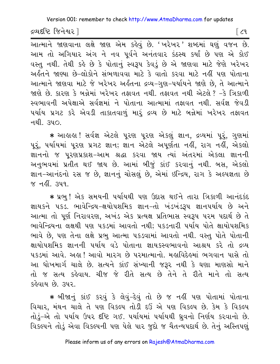Version 001: remember to check http://www.AtmaDharma.com for updates

દ્રવ્યદષ્ટિ જિનેશ્વર ી

િડવ

.<br>આત્માને જાણવાના લક્ષે જાણ એમ કહેવું છે. 'ખરેખર' શબ્દમાં ઘણું વજન છે. આમ તો અગિયાર અંગ ને નવ પૂર્વને અનંતવાર કંઠસ્થ કર્યાં છે પણ એ કોઈ વસ્તુ નથી. તેથી કહે છે કે પોતાનું સ્વરૂપ કેવડું છે એ જાણવા માટે જેણે ખરેખર અર્કતને જાણ્યા છે-લોકોને સંભળાવવા માટે કે વાતો કરવા માટે નહીં પણ પોતાના આત્માને જાણવા માટે જે ખરેખર અર્કતના દ્રવ્ય-ગણ-પર્યાયને જાણે છે. તે આત્માને જાણે છે. કારણ કે બન્નેમાં ખરેખર તફાવત નથી. તફાવત નથી એટલે ? -કે ત્રિકાળી સ્વભાવની અપેક્ષાએ સર્વજ્ઞમાં ને પોતાના આત્મામાં તફાવત નથી. સર્વજ્ઞ જેવડી પર્યાય પ્રગટ કરે એવડી તાકાતવાળું મારું દ્રવ્ય છે માટે બન્નેમાં ખરેખર તફાવત नथी, <u>उ</u>प∩.

\* આહાહા ! સર્વજ્ઞ એટલે પૂરણ પૂરણ એકલું જ્ઞાન, દ્રવ્યમાં પૂરું, ગુણમાં પૂરું, પર્યાયમાં પૂરણ પ્રગટ જ્ઞાન; જ્ઞાન એટલે અપૂર્ણતા નહીં, રાગ નહીં, એકલો જ્ઞાનનો જ પુરણપ્રકાશ-આમ શ્રદ્ધા કરવા જાય ત્યાં અંતરમાં એકલા જ્ઞાનની અનુભવમાં પ્રતીત થઈ જાય છે. આમાં બીજું કાંઈ કરવાનું નથી. બસ, એકલો જ્ઞાન-આનંદનો રસ જ છે, જ્ઞાનનું ચોસલું છે, એમાં ઇન્દ્રિય, રાગ કે અલ્પજ્ઞતા છે <u>% नहीं उपप</u>ा

\* પ્રભુ! એક સમયની પર્યાયથી પણ ઉદાસ થઈને તારા ત્રિકાળી આનંદકંદ જ્ઞાયકને ૫કડ. ભાવેન્દ્રિય-ક્ષયોપશમિક જ્ઞાન-તો ખંડખંડરૂપ જ્ઞાન૫ર્યાય છે અને આત્મા તો પૂર્ણ નિરાવરણ, અખંડ એક પ્રત્યક્ષ પ્રતિભાસ સ્વરૂપ પરમ પદાર્થ છે તે ભાવેન્દ્રિયના લક્ષથી પણ પકડમાં આવતો નથી; પકડનારી પર્યાય પોતે ક્ષાયોપશમિક ભાવે છે, પણ તેના લક્ષે પ્રભુ આત્મા પકડવામાં આવતો નથી. વસ્તુ પોતે પોતાની ક્ષાયોપશમિક જ્ઞાનની પર્યાય વડે પોતાના જ્ઞાયકસ્વભાવનો આશ્રય કરે તો દ્રવ્ય પકડમાં આવે. અહ્ય! આવો મારગ છે પરમાત્માનો. મહાવિદેહમાં ભગવાન પાસે તો આ ધોખમાર્ગ ચાલે છે. સત્યને કાંઈ સંખ્યાની જરૂર નથી કે ઘણા માણસો માને તો જ સત્ય કહેવાય. ચીજ જે રીતે સત્ય છે તેને તે રીતે માને તો સત્ય કઢેવાય છે. ૩૫૨

\* બીજાનું કાંઈ કરવું કે લેવું-દેવું તો છે જ નહીં પણ પોતામાં પોતાના વિચાર, મંથન ચાલે તે પણ વિકલ્પ તોડી દઉં એ પણ વિકલ્પ છે. કેમ કે વિકલ્પ તોડું-એ તો પર્યાય ઉપર દષ્ટિ ગઈ. પર્યાયમાં પર્યાયથી ધ્રુવનો નિર્ણય કરવાનો છે. વિકલ્પને તોડું એવા વિકલ્પની પણ પેલે પાર જુદો જ ચૈતન્યપદાર્થ છે. તેનું અસ્તિપણું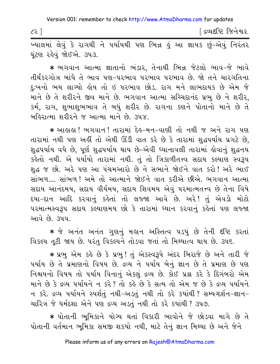$\zeta$ 

∫ દ્રવ્યદષ્ટિ જિનેશ્વર

ખ્યાલમાં લેવું કે રાગથી ને પર્યાયથી પણ ભિન્ન કું આ જ્ઞાયક છું-એવું નિરંતર ઘંટણ રહેવું જોઈએ. ૩૫૩.

\* ભગવાન આત્મા જ્ઞાતાનો ભંડાર, તેનાથી ભિન્ન જેટલો ભાવ-જે ભાવે તીર્થંકરગોત્ર બાંધે તે ભાવ પણ-પરભાવ પરભાવ પરભાવ છે. જો તને ચારગતિના દુઃખનો ભય લાગ્યો હોય તો ઇ પરભાવ છોડ. રાગ મને લાભદાયક છે એમ જે માને છે તે શરીરને જીવ માને છે. ભગવાન આત્મા સચ્ચિદાનંદ પ્રભુ છે ને શરીર, કર્મ, રાગ, શુભાશુભભાવ તે બધું શરીર છે. રાગના કણને પોતાનો માને છે તે <u>બહિરાત્મા શરીરને જ આત્મા માને છે. ૩૫૪ </u>

\* આહાહા ! ભગવાન ! તારામાં દેહ-મન-વાણી તો નથી જ અને રાગ પણ તારામાં નથી પણ અહીં તો એથી ઊંડી વાત કરે છે કે તારામાં શદ્ધપર્યાય પ્રગટે છે. શુદ્ધપર્યાય વધે છે, પૂર્ણ શુદ્ધપર્યાય થાય છે-એવી ધ્યાનાવલી તારામાં હોવાનું શુદ્ધનય કહેતો નથી. એ પર્યાયો તારામાં નથી. તું તો ત્રિકાળીતત્ત્વ સદાય કલ્યાણ સ્વરૂપ શદ્ધ જ છો. અરે પણ આ પંચમઆરો છે ને સભાને જોઈને વાત કરો! અરે ભાઈ સાંભળ.... સાંભળ! અમે તો આત્માને જોઈને વાત કરીએ છીએ. ભગવાન આત્મા સદાય આનંદમય, સદાય વીર્યમય, સદાય શિવમય એવું પરમાત્મતત્ત્વ છે તેના વિષે દયા-દાન આદિ કરવાનું કહેતાં તો લજ્જા આવે છે. અરે! તું એવડો મોટો ૫૨માત્મસ્વરૂપ સદાય કલ્યાણમય છો કે તારામાં ધ્યાન કરવાનું કહેતાં પણ લજ્જા આવે છે. ૩૫૫

\* જે અનંત અનંત ગુણનું મહાન અસ્તિત્વ ૫ડયું છે તેની દષ્ટિ કરતાં વિકલ્પ તટી જાય છે. પરંતુ વિકલ્પને તોડવા જતાં તો મિથ્યાત્વ થાય છે. ૩૫૬.

\* પ્રભુ એમ કહે છે કે પ્રભુ! તું એકસ્વરૂપે અંદર બિરાજે છે અને તારી જે પર્યાય છે તે પ્રમાણનો વિષય છે. દ્રવ્ય ને પર્યાય બેનું જ્ઞાન છે તે પ્રમાણ છે પણ નિશ્ચયનો વિષય તો પર્યાય વિનાનું એકલું દ્રવ્ય છે. કોઈ પ્રશ્ન કરે કે દિગંબરો એમ માને છે કે દ્રવ્ય ૫ર્યાયને ન કરે? તો કહે છે કે સત્ય તો એમ જ છે કે દ્રવ્ય ૫ર્યાયને ન કરે. દ્રવ્ય પર્યાયને સ્પર્શતું નથી-અડતું નથી તો કરે કયાંથી ? સમ્યગ્દર્શન-જ્ઞાન-ચારિત્ર જે ધર્મદશા એને પણ દ્રવ્ય અડતં નથી તો કરે કયાંથી ? ૩૫૭.

\* પોતાની ભૂમિકાને યોગ્ય થતાં વિકારી ભાવોને જે છોડવા માગે છે તે પોતાની વર્તમાન ભૂમિકા સમજી શકયો નથી, માટે તેનું જ્ઞાન મિથ્યા છે અને જેને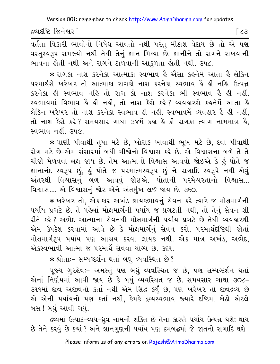દ્રવ્યદષ્ટિ જિનેશ્વર l

વર્તતા વિકારી ભાવોનો નિષેધ આવતો નથી પરંત મીઠાશ વેદાય છે તો એ પણ વસ્તુસ્વરૂપ સમજ્યો નથી તેથી તેનું જ્ઞાન મિથ્યા છે. જ્ઞાનીને તો રાગને રાખવાની ભાવના હોતી નથી અને રાગને ટાળવાની આકુળતા હોતી નથી. ૩૫૮.

\* રાગકા નાશ કરનેકા આત્માકા સ્વભાવ હૈ ઐસા કહનેમેં આતા હૈ લેકિન પરમાર્થસે ખરેખર તો આત્માકા રાગકો નાશ કરનેકા સ્વભાવ હૈ હી નહિ. ઉત્પન્ન કરનેકા હી સ્વભાવ નહિ તો રાગ કો નાશ કરનેકા ભી સ્વભાવ હૈ હી નહીં. સ્વભાવમાં વિભાવ કે ક્રી નક્ષી, તો નાશ કૈસે કરે? વ્યવક્રારસે કક્રનેમેં આતા કે લેકિન ખરેખર તો નાશ કરનેકા સ્વભાવ હી નહીં. સ્વભાવમેં વ્યવહાર હૈ હી નહીં, તો નાશ કૈસે કરે? સમયસાર ગાથા ૩૪મેં કહ્ય હૈ કી રાગકા ત્યાગ નામમાત્ર હૈ, स्वભाव नहीं उपल

\* પાણી પીવાથી તૃષા મટે છે, ખોરાક ખાવાથી ભૂખ મટે છે, દવા પીવાથી રોગ મટે છે–એમ સંસારમાં બધી ચીજોનો વિશ્વાસ કરે છે. એ વિશ્વાસના બળે તે તે ચીજો મેળવવા લક્ષ જાય છે. તેમ આત્માનો વિશ્વાસ આવવો જોઈએ કે હું પોતે જ જ્ઞાનાનંદ સ્વરૂપ છું, હું પોતે જ પરમાત્મસ્વરૂપ છું ને રાગાદિ સ્વરૂપે નથી-એવું અંતરથી વિશ્વાસનું બળ આવવું જોઈએ. પોતાની પરમેશ્વરતાનો વિશ્વાસ... વિશ્વાસ.... એ વિશ્વાસનું જોર એને અંતર્મુખ લઈ જાય છે. ૩૬૦.

\* ખરેખર તો, એકાકાર અખંડ જ્ઞાયકભાવનું સેવન કરે ત્યારે જ મોક્ષમાર્ગની પર્યાય પ્રગટે છે. તે પહેલાં મોક્ષમાર્ગની પર્યાય જ પ્રગટતી નથી, તો તેનું સેવન શી રીતે કરે? અભેદ આત્માના સેવનથી મોક્ષમાર્ગની પર્યાય પ્રગટે છે તેથી વ્યવહારથી એમ ઉપદેશ કરવામાં આવે છે કે મોક્ષમાર્ગનું સેવન કરો. પરમાર્થદષ્ટિથી જોતાં મોક્ષમાર્ગરૂપ પર્યાય પણ આશ્રય કરવા લાયક નથી. એક માત્ર અખંડ, અભેદ, એકસ્વભાવી આત્મા જ પરમાર્થે સેવવા યોગ્ય છે. ૩૬૧.

\* श्रोताः- सम्य प्हर्शन थतां जधं व्यवस्थित છे?

૫જ્ય ગુરુદેવઃ- અમસ્તું ૫ણ બધું વ્યવસ્થિત જ છે. ૫ણ સમ્યગ્દર્શન થતાં એનાં નિર્ણયમાં આવી જાય છે કે બધું વ્યવસ્થિત જ છે. સમયસાર ગાથા ૩૦૮-૩૧૧માં જીવ અજીવનો કર્તા નથી એમ સિદ્ધ કર્યું છે, પણ ખરેખર તો જીવદ્રવ્ય છે એ એની પર્યાયનો પણ કર્તા નથી, કેમકે દ્રવ્યસ્વભાવ જ્યારે દષ્ટિમાં બેઠો એટલે બસ ! બધું આવી ગયું.

દ્રવ્યમાં ઉત્પાદ-વ્યય-ધ્રુવ નામની શક્તિ છે તેના કારણે પર્યાય ઉત્પન્ન થશે; થાય છે તેને કરવું છે કયાં ? અને જ્ઞાનગુણની પર્યાય પણ ક્રમબદ્ધમાં જે જાતનો રાગાદિ થશે

 $\sqrt{3}$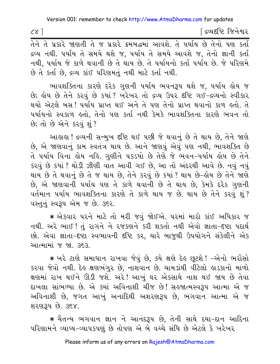| $\alpha^{\prime}$ |  |  |                                                                                                                                                                                                         |  |  | ∫ દ્રવ્યદષ્ટિ જિનેશ્વર |  |
|-------------------|--|--|---------------------------------------------------------------------------------------------------------------------------------------------------------------------------------------------------------|--|--|------------------------|--|
|                   |  |  | $\mathcal{L} \mathcal{L}$ and $\mathcal{L} \mathcal{L}$ and $\mathcal{L} \mathcal{L}$ and $\mathcal{L} \mathcal{L}$ and $\mathcal{L} \mathcal{L} \mathcal{L}$ and $\mathcal{L} \mathcal{L} \mathcal{L}$ |  |  |                        |  |

તેને તે પ્રકારે જાણતી તે જ પ્રકારે ક્રમબદ્ધમા આવશે. તે પયોય છે તેનો પણ કર્તા દ્રવ્ય નથી. ૫ર્યાય તે સમયે થશે જ, ૫ર્યાય તે સમયે આવશે જ, તેનો જ્ઞાની કર્તા નથી, પર્યાય જે કાળે થવાની છે તે થાય છે. તે પર્યાયનો કર્તા પર્યાય છે. જે પરિણમે છે તે કર્તા છે, દ્રવ્ય કાંઈ પરિણમતું નથી માટે કર્તા નથી.

ભાવશક્તિના કારણે દરેક ગુણની પર્યાય ભવનરૂપ થશે જ, પર્યાય હોય જ છે; હોય છે તેને કરવું છે કયાં ? ખરેખર તો દ્રવ્ય ઉપર દષ્ટિ ગઈ-દ્રવ્યનો સ્વીકાર થયો એટલે બસ! પર્યાય પ્રાપ્ત થઈ અને તે પણ તેનો પ્રાપ્ત થવાનો કાળ હતો. તે ૫ર્યાયનો સ્વકાળ હતો, તેનો પણ કર્તા નથી કેમકે ભાવશક્તિના કારણે ભવન તો છે; તો છે એને કરવું શું ?

આહાહા ! દ્રવ્યની સન્મુખ દષ્ટિ થઈ પછી જે થવાનું છે તે થાય છે, તેને જાણે છે, એ જાણવાનું કામ સ્વતંત્ર થાય છે. આને જાણવું એવું પણ નથી, ભાવશક્તિ છે તે પર્યાય વિના હોય નહિ. ગુણીને પકડયો છે તેણે જે ભવન–પર્યાય હોય છે તેને કરવું છે કયાં ? થોડી ઝીણી વાત આવી ગઈ છે. આ તો અંદરથી આવે છે. નવું નવું થાય છે તે થવાનું છે તે જ થાય છે, તેને કરવું છે કયાં ? થાય છે–લેય છે તેને જાણે છે, એ જાણવાની પર્યાય પણ તે કાળે થવાની છે તે થાય છે, કેમકે દરેક ગુણની વર્તમાન પર્યાય ભાવશક્તિના કારણે તે કાળે થાય જ છે. થાય છે તેને કરવું શું? વસ્તુનું સ્વરૂપ એમ જ છે. ૩૬૨.

 $\,$  એકવાર પરને માટે તો મરી જવું જોઈએ. પરમાં મારો કાંઈ અધિકાર જ નથી. અરે ભાઈ ! તું રાગને ને રજકણને કરી શકતો નથી એવો જ્ઞાતા-દષ્ટા પદાર્થ છો. એવા જ્ઞાતા-દષ્ટા સ્વભાવની દષ્ટિ કર, ચારે બાજુથી ઉપયોગને સંકેલીને એક <u>આત્મામાં જ જા. ૩૬૩.</u>

\* ખરે ટાણે સમાધાન રાખવા જેવું છે, ક્યે ક્ષણે દેઙ છૂટશે ! –એનો ભરોંસો કરવા જેવો નથી. દેહ ક્ષણભંગુર છે, નાશવાન છે. ચામડાંથી વીટેલો હાડકાનો માળો ક્ષણમાં રાખ થઈને ઊડી જશે. અરે! આખું ઘર એકસાથે નાશ થઈ જાય છે તેવા દાખલા સાંભળ્યા છે. એ ક્યાં અવિનાશી ચીજ છે! સહજાત્મસ્વરૂપ આત્મા એ જ અવિનાશી છે, જગત આખું અનાદિથી અશરણરૂપ છે, ભગવાન આત્મા એ જ શરણ3પ છે. ૩૬૪.

 $\,$  ચૈતન્ય ભગવાન જ્ઞાન ને આનંદરૂપ છે, તેની સાથે દયા–દાન આદિના પરિણામને વ્યાપ્ય–વ્યાપકપણું છે તોપણ એ બે વચ્ચે સંધિ છે એટલે કે ખરેખર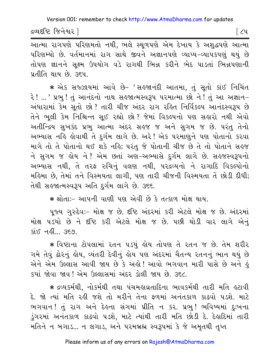દ્રવ્યદષ્ટિ જિનેશ્વર l

િ૮૫

આત્મા રાગપણે પરિણમતો નથી, ભલે સ્થૂળપણે એમ દેખાય કે અશુદ્ધપણે આત્મા પરિણમ્યો છે. વર્તમાનમાં રાગ સાથે જીવને અજ્ઞાનપણે વ્યાપ્ય-વ્યાપકપણું થયું છે તોપણ જ્ઞાનને સુક્ષ્મ ઉપયોગ વડે રાગથી ભિન્ન કરીને ભેદ પાડતાં ભિન્નપણાની પ્રતીતિ થાય છે. ૩૬૫.

\* એક સજ્ઝાયમાં આવે છે- 'સહજાનંદી આતમા, તું સૂતો કાંઈ નિચિંત રે ! ... ' પ્રભુ ! તું આનંદનો નાથ સહજાત્મસ્વરૂપ પરમાત્મા છો ને ! તું આ અજ્ઞાન− અંધારામાં કેમ સૂતો છો? તારી ચીજ અંદર રાગ રહિત નિર્વિકલ્પ આનંદસ્વરૂપ છે તેને ભલી કેમ નિશ્ચિન્ત સઈ રહ્યો છો? જેમાં વિકલ્પનો પણ સહારો નથી એવો અતીન્દ્રિય સુખકંદ પ્રભુ આત્મા અંદર સહજ જ અને સુગમ જ છે. પરંતુ તેનો અભ્યાસ નહિ લોવાથી તે દુર્ગમ લાગે છે. અરે! એક પરમાણુને પણ પોતાનો કરવા માગે તો તે પોતાનો થઈ શકે નહિ; પરંતુ જે પોતાની ચીજ છે તે તો પોતાને સહજ ને સુગમ જ હોય ને? એમ છતાં અણ-અભ્યાસે દુર્ગમ લાગે છે. સહજસ્વરૂપનો અભ્યાસ નથી, તે તરફ રુચિનું વલણ નથી, પરદ્રવ્યનો ને રાગાદિ વિકલ્પોનો મહિમા છે, તેમાં તને વિસ્મયતા લાગી, પણ તારી ચીજની વિસ્મયતા તેં છોડી દીધી; તેથી સહજાત્મસ્વરૂપ અતિ દુર્ગમ લાગે છે. ૩૬૬.

\* श्रोता:- आपनी वाशी पश એવી છે કે तत्काળ મોક્ષ થાય.

૫જ્ય ગુરુદેવઃ- મોક્ષ જ છે. દૃષ્ટિ અંદરમાં કરી એટલે મોક્ષ જ છે. અંદરમાં મોક્ષ ૫ડયો છે ને દૃષ્ટિ કરી એટલે મોક્ષ જ છે. ૫છી થોડી વાર લાગે એનું  $\sin$  નહીં...  $\cos$ 

\* વિષ્ટાના ટોપલામાં રતન પડયું હોય તોપણ તે રતન જ છે. તેમ શરીર ગમે તેવું ઢોરનું હોય, વ્યંતરી દેવીનું હોય પણ અંદરમાં ચૈતન્ય રતનનું ભાન થયું છે એને એમ ઉલ્લાસ આવી જાય છે કે અહો! આવો ભગવાન મારી પાસે છે અને હું કયાં જોવા જાવ ! એમ ઉલ્લાસમાં અંદર ડોલી જાય છે. ૩૬૮

\* દ્રવ્યકર્મથી, નોકર્મથી તથા પંચમહાવ્રતાદિના ભાવકર્મથી તારી મતિ હટાવી દે. જો ત્યાં મતિ રહી જશે તો મરીને તેના ફળમાં અનંતકાળ કાઢવો પડશે. માટે ભગવાન! તું રાગ અને દેહના સંગમાં પ્રીતિ ન કર. પ્રભ! ભવિષ્યમાં દઃખના ડુંગરમાં અનંતકાળ કાઢવો પડશે, માટે ત્યાંથી તારી મતિ છોડી દે. દેહાદિમાં તારી મતિને ન બગાડ... ન લગાડ, અને પરમબ્રહ્મ સ્વરૂપમાં કે જે અમૃતથી તુપ્ત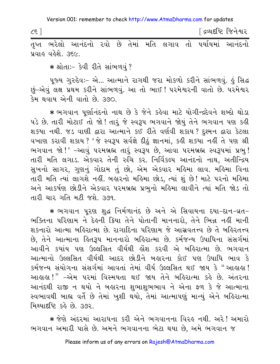| $\zeta$ इ ] |                    |                                                              |  |  |  | <u>[</u> દ્રવ્યદૃષ્ટિ જિનેશ્વર |  |
|-------------|--------------------|--------------------------------------------------------------|--|--|--|--------------------------------|--|
|             |                    | તૃપ્ત ભરેલો આનંદનો રવો છે તેમાં મતિ લગાવ તો પર્યાયમાં આનંદનો |  |  |  |                                |  |
|             | પ્રવાહ વહેશે. ૩૬૯. |                                                              |  |  |  |                                |  |

\* શ્રોતાઃ- કેવી રીતે સાંભળવું?

પુજ્ય ગુરુદેવઃ- એ... આત્માને રાગથી જરા મોકળો કરીને સાંભળવું. કું સિદ્ધ છું-એવું લક્ષ પ્રથમ કરીને સાંભળવું. આ તો ભાઈ! પરમેશ્વરની વાતો છે. પરમેશ્વર કેમ થવાય એની વાતો છે. ૩૭૦.

\* ભગવાન પૂર્ણાનંદનો નાથ છે કે જેને કહેવા માટે યોગીન્દ્રદેવને શબ્દો થોડા પડે છે. તારી મોટાઈ તો જો ! તારૂં જે સ્વરૂપ ભગવાને જોયું તેને ભગવાન પણ કહી શક્યા નથી. જડ વાણી દ્વારા આત્માને કઈ રીતે વર્ણવી શકાય? દુશ્મન દ્વારા કેટલા વખાણ કરાવી શકાય? 'જે સ્વરૂપ સર્વજ્ઞે દીઠું જ્ઞાનમાં, કહી શક્યા નહીં તે પણ શ્રી ભગવાન જો!' –આવું પરમબ્રહ્મ તારૂં સ્વરૂપ છે, આવા પરમબ્રહ્મ સ્વરૂપમાં પ્રભુ! તારી મતિ લગાડ. એકવાર તેની રુચિ કર. નિર્વિકલ્પ આનંદનો નાથ, અતીન્દ્રિય સુખનો સાગર, ગુણનું ગોદામ તું છો, એમ એકવાર મહિમા લાવ. મહિમા વિના તારી મતિ ત્યાં લાગશે નહીં. બહારનો મહિમા છોડ, ત્યાં શું છે! માટે પરનો મહિમા અને આકર્ષણ છોડીને એકવાર પરમબ્રહ્મ પ્રભનો મહિમા લાવીને ત્યાં મતિ જોડ તો તારી ચાર ગતિ મટી જશે. ૩૭૧.

\* ભગવાન પુરણ શુદ્ધ નિર્મળાનંદ છે અને એ સિવાયના દયા-દાન-વ્રત-ભક્તિના પરિણામ ને દેલ્ની ક્રિયા તેને પોતાની માનનારો, તેને ભિન્ન નહીં માની શકનારો આત્મા બહિરાત્મા છે. રાગાદિના પરિણામ જે આસ્રવતત્ત્વ છે તે બહિરતત્ત્વ છે, તેને આત્માના કિતરૂપ માનનારો બકિરાત્મા છે. કર્મજન્ય ઉપાધિના સંસર્ગમાં આવીને કયાંય પણ ઉલ્લસિત વીર્યથી લોશ કરવી એ બલ્રિરાત્મા છે. ભગવાન આત્માનો ઉલ્લસિત વીર્યથી આદર છોડીને બહારના કોઈ પણ ઉપાધિ ભાવ કે કર્મજન્ય સંયોગના સંસર્ગમાં આવતાં તેમાં વીર્ય ઉલ્લસિત થઈ જાય કે "આહાહા ! આહાહા!" –એમ પરમાં વિસ્મયતા થઈ જાય તેને બહિરાત્મા કહે છે. અંતરના આનંદથી રાજી ન થયો ને બહારના શભાશભભાવ ને એના ફળ કે જે આત્માના સ્વભાવથી બાહ્ય વર્તે છે તેમાં ખુશી થયો, તેમાં આત્માપણું માન્યું એને બહિરાત્મા મિથ્યાર્દષ્ટિ કર્લ છે. 392.

<mark>∗</mark> જેણે અંદરમાં આરાધના કરી એને ભગવાનના વિરુઙ નથી. અરે! અમારો ભગવાન અમારી પાસે છે. અમને ભગવાનના ભેટા થયા છે, અમે ભગવાન જ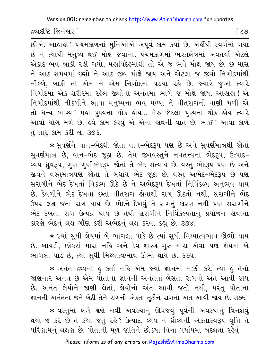દ્રવ્યદષ્ટિ જિનેશ્વર l

୮ ८७ ।

છીએ. આહાહા ! પંચમકાળનાં મુનિઓએ અપૂર્વ કામ કર્યાં છે. અહીંથી સ્વર્ગમાં ગયા છે ને ત્યાંથી મનુષ્ય થઈ મોક્ષે જવાના. પંચમકાળમાં ભરતક્ષેત્રમાં અવતર્યા એટલે એકાદ ભવ બાકી રહી ગયો. મહાવિદેહમાંથી તો એ જ ભવે મોક્ષ જાય છે. છ માસ ને આઠ સમયમાં છસો ને આઠ જીવ મોક્ષે જાય અને એટલા જ જીવો નિગોદમાંથી નીકળે, બાકી તો એમ ને એમ નિગોદમાં ૫ડયા રહે છે. જ્યારે જુઓ ત્યારે નિગોદમાં એક શરીરમાં રહેલ જીવોના અનંતમાં ભાગે જ મોક્ષે જાય. આહાહા! એ નિગોદમાંથી નીકળીને આવા મનુષ્યના ભવ મળ્યા ને વીતરાગની વાણી મળી એ તો ધન્ય ભાગ્ય! મહા પુણ્યના થોક હોય... મેરુ જેટલા પુણ્યના થોક હોય ત્યારે આવો યોગ મળે છે. હવે કામ કરવું એ એના હાથની વાત છે. ભાઈ ! આવા કાળે તું તારૂં કામ કરી લે. ૩૭૩.

\* સવર્ણને વાન-ભેદથી જોતાં વાન-ભેદરૂપ પણ છે અને સવર્ણમાત્રથી જોતાં સુવર્ણમાત્ર છે, વાન-ભેદ જૂઠા છે. તેમ જીવવસ્તુને નવતત્ત્વના ભેદરૂપ, ઉત્પાદ-વ્યય-ધ્રુવરૂપ, ગુણ-ગુણીભેદરૂપ જોતાં તે ભેદ સત્યાર્થ છે. વસ્તુ ભેદરૂપ પણ છે અને જીવને વસ્તુમાત્રપણે જોતાં તે બધાંય ભેદ જૂઠા છે. વસ્તુ અભેદ-ભેદરૂપ છે પણ સરાગીને ભેદ દેખતાં વિકલ્પ ઊઠે છે ને અભેદરૂપ દેખતાં નિર્વિકલ્પ અનુભવ થાય છે. કેવળીને ભેદ દેખવા છતાં વીતરાગ હોવાથી રાગ ઊઠતો નથી, સરાગીને ભેદ ઉપર લક્ષ જતાં રાગ થાય છે. ભેદને દેખવું તે રાગનું કારણ નથી પણ સરાગીને ભેદ દેખતાં રાગ ઉત્પન્ન થાય છે તેથી સરાગીને નિર્વિકલ્પતાનું પ્રયોજન હોવાના કારણે ભેદનું લક્ષ ગૌણ કરી અભેદનું લક્ષ કરવા કહ્યું છે. ૩૭૪.

\* જ્યાં સુધી જ્ઞેયમાં બે ભાગલા પાડે છે ત્યાં સુધી મિથ્યાત્વભાવ ઊભો થાય છે. બાયડી, છોકરાં મારા નહિ અને દેવ-શાસ્ત્ર-ગુરુ મારા એવા પણ જ્ઞેયમાં બે ભાગલા પાડે છે, ત્યાં સુધી મિથ્યાત્વભાવ ઊભો થાય છે. ૩૭૫.

\* અનંત દ્રવ્યનો કું કર્તા નહિ એમ જ્યાં જ્ઞાનમાં નક્કી કરે, ત્યાં કું તેનો જાણનાર અનંત છું એમ પોતાના જ્ઞાનની અનંતતા બેસતાં રાગનો અંત આવી જાય છે. અનંત જ્ઞેયોને જાણી લેતાં, જ્ઞેયોનો અંત આવી જતો નથી, પરંતુ પોતાના જ્ઞાનની અનંતતા જેને બેઠી તેને રાગની એકતા તટીને રાગનો અંત આવી જાય છે. ૩૭૬.

\* વસ્તુમાં ક્ષણે ક્ષણે નવી અવસ્થાનું ઊપજવું પૂર્વની અવસ્થાનું વિનશવું થયા જ કરે છે તે કયાં જતું રહે? ઉત્પાદ, વ્યય ને ઘ્રૌવ્યની એકતાસ્વરૂપ વૃત્તિ તે પરિણામનું લક્ષણ છે. પોતાની મૂળ જાતિને છોડયા વિના પર્યાયમાં બદલતા રહેવું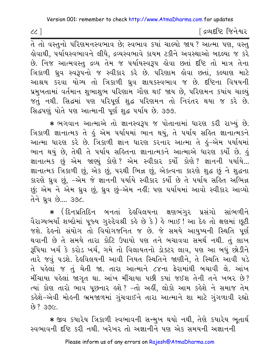$cc$ ]

∫ દ્રવ્યદષ્ટિ જિનેશ્વર

.<br>તે તો વસ્તુનો પરિણમનસ્વભાવ છે; સ્વભાવ કયાં ચાલ્યો જાય ? આત્મા પણ, વસ્તુ <u>હોવાથી, ૫ર્યાયસ્વભાવને લીધે, દ્રવ્યસ્વભાવે કાયમ ટકીને અવસ્થાઓ બદલ્યા જ કરે</u> છે. નિજ આત્મવસ્તુ દ્રવ્ય તેમ જ ૫ર્યાયસ્વરૂપ ોવા છતાં દષ્ટિ તો માત્ર તેના ત્રિકાળી ધ્રુવ સ્વરૂપનો જ સ્વીકાર કરે છે. પરિણામ લોવા છતાં, કલ્યાણ માટે આશ્રય કરવા યોગ્ય તો ત્રિકાળી ધ્રુવ જ્ઞાયકસ્વભાવ જ છે. દષ્ટિના વિષયની પ્રમુખતામાં વર્તમાન શુભાશુભ પરિણામ ગૌણ થઈ જાય છે, પરિણમન કયાંય ચાલ્યું જતું નથી. સિદ્ધમાં પણ પરિપૂર્ણ શુદ્ધ પરિણમન તો નિરંતર થયા જ કરે છે. સિદ્ધપણું પોતે પણ આત્માની પૂર્ણ શુદ્ધ પર્યાય છે. ૩૭૭.

\* ભગવાન આત્માએ તો જ્ઞાનસ્વરૂપ જ પોતાનામાં ધારણ કરી રાખ્યું છે. ત્રિકાળી જ્ઞાનાત્મક તે હું એમ પર્યાયમાં ભાન થયું, તે પર્યાય સહિત જ્ઞાનાત્મકને આત્મા ધારણ કરે છે. ત્રિકાળી જ્ઞાન ધારણ કરનાર આત્મા તે હું-એમ પર્યાયમાં ભાન થયું છે, તેથી તે ૫ર્યાય સહિતના જ્ઞાનાત્મકને આત્માએ ધારણ કર્યો છે. હું જ્ઞાનાત્મક છું એમ જાણ્યું કોણે? એમ સ્વીકાર કર્યો કોણે? જ્ઞાનની પર્યાયે... જ્ઞાનાત્મક ત્રિકાળી છું, એક છું, પરથી ભિન્ન છું, એકત્વના કારણે શુદ્ધ છું ને શુદ્ધના કારણે ધ્રુવ છું, -એમ જે જ્ઞાનની પર્યાયે સ્વીકાર કર્યો છે તે પર્યાય સહિત અભિન્ન છું; એમ ને એમ ઘ્રુવ છું, ઘ્રુવ છું–એમ નહીં; પણ પર્યાયમાં આવો સ્વીકાર આવ્યો તેને ઘ્રવ છે.... ૩૭૮.

★ (દિનપ્રતિદિન બનતાં દેહવિલયના ક્ષણભંગુર પ્રસંગો સાંભળીને વૈરાગ્યભર્યાં શબ્દોમાં પૂજ્ય ગુરુદેવશ્રી કહે છે કે ) હે ભાઈ ! આ દેહ તો ક્ષણમાં છૂટી જશે. દેહનો સંયોગ તો વિયોગજનિત જ છે. જે સમયે આયુષ્યની સ્થિતિ પૂર્ણ થવાની છે તે સમયે તારા કોટિ ઉપાયો પણ તને બચાવવા સમર્થ નથી. તું લાખ રૂપિયા ખર્ચ કે કરોડ ખર્ચ, ગમે તો વિલાયતનો ડોક્ટર લાવ, પણ આ બધું છોડીને તારે જવું ૫ડશે. દેહવિલયની આવી નિયત સ્થિતિને જાણીને, તે સ્થિતિ આવી ૫ડે તે પહેલાં જ તું ચેતી જા. તારા આત્માને ૮૪ના ફેરામાંથી બચાવી લે. આંખ મીંચાયા પહેલાં જાગૃત થા. આંખ મીંચાયા પછી કયાં જઈશ તેની તને ખબર છે? ત્યાં કોણ તારો ભાવ પૂછનાર હશે ? -તો અહીં, લોકો આમ કહેશે ને સમાજ તેમ કહેશે-એવી મોહની ભ્રમજાળમાં ગુંચવાઈને તારા આત્માને શા માટે ગુંગળાવી રહ્યો  $307.862$ 

\* જીવ કયારેય ત્રિકાળી સ્વભાવની સન્મુખ થયો નથી, તેણે કયારેય ભુતાર્થ સ્વભાવની દૃષ્ટિ કરી નથી. ખરેખર તો અજ્ઞાનીને પણ એક સમયની અજ્ઞાનની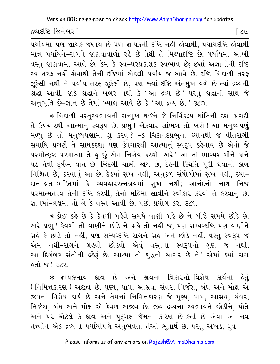દ્રવ્યદષ્ટિ જિનેશ્વર |

 $\epsilon$ 

પર્યાયમાં પણ જ્ઞાયક જણાય છે પણ જ્ઞાયકની દૃષ્ટિ નહીં હોવાથી, પર્યાયદૃષ્ટિ હોવાથી માત્ર પર્યાયને-રાગને જાણવાવાળો રહે છે તેથી તે મિથ્યાદષ્ટિ છે. પર્યાયમાં આખી વસ્તુ જાણવામાં આવે છે, કેમ કે સ્વ-પરપ્રકાશક સ્વભાવ છે; છતાં અજ્ઞાનીની દૃષ્ટિ સ્વ તરફ નહીં હોવાથી તેની દષ્ટિમાં એકલી પર્યાય જ આવે છે. દષ્ટિ ત્રિકાળી તરફ ઝૂકેલી નથી ને પર્યાય તરફ ઝૂકેલી છે, પણ જ્યાં દષ્ટિ અંતર્મુખ વળે છે ત્યાં દ્રવ્યની શ્રદ્ધા આવી. જોકે શ્રદ્ધાને ખબર નથી કે 'આ દ્રવ્ય છે' પરંતુ શ્રદ્ધાની સાથે જે અનુભૂતિ છે-જ્ઞાન છે તેમાં ખ્યાલ આવે છે કે 'આ દ્રવ્ય છે.' ૩૮૦.

∗ ત્રિકાળી વસ્તુસ્વભાવની સન્મુખ થઈને જે નિર્વિકલ્પ શાંતિની દશા પ્રગટી તે ઉપચારથી આત્માનું સ્વરૂપ છે. પ્રભુ! એકવાર સાંભળ તો ખરો! આ મનુષ્યપણું મળ્યું છે તો મનુષ્યપણામાં શું કરવું? –કે ચિદાનંદપ્રભુના ધ્યાનથી જે વીતરાગી સમાધિ પ્રગટી તે સાધકદશા પણ ઉપચારથી આત્માનું સ્વરૂપ કહેવાય છે એવો જે પરમોત્કૃષ્ટ પરમાત્મા તે હું છું એમ નિર્ણય કરવો. અરે! આ તો ભાગ્યશાળીને કાને પડે તેવી દુર્લભ વાત છે. જિંદગી ચાલી જાય છે, દેહની સ્થિતિ પૂરી થવાનો કાળ નિશ્ચિત છે, કરવાનું આ છે, દેલ્માં સુખ નથી, અનુકૂળ સંયોગોમાં સુખ નથી, દયા-દાન-વ્રત-ભક્તિમાં કે વ્યવહારરત્નત્રયમાં સુખ નથી; આનંદનો નાથ નિજ પરમાત્મતત્ત્વ તેની દૃષ્ટિ કરવી, તેનો મહિમા લાવીને સ્વીકાર કરવો તે કરવાનું છે. જ્ઞાનમાં-લક્ષમાં તો લે કે વસ્તુ આવી છે, પછી પ્રયોગ કર. ૩૮૧.

\* કોઈ કહે છે કે કેવળી પહેલે સમયે વાણી ગ્રહે છે ને બીજે સમયે છોડે છે. અરે પ્રભ! કેવળી તો વાણીને છોડે ને ગ્રહે તો નહીં જ. પણ સમ્યગ્દષ્ટિ પણ વાણીને ગ્રહે કે છોડે તો નહીં, પણ સમ્યગ્દષ્ટિ રાગને ગ્રહે અને છોડે નહીં. વસ્તુ સ્વરૂપ જ એમ નથી-રાગને ગ્રહવો છોડવો એવું વસ્તુના સ્વરૂપનો ગુણ જ નથી. આ દિગંબર સંતોની લ્હેરૂં છે. આત્મા તો શુદ્ધનો સાગર છે ને! એમાં ક્યાં રાગ  $SO(2, 1)$ 

\* જ્ઞાયકભાવ જીવ છે અને જીવના વિકારનો-વિશેષ કાર્યનો કેતું ( નિમિત્તકારણ ) અજીવ છે. પુણ્ય, પાપ, આસ્રવ, સંવર, નિર્જરા, બંધ અને મોક્ષ એ જીવનાં વિશેષ કાર્ય છે અને તેમનાં નિમિત્તકારણ જે પુણ્ય, પાપ, આસ્રવ, સંવર, નિર્જરા, બંધ અને મોક્ષ એ કેવળ અજીવ છે. જીવ દ્રવ્યના સ્વભાવને છોડીને, પોતે અને ૫૨ એટલે કે જીવ અને પુદ્દગલ જેમના કારણ છે-કર્તા છે એવા આ નવ તત્ત્વોને એક દ્રવ્યના પર્યાયોપણે અનુભવતાં તેઓ ભૂતાર્થ છે. પરંતુ અખંડ, ધ્રુવ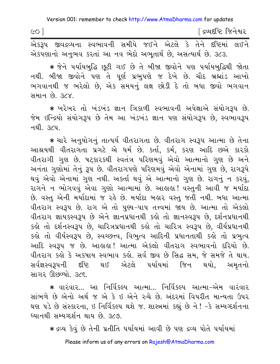| CO <sup>1</sup> |                                                                  |  | <u>[</u> દ્રવ્યદષ્ટિ જિનેશ્વર |  |  |  |  |  |  |
|-----------------|------------------------------------------------------------------|--|-------------------------------|--|--|--|--|--|--|
|                 | એકરૂપ જીવદ્રવ્યના સ્વભાવની સમીપે જઈને એટલે કે તેને દષ્ટિમાં લઈને |  |                               |  |  |  |  |  |  |

એકપણાનો અનુભવ કરતાં આ નવ ભેદો અભુતાર્થ છે, અસત્યાર્થ છે. ૩૮૩.

★ જેને પર્યાયબુદ્ધિ છુટી ગઈ છે તે બીજા જીવોને પણ પર્યાયબુદ્ધિથી જોતા નથી. બીજા જીવોને પણ તે પૂર્ણ પ્રભુપણે જ દેખે છે. ચૌદ બ્રહ્માંડ આખો ભગવાનથી જ ભરેલો છે, એક સમયનું લક્ષ છોડી દે તો બધા જીવો ભગવાન <u>सभान છે. ૩૮૪.</u>

\* ખરેખર તો ખંડખંડ જ્ઞાન ત્રિકાળી સ્વભાવની અપેક્ષાએ સંયોગરૂપ છે. જેમ ઇન્દ્રિયો સંયોગરૂપ છે તેમ આ ખંડખંડ જ્ઞાન પણ સંયોગરૂપ છે, સ્વભાવરૂપ नथी, *उ*८प,

\* ચારે અનુયોગનું તાત્પર્ય વીતરાગતા છે. વીતરાગ સ્વરૂપ આત્મા છે તેના આશ્રયથી વીતરાગતા પ્રગટે એ ધર્મ છે. કર્તા, કર્મ, કરણ આદિ છએ કારકો વીતરાગી ગુણ છે. ષટકારકથી સ્વતંત્ર પરિણમવું એવો આત્માનો ગુણ છે અને અનંતા ગુણોમાં તેનું રૂપ છે. વીતરાગપણે પરિણમવું એવો એનામાં ગુણ છે, રાગરૂપે થવું એવો એનામાં ગુણ નથી. અકર્તા થવું એ આત્માનો ગુણ છે. રાગનું ન કરવું, રાગને ન ભોગવવું એવા ગુણો આત્મામાં છે. આહાહા! વસ્તુની આવી જ મર્યાદા છે. વસ્તુ એની મર્યાદામાં જ રહે છે. મર્યાદા બહાર વસ્તુ જતી નથી. બધા આત્મા વીતરાગ સ્વરૂપ છે. રાગ એ તો પુણ્ય-પાપ તત્ત્વમાં જાય છે. આત્મા તો એકલો વીતરાગ જ્ઞાયકસ્વરૂપ છે એને જ્ઞાનપ્રધાનથી કહો તો જ્ઞાનસ્વરૂપ છે, દર્શનપ્રધાનથી કહો તો દર્શનસ્વરૂપ છે, ચારિત્રપ્રધાનથી કહો તો ચારિત્ર સ્વરૂપ છે, વીર્યપ્રધાનથી કહો તો વીર્યસ્વરૂપ છે, સ્વચ્છત્ત્વ, વિભુત્વ આદિની પ્રધાનતાથી કહો તો પ્રભુત્વ આદિ સ્વરૂપ જ છે. આહાહા! આત્મા એકલો વીતરાગ સ્વભાવનો દરિયો છે. વીતરાગ કહો કે અકષાય સ્વભાવ કહો. સર્વ જીવ છે સિદ્ધ સમ, જે સમજે તે થાય. સર્વજ્ઞસ્વરૂપની દષ્ટિ થઈ એટલે પર્યાયમાં જિન થયો, અમૃતનો સાગર ઊછળ્યો. ૩૮૬.

\* વારંવાર... આ નિર્વિકલ્પ આત્મા... નિર્વિકલ્પ આત્મા-એમ વારંવાર સાંભળે છે એનો અર્થ જ એ કે ઇ એને રુચે છે. અંદરમાં વિપરીત માન્યતા ઉપર ઘણ પડે છે સંસ્કારના, ઇ નિર્વિકલ્પ થશે જ. શાસ્ત્રમાં કહ્યું છે ને ! -કે સમ્યગ્દર્શનના ધ્યાનથી સમ્યગ્દર્શન થાય છે. ૩૮૭.

\* દ્રવ્ય કેવું છે તેની પ્રતીતિ પર્યાયમાં આવી છે પણ દ્રવ્ય પોતે પર્યાયમાં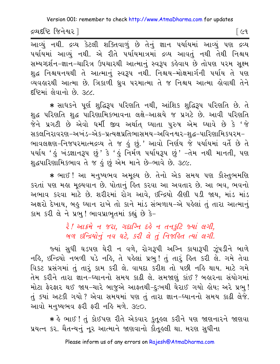દ્રવ્યદષ્ટિ જિનેશ્વર l

િલ્વ

.<br>આવ્યું નથી. દ્રવ્ય કેટલી શક્તિવાળું છે તેનું જ્ઞાન પર્યાયમાં આવ્યું પણ દ્રવ્ય પર્યાયમાં આવ્યું નથી. એ રીતે પર્યાયમાત્રમાં દ્રવ્ય આવતું નથી તેથી નિશ્ચય સમ્યગ્દર્શન-જ્ઞાન-ચારિત્ર ઉપચારથી આત્માનું સ્વરૂપ કહેવાય છે તોપણ પરમ સૂક્ષ્મ શુદ્ધ નિશ્ચયનયથી તે આત્માનું સ્વરૂપ નથી. નિશ્ચય–મોક્ષમાર્ગની પર્યાય તે પણ વ્યવહારથી આત્મા છે. ત્રિકાળી ઘ્રુવ પરમાત્મા તે જ નિશ્ચય આત્મા હોવાથી તેને દષ્ટિમાં લેવાનો છે. ૩૮૮.

∗ સાધકને પૂર્ણ શુદ્ધિરૂપ પરિણતિ નથી, આંશિક શુદ્ધિરૂપ પરિણતિ છે. તે શુદ્ધ પરિણતિ શુદ્ધ પારિણામિકભાવના લક્ષે-આશ્રયે જ પ્રગટે છે. આવી પરિણતિ જેને પ્રગટી છે એવો ધર્મી જીવ અર્થાત ધ્યાતા પુરુષ એમ ધ્યાવે છે કે 'જે સકલનિરાવરણ–અખંડ–એક–પ્રત્યક્ષપ્રતિભાસમય–અવિનશ્વર–શદ્ધ–પારિણામિકપરમ– ભાવલક્ષણ-નિજપરમાત્મદ્રવ્ય તે જ કું છું.' આવો નિર્ણય જે પર્યાયમાં વર્તે છે તે પર્યાય 'હું ખંડજ્ઞાનરૂપ છું' કે 'હું નિર્મળ પર્યાયરૂપ છું' –તેમ નથી માનતી, પણ શુદ્ધપારિણામિકભાવ તે જ કું છું એમ માને છે-ભાવે છે. ૩૮૯.

★ ભાઈ ! આ મનુષ્યભવ અમૂલ્ય છે. તેનો એક સમય પણ કૌસ્તુભમણિ કરતાં પણ મહા મુલ્યવાન છે. પોતાનું હિત કરવા આ અવતાર છે. આ ભવ, ભવનો અભાવ કરવા માટે છે. શરીરમાં રોગ આવે, ઇન્દ્રિયો લીણી ૫ડી જાય, માંડ માંડ અક્ષરો દેખાય, બહુ ધ્યાન રાખે તો કાને માંડ સંભળાય-એ પહેલાં તું તારા આત્માનું કામ કરી લે ને પ્રભુ! ભાવપ્રાભૃતમાં કહ્યું છે કે-

> रे! આક્રમે ન જરા, ગદાગ્નિ દહે ન તનકુટિ જ્યાં લગી, जय छन्द्रियोनुं नव घटे, डरी ले तुं निश्रडित त्यां लगी.

જ્યાં સુધી ઘડપણ ઘેરી ન વળે, રોગરૂપી અગ્નિ કાયારૂપી ઝૂંપડીને બાળે નહિ, ઇન્દ્રિયો નબળી પડે નહિ, તે પહેલાં પ્રભુ! તું તારું હિત કરી લે. ગમે તેવા વિકટ પ્રસંગમાં તું તારૂં કામ કરી લે. વાયદા કરીશ તો પછી નહિ થાય. માટે ગમે તેમ કરીને તારા જ્ઞાન-ઘ્યાનનો સમય કાઢી લે. સમજાણું કાંઈ ? બહારના સંયોગમાં મોટા ફેરફાર થઈ જાય-ચારે બાજુએ આફતથી-દુ:ખથી ઘેરાઈ ગયો હોય; અરે પ્રભુ! તું ક્યાં અટકી ગયો ? એવા સમયમાં પણ તું તારા જ્ઞાન-ધ્યાનનો સમય કાઢી લેજે. આવો મનુષ્યભવ ફરી ફરી નહિ મળે. ૩૯૦.

\* કે ભાઈ ! તું કોઈપણ રીતે એકવાર કુતુકલ કરીને પણ જાણનારને જાણવા પ્રયત્ન કર. ચૈતન્યનું નૂર આત્માને જાણવાનો કૌતૂહલી થા. મરણ સુધીના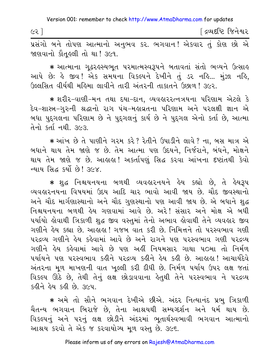| ૯૨ | ંદ્રવ્યદીષ્ટે જિનેશ્વર |
|----|------------------------|
|    |                        |

પ્રસંગો બને તોપણ આત્માનો અનુભવ કર. ભગવાન! એકવાર તું કોણ છો એ જાણવાનો કૌતુ લી તો થા! ૩૯૧.

\* આત્માના ગઢરઙસ્યભત પરમાત્મસ્વરૂપને બતાવતાં સંતો ભવ્યને ઉત્સાઙ આપે છેઃ કે જીવ! એક સમયના વિકલ્પને દેખીને તું ડર નકિ... મુંઝા નકિ, ઉલ્લસિત વીર્યથી મહિમા લાવીને તારી અંતરની તાકાતને ઉછાળ! ૩૯૨.

∗ શરીર−વાણી−મન તથા દયા−દાન, વ્યવહારરત્નત્રયના પરિણામ એટલે કે દેવ-શાસ્ત્ર-ગુરુની શ્રદ્ધાનો રાગ પંચ-મહાવ્રતના પરિણામ અને પરલક્ષી જ્ઞાન એ બધા પુદ્દગલના પરિણામ છે ને પુદ્દગલનું કાર્ય છે ને પુદ્દગલ એનો કર્તા છે, આત્મા તેનો કર્તા નથી. ૩૯૩

\* આંખ છે તે પાણીને ગરમ કરે? રેતીને ઉપાડીને લાવે? ના, બસ માત્ર એ બધાને થાય તેમ જાણે જ છે. તેમ આત્મા પણ ઉદયને, નિર્જરાને, બંધને, મોક્ષને થાય તેમ જાણે જ છે. આહાહા! અકર્તાપણું સિદ્ધ કરવા આંખના દષ્ટાંતથી કેવો ન્યાય સિદ્ધ કર્યો છે! ૩૯૪.

\* શુદ્ધ નિશ્ચયનયના બળથી વ્યવહારનયને હેય કહ્યો છે, તે હેયરૂપ વ્યવહારનયના વિષયમાં ઉદય આદિ ચાર ભાવો આવી જાય છે. ચૌદ જીવસ્થાનો અને ચૌદ માર્ગણાસ્થાનો અને ચૌદ ગુણસ્થાનો પણ આવી જાય છે. એ બધાને શદ્ધ નિશ્ચયનયના બળથી હેય ગણવામાં આવે છે. અરે! સંસાર અને મોક્ષ એ બધી પર્યાયો હોવાથી ત્રિકાળી શુદ્ધ જીવ વસ્તુમાં તેનો અભાવ હોવાથી તેને વ્યવહાર જીવ ગણીને હેય કહ્યા છે. આહાહા ! ગજબ વાત કરી છે. નિમિત્તને તો પરસ્વભાવ ગણી પરદ્રવ્ય ગણીને હેય કહેવામાં આવે છે અને રાગને પણ પરસ્વભાવ ગણી પરદ્રવ્ય ગણીને હેય કહેવામાં આવે છે પણ અહીં નિયમસાર ગાથા ૫૦મા તો નિર્મળ ૫ર્યાયને પણ ૫૨સ્વભાવ કઢીને ૫૨દ્રવ્ય કઢીને ઢેય કઢી છે. આહાઢા! આચાર્યદેવે અંતરના મૂળ માખણની વાત ખુલ્લી કરી દીધી છે. નિર્મળ પર્યાય ઉપર લક્ષ જતાં વિકલ્પ ઊઠે છે, તેથી તેનું લક્ષ છોડાવવાના કેતુથી તેને પરસ્વભાવ ને પરદ્રવ્ય <u>કઠીને હેય કહી છે. ૩૯૫.</u>

\* અમે તો સૌને ભગવાન દેખીએ છીએ. અંદર નિત્યાનંદ પ્રભ ત્રિકાળી ચૈતન્ય ભગવાન બિરાજે છે. તેના આશ્રયથી સમ્યગ્દર્શન અને ધર્મ થાય છે. વિકલ્પનું અને પરનું લક્ષ છોડીને અંદરમાં ભુતાર્થસ્વભાવી ભગવાન આત્માનો આશ્રય કરવો તે એક જ કરવાયોગ્ય મૂળ વસ્તુ છે. ૩૯૬.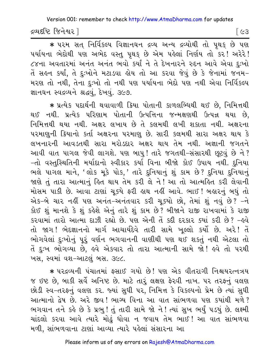દ્રવ્યદષ્ટિ જિનેશ્વર |

િલ્ઉ

\* ૫૨મ સત્ નિર્વિકલ્પ વિજ્ઞાનઘન દ્રવ્ય અન્ય દ્રવ્યોથી તો પૃથક્ છે પણ ૫ર્યાયના ભેદોથી પણ અભેદ વસ્તુ પૃથક્ છે એમ પહેલાં નિર્ણય તો કર! અરેરે! ૮૪ના અવતારમાં અનંત અનંત ભવો કર્યાં ને તે દેખનારને રુદન આવે એવા દુઃખો તેં સહન કર્યાં, તે દુઃખોને મટાડવા હોય તો આ કરવા જેવું છે કે જેનામાં જનમ-મરણ તો નથી, તેના દુઃખો તો નથી પણ પર્યાયના ભેદો પણ નથી એવા નિર્વિકલ્પ જ્ઞાનઘન સ્વદ્રવ્યને શ્રદ્ધવું, દેખવું. ૩૯૭.

\* પ્રત્યેક પદાર્થની થવાવાળી ક્રિયા પોતાની કાળલબ્ધિથી થઈ છે, નિમિત્તથી થઈ નથી. પ્રત્યેક પરિણામ પોતાની ઉત્પત્તિના જન્મક્ષણથી ઉત્પન્ન થયા છે, નિમિત્તથી થયા નથી. અક્ષર લખાય છે તે કલમથી લખી શકાતા નથી. અક્ષરના પરમાણુની ક્રિયાનો કર્તા અક્ષરના પરમાણુ છે. સારી કલમથી સારા અક્ષર થાય કે લખનારની આવડતથી સારા મરોડદાર અક્ષર થાય તેમ નથી. અજ્ઞાની જગતને આવી વાત પાગલ જેવી લાગશે. પણ બાપુ! તારે જગતથી-સંસારથી છૂટવું છે ને? -તો વસ્તુસ્થિતિની મર્યાદાનો સ્વીકાર કર્યા વિના બીજો કોઈ ઉપાય નથી. દુનિયા ભલે પાગલ માને, 'લોક મૂકે પોક,' તારે દુનિયાનું શું કામ છે? દુનિયા દુનિયાનું જાણે તું તારા આત્માનું હિત થાય તેમ કરી લે ને! આ તો આત્મહિત કરી લેવાની મોસમ પાકી છે. આવા ટાણાં ચુક્યે ફરી હાથ નહીં આવે. ભાઈ ! બહારનું બધું તો એક-બે ચાર નહીં પણ અનંત-અનંતવાર કરી ચૂક્યો છો, તેમાં શું નવું છે? -ને કોઈ શું માનશે કે શું કહેશે એનું તારે શું કામ છે? બીજાને રાજી રાખવામાં કે રાજી કરવામાં તારો આત્મા દાઝી રહ્યો છે. પણ એની તેં કદી દરકાર ક્યાં કરી છે? - હવે તો જાગ! ભેદજ્ઞાનનો માર્ગ આચાર્યદેવે તારી સામે ખૂલ્લો કર્યો છે. અરે! તેં ભોગવેલાં દુઃખોનું પૂરું વર્ણન ભગવાનની વાણીથી પણ થઈ શકતું નથી એટલા તો તેં દુઃખ ભોગવ્યા છે, હવે એકવાર તો તારા આત્માની સામે જો! હવે તો પરથી ખસ, સ્વમાં વશ-આટલું બસ. ૩૯૮.

\* પરદ્રવ્યની પંચાતમાં ફસાઈ ગયો છે! પણ એક વીતરાગી નિશ્ચયરત્નત્રય જ ઇષ્ટ છે, બાકી સર્વે અનિષ્ટ છે. માટે તારૂં લક્ષણ ફેરવી નાખ. ૫૨ તરફનું વલણ છોડી સ્વ-તરફનું વલણ કર. જ્યાં સુધી પર, નિમિત્ત કે વિકલ્પનો પ્રેમ છે ત્યાં સુધી આત્માનો દ્વેષ છે. અરે જીવ! ભાગ્ય વિના આ વાત સાંભળવા પણ કયાંથી મળે? ભગવાન તને કહે છે કે પ્રભુ! તું તારી સામે જો ને! ત્યાં સુખ ભર્યું પડયું છે. લક્ષ્મી ચાંદલો કરવા આવે ત્યારે મોઢું ધોવા ન જવાય તેમ ભાઈ! આ વાત સાંભળવા મળી, સાંભળવાના ટાણાં આવ્યા ત્યારે પહેલાં સંસારના આ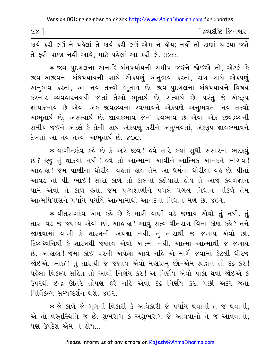| $c\lambda$ |  |  |  |                                                                              |  |  | ∫ દ્રવ્યદષ્ટિ જિનેશ્વર |  |
|------------|--|--|--|------------------------------------------------------------------------------|--|--|------------------------|--|
|            |  |  |  | .કાર્ય કરી લઉં ને પહેલાં તે કાર્ય કરી લઉં-એમ ન હોય: નહીં તો ટાણાં ચાલ્યા જશે |  |  |                        |  |

તે ફરી પાછા નહીં આવે, માટે પહેલાં આ કરી લે. ૩૯૯.

★ જીવ−પુદ્દગલના અનાદિ બંધપર્યાયની સમીપ જઈને જોઈએ તો, એટલે કે જીવ–અજીવના બંધપર્યાયની સાથે એકપણું અનુભવ કરતાં, રાગ સાથે એકપણું અનુભવ કરતાં, આ નવ તત્ત્વો ભૂતાર્થ છે. જીવ–પુદ્દગલના બંધપર્યાયને વિષય કરનાર વ્યવહારનયથી જોતાં તેઓ ભૂતાર્થ છે, સત્યાર્થ છે. પરંતુ જે એકરૂપ જ્ઞાયકભાવ છે એવા એક જીવદ્રવ્યના સ્વભાવને એકપણે અનુભવતાં નવ તત્ત્વો અભૂતાર્થ છે, અસત્યાર્થ છે. જ્ઞાયકભાવ જેનો સ્વભાવ છે એવા એક જીવદ્રવ્યની સમીપ જઈને એટલે કે તેની સાથે એકપણું કરીને અનુભવતાં, એકરૂપ જ્ઞાયકભાવને દેખતાં આ નવ તત્ત્વો અભૂતાર્થ છે. ૪૦૦.

\* યોગીન્દ્રદેવ કહે છે કે અરે જીવ! હવે તારે કયાં સુધી સંસારમાં ભટકવું છે? ઙુજુ તું થાકયો નથી! ઙુવે તો આત્મામાં આવીને આત્મિક આનંદને ભોગવ! આહાહા ! જેમ, પાણીના ધોરીયા વહેતાં હોય તેમ આ ધર્મના ધોરીયા વહે છે. પીતાં આવડે તો પી. ભાઈ ! સારા કાળે તો કાલનો કઠીયારો હોય તે આજે કેવળજ્ઞાન પામે એવો તે કાળ હતો. જેમ પુણ્યશાળીને પગલે પગલે નિધાન નીકળે તેમ આત્મપિપાસુને પર્યાયે પર્યાયે આત્મામાંથી આનંદના નિધાન મળે છે. ૪૦૧.

\* વીતરાગદેવ એમ કહે છે કે મારી વાણી વડે જણાય એવો તું નથી. તું તારા વડે જ જણાય એવો છો. આહાહા! આવું સત્ય વીતરાગ વિના કોણ કહે? તને જાણવામાં વાણી કે શાસ્ત્રની અપેક્ષા નથી. તું તારાથી જ જણાય એવો છો. દિવ્યધ્વનિથી કે શાસ્ત્રથી જણાય એવો આત્મા નથી, આત્મા આત્માથી જ જણાય છે. આલાલ! જેમાં કોઈ પરની અપેક્ષા આવે નહિ એ માર્ગે જવામાં કેટલી ધીરજ જોઈએ. ભાઈ ! તું તારાથી જ જણાય એવો મહાપ્રભુ છો-એમ શ્રદ્ધાને તો દઢ કર ! <u>પહેલાં વિકલ્પ સહિત તો આવો નિર્ણય કર ! એ નિર્ણય એવો પાકો થવો જોઈએ કે </u> ઉપરથી ઇન્દ્ર ઊતરે તોપણ કરે નહિ એવો દઢ નિર્ણય કર. પછી અંદર જતાં નિર્વિકલ્પ સમ્યગ્દર્શન થશે XO2

 $*$  જે કાળે જે ગુણની વિકારી કે અવિકારી જે પર્યાય થવાની તે જ થવાની, એ તો વસ્તુસ્થિતિ જ છે. શુભરાગ કે અશુભરાગ જે આવવાનો તે જ આવવાનો, <u>પણ ઉપદેશ એમ ન હોય…</u>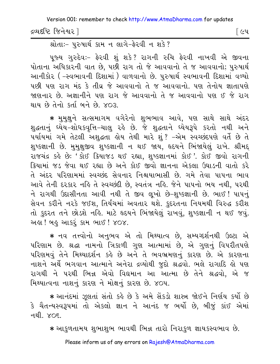દ્રવ્યદષ્ટિ જિનેશ્વર l

શ્રોતાઃ- પરુષાર્થ કામ ન લાગે-ફેરવી ન શકે?

પૂજ્ય ગુરુદેવઃ- ફેરવી શું શકે? રાગની રુચિ ફેરવી નાખવી એ જીવના પોતાના અધિકારની વાત છે. પછી રાગ તો જે આવવાનો તે જ આવવાનો; પુરુષાર્થ આનીકોર ( –સ્વભાવની દિશામાં ) વાળવાનો છે. પુરુષાર્થ સ્વભાવની દિશામાં વળ્યો પછી પણ રાગ મંદ કે તીવ્ર જે આવવાનો તે જ આવવાનો. પણ તેનોય જ્ઞાતાપણે જાણનાર છે. અજ્ઞાનીને પણ રાગ જે આવવાનો તે જ આવવાનો પણ ઈ જે રાગ થાય છે તેનો કર્તા બને છે. ૪૦૩.

\* મુમુક્ષુને સત્સમાગમ વગેરેનો શુભભાવ આવે, પણ સાથે સાથે અંદર શુદ્ધતાનું ધ્યેય-શોધકવૃત્તિ-ચાલુ રહે છે. જે શુદ્ધતાને ધ્યેયરૂપે કરતો નથી અને પર્યાયમાં ગમે તેટલી અશુદ્ધતા હોય તેથી મારે શું ? –એમ સ્વચ્છંદપણે વર્તે છે તે શુષ્કજ્ઞાની છે. મુમુક્ષુજીવ શુષ્કજ્ઞાની ન થઈ જાય, હૃદયને ભિંજાયેલું રાખે. શ્રીમદ્ રાજચંદ્ર કહે છે: 'કોઈ કિયાજડ થઈ રહ્યા, શુષ્કજ્ઞાનમાં કોઈ '. કોઈ જીવો રાગની કિયામાં જડ જેવા થઈ રહ્યા છે અને કોઈ જીવો જ્ઞાનના એકલા ઉઘાડની વાતો કરે તે અંદર પરિણામમાં સ્વચ્છંદ સેવનાર નિશ્ચયાભાસી છે. ગમે તેવા પાપના ભાવ આવે તેની દરકાર નહિ તે સ્વચ્છંદી છે, સ્વતંત્ર નહિ. જેને પાપનો ભય નથી, પરથી ને રાગથી ઉદાસીનતા આવી નથી તે જીવ લૂખો છે-શુષ્કજ્ઞાની છે. ભાઈ ! પાપનું સેવન કરીને નરકે જઈશ. તિર્યચમાં અવતાર થશે. કુદરતના નિયમથી વિરુદ્ધ કરીશ તો કુદરત તને છોડશે નહિ. માટે હૃદયને ભિંજાયેલું રાખવું, શુષ્કજ્ઞાની ન થઈ જવું. અહ્ય! બહુ આકરું કામ ભાઈ! ૪૦૪.

\* નવ તત્ત્વોનો અનુભવ એ તો મિથ્યાત્વ છે, સમ્યગ્દર્શનથી ઉલ્ટા એ પરિણામ છે. શ્રદ્ધા નામનો ત્રિકાળી ગુણ આત્મામાં છે, એ ગુણનું વિપરીતપણે પરિણમવું તેને મિથ્યાદર્શન કહે છે અને તે ભવભ્રમણનું કારણ છે. એ કારણના નાશને અર્થે ભગવાન આત્માને અનેરા દ્રવ્યોથી જુદો શ્રદ્ધવો. ભલે રાગાદિ હો પણ રાગથી ને પરથી ભિન્ન એવો વિદ્યમાન આ આત્મા છે તેને શ્રદ્ધવો, એ જ મિથ્યાત્વના નાશનું કારણ ને મોક્ષનું કારણ છે. ૪૦૫.

\* આનંદમાં ઝૂલતાં સંતો કહે છે કે અમે સેંકડો શાસ્ત્ર જોઈને નિર્ણય કર્યો છે કે ચૈતન્યસ્વરૂપમાં તો એકલો જ્ઞાન ને આનંદ જ ભર્યો છે, બીજું કાંઈ એમાં नथी, *४*०६,

\* આકુળતામય શુભાશુભ ભાવથી ભિન્ન તારો નિરાકુળ જ્ઞાયકસ્વભાવ છે.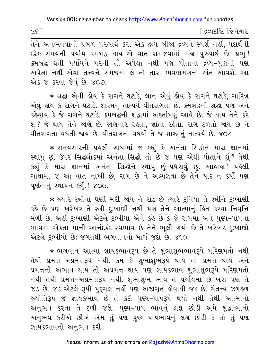$\epsilon$ ह $\epsilon$ ]

[ દ્રવ્યદષ્ટિ જિનેશ્વર

દરેક સમયની પર્યાય ક્રમબદ્ધ થાય-એ વાત સમજવામાં મહા પુરુષાર્થ છે. પ્રભ્! ક્રમબદ્ધ થતી પર્યાયને પરની તો અપેક્ષા નથી પણ પોતાના દ્રવ્ય-ગુણની પણ અપેક્ષા નથી-એવા તત્ત્વને સમજમાં લે તો તારા ભવભ્રમણનો અંત આવશે. આ એક જ કરવા જેવું છે. ૪૦૭.

★ શ્રદ્ધા એવી હોય કે રાગને ઘટાડે, જ્ઞાન એવું હોય કે રાગને ઘટાડે, ચારિત્ર એવું હોય કે રાગને ઘટાડે. શાસ્ત્રનું તાત્પર્ય વીતરાગતા છે. કમબદ્ધની શ્રદ્ધા પણ એને કહેવાય કે જે રાગને ઘટાડે. કમબદ્ધની શ્રદ્ધામાં અકર્તાપણું આવે છે. જે થાય તેને કરે શું ? જે થાય તેને જાણે છે. જાણનાર રહેતાં, જ્ઞાતા રહેતાં, રાગ ટળતો જાય છે ને વીતરાગતા વધતી જાય છે. વીતરાગતા વધવી તે જ શાસ્ત્રનું તાત્પર્ય છે. ૪૦૮.

\* સમયસારની પહેલી ગાથામાં જ કહ્યું કે અનંતા સિદ્ધોને મારા જ્ઞાનમાં સ્થાપું છું. ઉપર સિદ્ધલોકમાં અનંતા સિદ્ધો તો છે જ પણ એથી પોતાને શું ? તેથી કહ્યું કે મારા જ્ઞાનમાં અનંતા સિદ્ધોને સ્થાપું છું-પધરાવું છું. આલાલ! પહેલી ગાથામાં જ આ વાત નાખી છે, રાગ છે ને અલ્પજ્ઞતા છે તેને યાદ ન કર્યો પણ પૂર્ણતાનું સ્થાપન કર્યું. ! ૪૦૯.

\* જ્યારે સ્ત્રીનો ધણી મરી જાય ને રાંડે છે ત્યારે દુનિયા તે સ્ત્રીને દુઃખાણી કહે છે પણ ખરેખર તે સ્ત્રી દુઃખાણી નથી પણ તેને આત્માનું હિત કરવા નિવૃત્તિ મળી છે. અહીં દુઃખાણી એટલે દુઃખીયા એને કહે છે કે જે રાગમાં અને પુણ્ય-પાપના ભાવમાં એકતા માની આનંદકંદ સ્વભાવ છે તેને ભલી ગયો છે તે ખરેખર દઃખાણો એટલે દઃખીયો છે; જગતથી ભગવાનનો માર્ગ જદો છે. ૪૧૦.

\* ભગવાન આત્મા જ્ઞાયકભાવરૂપ છે તે શુભાશુભભાવરૂપે પરિણમતો નથી તેથી પ્રમત્ત-અપ્રમત્તરૂપે નથી. કેમ કે શભાશભરૂપે થાય તો પ્રમત્ત થાય અને પ્રમત્તનો અભાવ થાય તો અપ્રમત્ત થાય પણ જ્ઞાયકભાવ શુભાશુભરૂપે પરિણમતો નથી તેથી પ્રમત્ત-અપ્રમત્તરૂપ નથી. શુભાશુભ ભાવ તે પર્યાયમા<sup>ં</sup> છે ખરા પણ તે જડ છે. જડ એટલે રૂપી પુદ્દગલ નહીં પણ અજાગૃત હોવાથી જડ છે. ચૈતન્ય ઝળહળ જ્યોતિરૂપ જે જ્ઞાયકભાવ છે તે કદી પુણ્ય-પાપરૂપે થયો નથી તેથી આત્માનો અનુભવ કરતા તે ટળી જશે. પુણ્ય-પાપ ભાવનું લક્ષ છોડી અમે શુદ્ધાત્માનો અનુભવ કરીએ છીએ એમ તું પણ પુણ્ય-પાપભાવનું લક્ષ છોડી દે તો તું પણ જ્ઞાયકભાવનો અનભવ કરી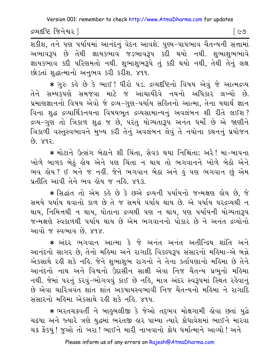દ્રવ્યદષ્ટિ જિનેશ્વર l

[ ૯૭ ]

शडीश, तने पण पर्यायमां આनंदनुं वेदन આવશે. पुण्य-पापलाव यैतन्यनी सत्तामां અભાવરૂપ છે તેથી જ્ઞાયકભાવ જડભાવરૂપ કદી થયો નથી. શભાશભભાવે જ્ઞાયકભાવ કદી પરિણમતો નથી. શુભાશુભરૂપે તું કદી થયો નથી, તેથી તેનું લક્ષ છોડતાં શુદ્ધાત્માનો અનુભવ કરી કરીશ. ૪૧૧.

\* ગુરુ કહે છે કે ભાઈ! ધીરો ૫ડ. દ્રવ્યદષ્ટિનો વિષય એવું જે આત્મદ્રવ્ય તેને સમ્યક્**પણે સમજવા માટે જ આચાર્યદેવે નયનો અધિ**કાર લખ્યો છે. પ્રમાણજ્ઞાનનો વિષય એવો જે દ્રવ્ય-ગુણ-પર્યાય સહિતનો આત્મા, તેના યથાર્થ જ્ઞાન વિના શુદ્ધ દ્રવ્યાર્થિકનયના વિષયભૂત દ્રવ્યસામાન્યનું અવલંબન શી રીતે લઈશ? દ્રવ્ય-ગુણ તો ત્રિકાળ શુદ્ધ જ છે, પરંતુ યોગ્યતારૂપ અનંત ધર્મો છે એ જાણીને ત્રિકાળી વસ્તુસ્વભાવને મુખ્ય કરી તેનું અવલંબન લેવું તે નયોના કથનનું પ્રયોજન  $SPX$   $93$ 

\* મોટાને ઉત્સંગ બેઠાને શી ચિંતા, સેવક થયા નિશ્ચિંતા; અરે! મા-બાપના ખોળે બાળક બેઠું હોય એને પણ ચિંતા ન થાય તો ભગવાનને ખોળે બેઠો એને ભવ લોય ? ઈ બને જ નહીં. જેને ભગવાન બેઠા અને હું પણ ભગવાન છું એમ પ્રતીતિ આવી તેને ભવ લેય જ નહિ. ૪૧૩.

\* સિદ્ધાંત તો એમ કહે છે કે છએ દ્રવ્યની પર્યાયનો જન્મક્ષણ હોય છે, જે સમયે પર્યાય થવાનો કાળ છે તે જ સમયે પર્યાય થાય છે. એ પર્યાય પરદ્રવ્યથી ન થાય, નિમિત્તથી ન થાય, પોતાના દ્રવ્યથી પણ ન થાય, પણ પર્યાયની યોગ્યતારૂપ જન્મક્ષણે સ્વકાળથી પર્યાય થાય છે એમ ભગવાનનો પોકાર છે ને અનંત દ્રવ્યોનો આવો જ સ્વભાવ છે. ૪૧૪

\* અંદર ભગવાન આત્મા કે જે અનંત અનંત અતીન્દ્રિય શાંતિ અને આનંદનો સાગર છે, તેનો મહિમા અને રાગાદિ વિકલ્પરૂપ સંસારનો મહિમા-એ બન્ને એકસાથે રહી શકે નહિ. જેને શુભાશુભ રાગનો ને તેના કર્તાપણાનો મહિમા છે તેને આનંદનો નાથ અને વિશ્વનો ઉદાસીન સાક્ષી એવા નિજ ચૈતન્ય પ્રભુનો મહિમા નથી. જેમાં ૫૨નું કરવું-ભોગવવું કાંઈ છે નહિ, માત્ર અંદર સ્વરૂપમાં સ્થિત રહેવાનું છે એવા ચારિત્રવંત શાંત શાંત અકષાયસ્વભાવી નિજ ચૈતન્યનો મહિમા ને રાગાદિ સંસારનો મહિમા એકસાથે રહી શકે નહિ. ૪૧૫.

\* ભરતચક્રવર્તી ને બાહુબલીજી કે જેઓ તદ્દભવ મોક્ષગામી હોવા છતાં યુદ્ધે ચઢયા અને જ્યારે ત્રણે યુદ્ધમાં ભરતજી હાર પામ્યા ત્યારે ક્રોધાવેશમાં ભાઈને મારવા ચક્ર ફેંકયું ! જુઓ તો ખરા ! ભાઈને મારી નાખવાનો ક્રોધ ધર્માત્માને આવ્યો ! અને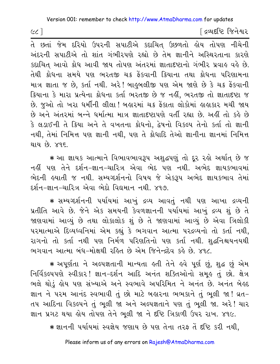∫ દ્રવ્યદષ્ટિ જિનેશ્વર

તે છતાં જેમ દરિયો ઉપરની સપાટીએ કદાચિત ઉછળતો હોય તોપણ નીચેની અંદરની સપાટીએ તો શાંત ગંભીરપણે રહ્યો છે તેમ જ્ઞાનીને અસ્થિરતાના કારણે કદાચિત આવો કોધ આવી જાય તોપણ અંતરમાં જ્ઞાતાદષ્ટાનો ગંભીર પ્રવાહ વહે છે. તેથી ક્રોધના સમયે પણ ભરતજી ચક્ર ફેંકવાની ક્રિયાના તથા ક્રોધના પરિણામના માત્ર જ્ઞાતા જ છે. કર્તા નથી. અરે! બાહુબલીજી પણ એમ જાણે છે કે ચક્ર ફેંકવાની ક્રિયાના કે મારા પ્રત્યેના ક્રોધના કર્તા ભરતજી છે જ નહીં, ભરતજી તો જ્ઞાતાદષ્ટા જ છે. જુઓ તો ખરા ધર્મીની લીલા ! બહારમાં ચક્ર ફેંકાતા લોકોમાં હાહાકાર મચી જાય છે અને અંતરમાં બન્ને ધર્માત્મા માત્ર જ્ઞાતાદષ્ટાપણે વર્તી રહ્યા છે. અહીં તો કહે છે કે લડાઈની તે ક્રિયા અને તે વખતના ક્રોધનો. દ્વેષનો વિકલ્પ તેનો કર્તા તો જ્ઞાની નથી, તેમાં નિમિત્ત પણ જ્ઞાની નથી, પણ તે ક્રોધાદિ તેઓ જ્ઞાનીના જ્ઞાનમાં નિમિત્ત થાય છે. ૪૧૬

\* આ જ્ઞાયક આત્માને વિભાવભાવરૂપ અશુદ્ધપણું તો દૂર રહો અર્થાત છે જ નહીં પણ તેને દર્શન–જ્ઞાન–ચારિત્ર એવા ભેદ પણ નથી. અભેદ જ્ઞાયકભાવમાં ભેદની હયાતી જ નથી. સમ્યગ્દર્શનનો વિષય જે એકરૂપ અભેદ જ્ઞાયકભાવ તેમાં દર્શન−જ્ઞાન−ચારિત્ર એવા ભેદો વિદ્યમાન નથી. ૪૧૭.

∗ સમ્યગ્દર્શનની પર્યાયમાં આખું દ્રવ્ય આવતું નથી પણ આખા દ્રવ્યની પ્રતીતિ આવે છે. જેને એક સમયની કેવળજ્ઞાનની પર્યાયમાં આખું દ્રવ્ય શું છે તે જાણવામાં આવ્યં છે તથા લોકાલોક શં છે તે જાણવામાં આવ્યં છે એવા ત્રિલોકી ૫૨માત્માએ દિવ્યધ્વનિમાં એમ કહ્યું કે ભગવાન આત્મા ૫૨દ્રવ્યનો તો કર્તા નથી, રાગનો તો કર્તા નથી પણ નિર્મળ પરિણતિનો પણ કર્તા નથી. શુદ્ધનિશ્ચયનયથી ભગવાન આત્મા બંધ-મોક્ષથી રહિત છે એમ જિનેન્દ્રદેવ કહે છે. ૪૧૮.

\* અપૂર્ણતા ને અલ્પજ્ઞતાની માન્યતા હતી તેને હવે પૂર્ણ છું, શુદ્ધ છું એમ નિર્વિકલ્પપણે સ્વીકાર! જ્ઞાન-દર્શન આદિ અનંત શક્તિઓનો સમુક તું છો. ક્ષેત્ર ભલે થોડું હોય પણ સંખ્યાએ અને સ્વભાવે અપરિમિત ને અનંત છે. અનંત બેહ્રદ જ્ઞાન ને પરમ આનંદ સ્વભાવી તું છો માટે બહારના ભભકાને તું ભૂલી જા! વ્રત-તપ આદિના વિકલ્પને તું ભુલી જા અને અલ્પજ્ઞતાને પણ તું ભુલી જા. અરે! ચાર જ્ઞાન પ્રગટ થયા હોય તોપણ તેને ભૂલી જા ને દૃષ્ટિ ત્રિકાળી ઉપર રાખ. ૪૧૯.

\* જ્ઞાનની પર્યાયમાં સ્વજ્ઞેય જણાય છે પણ તેના તરફ તેં દષ્ટિ કરી નથી,

 $(c c)$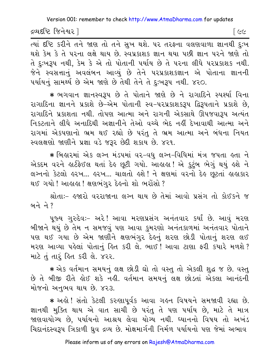દ્રવ્યદષ્ટિ જિનેશ્વર l

િડા

त्यां दृष्टि sरीने तने श्रष्टा तो तने सुખ थशे. पर तरहना वलशवाणा ज्ञानथी दृ:ખ થશે કેમ કે તે પરના લક્ષે થાય છે. સ્વપ્રકાશક જ્ઞાન થયા પછી જ્ઞાન પરને જાણે તો તે દુઃખરૂપ નથી, કેમ કે એ તો પોતાની પર્યાય છે તે પરના લીધે પરપ્રકાશક નથી. જેને સ્વસત્તાનું અવલંબન આવ્યું છે તેને પરપ્રકાશકજ્ઞાન એ પોતાના જ્ઞાનની પર્યાયનું સામર્થ્ય છે એમ જાણે છે તેથી તેને તે દુઃખરૂપ નથી. ૪૨૦.

\* ભગવાન જ્ઞાનસ્વરૂપ છે તે પોતાને જાણે છે ને રાગાદિને સ્પર્થ્યા વિના રાગાદિના જ્ઞાનને પ્રકાશે છે-એમ પોતાની સ્વ-પરપ્રકાશકરૂપ દ્વિરૂપતાને પ્રકાશે છે, રાગાદિને પ્રકાશતા નથી. તોપણ આત્મા અને રાગની એકસાથે ઊપજવારૂપ અત્યંત નિકટતાને લીધે અનાદિથી અજ્ઞાનીને તેઓ વચ્ચે ભેદ નહીં દેખાવાથી આત્મા અને રાગમાં એકપણાનો ભ્રમ થઈ રહ્યો છે પરંતુ તે ભ્રમ આત્મા અને બંધના નિયત સ્વલક્ષણો જાણીને પ્રજ્ઞા વડે જરૂર છેદી શકાય છે. ૪૨૧.

\* બિહારમાં એક લગ્ન મંડપમાં વર-વધુ લગ્ન-વિધિમાં મંત્ર જપતા હતા ને એકદમ વરને હાર્ટફેઈલ થતાં દેહ છૂટી ગયો. આહાહા! એ કુટુંબ ભેગું થયું હશે ને લગ્નનો કેટલો હરખ... હરખ... ચાલતો હશે ! ને ક્ષણમાં વરનો દેહ છૂટતાં હાહાકાર થઈ ગયો ! આહાહા ! ક્ષણભંગર દેહનો શો ભરોંસો ?

શ્રોતાઃ- હુજારો વરરાજાના લગ્ન થાય છે તેમાં આવો પ્રસંગ તો કોઈકને જ <u>બને</u> ને ?

પૂજ્ય ગુરુદેવઃ- અરે! આવા મરણપ્રસંગ અનંતવાર કર્યાં છે. આવું મરણ બીજાને થયું છે તેમ ન સમજવું પણ આવા કુમરણો અનંતકાળમાં અનંતવાર પોતાને પણ થઈ ગયા છે એમ જાણીને ક્ષણભંગુર દેહનું શરણ છોડી પોતાનું શરણ લઈ મરણ આવ્યા પહેલાં પોતાનું હિત કરી લે. ભાઈ ! આવા ટાણા ફરી કયારે મળશે ? માટે તું તારૂં હિત કરી લે. ૪૨૨.

\* એક વર્તમાન સમયનું લક્ષ છોડી ઘો તો વસ્તુ તો એકલી શુદ્ધ જ છે. વસ્તુ છે તે બીજી રીતે હોઈ શકે નહી. વર્તમાન સમયનું લક્ષ છોડતાં એકલા આનંદની મોજનો અનભવ થાય છે. ૪૨૩.

\* અલે! સંતો કેટલી કરુણાપૂર્વક આવા ગહન વિષયને સમજાવી રહ્યા છે. જ્ઞાનથી મુક્તિ થાય એ વાત સાચી છે પરંતુ તે પણ પર્યાય છે, માટે તે માત્ર જાણવાયોગ્ય છે. ૫ર્યાયનો આશ્રય લેવા યોગ્ય નથી. ધ્યાનનો વિષય તો અખંડ ચિદાનંદસ્વરૂપ ત્રિકાળી ઘ્રુવ દ્રવ્ય છે. મોક્ષમાર્ગની નિર્મળ પર્યાયનો પણ જેમાં અભાવ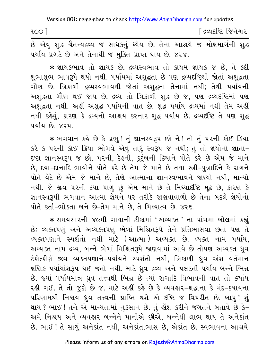| 100                                                                             | િદ્રવ્યદષ્ટિ જિનેશ <mark>્</mark> વર |
|---------------------------------------------------------------------------------|--------------------------------------|
| છે એવું શુદ્ધ ચૈતન્યદ્રવ્ય જ સાધકનું ઘ્યેય છે. તેના આશ્રયે જ મોક્ષમાર્ગની શુદ્ધ |                                      |
| પર્યાય પ્રગટે છે અને તેનાથી જ મુક્તિ પ્રાપ્ત થાય છે. ૪૨૪.                       |                                      |

\* જ્ઞાયકભાવ તો જ્ઞાયક છે. દ્રવ્યસ્વભાવ તો કાયમ જ્ઞાયક જ છે, તે કદી શુભાશુભ ભાવરૂપે થયો નથી. પર્યાયમાં અશુદ્ધતા છે પણ દ્રવ્યદષ્ટિથી જોતાં અશુદ્ધતા ગૌણ છે. ત્રિકાળી દ્રવ્યસ્વભાવથી જોતાં અશુદ્ધતા તેનામાં નથી; તેથી પર્યાયની અશુદ્ધતા ગૌણ થઈ જાય છે. દ્રવ્ય તો ત્રિકાળી શુદ્ધ છે જ, પણ દ્રવ્યદષ્ટિમાં પણ અશુદ્ધતા નથી. અહીં અશુદ્ધ પર્યાયની વાત છે. શુદ્ધ પર્યાય દ્રવ્યમાં નથી તેમ અહીં નથી કહેવું, કારણ કે દ્રવ્યનો આશ્રય કરનાર શદ્ધ પર્યાય છે. દ્રવ્યદૃષ્ટિ તે પણ શદ્ધ ૫ર્યાય છે. ૪૨૫.

\* ભગવાન કહે છે કે પ્રભુ! તું જ્ઞાનસ્વરૂપ છો ને! તો તું પરની કોઈ ક્યાિ કરે કે પરની કોઈ ક્રિયા ભોગવે એવું તારું સ્વરૂપ જ નથી; તું તો જ્ઞેયોનો જ્ઞાતા-દષ્ટા જ્ઞાનસ્વરૂપ જ છો. પરની, દેહની, કુટુંબની કિયાને પોતે કરે છે એમ જે માને છે. દયા-દાનાદિ ભાવોને પોતે કરે છે તેમ જે માને છે તથા સ્ત્રી-પત્રાદિને કે રાગને પોતે વેદે છે એમ જે માને છે, તેણે આત્માના જ્ઞાનસ્વભાવને જાણ્યો નથી, માન્યો નથી. જે જીવ પરની દયા પાળુ છું એમ માને છે તે મિથ્યાદષ્ટિ મૂઢ છે, કારણ કે જ્ઞાનસ્વરૂપી ભગવાન આત્મા જ્ઞેયને ૫૨ તરીકે જાણવાવાળો છે તેના બદલે જ્ઞેયોનો પોતે કર્તા-ભોક્તા બને છે-તેમ માને છે, તે મિથ્યાત્વ છે. ૪૨૬.

\* સમયસારની ૪૯મી ગાથાની ટીકામાં 'અવ્યક્ત ' ના પાંચમા બોલમાં કહ્યું છે: વ્યક્તપણું અને અવ્યક્તપણું ભેળાં મિશ્રિતરૂપે તેને પ્રતિભાસવા છતાં પણ તે વ્યક્તપણાને સ્પર્શતો નથી માટે (આત્મા) અવ્યક્ત છે. વ્યક્ત નામ પર્યાય, અવ્યક્ત નામ દ્રવ્ય, બન્ને ભેળાં મિશ્રિતરૂપે જાણવામાં આવે છે તોપણ અવ્યક્ત ધ્રવ ટંકોત્કીર્ણ જીવ વ્યક્તપણાને–પર્યાયને સ્પર્શતો નથી, ત્રિકાળી ઘ્રુવ અંશ વર્તમાન ક્ષણિક પર્યાયાંશરૂપ થઈ જતો નથી. માટે ઘ્રવ દ્રવ્ય અને પલટતી પર્યાય બન્ને ભિન્ન છે. જ્યાં પર્યાયમાત્ર ધ્રુવ તત્ત્વથી ભિન્ન છે ત્યાં રાગાદિ વિભાવની વાત તો ક્યાંય રહી ગઈ. તે તો જુદો છે જ. માટે અહીં કહે છે કે વ્યવહાર-શ્રદ્ધાના કે મંદ-કપાયના પરિણામથી નિશ્ચય ઘ્રવ તત્ત્વની પ્રાપ્તિ થશે એ દૃષ્ટિ જ વિપરીત છે. બાપ! શં થાય ? ભાઈ ! તને એ માન્યતામાં નુકસાન છે. તું હોંશ કરીને જગતને બતાવે છે કે-અમે નિશ્ચય અને વ્યવહાર બન્નેને માનીએ છીએ. બન્નેથી લાભ થાય તે અનેકાંત છે. ભાઈ ! તે સાચું અનેકાંત નથી, અનેકાંતાભાસ છે, એકાંત છે. સ્વભાવના આશ્રયે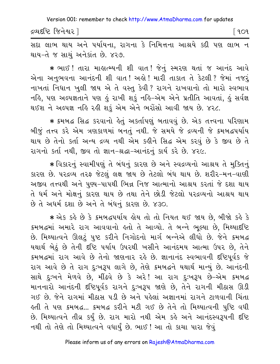દ્રવ્યદષ્ટિ જિનેશ્વર l

િ ૧૦૧

સદા લાભ થાય અને પર્યાયના, રાગના કે નિમિત્તના આશ્રયે કદી પણ લાભ ન થાય-તે જ સાચું અનેકાંત છે. ૪૨૭.

\* ભાઈ ! તારા માહાત્મ્યની શી વાત ! જેનું સ્મરણ થતાં જ આનંદ આવે એના અનુભવના આનંદની શી વાત! અહો! મારી તાકાત તે કેટલી? જેમાં નજરું નાખતાં નિધાન ખુલી જાય એ તે વસ્તુ કેવી? રાગને રાખવાનો તો મારો સ્વભાવ નહિ, પણ અલ્પજ્ઞતાને પણ હું રાખી શકું નહિ-એમ એને પ્રતીતિ આવતાં, હું સર્વજ્ઞ થઈશ ને અલ્પજ્ઞ નહિ રહી શકું એમ એને ભરોંસો આવી જાય છે. ૪૨૮.

\* ક્રમબદ્ધ સિદ્ધ કરવાનો હેતું અકર્તાપણું બતાવવું છે. એક તત્ત્વના પરિણામ બીજું તત્ત્વ કરે એમ ત્રણકાળમાં બનતું નથી. જે સમયે જે દ્રવ્યની જે ક્રમબદ્ધપર્યાય થાય છે તેનો કર્તા અન્ય દ્રવ્ય નથી એમ કહીને સિદ્ધ એમ કરવું છે કે જીવ છે તે રાગનો કર્તા નથી, જીવ તો જ્ઞાન-શ્રદ્ધા-આનંદનું કાર્ય કરે છે. ૪૨૯.

∗ વિકારનું સ્વામીપણું તે બંધનું કારણ છે અને સ્વદ્રવ્યનો આશ્રય તે મુક્તિનું કારણ છે. ૫૨૬વ્ય તરફ જેટલું લક્ષ જાય છે તેટલો બંધ થાય છે. શરીર-મન-વાણી અજીવ તત્ત્વથી અને પુણ્ય-પાપથી ભિન્ન નિજ આત્માનો આશ્રય કરતાં જે દશા થાય તે ધર્મ અને મોક્ષનું કારણ થાય છે તથા તેને છોડી જેટલો પરદ્રવ્યનો આશ્રય થાય છે તે અધર્મ દશા છે અને તે બંધનું કારણ છે. ૪૩૦.

★ એક કર્લ્ડ છે કે ક્રમબદ્ધપર્યાય હોય તો તો નિયત થઈ જાય છે, બીજો કહે કે ક્રમબદ્ધમાં અમારે રાગ આવવાનો હતો તે આવ્યો. તે બન્ને ભુલ્યા છે, મિથ્યાદષ્ટિ છે. મિથ્યાત્વને ઊલટું પુષ્ટ કરીને નિગોદનો માર્ગ બન્નેએ લીધો છે. જેને ક્રમબદ્ધ યથાર્થ બેઠું છે તેની દૃષ્ટિ પર્યાય ઉપરથી ખસીને આનંદમય આત્મા ઉપર છે, તેને કમબદ્ધમાં રાગ આવે છે તેનો જાણનાર રહે છે. જ્ઞાનાનંદ સ્વભાવની દષ્ટિપૂર્વક જે રાગ આવે છે તે રાગ દુઃખરૂપ લાગે છે, તેણે ક્રમબદ્ધને યથાર્થ માન્યું છે. આનંદની સાથે દુઃખને મેળવે છે, મીંઢવે છે કે અરે! આ રાગ દુઃખરૂપ છે–એમ ક્રમબદ્ધ માનનારો આનંદની દષ્ટિપૂર્વક રાગને દુઃખરૂપ જાણે છે, તેને રાગની મીઠાસ ઊડી ગઈ છે. જેને રાગમાં મીઠાસ પડી છે અને પહેલાં અજ્ઞાનમાં રાગને ટાળવાની ચિંતા ફતી તે પણ ક્રમબદ્ધ... ક્રમબદ્ધ કરીને મટી ગઈ છે તેને તો મિથ્યાત્વની પુષ્ટિ વધી છે. મિથ્યાત્વને તીવ્ર કર્યું છે. રાગ મારો નથી એમ કહે અને આનંદસ્વરૂપની દષ્ટિ નથી તો તેણે તો મિથ્યાત્વને વધાર્યું છે. ભાઈ ! આ તો કાચા પારા જેવું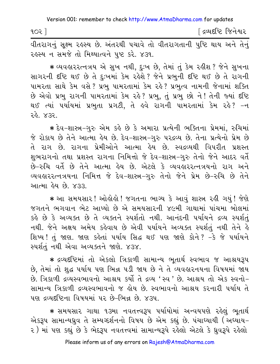| 902 |  | [ દ્રવ્યદષ્ટિ જિનેશ્વર |  |
|-----|--|------------------------|--|
|     |  |                        |  |

વીતરાગનું સૂક્ષ્મ રહસ્ય છે. અંતરથી પચાવે તો વીતરાગતાની પુષ્ટિ થાય અને તેનું રહસ્ય ન સમજે તો મિથ્યાત્વને ૫ષ્ટ કરે. ૪૩૧.

 $*$  વ્યવહારરત્નત્રય એ સુખ નથી, દુઃખ છે, તેમાં તું કેમ રહીશ ? જેને સુખના સાગરની દષ્ટિ થઈ છે તે દુ:ખમાં કેમ રહેશે ? જેને પ્રભુની દૃષ્ટિ થઈ છે તે રાગની પામરતા સાથે કેમ વસે ? પ્રભુ પામરતામાં કેમ રહે ? પ્રભુત્વ નામની જેનામાં શક્તિ છે એવો પ્રભુ રાગની પામરતામાં કેમ રહે? પ્રભુ, તું પ્રભુ છો ને! તેની જ્યાં દષ્ટિ થઈ ત્યાં પર્યાયમાં પ્રભુતા પ્રગટી, તે હવે રાગની પામરતામાં કેમ રહે? –ન rhe. 432.

\* દેવ-શાસ્ત્ર-ગુરુ એમ કહે છે કે અમારા પ્રત્યેની ભક્તિના પ્રેમમાં, રુચિમાં જે રોકાય છે તેને આત્મા હેય છે. દેવ-શાસ્ત્ર-ગુરુ પરદ્રવ્ય છે. તેના પ્રત્યેનો પ્રેમ છે તે રાગ છે. રાગના પ્રેમીઓને આત્મા હેય છે. સ્વદ્રવ્યથી વિપરીત પ્રશસ્ત શુભરાગનો તથા પ્રશસ્ત રાગના નિમિત્તો જે દેવ-શાસ્ત્ર-ગુરુ તેનો જેને આદર વર્તે છે-રુચિ વર્તે છે તેને આત્મા હેય છે. એટલે કે વ્યવહારરત્નત્રયનો રાગ અને વ્યવહારરત્નત્રયના નિમિત્ત જે દેવ-શાસ્ત્ર−ગુરુ તેનો જેને પ્રેમ છે−રુચિ છે તેને આત્મા હેય છે. ૪૩૩.

 $\ast$  આ સમયસાર! ઓલ્રોલો ! જગતના ભાગ્ય કે આવું શાસ્ત્ર રહી ગયું! જેણે જગતને ભગવાન ભેટ આપ્યો છે એ સમયસારની ૪૯મી ગાથામાં પાંચમા બોલમાં કહે છે કે અવ્યક્ત છે તે વ્યક્તને સ્પર્શતો નથી. આનંદની પર્યાયને દ્રવ્ય સ્પર્શતં નથી. જેને અક્ષય અમેય કહેવાય છે એવી પર્યાયને અવ્યક્ત સ્પર્શતું નથી તેને હે શિષ્ય! તું જાણ. જાણ કહેતાં પર્યાય સિદ્ધ થઈ પણ જાણે કોને? −કે જે પર્યાયને સ્પર્શતં નથી એવા અવ્યક્તને જાણે. ૪૩૪.

 $\ast$  દ્રવ્યદષ્ટિમાં તો એકલો ત્રિકાળી સામાન્ય ભુતાર્થ સ્વભાવ જ આશ્રયરૂપ છે, તેમાં તો શુદ્ધ પર્યાય પણ ભિન્ન પડી જાય છે ને તે વ્યવહારનયના વિષયમાં જાય છે. ત્રિકાળી દ્રવ્યસ્વભાવનો આશ્રય કર્યો તે દ્રવ્ય 'સ્વ ' છે. આશ્રય તો એક સ્વનો-સામાન્ય ત્રિકાળી દ્રવ્યસ્વભાવનો જ હોય છે. સ્વભાવનો આશ્રય કરનારી પર્યાય તે પણ દ્રવ્યદષ્ટિના વિષયમાં ૫૨ છે-ભિન્ન છે. ૪૩૫.

 $\,$  \* સમયસાર ગાથા ૧૩મા નવતત્ત્વરૂપ પર્યાયોમાં અન્વયપણે રહેલું ભૂતાર્થ એકરૂપ સામાન્યઘ્રુવ તે સમ્યગ્દર્શનનો વિષય છે એમ કહ્યું છે. પંચાઘ્યાયી (અઘ્યાય– ૨) માં પણ કહ્યું છે કે ભેદરૂપ નવતત્ત્વમાં સામાન્યરૂપે રહેલો એટલે કે ધ્રુવરૂપે રહેલો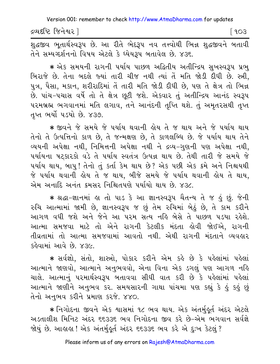દ્રવ્યદષ્ટિ જિનેશ્વર l  $[903]$ 

શુદ્ધજીવ ભૂતાર્થસ્વરૂપ છે. આ રીતે ભેદરૂપ નવ તત્ત્વોથી ભિન્ન શુદ્ધજીવને બતાવી તેને સમ્યગ્દર્શનનો વિષય એટલે કે ઘ્યેયરૂપ બતાવેલ છે. ૪૩૬.

★ એક સમયની રાગની પર્યાય પાછળ અદ્વિતીય અતીન્દ્રિય સુખસ્વરૂપ પ્રભુ બિરાજે છે. તેના બદલે જ્યાં તારી ચીજ નથી ત્યાં તેં મતિ જોડી દીધી છે. સ્ત્રી, પુત્ર, પૈસા, મકાન, શરીરાદિમાં તેં તારી મતિ જોડી દીધી છે, પણ તે ક્ષેત્ર તો ભિન્ન છે. પાંચ-પચાસ વર્ષે તો તે ક્ષેત્ર છુટી જશે. એકવાર તું અતીન્દ્રિય આનંદ સ્વરૂપ પરમબ્રહ્મ ભગવાનમાં મતિ લગાવ, તને આનંદની તૃપ્તિ થશે. તું અમૃતરસથી તૃપ્ત તૃપ્ત ભર્યો ૫ડયો છે. ૪૩૭.

\* જીવને જે સમયે જે પર્યાય થવાની હોય તે જ થાય અને જે પર્યાય થાય તેનો તે ઉત્પત્તિનો કાળ છે, તે જન્મક્ષણ છે, તે કાળલબ્ધિ છે. જે પર્યાય થાય તેને વ્યયની અપેક્ષા નથી, નિમિત્તની અપેક્ષા નથી ને દ્રવ્ય-ગુણની પણ અપેક્ષા નથી, પર્યાયના ષટ્કારકો વડે તે પર્યાય સ્વતંત્ર ઉત્પન્ન થાય છે. તેથી તારી જે સમયે જે પર્યાય થાય, બાપુ! તેનો તું કર્તા કેમ થાય છે? એક પછી એક ક્રમે અને નિશ્ચયથી જે પર્યાય થવાની હોય તે જ થાય, બીજે સમયે જે પર્યાય થવાની હોય તે થાય, એમ અનાદિ અનંત ક્રમસર નિશ્ચિતપણે પર્યાયો થાય છે. ૪૩૮

\* श्रद्धा-ज्ञानमां ड़ा तो पाउ डे આ ज्ञानस्वरूप यैतन्य ते ४ डुं छुं. જेनी રુચિ આત્મામાં જામી છે, જ્ઞાનસ્વરૂપ જ છું તેમ રુચિમાં બેઠું છે, તે કામ કરીને આગળ વધી જશે અને જેને આ પરમ સત્ય નહિ બેસે તે પાછળ પડયા રહેશે. આત્મા સમજવા માટે તો એને રાગની કેટલીક મંદતા હોવી જોઈએ, રાગની તીવ્રતામાં તો આત્મા સમજવામાં આવતો નથી. એથી રાગની મંદતાને વ્યવહાર કહેવામાં આવે છે. ૪૩૯.

\* સર્વજ્ઞો, સંતો, શાસ્ત્રો, પોકાર કરીને એમ કહે છે કે પહેલાંમાં પહેલાં આત્માને જાણવો, આત્માને અનુભવવો, એના વિના એક ડગલું પણ આગળ નહિ ચાલે. આત્માનું પરમાર્થસ્વરૂપ બતાવવા સીધી વાત કરી છે કે પહેલાંમાં પહેલાં આત્માને જાણીને અનુભવ કર. સમયસારની ગાથા પાંચમા પણ કહ્યું કે હું કહું છું તેનો અનભવ કરીને પ્રમાણ કરજે. ૪૪૦.

∗ નિગોદના જીવને એક શાસમાં ૧૮ ભવ થાય. એક અંતર્મુઙ્ર્ત અંદર એટલે અડતાલીશ મિનિટ અંદર ૬૬૩૩૬ ભવ નિગોદના જીવ કરે છે-એમ ભગવાન સર્વજ્ઞે જોયું છે. આહાહા ! એક અંતર્મુહૂર્ત અંદર ૬૬૩૩૬ ભવ કરે એ દુઃખ કેટલું ?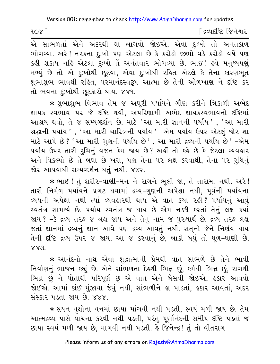$100$ 

∫ દ્રવ્યદષ્ટિ જિનેશ્વર

.<br>એ સાંભળતાં એને અંદરથી ઘા લાગવો જોઈએ. એવા દુઃખો તો અનંતકાળ ભોગવ્યા. અરે! નરકના દઃખો પણ એટલા છે કે કરોડો જીભો વડે કરોડો વર્ષે પણ કઢી શકાય નહિ એટલા દુઃખો તે અનંતવાર ભોગવ્યા છે. ભાઈ ! હવે મનુષ્યપણું મળ્યું છે તો એ દુઃખોથી છુટવા, એવા દુઃખોથી રહિત એટલે કે તેના કારણભુત શુભાશુભ ભાવથી રહિત, પરમાનંદસ્વરૂપ આત્મા છે તેની ઓળખાણ ને દષ્ટિ કર તો ભવના દઃખોથી છુટકારો થાય. ૪૪૧.

∗ શભાશભ વિભાવ તેમ જ અધરી પર્યાયને ગૌણ કરીને ત્રિકાળી અભેદ જ્ઞાયક સ્વભાવ ૫૨ જે દૃષ્ટિ થવી, અપરિણામી અભેદ જ્ઞાયકસ્વભાવનો દૃષ્ટિમાં આશ્રય થવો, તે જ સમ્યગ્દર્શન છે. માટે 'આ મારી જ્ઞાનની પર્યાય', 'આ મારી શ્રદ્ધાની પર્યાય ', 'આ મારી ચારિત્રની પર્યાય ' –એમ પર્યાય ઉપર એટલું જોર શા માટે આપે છે? 'આ મારી ગુણની પર્યાય છે', આ મારી દ્રવ્યની પર્યાય છે' –એમ પર્યાય ઉપર તારી રુચિનું વજન કેમ જાય છે? અહીં તો કહે છે કે જેટલા વ્યવહાર અને વિકલ્પો છે તે બધા છે ખરા, પણ તેના પર લક્ષ કરવાથી, તેના પર રુચિનું જોર આપવાથી સમ્યગ્દર્શન થતં નથી. ૪૪૨.

\* ભાઈ ! તું શરીર-વાણી-મન ને રાગને ભૂલી જા, તે તારામાં નથી. અરે ! તારી નિર્મળ પર્યાયને પ્રગટ થવામાં દ્રવ્ય–ગુણની અપેક્ષા નથી, પૂર્વની પર્યાયના વ્યયની અપેક્ષા નથી ત્યાં વ્યવહારથી થાય એ વાત કયાં રહી ? ૫ર્યાયનું આવું સ્વતંત્ર સામર્થ્ય છે. ૫ર્યાય સ્વતંત્ર જ થાય છે એમ નક્કી કરતાં તેનું લક્ષ કર્યા જાય ? -કે દ્રવ્ય તરફ જ લક્ષ જાય અને તેનું નામ જ પુરુષાર્થ છે. દ્રવ્ય તરફ લક્ષ જતાં જ્ઞાનમાં દ્રવ્યનું જ્ઞાન આવે પણ દ્રવ્ય આવતું નથી. સત્નો જેને નિર્ણય થાય તેની દષ્ટિ દ્રવ્ય ઉપર જ જાય. આ જ કરવાનું છે, બાકી બધું તો ધૂળ-ધાણી છે.  $883.$ 

\* આનંદનો નાથ એવા શુદ્ધાત્માની પ્રેમથી વાત સાંભળે છે તેને ભાવી નિર્વાણનું ભાજન કહ્યું છે. એને સાંભળતા દેલ્થી ભિન્ન છું, કર્મથી ભિન્ન છું, રાગથી ભિન્ન છું ને પોતાથી પરિપૂર્ણ છું એ વાત એને બેસવી જોઈએ, હકાર આવવો જોઈએ. આમાં કાંઈ મુંઝાવા જેવું નથી, સાંભળીને જ્ઞા પાડતાં, જ્ર્કાર આવતાં, અંદર મંસ્કાર પડતા જાય છે. ४४४.

\* સઘન વૃક્ષોના વનમાં છાયા માંગવી નથી પડતી, સ્વયં મળી જાય છે. તેમ આત્મદ્રવ્ય પાસે યાચના કરવી નથી ૫ડતી, પરંતુ પૂર્ણાનંદની સમીપ દષ્ટિ ૫ડતાં જ છાયા સ્વયં મળી જાય છે, માગવી નથી પડતી. કે જિનેન્દ્ર! તું તો વીતરાગ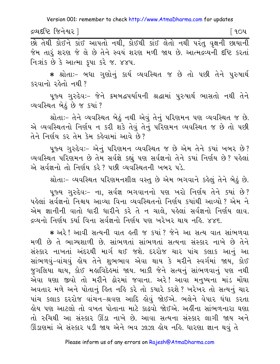દ્રવ્યદષ્ટિ જિનેશ્વર l

િ ૧૦૫

<u>છો તેથી કોઈને કાંઈ આપતો નથી, કોઈથી કાંઈ લેતો નથી પરંતુ વૃક્ષની છાયાની</u> જેમ તારૂં શરણ જે લે છે તેને સ્વયં શરણ મળી જાય છે. આત્મદ્રવ્યની દષ્ટિ કરતાં નિ:શંક છે કે આત્મા કપા કરે જ. ૪૪૫.

\* શ્રોતાઃ- બધા ગુણોનું કાર્ય વ્યવસ્થિત જ છે તો પછી તેને પુરુષાર્થ કરવાનો રહેતો નથી?

પૂજ્ય ગુરુદેવઃ- જેને ક્રમબદ્ધપર્યાયની શ્રદ્ધામાં પુરુષાર્થ ભાસતો નથી તેને વ્યવસ્થિત બેઠું છે જ કયાં ?

શ્રોતાઃ- તેને વ્યવસ્થિત બેઠું નથી એવું તેનું પરિણમન પણ વ્યવસ્થિત જ છે. એ વ્યવસ્થિતનો નિર્ણય ન કરી શકે તેવું તેનું પરિણમન વ્યવસ્થિત જ છે તો પછી તેને નિર્ણય કર તેમ કેમ કહેવામાં આવે છે?

પુજ્ય ગુરુદેવઃ- એનું પરિણમન વ્યવસ્થિત જ છે એમ તેને કયાં ખબર છે? વ્યવસ્થિત પરિણમન છે તેમ સર્વજ્ઞે કહ્યું પણ સર્વજ્ઞનો તેને કયાં નિર્ણય છે? પહેલાં એ સર્વજ્ઞનો તો નિર્ણય કરે? પછી વ્યવસ્થિતની ખબર પડે.

શ્રોતાઃ- વ્યવસ્થિત પરિણમનશીલ વસ્તુ છે એમ ભગવાને કહેલું તેને બેઠું છે.

પૂજ્ય ગુરુદેવઃ- ના, સર્વજ્ઞ ભગવાનનો પણ ખરો નિર્ણય તેને ક્યાં છે? પહેલાં સર્વજ્ઞનો નિશ્ચય આવ્યા વિના વ્યવસ્થિતનો નિર્ણય કયાંથી આવ્યો? એમ ને એમ જ્ઞાનીની વાતો ધારી ધારીને કરે તે ન ચાલે, પહેલાં સર્વજ્ઞનો નિર્ણય લાવ. <u>દ્દવ્યનો નિર્ણય કર્યા વિના સર્વજ્ઞનો નિર્ણય પણ ખરેખર થાય નહિ. ૪૪૬.</u>

\* અરે! આવી સત્યની વાત હતી જ કયાં? જેને આ સત્ય વાત સાંભળવા મળી છે તે ભાગ્યશાળી છે. સાંભળતાં સાંભળતાં સત્યના સંસ્કાર નાખે છે તેને સંસ્કાર નાખતાં અંદરથી માર્ગ થઈ જશે. દરરોજ ચાર પાંચ કલાક આનું આ સાંભળવં-વાંચવં ક્રોય તેને શભભાવ એવા થાય કે મરીને સ્વર્ગમાં જાય, કોઈ જુગલિયા થાય, કોઈ મહાવિદેહમાં જાય. બાકી જેને સત્યનું સાંભળવાનું પણ નથી એવા ઘણા જીવો તો મરીને ઢોરમાં જવાના. અરે! આવા મનુષ્યના માંડ મોંઘા અવતાર મળે અને પોતાનું હિત નહિ કરે તો કયારે કરશે ? ખરેખર તો સત્યનું ચાર પાંચ કલાક દરરોજ વાંચન-શ્રવણ આદિ હોવું જોઈએ. ભલેને વેપાર ધંધા કરતા લોય પણ આટલો તો વખત પોતાના માટે કાઢવો જોઈએ. અહીંના સાંભળનારા ઘણા તો રુચિથી આ સંસ્કાર ઊંડા નાખે છે. આવા સત્યના સંસ્કાર લાગી જાય અને ઊંડાણમાં એ સંસ્કાર પડી જાય એને ભવ ઝાઝા હોય નહિ. ધારણા જ્ઞાન થવું તે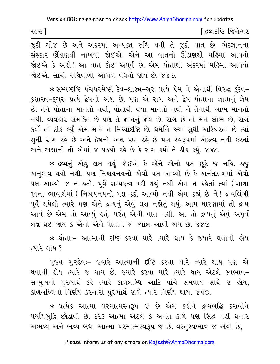$10<sup>5</sup>$ 

∫ દ્રવ્યદષ્ટિ જિનેશ્વર

જુદી ચીજ છે અને અંદરમાં અવ્યક્ત રુચિ થવી તે જુદી વાત છે. ભેદજ્ઞાનના સંસ્કાર ઊંડાણથી નાખવા જોઈએ. એને આ વાતનો ઊંડાણથી મહિમા આવવો જોઈએ કે અલો ! આ વાત કોઈ અપૂર્વ છે. એમ પોતાથી અંદરમાં મલ્રિમા આવવો જોઈએ. સાચી રુચિવાળો આગળ વધતો જાય છે. ૪૪૭.

\* સમ્યગ્દષ્ટિ પંચપરમેષ્ઠી દેવ-શાસ્ત્ર-ગુરુ પ્રત્યે પ્રેમ ને એનાથી વિરુદ્ધ કુદેવ-કુશાસ્ત્ર-કુગુરુ પ્રત્યે દ્વેષનો અંશ છે, પણ એ રાગ અને દ્વેષ પોતાના જ્ઞાતાનું જ્ઞેય છે. તેને પોતાના માનતો નથી, પોતાથી થયા માનતો નથી ને તેનાથી લાભ માનતો નથી. વ્યવહાર-સમકિત છે પણ તે જ્ઞાનનું જ્ઞેય છે. રાગ છે તો મને લાભ છે, રાગ કર્યો તો ઠીક કર્યું એમ માને તે મિથ્યાદ્દષ્ટિ છે. ધર્મીને જ્યાં સુધી અસ્થિરતા છે ત્યાં સુધી રાગ રહે છે અને દ્વેષનો અંશ પણ રહે છે પણ સ્વરૂપમાં એકત્વ નથી કરતાં અને અજ્ઞાની તો એમાં જ ૫ડયો રહે છે કે રાગ કર્યો તે ઠીક કર્યું. ૪૪૮.

\* દ્રવ્યનું એવું લક્ષ થવું જોઈએ કે એને એનો પક્ષ છુટે જ નહિ. હજ અનુભવ થયો નથી. પણ નિશ્ચયનયનો એવો પક્ષ આવ્યો છે કે અનંતકાળમાં એવો પક્ષ આવ્યો જ ન હતો. પૂર્વે સમ્યકૃત્વ કદી થયું નથી એમ ન કહેતાં ત્યાં (ગાથા ૧૧ના ભાવાર્થમાં ) નિશ્ચયનયનો ૫ક્ષ કદી આવ્યો નથી એમ કહ્યું છે ને ! દ્રવ્યલિંગી પૂર્વે થયેલો ત્યારે પણ એને દ્રવ્યનું એવું લક્ષ નહોતું થયું. આમ ધારણામાં તો દ્રવ્ય આવું છે એમ તો આવ્યું હતું. પરંતુ એની વાત નથી. આ તો દ્રવ્યનું એવું અપૂર્વ લક્ષ થઈ જાય કે એનો એને પોતાને જ ખ્યાલ આવી જાય છે. ૪૪૯.

\* શ્રોતાઃ- આત્માની દૃષ્ટિ કરવા ધારે ત્યારે થાય કે જ્યારે થવાની હોય ત્યારે થાય ?

પુજ્ય ગુરુદેવઃ- જ્યારે આત્માની દષ્ટિ કરવા ધારે ત્યારે થાય પણ એ થવાની હોય ત્યારે જ થાય છે. જ્યારે કરવા ધારે ત્યારે થાય એટલે સ્વભાવ-સન્મુખનો પુરુષાર્થ કરે ત્યારે કાળલબ્ધિ આદિ પાંચે સમવાય સાથે જ હોય, કાળલબ્ધિનો નિર્ણય કરનારો પુરુષાર્થ જાગે ત્યારે નિર્ણય થાય. ૪૫૦.

\* પ્રત્યેક આત્મા પરમાત્મસ્વરૂપ જ છે એમ કહીને દ્રવ્યબુદ્ધિ કરાવીને પર્યાયબુદ્ધિ છોડાવી છે. દરેક આત્મા એટલે કે અનંત કાળે પણ સિદ્ધ નહીં થનાર અભવ્ય અને ભવ્ય બધા આત્મા પરમાત્મસ્વરૂપ જ છે. વસ્તુસ્વભાવ જ એવો છે,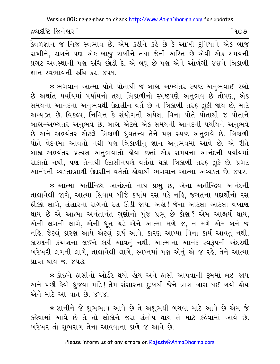દ્રવ્યદષ્ટિ જિનેશ્વર l

[ ૧૦૭

.<br>કેવળજ્ઞાન જ નિજ સ્વભાવ છે. એમ કહીને કહે છે કે આખી દુનિયાને એક બાજુ રાખીને, રાગને પણ એક બાજ રાખીને તથા જેની અસ્તિ છે એવી એક સમયની પ્રગટ અવસ્થાની પણ રુચિ છોડી દે, એ બધું છે પણ એને ઓળંગી જઈને ત્રિકાળી જ્ઞાન સ્વભાવની રુચિ કર, ૪૫૧.

\* ભગવાન આત્મા પોતે પોતાથી જ બાહ્ય-અભ્યંતર સ્પષ્ટ અનુભવાઈ રહ્યો છે અર્થાત પર્યાયમાં પર્યાયનો તથા ત્રિકાળીનો સ્પષ્ટપણે અનુભવ છે તોપણ, એક સમયના આનંદના અનુભવથી ઉદાસીન વર્તે છે ને ત્રિકાળી તરફ ઝૂકી જાય છે, માટે અવ્યક્ત છે. વિકલ્પ, નિમિત્ત કે સંયોગની અપેક્ષા વિના પોતે પોતાથી જ પોતાને બાહ્ય-અભ્યંતર અનુભવે છે. બાહ્ય એટલે એક સમયની આનંદની પર્યાયને અનુભવે છે અને અભ્યંતર એટલે ત્રિકાળી ધ્રુવતત્ત્વ તેને પણ સ્પષ્ટ અનુભવે છે. ત્રિકાળી પોતે વેદનમાં આવતો નથી પણ ત્રિકાળીનું જ્ઞાન અનુભવમાં આવે છે. એ રીતે બાહ્ય-અભ્યંતર પ્રત્યક્ષ અનુભવાતો હોવા છતાં એક સમયના આનંદની પર્યાયમાં રોકાતો નથી. પણ તેનાથી ઉદાસીનપણે વર્તતો થકો ત્રિકાળી તરફ ઝૂકે છે. પ્રગટ આનંદની વ્યક્તદશાથી ઉદાસીન વર્તતો હોવાથી ભગવાન આત્મા અવ્યક્ત છે. ૪૫૨.

\* આત્મા અતીન્દ્રિય આનંદનો નાથ પ્રભુ છે, એના અતીન્દ્રિય આનંદની તાલાવેલી જાગે, આત્મા સિવાય બીજે કયાંય રસ ૫ડે નહિ, જગતના પદાર્થોનો રસ ફીક્કો લાગે, સંસારના રાગનો રસ ઊડી જાય. અહો! જેના આટલા આટલા વખાણ થાય છે એ આત્મા અનંતાનંત ગુણોનો પુંજ પ્રભુ છે કોણ? એમ આશ્ચર્ય થાય, એની લગની લાગે, એની ધૂન ચડે એને આત્મા મળે જ, ન મળે એમ બને જ નહિ. જેટલું કારણ આપે એટલું કાર્ય આવે. કારણ આપ્યા વિના કાર્ય આવતું નથી. કારણની કચાશના લઈને કાર્ય આવતું નથી. આત્માના આનંદ સ્વરૂપની અંદરથી ખરેખરી લગની લાગે, તાલાવેલી લાગે, સ્વપ્નમાં પણ એનું એ જ રહે, તેને આત્મા પ્રાપ્ત થાય જ. ૪૫૩.

★ કોઈને ફાંસીનો ઓર્ડર થયો હોય અને ફાંસી આપવાની રૂમમાં લઈ જાય અને પછી કેવો ઘ્રજવા માંડે! તેમ સંસારના દુઃખથી જેને ત્રાસ ત્રાસ થઈ ગયો હોય એને માટે આ વાત છે. ૪૫૪.

\* જ્ઞાનીને જે શુભભાવ આવે છે તે અશભથી બચવા માટે આવે છે એમ જે કહેવામાં આવે છે તે તો લોકોને જરા સંતોષ થાય તે માટે કહેવામાં આવે છે. ખરેખર તો શુભરાગ તેના આવવાના કાળે જ આવે છે.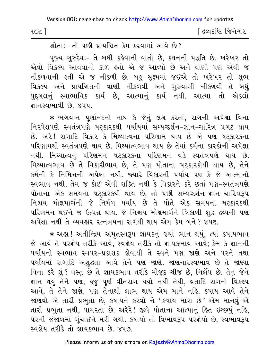| 90 <sup>2</sup> | [ દ્રવ્યદષ્ટિ જિનેશ્વર |
|-----------------|------------------------|
|-----------------|------------------------|

શ્રોતા:- તો પછી પ્રાયશ્ચિત કેમ કરવામાં આવે છે?

પૂજ્ય ગુરુદેવઃ- તે બધી કહેવાની વાતો છે, કથનની પદ્ધતિ છે. ખરેખર તો એવો વિકલ્પ આવવાનો કાળ હતો એ જ આવ્યો છે અને વાણી પણ એવી જ નીકળવાની હતી એ જ નીકળી છે. બહુ સૂક્ષ્મમાં જઈએ તો ખરેખર તો શુભ વિકલ્પ અને પ્રાયશ્ચિતની વાણી નીકળવી અને ગુરુવાણી નીકળવી તે બધું <u>પુ</u>દ્દગલનું સ્વાભાવિક કાર્ય છે, આત્માનું કાર્ય નથી. આત્મા તો એકલો જ્ઞાનસ્વભાવી છે. ૪૫૫.

\* ભગવાન પૂર્ણાનંદનો નાથ કે જેનું લક્ષ કરતાં, રાગની અપેક્ષા વિના નિરપેક્ષપણે સ્વતંત્રપણે ષટકારકથી પર્યાયમાં સમ્યગ્દર્શન-જ્ઞાન-ચારિત્ર પ્રગટ થાય છે. અરે! રાગાદિ વિકાર કે મિથ્યાત્વના પરિણામ થાય છે એ પણ પટ્કારકના પરિણામથી સ્વતંત્રપણે થાય છે. મિથ્યાત્વભાવ થાય છે તેમાં કર્મના કારકોની અપેક્ષા નથી. મિથ્યાત્વનું પરિણમન ષટ્કારકના પરિણમન વડે સ્વતંત્રપણે થાય છે. મિથ્યાત્વભાવ છે તે વિકારીભાવ છે, તે પણ પોતાના ષટકારકોથી થાય છે, તેને કર્મની કે નિમિત્તની અપેક્ષા નથી. જ્યારે વિકારની પર્યાય પણ-કે જે આત્માનો સ્વભાવ નથી, તેમ જ કોઈ એવી શક્તિ નથી કે વિકારને કરે છતાં પણ-સ્વતંત્રપણે પોતાના એક સમયના ષટ્કારકથી થાય છે, તો પછી સમ્યગ્દર્શન-જ્ઞાન-ચારિત્રરૂપ નિશ્ચય મોક્ષમાર્ગની જે નિર્મળ પર્યાય છે તે પોતે એક સમયના ષટકારકથી પરિણમન થઈને જ ઉત્પન્ન થાય. જે નિશ્ચય મોક્ષમાર્ગને ત્રિકાળી શુદ્ધ દ્રવ્યની પણ અપેક્ષા નથી તે વ્યવહાર રત્નત્રયના રાગથી થાય એમ કેમ બને ? ૪૫૬.

\* અહા ! અતીન્દ્રિય અમૃતસ્વરૂપ જ્ઞાયકનું જ્યાં ભાન થયું, ત્યાં કષાયભાવ જે આવે તે પરજ્ઞેય તરીકે આવે, સ્વજ્ઞેય તરીકે તો જ્ઞાયકભાવ આવે; કેમ કે જ્ઞાનની પર્યાયનો સ્વભાવ સ્વપર-પ્રકાશક હોવાથી તે સ્વને પણ જાણે અને પરને તથા પર્યાયમાં રાગાદિ અશુદ્ધતા આવે તેને પણ જાણે. જાણનારસ્વભાવ છે તે જાણ્યા વિના કરે શું ? વસ્તુ છે તે જ્ઞાયકભાવ તરીકે મોજૂદ ચીજ છે, નિર્લેપ છે. તેનું જેને જ્ઞાન થયું તેને પણ, હજુ પૂર્ણ વીતરાગ થયો નથી તેથી, વ્રતાદિ રાગનો વિકલ્પ આવે, તે તેને જાણે, પણ તેનાથી લાભ થાય એમ માને નહિ. કપાય આવે તેને જાણવો એ તારી પ્રભુતા છે, કપાયને કરવો ને 'કપાય મારા છે' એમ માનવું-એ તારી પ્રભુતા નથી, પામરતા છે. અરેરે! જીવે પોતાના આત્માનું હિત ઇચ્છયું નહિ, ૫૨ની જંજાળમાં ગૂંચાઈને મરી ગયો. કષાયો તો વિભાવરૂપ ૫૨જ્ઞેયો છે, સ્વભાવરૂપ સ્વર્જ્ઞય તરીકે તો જ્ઞાયકભાવ છે. ૪૫૭.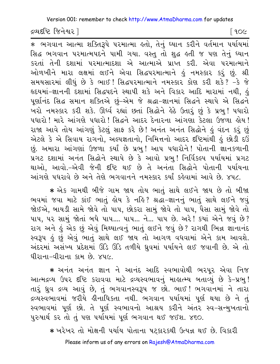Version 001: remember to check http://www.AtmaDharma.com for updates

દ્રવ્યદષ્ટિ જિનેશ્વર l

| ૧૦૯

સિદ્ધ ભગવાન પરમાત્મપદને પામી ગયા. વસ્તુ તો શુદ્ધ હતી જ પણ તેનું ધ્યાન કરતાં તેની દશામાં પરમાત્માદશા એ આત્માએ પ્રાપ્ત કરી. એવા પરમાત્માને ઓળખીને મારા લક્ષમાં લઈને એવા સિદ્ધપરમાત્માને હું નમસ્કાર કરૂં છું. શ્રી સમયસારમાં લીધું છે કે ભાઈ! સિદ્ધપરમાત્માને નમસ્કાર કોણ કરી શકે? -કે જે હૃદયમાં−જ્ઞાનની દશામાં સિદ્ધપદને સ્થાપી શકે અને વિકાર આદિ મારામાં નથી, હું પુર્ણાનંદ સિદ્ધ સમાન શક્તિએ છું-એમ જે શ્રદ્ધા-જ્ઞાનમાં સિદ્ધને સ્થાપે એ સિદ્ધને ખરો નમસ્કાર કરી શકે. ઊર્ધ્વ રહ્યાં છતાં સિદ્ધોને હેઠે ઉતારું છું કે પ્રભુ! પધારો પધારો ! મારે આંગણે પધારો ! સિદ્ધને આદર દેનારના આંગણા કેટલા ઉજળા લોય ! રાજા આવે તોય આંગણું કેટલું સાફ કરે છે! અનંત અનંત સિદ્ધોને કું વંદન કરું છું એટલે કે એ સિવાય રાગનો, અલ્પજ્ઞતાનો, નિમિત્તનો આદર દષ્ટિમાંથી હું છોડી દઉં છું. અમારા આંગણાં ઉજળા કર્યાં છે પ્રભુ! આપ પધારોને! પોતાની જ્ઞાનકળાની પ્રગટ દશામાં અનંત સિદ્ધોને સ્થાપે છે કે આવો પ્રભુ! નિર્વિકલ્પ પર્યાયમાં પ્રગટ થાઓ, આવો.-એવી જેની દષ્ટિ થઈ છે તે અનંતા સિદ્ધોને પોતાની પર્યાયના આંગણે પધરાવે છે અને તેણે ભગવાનને નમસ્કાર કર્યાં કહેવામાં આવે છે. ૪૫૮.

\* એક ગામથી બીજે ગામ જાય તોય ભાતું સાથે લઈને જાય છે તો બીજા ભવમાં જવા માટે કાંઈ ભાતું હોય કે નહિ? શ્રદ્ધા-જ્ઞાનનું ભાતું સાથે લઈને જવું જોઈએ, બાયડી સામે જોવે તો પાપ, છોકરા સામું જોવે તો પાપ, પૈસા સામું જોવે તો પાપ, પર સામું જોતાં બધે પાપ.... પાપ... ને... પાપ છે. અરે! કયાં એને જવું છે? રાગ અને હું એક છું એવું મિથ્યાત્વનું ભાતું લઈને જવું છે? રાગથી ભિન્ન જ્ઞાનાનંદ સ્વરૂપ હું છું એવું ભાતું સાથે લઈ જાય તો આગળ વધવામાં એને કામ આવશે. અંદરમાં અસંખ્ય પ્રદેશમાં ઊંડે ઊંડે તળીયે ઘ્રુવમાં પર્યાયને લઈ જવાની છે. એ તો ધીરાના-વીરાના કામ છે. ૪૫૯.

\* અનંત અનંત જ્ઞાન ને આનંદ આદિ સ્વભાવોથી ભરપૂર એવા નિજ આત્મદ્રવ્ય ઉપર દષ્ટિ કરાવવા માટે દ્રવ્યસ્વભાવનું માહાત્મ્ય બતાવ્યું છે કે-પ્રભુ! તારું ધ્રુવ દ્રવ્ય આવું છે, તું ભગવાનસ્વરૂપ જ છો. ભાઈ! ભગવાનમાં ને તારા દ્રવ્યસ્વભાવમાં જરીયે હીનાધિકતા નથી. ભગવાન પર્યાયમાં પૂર્ણ થયા છે ને તું સ્વભાવમાં પૂર્ણ છો. તે પૂર્ણ સ્વભાવનો આશ્રય કરીને અંતર સ્વ-સન્મુખતાનો પુરુષાર્થ કર તો તું પણ પર્યાયમાં પૂર્ણ ભગવાન થઈ જઈશ. ૪૬૦.

\* ખરેખર તો મોક્ષની પર્યાય પોતાના ષટકારકથી ઉત્પન્ન થઈ છે. વિકારી Please inform us of any errors on Rajesh@AtmaDharma.com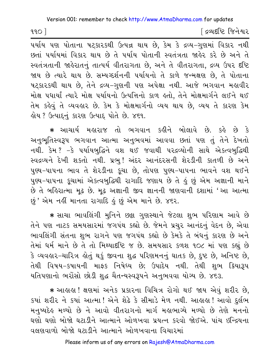$990$ 

∫ દ્રવ્યદષ્ટિ જિનેશ્વર

પર્યાય પણ પોતાના ષટ્કારકથી ઉત્પન્ન થાય છે, કેમ કે દ્રવ્ય-ગુણમાં વિકાર નથી છતાં પર્યાયમાં વિકાર થાય છે તે પર્યાય પોતાની સ્વતંત્રતા જાહેર કરે છે અને તે સ્વતંત્રતાની જાહેરાતનું તાત્પર્ય વીતરાગતા છે. અને તે વીતરાગતા, દ્રવ્ય ઉપર દષ્ટિ જાય છે ત્યારે થાય છે. સમ્યગ્દર્શનની પર્યાયનો તે કાળે જન્મક્ષણ છે, તે પોતાના ષટકારકથી થાય છે. તેને દ્રવ્ય-ગુણની પણ અપેક્ષા નથી. આજે ભગવાન મહાવીર મોક્ષ પધાર્યાં ત્યારે મોક્ષ પર્યાયનો ઉત્પત્તિનો કાળ હતો, તેને મોક્ષમાર્ગને લઈને થઈ તેમ કહેવું તે વ્યવહાર છે. કેમ કે મોક્ષમાર્ગનો વ્યય થાય છે, વ્યય તે કારણ કેમ ड़ोय? ઉત્પાદનું કારણ ઉત્પાદ પોતે છે. ૪૬૧.

\* આચાર્ય મહારાજ તો ભગવાન કહીને બોલાવે છે. કહે છે કે અનુભૂતિસ્વરૂપ ભગવાન આત્મા અનુભવમાં આવવા છતાં પણ તું તેને દેખતો નથી. કેમ ? –કે પર્યાયબુદ્ધિને વશ થઈ જવાથી પરદ્રવ્યોની સાથે એક્ત્વબુદ્ધિથી સ્વદ્રવ્યને દેખી શકતો નથી. પ્રભુ! અંદર આનંદરસની શેરડીની કાતળી છે અને પુણ્ય-પાપના ભાવ તે શેરડીના કૂચા છે, તોપણ પુણ્ય-પાપના ભાવને વશ થઈને પુણ્ય-પાપના કૂચામાં એકત્વબુદ્ધિથી રાગાદિ જણાય છે તે હું છું એમ અજ્ઞાની માને છે તે બહિરાત્મા મૂઢ છે. મૂઢ અજ્ઞાની જીવ જ્ઞાનની જાણવાની દશામાં 'આ આત્મા છું ' એમ નહીં માનતા રાગાદિ હું છું એમ માને છે. ૪૬૨.

\* સાચા ભાવલિંગી મુનિને છક્રા ગુણસ્થાને જેટલા શુભ પરિણામ આવે છે તેને પણ નાટક સમયસારમાં જગપંથ કહ્યો છે. જેમને પ્રચુર આનંદનું વેદન છે, એવા ભાવલિંગી સંતના શુભ રાગને પણ જગપંથ કહ્યો છે કેમકે તે બંધનું કારણ છે અને તેમાં ધર્મ માને છે તે તો મિથ્યાદ્દષ્ટિ જ છે. સમયસાર કળશ ૧૦૮ માં પણ કહ્યું છે કે વ્યવહાર-ચારિત્ર હોતું થકું જીવના શુદ્ધ પરિણમનનું ઘાતક છે, દુષ્ટ છે, અનિષ્ટ છે, તેથી વિષય–કષાયની માફક નિષેધ્ય છે; ઉપાદેય નથી. તેથી શભ ક્રિયારૂપ યતિપણાનો ભરોંસો છોડી શુદ્ધ ચૈતન્યસ્વરૂપને અનુભવવા યોગ્ય છે. ૪૬૩.

\* આહાહા ! ક્ષણમાં અનેક પ્રકારના વિચિત્ર રોગો થઈ જાય એવું શરીર છે. કયાં શરીર ને કયાં આત્મા! એને શેઢે કે સીમાડે મેળ નથી. આહાહા! આવો દુર્લભ મનુષ્યદેહ મળ્યો છે ને આવો વીતરાગનો માર્ગ મહાભાગ્યે મળ્યો છે તેણે મનનો ઘણો ઘણો બોજો ઘટાડીને આત્માને ઓળખવા પ્રયત્ન કરવો જોઈએ. પાંચ ઇન્દ્રિયના વલણવાળો બોજો ઘટાડીને આત્માને ઓળખવાના વિચારમાં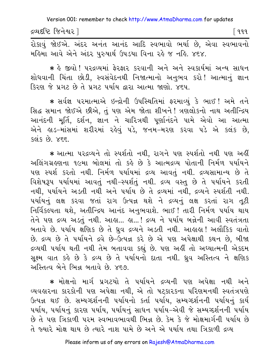દ્રવ્યદષ્ટિ જિનેશ્વર l

મહિમા આવે એને અંદર ૫રુષાર્થ ઉપડયા વિના રહે જ નહિ. ૪૬૪.

∗ કે જીવો ! પરદ્રવ્યમાં ફેરફાર કરવાની અને અને સ્વકાર્યમાં અન્ય સાધન શોધવાની ચિંતા છોડી, સ્વસંવેદનથી નિજાત્માનો અનુભવ કરો! આત્માનું જ્ઞાન કિરણ જે પ્રગટ છે તે પ્રગટ પર્યાય દ્વારા આત્મા જાણો. ૪૬૫.

\* સર્વજ્ઞ પરમાત્માએ ઇન્દ્રોની ઉપસ્થિતિમાં ફરમાવ્યું કે ભાઈ! અમે તને સિદ્ધ સમાન જોઈએ છીએ, તું પણ એમ જોતા શીખને ! ત્રણલોકનો નાથ અતીન્દ્રિય આનંદની મૂર્તિ, દર્શન, જ્ઞાન ને ચારિત્રથી પૂર્ણાનંદને પામે એવો આ આત્મા એને હાડ-માંસમાં શરીરમાં રહેવું પડે, જનમ-મરણ કરવા પડે એ કલંક છે,  $sels$   $s$  $s$ ,  $s$  $s$  $s$ 

\* આત્મા પરદ્રવ્યને તો સ્પર્શતો નથી, રાગને પણ સ્પર્શતો નથી પણ અહીં અલિંગગ્રહણના ૧૯મા બોલમાં તો કહે છે કે આત્મદ્રવ્ય પોતાની નિર્મળ પર્યાયને પણ સ્પર્શ કરતો નથી. નિર્મળ પર્યાયમાં દ્રવ્ય આવતું નથી. દ્રવ્યસામાન્ય છે તે વિશેષરૂપ પર્યાયમાં આવતું નથી-સ્પર્શતું નથી. દ્રવ્ય વસ્તુ છે તે પર્યાયને કરતી નથી, પર્યાયને અડતી નથી અને પર્યાય છે તે દ્રવ્યમાં નથી, દ્રવ્યને સ્પર્શતી નથી. પર્યાયનું લક્ષ કરવા જતાં રાગ ઉત્પન્ન થશે ને દ્રવ્યનું લક્ષ કરતાં રાગ તૂટી નિર્વિકલ્પતા થશે, અતીન્દ્રિય આનંદ અનુભવાશે. ભાઈ! તારી નિર્મળ પર્યાય થાય તેને પણ દ્રવ્ય અડતું નથી. આહ્યુ… હ્યુ…! દ્રવ્ય ને પર્યાય બન્નેની આવી સ્વતંત્રતા બતાવે છે. ૫ર્યાય ક્ષણિક છે તે ધ્રુવ દ્રવ્યને અડતી નથી. આહાહા ! અલૌકિક વાતો છે. દ્રવ્ય છે તે પર્યાયને દ્રવે છે-ઉત્પન્ન કરે છે એ પણ અપેક્ષાથી કથન છે, બીજા દ્રવ્યથી ૫ર્યાય થતી નથી તેમ બતાવવા કહ્યું છે. ૫ણ અહીં તો અધ્યાત્મની એકદમ સૂક્ષ્મ વાત કહે છે કે દ્રવ્ય છે તે પર્યાયનો દાતા નથી. ધ્રુવ અસ્તિત્વ ને ક્ષણિક અસ્તિત્વ બેને ભિન્ન બતાવે છે. ૪૬૭.

\* મોક્ષનો માર્ગ પ્રગટયો તે પર્યાયને દ્રવ્યની પણ અપેક્ષા નથી અને વ્યવહારના કારકોની પણ અપેક્ષા નથી, એ તો ષટકારકના પરિણમનથી સ્વતંત્રપણે ઉત્પન્ન થઈ છે. સમ્યગ્દર્શનની પર્યાયનો કર્તા પર્યાય, સમ્યગ્દર્શનની પર્યાયનું કાર્ય પર્યાય, પર્યાયનું કારણ પર્યાય, પર્યાયનું સાધન પર્યાય–એવી જે સમ્યગ્દર્શનની પર્યાય છે તે પણ ત્રિકાળી પરમ સ્વભાવભાવથી ભિન્ન છે. કેમ કે જે મોક્ષમાર્ગની પર્યાય છે તે જ્યારે મોક્ષ થાય છે ત્યારે નાશ પામે છે અને એ પર્યાય તથા ત્રિકાળી દ્રવ્ય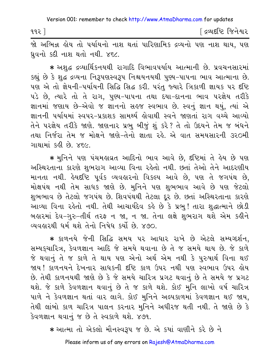| ૧૧૨ $\,$ | ∫ દ્રવ્યદષ્ટિ જિનેશ્વર |
|----------|------------------------|
|----------|------------------------|

જો અભિન્ન હોય તો પર્યાયનો નાશ થતાં પારિણામિક દ્રવ્યનો પણ નાશ થાય, પણ ધ્રવનો કદી નાશ થતો નથી. ૪૬૮.

\* અશદ્ધ દ્રવ્યાર્થિકનયથી રાગાદિ વિભાવપર્યાય આત્માની છે. પ્રવચનસારમાં કહ્યું છે કે શુદ્ધ દ્રવ્યના નિરૂપણસ્વરૂપ નિશ્ચયનયથી પુણ્ય-પાપના ભાવ આત્માના છે. પણ એ તો જ્ઞેયની-પર્યાયની સિદ્ધિ સિદ્ધ કરી. પરંતુ જ્યારે ત્રિકાળી જ્ઞાયક પર દષ્ટિ પડે છે, ત્યારે તો તે રાગ, પુણ્ય-પાપના તથા દયા-દાનના ભાવ પરજ્ઞેય તરીકે જ્ઞાનમાં જણાય છે-એવો જ જ્ઞાનનો સહજ સ્વભાવ છે. સ્વનું જ્ઞાન થયું, ત્યાં એ જ્ઞાનની પર્યાયમાં સ્વપર-પ્રકાશક સામર્થ્ય લોવાથી સ્વને જાણતાં રાગ વચ્ચે આવ્યો તેને પરજ્ઞેય તરીકે જાણે. જાણનાર પ્રભુ બીજું શું કરે? તે તો ઉદયને તેમ જ બંધને તથા નિર્જરા તેમ જ મોક્ષને જાણે-તેનો જ્ઞાતા રહે. એ વાત સમયસારની ૩૨૦મી ગાથામાં કહી છે. ૪૬૯.

\* મુનિને પણ પંચમહાવ્રત આદિનો ભાવ આવે છે, દષ્ટિમાં તે હેય છે પણ અસ્થિરતાના કારણે શુભરાગ આવ્યા વિના રહેતો નથી. છતાં તેઓ તેને આદરણીય માનતા નથી. હેયદૃષ્ટિ પૂર્વક વ્યવહારનો વિકલ્પ આવે છે, પણ તે જગપંથ છે, મોક્ષપંથ નથી તેમ સાધક જાણે છે. મુનિને પણ શુભભાવ આવે છે પણ જેટલો શુભભાવ છે તેટલો જગપંથ છે. શિવપંથથી તેટલા દૂર છે. છતાં અસ્થિરતાના કારણે આવ્યા વિના રહેતો નથી. તેથી આચાર્યદેવ કહે છે કે પ્રભુ! તારા શુદ્ધાત્માને છોડી બહારમાં દેવ-ગુરુ-તીર્થ તરફ ન જા, ન જા. તેના લક્ષે શુભરાગ થશે એમ કહીને  $ca$ darel धर्म थशे तेनो निषेध हर्यो  $\dot{p}$  x90

\* કાળનયે જેની સિદ્ધિ સમય ૫૨ આધાર રાખે છે એટલે સમ્યગ્દર્શન, સમ્યક્ચારિત્ર, કેવળજ્ઞાન આદિ જે સમયે થવાના છે તે જ સમયે થાય છે. જે કાળે જે થવાનું તે જ કાળે તે થાય પણ એનો અર્થ એમ નથી કે પુરુષાર્થ વિના થઈ જાય ! કાળનયને દેખનાર સાધકની દૃષ્ટિ કાળ ઉપર નથી પણ સ્વભાવ ઉપર હોય છે. તેથી કાળનયથી જાણે છે કે જે સમયે ચારિત્ર પ્રગટ થવાનું છે તે સમયે જ પ્રગટ થશે. જે કાળે કેવળજ્ઞાન થવાનું છે તે જ કાળે થશે. કોઈ મુનિ લાખો વર્ષ ચારિત્ર પાળે ને કેવળજ્ઞાન થતાં વાર લાગે. કોઈ મુનિને અલ્પકાળમાં કેવળજ્ઞાન થઈ જાય, તેથી લાંબો કાળ ચારિત્ર પાલન કરનાર મુનિને અધીરજ થતી નથી. તે જાણે છે કે કેવળજ્ઞાન થવાનું જ છે તે સ્વકાળે થશે. ૪૭૧.

\* આત્મા તો એકલો મૌનસ્વરૂપ જ છે. એ કયાં વાણીને કરે છે ને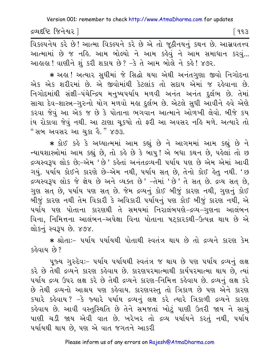દ્રવ્યદષ્ટિ જિનેશ્વર l

િ ૧૧૩

विडल्पनेय डरे છે! આત્મા વિકલ્પને કરે છે એ તો જૂઠીનયનું કથન છે. આસ્રવતત્ત્વ આત્મામાં છે જ નહિ. આમ બોલ્યો ને આમ કહેવું ને આમ સમાધાન કરવું... આહાહા ! વાણીને શું કરી શકાય છે ? -કે તે આમ બોલે ને કહે ! ૪૭૨.

★ અઙ્રા ! અત્યાર સુધીમાં જે સિદ્ધો થયા એથી અનંતગુણા જીવો નિગોદના એક એક શરીરમાં છે. એ જીવોમાંથી કેટલાંક તો સદાય એમાં જ રહેવાના છે. નિગોદમાંથી સંજ્ઞી-પંચેન્દ્રિય મનુષ્યપર્યાય મળવી અનંત અનંત દુર્લભ છે. તેમાં સાચા દેવ-શાસ્ત્ર-ગુરુનો યોગ મળવો મહા દુર્લભ છે. એટલે સુધી આવીને હવે એણે કરવા જેવું આ એક જ છે કે પોતાના ભગવાન આત્માને ઓળખી લેવો. બીજે કય ાંય રોકાવા જેવું નથી. આ ટાણા ચુકયો તો ફરી આ અવસર નહિ મળે. અત્યારે તો " સબ અવસર આ ચુકા હૈ." ૪૭૩.

\* કોઈ કહે કે અઘ્યાત્મમાં આમ કહ્યું છે ને આગમમાં આમ કહ્યું છે ને ન્યાયશાસ્ત્રોમાં આમ કહ્યું છે, તો કહે છે કે બાપુ! એ બધા કથન છે, પહેલાં તો છ દ્રવ્યસ્વરૂપ લોક છે;-એમ ' છે ' કર્લ્ડેતાં અનંતદ્રવ્યની પર્યાય પણ છે એમ એમાં આવી ગયું. ૫ર્યાય કોઈને કારણે છે-એમ નથી, ૫ર્યાય સત્ છે, તેનો કોઈ હેતુ નથી. 'છ દ્રવ્યસ્વરૂપ લોક જે જ્ઞેય છે અને વ્યક્ત છે' -તેમાં 'છે' તે સત છે. દ્રવ્ય સત છે, ગુણ સત્ છે, પર્યાય પણ સત્ છે. જેમ દ્રવ્યનું કોઈ બીજું કારણ નથી, ગુણનું કોઈ બીજું કારણ નથી તેમ વિકારી કે અવિકારી પર્યાયનું પણ કોઈ બીજું કારણ નથી, એ પર્યાય પણ પોતાના કારણથી તે સમયમાં નિરાલંબપણે-દ્રવ્ય-ગુણના આલંબન વિના, નિમિત્તના આલંબન-અપેક્ષા વિના પોતાના ષટકારકથી-ઉત્પન્ન થાય છે એ લોકનું સ્વરૂપ છે. ૪૭૪.

\* શ્રોતાઃ- ૫ર્યાય ૫ર્યાયથી પોતાથી સ્વતંત્ર થાય છે તો દ્રવ્યને કારણ કેમ કહેવાય છે?

પુજ્ય ગુરુદેવઃ- ૫ર્યાય ૫ર્યાયથી સ્વતંત્ર જ થાય છે ૫ણ ૫ર્યાય દ્રવ્યનું લક્ષ કરે છે તેથી દ્રવ્યને કારણ કહેવાય છે. કારણપરમાત્માથી કાર્યપરમાત્મા થાય છે, ત્યાં પર્યાય દ્રવ્ય ઉપર લક્ષ કરે છે તેથી દ્રવ્યને કારણ-નિમિત્ત કહેવાય છે. દ્રવ્યનું લક્ષ કરે છે તેથી દ્રવ્યનો આશ્રય પણ કહેવાય. કારણવસ્તુ તો ત્રિકાળ છે પણ એને કારણ કયારે કહેવાય? -કે જ્યારે ૫ર્યાય દ્રવ્યનું લક્ષ કરે ત્યારે ત્રિકાળી દ્રવ્યને કારણ કહેવાય છે. આવી વસ્તુસ્થિતિ છે તેને સમજતાં ખોટું પાણી ઉતરી જાય ને સાચું પાણી ચડી જાય એવી વાત છે. ખરેખર તો દ્રવ્ય પર્યાયને કરતું નથી, પર્યાય પર્યાયથી થાય છે, પણ એ વાત જગતને આકરી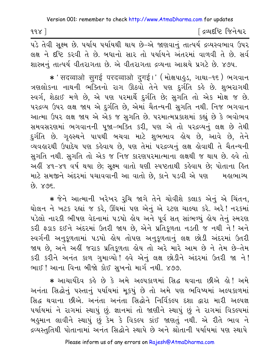| 998                  |  |                                    |  | ∫ દ્રવ્યદષ્ટિ જિનેશ્વર |
|----------------------|--|------------------------------------|--|------------------------|
| $\sim$ $\sim$ $\sim$ |  | $\sim$ $\sim$ $\sim$ $\sim$ $\sim$ |  |                        |

પડે તેવી સૂક્ષ્મ છે. પર્યાય પર્યાયથી થાય છે-એ જાણવાનું તાત્પર્ય દ્રવ્યસ્વભાવ ઉપર લક્ષ ને દૃષ્ટિ કરવી તે છે. બધાનો સાર તો પર્યાયને અંતરમાં વાળવી તે છે. સર્વ શાસ્ત્રનં તાત્પર્ય વીતરાગતા છે. એ વીતરાગતા દ્રવ્યના આશ્રયે પ્રગટે છે. ૪૭૫.

\* 'सदव्वाओ सुगई परदव्वाओ दुगई।' (भोक्षपाड़ुऽ, ગાથा-૧૬) ભગવાન ત્રણલોકના નાથની ભક્તિનો રાગ ઊઠવો તેને પણ દુર્ગતિ કહે છે. શુભરાગથી સ્વર્ગ, શેઠાઈ મળે છે, એ પણ પરમાર્થે દુર્ગતિ છે; સુગતિ તો એક મોક્ષ જ છે. પરદ્રવ્ય ઉપર લક્ષ જાય એ દુર્ગતિ છે, એમાં ચૈતન્યની સુગતિ નથી. નિજ ભગવાન આત્મા ઉપર લક્ષ જાય એ એક જ સગતિ છે. પરમાત્મપ્રકાશમાં કહ્યું છે કે ભવોભવ સમવસરણમાં ભગવાનની પૂજા-ભક્તિ કરી, પણ એ તો પરદ્રવ્યનું લક્ષ છે તેથી દુર્ગતિ છે. ગૃહસ્થને પાપથી બચવા માટે શુભભાવ હોય છે, આવે છે, તેને વ્યવહારથી ઉપાદેય પણ કહેવાય છે, પણ તેમાં પરદ્રવ્યનું લક્ષ હોવાથી તે ચૈતન્યની સુગતિ નથી. સુગતિ તો એક જ નિજ કારણપરમાત્માના લક્ષથી જ થાય છે. લ્વે તો અહીં ૪૧-૪૧ વર્ષ થયા છે; સૂક્ષ્મ વાતો ઘણી સ્પષ્ટતાથી કહેવાય છે; પોતાના હિત માટે સમજીને અંદરમાં પચાવવાની આ વાતો છે. કાને ૫ડવી એ પણ મહાભાગ્ય 89. 898.

\* જેને આત્માની ખરેખર રૂચિ જાગે તેને ચોવીશે કલાક એનું એ ચિંતન, ઘોલન ને ખટક રહ્યાં જ કરે, ઊંઘમાં પણ એનું એ રટણ ચાલ્યા કરે. અરે! નરકમાં પડેલો નારકી ભીષણ વેદનામાં ૫ડયો હોય અને પૂર્વ સત સાંભળ્યું હોય તેનું સ્મરણ કરી ફડાક દઈને અંદરમાં ઉતરી જાય છે, એને પ્રતિકૂળતા નડતી જ નથી ને! અને સ્વર્ગની અનુકૂળતામાં ૫ડયો હોય તોપણ અનુકૂળતાનું લક્ષ છોડી અંદરમાં ઉતરી જાય છે, અને અહીં જરાક પ્રતિકૂળતા હોય તો અરે મારે આમ છે ને તેમ છે-તેમ કરી કરીને અનંત કાળ ગુમાવ્યો ! હવે એનું લક્ષ છોડીને અંદરમાં ઉતરી જા ને ! ભાઈ ! આના વિના બીજો કોઈ સખનો માર્ગ નથી. ૪૭૭.

\* આચાર્યદેવ કર્લ્ડ છે કે અમે અલ્પકાળમાં સિદ્ધ થવાના છીએ લી! અમે અનંતા સિદ્ધોનું પસ્તાનું પર્યાયમાં મૂકયું છે તો અમે પણ ભવિષ્યમાં અલ્પકાળમાં સિદ્ધ થવાના છીએ. અનંતા અનંતા સિદ્ધોને નિર્વિકલ્પ દશા દ્વારા મારી અલ્પજ્ઞ પર્યાયમાં ને રાગમાં સ્થાપું છું. જ્ઞાનમાં તો જાણીને સ્થાપું છું ને રાગમાં વિકલ્પમાં બહુમાન લાવીને સ્થાપું છું કેમ કે વિકલ્પ કાંઈ જાણતું નથી. એ રીતે ભાવ ને દ્રવ્યસ્તુતિથી પોતાનામાં અનંત સિદ્ધોને સ્થાપે છે અને શ્રોતાની પર્યાયમાં પણ સ્થાપે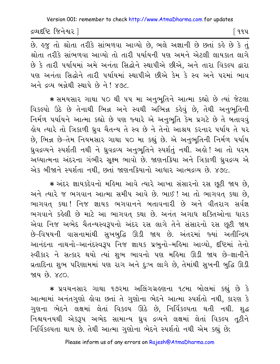દ્રવ્યદષ્ટિ જિનેશ્વર l

િવવપ

છે. હજુ તો શ્રોતા તરીકે સાંભળવા આવ્યો છે, ભલે અજ્ઞાની છે છતાં કહે છે કે તું શ્રોતા તરીકે સાંભળવા આવ્યો તો તારી પર્યાયની પણ અમને એટલી લાયકાત લાગે છે કે તારી પર્યાયમાં અમે અનંતા સિદ્ધોને સ્થાપીએ છીએ, અને તારા વિકલ્પ દ્વારા પણ અનંતા સિદ્ધોને તારી પર્યાયમાં સ્થાપીએ છીએ કેમ કે સ્વ અને પરમાં ભાવ અને દ્રવ્ય બન્નેથી સ્થાપે છે ને ! ૪૭૮.

\* સમયસાર ગાથા ૫૦ થી ૫૫ મા અનુભૂતિને આત્મા કહ્યો છે ત્યાં જેટલા વિકલ્પો ઉઠે છે તેનાથી ભિન્ન અને સ્વથી અભિન્ન કહેવું છે. તેથી અનુભુતિની નિર્મળ પર્યાયને આત્મા કહ્યો છે પણ જ્યારે એ અનુભૂતિ કેમ પ્રગટે છે તે બતાવવું હોય ત્યારે તો ત્રિકાળી ઘ્રુવ ચૈતન્ય તે સ્વ છે ને તેનો આશ્રય કરનાર પર્યાય તે પર છે. ભિન્ન છે-તેમ નિયમસાર ગાથા ૫૦ મા કહ્યું છે. એ અનુભૃતિની નિર્મળ ૫ર્યાય ધ્રુવદ્રવ્યને સ્પર્શતી નથી ને ધ્રુવદ્રવ્ય અનુભુતિને સ્પર્શતું નથી. અહો! આ તો પરમ અઘ્યાત્મના અંદરના ગંભીર સુક્ષ્મ ભાવો છે. જાણનક્રિયા અને ત્રિકાળી ધ્રુવદ્રવ્ય એ એક બીજાને સ્પર્શતા નથી, છતાં જાણનકિયાનો આધાર આત્મદ્રવ્ય છે. ૪૭૯.

\* અંદર જ્ઞાયકદેવનો મહિમા આવે ત્યારે આખા સંસારનો રસ છુટી જાય છે. અને ત્યારે જ ભગવાન આત્મા સમીપ આવે છે. ભાઈ ! આ તો ભાગવત કથા છે, ભાગવત કથા! નિજ જ્ઞાયક ભગવાનને બતાવનારી છે અને વીતરાગ સર્વજ્ઞ ભગવાને કહેલી છે માટે આ ભાગવત કથા છે. અનંત અગાધ શક્તિઓના ધારક એવા નિજ અભેદ ચૈતન્યસ્વરૂપનો અંદર રસ લાગે તેને સંસારનો રસ છૂટી જાય છે-વિષયની વાસનામાંથી સુખબુદ્ધિ ઊડી જાય છે. અંતરમાં જ્યાં અતીન્દ્રિય આનંદના નાથનો-આનંદસ્વરૂપ નિજ જ્ઞાયક પ્રભુનો-મહિમા આવ્યો, દષ્ટિમાં તેનો સ્વીકાર ને સત્કાર થયો ત્યાં શુભ ભાવનો પણ મહિમા ઊડી જાય છે-જ્ઞાનીને વ્રતાદિના શુભ પરિણામમાં પણ રાગ અને દુઃખ લાગે છે, તેમાંથી સુખની બુદ્ધિ ઊડી <u>જાય છે. ૪૮૦.</u>

\* પ્રવચનસાર ગાથા ૧૭૨મા અલિંગગ્રહણના ૧૮મા બોલમાં કહ્યું છે કે આત્મામાં અનંતગુણો લોવા છતાં તે ગુણોના ભેદને આત્મા સ્પર્શતો નથી, કારણ કે ગુણના ભેદને લક્ષમાં લેતાં વિકલ્પ ઊઠે છે, નિર્વિકલ્પતા થતી નથી. શુદ્ધ નિશ્ચયનયથી એકરૂપ અભેદ સામાન્ય ઘ્રુવ દ્રવ્યને લક્ષમાં લેતાં વિકલ્પ તૃટીને નિર્વિકલ્પતા થાય છે. તેથી આત્મા ગુણોના ભેદને સ્પર્શતો નથી એમ કહ્યું છે;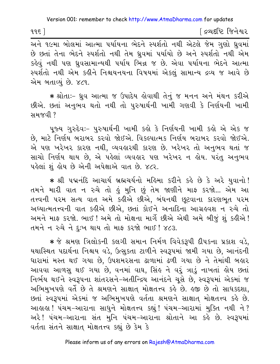દિવ્યદષ્ટિ જિનેશ્વર

છે છતાં તેના ભેદને સ્પર્શતો નથી તેમ ધ્રુવમાં પર્યાયો છે અને સ્પર્શતો નથી એમ કહેવું નથી પણ ઘ્રુવસામાન્યથી પર્યાય ભિન્ન જ છે. એવા પર્યાયના ભેદને આત્મા સ્પર્શતો નથી એમ કહીને નિશ્ચયનયના વિષયમાં એકલું સામાન્ય દ્રવ્ય જ આવે છે એમ બતાવ્યું છે. ૪૮૧.

★ શ્રોતાઃ− ઘ્રુવ આત્મા જ ઉપાદેય કોવાથી તેનું જ મનન અને મંથન કરીએ છીએ. છતાં અનુભવ થતો નથી તો પુરુષાર્થની ખામી ગણવી કે નિર્ણયની ખામી มม $\alpha$  $\alpha$ ใ?

પૂજ્ય ગુરુદેવઃ- પુરુષાર્થની ખામી કહો કે નિર્ણયની ખામી કહો એ એક જ છે, માટે નિર્ણય બરાબર કરવો જોઈએ. વિકલ્પાત્મક નિર્ણય બરાબર કરવો જોઈએ. એ પણ ખરેખર કારણ નથી, વ્યવહારથી કારણ છે. ખરેખર તો અનુભવ થતાં જ સાચો નિર્ણય થાય છે, એ પહેલાં વ્યવહાર પણ ખરેખર ન હોય. પરંતુ અનુભવ પહેલાં શં હોય છે એની અપેક્ષાએ વાત છે. ૪૮૨.

\* શ્રી પદ્મનંદિ આચાર્ય બ્રહ્મચર્યનો મહિમા કરીને કહે છે કે અરે યુવાનો! તમને મારી વાત ન રુચે તો હું મુનિ છું તેમ જાણીને માફ કરજો... એમ આ તત્ત્વની પરમ સત્ય વાત અમે કહીએ છીએ, બંધનથી છૂટવાના કારણભૂત પરમ અધ્યાત્મતત્ત્વની વાત કહીએ છીએ, છતાં કોઈને અનાદિના આગ્રહવશ ન રુચે તો અમને માફ કરજો. ભાઈ ! અમે તો મોક્ષના માર્ગે છીએ એથી અમે બીજું શું કહીએ ! તમને ન રુચે ને દુઃખ થાય તો માફ કરજો ભાઈ ! ૪૮૩.

∗ જે શ્રમણ ત્રિલોકની કલગી સમાન નિર્મળ વિવેકરૂપી દીપકના પ્રકાશ વડે, યથાસ્થિત પદાર્થના નિશ્ચય વડે, ઉત્સુકતા ટાળીને સ્વરૂપમાં જામી ગયા છે, આનંદની ધારામાં મસ્ત થઈ ગયા છે. ઉપશમરસના ઢાળામાં ઢળી ગયા છે ને તેમાંથી બહાર આવવા આળસુ થઈ ગયા છે, વનમાં વાઘ, સિંહ ને વરૂં ત્રાડું નાખતાં હોય છતાં નિર્ભય થઈને સ્વરૂપના શાંતરસને-અતીન્દ્રિય આનંદને ચૂસે છે, સ્વરૂપમાં એકમાં જ અભિમુખપણે વર્તે છે તે શ્રમણને સાક્ષાત મોક્ષતત્ત્વ કહે છે. હજી છે તો સાધકદશા, છતાં સ્વરૂપમાં એકમાં જ અભિમુખપણે વર્તતા શ્રમણને સાક્ષાત મોક્ષતત્ત્વ કહે છે. આહાહા ! પંચમ-આરાના સાધને મોક્ષતત્ત્વ કહ્યું ! પંચમ-આરામાં મુક્તિ નથી ને ? અરે ! પંચમ-આરાના સંત મુનિ પંચમ-આરાના શ્રોતાને આ કહે છે. સ્વરૂપમાં વર્તતા સંતને સાક્ષાત મોક્ષતત્ત્વ કહ્યું છે કેમ કે

 $995$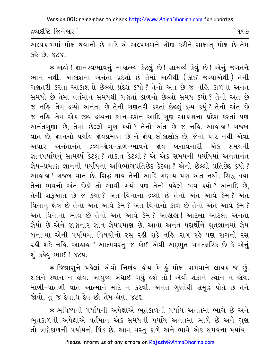દ્રવ્યદષ્ટિ જિનેશ્વર l

୮ ૧૧૭

અલ્પકાળમાં મોક્ષ થવાનો છે માટે એ અલ્પકાળને ગૌણ કરીને સાક્ષાત મોક્ષ છે તેમ  $58.89.77.$ 

\* અહો! જ્ઞાનસ્વભાવનું માહ્યત્મ્ય કેટલું છે! સામર્થ્ય કેવું છે! એનું જગતને ભાન નથી. આકાશના અનંતા પ્રદેશો છે તેમાં અહીંથી (કોઈ જગ્યાએથી) તેની ગણતરી કરતાં આકાશનો છેલ્લો પ્રદેશ કર્યો? તેનો અંત છે જ નહિ. કાળના અનંત સમયો છે તેમાં વર્તમાન સમયથી ગણતાં કાળનો છેલ્લો સમય કયો? તેનો અંત છે જ નહિ. તેમ દ્રવ્યો અનંતા છે તેની ગણતરી કરતાં છેલ્લું દ્રવ્ય કયું? તેનો અંત છે જ નહિ. તેમ એક જીવ દ્રવ્યના જ્ઞાન-દર્શન આદિ ગુણ આકાશના પ્રદેશ કરતાં પણ અનંતગુણા છે, તેમાં છેલ્લો ગુણ કયો? તેનો અંત છે જ નહિ. આહાહા! ગજબ વાત છે, જ્ઞાનનો પર્યાય જ્ઞેયપ્રમાણ છે ને જ્ઞેય લોકાલોક છે, જેનો પાર નથી એવા અપાર અનંતાનંત દ્રવ્ય-ક્ષેત્ર-કાળ-ભાવને જ્ઞેય બનાવનારી એક સમયની જ્ઞાનપર્યાયનું સામર્થ્ય કેટલું ? તાકાત કેટલી ? એ એક સમયની પર્યાયમાં અનંતાનંત જ્ઞેય-પ્રમાણ જ્ઞાનની પર્યાયના અવિભાગપ્રતિછેદ કેટલા ? એનો છેલ્લો પ્રતિછેદ કયો ? આહાહા ! ગજબ વાત છે. સિદ્ધ થાય તેની આદિ ગણાય પણ અંત નથી. સિદ્ધ થયા તેના ભવનો અંત-છેડો તો આવી ગયો પણ તેનો પહેલો ભવ કયો? અનાદિ છે, તેની શરૂઆત છે જ ક્યાં? અંત વિનાના દ્રવ્યો છે તેનો અંત આવે કેમ? અંત વિનાનું ક્ષેત્ર છે તેનો અંત આવે કેમ? અંત વિનાનો કાળ છે તેનો અંત આવે કેમ? અંત વિનાના ભાવ છે તેનો અંત આવે કેમ? આહાહા! આટલા આટલા અનંતા જ્ઞેયો છે એને જાણનાર જ્ઞાન જ્ઞેયપ્રમાણ છે. આવા અનંત પદાર્થોને શ્રુતજ્ઞાનમાં જ્ઞેય બનાવ્યા એની પર્યાયમાં વિષયોનો રસ રહી શકે નહિ. રાગ રહે પણ રાગનો રસ રહી શકે નહિ. આહાહા ! આત્મવસ્તુ જ કોઈ એવી અદ્દભુત ચમત્કારિક છે કે એનું શું કહેવું ભાઈ ! ૪૮૫.

\* જિજ્ઞાસુને પહેલાં એવો નિર્ણય હોય કે હું મોક્ષ પામવાને લાયક જ છું. શંકાને સ્થાન ન હોય. આયુષ્ય બંધાઈ ગયું હશે તો ! એવી શંકાને સ્થાન ન હોય. મોળી-પાતળી વાત આત્માને માટે ન કરવી. અનંત ગુણોથી સમૃદ્ધ પોતે છે તેને જોવો, તું જ દેવાધિ દેવ છો તેમ લેવું. ૪૮૬.

\* ભવિષ્યની પર્યાયની અપેક્ષાએ ભૂતકાળની પર્યાય અનંતમાં ભાગે છે અને ભૂતકાળની અપેક્ષાએ વર્તમાન એક સમયની પર્યાય અનંતમાં ભાગે છે અને ગુણ તો ત્રણેકાળની પર્યાયનો પિંડ છે. આમ વસ્ત કાળે અને ભાવે એક સમયના પર્યાય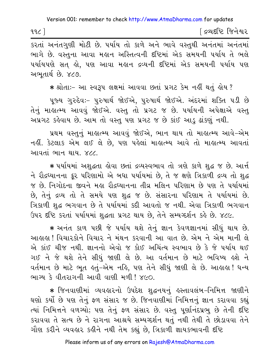| 92 | ∫ દ્રવ્યદષ્ટિ જિનેશ્વર |
|----|------------------------|
|    |                        |

કરતાં અનંતગુણી મોટી છે. પર્યાય તો કાળે અને ભાવે વસ્તુથી અનંતમાં અનંતમાં ભાગે છે. વસ્તુના આવા મહાન અસ્તિત્વની દષ્ટિમાં એક સમયની પર્યાય તે ભલે પર્યાયપણે સત હો, પણ આવા મહાન દ્રવ્યની દષ્ટિમાં એક સમયની પર્યાય પણ અભતાર્થ છે. ૪૮૭.

\* શ્રોતાઃ- આ સ્વરૂપ લક્ષમાં આવવા છતાં પ્રગટ કેમ નહીં થતું હોય?

પુજ્ય ગુરુદેવઃ- પુરુષાર્થ જોઈએ, પુરુષાર્થ જોઈએ. અંદરમાં શક્તિ પડી છે તેનું માહાત્મ્ય આવવું જોઈએ. વસ્તુ તો પ્રગટ જ છે. પર્યાયની અપેક્ષાએ વસ્તુ અપ્રગટ કહેવાય છે. આમ તો વસ્તુ પણ પ્રગટ જ છે કાંઈ આડુ ઢાંકણું નથી.

પ્રથમ વસ્તુનું માહાત્મ્ય આવવું જોઈએ, ભાન થાય તો માહાત્મ્ય આવે–એમ નહીં. કેટલાક એમ લઈ લે છે, પણ પહેલાં માહાત્મ્ય આવે તો માહાત્મ્ય આવતાં આવતાં ભાન થાય *x* 

\* પર્યાયમાં અશુદ્ધતા હોવા છતાં દ્રવ્યસ્વભાવ તો ત્રણે કાળે શુદ્ધ જ છે. આર્ત ને રૌદ્રઘ્યાનના ક્રૂર પરિણામો એ બધા પર્યાયમાં છે, તે જ ક્ષણે ત્રિકાળી દ્રવ્ય તો શુદ્ધ જ છે. નિગોદના જીવને મહા રૌદ્રધ્યાનના તીવ્ર મલિન પરિણામ છે પણ તે પર્યાયમાં છે, તેનું દ્રવ્ય તો તે સમયે પણ શુદ્ધ જ છે. સંસારના પરિણામ તે પર્યાયમાં છે. ત્રિકાળી શુદ્ધ ભગવાન છે તે પર્યાયમાં કદી આવતો જ નથી. એવા ત્રિકાળી ભગવાન ઉપર દૃષ્ટિ કરતાં પર્યાયમાં શદ્ધતા પ્રગટ થાય છે. તેને સમ્યગ્દર્શન કહે છે. ૪૮૯.

\* અનંત કાળ પછી જે પર્યાય થશે તેનું જ્ઞાન કેવળજ્ઞાનમાં સીધું થાય છે. આહાહા ! વિચારકોને વિચાર ને મંથન કરવાની આ વાત છે. એમ ને એમ માની લે એ કાંઈ ચીજ નથી. જ્ઞાનનો એવો જ કોઈ અચિંત્ય સ્વભાવ છે કે જે પર્યાય થઈ ગઈ ને જે થશે તેને સીધું જાણી લે છે. આ વર્તમાન છે માટે ભવિષ્ય હશે ને વર્તમાન છે માટે ભૂત ઙ્તું–એમ નહિ, પણ તેને સીધું જાણી લે છે. આહાહા ! ધન્ય ભાગ્ય કે વીતરાગની આવી વાણી મળી! ૪૯૦

★ જિનવાણીમાં વ્યવહારનો ઉપદેશ શુદ્ધનયનું હસ્તાવલંબ−નિમિત્ત જાણીને ઘણો કર્યો છે પણ તેનું ફળ સંસાર જ છે. જિનવાણીમાં નિમિત્તનું જ્ઞાન કરાવવા કહ્યું ત્યાં નિમિત્તને વળગ્યો; પણ તેનું ફળ સંસાર છે. વસ્તુ પૂર્ણાનંદપ્રભુ છે તેની દૃષ્ટિ કરાવવા તે સત્ય છે ને રાગના આશ્રયે સમ્યગ્દર્શન થતું નથી તેથી તે છોડાવવા તેને ગૌણ કરીને વ્યવહાર કહીને નથી તેમ કહ્યું છે, ત્રિકાળી જ્ઞાયકભાવની દષ્ટિ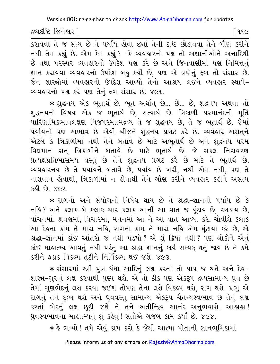દ્રવ્યદષ્ટિ જિનેશ્વર |

િ ૧૧૯

.<br>કરાવવા તે જ સત્ય છે ને પર્યાય હોવા છતાં તેની દૃષ્ટિ છોડાવવા તેને ગૌણ કરીને નથી તેમ કહ્યું છે. એમ કેમ કહ્યું ? -કે વ્યવહારનો પક્ષ તો અજ્ઞાનીઓને અનાદિથી છે તથા પરસ્પર વ્યવહારનો ઉપદેશ પણ કરે છે અને જિનવાણીમાં પણ નિમિત્તનું જ્ઞાન કરાવવા વ્યવહારનો ઉપદેશ બહુ કર્યો છે, પણ એ ત્રણેનું ફળ તો સંસાર છે. જૈન શાસ્ત્રોમાં વ્યવહારનો ઉપદેશ આવ્યો તેનો આશ્રય લઈને વ્યવહાર સ્થાપે-વ્યવહારનો પક્ષ કરે પણ તેનું ફળ સંસાર છે. ૪૯૧.

\* શુદ્ધનય એક ભૂતાર્થ છે, ભૂત અર્થાત છે... છે... છે, શુદ્ધનય અથવા તો શુદ્ધનયનો વિષય એક જ ભૂતાર્થ છે, સત્યાર્થ છે. ત્રિકાળી પરમાનંદની મૂર્તિ પારિણામિકભાવલક્ષણ નિજપરમાત્મદ્રવ્ય તે જ શુદ્ધનય છે, તે જ ભૂતાર્થ છે. જેમાં પર્યાયનો પણ અભાવ છે એવી ચીજને શુદ્ધનય પ્રગટ કરે છે. વ્યવહાર અસતને એટલે કે ત્રિકાળીમાં નથી તેને બતાવે છે માટે અભૂતાર્થ છે અને શુદ્ધનય પરમ વિદ્યમાન સત્ ત્રિકાળીને બતાવે છે માટે ભૂતાર્થ છે. જે સકલ નિરાવરણ પ્રત્યક્ષપ્રતિભાસમય વસ્તુ છે તેને શુદ્ધનય પ્રગટ કરે છે માટે તે ભૂતાર્થ છે. વ્યવહારનય છે તે પર્યાયને બતાવે છે, પર્યાય છે ખરી, નથી એમ નથી, પણ તે નાશવાન લેવાથી, ત્રિકાળીમાં ન લેવાથી તેને ગૌણ કરીને વ્યવહાર કહીને અસત્ય  $580.89.762$ 

\* રાગનો અને સંયોગનો નિષેધ થાય છે તે શ્રદ્ધા-જ્ઞાનનો પર્યાય છે કે નહિ? અને કલાક-બે કલાક-ચાર કલાક આની આ વાત જ ઘંટાય છે. રગડાય છે. વાંચનમાં, શ્રવણમાં, વિચારમાં, મનનમાં આ ને આ વાત આવ્યા કરે, ચોવીશે કલાક આ દેહના કામ તે મારા નહિ, રાગના કામ તે મારા નહિ એમ ઘૂંટાયા કરે છે, એ શ્રદ્ધા-જ્ઞાનમાં કાંઈ આંતરો જ નથી ૫ડયો? એ શું ક્રિયા નથી? પણ લોકોને એનું કાંઈ માહાત્મ્ય આવતું નથી પરંતુ આ શ્રદ્ધા-જ્ઞાનનું કાર્ય સમ્યક્ થતું જાય છે તે ક્રમે કરીને ફડાક વિકલ્પ તૃટીને નિર્વિકલ્પ થઈ જશે. ૪૯૩.

★ સંસારમાં સ્ત્રી−પુત્ર−ધંધા આદિનું લક્ષ કરતાં તો પાપ જ થશે અને દેવ− શાસ્ત્ર-ગુરુનું લક્ષ કરવાથી પુણ્ય થશે. એ તો ઠીક પણ એકરૂપ દ્રવ્યસામાન્ય ધ્રુવ છે તેમાં ગુણભેદનું લક્ષ કરવા જઈશ તોપણ તેના લક્ષે વિકલ્પ થશે, રાગ થશે. પ્રભુ એ રાગનું તને દુઃખ થશે અને ધ્રુવવસ્તુ સામાન્ય એકરૂપ ચૈતન્યસ્વભાવ છે તેનું લક્ષ કરતાં ભેદનું લક્ષ છુટી જશે ને તને અતીન્દ્રિય આનંદ અનુભવાશે. આહાહા! ધ્રુવસ્વભાવના માહાત્મ્યનું શું કહેવું! સંતોએ ગજબ કામ કર્યાં છે. ૪૯૪.

\* કે ભવ્યો ! તમે એવું કામ કરો કે જેથી આત્મા પોતાની જ્ઞાનભૂમિકામાં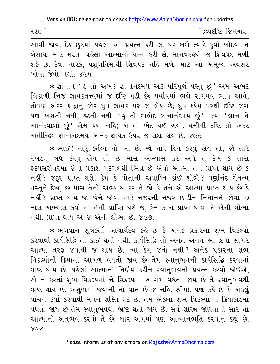| ૧૨૦ $\overline{\phantom{a}}$ | ∫ દ્રવ્યદષ્ટિ જિનેશ્વર |
|------------------------------|------------------------|
|------------------------------|------------------------|

આવી જાય. દેહ છૂટયાં પહેલાં આ પ્રયત્ન કરી લે. ઘર બળે ત્યારે કૂવો ખોદવા ન બેસાય. માટે મરતાં પહેલાં આત્માનો યત્ન કરી લે. માનવદેહથી જ શિવપદ મળી શકે છે. દેવ, નારક, પશુગતિમાંથી શિવપદ નહિ મળે, માટે આ અમુલ્ય અવસર ખોવા જેવો નથી. ૪૯૫.

\* જ્ઞાનીને ' હું તો અખંડ જ્ઞાનાનંદમય એક પરિપૂર્ણ વસ્તુ છું ' એમ અભેદ ત્રિકાળી નિજ જ્ઞાયકતત્ત્વમાં જ દૃષ્ટિ ૫ડી છે; ૫ર્યાયમાં ભલે રાગમય ભાવ આવે. તોપણ અંદર શ્રદ્ધાનું જોર ધ્રુવ જ્ઞાયક ૫૨ જ હોય છે; ધ્રુવ ધ્યેય ૫૨થી દૃષ્ટિ જરા પણ ખસતી નથી, હઠતી નથી. 'હું તો અભેદ જ્ઞાનાનંદમય છું' -ત્યાં 'જ્ઞાન ને આનંદવાળો છું' એમ પણ નહિ; એ તો ભેદ થઈ ગયો. ધર્મીની દષ્ટિ તો અંદર અતીન્દ્રિય જ્ઞાનાનંદમય અભેદ જ્ઞાયક ઉપર જ સદા હોય છે. ૪૯૬.

\* ભાઈ ! તારૂં કર્તવ્ય તો આ છે. જો તારે હિત કરવું હોય તો, જો તારે રખડવું બંધ કરવું હોય તો છ માસ અભ્યાસ કર અને તું દેખ કે તારા હૃદયસરોવરમાં જેનો પ્રકાશ પુદ્દગલથી ભિન્ન છે એવો આત્મા તને પ્રાપ્ત થાય છે કે નહીં ? જરૂર પ્રાપ્ત થશે. કેમ કે પોતાની અપ્રાપ્તિ કાંઈ શોભે ? પૂર્ણાનંદ ચૈતન્ય વસ્તુને દેખ, છ માસ તેનો અભ્યાસ કર ને જો કે તને એ આત્મા પ્રાપ્ત થાય છે કે નહીં ? પ્રાપ્ત થાય જ. જેને જોવા માટે નજરની નજર છોડીને નિધાનને જોવા છ માસ અભ્યાસ કર્યો તો તેની પ્રાપ્તિ થશે જ, કેમ કે ન પ્રાપ્ત થાય એ એની શોભા નથી. પ્રાપ્ત થાય એ જ એની શોભા છે. ૪૯૭.

\* ભગવાન સૂત્રકર્તા આચાર્યદેવ કહે છે કે અનેક પ્રકારના શુભ વિકલ્પો કરવાથી કાર્યસિદ્ધિ તો કાંઈ થતી નથી. કાર્યસિદ્ધિ તો અનંત અનંત આનંદના સાગર આત્મા તરફ જવાથી જ થાય છે. ત્યાં કેમ જતો નથી? અનેક પ્રકારના શુભ વિકલ્પોની ક્રિયામાં આગળ વધતો જાય છે તેમ સ્વાનુભવની કાર્યસિદ્ધિ કરવામાં ભ્રષ્ટ થાય છે. પહેલાં આત્માનો નિર્ણય કરીને સ્વાનુભવનો પ્રયત્ન કરવો જોઈએ, એ ન કરતાં શુભ વિકલ્પમાં ને વિકલ્પમાં આગળ વધતો જાય છે તે સ્વાનુભવથી ભ્રષ્ટ થાય છે. અશુભમાં જવાની તો વાત છે જ નહિ. શ્રીમદ્દ પણ કહે છે કે એકલું વાંચન કર્યા કરવાથી મનન શક્તિ ઘટે છે. તેમ એકલા શુભ વિકલ્પો ને ક્રિયાકાંડમાં વધતો જાય છે તેમ સ્વાનભવથી ભ્રષ્ટ થતો જાય છે. સર્વ શાસ્ત્ર જાણવાનો સાર તો આત્માનો અનુભવ કરવો તે છે. બાર અંગમાં પણ આત્માનુભૂતિ કરવાનું કહ્યું છે. SCC.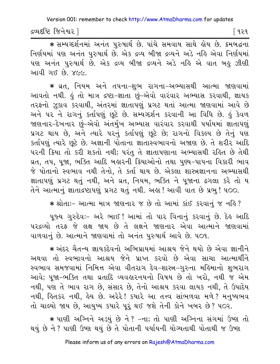દ્રવ્યદષ્ટિ જિનેશ્વર l

િવરવ

\* सम्यव्हर्शनमां अनंत पुरुषार्थ છે. पांचे समवाय साथे डोय છે. इमलद्धना નિર્ણયમાં પણ અનંત પુરુષાર્થ છે. એક દ્રવ્ય બીજા દ્રવ્યને અડે નહિ એવા નિર્ણયમાં પણ અનંત પુરુષાર્થ છે. એક દ્રવ્ય બીજા દ્રવ્યને અડે નહિ એ વાત બહુ ઝીણી આવી ગઈ છે. ૪૯૯.

\* વ્રત, નિયમ અને તપના-શુભ રાગના-અભ્યાસથી આત્મા જાણવામાં આવતો નથી. કું તો માત્ર દ્રષ્ટા-જ્ઞાતા છું-એવો વારંવાર અભ્યાસ કરવાથી, જ્ઞાયક તરફનો ઝૂકાવ કરવાથી, અંતરમાં જ્ઞાતાપણું પ્રગટ થતાં આત્મા જાણવામાં આવે છે અને ૫૨ ને રાગનું કર્તાપણું છૂટે છે. સમ્યગ્દર્શન કરવાની આ વિધિ છે. કું કેવળ જાણનાર-દેખનાર છું-એવો અંતર્મુખ અભ્યાસ વારંવાર કરવાથી પર્યાયમાં જ્ઞાતાપણું પ્રગટ થાય છે, અને ત્યારે પરનું કર્તાપણું છૂટે છે; રાગનો વિકલ્પ છે તેનું પણ કર્તાપણું ત્યારે છૂટે છે. અજ્ઞાની પોતાના જ્ઞાતાસ્વભાવનો અજાણ છે. તે શરીર આદિ પરની ક્રિયા તો કરી શકતો નથી; પરંતુ તે જ્ઞાતાપણાના અભ્યાસથી રહિત છે તેથી વ્રત, તપ, પૂજા, ભક્તિ આદિ બહારની ક્રિયાઓનો તથા પુણ્ય-પાપના વિકારી ભાવ જે પોતાનો સ્વભાવ નથી તેનો, તે કર્તા થાય છે. એકલા શાસ્ત્રજ્ઞાનના અભ્યાસથી જ્ઞાતાપણું પ્રગટ થતું નથી, અને વ્રત, નિયમ, ભક્તિ ને પૂજાના ઢગલા કરે તો ય તેને આત્માનું જ્ઞાતાદ્રષ્ટાપણું પ્રગટ થતું નથી. અહા! આવી વાત છે પ્રભ! ૫૦૦.

\* श्रोता :- આત્મા માત્ર જાણનાર જ છે તો આમાં કાંઈ કરવાનું જ નહિ?

પૂજ્ય ગુરુદેવઃ- અરે ભાઈ! આમાં તો પાર વિનાનું કરવાનું છે. દેહ આદિ પરદ્રવ્યો તરફ જે લક્ષ જાય છે તે લક્ષને જાણનાર એવા આત્માને જાણવામાં વાળવાનું છે. આત્માને જાણવામાં તો અનંત પુરુષાર્થ આવે છે. ૫૦૧.

\* અંદર ચૈતન્ય જ્ઞાયકદેવનો અભિપ્રાયમાં આશ્રય જેને થયો છે એવા જ્ઞાનીને અથવા તો સ્વભાવનો આશ્રય જેને પ્રાપ્ત કરવો છે એવા સાચા આત્માર્થીને સ્વભાવ સમજવામાં નિમિત્ત એવા વીતરાગ દેવ-શાસ્ત્ર-ગુરુના મહિમાનો શુભરાગ આવે; પૂજા-ભક્તિ તથા વ્રતાદિ વ્યવહારનયનો વિષય છે તો ખરો, નથી જ એમ નથી, પણ તે ભાવ રાગ છે, સંસાર છે, તેનો આશ્રય કરવા લાયક નથી, તે ઉપાદેય નથી, હિતકર નથી, હેય છે. અરેરે! કયારે આ તત્ત્વ સાંભળવા મળે? મનુષ્યભવ તો ચાલ્યો જાય છે, આયુષ્ય કયારે પુરૂં થઈ જશે તેની કોને ખબર છે? ૫૦૨.

∗ પાણી અગ્નિને અડયું છે ને ? –ના; તો પાણી અગ્નિના સંગમાં ઉષ્ણ તો થયું છે ને ? પાણી ઉષ્ણ થયું છે તે પોતાની પર્યાયની યોગ્યતાથી પોતાથી જ ઉષ્ણ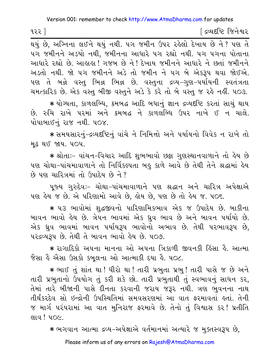∫ દ્રવ્યદષ્ટિ જિનેશ્વર ૧૨૨ ]

 $\overline{$ થયું છે, અગ્નિના લઈને થયું નથી. ૫ગ જમીન ઉપર રહેલો દેખાય છે ને ? પણ તે ૫ગ જમીનને અડયો નથી, જમીનના આધારે ૫ગ રહ્યો નથી. ૫ગ ૫ગના પોતાના આધારે રહ્યો છે. આહાહા ! ગજબ છે ને ! દેખાય જમીનને આધારે ને છતાં જમીનને અડતો નથી. જો પગ જમીનને અડે તો જમીન ને પગ બે એકરૂપ થવા જોઈએ. પણ તે બન્ને વસ્તુ ભિન્ન ભિન્ન છે. વસ્તુના દ્રવ્ય-ગુણ-પર્યાયની સ્વતંત્રતા ચમત્કારિક છે. એક વસ્ત બીજી વસ્તુને અડે કે કરે તો બે વસ્તુ જ રહે નહીં. ૫૦૩.

★ યોગ્યતા, કાળલબ્ધિ, ક્રમબદ્ધ આદિ બધાનું જ્ઞાન દ્રવ્યદષ્ટિ કરતાં સાચું થાય છે. રુચિ રાખે પરમાં અને ક્રમબદ્ધ ને કાળલબ્ધિ ઉપર નાખે ઈ ન ચાલે. પોપાબાઈનું રાજ નથી. ૫૦૪.

\* સમયસારનું-દ્રવ્યદૃષ્ટિનું વાંચે ને નિમિત્તો અને પર્યાયનો વિવેક ન રાખે તો **મુઢ થઈ જાય. ૫૦૫.** 

\* શ્રોતાઃ- વાંચન-વિચાર આદિ શુભભાવો છક્રા ગુણસ્થાનવાળાને તો હેય છે પણ ચોથા-પાંચમાવાળાને તો નિર્વિકલ્પતા બહુ કાળે આવે છે તેથી તેને શ્રદ્ધામાં હેય છે પણ ચારિત્રમાં તો ઉપાદેય છે ને?

પુજ્ય ગુરુદેવઃ– ચોથા–પાંચમાવાળાને પણ શ્રદ્ધાન અને ચારિત્ર અપેક્ષાએ ૫ણ હેય જ છે. એ પરિણામો આવે છે, હોય છે, ૫ણ છે તો હેય જ. ૫૦૬.

\* ૫૩ ભાવોમાં શદ્ધજીવનો પારિણામિકભાવ એક જ ઉપાદેય છે. બાકીના બાવન ભાવો હેય છે. ત્રેપન ભાવમાં એક ઘ્રુવ ભાવ છે અને બાવન પર્યાયો છે. એક ઘ્રુવ ભાવમાં બાવન પર્યાયરૂપ ભાવોનો અભાવ છે. તેથી પરભાવરૂપ છે. ૫૨દ્રવ્યરૂપ છે. તેથી તે બાવન ભાવો હેય છે. ૫૦૭.

∗ રાગાદિકો અપના માનના ઓ અપના ત્રિકાળી જીવનકી હિંસા હૈ. આત્મા જૈસા હૈ એસા ઉસકો કબૂલના ઓ આત્માકી દયા હૈ. ૫૦૮.

∗ ભાઈ તું શાંત થા ! ધીરો થા ! તારી પ્રભુતા પ્રભુ ! તારી પાસે જ છે અને તારી પ્રભુતાનો ઉપયોગ તું કરી શકે છો. તારી પ્રભુતાથી તું સ્વભાવનું સાધન કર. તેમાં તારે બીજાની પાસે દીનતા કરવાની જરાય જરૂર નથી. ત્રણ ભુવનના નાથ તીર્થંકરદેવ સો ઇન્દ્રોની ઉપસ્થિતિમાં સમવસરણમાં આ વાત ફરમાવતાં હતાં. તેની જ માર્ગ પરંપરામાં આ વાત મુનિરાજ ફરમાવે છે. તેનો તું વિશ્વાસ કર !પ્રતીતિ લાવ! ૫૦૯.

\* ભગવાન આત્મા દ્રવ્ય-અપેક્ષાએ વર્તમાનમાં અત્યારે જ મુક્તસ્વરૂપ છે,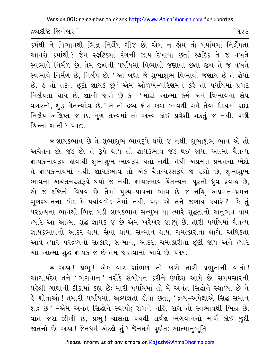દ્રવ્યદષ્ટિ જિનેશ્વર l

િ ૧૨૩

કર્મથી ને વિભાવથી ભિન્ન નિર્લેપ ચીજ છે. એમ ન હોય તો પર્યાયમાં નિર્લેપતા આવશે કયાંથી ? જેમ સ્ફટિકમાં રંગની ઝાંય દેખાવા છતાં સ્ફટિક તે જ વખતે સ્વભાવે નિર્મળ છે, તેમ જીવની પર્યાયમાં વિભાવો જણાવા છતાં જીવ તે જ વખતે સ્વભાવે નિર્મળ છે, નિર્લેપ છે. 'આ બધા જે શુભાશુભ વિભાવો જણાય છે તે જ્ઞેયો છે. કું તો તદન છુટો જ્ઞાયક છું ' એમ ઓળખે-પરિણમન કરે તો પર્યાયમાં પ્રગટ નિર્લેપતા થાય છે. જ્ઞાની જાણે છે કે- 'મારો આત્મા કર્મ અને વિભાવના લેપ વગરનો, શુદ્ધ ચૈતન્યદેવ છે.' તે તો દ્રવ્ય-ક્ષેત્ર-કાળ-ભાવથી ગમે તેવા ઉદયમાં સદા નિર્લેપ-અલિપ્ત જ છે. મળ તત્ત્વમાં તો અન્ય કાંઈ પ્રવેશી શકતું જ નથી. પછી यिन्ता शानी ? प90

\* જ્ઞાયકભાવ છે તે શુભાશુભ ભાવરૂપે થયો જ નથી. શુભાશુભ ભાવ એ તો અચેતન છે, જડ છે, તે રૂપે થાય તો જ્ઞાયકભાવ જડ થઈ જાય. આત્મા ચૈતન્ય જ્ઞાયકભાવરૂપે હોવાથી શુભાશુભ ભાવરૂપે થતો નથી, તેથી અપ્રમત્ત-પ્રમત્તના ભેદો તે જ્ઞાયકભાવમાં નથી. જ્ઞાયકભાવ તો એક ચૈતન્યરસરૂપે જ રહ્યો છે. શભાશભ ભાવના અચેતનરસરૂપે થયો જ નથી. જ્ઞાયકભાવ ચૈતન્યના પુરનો ધ્રુવ પ્રવાહ છે, એ જ દષ્ટિનો વિષય છે. તેમાં પુણ્ય-પાપના ભાવ છે જ નહિ, અપ્રમત્ત-પ્રમત્ત ગુણસ્થાનના ભેદ કે પર્યાયભેદ તેમાં નથી. પણ એ તને જણાય કયારે? -કે તું પરદ્રવ્યના ભાવથી ભિન્ન ૫ડી જ્ઞાયકભાવ સન્મુખ થા ત્યારે શુદ્ધતાનો અનુભવ થાય ત્યારે આ આત્મા શુદ્ધ જ્ઞાયક જ છે એમ ખરેખર જાણ્યું છે. તારી પર્યાયમાં ચૈતન્ય જ્ઞાયકભાવનો આદર થાય, સેવા થાય, સન્માન થાય, ચમત્કારીતા લાગે, અધિકતા આવે ત્યારે પરદ્રવ્યનો સત્કાર, સન્માન, આદર, ચમત્કારીતા છૂટી જાય અને ત્યારે આ આત્મા શુદ્ધ જ્ઞાયક જ છે તેમ જાણવામાં આવે છે. ૫૧૧.

\* અહા! પ્રભુ! એક વાર સાંભળ તો ખરો તારી પ્રભુતાની વાતો! આચાર્યદેવ તને 'ભગવાન ' તરીકે સંબોધન કરીને ઉપદેશ આપે છે. સમયસારની પહેલી ગાથાની ટીકામાં કહ્યું છેઃ મારી પર્યાયમાં તો મેં અનંત સિદ્ધોને સ્થાપ્યા છે ને કે શ્રોતાઓ ! તમારી પર્યાયમાં, અલ્પજ્ઞતા કોવા છતાં, 'દ્રવ્ય-અપેક્ષાએ સિદ્ધ સમાન શુદ્ધ છું ' -એમ અનંત સિદ્ધોને સ્થાપો; રાગને નહિ, રાગ તો સ્વભાવથી ભિન્ન છે. વાત જરા ઝીણી છે, પ્રભુ! ચાલતા પંથથી સર્વજ્ઞ ભગવાનનો માર્ગ કોઈ જુદી જાતનો છે. અહ્ય! જૈનધર્મ એટલે શું ? જૈનધર્મ પૂર્ણતઃ આત્માનુભુતિ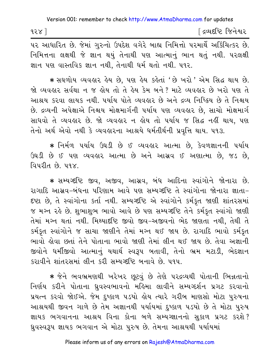૧૨ $\times$ ]

∫ દ્રવ્યદષ્ટિ જિનેશ્વર

૫૨ આધારિત છે. જેમાં ગુરુનો ઉપદેશ વગેરે બાહ્ય નિમિત્તો ૫૨માર્થે અર્કિચિત્કર છે. નિમિત્તના લક્ષથી જે જ્ઞાન થયું તેનાથી પણ આત્માનું ભાન થતું નથી. પરલક્ષી જ્ઞાન પણ વાસ્તવિક જ્ઞાન નથી, તેનાથી ધર્મ થતો નથી. ૫૧૨.

\* સઘળોય વ્યવહાર હેય છે, પણ હેય કહેતાં 'છે ખરો ' એમ સિદ્ધ થાય છે. જો વ્યવહાર સર્વથા ન જ હોય તો તે હેય કેમ બને ? માટે વ્યવહાર છે ખરો પણ તે આશ્રય કરવા લાયક નથી. પર્યાય પોતે વ્યવહાર છે અને દ્રવ્ય નિષ્ક્રિય છે તે નિશ્ચય છે. દ્રવ્યની અપેક્ષાએ નિશ્ચય મોક્ષમાર્ગની પર્યાય પણ વ્યવહાર છે, સાચો મોક્ષમાર્ગ સાધવો તે વ્યવહાર છે. જો વ્યવહાર ન હોય તો ૫ર્યાય જ સિદ્ધ નહીં થાય, ૫ણ તેનો અર્થ એવો નથી કે વ્યવહારના આશ્રયે ધર્મતીર્થની પ્રવૃત્તિ થાય. ૫૧૩.

\* નિર્મળ પર્યાય ઉઘડી છે ઈ વ્યવહાર આત્મા છે, કેવળજ્ઞાનની પર્યાય ઉઘડી છે ઈ પણ વ્યવહાર આત્મા છે અને આસવ ઈ અણાત્મા છે. જડ છે. વિપરીત $\beta$ ે ૫૧૪

\* સમ્યગ્દષ્ટિ જીવ, અજીવ, આસવ, બંધ આદિના સ્વાંગોને જોનારા છે. રાગાદિ આસવ-બંધના પરિણામ આવે પણ સમ્યગ્દષ્ટિ તે સ્વાંગોના જોનારા જ્ઞાતા-દષ્ટા છે, તે સ્વાંગોના કર્તા નથી. સમ્યગ્દષ્ટિ એ સ્વાંગોને કર્મકુત જાણી શાંતરસમાં જ મગ્ન રહે છે. શુભાશુભ ભાવો આવે છે પણ સમ્યગ્દષ્ટિ તેને કર્મકુત સ્વાંગો જાણી તેમાં મગ્ન થતાં નથી. મિથ્યાદષ્ટિ જીવો જીવ-અજીવનો ભેદ જાણતા નથી, તેથી તે કર્મકૃત સ્વાંગોને જ સાચા જાણીને તેમાં મગ્ન થઈ જાય છે. રાગાદિ ભાવો કર્મકૃત ભાવો ક્ષેવા છતાં તેને પોતાના ભાવો જાણી તેમાં લીન થઈ જાય છે. તેવા અજ્ઞાની જીવોને ધર્મીજીવો આત્માનું યથાર્થ સ્વરૂપ બતાવી, તેનો ભ્રમ મટાડી, ભેદજ્ઞાન કરાવીને શાંતરસમાં લીન કરી સમ્યગ્દષ્ટિ બનાવે છે. ૫૧૫.

\* જેને ભવભ્રમણથી ખરેખર છૂટવું છે તેણે પરદ્રવ્યથી પોતાની ભિન્નતાનો નિર્ણય કરીને પોતાના ધ્રવસ્વભાવનો મહિમા લાવીને સમ્યગ્દર્શન પ્રગટ કરવાનો પ્રયત્ન કરવો જોઈએ. જેમ દુષ્કાળ પડયો હોય ત્યારે ગરીબ માણસો મોટા પુરુષના આશ્રયથી જીવન ગાળે છે તેમ અજ્ઞાનથી પર્યાયમાં દુષ્કાળ પડયો છે તે મોટા પુરુષ જ્ઞાયક ભગવાનના આશ્રય વિના કોના બળે સમ્યગ્જ્ઞાનનો સકાળ પ્રગટ કરશે? ધ્રુવસ્વરૂપ જ્ઞાયક ભગવાન એ મોટા પુરુષ છે. તેમના આશ્રયથી પર્યાયમાં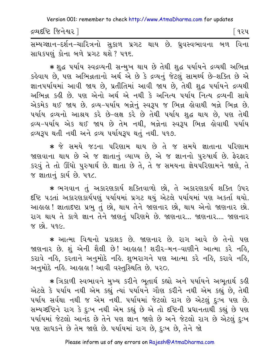દ્રવ્યદષ્ટિ જિનેશ્વર l િવ૨૫

સમ્યગ્જ્ઞાન-દર્શન-ચારિત્રનો સકાળ પ્રગટ થાય છે. ધ્રુવસ્વભાવના બળ વિના સાધકપણું કોના બળે પ્રગટ થશે ? ૫૧૬.

★ શુદ્ધ પર્યાય સ્વદ્રવ્યની સન્મુખ થાય છે તેથી શુદ્ધ પર્યાયને દ્રવ્યથી અભિન્ન કહેવાય છે, પણ અભિન્નતાનો અર્થ એ છે કે દ્રવ્યનું જેટલું સામર્થ્ય છે-શક્તિ છે એ જ્ઞાનપર્યાયમાં આવી જાય છે, પ્રતીતિમાં આવી જાય છે, તેથી શુદ્ધ પર્યાયને દ્રવ્યથી અભિન્ન કઢી છે. પણ એનો અર્થ એ નથી કે અનિત્ય પર્યાય નિત્ય દ્રવ્યની સાથે એકમેક થઈ જાય છે. દ્રવ્ય-૫ર્યાય બન્નેનું સ્વરૂપ જ ભિન્ન હોવાથી બન્ને ભિન્ન છે. પર્યાય દ્રવ્યનો આશ્રય કરે છે-લક્ષ કરે છે તેથી પર્યાય શુદ્ધ થાય છે, પણ તેથી દ્રવ્ય-પર્યાય એક થઈ જાય છે તેમ નથી, બન્નેના સ્વરૂપ ભિન્ન કોવાથી પર્યાય દ્રવ્યરૂપ થતી નથી અને દ્રવ્ય પર્યાયરૂપ થતું નથી. ૫૧૭.

\* જે સમયે જડના પરિણામ થાય છે તે જ સમયે જ્ઞાતાના પરિણામ જાણવાના થાય છે એ જ જ્ઞાતાનું વ્યાપ્ય છે, એ જ જ્ઞાનનો પુરુષાર્થ છે. ફેરફાર કરવું તે તો ઊંઘો પુરુષાર્થ છે. જ્ઞાતા છે તે, તે જ સમયના જ્ઞેયપરિણામને જાણે, તે જ જ્ઞાતાનું કાર્ય છે. ૫૧૮.

\* ભગવાન તું અકારણકાર્ય શક્તિવાળો છો. તે અકારણકાર્ય શક્તિ ઉપર દષ્ટિ પડતાં અકારણકાર્યપણું પર્યાયમાં પ્રગટ થયું એટલે પર્યાયમાં પણ અકર્તા થયો. આહાહા ! જ્ઞાતાદષ્ટા પ્રભુ તું છો, થાય તેને જાણનાર છો, થાય એનો જાણનાર છો. રાગ થાય તે કાળે જ્ઞાન તેને જાણતું પરિણમે છે. જાણનાર... જાણનાર.... જાણનાર <u>% છો. ૫૧૯.</u>

\* આત્મા વિશ્વનો પ્રકાશક છે. જાણનાર છે. રાગ આવે છે તેનો પણ જાણનાર છે. શું એની શૈલી છે! આહાહા! શરીર-મન-વાણીને આત્મા કરે નહિ. કરાવે નહિ, કરતાને અનુમોદે નહિ. શુભરાગને પણ આત્મા કરે નહિ, કરાવે નહિ, અનુમોદે નહિ. આહાહા ! આવી વસ્તુસ્થિતિ છે. ૫૨૦.

\* ત્રિકાળી સ્વભાવને મુખ્ય કરીને ભૂતાર્થ કહ્યો અને પર્યાયને અભૂતાર્થ કહી એટલે કે પર્યાય નથી એમ કહ્યું ત્યાં પર્યાયને ગૌણ કરીને નથી એમ કહ્યું છે, તેથી ૫ર્યાય સર્વથા નથી જ એમ નથી. ૫ર્યાયમાં જેટલો રાગ છે એટલું દઃખ ૫ણ છે. સમ્યગ્દષ્ટિને રાગ કે દુઃખ નથી એમ કહ્યું છે એ તો દષ્ટિની પ્રધાનતાથી કહ્યું છે પણ પર્યાયમાં જેટલો આનંદ છે તેને પણ જ્ઞાન જાણે છે અને જેટલો રાગ છે એટલું દુઃખ પણ સાધકને છે તેમ જાણે છે. પર્યાયમાં રાગ છે, દુઃખ છે, તેને જો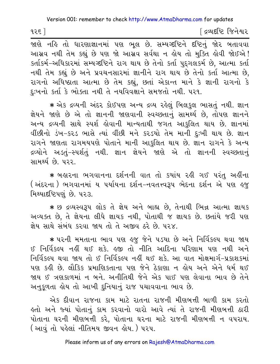૧૨૬ ]

<u>ડિલ્પદધ્દિ જિનેશ્વર</u>

જાણે નહિ તો ધારણાજ્ઞાનમાં પણ ભૂલ છે. સમ્યગ્દષ્ટિને દષ્ટિનું જોર બતાવવા આસવ નથી તેમ કહ્યું છે પણ જો આસવ સર્વથા ન હોય તો મુક્તિ હોવી જોઈએ ! કર્તાકર્મ-અધિકારમાં સમ્યગ્દષ્ટિને રાગ થાય છે તેનો કર્તા પુદગલકર્મ છે, આત્મા કર્તા નથી તેમ કહ્યું છે અને પ્રવચનસારમાં જ્ઞાનીને રાગ થાય છે તેનો કર્તા આત્મા છે, રાગનો અધિષ્ઠાતા આત્મા છે તેમ કહ્યું, છતાં એકાન્ત માને કે જ્ઞાની રાગનો કે દઃખનો કર્તા કે ભોક્તા નથી તે નયવિવક્ષાને સમજતો નથી. ૫૨૧.

∗ એક દ્રવ્યની અંદર કોઈપણ અન્ય દ્રવ્ય રહેલું બિલકુલ ભાસતું નથી. જ્ઞાન જ્ઞેયને જાણે છે એ તો જ્ઞાનની જાણવાની સ્વચ્છતાનું સામર્થ્ય છે, તોપણ જ્ઞાનને અન્ય દ્રવ્યની સાથે સ્પર્શ હોવાની માન્યતાથી જગત આકલિત થાય છે. જ્ઞાનમાં વીંછીનો ડંખ-કરડ ભાસે ત્યાં વીંછી મને કરડયો તેમ માની દુઃખી થાય છે. જ્ઞાન રાગને જાણતા રાગમયપણે પોતાને માની આકુલિત થાય છે. જ્ઞાન રાગને કે અન્ય દ્રવ્યોને અડતં-સ્પર્શતં નથી. જ્ઞાન જ્ઞેયને જાણે એ તો જ્ઞાનની સ્વચ્છતાનં સામર્થ્ય છે. ૫૨૨.

\* બહારના ભગવાનના દર્શનની વાત તો કયાંય રહી ગઈ પરંતુ અહીંના (અંદરના ) ભગવાનમાં ય પર્યાયના દર્શન-નવતત્ત્વરૂપ ભેદના દર્શન એ પણ હજુ મિથ્યાદષ્ટિપણું છે. ૫૨૩.

\* છ દ્રવ્યસ્વરૂપ લોક તે જ્ઞેય અને બાહ્ય છે, તેનાથી ભિન્ન આત્મા જ્ઞાયક અવ્યક્ત છે, તે જ્ઞેયના લીધે જ્ઞાયક નથી, પોતાથી જ જ્ઞાયક છે. છતાંયે જરી પણ જ્ઞેય સાથે સંબંધ કરવા જાય તો તે અજીવ ઠરે છે. ૫૨૪.

∗ પરની મમતાના ભાવ પણ ઙ્જ જેને પડયા છે અને નિર્વિકલ્પ થવા જાય ઈ નિર્વિકલ્પ નહીં થઈ શકે. હજી તો નીતિ આદિના પરિણામ પણ નથી અને નિર્વિકલ્પ થવા જાય તો ઈ નિર્વિકલ્પ નહીં થઈ શકે. આ વાત મોક્ષમાર્ગ-પ્રકાશકમાં પણ કહી છે. લૌકિક પ્રમાણિકતાના પણ જેને ઠેકાણા ન હોય અને એને ધર્મ થઈ જાય ઈ ત્રણકાળમાં ન બને. અનીતિથી જેને એક પાઈ પણ લેવાના ભાવ છે તેને અનુકળતા કોય તો આખી દુનિયાનું રાજ પચાવવાના ભાવ છે.

એક દીવાન રાજના કામ માટે રાતના રાજની મીણબત્તી બાળી કામ કરતો ક્રતો અને જ્યાં પોતાનું કામ કરવાનો વારો આવે ત્યાં તે રાજની મીણબત્તી ઠારી પોતાના ઘરની મીણબત્તી કરે, પોતાના ઘરના માટે રાજની મીણબત્તી ન વપરાય. ( આવું તો પહેલાં નીતિમય જીવન હોય. ) પરપ.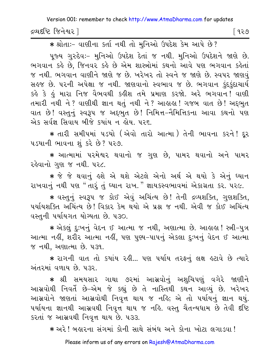દ્રવ્યદષ્ટિ જિનેશ્વર l

િ ૧૨૭

\* श्रोताः- वाशीना sर्ता नथी तो भुनिओ ઉपदेश डेम આપે છે?

પૂજ્ય ગુરુદેવઃ- મુનિઓ ઉપદેશ દેતાં જ નથી. મુનિઓ ઉપદેશને જાણે છે. ભગવાન કહે છે. જિનવર કહે છે એમ શાસ્ત્રોમાં કથનો આવે પણ ભગવાન કહેતાં જ નથી. ભગવાન વાણીને જાણે જ છે. ખરેખર તો સ્વને જ જાણે છે. સ્વપર જાણવું સહજ છે. પરની અપેક્ષા જ નથી. જાણવાનો સ્વભાવ જ છે. ભગવાન કંદકંદાચાર્ય કહે કે હું મારા નિજ વૈભવથી કહીશ તમે પ્રમાણ કરજો. અરે ભગવાન! વાણી તમારી નથી ને ? વાણીથી જ્ઞાન થતું નથી ને ? આહાહા ! ગજબ વાત છે ! અદ્દભુત વાત છે! વસ્તુનું સ્વરૂપ જ અદ્દભુત છે! નિમિત્ત-નૈમિત્તિકના આવા કથનો પણ એક સર્વજ્ઞ સિવાય બીજે કયાંય ન લોય. ૫૨૬.

★ તારી સમીપમાં ૫ડયો (એવો તારો આત્મા)તેની ભાવના કરને! દુર ૫ડયાની ભાવના શું કરે છે? ૫૨૭.

\* આત્મામાં પરમેશ્વર થવાનો જ ગુણ છે, પામર થવાનો અને પામર રહેવાનો ગુણ જ નથી. ૫૨૮.

★ જે જે થવાનું ઙ્શે એ થશે એટલે એનો અર્થ એ થયો કે એનું ઘ્યાન રાખવાનું નથી પણ "તારું તું ઘ્યાન રાખ." જ્ઞાયકસ્વભાવમાં એકાગ્રતા કર. ૫ર૯.

\* વસ્તુનું સ્વરૂપ જ કોઈ એવું અચિંત્ય છે! તેની દ્રવ્યશક્તિ, ગુણશક્તિ, ૫ર્યાયશક્તિ અચિંત્ય છે! વિકાર કેમ થયો એ પ્રશ્ન જ નથી. એવી જ કોઈ અચિંત્ય વસ્તુની પર્યાયગત યોગ્યતા છે. ૫૩૦.

\* એકલું દુઃખનું વેદન ઈ આત્મા જ નથી, અણાત્મા છે. આહાહા ! સ્ત્રી-પુત્ર આત્મા નહીં, શરીર આત્મા નહીં, પણ પુણ્ય-પાપનું એકલા દુ:ખનું વેદન ઈ આત્મા જ નથી, અણાત્મા છે. ૫૩૧.

\* રાગની વાત તો કયાંય રહી... પણ પર્યાય તરફનું લક્ષ હટાવે છે ત્યારે અંતરમાં વળાય છે. ૫૩૨.

★ શ્રી સમયસાર ગાથા ૭૨માં આસ્રવોનું અશુચિપણું વગેરે જાણીને આસવોથી નિવર્તે છે-એમ જે કહ્યું છે તે નાસ્તિથી કથન આવ્યું છે. ખરેખર આસવોને જાણતાં આસવોથી નિવૃત્ત થાય જ નહિ; એ તો પર્યાયનું જ્ઞાન થયું. પર્યાયના જ્ઞાનથી આસ્રવથી નિવત્ત થાય જ નહિ. વસ્તુ ચૈતન્યધામ છે તેવી દષ્ટિ કરતાં જ આસવથી નિવૃત્ત થાય છે. ૫૩૩.

\* અરે! બહારના સંગમાં કોની સાથે સંબંધ અને કોના ખોટા લગાડવા!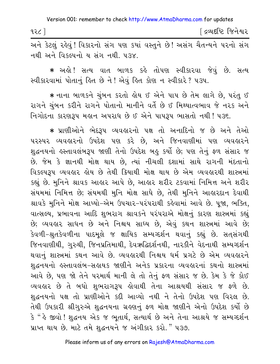| १२८ | <sup>-</sup> દ્રવ્યદષ્ટિ જિનેશ્વર |
|-----|-----------------------------------|
|     |                                   |

અને કેટલું રહેવું! વિકારનો સંગ પણ કયાં વસ્તુને છે! અસંગ ચૈતન્યને પરનો સંગ નથી અને વિકલ્પનો ય સંગ નથી. પ૩૪.

\* અહો! સત્ય વાત બાળક કહે તોપણ સ્વીકારવા જેવું છે. સત્ય સ્વીકારવામાં પોતાનું હિત છે ને ! એવું હિત કોણ ન સ્વીકારે ? ૫૩૫.

\* નાના બાળકને ચુંબન કરતો હોય ઈ એને પાપ છે તેમ લાગે છે, પરંતુ ઈ રાગને ચુંબન કરીને રાગને પોતાનો માનીને વર્તે છે ઈ મિથ્યાત્વભાવ જે નરક અને નિગોદના કારણરૂપ મહાન અપરાધ છે ઈ એને પાપરૂપ ભાસતો નથી ! પ૩૬.

\* પ્રાણીઓને ભેદરૂપ વ્યવહારનો પક્ષ તો અનાદિનો જ છે અને તેઓ ૫૨સ્પર વ્યવહારનો ઉપદેશ પણ કરે છે, અને જિનવાણીમાં પણ વ્યવહારને શુદ્ધનયનો હસ્તાવલંબરૂપ જાણી તેનો ઉપદેશ બહુ કર્યો છે; પણ તેનું ફળ સંસાર જ છે. જેમ કે જ્ઞાનથી મોક્ષ થાય છે, ત્યાં નીચલી દશામાં સાથે રાગની મંદતાનો વિકલ્પરૂપ વ્યવહાર હોય છે તેથી કિયાથી મોક્ષ થાય છે એમ વ્યવહારથી શાસ્ત્રમાં કહ્યું છે. મુનિને શ્રાવક આહાર આપે છે, આહાર શરીર ટકવામાં નિમિત્ત અને શરીર સંયમમાં નિમિત્ત છે; સંયમથી મુનિ મોક્ષ સાધે છે, તેથી મુનિને આહારદાન દેવાથી શ્રાવકે મુનિને મોક્ષ આપ્યો-એમ ઉપચાર-પરંપરાથી કહેવામાં આવે છે. પુજા, ભક્તિ, વાત્સલ્ય, પ્રભાવના આદિ શુભરાગ શ્રાવકને પરંપરાએ મોક્ષનું કારણ શાસ્ત્રમાં કહ્યું છે; વ્યવહાર સાધન છે અને નિશ્ચય સાધ્ય છે, એવું કથન શાસ્ત્રમાં આવે છે; કેવળી-શ્રુતકેવળીના પાદમુલે જ ક્ષાયિક સમ્યગ્દર્શન થવાનું કહ્યું છે. સતસંગથી જિનવાણીથી, ગુરુથી, જિનપ્રતિમાથી, દેવઋદ્ધિદર્શનથી, નારકીને વેદનાથી સમ્યગ્દર્શન થવાનું શાસ્ત્રમાં કથન આવે છે. વ્યવહારથી નિશ્ચય ધર્મ પ્રગટે છે એમ વ્યવહારને શુદ્ધનયનો હસ્તાવલંબ-સહાયક જાણીને અનેક પ્રકારના વ્યવહારનાં કથનો શાસ્ત્રમાં આવે છે, પણ જો તેને પરમાર્થ માની લે તો તેનું ફળ સંસાર જ છે. કેમ કે જે કોઈ વ્યવહાર છે તે બધો શુભરાગરૂપ હોવાથી તેના આશ્રયથી સંસાર જ ફળે છે. શુદ્ધનયનો પક્ષ તો પ્રાણીઓને કદી આવ્યો નથી ને તેનો ઉપદેશ પણ વિરલ છે. તેથી ઉપકારી શ્રીગુરુએ શુદ્ધનયના ગ્રહણનું ફળ મોક્ષ જાણીને એનો ઉપદેશ કર્યો છે કે " હે જીવો ! શુદ્ધનય એક જ ભૂતાર્થ, સત્યાર્થ છે અને તેના આશ્રયે જ સમ્યગ્દર્શન પ્રાપ્ત થાય છે. માટે તમે શુદ્ધનયને જ અંગીકાર કરો." ૫૩૭.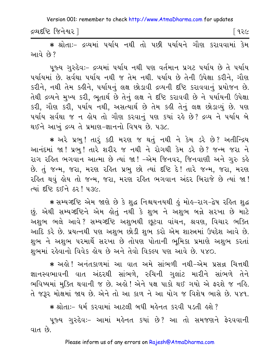દ્રવ્યદષ્ટિ જિનેશ્વર l

િવ૨૯

\* શ્રોતાઃ- દ્રવ્યમાં પર્યાય નથી તો પછી પર્યાયને ગૌણ કરાવવામાં કેમ આવે છે?

પુજ્ય ગુરુદેવઃ- દ્રવ્યમાં ૫ર્યાય નથી ૫ણ વર્તમાન પ્રગટ ૫ર્યાય છે તે ૫ર્યાય પર્યાયમાં છે. સર્વથા પર્યાય નથી જ તેમ નથી. પર્યાય છે તેની ઉપેક્ષા કરીને, ગૌણ કરીને, નથી તેમ કહીને, પર્યાયનું લક્ષ છોડાવી દ્રવ્યની દષ્ટિ કરાવવાનું પ્રયોજન છે. તેથી દ્રવ્યને મુખ્ય કરી, ભુતાર્થ છે તેનું લક્ષ ને દૃષ્ટિ કરાવવી છે ને પર્યાયની ઉપેક્ષા કરી, ગૌણ કરી, પર્યાય નથી, અસત્યાર્થ છે તેમ કહી તેનું લક્ષ છોડાવ્યું છે. પણ પર્યાય સર્વથા જ ન હોય તો ગૌણ કરવાનું પણ કયાં રહે છે? દ્રવ્ય ને પર્યાય બે થઈને આખું દ્રવ્ય તે પ્રમાણ-જ્ઞાનનો વિષય છે. ૫૩૮.

\* અરે પ્રભુ! તારૂં કદી મરણ જ થતું નથી ને કેમ ડરે છે? અતીન્દ્રિય આનંદમાં જા! પ્રભુ! તારે શરીર જ નથી ને રોગથી કેમ ડરે છે? જન્મ જરા ને રાગ રહિત ભગવાન આત્મા છે ત્યાં જા! -એમ જિનવર, જિનવાણી અને ગુરુ કહે છે. તું જન્મ, જરા, મરણ રહિત પ્રભુ છો ત્યાં દષ્ટિ દે! તારે જન્મ, જરા, મરણ રહિત થવું હોય તો જન્મ, જરા, મરણ રહિત ભગવાન અંદર બિરાજે છે ત્યાં જા! ત્યાં દૃષ્ટિ દઈને ઠર! ૫૩૯.

∗ સમ્યગ્દષ્ટિ એમ જાણે છે કે શુદ્ધ નિશ્ચયનયથી હું મોહ−રાગ−દ્વેષ રહિત શુદ્ધ છું. એથી સમ્યગ્દષ્ટિને એમ લોતું નથી કે શુભ ને અશુભ બન્ને સરખા છે માટે અશુભ ભલે આવે? સમ્યગ્દષ્ટિ અશુભથી છુટવા વાંચન, શ્રવણ, વિચાર ભક્તિ આદિ કરે છે. પ્રયત્નથી પણ અશુભ છોડી શુભ કરો એમ શાસ્ત્રમાં ઉપદેશ આવે છે. શુભ ને અશુભ પરમાર્થે સરખા છે તોપણ પોતાની ભુમિકા પ્રમાણે અશુભ કરતાં શભમાં રહેવાનો વિવેક હોય છે અને તેવો વિકલ્પ પણ આવે છે. ૫૪૦.

\* અલે! અનંતકાળમાં આ વાત અમે સાંભળી નથી-એમ પ્રસન્ન ચિત્તથી જ્ઞાનસ્વભાવની વાત અંદરથી સાંભળે, રુચિની ગલાંટ મારીને સાંભળે તેને ભવિષ્યમાં મુક્તિ થવાની જ છે. અલે! એને પક્ષ પાકો થઈ ગયો એ ફરશે જ નહિ. તે જરૂર મોક્ષમાં જાય છે. એને તો આ કાળ ને આ યોગ જ વિશેષ ભાસે છે. ૫૪૧.

\* श्रोताः- धर्म કરવામાં આટલી બધી મહેનત કરવી પડતી હશે? પૂજ્ય ગુરુદેવઃ- આમાં મહેનત કયાં છે? આ તો સમજણને ફેરવવાની વાત છે.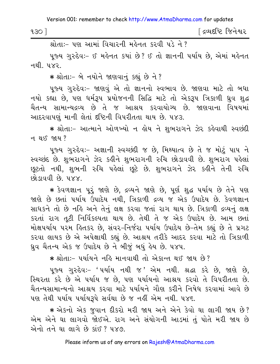श्रीताः - पण आमां वियारनी मर्डनत १२वी पुरे ने ?

પૂજ્ય ગુરુદેવઃ- ઈ મહેનત કયાં છે? ઈ તો જ્ઞાનની પર્યાય છે, એમાં મહેનત नथी प×२

\* श्रोता :- બે नयोने જાણવાનું કહ્યું છે ને?

પૂજ્ય ગુરુદેવઃ- જાણવું એ તો જ્ઞાનનો સ્વભાવ છે. જાણવા માટે તો બધા નયો કહ્યા છે. પણ ધર્મરૂપ પ્રયોજનની સિદ્ધિ માટે તો એકરૂપ ત્રિકાળી ધ્રુવ શુદ્ધ ચૈતન્ય સામાન્યદ્રવ્ય છે તે જ આશ્રય કરવાયોગ્ય છે. જાણવાના વિષયમાં આદરવાપણું માની લેતાં દષ્ટિની વિપરીતતા થાય છે. ૫૪૩.

★ શ્રોતાઃ− આત્માને ઓળખ્યો ન હોય ને શભરાગને ઝેર કહેવાથી સ્વછંદી ન થઈ જાય?

પુજ્ય ગુરુદેવઃ- અજ્ઞાની સ્વચ્છંદી જ છે, મિથ્યાત્વ છે તે જ મોટું પાપ ને સ્વચ્છંદ છે. શુભરાગને ઝેર કહીને શુભરાગની રુચિ છોડાવવી છે. શુભરાગ પહેલાં છુટતો નથી. શભની રુચિ પહેલાં છુટે છે. શભરાગને ઝેર કહીને તેની રુચિ છોડાવવી છે. ૫૪૪.

\* કેવળજ્ઞાન પૂરું જાણે છે, દ્રવ્યને જાણે છે, પૂર્ણ શુદ્ધ પર્યાય છે તેને પણ જાણે છે છતાં પર્યાય ઉપાદેય નથી. ત્રિકાળી દ્રવ્ય જ એક ઉપાદેય છે. કેવળજ્ઞાન સાધકને તો છે નહિ અને તેનું લક્ષ કરવા જતાં રાગ થાય છે. ત્રિકાળી દ્રવ્યનું લક્ષ કરતાં રાગ તટી નિર્વિકલ્પતા થાય છે. તેથી તે જ એક ઉપાદેય છે. આમ છતાં મોક્ષપર્યાય પરમ હિતકર છે, સંવર-નિર્જરા પર્યાય ઉપાદેય છે-તેમ કહ્યું છે તે પ્રગટ કરવા લાયક છે એ અપેક્ષાથી કહ્યું છે. આશ્રય તરીકે આદર કરવા માટે તો ત્રિકાળી ઘ્રુવ ચૈતન્ય એક જ ઉપાદેય છે ને બીજું બધું હેય છે. ૫૪૫.

\* श्रोता:- पर्यायने नङि भानवाथी तो એशन्त थर्छ श्रय छे?

પુજ્ય ગુરુદેવઃ- 'પર્યાય નથી જ ' એમ નથી. શ્રદ્ધા કરે છે, જાણે છે, સ્થિરતા કરે છે એ પર્યાય જ છે, પણ પર્યાયનો આશ્રય કરવો તે વિપરીતતા છે. ચૈતન્યસામાન્યનો આશ્રય કરવા માટે પર્યાયને ગૌણ કરીને નિષેધ કરવામાં આવે છે પણ તેથી પર્યાય પર્યાયરૂપે સર્વથા છે જ નહીં એમ નથી. ૫૪૬.

★ એકનો એક જુવાન દીકરો મરી જાય અને એને કેવો ઘા લાગી જાય છે? એમ એને ઘા લાગવો જોઈએ. રાગ અને સંયોગની આડમાં તું પોતે મરી જાય છે એનો તને ઘા લાગે છે કાંઈ ? ૫૪૭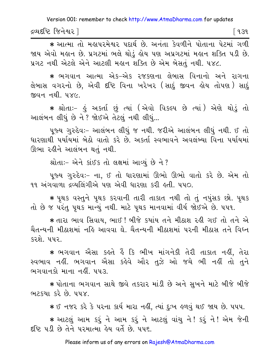દ્રવ્યદષ્ટિ જિનેશ્વર l િવ૩૧

\* આત્મા તો મહાપરમેશ્વર પદાર્થ છે. અનંતા કેવળીને પોતાના પેટમાં ગળી જાય એવો મહાન છે. પ્રગટમાં ભલે થોડં હોય પણ અપ્રગટમાં મહાન શક્તિ પડી છે. પ્રગટ નથી એટલે એને આટલી મહાન શક્તિ છે એમ બેસતું નથી. ૫૪૮.

\* ભગવાન આત્મા એક-એક રજકણના લેબાસ વિનાનો અને રાગના લેબાસ વગરનો છે, એવી દષ્ટિ વિના ખરેખર (સાદું જીવન લોય તોપણ) સાદું જીવન નથી. ૫૪૯

\* શ્રોતાઃ- કું અકર્તા છું ત્યાં (એવો વિકલ્પ છે ત્યાં) એણે થોડું તો આલંબન લીધું છે ને ? જોઈએ તેટલું નથી લીધું...

પૂજ્ય ગુરુદેવઃ- આલંબન લીધું જ નથી. જરીએ આલંબન લીધું નથી. ઈ તો ધારણાથી પર્યાયમાં બેઠો વાતો કરે છે. અકર્તા સ્વભાવને અવલંબ્યા વિના પર્યાયમાં ઊભા રહીને આલંબન થતું નથી.

શ્રોતાઃ- એને કાંઈક તો લક્ષમાં આવ્યું છે ને ?

પુજ્ય ગુરુદેવઃ- ના, ઈ તો ધારણામાં ઊભો ઊભો વાતો કરે છે. એમ તો ૧૧ અંગવાળા દ્રવ્યલિંગીએ પણ એવી ધારણા કરી હતી. ૫૫૦.

\* પથક વસ્તને પથક કરવાની તારી તાકાત નથી તો તું નપુંસક છો. પથક તો છે જ પરંતુ પૃથક માન્યું નથી. માટે પૃથક માનવામાં વીર્ય જોઈએ છે. ૫૫૧.

\* તારા ભાવ સિવાય. ભાઈ ! બીજે કયાંય તને મીઠાશ રહી ગઈ તો તને એ ચૈતન્યની મીઠાશમાં નહિ આવવા ઘે. ચૈતન્યની મીઠાશમાં ૫૨ની મીઠાસ તને વિઘ્ન કરશે પપર

\* ભગવાન ઐસા કુલતે હૈં કિ ભીખ માંગનેકી તેરી તાકાત નહીં, તેરા સ્વભાવ નહીં. ભગવાન ઐસા કહેવે ઔર તુઝે ઓ જચે ભી નહીં તો તુને ભગવાનકો માના નહીં. ૫૫૩.

\* પોતાના ભગવાન સાથે જીવે તકરાર માંડી છે અને સખને માટે બીજે બીજે ભટકયા કરે છે. ૫૫૪.

∗ઈ નજર કરે કે પરના કાર્ય મારા નહીં, ત્યાં દુઃખ હળવું થઈ જાય છે. ૫૫૫.

★ આટલું આમ કરૂં ને આમ કરૂં ને આટલું વાંચુ ને! કરૂં ને! એમ જેની દૃષ્ટિ ૫ડી છે તેને ૫૨માત્મા હેય વર્તે છે. ૫૫૬.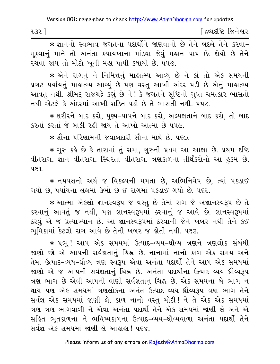\* જ્ઞાનનો સ્વભાવ જગતના પદાર્થોને જાણવાનો છે તેને બદલે તેને કરવા-મકવાનું માને તો અનંતા કપાયખાના માંડવા જેવું મહાન પાપ છે. જ્ઞેયો છે તેને રચવા જાય તો મોટો ખુની મહા પાપી કપાયી છે. ૫૫૭.

\* એને રાગનું ને નિમિત્તનું માહ્યત્મ્ય આવ્યું છે ને કાં તો એક સમયની પ્રગટ પર્યાયનું માહાત્મ્ય આવ્યું છે પણ વસ્તુ આખી અંદર પડી છે એનું માહાત્મ્ય આવતું નથી. શ્રીમદ્દ રાજચંદ્રે કહ્યું છે ને ! કે જગતને સૃષ્ટિનો ગુપ્ત ચમત્કાર ભાસતો નથી એટલે કે અંદરમાં આખી શક્તિ પડી છે તે ભાસતી નથી. ૫૫૮.

\* શરીરને બાદ કરો, પુણ્ય-પાપને બાદ કરો, અલ્પજ્ઞતાને બાદ કરો, તો બાદ કરતાં કરતાં જે બાકી રહી જાય તે આખો આત્મા છે ૫૫૯.

∗ સૌના પરિણામની જવાબદારી સૌના માથે છે. પદ∩ા

∗ ગુરુ કહે છે કે તારામાં તું સમા, ગુરુની પ્રથમ આ આજ્ઞા છે. પ્રથમ દષ્ટિ વીતરાગ, જ્ઞાન વીતરાગ, સ્થિરતા વીતરાગ. ત્રણકાળના તીર્થંકરોનો આ હુકમ છે.  $459$ 

\* નયપક્ષનો અર્થ જ વિકલ્પની મમતા છે, અભિનિવેષ છે, ત્યાં પકડાઈ ગયો છે, પર્યાયના લક્ષમાં ઉભો છે ઈ રાગમાં ૫કડાઈ ગયો છે. ૫૬૨.

\* આત્મા એકલો જ્ઞાનસ્વરૂપ જ વસ્તુ છે તેમાં રાગ જે અજ્ઞાનસ્વરૂપ છે તે કરવાનું આવતું જ નથી, પણ જ્ઞાનસ્વરૂપમાં ઠરવાનું જ આવે છે. જ્ઞાનસ્વરૂપમાં ઠરવું એ જ પ્રત્યાખ્યાન છે. આ જ્ઞાનસ્વરૂપમાં ઠરવાની જેને ખબર નથી તેને કઈ ભમિકામાં કેટલો રાગ આવે છે તેની ખબર જ હોતી નથી. પદ૩.

\* પ્રભુ ! આપ એક સમયમાં ઉત્પાદ-વ્યય-ઘ્રૌવ્ય ત્રણને ત્રણલોક સંબંધી જાણો છો એ આપની સર્વજ્ઞતાનું ચિહ્ન છે. નાનામાં નાનો કાળ એક સમય અને તેમાં ઉત્પાદ-વ્યય-ઘ્રૌવ્ય ત્રણ સ્વરૂપ એવા અનંતા પદાર્થી તેને આપ એક સમયમાં જાણો એ જ આપની સર્વજ્ઞતાનું ચિહ્ન છે. અનંતા પદાર્થોના ઉત્પાદ-વ્યય-ઘ્રૌવ્યરૂપ ત્રણ ભાગ છે એવી આપની વાણી સર્વજ્ઞતાનું ચિહ્ન છે. એક સમયના બે ભાગ ન થાય પણ એક સમયમાં ત્રણલોકના અનંત ઉત્પાદ-વ્યય-ઘ્રૌવ્યરૂપ ત્રણ ભાગ તેને સર્વજ્ઞ એક સમયમાં જાણી લે. કાળ નાનો વસ્તુ મોટી! ને તે એક એક સમયમાં ત્રણ ત્રણ ભાગવાળી ને એવા અનંતા પદાર્થો તેને એક સમયમાં જાણી લે અને એ સહિત ભૂતકાળના ને ભવિષ્યકાળના ઉત્પાદ-વ્યય-ઘ્રૌવ્યવાળા અનંતા પદાર્થો તેને સર્વજ્ઞ એક સમયમાં જાણી લે આહાહા ! ૫૬૪.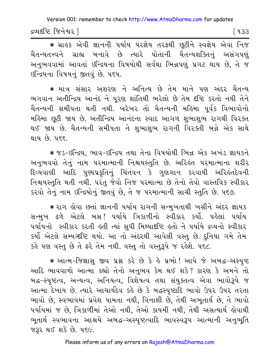દ્રવ્યદષ્ટિ જિનેશ્વર l

િ ૧૩૩

\* ગ્રાહક એવી જ્ઞાનની ૫ર્યાય ૫૨જ્ઞેય ત૨ફથી છૂટીને સ્વજ્ઞેય એવા નિજ ચૈતન્યતત્ત્વને ગ્રાહ્ય બનાવે છે ત્યારે પોતાની ચૈતન્યશક્તિનું અસંગપણું અનુભવવામાં આવતાં ઇન્દ્રિયના વિષયોથી સર્વથા ભિન્નપણું પ્રગટ થાય છે, તે જ ४न्द्रियना विषयनुं क्षतवुं છે. पहप.

\* માત્ર સંસાર અશરણ ને અનિત્ય છે તેમ માને પણ અંદર ચૈતન્ય ભગવાન અતીન્દ્રિય આનંદ ને પૂરણ શાંતિથી ભરેલો છે તેમ દૃષ્ટિ કરતો નથી તેને ચૈતન્યની સમીપતા થતી નથી. ખરેખર તો ચૈતન્યની મહિમા પૂર્વક વિભાવોનો મહિમા છૂટી જાય છે. અતીન્દ્રિય આનંદના સ્વાદ આગળ શુભાશુભ રાગથી વિરક્ત થઈ જાય છે. ચૈતન્યની સમીપતા ને શુભાશુભ રાગની વિરક્તી બન્ને એક સાથે થાય છે. ૫૬૬.

\* જડ-ઇન્દ્રિય, ભાવ-ઇન્દ્રિય તથા તેના વિષયોથી ભિન્ન એક અખંડ જ્ઞાયકને અનુભવવો તેનું નામ પરમાત્માની નિશ્ચયસ્તુતિ છે. અરિલ્ંત પરમાત્માના શરીર દિવ્યવાણી આદિ પુણ્યપ્રકૃતિનું ચિંતવન કે ગુણગાન કરવાથી અરિહંતદેવની નિશ્ચયસ્તુતિ થતી નથી. પરંતુ જેવો નિજ પરમાત્મા છે તેનો તેવો વાસ્તવિક સ્વીકાર કરવો તેનું નામ ઇન્દ્રિયોનું જીતવું છે, તે જ પરમાત્માની સાચી સ્તુતિ છે. ૫૬૭.

\* રાગ હોવા છતાં જ્ઞાનની પર્યાય રાગની સન્મુખતાથી ખસીને અંદર જ્ઞાયક સન્મખ ઢળે એટલે બસ! પર્યાયે ત્રિકાળીનો સ્વીકાર કર્યો. પહેલાં પર્યાય પર્યાયનો સ્વીકાર કરતી હતી ત્યાં સુધી મિથ્યાદષ્ટિ હતો ને પર્યાયે દ્રવ્યનો સ્વીકાર કર્યો એટલે સમ્યગ્દષ્ટિ થયો. આ તો અંદરથી આવેલી વસ્તુ છે. દુનિયા ગમે તેમ કહે પણ વસ્તુ છે તે ફરે તેમ નથી. વસ્તુ તો વસ્તુરૂપે જ રહેશે. ૫૬૮.

\* આત્મ-જિજ્ઞાસુ જીવ પ્રશ્ન કરે છે કે હે પ્રભો! આપે જે અબદ્ધ-અસ્પુષ્ટ આદિ ભાવવાળો આત્મા કહ્યો તેનો અનુભવ કેમ થઈ શકે? કારણ કે અમને તો બદ્ધ-સ્પષ્ટત્વ, અન્યત્વ, અનિયત્વ, વિશેષત્વ તથા સંયુક્તત્વ એવા ભાવોરૂપે જ આત્મા દેખાય છે. ત્યારે આચાર્યદેવ કહે છે કે બદ્ધસ્પૃષ્ટાદિ ભાવો ઉપર ઉપર તરતા ભાવો છે, સ્વભાવમાં પ્રવેશ પામતા નથી, વિનાશી છે, તેથી અભૂતાર્થ છે, તે ભાવો ૫ર્યાયમાં જ છે, ત્રિકાળીમાં તેઓ નથી, તેઓ કાયમી નથી, તેથી અસત્યાર્થ લેવાથી ભૂતાર્થ સ્વભાવના આશ્રયે અબદ્ધ–અસ્પૃષ્ટત્વાદિ ભાવસ્વરૂપ આત્માની અનુભૂતિ જરૂર થઈ શકે છે. ૫૬૯.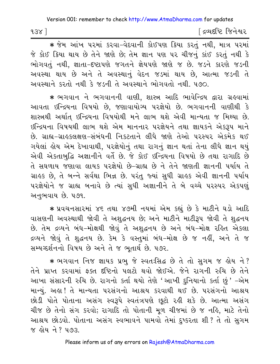| $938$ ] | ∫ દ્રવ્યદષ્ટિ જિનેશ્વર |
|---------|------------------------|
|---------|------------------------|

\* જેમ આંખ પરમાં કરવા-વેદવાની કોઈપણ ક્રિયા કરતું નથી, માત્ર પરમાં જે કોઈ ક્રિયા થાય છે તેને જાણે છે; તેમ જ્ઞાન પણ પર ચીજનું કાંઈ કરતું નથી કે ભોગવતું નથી, જ્ઞાતા-દષ્ટાપણે જગતને જ્ઞેયપણે જાણે જ છે. જડને કારણે જડની અવસ્થા થાય છે અને તે અવસ્થાનું વેદન જડમાં થાય છે, આત્મા જડની તે અવસ્થાને કરતો નથી કે જડની તે અવસ્થાને ભોગવતો નથી ૫૭૦

\* ભગવાન ને ભગવાનની વાણી, શાસ્ત્ર આદિ ભાવેન્દ્રિય દ્વારા ગ્રહવામાં આવતા ઇન્દ્રિયના વિષયો છે, જણાવાયોગ્ય પરજ્ઞેયો છે. ભગવાનની વાણીથી કે શાસ્ત્રથી અર્થાત ઇન્દ્રિયના વિષયોથી મને લાભ થશે એવી માન્યતા જ મિથ્યા છે. ઇન્દ્રિયના વિષયથી લાભ થશે એમ માનનાર પરજ્ઞેયને તથા જ્ઞાયકને એકરૂપ માને છે. ગ્રાહ્ય-ગ્રાહકલક્ષણ-સંબંધની નિકટતાને લીધે જાણે તેઓ પરસ્પર એકમેક થઈ ગયેલાં હોય એમ દેખાવાથી, પરજ્ઞેયોનું તથા રાગનું જ્ઞાન થતાં તેના લીધે જ્ઞાન થયું એવી એકતાબુદ્ધિ અજ્ઞાનીને વર્તે છે. જે કોઈ ઇન્દ્રિયના વિષયો છે તથા રાગાદિ છે તે સઘળાય જણાવા લાયક પરજ્ઞેયો છે-ગ્રાહ્ય છે ને તેને જાણતી જ્ઞાનની પર્યાય તે ગ્રાહક છે, તે બન્ને સર્વથા ભિન્ન છે. પરંતુ જ્યાં સુધી ગ્રાહક એવી જ્ઞાનની પર્યાય પરજ્ઞેયોને જ ગ્રાહ્ય બનાવે છે ત્યાં સુધી અજ્ઞાનીને તે બે વચ્ચે પરસ્પર એકપણું અનુભવાય છે. ૫૭૧.

\* પ્રવચનસારમાં ૪૬ તથા ૪૭મી નયમાં એમ કહ્યું છે કે માટીને ઘડો આદિ વાસણની અવસ્થાથી જોવી તે અશુદ્ધનય છે; અને માટીને માટીરૂપ જોવી તે શુદ્ધનય છે. તેમ દ્રવ્યને બંધ-મોક્ષથી જોવું તે અશુદ્ધનય છે અને બંધ-મોક્ષ રહિત એકલા દ્રવ્યને જોવું તે શુદ્ધનય છે. કેમ કે વસ્તુમાં બંધ-મોક્ષ છે જ નહીં, અને તે જ સમ્યગ્દર્શનનો વિષય છે અને તે જ ભુતાર્થ છે. ૫૭૨.

\* ભગવાન નિજ જ્ઞાયક પ્રભુ જે સ્વતઃસિદ્ધ છે તે તો સુગમ જ હોય ને? તેને પ્રાપ્ત કરવામાં ફક્ત દષ્ટિનો પલટો થવો જોઈએ. જેને રાગની રુચિ છે તેને આખા સંસારની રુચિ છે. રાગનો કર્તા થયો તેણે 'આખી દુનિયાનો કર્તા છું ' –એમ માન્યું. અહા ! તે માન્યતા પરસંગનો આશ્રય કરવાથી થઈ છે. પરસંગનો આશ્રય છોડી પોતે પોતાના અસંગ સ્વરૂપે સ્વતંત્રપણે છુટો રહી શકે છે. આત્મા અસંગ ચીજ છે તેનો સંગ કરવો; રાગાદિ તો પોતાની મૂળ ચીજમાં છે જ નહિ, માટે તેનો આશ્રય છોડવો. પોતાના અસંગ સ્વભાવને પામવો તેમાં દુષ્કરતા શી ? તે તો સુગમ જ હોય ને ? ૫૭૩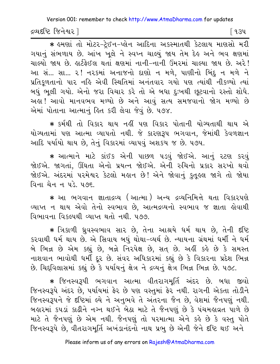દ્રવ્યદષ્ટિ જિનેશ્વર l

િવ૩૫

\* इमर्शा तो मोटर-ट्रेछन-प्लेन આદિना અકસ્માતથી કેટલાય માણસો મરી ગયાનું સંભળાય છે. આંખ ખુલે ને સ્વપ્ન ચાલ્યું જાય તેમ દેહ અને ભવ ક્ષણમાં ચાલ્યો જાય છે. હાર્ટફેઈલ થતાં ક્ષણમાં નાની-નાની ઉંમરમાં ચાલ્યા જાય છે. અરે! આ સં... સા... ૨! ન૨કમાં અનાજનો દાણો ન મળે, પાણીનો બિંદુ ન મળે ને પ્રતિકૂળતાનો પાર નહિ એવી સ્થિતિમાં અનંતવાર ગયો પણ ત્યાંથી નીકળ્યો ત્યાં બધું ભલી ગયો. એનો જરા વિચાર કરે તો એ બધા દઃખથી છુટવાનો રસ્તો શોધે. અહ્ય! આવો માનવભવ મળ્યો છે અને આવું સત્ય સમજવાનો જોગ મળ્યો છે એમાં પોતાના આત્માનં હિત કરી લેવા જેવં છે. ૫૭૪.

\* કર્મથી તો વિકાર થાય નહીં પણ વિકાર પોતાની યોગ્યતાથી થાય એ યોગ્યતામાં પણ આત્મા વ્યાપતો નથી. જે કારણરૂપ ભગવાન, જેમાંથી કેવળજ્ઞાન આદિ પર્યાયો થાય છે. તેનું વિકારમાં વ્યાપવું અશકય જ છે. ૫૭૫.

\* આત્માને માટે કાંઈક એની પાછળ પડવું જોઈએ. આનું ૨ટણ કરવું જોઈએ. જાગતાં, ઊંઘતા એનો પ્રયત્ન જોઈએ. એની રુચિનો પ્રકાર સરખો થવો જોઈએ. અંદરમાં પરમેશ્વર કેટલો મહાન છે! એને જોવાનું કુતુહલ જાગે તો જોયા વિના ચેન ન પડે. ૫૭૬.

\* આ ભગવાન જ્ઞાતાદ્રવ્ય (આત્મા) અન્ય દ્રવ્યનિમિત્તે થતા વિકારપણે વ્યાપ્ત ન થાય એવો તેનો સ્વભાવ છે, આત્મદ્રવ્યનો સ્વભાવ જ જ્ઞાતા હોવાથી વિભાવના વિકલ્પથી વ્યાપ્ત થતો નથી. ૫૭૭.

★ ત્રિકાળી ધ્રુવસ્વભાવ સાર છે, તેના આશ્રયે ધર્મ થાય છે, તેની દષ્ટિ કરવાથી ધર્મ થાય છે. એ સિવાય બધું થોથા-વ્યર્થ છે. ન્યાયના ગ્રંથમાં ધર્મી ને ધર્મ બે ભિન્ન છે એમ કહ્યું છે, બન્ને નિરપેક્ષ છે, સત છે. અહીં કહે છે કે સમસ્ત નાશવાન ભાવોથી ધર્મી દૂર છે. સંવર અધિકારમાં કહ્યું છે કે વિકારના પ્રદેશ ભિન્ન છે. ચિદ્દવિલાસમાં કહ્યું છે કે પર્યાયનું ક્ષેત્ર ને દ્રવ્યનું ક્ષેત્ર ભિન્ન ભિન્ન છે. ૫૭૮.

★ જિનસ્વરૂપી ભગવાન આત્મા વીતરાગમૂર્તિ અંદર છે. બધા જીવો જિનસ્વરૂપે અંદર છે, પર્યાયમાં ફેર છે પણ વસ્તુમાં ફેર નથી. રાગની એકતા તોડીને જિનસ્વરૂપને જે દષ્ટિમાં લ્યે ને અનુભવે તે અંતરના જૈન છે, વેશમાં જૈનપણું નથી. બહારમાં કપડાં કાઢીને નગ્ન થઈને બેઠા માટે તે જૈનપણું છે કે પંચમહાવ્રત પાળે છે માટે તે જૈનપણું છે એમ નથી. જૈનપણું તો પરમાત્મા એને કહે છે કે વસ્તુ પોતે જિનસ્વરૂપે છે, વીતરાગમૂર્તિ અખંડાનંદનો નાથ પ્રભુ છે એની જેને દષ્ટિ થઈ અને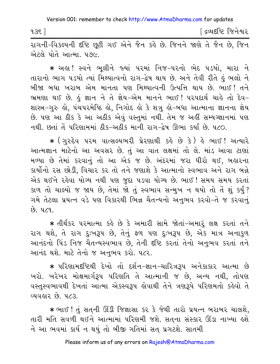$935$ ]

∫ દ્રવ્યદષ્ટિ જિનેશ્વર

રાગની-વિકલ્પની દૃષ્ટિ છૂટી ગઈ એને જૈન કહે છે. જિનને જાણે તે જૈન છે, જિન એટલે પોતે આત્મા, પ૭૯.

\* અહા! સ્વને ભલીને જ્યાં પરમાં નિજ-પરનો ભેદ પડયો. મારા ને તારાનો ભાગ ૫ડયો ત્યાં મિથ્યાત્વનો રાગ-દ્વેષ થાય છે. અને તેવી રીતે કું ભલો ને બીજા બધા ખરાબ એમ માનતા પણ મિથ્યાત્વની ઉત્પત્તિ થાય છે. ભાઈ! તને ભ્રમણા થઈ છે. કું જ્ઞાન ને તે જ્ઞેય-એમ માનને ભાઈ! પરપદાર્થ ચાકે તો દેવ-શાસ્ત્ર-ગુરુ હો, પંચપરમેષ્ઠિ હો, નિગોદ હો કે શત્રુ હો-બધા આત્માના જ્ઞાનના જ્ઞેય છે. પણ આ ઠીક કે આ અઠીક એવું વસ્તુમાં નથી. તેમ જ અહીં સમ્યગ્જ્ઞાનમાં પણ નથી છતાં તેં પરિણામમાં ઠીક-અઠીક માની રાગ-દેષ ઊભા કર્યાં છે ૫૮૦

\* ( गुरुद्देव परम वात्सल्य तरी प्रेरशाथी s के छे डे) के लाछ! अत्यारे આત્મજ્ઞાન માટેનો આ અવસર છે. તું આ વાત લક્ષમાં તો લે. માંડ આવા ટાણાં મળ્યા છે તેમાં કરવાનું તો આ એક જ છે. અંદરમાં જરા ધીરો થઈ, બહારના કાર્યોનો રસ છોડી, વિચાર કર તો તને જણાશે કે આત્માનો સ્વભાવ અને રાગ બન્ને એક થઈને રહેવા યોગ્ય નથી પણ જુદા પડવા યોગ્ય છે. ભાઈ ! સમય સમય કરતાં કાળ તો ચાલ્યો જ જાય છે, તેમાં જો તું સ્વભાવ સન્મુખ ન થયો તો તે શું કર્યું? ગમે તેટલા પ્રયત્ન વડે પણ વિકારથી ભિન્ન ચૈતન્યનો અનભવ કરવો-તે જ કરવાનં  $69.479.$ 

\* તીર્થંકર પરમાત્મા કહે છે કે અમારી સામે જોતાં-અમાર લક્ષ કરતાં તને રાગ થશે, તે રાગ દુઃખરૂપ છે, તેનું ફળ પણ દુઃખરૂપ છે, એક માત્ર અનાકુળ આનંદનો પિંડ નિજ ચૈતન્યસ્વભાવ છે, તેની દૃષ્ટિ કરતાં તેનો અનુભવ કરતાં તને આનંદ થશે. માટે તેનો જ અનુભવ કરો. ૫૮૨.

∗ પરિણામદષ્ટિથી દેખો તો દર્શન−જ્ઞાન−ચારિત્રરૂપ અનેકાકાર આત્મા છે ખરો. ખરેખર મોક્ષમાર્ગરૂપ પરિણતિ તે આત્માની જ છે, અન્ય નથી, તોપણ વસ્તુસ્વભાવથી દેખતાં આત્મા એકસ્વરૂપ હોવાથી તેને ત્રણરૂપે પરિણમતો કહેવો તે વ્યવહાર છે. ૫૮૩.

\* ભાઈ ! તું સતની ઊંડી જિજ્ઞાસા કર કે જેથી તારો પ્રયત્ન બરાબર ચાલશે. તારી મતિ સવળી થઈને આત્મામાં પરિણમી જશે. સતના સંસ્કાર ઊંડા નાખ્યા હશે ને આ ભવમાં કાર્ય ન થયું તો બીજી ગતિમાં સત પ્રગટશે. સાતમી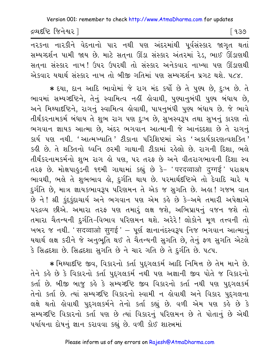દ્રવ્યદષ્ટિ જિનેશ્વર |

ન૨કના ના૨કીને વેદનાનો પા૨ નથી પણ અંદ૨માંથી પૂર્વસંસ્કા૨ જાગૃત થતાં સમ્યગ્દર્શન પામી જાય છે. માટે સત્ના ઊંડા સંસ્કાર અંતરમાં રેડ, ભાઈ ઊંડાણથી સતના સંસ્કાર નાખ! ઉપર ઉપરથી તો સંસ્કાર અનેકવાર નાખ્યા પણ ઊંડાણથી એકવાર યથાર્થ સંસ્કાર નાખ તો બીજી ગતિમાં પણ સમ્યગ્દર્શન પ્રગટ થશે. ૫૮૪.

\* દયા, દાન આદિ ભાવોમાં જે રાગ મંદ કર્યો છે તે પુણ્ય છે, દુઃખ છે. તે ભાવમાં સમ્યગ્દષ્ટિને, તેનું સ્વામિત્વ નહીં હોવાથી, પુણ્યાનુબંધી પુણ્ય બંધાય છે, અને મિથ્યાદષ્ટિને, રાગનું સ્વામિત્વ કોવાથી, પાપનુબંધી પુણ્ય બંધાય છે. જે ભાવે તીર્થંકરનામકર્મ બંધાય તે શુભ રાગ પણ દુઃખ છે, સુખસ્વરૂપ તથા સુખનું કારણ તો ભગવાન જ્ઞાયક આત્મા છે, અંદર ભગવાન આત્માની જે આનંદદશા છે તે રાગનું કાર્ય પણ નથી. 'આત્મખ્યાતિ 'ટીકાના પરિશિષ્ટમાં એક 'અકાર્યકારણત્વશક્તિ ' કહી છે. તે શક્તિનો ધ્વનિ ૭૨મી ગાથાની ટીકામાં રહેલો છે. રાગની દિશા, ભલે તીર્થંકરનામકર્મનો શુભ રાગ હો પણ, પર તરફ છે અને વીતરાગભાવની દિશા સ્વ તરફ છે. મોક્ષપાહુડની ૧૬મી ગાથામાં કહ્યું છે કે- 'परदव्वाओ दुग्गई' પરાશ્રય ભાવથી, ભલે તે શુભભાવ હો, દુર્ગતિ થાય છે. ૫૨માર્થદષ્ટિએ તો દેવાદિ ચારે ય દુર્ગતિ છે, માત્ર જ્ઞાયકભાવરૂપ પરિણમન તે એક જ સુગતિ છે. અહ્ય! ગજબ વાત છે ને ! શ્રી કુંદકુંદાચાર્ય અને ભગવાન પણ એમ કહે છે કે-અમે તમારી અપેક્ષાએ પરદ્રવ્ય છીએ. અમારા તરફ પણ તમારું લક્ષ જશે, અભિપ્રાયનું વજન જશે તો તમારા ચૈતન્યની દુર્ગતિ-વિભાવ પરિણમન થશે. અરેરે! લોકોને મૂળ તત્ત્વની તો ખબર જ નથી. ' सदव्वाओ सुगई ' - પૂર્ણ જ્ઞાનાનંદસ્વરૂપ નિજ ભગવાન આત્માનું યથાર્થ લક્ષ કરીને જે અનુભૂતિ થઈ તે ચૈતન્યની સુગતિ છે, તેનું ફળ સુગતિ એટલે કે સિદ્ધદશા છે. સિદ્ધદશા સુગતિ છે ને ચાર ગતિ છે તે દુર્ગતિ છે. ૫૮૫.

\* મિથ્યાદષ્ટિ જીવ, વિકારનો કર્તા પુદગલકર્મ આદિ નિમિત્ત છે તેમ માને છે. તેને કહે છે કે વિકારનો કર્તા પદગલકર્મ નથી પણ અજ્ઞાની જીવ પોતે જ વિકારનો કર્તા છે. બીજી બાજુ કહે કે સમ્યગ્દષ્ટિ જીવ વિકારનો કર્તા નથી પણ પુદ્દગલકર્મ તેનો કર્તા છે. ત્યાં સમ્યગ્દષ્ટિ વિકારનો સ્વામી ન હોવાથી અને વિકાર પુદ્દગલના લક્ષે થતો હોવાથી પુદગલકર્મને તેનો કર્તા કહ્યું છે. વળી એમ પણ કહે છે કે સમ્યગ્દષ્ટિ વિકારનો કર્તા પણ છે ત્યાં વિકારનું પરિણમન છે તે પોતાનું છે એથી પર્યાયના દોષનું જ્ઞાન કરાવવા કહ્યું છે. વળી કોઈ શાસ્ત્રમાં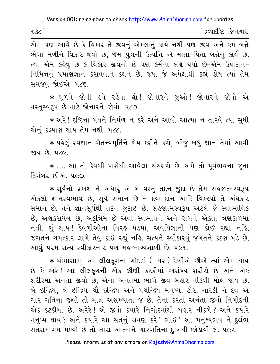| 13૮ | ∫ દ્રવ્યદષ્ટિ જિનેશ્વર |
|-----|------------------------|
|-----|------------------------|

એમ પણ આવે છે કે વિકાર તે જીવનું એકલાનું કાર્ય નથી પણ જીવ અને કર્મ બન્ને ભેગા મળીને વિકાર થયો છે, જેમ પુત્રની ઉત્પત્તિ એ માતા-પિતા બન્નેનું કાર્ય છે. ત્યાં એમ કહેવું છે કે વિકાર જીવનો છે પણ કર્મના લક્ષે થયો છે-એમ ઉપાદાન-નિમિત્તનું પ્રમાણજ્ઞાન કરાવવાનું કથન છે. જ્યાં જે અપેક્ષાથી કહ્યું હોય ત્યાં તેમ સમજવું જોઈએ. ૫૮૬.

\* ધૂળને જોવી હવે રહેવા ઘો! જોનારને જુઓ! જોનારને જોવો એ વસ્તુસ્વરૂપ છે માટે જોનારને જોવો. ૫૮૭.

∗ અરે ! દષ્ટિના પંથને નિર્મળ ન કરે અને આવો આત્મા ન તારવે ત્યાં સુધી એનં કલ્યાણ થાય તેમ નથી. ૫૮૮.

\* પહેલું સ્વજ્ઞાન ચૈતન્યમૂર્તિને જ્ઞેય કરીને કરો, બીજું બધું જ્ઞાન તેમાં આવી જાય છે. ૫૮૯.

\* ..... આ તો કેવળી પાસેથી આવેલા સંસ્કારો છે. અમે તો પૂર્વભવના જૂના દિગંબર છીએ. ૫૯૦.

\* સૂર્યનો પ્રકાશ ને અંધારૂં એ બે વસ્તુ તદ્દન જુદા છે તેમ સહજાત્મસ્વરૂપ એકલો જ્ઞાનસ્વભાવ છે, સૂર્ય સમાન છે ને દયા-દાન આદિ વિકલ્પો તે અંધકાર સમાન છે, તેને જ્ઞાનસૂર્યથી તદ્દન જુદાઈ છે. સહજાત્મસ્વરૂપ એટલે જે સ્વાભાવિક છે, અણકરાયેલ છે, અકૂત્રિમ છે એવા સ્વભાવને અને રાગને એકતા ત્રણકાળમાં નથી. શું થાય ! કેવળીઓના વિરહ ૫ડયા, અવધિજ્ઞાની પણ કોઈ રહ્યા નહિ, જગતને ચમત્કાર લાગે તેવું કાંઈ રહ્યું નહિ. સત્યને સ્વીકારવું જગતને કઠણ ૫ડે છે, આવું ૫૨મ સત્ય સ્વીકારનાર પણ મહાભાગ્યશાળી છે. ૫૯૧.

★ ચોમાસામાં આ લીલફગના ગોદડાં ( –થ૨ ) દેખીએ છીએ ત્યાં એમ થાય છે કે અરે! આ લીલફગની એક ઝીણી કટકીમાં અસંખ્ય શરીરો છે અને એક શરીરમાં અનંતા જીવો છે. એના અનંતમાં ભાગે જીવ બહાર નીકળી મોક્ષ જાય છે. બે ઇન્દ્રિય, ત્રે ઇન્દ્રિય ચૌ ઇન્દ્રિય અને પંચેન્દ્રિય મનુષ્ય, ઢોર, નારકી ને દેવ એ ચાર ગતિના જીવો તો માત્ર અસંખ્યાતા જ છે. તેના કરતાં અનંતા જીવો નિગોદની એક કટકીમાં છે. અરેરે! એ જીવો કયારે નિગોદમાંથી બહાર નીકળે? અને કયારે મનુષ્ય થાય ? અને કયારે આ સતનું શ્રવણ કરે ! ભાઈ ! આ મનુષ્યભવ ને દુર્લભ સતસમાગમ મળ્યો છે તો તારા આત્માને ચારગતિના દુઃખથી છોડાવી લે. ૫૯૨.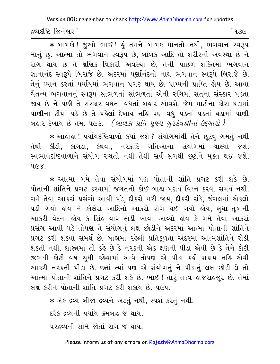દ્રવ્યદષ્ટિ જિનેશ્વર l

િ ૧૩૯

\* બાળકો ! જુઓ ભાઈ ! હું તમને બાળક માનતો નથી, ભગવાન સ્વરૂપ માનું છું. આત્મા તો ભગવાન સ્વરૂપ છે, બાળક આદિ તો શરીરની અવસ્થા છે ને રાગ થાય છે તે ક્ષણિક વિકારી અવસ્થા છે, તેની પાછળ શક્તિમાં ભગવાન જ્ઞાનાનંદ સ્વરૂપે બિરાજે છે. અંદરમાં પૂર્ણાનંદનો નાથ ભગવાન સ્વરૂપે બિરાજે છે. તેનું ઘ્યાન કરતાં પર્યાયમાં ભગવાન પ્રગટ થાય છે. પ્રાપ્યની પ્રાપ્તિ લેય છે. આવા ચૈતન્ય ભગવાનનું સ્વરૂપ સાંભળતાં સાંભળતાં એની રુચિમાં સતના સંસ્કાર પડતા જાય છે ને પછી તે સંસ્કાર વધતાં વધતાં બહાર આવશે. જેમ માટીના કોરા ઘડામાં પાણીના ટીપાં પડે છે તે પહેલાં દેખાય નહિ પણ વધુ પડતાં પડતાં ઘડામાં પાણી બહાર દેખાય છે તેમ. ૫૯૩. *(બાળકો પ્રતિ પુજ્ય ગુરુદેવશ્રીનાં ઉદ્દગારો)* 

\* આહાહા ! પર્યાયદષ્ટિવાળો કયાં જશે ? સંયોગમાંથી તેને છૂટવું ગમતું નથી તેથી કીડી, કાગડા, કંથવા, ન૨કાદિ ગતિઓના સંયોગમાં ચાલ્યો જશે. સ્વભાવદષ્ટિવાળાને સંયોગ રુચતો નથી તેથી સર્વ સંગથી છુટીને મુક્ત થઈ જશે. 4G8.

\* આત્મા ગમે તેવા સંયોગમાં પણ પોતાની શાંતિ પ્રગટ કરી શકે છે. પોતાની શાંતિને પ્રગટ કરવામાં જગતનો કોઈ બાહ્ય પદાર્થ વિઘ્ન કરવા સમર્થ નથી. ગમે તેવા આકરાં પ્રસંગો આવી પડે, દીકરો મરી જાય, દીકરી રાંડે, જંગલમાં એકલો પડી ગયો હોય ને કોલેરા આદિનો આકરો રોગ થઈ ગયો હોય, ક્ષુધા-તૃષાની આકરી વેદના હોય કે સિંહ વાઘ ફાડી ખાવા આવ્યો હોય કે ગમે તેવા આકરાં પ્રસંગ આવી પડે તોપણ તે સંયોગનું લક્ષ છોડીને અંદરમાં આત્મા પોતાની શાંતિને પ્રગટ કરી શકવા સમર્થ છે. બાહ્યમાં રહેલી પ્રતિકળતા અંદરમાં આત્મશાંતિને રોકી શકતી નથી. શાસ્ત્રમાં તો કહે છે કે નરકની એક ક્ષણની પીડા એવી છે કે તેને કોટી જીભથી કોટી વર્ષ સુધી કહેવામાં આવે તોપણ એ પીડા કહી શકાય નહિ એવી આકરી નરકની પીડા છે. છતાં ત્યાં પણ એ સંયોગનું ને પીડાનું લક્ષ છોડી ઘે તો આત્મા પોતાની શાંતિને પ્રગટ કરી શકે છે. ભાઈ ! તારૂં તત્ત્વ હાજરાહજુર છે. તેમાં લક્ષ કરીને પોતાની શાંતિ પ્રગટ કરી શકાય છે. ૫૯૫.

\* એક દ્રવ્ય બીજા દ્રવ્યને અડતું નથી, સ્પર્શ કરતું નથી.

દરેક દ્રવ્યની પર્યાય ક્રમબદ્ધ જ થાય.

પરદ્રવ્યની સામે જોતાં રાગ જ થાય.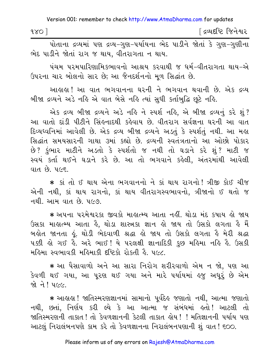| િદ્રવ્યદષ્ટિ જિનેશ <mark>્</mark> વર<br>980 |  |
|---------------------------------------------|--|
|                                             |  |

પોતાના દ્રવ્યમાં પણ દ્રવ્ય-ગણ-પર્યાયના ભેદ પાડીને જોતાં કે ગણ-ગણીના ભેદ પાડીને જોતાં રાગ જ થાય. વીતરાગતા ન થાય.

પંચમ પુરમુપારિણામિકભાવનો આશ્રય કરવાથી જ ધર્મ-વીતરાગતા થાય-એ ઉપરના ચાર બોલનો સાર છે; આ જૈનદર્શનનો મૂળ સિદ્ધાંત છે.

આહાહા ! આ વાત ભગવાનના ઘરની ને ભગવાન થવાની છે. એક દ્રવ્ય બીજા દ્રવ્યને અડે નહિ એ વાત બેસે નહિ ત્યાં સુધી કર્તાબુદ્ધિ છુટે નહિ.

એક દ્રવ્ય બીજા દ્રવ્યને અડે નહિ ને સ્પર્શ નહિ, એ બીજા દ્રવ્યનું કરે શું? આ વાતો દાંડી પીટીને સિંહનાદથી કહેવાય છે. વીતરાગ સર્વજ્ઞના ઘરની આ વાત દિવ્યધ્વનિમાં આવેલી છે. એક દ્રવ્ય બીજા દ્રવ્યને અડતું કે સ્પર્શતું નથી. આ મહા સિદ્ધાંત સમયસારની ગાથા ૩માં કહ્યો છે. દ્રવ્યની સ્વતંત્રતાનો આ ઓછો પોકાર છે? કુંભાર માટીને અડતો કે સ્પર્શતો જ નથી તો ઘડાને કરે શું? માટી જ સ્વયં કર્તા થઈને ઘડાને કરે છે. આ તો ભગવાને કહેલી, અંતરમાંથી આવેલી વાત છે. ૫૯૬.

\* કાં તો ઈ થાય એના ભગવાનનો ને કાં થાય રાગનો ! ત્રીજી કોઈ ચીજ એની નથી, કાં થાય રાગનો, કાં થાય વીતરાગસ્વભાવનો, ત્રીજાનો ઈ થતો જ નથી આમ વાત છે ૫૯૭

\* અપના પરમેશ્વરકા જીવકો માહાત્મ્ય આતા નહીં. થોડા મંદ કપાય હો જાય ઉસકા માહાત્મ્ય આતા હૈ, થોડા શાસ્ત્રકા જ્ઞાન હો જાય તો ઉસકો લગતા હૈ મૈં બહોત જાનતા હું. થોડી ભેદવાળી શ્રદ્ધા હો જાય તો ઉસકો લગતા હૈ મેરી શ્રદ્ધા ૫ક્કી હો ગઈ હૈ. અરે ભાઈ ! યે ૫રલક્ષી જ્ઞાનાદિકી કુછ મહિમા નહિ હૈ. ઉસકી મહિમા સ્વભાવકી મહિમાકી દૃષ્ટિકો રોકતી હૈ. ૫૯૮.

★ આ પૈસાવાળો અને આ સારા નિરોગ શરીરવાળો એમ ન જો, પણ આ કેવળી થઈ ગયા. આ પરણ થઈ ગયા અને મારે પર્યાયમાં હજ અધરૂં છે એમ 

\* આહાહા! જાતિસ્મરણજ્ઞાનમાં સામાનો પર્વદેહ જણાતો નથી. આત્મા જણાતો નથી, છતાં, નિર્ણય કરી લ્યે કે આ આત્મા જ સંબંધમાં હતો! આટલી તો જાતિસ્મરણની તાકાત! તો કેવળજ્ઞાનની કેટલી તાકાત લેય! ! મતિજ્ઞાનની પર્યાય પણ આટલું નિરાલંબનપણે કામ કરે તો કેવળજ્ઞાનના નિરાલંબનપણાની શું વાત ! ૬૦૦.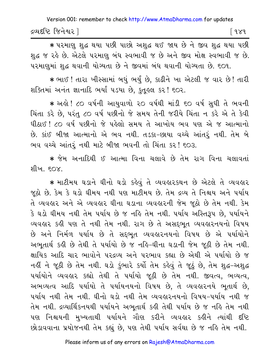દ્રવ્યદષ્ટિ જિનેશ્વર l [ १४१

\* પરમાણુ શુદ્ધ થયા પછી પાછો અશુદ્ધ થઈ જાય છે ને જીવ શુદ્ધ થયા પછી શુદ્ધ જ રહે છે. એટલે પરમાણુ બંધ સ્વભાવી જ છે અને જીવ મોક્ષ સ્વભાવી જ છે. ૫૨માણુમાં શુદ્ધ થવાની યોગ્યતા છે ને જીવમાં બંધ થવાની યોગ્યતા છે. ૬૦૧.

\* ભાઈ ! તારા ખીસ્સામાં બધું ભર્યું છે, કાઢીને ખા એટલી જ વાર છે ! તારી શક્તિમાં અનંત જ્ઞાનાદિ ભર્યા પડયા છે, કુતૂહલ કર! ૬૦૨.

\* અહો ! ૮૦ વર્ષની આયુવાળો ૨૦ વર્ષથી માંડી ૬૦ વર્ષ સુધી તે ભવની ચિંતા કરે છે, પરંતુ ૮૦ વર્ષ પછીનો જે સમય તેની જરીયે ચિંતા ન કરે એ તે કેવી ધીઠાઈ ! ૮૦ વર્ષ પછીનો જે પહેલો સમય તે આખોય ભવ પણ એ જ આત્માનો છે. કાંઈ બીજા આત્માનો એ ભવ નથી. તડકા-છાયા વચ્ચે આંતરૂં નથી. તેમ બે ભવ વચ્ચે આંતરું નથી માટે બીજા ભવની તો ચિંતા કર! ૬૦૩.

\* જેમ અનાદિથી ઈ આત્મા વિના ચલાવે છે તેમ રાગ વિના ચલાવતાં शीખ∴ ६೧૪.

\* માટીમય ઘડાને ઘીનો ઘડો કહેવું તે વ્યવહારકથન છે એટલે તે વ્યવહાર જૂઠો છે. કેમ કે ઘડો ઘીમય નથી પણ માટીમય છે. તેમ દ્રવ્ય તે નિશ્ચય અને પર્યાય તે વ્યવહાર અને એ વ્યવહાર ઘીના ઘડાના વ્યવહારની જેમ જૂઠો છે તેમ નથી. કેમ કે ઘડો ઘીમય નથી તેમ પર્યાય છે જ નહિ તેમ નથી. પર્યાય અસ્તિરૂપ છે, પર્યાયને વ્યવહાર કહી પણ તે નથી તેમ નથી. રાગ છે તે અસદ્દભુત વ્યવહારનયનો વિષય છે અને નિર્મળ પર્યાય છે તે સદ્દભુત વ્યવહારનયનો વિષય છે એ પર્યાયોને અભૂતાર્થ કહી છે તેથી તે પર્યાયો છે જ નહિ-ઘીના ઘડાની જેમ જૂઠી છે તેમ નથી. ક્ષાયિક આદિ ચાર ભાવોને પરદ્રવ્ય અને પરભાવ કહ્યા છે એથી એ પર્યાયો છે જ નહીં ને જૂઠી છે તેમ નથી. ઘડો ડુંભારે કર્યો તેમ કહેવું તે જૂઠું છે, તેમ શુદ્ધ-અશુદ્ધ ૫ર્યાયોને વ્યવહાર કહ્યો તેથી તે ૫ર્યાયો જૂઠી છે તેમ નથી. જીવત્વ, ભવ્યત્વ, અભવ્યત્વ આદિ પર્યાયો તે પર્યાયનયનો વિષય છે, તે વ્યવહારનયે ભુતાર્થ છે, પર્યાય નથી તેમ નથી. ઘીનો ઘડો નથી તેમ વ્યવહારનયનો વિષય–પર્યાય નથી જ તેમ નથી. દ્રવ્યાર્થિકનયથી પર્યાયને અભૂતાર્થ કહી તેથી પર્યાય છે જ નહિ તેમ નથી પણ નિશ્ચયની મુખ્યતાથી પર્યાયને ગૌણ કરીને વ્યવહાર કહીને ત્યાંથી દષ્ટિ છોડાવવાના પ્રયોજનથી તેમ કહ્યું છે, પણ તેથી પર્યાય સર્વથા છે જ નહિ તેમ નથી.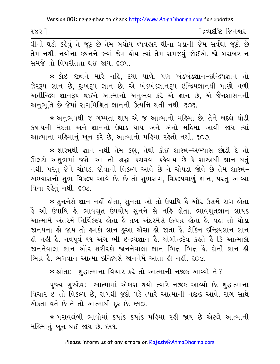∫ દ્રવ્યદષ્ટિ જિનેશ્વર  $985$ 

.<br>घीनो घड़ो डुडेयुं ते જૂઠું છે तेम બधोय વ્યવહાર ઘીના ઘડાની જેમ સર્વથા જૂઠો છે તેમ નથી. નયોના કથનને જ્યાં જેમ હોય ત્યાં તેમ સમજવં જોઈએ. જો બરાબર ન સમજે તો વિપરીતતા થઈ જાય. ૬૦૫.

★ કોઈ જીવને મારે નહિ, દયા પાળે, પણ ખંડખંડજ્ઞાન−ઇન્દ્રિયજ્ઞાન તો ઝેરરૂપ જ્ઞાન છે, દુઃખરૂપ જ્ઞાન છે. એ ખંડખંડજ્ઞાનરૂપ ઇન્દ્રિયજ્ઞાનથી પાછો વળી અતીન્દ્રિય જ્ઞાનરૂપ થઈને આત્માનો અનુભવ કરે એ જ્ઞાન છે, એ જૈનશાસનની અનુભૂતિ છે જેમાં રાગમિશ્રિત જ્ઞાનની ઉત્પત્તિ થતી નથી. ૬૦૬.

★ અનુભવથી જ ગમ્યતા થાય એ જ આત્માનો મહિમા છે. તેને બદલે થોડી કષાયની મંદતા અને જ્ઞાનનો ઉઘાડ થાય અને એનો મહિમા આવી જાય ત્યાં આત્માના મહિમાનું ખુન કરે છે, આત્માનો મહિમા રહેતો નથી. ૬૦૭.

\* શાસ્ત્રથી જ્ઞાન નથી તેમ કહ્યું, તેથી કોઈ શાસ્ત્ર-અભ્યાસ છોડી દે તો ઊલટો અશુભમાં જશે. આ તો શ્રદ્ધા કરાવવા કહેવાય છે કે શાસ્ત્રથી જ્ઞાન થતું નથી. પરંતુ જેને ચોપડા જોવાનો વિકલ્પ આવે છે ને ચોપડા જોવે છે તેમ શાસ્ત્ર– અભ્યાસનો શુભ વિકલ્પ આવે છે. છે તો શુભરાગ, વિકલ્પવાળું જ્ઞાન, પરંતુ આવ્યા વિના રહેતં નથી. ૬૦૮.

\* સનનેસે જ્ઞાન નહીં હોતા. સનતા ઓ તો ઉપાધિ હૈ ઔર ઉસમેં રાગ હોતા ર્કે ઓ ઉપાધિ કે. ભાવશ્રુત ઉપયોય સુનને સે નકિ કોતા. ભાવશ્રુતજ્ઞાન જ્ઞાયક આત્મામેં અંતરમેં નિર્વિકલ્પ હોતા હૈ તબ અંદરમેંસે ઉત્પન્ન હોતા હૈ. યહાં તો થોડા જાનપના હો જાય તો હમકો જ્ઞાન હુઆ ઐસા હો જાતા હૈ. લેકિન ઇન્દ્રિયજ્ઞાન જ્ઞાન હી નહીં હૈ. નવપૂર્વ ૧૧ અંગ ભી ઇન્દ્રયજ્ઞાન હૈ. યોગીન્દ્રદેવ કહતે હૈં કિ આત્માકો જાનનેવાલા જ્ઞાન ઓર શરીરકો જાનનેવાલા જ્ઞાન ભિન્ન ભિન્ન હૈ. દોનોં જ્ઞાન હી ભિન્ન હૈ ભગવાન આત્મા ઇન્દિયસે જાનનેમેં આતા હી નહીં. ૬૦૯.

\* શ્રોતાઃ- શુદ્ધાત્માના વિચાર કરે તો આત્માની નજીક આવ્યો ને ?

પૂજ્ય ગુરુદેવઃ- આત્મામાં એકાગ્ર થયો ત્યારે નજીક આવ્યો છે. શુદ્ધાત્માના વિચાર ઈ તો વિકલ્પ છે, રાગથી જુદો પડે ત્યારે આત્માની નજીક આવે. રાગ સાથે એકતા વર્તે છે તે તો આત્માથી દૂર છે. ૬૧૦.

\* પરાવલંબી ભાવોમાં કયાંક કયાંક મહિમા રહી જાય છે એટલે આત્માની મહિમાનું ખૂન થઈ જાય છે. ૬૧૧.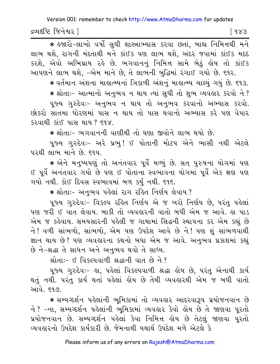દ્રવ્યદષ્ટિ જિનેશ્વર l  $\sqrt{983}$ 

\* इश्वरो-લाખો વર્ષો સુધી શાસ્ત્રાભ્યાસ કરવા છતાં, બાહ્ય નિમિત્તથી મને લાભ થશે. રાગની મંદતાથી મને કાંઈક પણ લાભ થશે. અંદર જવામાં કાંઈક મદદ કરશે, એવો અભિપ્રાય રહે છે. ભગવાનનું નિમિત્ત સામે બેઠું હોય તો કાંઈક આપણને લાભ થશે, -એમ માને છે, તે લાભની બુદ્ધિમાં રંગાઈ ગયો છે. ૬૧૨.

∗ વર્તમાન અંશના માહાત્મ્યનાં ત્રિકાળી અંશનું માહાત્મ્ય ચાલ્યું ગયું છે. ૬૧૩. \* શ્રોતાઃ- આત્માનો અનભવ ન થાય ત્યાં સુધી તો શભ વ્યવહાર કરવો ને ? પુજ્ય ગુરુદેવઃ- અનુભવ ન થાય તો અનુભવ કરવાનો અભ્યાસ કરવો. છોકરો સાતમા ધોરણમાં પાસ ન થાય તો પાસ થવાનો અભ્યાસ કરે પણ વેપાર કરવાથી કાંઈ પાસ થાય? ૬૧૪.

\* શ્રોતાઃ- ભગવાનની વાણીથી તો ઘણા જીવોને લાભ થયો છે.

પુજ્ય ગુરુદેવઃ- અરે પ્રભુ! ઈ પોતાની મોટપ એને ભાસી નથી એટલે <u>પરથી લાભ માને છે. દ્વપ.</u>

★ એને મનુષ્યપણું તો અનંતવાર પૂર્વે મળ્યું છે. સત્ પુરુષના યોગમાં પણ ઈ પૂર્વે અનંતવાર ગયો છે પણ ઈ પોતાના સ્વભાવના યોગમાં પૂર્વે એક ક્ષણ પણ ગયો નથી. કોઈ દિવસ સ્વભાવમાં બળ કર્યું નથી. ૬૧૬.

\* શ્રોતાઃ- અનુભવ પહેલાં રાગ રહિત નિર્ણય લેવાય ?

પુજ્ય ગુરુદેવઃ- વિકલ્પ રહિત નિર્ણય એ જ ખરો નિર્ણય છે, પરંતુ પહેલાં પણ જરી ઈ વાત લેવાય. બાકી તો વ્યવહારની વાતો બધી એમ જ આવે. હા પાડ એમ જ કહેવાય. સમયસારની પહેલી જ ગાથામાં સિદ્ધની સ્થાપના કર એમ કહ્યું છે ને ! વળી સાંભળો, સાંભળો, એમ પણ ઉપદેશ આવે છે ને ! પણ શું સાંભળવાથી જ્ઞાન થાય છે? પણ વ્યવહારના કથનો બધા એમ જ આવે. અનુભવ પ્રકાશમાં કહ્યું છે ને-શ્રદ્ધા તે સાધન અને અનુભવ થવો તે સાધ્ય.

श्रोता:- 8 विहत्पवाणी श्रद्धानी वात *छे* ने ?

૫જ્ય ગુરુદેવઃ- હા, પહેલાં વિકલ્પવાળી શ્રદ્ધા હોય છે. પરંતુ એનાથી કાર્ય થતું નથી. પરંતુ કાર્ય થતાં પહેલાં હોય છે તેથી વ્યવહારથી એમ જ બધી વાતો આવે. ૬૧૭.

\* સમ્યગ્દર્શન પહેલાંની ભૂમિકામાં તો વ્યવહાર આદરવારૂપ પ્રયોજનવાન છે ને ? -ના. સમ્યગ્દર્શન પહેલાંની ભુમિકામાં વ્યવહાર કેવો હોય છે તે જાણવા પુરતો પ્રયોજનવાન છે. સમ્યગ્દર્શન પહેલાં કેવા નિમિત્ત હોય છે તેટલું જાણવા પૂરતો વ્યવહારનો ઉપદેશ કાર્યકારી છે જેમનાથી યથાર્થ ઉપદેશ મળે એટલે કે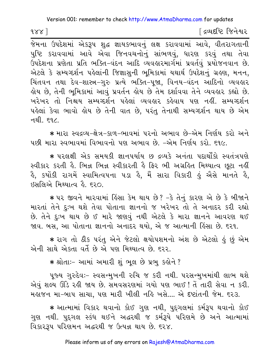$1881$ 

∫ દ્રવ્યદષ્ટિ જિનેશ્વર

પુષ્ટિ કરાવવામાં આવે એવા જિનવચનોનું સાંભળવું, ધારણ કરવું તથા તેવા ઉપદેશના પ્રણેતા પ્રતિ ભક્તિ-વંદન આદિ વ્યવહારમાર્ગમાં પ્રવર્તવું પ્રયોજનવાન છે. એટલે કે સમ્યગ્દર્શન પહેલાંની જિજ્ઞાસુની ભૂમિકામાં યથાર્થ ઉપદેશનું ગ્રહણ, મનન, ચિંતવન તથા દેવ-શાસ્ત્ર-ગુરુ પ્રત્યે ભક્તિ-પૂજા, વિનય-વંદન આદિનો વ્યવહાર હોય છે. તેની ભુમિકામાં આવું પ્રવર્તન હોય છે તેમ દર્શાવવા તેને વ્યવહાર કહ્યો છે. ખરેખર તો નિશ્ચય સમ્યગ્દર્શન પહેલાં વ્યવહાર કહેવાય પણ નહીં. સમ્યગ્દર્શન પહેલાં કેવા ભાવો હોય છે તેની વાત છે, પરંતુ તેનાથી સમ્યગ્દર્શન થાય છે એમ નથી. ૬૧૮.

∗ મારા સ્વદ્રવ્ય−ક્ષેત્ર−કાળ−ભાવમાં પરનો અભાવ છે−એમ નિર્ણય કરો અને પછી મારા સ્વભાવમાં વિભાવનો પણ અભાવ છે. –એમ નિર્ણય કરો, ૬૧૯,

\* પરલક્ષી એક સમયકી જ્ઞાનપર્યાય છ દ્રવ્યકે અનંતા પદાર્થોંકો સ્વતંત્રપણે સ્વીકાર કરતી હૈ. ભિન્ન ભિન્ન સ્વીકારતી હૈ ફિર ભી અગ્રહિત મિથ્યાત્વ છુટા નહીં ર્કે, કયોંકી રાગમેં સ્વામિત્વપના ૫ડા કે, મૈં સારા વિકારી કું ઐસે માનતે કે,  $68$ સલિએ મિથ્યાત્વ હૈ. ૬૨૦.

\* ૫૨ જીવને મારવામાં હિંસા કેમ થાય છે? -કે તેનું કારણ એ છે કે બીજાને મારતાં તેને દુઃખ થશે તેવા પોતાના જ્ઞાનનો જ ખરેખર તો તે અનાદર કરી રહ્યો છે. તેને દુઃખ થાય છે ઈ મારે જાણવું નથી એટલે કે મારા જ્ઞાનને આવરણ થઈ જાવ. બસ, આ પોતાના જ્ઞાનનો અનાદર થયો, એ જ આત્માની હિંસા છે. ૬૨૧.

∗ રાગ તો ઠીક પરંતુ એને જેટલો ક્ષયોપશમનો અંશ છે એટલો ઙું છું એમ એની સાથે એકતા વર્તે છે એ પણ મિથ્યાત્વ છે. ૬૨૨.

\* श्रोता :- આમાં અમારી શું ભૂલ છે પ્રભુ કહોને ?

૫જ્ય ગુરુદેવઃ- સ્વસન્મુખની રુચિ જ કરી નથી. ૫૨સન્મુખમાંથી લાભ થશે એવું શલ્ય ઊંડે રહી જાય છે. સમવસરણમાં ગયો પણ ભાઈ ! તેં તારી સેવા ન કરી. મહાજન મા-બાપ સાચા. પણ મારી ખીલી નહિ ખસે.... એ દષ્ટાંતની જેમ. ૬૨૩.

\* આત્મામાં વિકાર થવાનો કોઈ ગુણ નથી, પુદ્દગલમાં કર્મરૂપ થવાનો કોઈ ગુણ નથી. પુદ્દગલ સ્કંધ થઈને અદ્ધરથી જ કર્મરૂપે પરિણમે છે અને આત્મામાં વિકારરૂપ પરિણમન અદ્ધરથી જ ઉત્પન્ન થાય છે. ૬૨૪.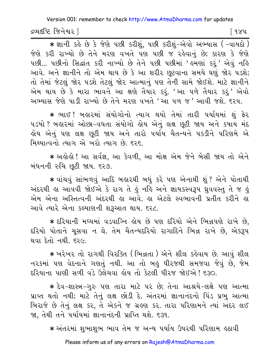દ્રવ્યદષ્ટિ જિનેશ્વર l

િવ૪પ

 $*$  જ્ઞાની કહે છે કે જેણે પછી કરીશું, પછી કરીશું-એવો અભ્યાસ (-વાયદો) જેણે કરી રાખ્યો છે તેને મરણ વખતે પણ પછી જ રહેવાનું છે; કારણ કે જેણે પછી... પછીનો સિદ્ધાંત કરી નાખ્યો છે તેને પછી પછીમાં ' હુમણાં કરૂં' એવું નહિ આવે. અને જ્ઞાનીને તો એમ થાય છે કે આ શરીર છુટવાના સમયે ઘણું જોર પડશે; તો તેમાં જેટલું જોર પડશે તેટલું જોર આત્માનું પણ તેની સામે જોઈશે. માટે જ્ઞાનીને એમ થાય છે કે મારા ભાવને આ ક્ષણે તૈયાર કરું. 'આ પળે તૈયાર કરું' એવો અભ્યાસ જેણે પાડી રાખ્યો છે તેને મરણ વખતે 'આ પળ જ ' આવી જશે. દરપ.

★ ભાઈ ! બહારમાં સંયોગોનો ત્યાગ થયો તેમાં તારી પર્યાયમાં શું ફેર ૫ડયો ? બહારમાં ઓછા-વધતા સંયોગો હોય એનું લક્ષ છૂટી જાય અને કષાય મંદ હોય એનું પણ લક્ષ છુટી જાય અને તારો પર્યાય ચૈતન્યને પકડીને પરિણમ<mark>ે</mark> એ મિથ્યાત્વનો ત્યાગ એ ખરો ત્યાગ છે. ૬૨૬.

★ અહોહો ! આ સર્વજ્ઞ, આ કેવળી, આ મોક્ષ એમ જેને બેસી જાય તો એને બંધનની રુચિ છૂટી જાય. ૬૨૭.

\* વાંચવું સાંભળવું આદિ બહારથી બધું કરે પણ એનાથી શું ? એને પોતાથી અંદરથી હા આવવી જોઈએ કે રાગ તે હું નહિ અને જ્ઞાયકસ્વરૂપ ધ્રવવસ્તુ તે જ હું એમ એના અસ્તિત્વની અંદરથી હા આવે. હા એટલે સ્વભાવની પ્રતીત કરીને હા આવે ત્યારે એના કલ્યાણની શરૂઆત થાય. ૬૨૮.

★ દરિયાની મઘ્યમાં વડવાગ્નિ હોય છે પણ દરિયો એને ભિન્નપણે રાખે છે, દરિયો પોતાને ચસવા ન ઘે. તેમ ચૈતન્યદરિયો રાગાદિને ભિન્ન રાખે છે. એકરૂપ થવા દેતો નથી. ૬૨૯.

\* ખરેખર તો રાગથી વિરક્તિ (ભિન્નતા ) એને શીલ કહેવાય છે. આવું શીલ નરકમાં પણ વેદનાને ગણતું નથી. આ તો બહુ ધીરજથી સમજવા જેવું છે, જેમ દરિયાના પાણી સળી વડે ઉલેચવા લેય તો કેટલી ધીરજ જોઈએ ! ૬૩૦.

∗ દેવ−શાસ્ત્ર−ગુરુ પણ તારા માટે પર છે; તેના આશ્રયે−લક્ષે પણ આત્મા પ્રાપ્ત થતો નથી; માટે તેનું લક્ષ છોડી દે. અંતરમાં જ્ઞાનાનંદનો પિંડ પ્રભુ આત્મા બિરાજે છે તેનું લક્ષ કર, તે એકને જ ગ્રહણ કર. તારા પરિણામને ત્યાં અંદર લઈ જા, તેથી તને પર્યાયમાં જ્ઞાનાનંદની પ્રાપ્તિ થશે. ૬૩૧.

∗ અંતરમાં શભાશભ ભાવ તેમ જ અન્ય પર્યાય ઉપરથી પરિણામ ઙઠાવી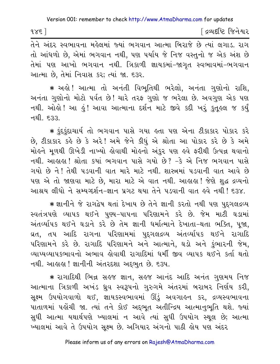| 985 | ∫ દ્રવ્યદષ્ટિ જિનેશ્વર |
|-----|------------------------|
|-----|------------------------|

તેને અંદર સ્વભાવના મહેલમાં જ્યાં ભગવાન આત્મા બિરાજે છે ત્યાં લગાડ. રાગ તો આંધળો છે, એમાં ભગવાન નથી, પણ પર્યાય જે નિજ વસ્તુનો જ એક અંશ છે તેમાં પણ આખો ભગવાન નથી. ત્રિકાળી જ્ઞાયકમાં–જાગૃત સ્વભાવમાં–ભગવાન આત્મા છે, તેમાં નિવાસ કર; ત્યાં જા. ૬૩૨.

\* અલ્રે ! આત્મા તો અનંતી વિભુતિથી ભરેલો, અનંતા ગુણોનો રાશિ, અનંતા ગુણોનો મોટો પર્વત છે! ચારે તરફ ગુણો જ ભરેલા છે. અવગુણ એક પણ નથી. ઓલો ! આ હું ! આવા આત્માના દર્શન માટે જીવે કદી ખરું કુતુલ્લ જ કર્યું નથી. દરુર

\* કુંદુકુંદાચાર્ય તો ભગવાન પાસે ગયા હતા પણ એના ટીકાકાર પોકાર કરે છે, ટીકાકાર કહે છે કે અરે! અમે જેને કીધું એ શ્રોતા આ પોકાર કરે છે કે અમે મોર્લ્ન મુળથી ઊખેડી નાખ્યો હોવાથી મોર્લ્નો અંકુર પણ હવે ફરીથી ઉત્પન્ન થવાનો નથી. આહાહા ! શ્રોતા કયાં ભગવાન પાસે ગયો છે? -કે એ નિજ ભગવાન પાસે ગયો છે ને ! તેથી પડવાની વાત મારે માટે નથી. શાસ્ત્રમાં પડવાની વાત આવે છે પણ એ તો જાણવા માટે છે, મારા માટે એ વાત નથી. આહાહા! જેણે શુદ્ધ દ્રવ્યનો આશ્રય લીધો ને સમ્યગ્દર્શન-જ્ઞાન પ્રગટ થયા તેને પડવાની વાત હવે નથી ! ૬૩૪.

\* જ્ઞાનીને જે રાગદ્વેષ થતાં દેખાય છે તેને જ્ઞાની કરતો નથી પણ પુદ્ગલદ્રવ્ય સ્વતંત્રપણે વ્યાપક થઈને પુણ્ય-પાપના પરિણામને કરે છે. જેમ માટી ઘડામાં અંતર્વ્યાપક થઈને ઘડાને કરે છે તેમ જ્ઞાની ધર્માત્માને દેખાતા-થતા ભક્તિ, પૂજા, વ્રત, તપ આદિ રાગના પરિણામમાં પુદ્દગલદ્રવ્ય અંતર્વ્યાપક થઈને રાગાદિ પરિણામને કરે છે. રાગાદિ પરિણામને અને આત્માને, ઘડો અને કુંભારની જેમ, વ્યાપ્યવ્યાપકભાવનો અભાવ લેવાથી રાગાદિમાં ધર્મી જીવ વ્યાપક થઈને કર્તા થતો નથી. આહાહા ! જ્ઞાનીની અંતરદશા અદ્દભુત છે. ૬૩૫.

\* રાગાદિથી ભિન્ન સહજ જ્ઞાન, સહજ આનંદ આદિ અનંત ગુણમય નિજ આત્માના ત્રિકાળી અખંડ ધ્રુવ સ્વરૂપનો ગુરુગમે અંતરમાં બરાબર નિર્ણય કરી, સૂક્ષ્મ ઉપયોગવાળો થઈ, જ્ઞાયકસ્વભાવમાં ઊંડું અવગાહન કર, દ્રવ્યસ્વભાવના પાતાળમાં પહોંચી જા. ત્યાં તને કોઈ અદ્દભૂત અતીન્દ્રિય આત્માનુભૂતિ થશે. જ્યાં સુધી આત્મા યથાર્થપણે ખ્યાલમાં ન આવે ત્યાં સુધી ઉપયોગ સ્થૂલ છે; આત્મા ખ્યાલમાં આવે તે ઉપયોગ સુક્ષ્મ છે. અગિયાર અંગનો પાઠી હોય પણ અંદર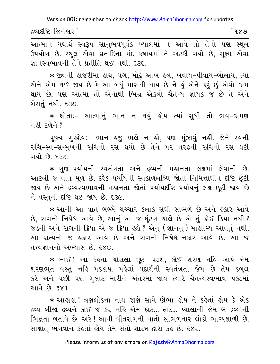દ્રવ્યદષ્ટિ જિનેશ્વર l [ ૧૪૭ |

આત્માનું યથાર્થ સ્વરૂપ સાનુભવપૂર્વક ખ્યાલમાં ન આવે તો તેનો પણ સ્થલ ઉપયોગ છે. સ્થૂલ એવા વ્રતાદિના મંદ કપાયમાં તે અટકી ગયો છે, સૂક્ષ્મ એવા જ્ઞાનસ્વભાવની તેને પ્રતીતિ થઈ નથી. ૬૩૬.

∗ જીવની હાજરીમાં હાથ, ૫ગ, મોઢં આંખ હલે, ખવાય−પીવાય−બોલાય, ત્યાં એને એમ થઈ જાય છે કે આ બધું મારાથી થાય છે ને હું એને કરૂં છું–એવો ભ્રમ થાય છે, પણ આત્મા તો એનાથી ભિન્ન એકલો ચૈતન્ય જ્ઞાયક જ છે તે એને બેસતું નથી. ૬૩૭.

\* શ્રોતાઃ- આત્માનું ભાન ન થયું હોય ત્યાં સુધી તો ભવ-ભ્રમણ नहीं टुणेने ?

પૂજ્ય ગુરુદેવઃ- ભાન હજુ ભલે ન હો, પણ મુંઝાવું નહીં. જેને સ્વની રુચિ-સ્વ-સન્મુખની રુચિનો રસ થયો છે તેને પર તરફની રુચિનો રસ ઘટી ગયો છે. દરૂ⁄ા

\* ગુણ-પર્યાયની સ્વતંત્રતા અને દ્રવ્યની મહાનતા લક્ષમાં લેવાની છે. આટલી જ વાત મૂળ છે. દરેક પર્યાયની સ્વકાળલબ્ધિ જોતાં નિમિત્તાધીન દૃષ્ટિ છુટી જાય છે અને દ્રવ્યસ્વભાવની મહાનતા જોતાં પર્યાયદષ્ટિ-પર્યાયનું લક્ષ છૂટી જાય છે ને વસ્તુની દૃષ્ટિ થઈ જાય છે. ૬૩૯.

\* આની આ વાત બબ્બે ચચ્ચાર કલાક સુધી સાંભળે છે અને હકાર આવે છે, રાગનો નિષેધ આવે છે, આનું આ જ ઘૂંટણ ચાલે છે એ શું કોઈ ક્રિયા નથી ? જડની અને રાગની ક્રિયા એ જ ક્રિયા હશે ? એનું (જ્ઞાનનું ) માહ્રાત્મ્ય આવતું નથી. આ સત્યનો જ હકાર આવે છે અને રાગનો નિષેધ-નકાર આવે છે. આ જ તત્ત્વજ્ઞાનનો અભ્યાસ છે ૬૪૦

∗ ભાઈ ! આ દેઙ્ના ચોસલા છૂટા પડશે, કોઈ શરણ નહિ આપે−એમ શરણભૂત વસ્તુ નહિ પકડાય. પહેલાં પદાર્થની સ્વતંત્રતા જેમ છે તેમ કબૂલ કરે અને પછી પણ ગુંલાટ મારીને અંતરમાં જાય ત્યારે ચૈતન્યસ્વભાવ પકડમાં આવે છે. ૬૪૧.

\* આલલા! ત્રણલોકના નાથ જાણે સામે ઊભા લોય ને કહેતાં લોય કે એક દ્રવ્ય બીજા દ્રવ્યને કાંઈ જ કરે નહિ-એમ ફાટ... ફાટ... પ્યાલાની જેમ બે દ્રવ્યોની ભિન્નતા બતાવે છે. અરે! આવી વીતરાગની વાતો સાંભળનાર લોકો ભાગ્યશાળી છે. સાક્ષાત ભગવાન કહેતાં હોય તેમ સંતો શાસ્ત્ર દ્વારા કહે છે. ૬૪૨.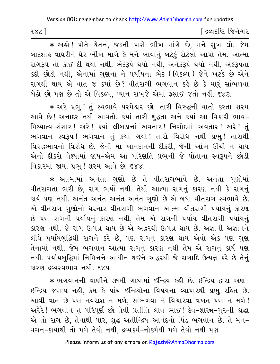દ્વિવદષ્ટિ જિનેશ્વર  $158$ 

\* અલ્રે ! પોતે ચેતન, જડની પાસે ભીખ માંગે છે, મને સુખ ઘો. જેમ બાદશાહ વાઘરીને ઘેર ભીખ માગે કે મને ખાવાનું બટકું રોટલો આપો તેમ. આત્મા રાગરૂપે તો કોઈ દી થયો નથી. ભેદરૂપે થયો નથી, અનેકરૂપે થયો નથી, એકરૂપતા કદી છોડી નથી, એનામાં ગુણના ને પર્યાયના ભેદ (વિકલ્પ) જેને ખટકે છે એને રાગથી થાય એ વાત જ કયાં છે? વીતરાગી ભગવાન કહે છે કે મારૂં સાંભળવા બેઠો છો પણ છે તો એ વિકલ્પ, ધ્યાન રાખજે એમાં ફસાઈ જતો નહીં. ૬૪૩.

\* અરે પ્રભુ! તું સ્વભાવે પરમેશ્વર છો. તારી વિરુદ્ધની વાતો કરતા શરમ આવે છે! અનાદર નથી આવતો; કયાં તારી શદ્ધતા અને કયાં આ વિકારી ભાવ-મિથ્યાત્વ-સંસાર! અરે! કર્યા લીંબડાનાં અવતાર! નિગોદમાં અવતાર! અરે! તું ભગવાન સ્વરૂપ! ભગવાન તું કયાં ગયો! તારો વિરોધ નથી પ્રભુ! તારાથી વિરુદ્ધભાવનો વિરોધ છે. જેની મા ખાનદાનની દીકરી, જેની આંખ ઊંચી ન થાય એનો દીકરો વેશ્યામાં જાય-એમ આ પરિણતિ પ્રભુની જે પોતાના સ્વરૂપને છોડી વિકારમાં જાય. પ્રભુ! શરમ આવે છે. ૬૪૪.

\* આત્મામાં અનંતા ગુણો છે તે વીતરાગભાવે છે. અનંતા ગુણોમાં વીતરાગતા ભરી છે, રાગ ભર્યો નથી. તેથી આત્મા રાગનું કારણ નથી કે રાગનું કાર્ય પણ નથી. અનંત અનંત અનંત અનંત ગુણો છે એ બધા વીતરાગ સ્વભાવે છે. એ વીતરાગ ગુણોનો ધરનાર વીતરાગી ભગવાન આત્મા વીતરાગી પર્યાયનું કારણ છે પણ રાગની પર્યાયનું કારણ નથી, તેમ એ રાગની પર્યાય વીતરાગી પર્યાયનું કારણ નથી. જે રાગ ઉત્પન્ન થાય છે એ અદ્ધરથી ઉત્પન્ન થાય છે. અજ્ઞાની અજ્ઞાનને લીધે પર્યાયબુદ્ધિથી રાગને કરે છે. પણ રાગનું કારણ થાય એવો એક પણ ગુણ તેનામાં નથી. જેમ ભગવાન આત્મા રાગનું કારણ નથી તેમ એ રાગનું કાર્ય પણ નથી. પર્યાયબુદ્ધિમાં નિમિત્તને આધીન થઈને અદ્ધરથી જે રાગાદિ ઉત્પન્ન કરે છે તેનું કારણ દ્રવ્યસ્વભાવ નથી. ૬૪૫.

\* ભગવાનની વાણીને ૩૧મી ગાથામાં ઇન્દ્રિય કઢી છે. ઇન્દ્રિય દ્વારા અણ-ઇન્દ્રિય જણાય નહીં, કેમ કે પાંચ ઇન્દ્રિયોના વિષયના વ્યાપારથી પ્રભુ રહિત છે. આવી વાત છે પણ નવરાશ ન મળે, સાંભળવા ને વિચારવા વખત પણ ન મળે! અરેરે! ભગવાન તું પરિપૂર્ણ છો તેવી પ્રતીતિ લાવ ભાઈ! દેવ-શાસ્ત્ર-ગુરુની શ્રદ્ધા એ તો રાગ છે, તેનાથી પાર, શુદ્ધ અતીન્દ્રિય આનંદનો પિંડ ભગવાન છે. તે મન-વચન-કાયાથી તો મળે તેવો નથી, દ્રવ્યકર્મ-નોકર્મથી મળે તેવો નથી પણ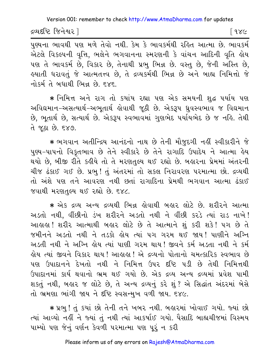દ્રવ્યદષ્ટિ જિનેશ્વર l

<u>[</u> १४८

પુણ્યના ભાવથી પણ મળે તેવો નથી. કેમ કે ભાવકર્મથી રહિત આત્મા છે. ભાવકર્મ એટલે વિકલ્પની વૃત્તિ, ભલેને ભગવાનના સ્મરણની કે વાંચન આદિની વૃતિ હોય પણ તે ભાવકર્મ છે, વિકાર છે, તેનાથી પ્રભુ ભિન્ન છે. વસ્તુ છે, જેની અસ્તિ છે, હયાતી ધરાવતું જે આત્મતત્ત્વ છે, તે દ્રવ્યકર્મથી ભિન્ન છે અને બાહ્ય નિમિત્તો જે નોકર્મતે બધાથી ભિન્ન છે દ×દ

\* નિમિત્ત અને રાગ તો કયાંય રહ્યા પણ એક સમયની શુદ્ધ પર્યાય પણ અવિદ્યમાન-અસત્યાર્થ-અભતાર્થ કોવાથી જઠી છે. એકરૂપ ધ્રવસ્વભાવ જ વિદ્યમાન છે, ભુતાર્થ છે, સત્યાર્થ છે. એકરૂપ સ્વભાવમાં ગુણભેદ પર્યાયભેદ છે જ નહિ. તેથી તે જૂઠા છે. ૬૪૭.

\* ભગવાન અતીન્દ્રિય આનંદનો નાથ છે તેની મૌજુદગી નહીં સ્વીકારીને જે પુણ્ય-પાપનો વિકુતભાવ છે તેને સ્વીકારે છે તેને રાગાદિ ઉપાદેય ને આત્મા હેય થયો છે, બીજી રીતે કહીયે તો તે મરણતુલ્ય થઈ રહ્યો છે. બહારના પ્રેમમાં અંતરની ચીજ ઢંકાઈ ગઈ છે. પ્રભુ ! તું અંતરમાં તો સકલ નિરાવરણ પરમાત્મા છો. દ્રવ્યથી તો અંશે પણ તને આવરણ નથી છતાં રાગાદિના પ્રેમથી ભગવાન આત્મા ઢંકાઈ જવાથી મરણતલ્ય થઈ રહ્યો છે. ૬૪૮.

\* એક દ્રવ્ય અન્ય દ્રવ્યથી ભિન્ન હોવાથી બહાર લોટે છે. શરીરને આત્મા અડતો નથી, વીંછીનો ડંખ શરીરને અડતો નથી ને વીંછી કરડે ત્યાં રાડ નાખે! આહાહા! શરીર આત્માથી બહાર લોટે છે તે આત્માને શું કરી શકે! ૫ગ છે તે જમીનને અડતો નથી ને તડકો હોય ત્યાં ૫ગ ગરમ થઈ જાય! પાણીને અગ્નિ અડતી નથી ને અગ્નિ હોય ત્યાં પાણી ગરમ થાય! જીવને કર્મ અડતા નથી ને કર્મ હોય ત્યાં જીવને વિકાર થાય ! આહાહા ! એ દ્રવ્યનો પોતાનો ચમત્કારિક સ્વભાવ છે પણ ઉપાદાનને દેખતો નથી ને નિમિત્ત ઉપર દષ્ટિ પડી છે તેથી નિમિત્તથી ઉપાદાનમાં કાર્ય થવાનો ભ્રમ થઈ ગયો છે. એક દ્રવ્ય અન્ય દ્રવ્યમાં પ્રવેશ પામી શક્તું નથી, બહાર જ લોટે છે, તે અન્ય દ્રવ્યનું કરે શું ? એ સિદ્ધાંત અંદરમાં બેસે તો ભ્રમણા ભાંગી જાય ને દૃષ્ટિ સ્વસન્મુખ વળી જાય. ૬૪૯.

\* પ્રભુ ! તું કયાં છો તેની તને ખબર નથી. બહારમાં ખોવાઈ ગયો. જ્યાં છો ત્યાં આવ્યો નહીં ને જ્યાં તું નથી ત્યાં આકર્ષાઈ ગયો. પૈસાદિ બાહ્યચીજમાં વિસ્મય પામ્યો પણ જેનું વર્ણન કેવળી પરમાત્મા પણ પૂરું ન કરી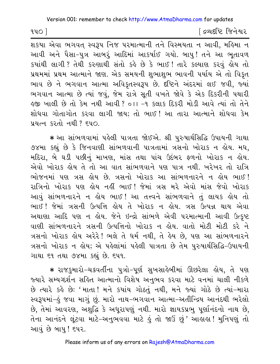$940$ 

[ દ્રવ્યદષ્ટિ જિનેશ્વર

શકયા એવા ભગવત સ્વરૂપ નિજ પરમાત્માની તને વિસ્મયતા ન આવી, મહિમા ન આવી અને પૈસા-પુત્ર આબરૂં આદિમાં આકર્ષાઈ ગયો. બાપુ! તને આ ભૂતાવળ કયાંથી લાગી? તેથી કરુણાથી સંતો કહે છે કે ભાઈ! તારે કલ્યાણ કરવું હોય તો પ્રથમમાં પ્રથમ આત્માને જાણ. એક સમયની શુભાશુભ ભાવની પર્યાય એ તો વિકૃત ભાવ છે ને ભગવાન આત્મા અવિકૃતસ્વરૂપ છે. દૃષ્ટિને અંદરમાં લઈ જવી, જ્યાં ભગવાન આત્મા છે ત્યાં જવું, જેમ રાત્રે સુતી વખતે જોવે કે એક દિકરીની પથારી ઙુજી ખાલી છે તો કેમ નથી આવી ? ૦ ા−૧ કલાક દિકરી મોડી આવે ત્યાં તો તેને શોધવા ગોતાગોત કરવા લાગી જાય; તો ભાઈ! આ તારા આત્માને શોધવા કેમ प्रयत्न १२तो नथी ? ६५०.

∗ આ સાંભળવામાં પહેલી પાત્રતા જોઈએ. શ્રી પુરુષાર્થસિદ્ધિ ઉપાયની ગાથા ૭૪મા કહ્યું છે કે જિનવાણી સાંભળવાની પાત્રતામાં ત્રસનો ખોરાક ન લેય. મધ, મદિરા, બે ઘડી પછીનું માખણ, માંસ તથા પાંચ ઉદંબર ફળનો ખોરાક ન હોય. એવો ખોરાક ક્રોય તે તો આ વાત સાંભળવાને પણ પાત્ર નથી. ખરેખર તો રાત્રિ ભોજનમાં પણ ત્રસ લોય છે. ત્રસનો ખોરાક આ સાંભળનારને ન લોય ભાઈ! રાત્રિનો ખોરાક પણ લોય નહીં ભાઈ! જેમાં ત્રસ મરે એવો માંસ જેવો ખોરાક આવું સાંભળનારને ન હોય ભાઈ ! આ તત્ત્વને સાંભળવાને તું લાયક હોય તો ભાઈ! જેમાં ત્રસની ઉત્પત્તિ હોય તે ખોરાક ન હોય. ત્રસ ઉત્પન્ન થાય એવા અથાણા આદિ પણ ન હોય. જેને ઇન્દ્રો સાંભળે એવી પરમાત્માની આવી ઉત્કૃષ્ટ વાણી સાંભળનારને ત્રસની ઉત્પત્તિનો ખોરાક ન લોય. વાતો મોટી મોટી કરે ને ત્રસનો ખોરાક હોય અરેરે! ભલે તે ધર્મ નથી, તે હેય છે, પણ આ સાંભળનારને ત્રસનો ખોરાક ન હોય; એ પહેલાંમાં પહેલી પાત્રતા છે તેમ પુરુષાર્થસિદ્ધિ-ઉપાયની ગાથા ૬૧ તથા ૭૪મા કહ્યું છે. ૬૫૧.

∗ રાજઙ્ઞમારો−ચક્રવર્તીના પુત્રો−પૂર્ણ સુખસાહેબીમાં ઊછરેલા હોય, તે પણ જ્યારે સમ્યગ્દર્શન સહિત આત્માનો વિશેષ અનુભવ કરવા માટે વનમાં ચાલી નીકળે છે ત્યારે કહે છે: 'માતા! મને કયાંય ગોઠતું નથી, મને જ્યાં ગોઠે છે ત્યાં-મારા સ્વરૂપમાં-હું જવા માગું છું. મારો નાથ-ભગવાન આત્મા-અતીન્દ્રિય આનંદથી ભરેલો છે. તેમાં આવરણ, અશહ્નિ કે અધરાપણું નથી. મારો જ્ઞાયકપ્રભુ પર્ણાનંદનો નાથ છે. તેના આનંદને લુંટવા માટે-અનુભવવા માટે કું તો જાઉં છું' આક્ષકા! મુનિપણું તો આવું છે બાપુ ! ૬૫૨.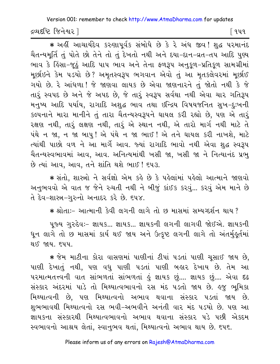દ્રવ્યદષ્ટિ જિનેશ્વર l

િવપવ

∗ અહીં આચાર્યદેવ કરુણાપૂર્વક સંબોધે છે કે રે અંધ જીવ! શુદ્ધ પરમાનંદ ચૈતન્યમૂર્તિ તું પોતે છો તેને તો તું દેખતો નથી અને દયા-દાન-વ્રત-તપ આદિ પુણ્ય ભાવ કે કિંસા-જૂઠું આદિ પાપ ભાવ અને તેના ફળરૂપ અનુકૂળ-પ્રતિકૂળ સામગ્રીમાં મૂર્છાઇને કેમ ૫ડયો છે? અમૃતસ્વરૂપ ભગવાન એવો તું આ મૃતકલેવરમાં મૂર્છાઈ ગયો છે. રે આંધળા ! જે જાણવા લાયક છે એવા જાણનારને તું જોતો નથી કે જે તારૂં સ્વપદ છે અને જે અપદ છે, જે તારૂં સ્વરૂપ સર્વથા નથી એવા ચાર ગતિરૂપ મનુષ્ય આદિ પર્યાય, રાગાદિ અશુદ્ધ ભાવ તથા ઇન્દ્રિય વિષયજનિત સુખ–દુઃખની કલ્પનાને મારા માનીને તું તારા ચૈતન્યસ્વરૂપને ઘાયલ કરી રહ્યો છે, પણ એ તારૃં રક્ષણ નથી, તારૂં લક્ષણ નથી, તારૂં એ સ્થાન નથી, એ તારો માર્ગ નથી માટે તે પંથે ન જા. ન જા બાપુ! એ પંથે ન જા ભાઈ! એ તને ઘાયલ કરી નાખશે, માટે ત્યાંથી પાછો વળ ને આ માર્ગે આવ. જ્યાં રાગાદિ ભાવો નથી એવા શુદ્ધ સ્વરૂપ ચૈતન્યસ્વભાવમાં આવ, આવ. અનિત્યમાંથી ખસી જા, ખસી જા ને નિત્યાનંદ પ્રભુ છે ત્યાં આવ, આવ, તને શાંતિ થશે ભાઈ ! ૬૫૩.

\* સંતો, શાસ્ત્રો ને સર્વજ્ઞો એમ કહે છે કે પહેલાંમાં પહેલો આત્માને જાણવો અનુભવવો એ વાત જ જેને રુચતી નથી ને બીજું કાંઈક કરવું... કરવું એમ માને છે તે દેવ-શાસ્ત્ર-ગુરુનો અનાદર કરે છે. ૬૫૪.

\* શ્રોતાઃ- આત્માની કેવી લગની લાગે તો છ માસમાં સમ્યગ્દર્શન થાય ?

પૂજ્ય ગુરુદેવઃ- જ્ઞાયક... જ્ઞાયક... જ્ઞાયકની લગની લાગવી જોઈએ. જ્ઞાયકની ધૂન લાગે તો છ માસમાં કાર્ય થઈ જાય અને ઉત્કૃષ્ટ લગની લાગે તો અંતર્મુકૂર્તમાં થઈ જાય. દપપ.

\* જેમ માટીના કોરા વાસણમાં પાણીનાં ટીપાં પડતાં પાણી ચૂસાઈ જાય છે, પાણી દેખાતું નથી, પણ વધુ પાણી પડતાં પાણી બહાર દેખાય છે. તેમ આ ૫૨માત્મતત્ત્વની વાત સાંભળતાં સાંભળતાં હું જ્ઞાયક છું.... જ્ઞાયક છું.... એવા દઢ સંસ્કાર અંદરમાં પાડે તો મિથ્યાત્વભાવનો રસ મંદ ૫ડતો જાય છે. હજુ ભૂમિકા મિથ્યાત્વની છે, પણ મિથ્યાત્વનો અભાવ થવાના સંસ્કાર પડતાં જાય છે. શુભભાવથી મિથ્યાત્વનો રસ ભવી-અભવીને અનંતી વાર મંદ ૫ડયો છે. ૫શ આ જ્ઞાયકના સંસ્કારથી મિથ્યાત્વભાવનો અભાવ થવાના સંસ્કાર પડે પછી એકદમ સ્વભાવનો આશ્રય લેતાં, સ્વાનુભવ થતાં, મિથ્યાત્વનો અભાવ થાય છે. ૬૫૬.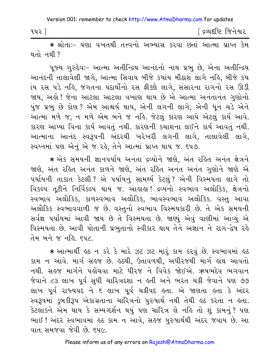| ૧૫૨ ] | [ દ્રવ્યદષ્ટિ જિનેશ્વર |
|-------|------------------------|
|-------|------------------------|

\* શ્રોતાઃ- ઘણા વખતથી તત્ત્વનો અભ્યાસ કરવા છતાં આત્મા પ્રાપ્ત કેમ थतो नथी?

પુજ્ય ગુરુદેવઃ- આત્મા અતીન્દ્રિય આનંદનો નાથ પ્રભુ છે, એના અતીન્દ્રિય આનંદની તાલાવેલી જાગે, આત્મા સિવાય બીજે કયાંય મીઠાશ લાગે નહિ, બીજે કય ાંય રસ પડે નહિ, જગતના પદાર્થોનો રસ ફીક્કો લાગે, સંસારના રાગનો રસ ઊડી જાય, અહો! જેના આટલા આટલા વખાણ થાય છે એ આત્મા અનંતાનંત ગુણોનો પુંજ પ્રભુ છે કોણ? એમ આશ્ચર્ય થાય, એની લગની લાગે, એની ધૂન ચડે એને આત્મા મળે જ, ન મળે એમ બને જ નહિ. જેટલું કારણ આપે એટલું કાર્ય આવે. કારણ આપ્યા વિના કાર્ય આવતું નથી. કારણની કચાશના લઈને કાર્ય આવતું નથી. આત્માના આનંદ સ્વરૂપની અંદરથી ખરેખરી લગની લાગે, તાલાવેલી લાગે, સ્વપ્નમાં પણ એનું એ જ રહે, તેને આત્મા પ્રાપ્ત થાય જ. ૬૫૭.

\* એક સમયની જ્ઞાનપર્યાય અનંતા દ્રવ્યોને જાણે, અંત રહિત અનંત ક્ષેત્રને જાણે, અંત રહિત અનંત કાળને જાણે, અંત રહિત અનંત અનંત ગુણોને જાણે એ પર્યાયની તાકાત કેટલી ? એ પર્યાયનું સામર્થ્ય કેટલું ? એની વિસ્મયતા લાગે તો વિકલ્પ તૃટીને નિર્વિકલ્પ થાય જ. આહાહા! દ્રવ્યનો સ્વભાવ અલૌકિક, ક્ષેત્રનો સ્વભાવ અલૌકિક, કાળસ્વભાવ અલૌકિક, ભાવસ્વભાવ અલૌકિક. વસ્તુ આવા અલૌકિક સ્વભાવવાળી જ છે. વસ્તુનો સ્વભાવ વિસ્મયકારી છે. તે એક સમયની સર્વજ્ઞ પર્યાયમાં આવી જાય છે તે વિસ્મયતા છે. જાણ્યું એવું વાણીમાં આવ્યું એ વિસ્મયતા છે. આવી પોતાની પ્રભુતાનો સ્વીકાર થાય તેને અજ્ઞાન ને રાગ-દ્વેષ રહે तेम બને જ નહિ દપ૮

\* આત્માર્થી હઠ ન કરે કે મારે ઝટ ઝટ મારૂં કામ કરવું છે. સ્વભાવમાં હઠ કામ ન આવે. માર્ગ સહજ છે. હઠથી, ઉતાવળથી, અધીરજથી માર્ગ હાથ આવતો નથી. સહજ માર્ગને પહોંચવા માટે ધીરજ ને વિવેક જોઈએ. ઋષભદેવ ભગવાન જેવાને ૮૩ લાખ પૂર્વ સુધી ચારિત્રદશા ન ક્લી અને ભરત ચક્રી જેવાને પણ ૭૭ લાખ પૂર્વ રાજ્યપદ ને ૬ લાખ પૂર્વ ચક્રીપદ હતા. એ જાણતા હતા કે અંદર સ્વરૂપમાં ડબકીરૂપ એકાગ્રતાના ચારિત્રનો પુરુષાર્થ નથી તેથી હઠ કરતા ન હતા. કેટલાકને એમ થાય કે સમ્યગ્દર્શન થયું પણ ચારિત્ર લે નહિ તો શું કામનું? પણ ભાઈ ! અંદર સ્વભાવમાં હઠ કામ ન આવે, સહજ પુરુષાર્થથી અંદર જવાય છે. આ વાત સમજવા જેવી છે. ૬૫૯.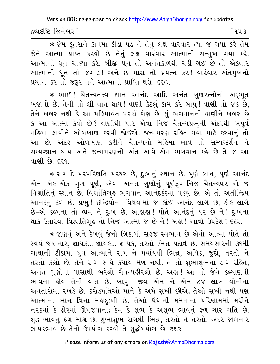દ્રવ્યદષ્ટિ જિનેશ્વર |

િ ૧૫૩

\* જેમ કૂતરાને કાનમાં કીડા પડે ને તેનું લક્ષ વારંવાર ત્યાં જ ગયા કરે તેમ જેને આત્મા પ્રાપ્ત કરવો છે તેનું લક્ષ વારંવાર આત્માની સન્મુખ ગયા કરે. આત્માની ધૂન ચાલ્યા કરે. બીજી ધૂન તો અનંતકાળથી ચડી ગઈ છે તો એકવાર આત્માની ધૂન તો જગાડ! અને છ માસ તો પ્રયત્ન કર! વારંવાર અંતર્મુખનો प्रयत्न કર તો જરૂર તને આત્માની પ્રાપ્તિ થશે. ૬૬૦.

\* ભાઈ ! ચૈતન્યતત્ત્વ જ્ઞાન આનંદ આદિ અનંત ગુણરત્નોનો અદભત ખજાનો છે. તેની તો શી વાત થાય! વાણી કેટલું કામ કરે બાપુ! વાણી તો જડ છે, તેને ખબર નથી કે આ મહિમાવંત પદાર્થ કોણ છે. શું ભગવાનની વાણીને ખબર છે કે આ આત્મા કેવો છે? વાણીથી પાર એવા નિજ<sup>ે</sup> ચૈતન્યપ્રભુની અંદરથી અપૂર્વ મહિમા લાવીને ઓળખાણ કરવી જોઈએ. જન્મમરણ રહિત થવા માટે કરવાનું તો આ છે. અંદર ઓળખાણ કરીને ચૈતન્યનો મહિમા લાવે તો સમ્યગ્દર્શન ને સમ્યગ્જ્ઞાન થાય અને જન્મમરણનો અંત આવે-એમ ભગવાન કહે છે તે જ આ વાણી છે. દદવ..

\* રાગાદિ પરપરિણતિ પરઘર છે, દુઃખનું સ્થાન છે. પૂર્ણ જ્ઞાન, પૂર્ણ આનંદ એમ એક-એક ગુણ પૂર્ણ, એવા અનંત ગુણોનું પૂર્ણરૂપ-નિજ ચૈતન્યઘર એ જ વિશ્રાંતિનું સ્થાન છે. વિશ્રાંતિગૃહ ભગવાન આનંદકંદમાં ૫ડયું છે. એ તો અતીન્દ્રિય આનંદનું દળ છે. પ્રભુ! ઇન્દ્રિયોના વિષયોમાં જે કાંઈ આનંદ લાગે છે, ઠીક લાગે છે-એ કલ્પના તો ભ્રમ ને દુઃખ છે. આહાહા! પોતે આનંદનું ઘર છે ને! દુઃખના થાક ઉતારવા વિશ્રાંતિગૃહ તો નિજ આત્મા જ છે ને ! અહા ! આવો ઉપદેશ ! ૬૬૨.

\* જાણવું અને દેખવું જેનો ત્રિકાળી સહજ સ્વભાવ છે એવો આત્મા પોતે તો સ્વયં જાણનાર, જ્ઞાયક... જ્ઞાયક... જ્ઞાયક, તરતો ભિન્ન પદાર્થ છે. સમયસારની ૩૧મી ગાથાની ટીકામાં ધ્રુવ આત્માને રાગ ને પર્યાયથી ભિન્ન, અધિક, જુદો, તરતો ને તરતો કહ્યો છે. તેને રાગ સાથે કયાંય મેળ નથી. તે તો શુભાશુભના ડાઘ રહિત, અનંત ગુણોના પાસાથી ભરેલો ચૈતન્યહીરલો છે. અહા! આ તો જેને કલ્યાણની ભાવના હોય તેની વાત છે. બાપુ! જીવ એમ ને એમ ૮૪ લાખ યોનીના અવતારોમાં રખડે છે. કરોડપતિઓ માને કે અમે સુખી છીએ; તેઓ સુખી નથી પણ આત્માના ભાન વિના મહાદુઃખી છે. તેઓ ધંધાની મમતાના પરિણામમાં મરીને નરકમાં કે ઢોરમાં ઊપજવાનાં; કેમ કે શુભ કે અશુભ ભાવનું ફળ ચાર ગતિ છે. શુદ્ધ ભાવનું ફળ મોક્ષ છે. શુભાશુભ રાગથી ભિન્ન, તરતો ને તરતો, અંદર જાણનાર જ્ઞાયકભાવ છે તેનો ઉપયોગ કરવો તે શુદ્ધોપયોગ છે. ૬૬૩.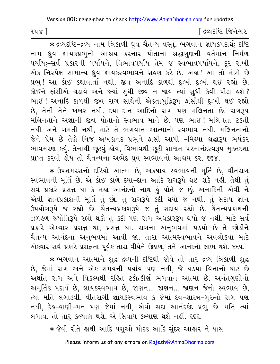[ દ્રવ્યદષ્ટિ જિનેશ્વર

\* द्रव्यदृष्टि-द्रव्य नाम त्रिडाणी ध्रुव यैतन्य वस्तु, ભગવાન જ્ઞાયકપદાર્થ; दृष्टि નામ ઘ્રુવ જ્ઞાયકપ્રભુનો આશ્રય કરનાર પોતાના શ્રદ્ધાગુણની વર્તમાન નિર્મળ પર્યાય;-સર્વ પ્રકારની પર્યાયને, વિભાવપર્યાય તેમ જ સ્વભાવપર્યાયને, દૂર રાખી એક નિરપેક્ષ સામાન્ય ઘ્રુવ જ્ઞાયકસ્વભાવને ગ્રહણ કરે છે. અહા! આ તો મંત્રો છે પ્રભુ ! આ કોઈ કથાવાર્તા નથી. જીવ અનાદિ કાળથી દુઃખી દુઃખી થઈ રહ્યો છે. કોઈને ફાંસીએ ચડાવે અને જ્યાં સુધી જીવ ન જાય ત્યાં સુધી કેવી પીડા હશે? ભાઈ! અનાદિ કાળથી જીવ રાગ સાથેની એકતાબુદ્ધિરૂપ ફાંસીથી દુઃખી થઈ રહ્યો છે, તેની તેને ખબર નથી. દયા-દાન આદિનો રાગ પણ મલિનતા છે. રાગરૂપ મલિનતાને અજ્ઞાની જીવ પોતાનો સ્વભાવ માને છે. પણ ભાઈ! મલિનતા ટકતી નથી અને ગમતી નથી, માટે તે ભગવાન આત્માનો સ્વભાવ નથી. મલિનતાનો જેને પ્રેમ છે તેણે નિજ અખંડાનંદ પ્રભુને ફાંસી આપી -મિથ્યા શ્રદ્ધારૂપ ભયંકર ભાવમરણ કર્યું. તેનાથી છૂટવું હોય, વિભાવથી છૂટી શાશ્વત પરમાનંદસ્વરૂપ મુક્તદશા પ્રાપ્ત કરવી હોય તો ચૈતન્યના અભેદ ધ્રુવ સ્વભાવનો આશ્રય કર. ૬૬૪.

\* ઉપશમરસનો દરિયો આત્મા છે, અકષાય સ્વભાવની મૂર્તિ છે, વીતરાગ સ્વભાવની મૂર્તિ છે. એ કોઈ કાળે દયા-દાન આદિ રાગરૂપે થઈ શકે નહીં. તેથી તું સર્વ પ્રકારે પ્રસન્ન થા કે મહા આનંદનો નાથ હું પોતે જ છું. અનાદિની એવી ને એવી જ્ઞાનપ્રકાશની મૂર્તિ તું છો. તું રાગરૂપે કદી થયો જ નથી. તું સદાય જ્ઞાન ઉપયોગરૂપે જ રહ્યો છે. ચૈતન્યપ્રકાશરૂપે જ તું સદાય રહ્યો છે. ચૈતન્યપ્રકાશની ઝળહળ જ્યોતિરૂપે રહ્યો થકો તું કદી પણ રાગ અંધકારરૂપ થયો જ નથી. માટે સર્વ પ્રકારે એકવાર પ્રસન્ન થા, પ્રસન્ન થા. રાગના અનુભવમાં ૫ડયો છે તે છોડીને ચૈતન્ય આનંદના અનુભવમાં આવી જા. તારા આત્મસ્વભાવને અવલોકવા માટે એકવાર સર્વ પ્રકારે પ્રસન્નતા પૂર્વક તારા વીર્યને ઉછાળ, તને આનંદનો લાભ થશે. ૬૬૫.

\* ભગવાન આત્માને શુદ્ધ દ્રવ્યની દષ્ટિથી જોવે તો તારું દ્રવ્ય ત્રિકાળી શુદ્ધ છે, જેમાં રાગ અને એક સમયની પર્યાય પણ નથી, જે ઘડયા વિનાનો ઘાટ છે અર્થાત્ રાગ અને વિકલ્પથી રહિત ટંકોત્કીર્ણ ભગવાન આત્મા છે. અનંતગુણોનો અમૂર્તિક પદાર્થ છે, જ્ઞાયકસ્વભાવ છે, જાણન... જાણન... જાણન જેનો સ્વભાવ છે, ત્યાં મતિ લગાડવી. વીતરાગી જ્ઞાયકસ્વભાવ કે જેમાં દેવ-શાસ્ત્ર-ગુરુનો રાગ પણ નથી, દેહ-વાણી-મન પણ જેમાં નથી, એવો સદા આનંદકંદ પ્રભુ છે. મતિ ત્યાં લગાવ, તો તારૂં કલ્યાણ થશે. એ સિવાય કલ્યાણ થશે નહીં. ૬૬૬.

\* જેવી રીતે હાથી આદિ પશુઓ મોદક આદિ સુંદર આહાર ને ઘાસ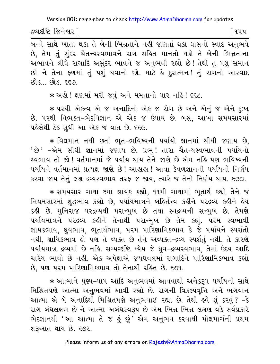દ્રવ્યદષ્ટિ જિનેશ્વર l

િવપપ

છે. તેમ તું સુંદર ચૈતન્યસ્વભાવને રાગ સહિત માનતો થકો તે બેની ભિન્નતાના અભાવને લીધે રાગાદિ અસુંદર ભાવને જ અનુભવી રહ્યો છે! તેથી તું પશુ સમાન છો ને તેના ફળમાં તું પશું થવાનો છો. માટે કે દુરાત્મન! તું રાગનો આસ્વાદ  $693.693.55$ 

\* અહો ! ક્ષણમાં મરી જવું અને મમતાનો પાર નહિ ! ૬૬૮.

\* પરથી એકત્વ એ જ અનાદિનો એક જ રોગ છે અને એનું જ એને દુઃખ છે. પરથી વિભક્ત-ભેદવિજ્ઞાન એ એક જ ઉપાય છે. બસ, આખા સમયસારમાં પહેલેથી ઠેઠ સુધી આ એક જ વાત છે. ૬૬૯.

\* વિદ્યમાન નથી છતાં ભૂત-ભવિષ્યની પર્યાયો જ્ઞાનમાં સીધી જણાય છે, ' છે ' -એમ સીધી જ્ઞાનમાં જણાય છે. પ્રભુ ! તારા ચૈતન્યસ્વભાવની પર્યાયનો સ્વભાવ તો જો ! વર્તમાનમાં જે પર્યાય થાય તેને જાણે છે એમ નહિ પણ ભવિષ્યની પર્યાયને વર્તમાનમાં પ્રત્યક્ષ જાણે છે! આહાહા! આવા કેવળજ્ઞાનની પર્યાયનો નિર્ણય કરવા જાય તેનું લક્ષ દ્રવ્યસ્વભાવ તરફ જ જાય, ત્યારે જ તેનો નિર્ણય થાય. ૬૭૦.

\* સમયસાર ગાથા દમા જ્ઞાયક કહ્યો, ૧૧મી ગાથામાં ભૂતાર્થ કહ્યો તેને જ નિયમસારમાં શદ્ધભાવ કહ્યો છે. પર્યાયમાત્રને બર્લિત્ત્વ કહીને પરદ્રવ્ય કહીને હેય કહી છે. મુનિરાજ પરદ્રવ્યથી પરાન્મુખ છે તથા સ્વદ્રવ્યની સન્મુખ છે. તેમણે પર્યાયમાત્રને પરદ્રવ્ય કહીને તેનાથી પરાન્મુખ છે તેમ કહ્યું. ૫૨મ સ્વભાવી જ્ઞાયકભાવ, ધ્રુવભાવ, ભૂતાર્થભાવ, પરમ પારિણામિકભાવ કે જે પર્યાયને સ્પર્શતો નથી. ક્ષાયિકભાવ હો પણ તે વ્યક્ત છે તેને અવ્યક્ત-દ્રવ્ય સ્પર્શતું નથી, તે કારણે પર્યાયમાત્ર દ્રવ્યમાં છે નહિ. સમ્યગ્દષ્ટિ ધ્યેય જે ધ્રવ-દ્રવ્યસ્વભાવ, તેમાં ઉદય આદિ ચારેય ભાવો છે નહીં. એક અપેક્ષાએ જયધવલમાં રાગાદિને પારિણામિકભાવ કહ્યો છે, પણ પરમ પારિણામિકભાવ તો તેનાથી રહિત છે. ૬૭૧.

∗ આત્માને પુણ્ય−પાપ આદિ અનુભવમાં આવવાથી અનેકરૂપ પર્યાયની સાથે મિશ્રિતપણે આત્મા અનુભવમાં આવી રહ્યો છે. રાગની વિકલ્પવૃત્તિ અને ભગવાન આત્મા એ બે અનાદિથી મિશ્રિતપણે અનુભવાઈ રહ્યા છે. તેથી હવે શું કરવું ? -કે રાગ બંધલક્ષણ છે ને આત્મા અબંધસ્વરૂપ છે એમ ભિન્ન ભિન્ન લક્ષણ વડે સર્વપ્રકારે ભેદજ્ઞાનથી 'આ આત્મા તે જ ઢું છું' એમ અનુભવ કરવાથી મોક્ષમાર્ગની પ્રથમ શરૂઆત થાય છે. ૬૭૨.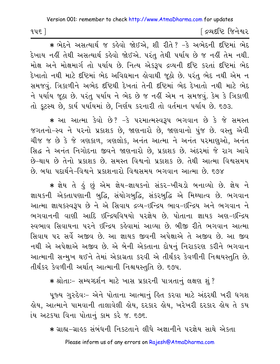| ≀પ૬ં | ∫ દ્રવ્યદષ્ટિ જિનેશ્વર |
|------|------------------------|
|------|------------------------|

\* ભેદને અસત્યાર્થ જ કહેવો જોઈએ. શી રીતે? -કે અભેદની દષ્ટિમાં ભેદ દેખાય નહીં તેથી અસત્યાર્થ કહેવો જોઈએ. પરંતુ તેથી પર્યાય છે જ નહીં તેમ નથી. મોક્ષ અને મોક્ષમાર્ગ તો પર્યાય છે. નિત્ય એકરૂપ દ્રવ્યની દષ્ટિ કરતાં દષ્ટિમાં ભેદ સમજવું. ત્રિકાળીને અભેદ દષ્ટિથી દેખતાં તેની દષ્ટિમાં ભેદ દેખાતો નથી માટે ભેદ ને પર્યાય જઠા છે. પરંતુ પર્યાય ને ભેદ છે જ નહીં એમ ન સમજવું. કેમ કે ત્રિકાળી તો કૂટસ્થ છે, કાર્ય પર્યાયમાં છે, નિર્ણય કરનારી તો વર્તમાન પર્યાય છે. ૬૭૩.

∗ આ આત્મા કેવો છે? −કે પરમાત્મસ્વરૂપ ભગવાન છે કે જે સમસ્ત જગતનો-સ્વ ને પરનો પ્રકાશક છે, જાણનારો છે, જાણવાનો પુંજ છે. વસ્તુ એવી ચીજ જ છે કે જે ત્રણકાળ, ત્રણલોક, અનંત આત્મા ને અનંત પરમાણુઓ, અનંત સિદ્ધ ને અનંત નિગોદના જીવને જાણનારો છે, પ્રકાશક છે. અંદરમાં જે રાગ આવે છે-થાય છે તેનો પ્રકાશક છે. સમસ્ત વિશ્વનો પ્રકાશક છે. તેથી આત્મા વિશ્વસમય છે. બધા પદાર્થને–વિશ્વને પ્રકાશનારો વિશ્વસમય ભગવાન આત્મા છે. ૬૭૪

∗ જ્ઞેય તે ઙું છું એમ જ્ઞેય-જ્ઞાયકનો સંકર-ખીચડો બનાવ્યો છે. જ્ઞેય ને જ્ઞાયકની એકતાપણાની બુદ્ધિ, સંયોગબુદ્ધિ, સંકરબુદ્ધિ એ મિથ્યાત્વ છે. ભગવાન આત્મા જ્ઞાયકસ્વરૂપ છે ને એ સિવાય દ્રવ્ય-ઇન્દ્રિય ભાવ-ઇન્દ્રિય અને ભગવાન ને ભગવાનની વાણી આદિ ઇન્દ્રિયવિષયો પરજ્ઞેય છે. પોતાના જ્ઞાયક અણ–ઇન્દ્રિય સ્વભાવ સિવાયના પરને ઇન્દ્રિય કહેવામાં આવ્યા છે. બીજી રીતે ભગવાન આત્મા સિવાય પર સર્વે અજીવ છે. આ જ્ઞાયક જીવની અપેક્ષાએ તે અજીવ છે. આ જીવ નથી એ અપેક્ષાએ અજીવ છે. એ બેની એકતાના દોષનું નિરાકરણ કરીને ભગવાન આત્માની સન્મુખ થઈને તેમાં એકાગ્રતા કરવી એ તીર્થંકર કેવળીની નિશ્ચયસ્તુતિ છે. તીર્થંકર કેવળીની અર્થાત આત્માની નિશ્ચયસ્તુતિ છે. ૬૭૫.

\* श्रोताः- सम्यग्दर्शन माटे ખास प्रडारनी पात्रतानुं લक्षण शुं?

પૂજ્ય ગુરુદેવઃ– એને પોતાના આત્માનું હિત કરવા માટે અંદરથી ખરી ધગશ હોય, આત્માને પામવાની તાલાવેલી હોય, દરકાર હોય, ખરેખરી દરકાર હોય તે કય ાંય અટકયા વિના પોતાનું કામ કરે જ. ૬૭૬.

\* ગ્રાહ્ય-ગ્રાહક સંબંધની નિકટતાને લીધે અજ્ઞાનીને પરજ્ઞેય સાથે એકતા Please inform us of any errors on Rajesh@AtmaDharma.com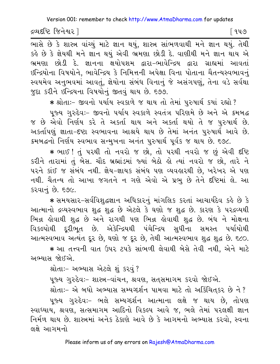દ્રવ્યદષ્ટિ જિનેશ્વર l

િવપ૭

.<br>ભાસે છે કે શાસ્ત્ર વાંચ્યું માટે જ્ઞાન થયું, શાસ્ત્ર સાંભળવાથી મને જ્ઞાન થયું. તેથી કહે છે કે જ્ઞેયથી મને જ્ઞાન થયું એવી ભ્રમણા છોડી દે. વાણીથી મને જ્ઞાન થાય એ ભ્રમણા છોડી દે. જ્ઞાનના ક્ષયોપશમ દ્વારા-ભાવેન્દ્રિય દ્વારા ગ્રાહ્યમાં આવતાં ઇન્દ્રિયોના વિષયોને, ભાવેન્દ્રિય કે નિમિત્તની અપેક્ષા વિના પોતાના ચૈતન્યસ્વભાવનું સ્વયમેવ અનુભવમાં આવતું, જ્ઞેયોના સંબંધ વિનાનું જે અસંગપણું, તેના વડે સર્વથા જદા કરીને ઇન્દ્રિયના વિષયોનું જીતવું થાય છે. ૬૭૭.

\* શ્રોતાઃ- જીવનો પર્યાય સ્વકાળે જ થાય તો તેમાં પુરુષાર્થ કયાં રહ્યો ?

પૂજ્ય ગુરુદેવઃ- જીવનો પર્યાય સ્વકાળે સ્વતંત્ર પરિણમે છે અને એ ક્રમબદ્ધ જ છે એવો નિર્ણય કરે તે અકર્તા થાય અને અકર્તા થયો તે જ પુરુષાર્થ છે. અકર્તાપણું જ્ઞાતા-દષ્ટા સ્વભાવના આશ્રયે થાય છે તેમાં અનંત પુરુષાર્થ આવે છે. ક્રમબદ્ધનો નિર્ણય સ્વભાવ સન્મખના અનંત પુરુષાર્થ પૂર્વક જ થાય છે. ૬૭૮.

\* ભાઈ ! તું પરથી તો નવરો જ છો, તો પરથી નવરો જ છું એવી દષ્ટિ કરીને તારામાં તું બેસ. ચૌદ બ્રહ્માંડમાં જ્યાં બેઠો હો ત્યાં નવરો જ છો, તારે ને ૫૨ને કાંઈ જ સંબંધ નથી. જ્ઞેય-જ્ઞાયક સંબંધ પણ વ્યવહારથી છે, ખરેખર એ પણ નથી. ચૈતન્ય તો આખા જગતને ન ગણે એવો એ પ્રભ છે તેને દષ્ટિમાં લે. આ કરવાનં છે. ૬૭૯.

\* સમયસાર-સર્વવિશુદ્ધજ્ઞાન અધિકારનું માંગલિક કરતાં આચાર્યદેવ કહે છે કે આત્માનો દ્રવ્યસ્વભાવ શુદ્ધ શુદ્ધ છે એટલે કે ઘણો જ શુદ્ધ છે. કારણ કે પરદ્રવ્યથી ભિન્ન હોવાથી શુદ્ધ છે અને રાગથી પણ ભિન્ન હોવાથી શુદ્ધ છે. બંધ ને મોક્ષના વિકલ્પોથી દૂરીભૂત છે. એકેન્દ્રિયથી પંચેન્દ્રિય સુધીના સમસ્ત પર્યાયોથી આત્મસ્વભાવ અત્યંત દૂર છે, ઘણો જ દૂર છે, તેથી આત્મસ્વભાવ શુદ્ધ શુદ્ધ છે. ૬૮૦.

\* આ તત્ત્વની વાત ઉપર ટપકે સાંભળી લેવાથી બેસે તેવી નથી. એને માટે અભ્યાસ જોઈએ

શ્રોતાઃ- અભ્યાસ એટલે શું કરવું ?

પૂજ્ય ગુરુદેવઃ- શાસ્ત્ર-વાંચન, શ્રવણ, સત્ સમાગમ કરવો જોઈએ.

શ્રોતાઃ- એ બધો અભ્યાસ સમ્યગ્દર્શન પામવા માટે તો અકિંચિતકર છે ને ?

પૂજ્ય ગુરુદેવઃ- ભલે સમ્યગ્દર્શન આત્માના લક્ષે જ થાય છે, તોપણ સ્વાધ્યાય, શ્રવણ, સત્સમાગમ આદિનો વિકલ્પ આવે જ, ભલે તેમાં પરલક્ષી જ્ઞાન નિર્મળ થાય છે. શાસ્ત્રમાં અનેક ઠેકાણે આવે છે કે આગમનો અભ્યાસ કરવો, સ્વના લક્ષે આગમનો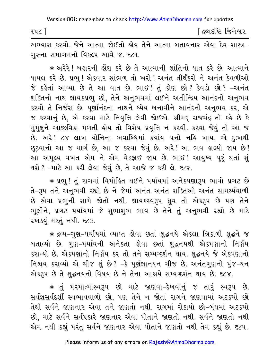[ દ્રવ્યદષ્ટિ જિનેશ્વર  $94C$ ]

અભ્યાસ કરવો. જેને આત્મા જોઈતો હોય તેને આત્મા બતાવનાર એવા દેવ-શાસ્ત્ર-ગરુના સમાગમનો વિકલ્પ આવે જ. ૬૮૧.

\* અરેરે ! બહારની હોંશ કરે છે તે આત્માની શાંતિનો ઘાત કરે છે. આત્માને ઘાયલ કરે છે. પ્રભુ ! એકવાર સાંભળ તો ખરો ! અનંત તીર્થંકરો ને અનંત કેવળીઓ જે કહેતાં આવ્યા છે તે આ વાત છે. ભાઈ! તું કોણ છો? કેવડો છો? -અનંત શક્તિનો નાથ જ્ઞાયકપ્રભુ છો, તેને અનુભવમાં લઈને અતીન્દ્રિય આનંદનો અનુભવ કરવો તે નિર્જરા છે. પુર્ણાનંદના નાથને ધ્યેય બનાવીને આનંદનો અનુભવ કર, એ જ કરવાનું છે, એ કરવા માટે નિવૃત્તિ લેવી જોઈએ. શ્રીમદ્દ રાજચંદ્ર તો કહે છે કે મુમુક્ષુને આજીવિકા મળતી હોય તો વિશેષ પ્રવૃત્તિ ન કરવી. કરવા જેવું તો આ જ છે. અરે! ૮૪ લાખ યોનિના ભવાબ્ધિમાં કયાંય ૫ત્તો નહિ ખાય. એ દુઃખથી છૂટવાનો આ જ માર્ગ છે, આ જ કરવા જેવું છે. અરે! આ ભવ હાલ્યો જાય છે! આ અમુલ્ય વખત એમ ને એમ વેડફાઈ જાય છે. ભાઈ! આયુષ્ય પુરૂં થતાં શું થશે ? -માટે આ કરી લેવા જેવું છે, તે આજે જ કરી લે. ૬૮૨.

∗ પ્રભુ ! તું રાગમાં વિમોહિત થઈને પર્યાયમાં અનેકપણારૂપ ભાવો પ્રગટ છે તે-રૂપ તને અનુભવી રહ્યો છે ને જેમાં અનંત અનંત શક્તિઓ અનંત સામર્થ્યવાળી છે એવા પ્રભુની સામે જોતો નથી. જ્ઞાયકસ્વરૂપ ધ્રુવ તો એકરૂપ છે પણ તેને ભૂલીને, પ્રગટ પર્યાયમાં જે શુભાશુભ ભાવ છે તેને તું અનુભવી રહ્યો છે માટે રખડવું મટતું નથી. ૬૮૩.

\* દ્રવ્ય-ગુણ-પર્યાયમાં વ્યાપ્ત હોવા છતાં શુદ્ધનયે એકલા ત્રિકાળી શુદ્ધને જ બતાવ્યો છે. ગુણ–પર્યાયની અનેકતા હોવા છતાં શુદ્ધનયથી એકપણાનો નિર્ણય કરાવ્યો છે. એકપણાનો નિર્ણય કર તો તને સમ્યગ્દર્શન થાય. શુદ્ધનયે જે એકપણાનો નિશ્ચય કરાવ્યો એ ચીજ શું છે? -કે પૂર્ણજ્ઞાનઘન ચીજ છે. અનંતગુણનો પુંજ-ઘન એકરૂપ છે તે શુદ્ધનયનો વિષય છે ને તેના આશ્રયે સમ્યગ્દર્શન થાય છે. ૬૮૪.

∗ તું પરમાત્માસ્વરૂપ છો માટે જાણવા−દેખવાનું જ તારું સ્વરૂપ છે. સર્વજ્ઞસર્વદર્શી સ્વભાવવાળો છો, પણ તેને ન જોતાં રાગને જાણવામાં અટકયો છો તેથી સર્વને જાણનાર એવા તને જાણતો નથી. રાગમાં રોકાયો છો-બંધમાં અટકયો છો, માટે સર્વને સર્વપ્રકારે જાણનાર એવા પોતાને જાણતો નથી. સર્વને જાણતો નથી એમ નથી કહ્યું પરંતુ સર્વને જાણનાર એવા પોતાને જાણતો નથી તેમ કહ્યું છે. ૬૮૫.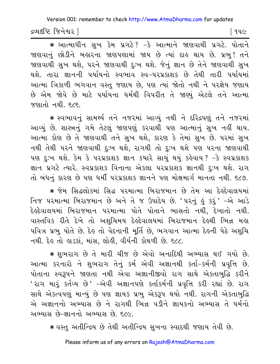દ્રવ્યદષ્ટિ જિનેશ્વર l

∣ ૧૫૯

\* આત્માધીન સુખ કેમ પ્રગટે? –કે આત્માને જાણવાથી પ્રગટે. પોતાને જાણવાનું છોડીને બહારના જાણપણામાં જાય છે ત્યાં દાહ થાય છે. પ્રભુ! તને જાણવાથી સુખ થશે, પરને જાણવાથી દુઃખ થશે. જેનું જ્ઞાન છે તેને જાણવાથી સુખ થશે. તારા જ્ઞાનની પર્યાયનો સ્વભાવ સ્વ-પરપ્રકાશક છે તેથી તારી પર્યાયમાં આત્મા ત્રિકાળી ભગવાન વસ્તુ જણાય છે, પણ ત્યાં જોતો નથી ને પરજ્ઞેય જણાય છે એમ જોવે છે માટે પર્યાયના ધર્મથી વિપરીત તે જાણ્યું એટલે તને આત્મા જણાતો નથી. ૬૮૬.

\* સ્વભાવનું સામર્થ્ય તને નજરમાં આવ્યું નથી ને દરિદ્રપણું તને નજરમાં આવ્યું છે. શાસ્ત્રનું ગમે તેટલું જાણપણું કરવાથી પણ આત્માનું સુખ નહીં થાય. આત્મા કોણ છે તે જાણવાથી તને સુખ થશે, કારણ કે તેમાં સુખ છે. પરમાં સુખ નથી તેથી પરને જાણવાથી દુઃખ થશે, રાગથી તો દુઃખ થશે પણ પરના જાણવાથી પણ દુઃખ થશે. કેમ કે પરપ્રકાશક જ્ઞાન કયારે સાચું થયું કહેવાય ? −કે સ્વપ્રકાશક જ્ઞાન પ્રગટે ત્યારે. સ્વપ્રકાશક વિનાના એકલા પરપ્રકાશક જ્ઞાનથી દુઃખ થશે. રાગ તો બંધનું કારણ છે પણ ધર્મી પરપ્રકાશક જ્ઞાનને પણ મોક્ષમાર્ગ માનતા નથી. ૬૮૭.

\* જેમ સિદ્ધલોકમાં સિદ્ધ પરમાત્મા બિરાજમાન છે તેમ આ દેલ્ર્દેવાલયમાં નિજ પરમાત્મા બિરાજમાન છે અને તે જ ઉપાદેય છે. 'પરનું હું કરું' -એ આડે દેલ્ર્દેવાલયમાં બિરાજમાન પરમાત્મા પોતે પોતાને ભાસતો નથી, દેખાતો નથી. વાસ્તવિક રીતે દેખે તો અશુચિમય દેલ્ર્દેવાલયમાં બિરાજમાન દેલ્થી ભિન્ન મલ પવિત્ર પ્રભુ પોતે છે. દેહ તો વેદનાની મૂર્તિ છે, ભગવાન આત્મા દેહની પેઠે અશુચિ નથી. દેહ તો હાડકાં, માંસ, લોહી, વીર્યની કોથળી છે. ૬૮૮.

\* શુભરાગ છે તે મારી ચીજ છે એવો અનાદિથી અભ્યાસ થઈ ગયો છે. આત્મા કરનારો ને શુભરાગ તેનું કર્મ એવી અજ્ઞાનથી કર્તા-કર્મની પ્રવૃત્તિ છે. પોતાના સ્વરૂપને જાણતા નથી એવા અજ્ઞાનીજીવો રાગ સાથે એકતાબુદ્ધિ કરીને 'રાગ મારૂં કર્તવ્ય છે' –એવી અજ્ઞાનપણે કર્તાકર્મની પ્રવૃત્તિ કરી રહ્યાં છે. રાગ સાથે એકત્વપણું માન્યું છે પણ જ્ઞાયક પ્રભુ એકરૂપ થયો નથી. રાગની એકતાબુદ્ધિ એ અજ્ઞાનનો અભ્યાસ છે ને રાગથી ભિન્ન પડીને જ્ઞાયકનો અભ્યાસ તે ધર્મનો અભ્યાસ છે-જ્ઞાનનો અભ્યાસ છે. ૬૮૯.

\* વસ્તુ અતીન્દ્રિય છે તેથી અતીન્દ્રિય સુખના સ્વાદથી જણાય તેવી છે.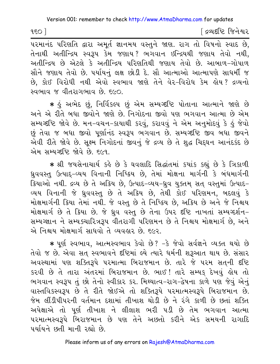$150$ 

દિવ્યદષ્ટિ જિનેશ્વર

તેનાથી અતીન્દ્રિય સ્વરૂપ કેમ જણાય? ભગવાન ઇન્દ્રિયથી જણાય તેવો નથી, અતીન્દ્રિય છે એટલે કે અતીન્દ્રિય પરિણતિથી જણાય તેવો છે. આબાળ-ગોપાળ સૌને જણાય તેવો છે. પર્યાયનું લક્ષ છોડી દે. સૌ આત્માઓ આત્માપણે સાધર્મી જ છે, કોઈ વિરોધી નથી એવો સ્વભાવ જાણે તેને વેર-વિરોધ કેમ લોય? દ્રવ્યનો સ્વભાવ જ વીતરાગભાવ છે. ૬૯૦.

∗ કું અભેદ છું, નિર્વિકલ્પ છું એમ સમ્યગ્દષ્ટિ પોતાના આત્માને જાણે છે અને એ રીતે બધા જીવોને જાણે છે. નિગોદના જીવો પણ ભગવાન આત્મા છે એમ સમ્યગ્દષ્ટિ જોવે છે. મન-વચન-કાયાથી કરવું, કરાવવું ને એમ અનુમોદવું કે હું જેવો છું તેવા જ બધા જીવો પૂર્ણાનંદ સ્વરૂપ ભગવાન છે. સમ્યગ્દષ્ટિ જીવ બધા જીવને એવી રીતે જોવે છે. સુક્ષ્મ નિગોદનાં જીવનું જે દ્રવ્ય છે તે શુદ્ધ ચિદ્ઘન આનંદકંદ છે એમ સમ્યગ્દષ્ટિ જોવે છે. દલ્લ

\* શ્રી જયસેનાચાર્ય કહે છે કે ઘવલાદિ સિદ્ધાંતમાં કયાંક કહ્યું છે કે ત્રિકાળી ધ્રુવવસ્તુ ઉત્પાદ્-વ્યય વિનાની નિષ્ક્રિય છે, તેમાં મોક્ષના માર્ગની કે બંધમાર્ગની ક્રિયાઓ નથી. દ્રવ્ય છે તે અક્રિય છે. ઉત્પાદ-વ્યય-ધ્રવ યુક્તમ સત વસ્તુમાં ઉત્પાદ-વ્યય વિનાની જે ધ્રુવવસ્તુ છે તે અક્રિય છે, તેથી કોઈ પરિણમન, બદલવું કે મોક્ષમાર્ગની ક્રિયા તેમાં નથી. જે વસ્તુ છે તે નિષ્ક્રિય છે, અક્રિય છે અને જે નિશ્ચય મોક્ષમાર્ગ છે તે ક્રિયા છે. જે ઘ્રુવ વસ્તુ છે તેના ઉપર દષ્ટિ નાખતાં સમ્યગ્દર્શન-સમ્યગ્જ્ઞાન ને સમ્યક્ચારિત્રરૂપ વીતરાગી પરિણમન છે તે નિશ્ચય મોક્ષમાર્ગ છે, અને એ નિશ્ચય મોક્ષમાર્ગ સાધવો તે વ્યવહાર છે. ૬૯૨.

\* પૂર્ણ સ્વભાવ, આત્મસ્વભાવ કેવો છે? -કે જેવો સર્વજ્ઞને વ્યક્ત થયો છે તેવો જ છે. એવા સત સ્વભાવને દૃષ્ટિમાં લ્યે ત્યારે ધર્મની શરૂઆત થાય છે. સંસાર અવસ્થામાં પણ શક્તિરૂપે પરમાત્મા બિરાજમાન છે. તારે જે પરમ સતની દષ્ટિ કરવી છે તે તારા અંતરમાં બિરાજમાન છે. ભાઈ! તારે સમ્યક દેખવું હોય તો ભગવાન સ્વરૂપ તું છો તેનો સ્વીકાર કર. મિથ્યાત્વ-રાગ-દ્વેષના કાળે પણ જેવું એનું વાસ્તવિકસ્વરૂપ છે તે રીતે જોઈએ તો શક્તિરૂપે પરમાત્મસ્વરૂપે બિરાજમાન છે. જેમ લીંડીપીપરની વર્તમાન દશામાં તીખાશ થોડી છે ને રંગે કાળી છે છતાં શક્તિ અપેક્ષાએ તો પૂર્ણ તીખાશ ને લીલાશ ભરી પડી છે તેમ ભગવાન આત્મા પરમાત્મસ્વરૂપે બિરાજમાન છે પણ તેને અછતો કરીને એક સમયની રાગાદિ पर्यायने छती मानी रह्यो छे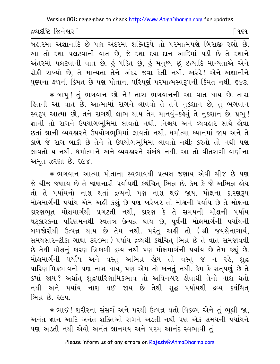દ્રવ્યદષ્ટિ જિનેશ્વર l

િવદવ

આ તો દશા પલટવાની વાત છે, જે દશા દયા-દાન આદિમાં પડી છે તે દશાને અંતરમાં પલટવાની વાત છે. હું પંડિત છું, હું મનુષ્ય છું ઇત્યાદિ માન્યતાએ એને રોકી રાખ્યો છે, તે માન્યતા તેને અંદર જવા દેતી નથી. અરેરે! એને-અજ્ઞાનીને પુણ્યના ફળની કિંમત છે પણ પોતાના પરિપૂર્ણ પરમાત્મસ્વરૂપની કિંમત નથી. ૬૯૩.

\* બાપુ! તું ભગવાન છો ને! તારા ભગવાનની આ વાત થાય છે. તારા િલની આ વાત છે. આત્મામાં રાગને લાવવો તે તને નુકશાન છે, તું ભગવાન સ્વરૂપ આત્મા છો, તને રાગથી લાભ થાય તેમ માનવું-કહેવું તે નુકશાન છે. પ્રભુ! જ્ઞાની તો રાગને ઉપયોગભુમિમાં લાવતો નથી. નિશ્ચય અને વ્યવહાર સાથે હોવા છતાં જ્ઞાની વ્યવહારને ઉપયોગભૂમિમાં લાવતો નથી. ધર્માત્મા ધ્યાનમાં જાય અને તે કાળે જે રાગ બાકી છે તેને તે ઉપયોગભૂમિમાં લાવતો નથી; કરતો તો નથી પણ લાવતો ય નથી. ધર્માત્માને અને વ્યવહારને સંબંધ નથી. આ તો વીતરાગી વાણીના અમૃત ઝરણાં છે. ૬૯૪.

\* ભગવાન આત્મા પોતાના સ્વભાવથી પ્રત્યક્ષ જણાય એવી ચીજ છે પણ જે ચીજ જણાય છે તે જાણનારી પર્યાયથી કથંચિત્ ભિન્ન છે. કેમ કે જો અભિન્ન હોય તો તે પર્યાયનો નાશ થતાં દ્રવ્યનો પણ નાશ થઈ જાય. મોક્ષના કારણરૂપ મોક્ષમાર્ગની પર્યાય એમ અહીં કહ્યું છે પણ ખરેખર તો મોક્ષની પર્યાય છે તે મોક્ષના કારણભૂત મોક્ષમાર્ગથી પ્રગટતી નથી, કારણ કે તે સમયની મોક્ષની પર્યાય ષટ્કા૨કના પરિણમનથી સ્વતંત્ર ઉત્પન્ન થાય છે, પૂર્વની મોક્ષમાર્ગની પર્યાયની બળજોરીથી ઉત્પન્ન થાય છે તેમ નથી. પરંતુ અહીં તો (શ્રી જયસેનાચાર્ય, સમયસાર-ટીકા ગાથા ૩૨૦મા ) પર્યાય દ્રવ્યથી કથંચિત ભિન્ન છે તે વાત સમજાવવી છે તેથી મોક્ષનું કારણ ત્રિકાળી દ્રવ્ય નથી પણ મોક્ષમાર્ગની પર્યાય છે તેમ કહ્યું છે. મોક્ષમાર્ગની પર્યાય અને વસ્તુ અભિન્ન હોય તો વસ્તુ જ ન રહે, શુદ્ધ પારિશામિકભાવનો પણ નાશ થાય, પણ એમ તો બનતું નથી. કેમ કે સતપણું છે તે કયાં જાય? અર્થાત્ શુદ્ધપારિણામિકભાવ તો અવિનશ્વર હોવાથી તેનો નાશ થતો નથી અને પર્યાય નાશ થઈ જાય છે તેથી શુદ્ધ પર્યાયથી દ્રવ્ય કથંચિત્ ભિન્ન છે. ૬૯૫.

\* ભાઈ ! શરીરના સંસર્ગ અને પરથી ઉત્પન્ન થતો વિકલ્પ એને તું ભૂલી જા, અનંત જ્ઞાન આદિ અનંત શક્તિઓ રાગને અડતી નથી પણ એક સમયની પર્યાયને પણ અડતી નથી એવો અનંત જ્ઞાનમય અને પરમ આનંદ સ્વભાવી તું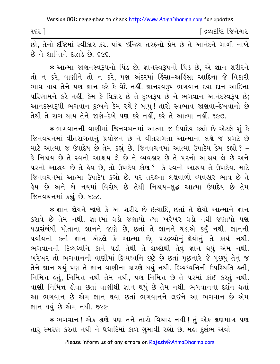| ૧૬૨ ً | ∫ દ્રવ્યદષ્ટિ જિનેશ્વર |  |
|-------|------------------------|--|
|-------|------------------------|--|

છો, તેનો દષ્ટિમાં સ્વીકાર કર. પાંચ-ઇન્દ્રિય તરફનો પ્રેમ છે તે આનંદને ગાળી નાખે  $\hat{\omega}$  ને શાન્તિને દઝાડે છે. ૬૯૬.

 $\bm *$  આત્મા જાણનસ્વરૂપનો પિંડ છે, જ્ઞાનસ્વરૂપનો પિંડ છે, એ જ્ઞાન શરીરને તો ન કરે, વાણીને તો ન કરે, પણ અંદરમાં હિંસા-અહિંસા આદિના જે વિકારી ભાવ થાય તેને પણ જ્ઞાન કરે કે વેદે નહીં. જ્ઞાનસ્વરૂપ ભગવાન દયા-દાન આદિના પરિણામને કરે નહીં, કેમ કે વિકાર છે તે દુઃખરૂપ છે ને ભગવાન આનંદસ્વરૂપ છે; આનંદસ્વરૂપી ભગવાન દઃખને કેમ રચે? બાપ! તારો સ્વભાવ જાણવા-દેખવાનો છે તેથી તે રાગ થાય તેને જાણે-દેખે પણ કરે નહીં. કરે તે આત્મા નહીં. ૬૯૭.

 $\,$  ∗ ભગવાનની વાણીમાં-જિનવચનમાં આત્મા જ ઉપાદેય કહ્યો છે એટલે શું-કે જિનવચનમાં વીતરાગતાનું પ્રયોજન છે ને વીતરાગતા આત્માના લક્ષે જ પ્રગટે છે માટે આત્મા જ ઉપાદેય છે તેમ કહ્યું છે. જિનવચનમાં આત્મા ઉપાદેય કેમ કહ્યો ? – કે નિશ્ચય છે તે સ્વનો આશ્રય લે છે ને વ્યવહાર છે તે પરનો આશ્રય લે છે અને ૫૨નો આશ્રય છે તે હેય છે. તો ઉપાદેય કોણ? −કે સ્વનો આશ્રય તે ઉપાદેય. માટે જિનવચનમાં આત્મા ઉપાદેય કહ્યો છે. ૫૨ તરફના લક્ષવાળો વ્યવહાર ભાવ છે તે હેય છે અને બે નયમાં વિરોધ છે તેથી નિશ્ચય−શુદ્ધ આત્મા ઉપાદેય છે તેમ જિનવચનમાં કહ્યું છે. ૬૯૮.

\* જ્ઞાન જ્ઞેયને જાણે કે આ શરીર છે ઇત્યાદિ, છતાં તે જ્ઞેયો આત્માને જ્ઞાન કરાવે છે તેમ નથી. જ્ઞાનમાં ઘડો જણાયો ત્યાં ખરેખર ઘડો નથી જણાયો પણ ઘડાસંબંધી પોતાના જ્ઞાનને જાણે છે, છતાં તે જ્ઞાનને ઘડાએ કર્યું નથી. જ્ઞાનની પર્યાયનો કર્તા જ્ઞાન એટલે કે આત્મા છે, પરદ્રવ્યોનું-જ્ઞેયોનું તે કાર્ય નથી. ભગવાનની દિવ્યધ્વનિ કાને ૫ડી તેથી તે શબ્દોથી તેવું જ્ઞાન થયું એમ નથી. ખરેખર તો ભગવાનની વાણીમાં દિવ્યધ્વનિ છૂટે છે છતાં પૂછનારે જે પૂછયું તેનું જ તેને જ્ઞાન થયું પણ તે જ્ઞાન વાણીના કારણે થયું નથી. દિવ્યધ્વનિની ઉપસ્થિતિ હતી, નિમિત્ત હતું, નિમિત્ત નથી તેમ નથી, પણ નિમિત્ત છે તે પરમાં કાંઈ કરતું નથી. વાણી નિમિત્ત હોવા છતાં વાણીથી જ્ઞાન થયું છે તેમ નથી. ભગવાનના દર્શન થતાં આ ભગવાન છે એમ જ્ઞાન થવા છતાં ભગવાનને લઈને આ ભગવાન છે એમ જ્ઞાન થયં છે એમ નથી. ૬૯૯.

 $\ast$  ભગવાન! એક ક્ષણે પણ તને તારો વિચાર નથી! તું એક ક્ષણમાત્ર પણ તારૂં સ્મરણ કરતો નથી ને ઘંધાદિમાં કાળ ગુમાવી રહ્યો છે. મહા દુર્લભ એવો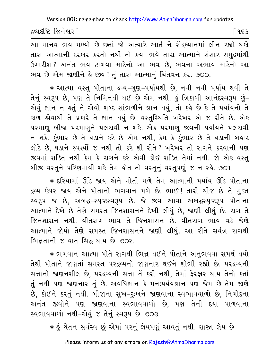દ્રવ્યદષ્ટિ જિનેશ્વર l િ ૧૬૩

આ માનવ ભવ મળ્યો છે છતાં જો અત્યારે આર્ત ને રૌદ્રધ્યાનમાં લીન રહ્યો થકો તારા આત્માની દરકાર કરતો નથી તો કયા ભવે તારા આત્માને સંસાર સમુદ્રમાંથી ઉગારીશ ? અનંત ભવ ટાળવા માટેનો આ ભવ છે, ભવના અભાવ માટેનો આ ભવ છે-એમ જાણીને કે જીવ! તું તારા આત્માનું ચિંતવન કર. ૭૦૦.

\* આત્મા વસ્તુ પોતાના દ્રવ્ય-ગુણ-પર્યાયથી છે, નવી નવી પર્યાય થવી તે તેનું સ્વરૂપ છે, પણ તે નિમિત્તથી થઈ છે એમ નથી. હું ત્રિકાળી આનંદસ્વરૂપ છું– એવું જ્ઞાન ન કર્તુ ને એવો શબ્દ સાંભળીને જ્ઞાન થયું, તો કર્કે છે કે તે પર્યાયનો તે કાળ હોવાથી તે પ્રકારે તે જ્ઞાન થયું છે. વસ્તુસ્થિતિ ખરેખર એ જ રીતે છે. એક પરમાણુ બીજા પરમાણુને પલટાવી ન શકે. એક પરમાણુ જીવની પર્યાયને પલટાવી ન શકે. કુંભાર છે તે ઘડાને કરે છે એમ નથી, કેમ કે કુંભાર છે તે ઘડાની બહાર લોટે છે, ઘડાને સ્પર્શ્યો જ નથી તો કરે શી રીતે? ખરેખર તો રાગને કરવાની પણ જીવમાં શક્તિ નથી કેમ કે રાગને કરે એવી કોઈ શક્તિ તેમાં નથી. જો એક વસ્તુ બીજી વસ્તુને પરિણમાવી શકે તેમ લોત તો વસ્તુનું વસ્તુપણું જ ન રહે. ૭૦૧.

★ દરિયામાં ઊંડે જાય એને મોતી મળે તેમ આત્માની પર્યાય ઊંડે પોતાના દ્રવ્ય ઉપર જાય એને પોતાનો ભગવાન મળે છે. ભાઈ ! તારી ચીજ છે તે મુક્ત સ્વરૂપ જ છે, અબદ્ધ-સ્પૃષ્ટસ્વરૂપ છે. જે જીવ આવા અબદ્ધસ્પૃષ્ટરૂપ પોતાના આત્માને દેખે છે તેણે સમસ્ત જિનશાસનને દેખી લીધું છે, જાણી લીધું છે. રાગ તે જિનશાસન નથી. વીતરાગ ભાવ તે જિનશાસન છે. વીતરાગ ભાવ વડે જેણે આત્માને જોયો તેણે સમસ્ત જિનશાસનને જાણી લીધું. આ રીતે સર્વત્ર રાગથી <u>लिचतानी જ पात सिद्ध थाय छे. ७०२.</u>

\* ભગવાન આત્મા પોતે રાગથી ભિન્ન થઈને પોતાને અનુભવવા સમર્થ થયો તેથી પોતાને જાણતાં સમસ્ત પરદવ્યનો જાણનાર થઈને શોભી રહ્યો છે. પરદવ્યની સત્તાનો જાણનશીલ છે, પરદ્રવ્યની સત્તા તેં કરી નથી, તેમાં ફેરફાર થાય તેનો કર્તા તું નથી પણ જાણનાર તું છે. અવધિજ્ઞાન કે મનઃપર્યયજ્ઞાન પણ જેમ છે તેમ જાણે છે, કોઈને કરતું નથી. બીજાના સુખ-દુઃખને જાણવાના સ્વભાવવાળો છે, નિગોદના અનંત જીવોને પણ જાણવાના સ્વભાવવાળો છે, પણ તેની દયા પાળવાના સ્વભાવવાળો નથી-એવું જ તેનું સ્વરૂપ છે. ૭૦૩.

∗ કું ચેતન સર્વસ્વ છું એમાં પરનું જ્ઞેયપણું આવતું નથી. શાસ્ત્ર જ્ઞેય છે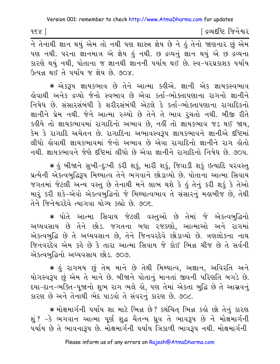$188$ 

દિવ્યદષ્ટિ જિનેશ્વર

પણ નથી. પરના જ્ઞાનમાત્ર એ જ્ઞેય હું નથી. છ દ્રવ્યનું જ્ઞાન થયું એ છ દ્રવ્યના કારણે થયું નથી, પોતાના જ જ્ઞાનથી જ્ઞાનની પર્યાય થઈ છે. સ્વ-પરપ્રકાશક પર્યાય ઉત્પન્ન થઈ તે પર્યાય જ જ્ઞેય છે. ૭૦૪.

\* એકરૂપ જ્ઞાયકભાવ છે તેને આત્મા કહીએ. જ્ઞાની એક જ્ઞાયકસ્વભાવ લેવાથી અનેક દ્રવ્યો જેનો સ્વભાવ છે એવા કર્તા−ભોક્તાપણાના રાગનો જ્ઞાનીને નિષેધ છે. સંસારસંબંધી કે શરીરસંબંધી એટલે કે કર્તા-ભોક્તાપણાના રાગાદિકનો જ્ઞાનીને પ્રેમ નથી. જેને આત્મા રુચ્યો છે તેને તે ભાવ રૂચતો નથી. બીજી રીતે કહીયે તો જ્ઞાયકભાવમાં રાગાદિનો અભાવ છે, નહીં તો જ્ઞાયકભાવ જડ થઈ જાય, કેમ કે રાગાદિ અચેતન છે. રાગાદિના અભાવસ્વરૂપ જ્ઞાયકભાવને જ્ઞાનીએ દષ્ટિમાં લીધો લોવાથી જ્ઞાયકભાવમાં જેનો અભાવ છે એવા રાગાદિનો જ્ઞાનીને રાગ લોતો નથી જ્ઞાયકભાવને જેણે દૃષ્ટિમાં લીધો છે એવા જ્ઞાનીને રાગાદિનો નિષેધ છે ૭૦૫

\* કું બીજાને સુખી-દુઃખી કરી શકું, મારી શકું, જિવાડી શકું ઇત્યાદિ પરવસ્તુ પ્રત્યેની એકત્વબુદ્ધિરૂપ મિથ્યાત્વ તેને ભગવાને છોડાવ્યો છે. પોતાના આત્મા સિવાય જગતમાં જેટલી અન્ય વસ્તુ છે તેનાથી મને લાભ થશે કે હું તેનું કરી શકું કે તેઓ મારૂં કરી શકે-એવો એકત્વબુદ્ધિનો જે મિથ્યાત્વભાવ તે સંસારનું મહાબીજ છે, તેથી તેને જિનેશ્વરદેવે ત્યાગવા યોગ્ય કહ્યો છે ૭૦૬

\* પોતે આત્મા સિવાય જેટલી વસ્તુઓ છે તેમાં જે એકત્વબુદ્ધિનો અઘ્યવસાય છે તેને છોડ. જગતના બધા ૨જકણો, આત્માઓ અને રાગમાં એકત્વબુદ્ધિ છે તે અઘ્યવસાન છે, તેને જિનવરદેવે છોડાવ્યો છે. ત્રણલોકના નાથ જિનવરદેવ એમ કહે છે કે તારા આત્મા સિવાય જે કોઈ ભિન્ન ચીજ છે તે સર્વની એકત્વબુદ્ધિનો અઘ્યવસાય છોડ. ૭૦૭.

\* કું રાગમય છું તેમ માને છે તેથી મિથ્યાત્વ, અજ્ઞાન, અવિરતિ અને યોગસ્વરૂપ છું એમ તે માને છે. બીજાને પોતાનું માનતાં જીવની પરિણતિ બગડે છે. દયા-દાન-ભક્તિ-પુજાનો શુભ રાગ ભલે હો, પણ તેમાં એકતા બુદ્ધિ છે તે આસવનું કારણ છે અને તેનાથી ભેદ પાડવો તે સંવરનું કારણ છે. ૭૦૮.

\* મોક્ષમાર્ગની પર્યાય શા માટે ભિન્ન છે? કથંચિત ભિન્ન કહો છો તેનું કારણ શું ? –કે ભગવાન આત્મા પૂર્ણ શુદ્ધ ચૈતન્ય ઘ્રુવ તે ભાવરૂપ છે ને મોક્ષમાર્ગની પર્યાય છે તે ભાવનારૂપ છે. મોક્ષમાર્ગની પર્યાય ત્રિકાળી ભાવરૂપ નથી. મોક્ષમાર્ગની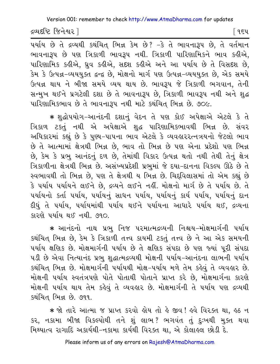દ્રવ્યદષ્ટિ જિનેશ્વર l

પર્યાય છે તે દ્રવ્યથી કથંચિત્ ભિન્ન કેમ છે? -કે તે ભાવનારૂપ છે, તે વર્તમાન ભાવનારૂપ છે પણ ત્રિકાળી ભાવરૂપ નથી. ત્રિકાળી પારિણામિકને ભાવ કહીએ, પારિણામિક કઢીએ, ધ્રુવ કઢીએ, સદશ કઢીએ અને આ પર્યાય છે તે વિસદશ છે, કેમ કે ઉત્પન્ન-વ્યયયુક્ત દ્વન્દ્વ છે, મોક્ષનો માર્ગ પણ ઉત્પન્ન-વ્યયયુક્ત છે, એક સમયે ઉત્પન્ન થાય ને બીજા સમયે વ્યય થાય છે. ભાવરૂપ જે ત્રિકાળી ભગવાન, તેની સન્મુખ થઈને પ્રગટેલી દશા છે તે ભાવનારૂપ છે, ત્રિકાળી ભાવરૂપ નથી અને શુદ્ધ પારિણામિકભાવ છે તે ભાવનારૂપ નથી માટે કથંચિત ભિન્ન છે. ૭૦૯.

\* શુદ્ધોપયોગ-આનંદની દશાનું વેદન તે પણ કોઈ અપેક્ષાએ એટલે કે તે ત્રિકાળ ટકતું નથી એ અપેક્ષાએ શુદ્ધ પારિણામિકભાવથી ભિન્ન છે. સંવર અધિકારમાં કહ્યું છે કે પુણ્ય-પાપના ભાવ એટલે કે વ્યવહારરત્નત્રયનો જેટલો ભાવ છે તે આત્મામાં ક્ષેત્રથી ભિન્ન છે, ભાવ તો ભિન્ન છે પણ એના પ્રદેશો પણ ભિન્ન છે, કેમ કે પ્રભુ આનંદનું દળ છે, તેમાંથી વિકાર ઉત્પન્ન થતો નથી તેથી તેનું ક્ષેત્ર ત્રિકાળીના ક્ષેત્રથી ભિન્ન છે. અસંખ્યપ્રદેશી પ્રભુમાં જે દયા-દાનના વિકલ્પ ઊઠે છે તે સ્વભાવથી તો ભિન્ન છે, પણ તે ક્ષેત્રથી ય ભિન્ન છે. ચિદ્દવિલાસમાં તો એમ કહ્યું છે કે પર્યાય પર્યાયને લઈને છે, દ્રવ્યને લઈને નહીં. મોક્ષનો માર્ગ છે તે પર્યાય છે. તે પર્યાયનો કર્તા પર્યાય, પર્યાયનું સાધન પર્યાય, પર્યાયનું કાર્ય પર્યાય, પર્યાયનું દાન દીધું તે પર્યાય, પર્યાયમાંથી પર્યાય થઈને પર્યાયના આધારે પર્યાય થઈ, દ્રવ્યના કારણે પર્યાય થઈ નથી. ૭૧૦.

∗ આનંદનો નાથ પ્રભુ નિજ પરમાત્મદ્રવ્યની નિશ્ચય−મોક્ષમાર્ગની પર્યાય કથંચિત ભિન્ન છે. કેમ કે ત્રિકાળી તત્ત્વ કાયમી ટકતું તત્ત્વ છે ને આ એક સમયની પર્યાય ક્ષણિક છે. મોક્ષમાર્ગની પર્યાય છે તે ક્ષણિક સંપદા છે પણ જ્યાં પુરી સંપદા ૫ડી છે એવા નિત્યાનંદ પ્રભુ શુદ્ધાત્મદ્રવ્યથી મોક્ષની ૫ર્યાય-આનંદના લાભની ૫ર્યાય કથંચિત ભિન્ન છે. મોક્ષમાર્ગની પર્યાયથી મોક્ષ-પર્યાય મળે તેમ કહેવું તે વ્યવહાર છે. મોક્ષની પર્યાય સ્વતંત્રપણે પોતે પોતાથી પોતાને પ્રાપ્ત કરે છે, મોક્ષમાર્ગના કારણે મોક્ષની પર્યાય થાય તેમ કહેવું તે વ્યવહાર છે. મોક્ષમાર્ગની તે પર્યાય પણ દ્રવ્યથી કથંચિત ભિન્ન છે. ૭૧૧.

\* જો તારે આત્મા જ પ્રાપ્ત કરવો હોય તો હે જીવ! હવે વિરક્ત થા, હઠ ન કર, નકામા બીજા વિકલ્પોથી તને શું લાભ? ભગવંત તું દુઃખથી મુક્ત થવા મિથ્યાત્વ રાગાદિ અકાર્યથી-નકામા કાર્યથી વિરક્ત થા. એ કોલાહલ છોડી દે.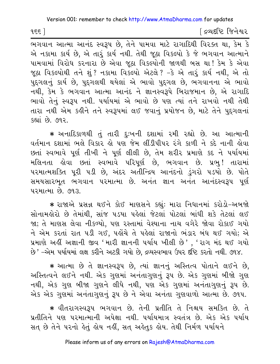[ દ્રવ્યદષ્ટિ જિનેશ્વર

ભગવાન આત્મા આનંદ સ્વરૂપ છે, તેને પામવા માટે રાગાદિથી વિરક્ત થા, કેમ કે એ નકામા કાર્ય છે. એ તારૂં કાર્ય નથી. તેથી જઠા વિકલ્પો કે જે ભગવાન આત્માને પામવામાં વિરોધ કરનારા છે એવા જુઠા વિકલ્પોની જાળથી બસ થા! કેમ કે એવા જૂઠા વિકલ્પોથી તને શું ? નકામા વિકલ્પો એટલે ? -કે એ તારૂં કાર્ય નથી, એ તો પુદ્ગલનું કાર્ય છે, પુદ્ગલથી થયેલાં એ ભાવો પુદ્ગલ છે, ભગવાનના એ ભાવો નથી, કેમ કે ભગવાન આત્મા આનંદ ને જ્ઞાનસ્વરૂપે બિરાજમાન છે. એ રાગાદિ ભાવો તેનું સ્વરૂપ નથી. પર્યાયમાં એ ભાવો છે પણ ત્યાં તને રાખવો નથી તેથી તારા નથી એમ કહીને તને સ્વરૂપમાં લઈ જવાનું પ્રયોજન છે, માટે તેને પુદગલનાં કહ્યાં છે. ૭૧૨.

\* અનાદિકાળથી તું તારી દુઃખની દશામાં રમી રહ્યો છે. આ આત્માની વર્તમાન દશામાં ભલે વિકાર હો પણ જેમ લીંડીપીપર રંગે કાળી ને કદે નાની હોવા છતાં સ્વભાવે પૂર્ણ તીખી ને પૂર્ણ લીલી છે, તેમ શરીર પ્રમાણે કદ ને પર્યાયમાં મલિનતા હોવા છતાં સ્વભાવે પરિપૂર્ણ છે, ભગવાન છે. પ્રભુ! તારામાં પરમાત્મશક્તિ પૂરી ૫ડી છે, અંદર અતીન્દ્રિય આનંદનો ડુંગરો ૫ડયો છે. પોતે સમયસારભૂત ભગવાન પરમાત્મા છે. અનંત જ્ઞાન અનંત આનંદસ્વરૂપ પૂર્ણ પરમાત્મા છે. ૭૧૩.

\* રાજાએ પ્રસન્ન થઈને કોઈ માણસને કહ્યું: મારા નિધાનમાં કરોડો-અબજો સોનામલેરો છે તેમાંથી, સાંજ ૫ડયા પહેલાં જેટલાં પોટલાં બાંધી શકે તેટલાં લઈ જા; તે માણસ લેવા નીકળ્યો, પણ રસ્તામાં વેશ્યાના નાચ વગેરે જોવા રોકાઈ ગયો ને એમ કરતાં રાત ૫ડી ગઈ, પહોંચે તે પહેલાં રાજાનો ભંડાર બંધ થઈ ગયો; એ પ્રમાણે અહીં અજ્ઞાની જીવ 'મારી જ્ઞાનની પર્યાય ખીલી છે', 'રાગ મંદ થઈ ગયો છે' -એમ પર્યાયમાં લક્ષ કરીને અટકી ગયો છે, દ્રવ્યસ્વભાવ ઉપર દીષ્ટે કરતો નથી. ૭૧૪.

\* આત્મા છે તે જ્ઞાનસ્વરૂપ છે, ત્યાં જ્ઞાનનું અસ્તિત્વ પોતાને લઈને છે, અસ્તિત્વને લઈને નથી. એક ગુણમાં અનંતાગુણનું રૂપ છે. એક ગુણમાં બીજો ગુણ નથી, એક ગુણ બીજા ગુણને લીધે નથી, પણ એક ગુણમાં અનંતાગુણનું રૂપ છે. એક એક ગુણમાં અનંતાગુણનું રૂપ છે ને એવા અનંતા ગુણવાળો આત્મા છે. ૭૧૫.

\* વીતરાગસ્વરૂપ ભગવાન છે. તેની પ્રતીતિ તે નિશ્ચય સમકિત છે. તે પ્રતીતિને પણ પરમાત્માની અપેક્ષા નથી. પર્યાયમાત્ર સ્વતંત્ર છે. એક એક પર્યાય સત છે તેને પરનો લેતું લોય નહીં, સત અલેતુક લોય. તેથી નિર્મળ પર્યાયને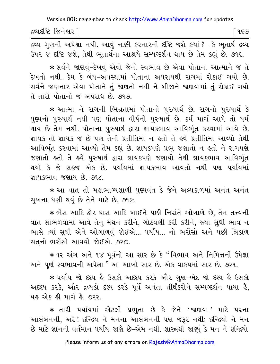દ્રવ્યદષ્ટિ જિનેશ્વર l

દ્રવ્ય−ગુણની અપેક્ષા નથી. આવું નક્કી કરનારની દષ્ટિ જશે કયાં ? –કે ભૂતાર્થ દ્રવ્ય ઉપર જ દૃષ્ટિ જશે, તેથી ભૂતાર્થના આશ્રયે સમ્યગ્દર્શન થાય છે તેમ કહ્યું છે. ૭૧૬.

\* સર્વને જાણવું-દેખવું એવો જેનો સ્વભાવ છે એવા પોતાના આત્માને જ તે દેખતો નથી. કેમ કે બંધ-અવસ્થામાં પોતાના અપરાધથી રાગમાં રોકાઈ ગયો છે. સર્વને જાણનાર એવા પોતાને તું જાણતો નથી ને બીજાને જાણવામાં તું રોકાઈ ગયો તે તારો પોતાનો જ અપરાધ છે. ૭૧૭.

 $\,$  <del>\*</del> આત્મા ને રાગની ભિન્નતામાં પોતાનો પુરુષાર્થ છે. રાગનો પુરુષાર્થ કે પુણ્યનો પુરુષાર્થ નથી પણ પોતાના વીર્યનો પુરુષાર્થ છે. કર્મ માર્ગ આપે તો ધર્મ થાય છે તેમ નથી. પોતાના પુરુષાર્થ દ્વારા જ્ઞાયકભાવ આવિર્ભત કરવામાં આવે છે. જ્ઞાયક તો જ્ઞાયક જ છે પણ તેની પ્રતીતિમાં ન હતો તે હવે પ્રતીતિમાં આવ્યો તેથી આવિર્ભૃત કરવામાં આવ્યો તેમ કહ્યું છે. જ્ઞાયકપણે પ્રભુ જણાતો ન હતો ને રાગપણે જણાતો હતો તે હવે પુરુષાર્થ દ્વારા જ્ઞાયકપણે જણાયો તેથી જ્ઞાયકભાવ આવિર્ભૃત થયો કે જે સહજ એક છે. પર્યાયમાં જ્ઞાયકભાવ આવતો નથી પણ પર્યાયમાં જ્ઞાય કભાવ જણાય છે. ૭૧૮.

**·** Aa vat tae mhawaGyxazI pu~yvHt ke jene ALpkazmaH AnHt AnHt સુખના ધણી થવું છે તેને માટે છે. ૭૧૯.

 $*$  ભેંસ આદિ ઢોર ઘાસ આદિ ખાઈને પછી નિરાંતે ઓગાળે છે, તેમ તત્ત્વની વાત સાંભળવામાં આવે તેનું મંથન કરીને, ગોઠવણી કરી કરીને, જ્યાં સુધી ભાવ ન ભાસે ત્યાં સુધી એને ઓગાળવું જોઈએ... પર્યાય... નો ભરોંસો અને પછી ત્રિકાળ સતનો ભરોંસો આવવો જોઈએ. ૭૨૦.

\* ૧૨ અંગ અને ૧૪ પૂર્વનો આ સાર છે કે "વિભાવ અને નિમિત્તની ઉપેક્ષા અને પૂર્ણ સ્વભાવની અપેક્ષા " આ આખો સાર છે. એક વાકયમાં સાર છે. ૭૨૧.

\* પર્યાય જો દશ્ય હૈ ઉસકો અદશ્ય કરકે ઔર ગુણ-ભેદ જો દશ્ય હૈ ઉસકો અદ્દશ્ય કરકે, ઔર દ્રવ્યકો દૃશ્ય કરકે પૂર્વે અનંતા તીર્થંકરોને સમ્યગ્દર્શન પાયા કે, યહ એક હી માર્ગ હૈ .૭૨૨

 $\ast$  તારી પર્યાયમાં એટલી પ્રભુતા છે કે જેને 'જાણવા' માટે પરના આલંબનની, અરે! ઇન્દ્રિય ને મનના આલંબનની પણ જરૂર નથી; ઇન્દ્રિયો ને મન છે માટે જ્ઞાનની વર્તમાન પર્યાય જાણે છે–એમ નથી. શાસ્ત્રથી જાણ્યું કે મન ને ઇન્દ્રિયો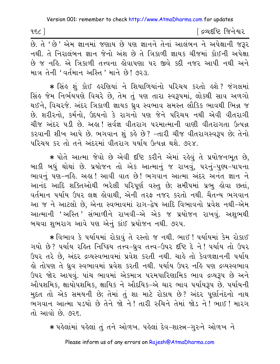∫ દ્રવ્યદષ્ટિ જિનેશ્વર  $1$  seq

.<br>છે. તે 'છે' એમ જ્ઞાનમાં જણાય છે પણ જ્ઞાનને તેનાં આલંબન ને અપેક્ષાની જરૂર નથી. તે નિરાલંબન જ્ઞાન જેનો અંશ છે તે ત્રિકાળી જ્ઞાયક ચીજમાં કોઈની અપેક્ષા છે જ નહિ. એ ત્રિકાળી તત્ત્વના હોવાપણા પર જીવે કદી નજર આપી નથી અને માત્ર તેની 'વર્તમાન અસ્તિ ' માને છે! ૭૨૩.

★ સિંઙ શું કોઈ ઙરણિયાં ને શિયાળિયાંનો પરિચય કરતો ઙશે ? જંગલમાં સિંહ જેમ નિર્ભયપણે વિચરે છે, તેમ તું પણ તારા સ્વરૂપમાં, લોકથી સાવ અળગો થઈને, વિચરજે. અંદર ત્રિકાળી જ્ઞાયક ધ્રુવ સ્વભાવ સમસ્ત લૌકિક ભાવથી ભિન્ન જ છે. શરીરનો, કર્મનો, ઉદયનો કે રાગનો પણ જેને પરિચય નથી એવી વીતરાગી ચીજ અંદર પડી છે. અહ્ય! સર્વજ્ઞ વીતરાગ પરમાત્માની વાણી વીતરાગતા ઉત્પન્ન કરવાની શીખ આપે છે. ભગવાન શું કહે છે? -તારી ચીજ વીતરાગસ્વરૂપ છે; તેનો <u>પરિચય કર તો તને અંદરમાં વીતરાગ પર્યાય ઉત્પન્ન થશે. ૭૨૪.</u>

\* પોતે આત્મા જેવો છે એવી દૃષ્ટિ કરીને એમાં રહેવું તે પ્રયોજનભૂત છે, બાકી બધું થોથાં છે. પ્રયોજન તો એક આત્માનું જ રાખવું, પરનું–પુણ્ય–પાપના ભાવનું પણ-નહિ. અહા! આવી વાત છે! ભગવાન આત્મા અંદર અનંત જ્ઞાન ને આનંદ આદિ શક્તિઓથી ભરેલી પરિપૂર્ણ વસ્તુ છે; સમીપમાં પ્રભુ હોવા છતાં, વર્તમાન પર્યાય ઉપર લક્ષ હોવાથી, એની તરફ નજર કરતો નથી. ચૈતન્ય ભગવાન આ જ ને આટલો છે, એના સ્વભાવમાં રાગ-દ્વેષ આદિ વિભાવનો પ્રવેશ નથી-એમ આત્માની 'અસ્તિ 'સંભાળીને રાખવી-એ એક જ પ્રયોજન રાખવું. અશુભથી બચવા શભરાગ આવે પણ એનું કાંઈ પ્રયોજન નથી. ૭૨૫.

∗ વિભાવ કે પર્યાયમાં રોકાવું તે ૨સ્તો જ નથી. ભાઈ ! પર્યાયમાં કેમ રોકાઈ ગયો છે? ૫ર્યાય રહિત નિષ્ક્રિય તત્ત્વ-ધ્રુવ તત્ત્વ-ઉપર દષ્ટિ દે ને! ૫ર્યાય તો ઉપર ઉપર તરે છે. અંદર દ્રવ્યસ્વભાવમાં પ્રવેશ કરતી નથી. ચાહે તો કેવળજ્ઞાનની પર્યાય હો તોપણ તે ધ્રુવ સ્વભાવમાં પ્રવેશ કરતી નથી. ૫ર્યાય ઉપર નહિ ૫ણ દ્રવ્યસ્વભાવ ઉપર જોર આપવં. પાંચ ભાવમાં એકમાત્ર પરમપારિણામિક ભાવ દ્રવ્યરૂપ છે અને ઔપશમિક, ક્ષાયોપશમિક, ક્ષાયિક ને ઔદયિક–એ ચાર ભાવ પર્યાયરૂપ છે. પર્યાયની મુદત તો એક સમયની છે; તેમાં તું શા માટે રોકાય છે? અંદર પુર્ણાનંદનો નાથ ભગવાન આત્મા પડયો છે તેને જો ને! તારી રુચિને તેમાં જોડ ને! ભાઈ! મારગ તો આવો છે ૭૨૬

\* પહેલાંમાં પહેલાં તું તને ઓળખ. પહેલાં દેવ-શાસ્ત્ર-ગુરુને ઓળખ ને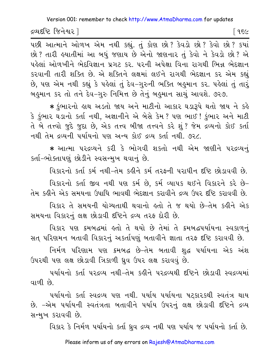દ્રવ્યદષ્ટિ જિનેશ્વર l

પછી આત્માને ઓળખ એમ નથી કહ્યું. તું કોણ છો? કેવડો છો? કેવો છો? કયાં છો? તારી હયાતીમાં આ બધું જણાય છે એનો જાણનાર તું કેવો ને કેવડો છો? એ પહેલાં ઓળખીને ભેદવિજ્ઞાન પ્રગટ કર. પરની અપેક્ષા વિના રાગથી ભિન્ન ભેદજ્ઞાન કરવાની તારી શક્તિ છે. એ શક્તિને લક્ષમાં લઈને રાગથી ભેદજ્ઞાન કર એમ કહ્યું છે, પણ એમ નથી કહ્યું કે પહેલાં તું દેવ−ગુરુની ભક્તિ બહુમાન કર. પહેલાં તું તારૂં બહુમાન કર તો તને દેવ-ગુરુ નિમિત્ત છે તેનું બહુમાન સાચું આવશે. ૭૨૭.

\* કુંભારનો હાથ અડતો જાય અને માટીનો આકાર ઘડારૂપે થતો જાય ને કહે કે કુંભાર ઘડાનો કર્તા નથી, અજ્ઞાનીને એ બેસે કેમ? પણ ભાઈ ! કુંભાર અને માટી તે બે તત્ત્વો જુદે જુદા છે, એક તત્ત્વ બીજા તત્ત્વને કરે શું ? જેમ દ્રવ્યનો કોઈ કર્તા નથી તેમ દ્રવ્યની પર્યાયનો પણ અન્ય કોઈ દ્રવ્ય કર્તા નથી. ૭૨૮.

\* આત્મા પરદ્રવ્યને કરી કે ભોગવી શકતો નથી એમ જાણીને પરદ્રવ્યનું કર્તા-ભોક્તાપણું છોડીને સ્વસન્મખ થવાનું છે.

વિકારનો કર્તા કર્મ નથી-તેમ કહીને કર્મ તરફની પરાધીન દૃષ્ટિ છોડાવવી છે.

વિકારનો કર્તા જીવ નથી પણ કર્મ છે, કર્મ વ્યાપક થઈને વિકારને કરે છે-તેમ કહીને એક સમયના ઉપાધિ ભાવથી ભેદજ્ઞાન કરાવીને દ્રવ્ય ઉપર દૃષ્ટિ કરાવવી છે.

વિકાર તે સમયની યોગ્યતાથી થવાનો હતો તે જ થયો છે-તેમ કહીને એક સમયના વિકારનું લક્ષ છોડાવી દષ્ટિને દ્રવ્ય તરફ દોરી છે.

વિકાર પણ ક્રમબદ્ધમાં હતો તે થયો છે તેમાં તે ક્રમબદ્ધપર્યાયના સ્વકાળનું સત પરિણમન બતાવી વિકારનું અકર્તાપણું બતાવીને જ્ઞાતા તરફ દષ્ટિ કરાવવી છે.

નિર્મળ પરિણામ પણ ક્રમબદ્ધ છે-તેમ બતાવી શુદ્ધ પર્યાયના એક અંશ ઉપરથી પણ લક્ષ છોડાવી ત્રિકાળી ધ્રુવ ઉપર લક્ષ કરાવવું છે.

પર્યાયનો કર્તા પરદ્રવ્ય નથી-તેમ કહીને પરદ્રવ્યથી દૃષ્ટિને છોડાવી સ્વદ્રવ્યમાં વાળી છે.

પર્યાયનો કર્તા સ્વદ્રવ્ય પણ નથી. પર્યાય પર્યાયના પટકારકથી સ્વતંત્ર થાય છે. –એમ પર્યાયની સ્વતંત્રતા બતાવીને પર્યાય ઉપરનું લક્ષ છોડાવી દષ્ટિને દ્રવ્ય સન્મખ કરાવવી છે.

વિકાર કે નિર્મળ પર્યાયનો કર્તા ધ્રવ દ્રવ્ય નથી પણ પર્યાય જ પર્યાયનો કર્તા છે.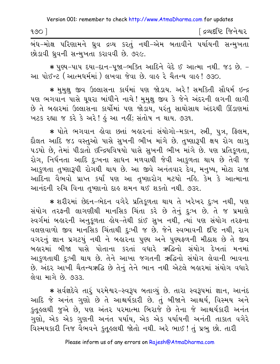| 900 |                                                                    |  |  |  | િદ્રવ્યદષ્ટિ જિનેશ <mark>્</mark> વર |
|-----|--------------------------------------------------------------------|--|--|--|--------------------------------------|
|     | બંધ–મોક્ષ પરિણામને ધવ દ્રવ્ય કરતું નથી–એમ બતાવીને પર્યાયની સન્મખતા |  |  |  |                                      |

ાક્ષ પરિણામન ધ્રુવ દ્રવ્ય કરતુ નથી−અમ બતાવીન પયાયની સન્મુખતા છોડાવી ધ્રવની સન્મુખતા કરાવવી છે. ૭૨૯.

∗ પુણ્ય−પાપ દયા−દાન−પુજા−ભક્તિ આદિને વેદે ઈ આત્મા નથી. જડ છે. − આ પોઈન્ટ (આત્મધર્મમાં) લખવા જેવા છે. વાહ રે ચૈતન્ય વાહ! ૭૩૦.

∗ મુમુક્ષુ જીવ ઉલ્લાસના કાર્યમાં પણ જોડાય. અરે! સમકિતી સૌધર્મ ઇન્દ્ર પણ ભગવાન પાસે ઘુઘરા બાંધીને નાચે ! મુમુક્ષુ જીવ કે જેને અંદરની લગની લાગી છે તે બહારમાં ઉલ્લાસના કાર્યોમાં પણ જોડાય, પરંતુ સાથોસાથ અંદરથી ઊંડાણમાં ખટક રહ્યા જ કરે કે અરે! હું આ નહીં; સંતોષ ન થાય. ૭૩૧.

\* પોતે ભગવાન હોવા છતાં બહારનાં સંયોગો-મકાન, સ્ત્રી, પુત્ર, ફ્લિમ, દૌલત આદિ જડ વસ્તુઓ પાસે સુખની ભીખ માંગે છે. તુષ્ણારૂપી ક્ષય રોગ લાગુ પડયો છે, તેમાં પીડાતો ઇન્દ્રિયવિષયો પાસે સુખની ભીખ માંગે છે. પણ પ્રતિકુળતા, રોગ, નિર્ધનતા આદિ દુઃખના સાધન મળવાથી જેવી આકુળતા થાય છે તેવી જ આકુળતા તુષ્ણારૂપી રોગથી થાય છે. આ જીવે અનંતવાર દેવ, મનુષ્ય, મોટા રાજા આદિના વૈભવો પ્રાપ્ત કર્યાં પણ આ તૃષ્ણારોગ મટયો નહિ. કેમ કે આત્માના આનંદની રુચિ વિના તૃષ્ણાનો દાહ શમન થઈ શકતો નથી. ૭૩૨.

\* શરીરમાં છેદન-ભેદન વગેરે પ્રતિકૂળતા થાય તે ખરેખર દુઃખ નથી, પણ સંયોગ તરફની લાગણીથી માનસિક ચિંતા કરે છે તેનું દુઃખ છે. તે જ પ્રમાણે સ્વર્ગમાં બહારની અનુકુળતા હોય-તેથી કાંઈ સુખ નથી, ત્યાં પણ સંયોગ તરફના વલણવાળો જીવ માનસિક ચિંતાથી દુઃખી જ છે. જેને સ્વભાવની દષ્ટિ નથી, રાગ વગરનું જ્ઞાન પ્રગટયું નથી ને બહારના પુણ્ય અને પુણ્યફળની મીઠાશ છે તે જીવ બહારમાં બીજા પાસે પોતાના કરતાં વધારે ઋદ્ધિનો સંયોગ દેખતાં મનમાં આકુળતાથી દુ:ખી થાય છે. તેને આખા જગતની ઋદ્ધિનો સંયોગ લેવાની ભાવના છે. અંદર આખી ચૈતન્યઋદ્ધિ છે તેનું તેને ભાન નથી એટલે બહારમાં સંયોગ વધારે લેવા માગે છે. ૭૩૩.

\* સર્વજ્ઞદેવે તારું પરમેશ્વર-સ્વરૂપ બતાવ્યું છે. તારા સ્વરૂપમાં જ્ઞાન, આનંદ આદિ જે અનંત ગુણો છે તે આશ્ચર્યકારી છે. તું બીજાને આશ્ચર્ય, વિસ્મય અને કૃતુલ્લથી જુએ છે. પણ અંતર પરમાત્મા બિરાજે છે તેના જે આશ્ચર્યકારી અનંત ગુણો, એક એક ગુણની અનંત પર્યાય, એક એક પર્યાયની અનંતી તાકાત વગેરે વિસ્મયકારી નિજ વૈભવને કુતુકલથી જોતો નથી. અરે ભાઈ ! તું પ્રભુ છો. તારી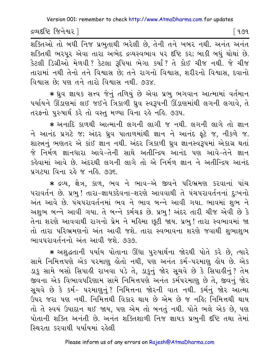દ્રવ્યદષ્ટિ જિનેશ્વર l

િ ૧૭૧

.<br>शक्तिओ तो ज़धी निष्ठ प्रभुताथी भरेલी છે, तेनी तने ખબર नथी. अनंत अनंत શક્તિથી ભરપુર એવા તારા અભેદ દ્રવ્યસ્વભાવ પર દષ્ટિ કર; બાકી બધું થોથાં છે. કેટલી ડિગ્રીઓ મેળવી ? કેટલા રૂપિયા ભેગા કર્યાં ? તે કોઈ ચીજ નથી. જે ચીજ તારામાં નથી તેનો તને વિશ્વાસ છે; તને રાગનો વિશ્વાસ, શરીરનો વિશ્વાસ, દવાનો વિશ્વાસ છે: પણ તને તારો વિશ્વાસ નથી. ૭૩૪.

\* ધ્રુવ જ્ઞાયક સત્ત્વ જેનું તળિયું છે એવા પ્રભુ ભગવાન આત્મામાં વર્તમાન પર્યાયને ઊંડાણમાં લઈ જઈને ત્રિકાળી ધ્રવ સ્વરૂપની ઊંડાણમાંથી લગની લગાવે. તે તરફનો પુરુષાર્થ કરે તો વસ્તુ મળ્યા વિના રહે નહિ. ૭૩૫.

\* અનાદિ કાળથી આત્માની લગની લાગી જ નથી. લગની લાગે તો જ્ઞાન ને આનંદ પ્રગટે જ; અંદર ઘ્રુવ પાતાળમાંથી જ્ઞાન ને આનંદ ફૂટે જ, નીકળે જ. શાસ્ત્રનું ભણતર એ કાંઈ જ્ઞાન નથી. અંદર ત્રિકાળી ધ્રુવ જ્ઞાનસ્વરૂપમાં એકાગ્ર થતાં જે નિર્મળ જ્ઞાનધારા આવે-તેની સાથે અતીન્દ્રિય આનંદ પણ આવે-તેને જ્ઞાન કહેવામાં આવે છે. અંદરથી લગની લાગે તો એ નિર્મળ જ્ઞાન ને અતીન્દ્રિય આનંદ પ્રગટયા વિના રહે જ નહિ. ૭૩૬.

∗ દ્રવ્ય, ક્ષેત્ર, કાળ, ભવ ને ભાવ−એ જીવને પરિભ્રમણ કરવાનાં પાંચ ૫રાવર્તન છે. પ્રભ! તારા-જ્ઞાયકદેવના-શરણે આવવાથી તે પંચપરાવર્તનનાં દઃખનો અંત આવે છે. પંચપરાવર્તનમાં ભવ ને ભાવ બન્ને આવી ગયા. ભાવમાં શુભ ને અશુભ બન્ને આવી ગયા. તે બન્ને કર્મચક્ર છે. પ્રભુ ! અંદર તારી ચીજ એવી છે કે તેના શરણે આવવાથી રાગનો પ્રેમ ને મહિમા છૂટી જાય. પ્રભુ ! તારા સ્વભાવમાં જા તો તારા પરિભ્રમણનો અંત આવી જશે. તારા સ્વભાવના શરણે જવાથી શુભાશુભ ભાવપરાવર્તનનો અંત આવી જશે. ૭૩૭.

\* અશુદ્ધતાની પર્યાય પોતાના ઊંધા પુરુષાર્થના જોરથી પોતે કરે છે, ત્યારે સામે નિમિત્તપણે એક પરમાણૂ લોતો નથી, પણ અનંત કર્મ-પરમાણૂ લોય છે. એક ડાકુ સામે બસો સિપાહી રાખવા પડે તે, ડાકુનું જોર સૂચવે છે કે સિપાહીનું? તેમ જીવના એક વિભાવપરિણામ સામે નિમિત્તપણે અનંત કર્મપરમાણ છે તે. જીવનું જોર સુચવે છે કે કર્મ- પરમાણુનું? નિમિત્તના જોરની વાત નથી. કર્મનું જોર આત્મા ઉપર જરા પણ નથી. નિમિત્તથી વિકાર થાય છે એમ છે જ નહિ; નિમિત્તથી થાય તો તે સ્વયં ઉપાદાન થઈ જાય, પણ એમ તો બનતું નથી. પોતે ભલે એક છે, પણ પોતાની શક્તિ અનંતી છે. અનંત શક્તિશાળી નિજ જ્ઞાયક પ્રભુની દષ્ટિ તથા તેમાં સ્થિરતા કરવાથી પર્યાયમાં રહેલી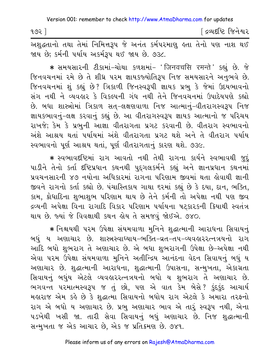| ૧૭૨ |  |  |  | <sup>r</sup> દ્રવ્યદષ્ટિ જિનેશ્વર |
|-----|--|--|--|-----------------------------------|
|     |  |  |  |                                   |

અશુદ્ધતાનો તથા તેમાં નિમિત્તરૂપ જે અનંત કર્મપરમાણુ હતા તેનો પણ નાશ થઈ જાય છે: કર્મની પર્યાય અકર્મટ્ય થઈ જાય છે. ૭૩૮.

\* સમયસારની ટીકામાં-ચોથા કળશમાં- 'जिनवचसि रमन्ते' કહ્યું છે. જે જિનવચનમાં રમે છે તે શીધ્ર પરમ જ્ઞાયકજ્યોતિરૂપ નિજ સમયસારને અનુભવે છે. જિનવચનમાં શંકહ્યું છે? ત્રિકાળી જિનસ્વરૂપી જ્ઞાયક પ્રભ કે જેમાં ઉદયભાવનો સંગ નથી ને વ્યવહાર કે વિકલ્પની ગંધ નથી તેને જિનવચનમાં ઉપાદેયપણે કહ્યો છે. બધા શાસ્ત્રોમાં ત્રિકાળ સત−લક્ષણવાળા નિજ આત્માનં−વીતરાગસ્વરૂપ નિજ જ્ઞાયકભાવનું-લક્ષ કરવાનું કહ્યું છે. આ વીતરાગસ્વરૂપ જ્ઞાયક આત્માનો જ પરિચય રાખજે; કેમ કે પ્રભુની આજ્ઞા વીતરાગતા પ્રગટ કરવાની છે. વીતરાગ સ્વભાવનો અંશે આશ્રય થતાં પર્યાયમાં અંશે વીતરાગતા પ્રગટ થશે અને તે વીતરાગ પર્યાય સ્વભાવનો પૂર્ણ આશ્રય થતાં, પૂર્ણ વીતરાગતાનું કારણ થશે. ૭૩૯.

\* સ્વભાવદષ્ટિમાં રાગ આવતો નથી તેથી રાગના કાર્યને સ્વભાવથી જુદું પાડીને તેનો કર્તા દષ્ટિપ્રધાન કથનથી પદગલકર્મને કહ્યું અને જ્ઞાનપ્રધાન કથનમાં પ્રવચનસારની ૪૭ નયોના અધિકારમાં રાગના પરિણામ જીવમાં થતા લોવાથી જ્ઞાની જીવને રાગનો કર્તા કહ્યો છે. પંચાસ્તિકાય ગાથા દરમાં કહ્યું છે કે દયા, દાન, ભક્તિ, કામ, ક્રોધાદિના શુભાશુભ પરિણામ થાય છે તેને કર્મની તો અપેક્ષા નથી પણ જીવ દ્રવ્યની અપેક્ષા વિના રાગાદિ વિકાર પરિણામ પર્યાયના ષટકારકની ક્રિયાથી સ્વતંત્ર થાય છે. જ્યાં જે વિવક્ષાથી કથન હોય તે સમજવું જોઈએ. ૭૪૦.

\* નિશ્ચયથી પરમ ઉપેક્ષા સંયમવાળા મુનિને શુદ્ધાત્માની આરાધના સિવાયનું બધું ય અણાચાર છે. શાસ્ત્રસ્વાધ્યાય-ભક્તિ-વ્રત-તપ-વ્યવહારરત્નત્રયનો રાગ આદિ બધો શુભરાગ તે અણાચાર છે. એ બધા શુભરાગની ઉપેક્ષા છે-અપેક્ષા નથી એવા પરમ ઉપેક્ષા સંયમવાળા મુનિને અતીન્દ્રિય આનંદના વેદન સિવાયનું બધું ય અણાચાર છે. શુદ્ધાત્માની આરાધના, શુદ્ધાત્માની ઉપાસના, સન્મુખતા, એકાગ્રતા સિવાયનું બઘુંય એટલે વ્યવહારરત્નત્રયનો બધો ય શુભરાગ તે અણાચાર છે. ભગવન્ત પરમાત્મસ્વરૂપ જ તું છો, પણ એ વાત કેમ બેસે? કુંદકુંદ આચાર્ય મહારાજ એમ કહે છે કે શુદ્ધાત્મા સિવાયનો બધોય રાગ એટલે કે અમારા તરફનો રાગ એ બધો ય અણાચાર છે. પ્રભુ અણાચાર ભાવ એ તારું સ્વરૂપ નથી, એના ૫ડખેથી ખસી જા. તારી સેવા સિવાયનું બધું અશાચાર છે. નિજ શુદ્ધાત્માની સન્મુખતા જ એક આચાર છે, એક જ પ્રતિક્રમણ છે. ૭૪૧.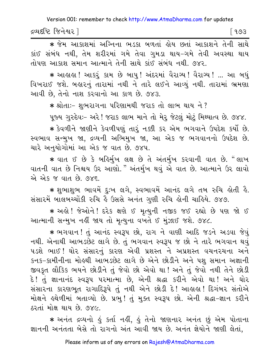દ્રવ્યદષ્ટિ જિનેશ્વર l 

\* જેમ આકાશમાં અગ્નિના ભડકા બળતાં ક્ષેય છતાં આકાશને તેની સાથે કાંઈ સંબંધ નથી, તેમ શરીરમાં ગમે તેવા ગુમડા થાય-ગમે તેવી અવસ્થા થાય તોપણ આકાશ સમાન આત્માને તેની સાથે કાંઈ સંબંધ નથી. ૭૪૨.

∗ આલાલ! આકરૂં કામ છે બાપુ! અંદરમાં વૈરાગ્ય! વૈરાગ્ય! ... આ બધું વિખરાઈ જશે. બહારનું તારામાં નથી ને તારે લઈને આવ્યું નથી. તારામાં ભ્રમણા આવી છે, તેનો નાશ કરવાનો આ કાળ છે. ૭૪૩.

∗ શ્રોતાઃ− શુભરાગના પરિણામથી જરાક તો લાભ થાય ને ?

પૂજ્ય ગુરુદેવઃ- અરે ! જરાક લાભ માને તો મેરૂ જેટલું મોટું મિથ્યાત્વ છે. ૭૪૪.

★ કેવળીને જાણીને કેવળીપણું તારું નક્કી કર એમ ભગવાને ઉપદેશ કર્યો છે. સ્વભાવ સન્મુખ જા, દ્રવ્યની અભિમુખ જા, આ એક જ ભગવાનનો ઉપદેશ છે. ચારે અનયોગોમાં આ એક જ વાત છે. ૭૪૫.

\* વાત ઈ છે કે બર્હિર્મુખ લક્ષ છે તે અંતર્મુખ કરવાની વાત છે. "લાખ વાતની વાત છે નિશ્ચય ઉર આણો." અંતર્મુખ થવું એ વાત છે. આત્માને ઉર લાવો એ એક જ વાત છે. ૭૪૬.

\* શુભાશુભ ભાવમેં દુઃખ લગે, સ્વભાવમેં આનંદ લગે તબ રુચિ હોતી હૈ. સંસારમેં બાલબચ્ચોંકી રુચિ કે ઉસસે અનંત ગુણી રુચિ કોની ચાકિયે. ૭૪૭.

\* અહો! જેઓને! દરેક ક્ષણે ઈ મૃત્યુની નજીક જઈ રહ્યો છે પણ જો ઈ આત્માની સન્મુખ નહીં જાય તો મૃત્યુના વખતે ઈ મુંઝાઈ જશે. ૭૪૮.

\* ભગવાન ! તું આનંદ સ્વરૂપ છો, રાગ ને વાણી આદિ જડને અડવા જેવું નથી. એનાથી આભડછેટ લાગે છે. તું ભગવાન સ્વરૂપ જ છો ને તારે ભગવાન થવું ૫ડશે ભાઈ! ઘોર સંસારનું કારણ એવી પ્રશસ્ત ને અપ્રશસ્ત વચનરચના અને કનક-કામીનીના મોહથી આભડછેટ લાગે છે એને છોડીને અને પશ સમાન અજ્ઞાની જીવકૃત લૌકિક ભયને છોડીને તું જેવો છો એવો થા ! અને તું જેવો નથી તેને છોડી દે! તું જ્ઞાનાનંદ સ્વરૂપ પરમાત્મા છે, એની શ્રદ્ધા કરીને એવો થા! અને ઘોર સંસારના કારણભૂત રાગાદિરૂપે તું નથી એને છોડી દે! આહાહા! દિગંબર સંતોએ મોક્ષને હથેળીમાં બતાવ્યો છે. પ્રભુ! તું મુક્ત સ્વરૂપ છો. એની શ્રદ્ધા-જ્ઞાન કરીને ઠરતાં મોક્ષ થાય છે. ૭૪૯.

\* અનંત દ્રવ્યનો કું કર્તા નકી, કું તેનો જાણનાર અનંત છું એમ પોતાના જ્ઞાનની અનંતતા બેસે તો રાગનો અંત આવી જાય છે. અનંત જ્ઞેયોને જાણી લેતાં,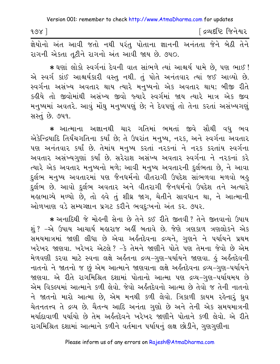| १७४ ] |  |  |  |                                                                     | [ દ્રવ્યદષ્ટિ જિનેશ <mark>્</mark> વર |  |
|-------|--|--|--|---------------------------------------------------------------------|---------------------------------------|--|
|       |  |  |  | જ્ઞેયોનો અંત આવી જતો નથી પરંતુ પોતાના જ્ઞાનની અનંતતા જેને બેઠી તેને |                                       |  |

રાગની એકતા તૂટીને રાગનો અંત આવી જાય છે. ૭૫૦.

∗ ઘણાં લોકો સ્વર્ગનાં દેવની વાત સાંભળે ત્યાં આશ્ચર્ય પામે છે, પણ ભાઈ ! એ સ્વર્ગ કાંઈ આશ્ચર્યકારી વસ્તુ નથી. તું પોતે અનંતવાર ત્યાં જઈ આવ્યો છે. સ્વર્ગના અસંખ્ય અવતાર થાય ત્યારે મનુષ્યનો એક અવતાર થાય; બીજી રીતે કઢીયે તો જીવોમાંથી અસંખ્ય જીવો જ્યારે સ્વર્ગમાં જાય ત્યારે માત્ર એક જીવ મનુષ્યમાં અવતરે. આવું મોંઘ મનુષ્યપણું છે; ને દેવપણું તો તેના કરતાં અસંખ્યગણું સસ્તું છે. ૭૫૧.

\* આત્માના અજ્ઞાનથી ચાર ગતિમાં ભમતાં જીવે સૌથી વધુ ભવ એકેન્દ્રિયાદિ તિર્યંચગતિના કર્યાં છે; તે ઉપરાંત મનુષ્ય, નરક, અને સ્વર્ગના અવતાર પણ અનંતવાર કર્યાં છે. તેમાંય મનુષ્ય કરતાં નરકનાં ને નરક કરતાંય સ્વર્ગના અવતાર અસંખ્યગુણાં કર્યાં છે. સરેરાશ અસંખ્ય અવતાર સ્વર્ગના ને નરકનાં કરે ત્યારે એક અવતાર મનુષ્યનો મળે; આવી મનુષ્ય અવતારની દુર્લભતા છે, ને આવા દુર્લભ મનુષ્ય અવતારમાં પણ જૈનધર્મનો વીતરાગી ઉપદેશ સાંભળવા મળવો બહુ દુર્લભ છે. આવો દુર્લભ અવતાર અને વીતરાગી જૈનધર્મનો ઉપદેશ તને અત્યારે મહાભાગ્યે મળ્યો છે, તો હવે તું શીઘ્ર જાગ, ચેતીને સાવધાન થા, ને આત્માની ઓળખાણ વડે સમ્યગ્જ્ઞાન પ્રગટ કરીને ભવદુઃખનો અંત કર. ૭૫૨.

\* અનાદિથી જે મોહની સેના છે તેને કઈ રીતે જીતવી ? તેને જીતવાનો ઉપાય શું ? –એ ઉપાય આચાર્ય મહારાજ અહીં બતાવે છે. જેણે ત્રણકાળ ત્રણલોકને એક સમયમાત્રમાં જાણી લીધા છે એવા અર્કંતદેવના દ્રવ્યને, ગુણને ને પર્યાયને પ્રથમ ખરેખર જાણવા. ખરેખર એટલે ? -કે તેમને જાણીને પોતે પણ તેમના જેવો છે એમ મેળવણી કરવા માટે સ્વના લક્ષે અર્કતના દ્રવ્ય-ગુણ-પર્યાયને જાણવા. કું અર્કતદેવની નાતનો ને જાતનો જ છું એમ આત્માને જાણવાના લક્ષે અર્કંતદેવના દ્રવ્ય-ગુણ-પર્યાયને જાણવા. એ રીતે રાગમિશ્રિત દશામાં પોતાનો આત્મા પણ દ્રવ્ય–ગુણ–પર્યાયમય છે એમ વિકલ્પમાં આત્માને કળી લેવો. જેવો અર્કતદેવનો આત્મા છે તેવો જ તેની નાતનો ને જાતનો મારો આત્મા છે, એમ મનથી કળી લેવો. ત્રિકાળી કાયમ રહેનારૂં ઘ્રુવ ચેતનતત્ત્વ તે દ્રવ્ય છે. ચૈતન્ય આદિ અનંતા ગુણો છે અને તેની એક સમયમાત્રની મર્યાદાવાળી પર્યાયો છે તેમ અર્કતદેવને ખરેખર જાણીને પોતાને કળી લેવો. એ રીતે રાગમિશ્રિત દશામાં આત્માને કળીને વર્તમાન પર્યાયનું લક્ષ છોડીને, ગુણગુણીના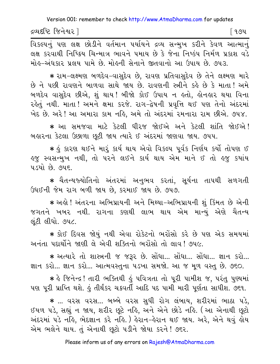દ્રવ્યદષ્ટિ જિનેશ્વર l

િ ૧૭૫

વિકલ્પનું પણ લક્ષ છોડીને વર્તમાન પર્યાયને દ્રવ્ય સન્મુખ કરીને કેવળ આત્માનું લક્ષ કરવાથી નિષ્ક્રિય ચિન્માત્ર ભાવને ૫માય છે કે જેના નિષ્કંપ નિર્મળ પ્રકાશ વડે મોહ-અંધકાર પ્રલય પામે છે. મોહની સેનાને જીતવાનો આ ઉપાય છે. ૭૫૩.

★ રામ−લક્ષ્મણ બળદેવ−વાસુદેવ છે, રાવણ પ્રતિવાસુદેવ છે તેને લક્ષ્મણ મારે છે ને પછી રાવણને બાળવા સાથે જાય છે. રાવણની સ્ત્રીને કહે છે કે માતા! અમે બળદેવ વાસદેવ છીએ, શું થાય ! બીજો કોઈ ઉપાય ન હતો, હોનહાર થયા વિના રહેતું નથી. માતા ! અમને ક્ષમા કરજે. રાગ-દ્વેષની પ્રવૃત્તિ થઈ પણ તેનો અંદરમાં ખેદ છે. અરે ! આ અમારા કામ નહિ, અમે તો અંદરમાં રમનારા રામ છીએ. ૭૫૪.

\* આ સમજવા માટે કેટલી ધીરજ જોઈએ અને કેટલી શાંતિ જોઈએ! બહારના કેટલા ઉછાળા છુટી જાય ત્યારે ઈ અંદરમાં જાણવા જાય. ૭૫૫.

∗ કું કારણ થઈને મારૂં કાર્ય થાય એવો વિકલ્પ પૂર્વક નિર્ણય કર્યો તોપણ ઈ ઙ્જુ સ્વસન્મુખ નથી, તો પરને લઈને કાર્ય થાય એમ માને ઈ તો ઙ્જુ કયાંય ૫ડયો છે. ૭૫૬.

★ ચૈતન્યજ્યોતિનો અંતરમાં અનુભવ કરતાં, સૂર્યના તાપથી સળગતી ઉધઈની જેમ રાગ બળી જાય છે. કરમાઈ જાય છે. ૭૫૭.

★ અલે ! અંતરના અભિપ્રાયની અને મિથ્યા−અભિપ્રાયની શું કિંમત છે એની જગતને ખબર નથી. રાગના કણથી લાભ થાય એમ માન્યું એણે ચૈતન્ય લુંટી લીધો. ૭૫૮.

\* કોઈ દિવસ જોયું નથી એવા રોકેટનો ભરોંસો કરે છે પણ એક સમયમાં અનંતા પદાર્થોને જાણી લે એવી શક્તિનો ભરોંસો તો લાવ ! ૭૫૯.

\* અત્યારે તો શાસ્ત્રની જ જરૂર છે. સોંધા... સોંધા... સોંધા... જ્ઞાન કરો... જ્ઞાન કરો... જ્ઞાન કરો... આત્મવસ્તુના ૫ડખા સમજો. આ જ મૂળ વસ્તુ છે. ૭૬૦.

\* કે જિનેન્દ્ર! તારી ભક્તિથી કું પવિત્રતા તો પૂરી પામીશ જ, પરંતુ પુણ્યમાં પણ પરી પ્રાપ્તિ થશે. કું તીર્થંકર ચક્રવર્તી આદિ પદ પામી મારી પર્ણતા સાધીશ. ૭૬૧.

\* ... વરસ વરસ... બબ્બે વરસ સુધી રોગ લંબાય, શરીરમાં ભાઠા પડે, ઈયળ પડે, સહ્યું ન જાય, શરીર છૂટે નહિ, અને એને છોડે નહિ. (આ એનાથી છુટો અંદરમાં ૫ડે નહિ, ભેદજ્ઞાન કરે નહિ. ) હેરાન–હેરાન થઈ જાય. અરે, એને થવું હોય એમ ભલેને થાય. તું એનાથી છુટો પડીને જોયા કરને ! ૭૬૨.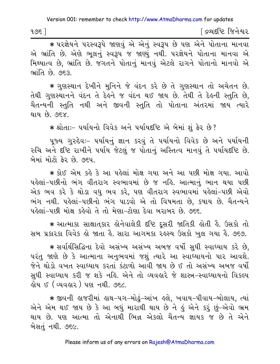| १७६ |  | દ્રવ્યદષ્ટિ જિનેશ્વર |  |
|-----|--|----------------------|--|
|-----|--|----------------------|--|

\* परज्ञेयने परस्वरूपे જાણવું એ એનું સ્વરૂપ છે પણ એને પોતાના માનવા એ ભ્રાંતિ છે. એણે ભલનું સ્વરૂપ જ જાણ્યું નથી. પરજ્ઞેયને પોતાના માનવા એ મિથ્યાત્વ છે, ભ્રાંતિ છે. જગતને પોતાનું માનવું એટલે રાગને પોતાનો માનવો એ ભ્રાંતિ છે. ૭૬૩.

\* ગુણસ્થાન દેખીને મુનિને જે વંદન કરે છે તે ગુણસ્થાન તો અચેતન છે. તેથી ગુણસ્થાનને વંદન તે દેહને જ વંદન થઈ જાય છે. તેથી તે દેહની સ્તુતિ છે, ચૈતન્યની સ્તુતિ નથી અને જીવની સ્તુતિ તો પોતાના અંતરમાં જાય ત્યારે થાય છે. ૭૬૪.

\* શ્રોતાઃ- પર્યાયનો વિવેક અને પર્યાયદષ્ટિ એ બેમાં શું ફેર છે?

પૂજ્ય ગુરુદેવઃ- પર્યાયનું જ્ઞાન કરવું તે પર્યાયનો વિવેક છે અને પર્યાયની રુચિ અને દૃષ્ટિ રાખીને ૫ર્યાય જેટલું જ પોતાનું અસ્તિત્વ માનવું તે ૫ર્યાયદૃષ્ટિ છે. બેમાં મોટો કેર છે. ૭૬૫.

∗ કોઈ એમ કહે કે આ પહેલાં મોક્ષ ગયા અને આ પછી મોક્ષ ગયા. આવો પહેલાં-પછીનો ભંગ વીતરાગ સ્વભાવમાં છે જ નહિ. આત્માનું ભાન થયા પછી એક ભવ કરે કે થોડા વધુ ભવ કરે, પણ વીતરાગ સ્વભાવમાં પહેલાં-પછી એવો ભંગ નથી. પહેલાં-પછીનો ભંગ પાડવો એ તો વિષમતા છે. કષાય છે. ચૈતન્યને પહેલાં-પછી મોક્ષ કહેવો તે તો મેણા-ટોણા દેવા બરાબર છે. ૭૬૬.

\* આત્માકા સાક્ષાતકાર હોનેવાલેકી દૃષ્ટિ દૂસરી જાતિકી હોતી હૈ. ઉસકો તો સબ પ્રકારકા વિવેક હો જાતા હૈ. સારા આગમકા રહસ્ય ઉસકો ખુલ ગયા હૈ. ૭૬૭.

★ સર્વાર્થસિદ્ધિના દેવો અસંખ્ય અસંખ્ય અબજ વર્ષો સુધી સ્વાઘ્યાય કરે છે, પરંતુ જાણે છે કે આત્માના અનુભવમાં જશું ત્યારે આ સ્વાધ્યાયનો પાર આવશે. જેને થોડો વખત સ્વાઘ્યાય કરતાં કંટાળો આવી જાય છે ઈ તો અસંખ્ય અબજ વર્ષો સુધી સ્વાધ્યાય કરી જ શકે નહિ. એને તો વ્યવહારે જે શાસ્ત્ર-સ્વાધ્યાયનો વિકલ્પ ક્ષેય ઈ ( વ્યવહાર ) પણ નથી. ૭૬૮.

∗ જીવની હાજરીમાં હાથ-૫ગ-મોઢં-આંખ હલે. ખવાય-પીવાય-બોલાય. ત્યાં એને એમ થઈ જાય છે કે આ બધું મારાથી થાય છે ને હું એને કરૂં છું–એવો ભ્રમ થાય છે. પણ આત્મા તો એનાથી ભિન્ન એકલો ચૈતન્ય જ્ઞાયક જ છે તે એને બેસતું નથી. ૭૬૯.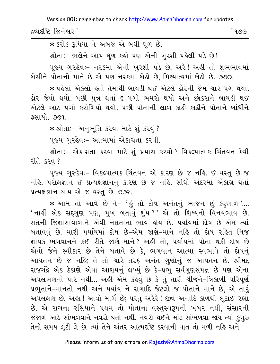દ્રવ્યદષ્ટિ જિનેશ્વર l ୮ ૧૭૭

\* કરોડ રૂપિયા ને અબજ એ બધી ધળ છે.

શ્રોતાઃ- ભલેને આપ ધળ કહો પણ એની ખરશી પહેલી પડે છે!

પૂજ્ય ગુરુદેવઃ– ન૨કમાં એની ખુ૨શી ૫ડે છે. અ૨ે! અહીં તો શુભભાવમાં બેસીને પોતાનો માને છે એ પણ નરકમાં બેઠો છે. મિથ્યાત્વમાં બેઠો છે. ૭૭૦.

∗ પહેલાં એકલો હતો તેમાંથી બાયડી થઈ એટલે ઢોરની જેમ ચાર પગ થયા. ઢોર જેવો થયો. ૫છી ૫ત્ર થતાં ૬ ૫ગો ભમરો થયો અને છોકરાને બાયડી થઈ એટલે આઠ પગો કરોળિયો થયો. પછી પોતાની લાળ કાઢી કાઢીને પોતાને બાંધીને કસાયો. ૭૭૧.

\* શ્રોતાઃ- અનુભૂતિ કરવા માટે શું કરવું ?

પુજ્ય ગુરુદેવઃ– આત્મામાં એકાગ્રતા કરવી.

શ્રોતાઃ- એકાગ્રતા કરવા માટે શું પ્રયાસ કરવો ? વિકલ્પાત્મક ચિંતવન કેવી રીતે કરવં ?

પૂજ્ય ગુરુદેવઃ- વિકલ્પાત્મક ચિંતવન એ કારણ છે જ નહિ. ઈ વસ્તુ છે જ નહિ. પરોક્ષજ્ઞાન ઈ પ્રત્યક્ષજ્ઞાનનું કારણ છે જ નહિ. સીધો અંદરમાં એકાગ્ર થતાં પ્રત્યક્ષજ્ઞાન થાય એ જ વસ્તુ છે. ૭૭૨.

\* આમ તો આવે છે ને- 'હું તો દોષ અનંતનું ભાજન છું કરૂણાળ'.... ' નાર્લી એક સદગણ પણ, મુખ બતાવું શુંય ?' એ તો શિષ્યનો વિનયભાવ છે. સત્ની જિજ્ઞાસાવાળાને એવી નમ્રતાના ભાવ હોય છે. પર્યાયમાં દોષ છે એમ ત્યાં બતાવવું છે. મારી પર્યાયમાં દોષ છે-એમ જાણે-માને નહિ તો દોષ રહિત નિજ જ્ઞાયક ભગવાનને કઈ રીતે જાણે-માને? અહીં તો, પર્યાયમાં પોતા થકી દોષ છે એવો જેને સ્વીકાર છે તેને બતાવે છે કે. ભગવાન આત્મા સ્વભાવે તો દોષનું આયતન છે જ નહિ; તે તો ચારે તરફ અનંત ગુણોનું જ આયતન છે. શ્રીમદ્ રાજચંદ્રે એક ઠેકાણે એવા આશયનું લખ્યું છે કે-પ્રભુ સર્વગુણસંપન્ન છે પણ એના અપલખણનો પાર નથી... અહીં એમ કહેવું છે કે તું તારી ચીજને-ત્રિકાળી પરિપૂર્ણ પ્રભુતાને-માનતો નથી અને પર્યાય ને રાગાદિ જેટલો જ પોતાને માને છે, એ તારૂં અપલક્ષણ છે. અહ્ય! આવો માર્ગ છે; પરંતુ અરેરે! જીવ અનાદિ કાળથી લંટાઈ રહ્યો છે. એ રાગના રસિયાને પ્રથમ તો પોતાના વસ્તસ્વરૂપની ખબર નથી, સંસારની જંજાળ આડે સાંભળવાને નવરો થતો નથી. નવરો થઈને માંડ સાંભળવા જાય ત્યાં કુગુરુ તેનો સમય લૂંટી લે છે. ત્યાં તેને અંતર આત્મદષ્ટિ કરવાની વાત તો મળી નહિ અને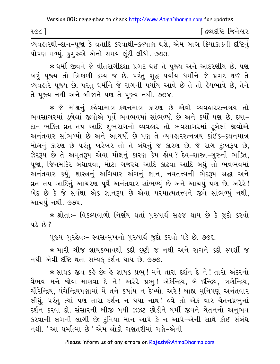| 196                                                                           |  |  |  | ∫ દ્રવ્યદષ્ટિ જિનેશ્વર |  |
|-------------------------------------------------------------------------------|--|--|--|------------------------|--|
| વ્યવહારથી-દાન-૫જા કે વ્રતાદિ કરવાથી-કલ્યાણ થશે. એમ બાહ્ય ક્રિયાકાંડની દષ્ટિનં |  |  |  |                        |  |

પોષણ મળ્યું. કુગુરુએ એનો સમય લૂંટી લીધો. ૭૭૩.

\* ધર્મી જીવને જે વીતરાગીદશા પ્રગટ થઈ તે પૂજ્ય અને આદરણીય છે. પણ ખરું પૂજ્ય તો ત્રિકાળી દ્રવ્ય જ છે. પરંતુ શુદ્ધ પર્યાય ધર્મીને જે પ્રગટ થઈ તે વ્યવહારે પૂજ્ય છે. પરંતુ ધર્મીને જે રાગની પર્યાય આવે છે તે તો હેયભાવે છે, તેને તે પજ્ય નથી અને બીજાને પણ તે પજ્ય નથી. ૭૭૪.

\* જે મોક્ષનું કહેવામાત્ર-કથનમાત્ર કારણ છે એવો વ્યવહારરત્નત્રય તો ભવસાગરમાં ડુબેલાં જીવોએ પૂર્વે ભવભવમાં સાંભળ્યો છે અને કર્યો પણ છે. દયા-દાન-ભક્તિ-વ્રત-તપ આદિ શુભરાગનો વ્યવહાર તો ભવસાગરમાં ડૂબેલાં જીવોએ અનંતવાર સાંભળ્યો છે અને આચર્યો છે પણ તે વ્યવહારરત્નત્રય કાંઈક-કથનમાત્ર મોક્ષનું કારણ છે પરંતુ ખરેખર તો તે બંધનું જ કારણ છે. જે રાગ દુઃખરૂપ છે, ઝેરરૂપ છે તે અમૃતરૂપ એવા મોક્ષનું કારણ કેમ હોય? દેવ−શાસ્ત્ર−ગુરુની ભક્તિ, પૂજા, જિનમંદિર બંધાવવા, મોટા ગજરથ આદિ કાઢવા આદિ બઘું તો ભવભવમાં અનંતવાર કર્યું, શાસ્ત્રનું અગિયાર અંગનું જ્ઞાન, નવતત્ત્વની ભેદરૂપ શ્રદ્ધા અને વ્રત−તપ આદિનું આચરણ પૂર્વે અનંતવાર સાંભળ્યું છે અને આચર્યું પણ છે. અરેરે! ખેદ છે કે જે સર્વથા એક જ્ઞાનરૂપ છે એવા પરમાત્મતત્ત્વને જીવે સાંભળ્યું નથી, આચર્યું નથી. ૭૭૫.

\* શ્રોતાઃ- વિકલ્પવાળો નિર્ણય થતાં પુરુષાર્થ સહજ થાય છે કે જુદો કરવો  $43.69.7$ 

પુજ્ય ગુરુદેવઃ- સ્વસન્મુખનો પુરુષાર્થ જુદો કરવો પડે છે. ૭૭૬.

\* મારી ચીજ જ્ઞાયકભાવથી કદી છૂટી જ નથી અને રાગને કદી સ્પર્શી જ નથી-એવી દષ્ટિ થતાં સમ્યક દર્શન થાય છે. ૭૭૭.

\* સાધક જીવ કહે છે: હે જ્ઞાયક પ્રભુ ! મને તારા દર્શન દે ને ! તારો અંદરનો વૈભવ મને જોવા-માણવા દે ને! અરેરે પ્રભ! એકેન્દ્રિય, બે-ઇન્દ્રિય, ત્રણેન્દ્રિય, ચૌરેન્દ્રિય, પંચેન્દ્રિયપણામાં મેં તને કયાંય ન દેખ્યો. અરે! બાહ્ય મુનિપણું અનંતવાર લીધું, પરંતુ ત્યાં પણ તારા દર્શન ન થયા નાથ! હવે તો એક વાર ચેતનપ્રભુનાં દર્શન કરવા દો. સંસારની બીજી બધી ઝંઝટ છોડીને ધર્મી જીવને ચેતનનો અનુભવ કરવાની લગની લાગી છે; દુનિયા માન આપે કે ન આપે-એની સાથે કોઈ સંબંધ નથી. 'આ ધર્માત્મા છે' એમ લોકો ગણતરીમાં ગણે–એની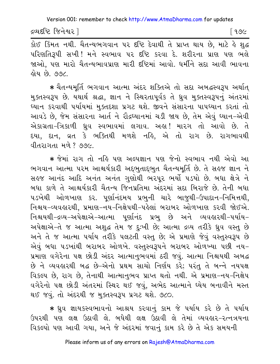દ્રવ્યદષ્ટિ જિનેશ્વર |

િ ૧૭૯

.<br>કોઈ કિંમત નથી. ચૈતન્યભગવાન પર દષ્ટિ દેવાથી તે પ્રાપ્ત થાય છે, માટે કે શુદ્ધ પરિણતિરૂપી સખી! મને સ્વભાવ પર દષ્ટિ કરવા દે. શરીરના પ્રાણ પણ ભલે જાઓ, પણ મારો ચૈતન્યભાવપ્રાણ મારી દષ્ટિમાં આવો. ધર્મીને સદા આવી ભાવના હોય છે. ૭૭૮.

\* ચૈતન્યમૂર્તિ ભગવાન આત્મા અંદર શક્તિએ તો સદા અબદ્ધસ્વરૂપ અર્થાત્ મુક્તસ્વરૂપ છે. યથાર્થ શ્રદ્ધા, જ્ઞાન ને સ્થિરતાપૂર્વક તે ધ્રુવ મુક્તસ્વરૂપનું અંતરમાં ધ્યાન કરવાથી પર્યાયમાં મુક્તદશા પ્રગટ થશે. જીવને સંસારના પાપધ્યાન કરતાં તો આવડે છે, જેમ સંસારના આર્ત ને રૌદ્રધ્યાનમાં ચડી જાય છે, તેમ એવું ધ્યાન-એવી એકાગ્રતા-ત્રિકાળી ધ્રુવ સ્વભાવમાં લગાવ. અહ્ય! મારગ તો આવો છે. તે દયા, દાન, વ્રત કે ભક્તિથી મળશે નહિ, એ તો રાગ છે. રાગભાવથી વીતરાગતા મળે? ૭૭૯.

\* જેમાં રાગ તો નહિ પણ અલ્પજ્ઞાન પણ જેનો સ્વભાવ નથી એવો આ ભગવાન આત્મા પરમ આશ્ચર્યકારી અદ્દભુતાદ્દભુત ચૈતન્યમૂર્તિ છે. તે સહજ જ્ઞાન ને સહજ આનંદ આદિ અનંત અનંત ગુણોથી ભરપૂર ભર્યો ૫ડયો છે. બધા ક્ષેત્રે ને બધા કાળે તે આશ્ચર્યકારી ચૈતન્ય જિનપ્રતિમા અંદરમાં સદા બિરાજે છે. તેની બધા ૫ડખેથી ઓળખાણ કર. પુર્ણાનંદમય પ્રભુની ચારે બાજુથી-ઉપાદાન-નિમિત્તથી, નિશ્ચય-વ્યવહારથી, પ્રમાણ-નય-નિક્ષેપથી-પહેલાં બરાબર ઓળખાણ કરવી જોઈએ. નિશ્ચયથી-દ્રવ્ય-અપેક્ષાએ-આત્મા પુર્ણાનંદ પ્રભુ છે અને વ્યવહારથી-પર્યાય-અપેક્ષાએ-તે જ આત્મા અશુદ્ધ તેમ જ દુઃખી છે; આત્મા દ્રવ્ય તરીકે ધ્રુવ વસ્તુ છે અને તે જ આત્મા પર્યાય તરીકે પલટતી વસ્તુ છે; એ પ્રમાણે જેવું વસ્તુસ્વરૂપ છે એવું બધા ૫ડખાંથી બરાબર ઓળખે. વસ્તુસ્વરૂપને બરાબર ઓળખ્યા પછી નય– પ્રમાણ વગેરેના પક્ષ છોડી અંદર આત્માનુભવમાં ઠરી જવું. આત્મા નિશ્ચયથી અબદ્ધ છે ને વ્યવહારથી બદ્ધ છે-એનો પ્રથમ સાચો નિર્ણય કરે; પરંતુ તે બન્ને નયપક્ષ વિકલ્પ છે, રાગ છે, તેનાથી આત્માનુભવ પ્રાપ્ત થતો નથી. એ પ્રમાણ-નય-નિક્ષેપ વગેરેનો પક્ષ છોડી અંતરમાં સ્થિર થઈ જવું, અભેદ આત્માને ધ્યેય બનાવીને મસ્ત થઈ જવં. તો અંદરથી જ મુક્તસ્વરૂપ પ્રગટ થશે. ૭૮૦.

★ ધ્રુવ જ્ઞાયકસ્વભાવનો આશ્રય કરવાનું કામ જે પર્યાય કરે છે તે પર્યાય ઉપરથી પણ લક્ષ ઉઠાવી લે. બધેથી લક્ષ ઉઠાવી લે તેમાં વ્યવહાર-રત્નત્રયના વિકલ્પો પણ આવી ગયા, અને જે અંદરમાં જવાનું કામ કરે છે તે એક સમયની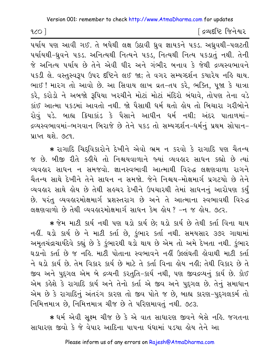$1001$ 

દિવ્યદષ્ટિ જિનેશ્વર

પર્યાય પણ આવી ગઈ. તે બધેથી લક્ષ ઉઠાવી ઘ્રુવ જ્ઞાયકને ૫કડ. અઘ્રુવથી-૫લટતી પર્યાયથી-ઘ્રુવને ૫કડ. અનિત્યથી નિત્યને ૫કડ, નિત્યથી નિત્ય ૫કડાતું નથી. તેની જે અનિત્ય પર્યાય છે તેને એવી ધીર અને ગંભીર બનાવ કે જેથી દ્રવ્યસ્વભાવને ૫કડી લે. વસ્તુસ્વરૂપ ઉપર દષ્ટિને લઈ જા; તે વગર સમ્યગ્દર્શન કયારેય નહિ થાય. ભાઈ! મારગ તો આવો છે. આ સિવાય લાખ વ્રત-તપ કરે, ભક્તિ, પજા કે યાત્રા કરે, કરોડો ને અબજો રૂપિયા ખરચીને મોટાં મોટાં મંદિરો બંધાવે, તોપણ તેના વડે કાંઈ આત્મા પકડમાં આવતો નથી. જો પૈસાથી ધર્મ થતો લોય તો બિચારા ગરીબોને રોવું પડે. બાહ્ય ક્રિયાકાંડ કે પૈસાને આધીન ધર્મ નથી; અંદર પાતાળમાં-દ્રવ્યસ્વભાવમાં−ભગવાન બિરાજે છે તેને ૫કડ તો સમ્યગ્દર્શન−ધર્મનું પ્રથમ સોપાન− પ્રાપ્ત થશે. ૭૮૧

\* રાગાદિ ચિદવિકારોને દેખીને એવો ભ્રમ ન કરવો કે રાગાદિ પણ ચૈતન્ય જ છે. બીજી રીતે કહીયે તો નિશ્ચયવાળાને જ્યાં વ્યવહાર સાધન કહ્યો છે ત્યાં વ્યવહાર સાધન ન સમજવો. જ્ઞાનસ્વભાવી આત્માથી વિરુદ્ધ લક્ષણવાળા રાગને ચૈતન્ય સાથે દેખીને તેને સાધન ન સમજો. જેને નિશ્ચય-મોક્ષમાર્ગ પ્રગટયો છે તેને વ્યવહાર સાથે હોય છે તેથી સહચર દેખીને ઉપચારથી તેમાં સાધનનું આરોપણ કર્યું છે. પરંતુ વ્યવહારમોક્ષમાર્ગ પ્રશસ્તરાગ છે અને તે આત્માના સ્વભાવથી વિરુદ્ધ લક્ષણવાળો છે તેથી વ્યવહારમોક્ષમાર્ગ સાધન કેમ હોય ? -ન જ હોય. ૭૮૨.

\* જેમ માટી કાર્ય નથી પણ ઘડો કાર્ય છે; ઘડો કાર્ય છે તેથી કર્તા વિના થાય નહીં. ઘડો કાર્ય છે ને માટી કર્તા છે, કુંભાર કર્તા નથી. સમયસાર ૩૭૨ ગાથામાં અમૃતચંદ્રાચાર્યદેવે કહ્યું છે કે કુંભારથી ઘડો થાય છે એમ તો અમે દેખતા નથી. કુંભાર ઘડાનો કર્તા છે જ નહિ. માટી પોતાના સ્વભાવને નહીં ઉલ્લંઘતી હોવાથી માટી કર્તા ને ઘડો કાર્ય છે. તેમ વિકાર કાર્ય છે માટે તે કર્તા વિના હોય નહી; તેથી વિકાર છે તે જીવ અને પુદગલ એમ બે દ્રવ્યની કરતૃતિ-કાર્ય નથી. પણ જીવદ્રવ્યનું કાર્ય છે. કોઈ એમ કહેશે કે રાગાદિ કાર્ય અને તેનો કર્તા એ જીવ અને પુદગલ છે. તેનું સમાધાન એમ છે કે રાગાદિનું અંતરંગ કારણ તો જીવ પોતે જ છે, બાહ્ય કારણ-પુદ્ગલકર્મ તો નિમિત્તમાત્ર છે. નિમિત્તમાત્ર ચીજ છે તે પરિણમાવતં નથી. ૭૮૩.

\* ધર્મ એવી સૂક્ષ્મ ચીજ છે કે એ વાત સાધારણ જીવને બેસે નહિ. જગતના સાધારણ જીવો કે જે વેપાર આદિના પાપના ધંધામાં ૫ડયા હોય તેને આ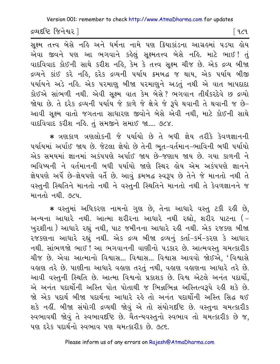દ્રવ્યદષ્ટિ જિનેશ્વર |

િવ૮૧

સૂક્ષ્મ તત્ત્વ બેસે નહિ અને ધર્મના નામે પણ ક્રિયાકાંડના આગ્રહમાં ૫ડયા હોય એવા જીવને પણ આ ભગવાને કહેલું સૂક્ષ્મતત્ત્વ બેસે નહિ. માટે ભાઈ! તું વાદવિવાદ કોઈની સાથે કરીશ નહિ, કેમ કે તત્ત્વ સૂક્ષ્મ ચીજ છે. એક દ્રવ્ય બીજા દ્રવ્યને કાંઈ કરે નહિ, દરેક દ્રવ્યની પર્યાય ક્રમબદ્ધ જ થાય, એક પર્યાય બીજી પર્યાયને અડે નહિ. એક પરમાણુ બીજા પરમાણને અડતું નથી એ વાત બાપદાદા કોઈએ સાંભળી નથી. એવી સૂક્ષ્મ વાત કેમ બેસે? ભગવાન તીર્થંકરદેવે છ દ્રવ્યો <u> જોયા છે. તે દરેક દ્રવ્યની પર્યાય જે કાળે જે ક્ષેત્રે જે રૂપે થવાની તે થવાની જ છે-</u> આવી સક્ષ્મ વાતો જગતના સાધારણ જીવોને બેસે એવી નથી. માટે કોઈની સાથે વાદવિવાદ કરીશ નહિ. તું સમજીને સમાઈ જા.... ૭૮૪.

\* ત્રણકાળ ત્રણલોકની જે પર્યાયો છે તે બધી જ્ઞેય તરીકે કેવળજ્ઞાનની પર્યાયમાં અર્પાઈ જાય છે. જેટલા જ્ઞેયો છે તેની ભત-વર્તમાન-ભાવિની બધી પર્યાયો એક સમયમાં જ્ઞાનમાં અકંપપણે અર્પાઈ જાય છે-જણાય જાય છે. ગયા કાળની ને ભવિષ્યની ને વર્તમાનની બધી પર્યાયો જાણે સ્થિર લોય એમ અકંપપણે જ્ઞાનને જ્ઞેયપણે અર્પે છે-જ્ઞેયપણે વર્તે છે. આવું ક્રમબદ્ધ સ્વરૂપ છે તેને જે માનતો નથી તે વસ્તુની સ્થિતિને માનતો નથી ને વસ્તુની સ્થિતિને માનતો નથી તે કેવળજ્ઞાનને જ માનતો નથી. ૭૮૫.

\* વસ્તુમાં અધિકરણ નામનો ગુણ છે, તેના આધારે વસ્તુ ટકી રહી છે, અન્યના આધારે નથી. આત્મા શરીરના આધારે નથી રહ્યો, શરીર પાટના (– ખુરશીના ) આધારે રહ્યું નથી, પાટ જમીનના આધારે રહી નથી. એક રજકણ બીજા ૨જકણના આધારે રહ્યું નથી. એક દ્રવ્ય બીજા દ્રવ્યનું કર્તા-કર્મ-કરણ કે આધાર નથી. સાંભળજો ભાઈ ! આ ભગવાનની વાણીનો ૫ડકાર છે. આત્મવસ્તુ ચમત્કારીક ચીજ છે. એવા આત્માનો વિશ્વાસ... વિશ્વાસ... વિશ્વાસ આવવો જોઈએ, 'વિશ્વાસે વહાણ તરે છે. પાણીના આધારે વહાણ તરતું નથી, વહાણ વહાણના આધારે તરે છે. આવી વસ્તુની સ્થિતિ છે. આત્મા વિશ્વનો પ્રકાશક છે. વિશ્વ એટલે અનંત પદાર્થો, એ અનંત પદાર્થોની અસ્તિ પોત પોતાથી જ ભિન્નભિન્ન અસ્તિત્વરૂપે રહી શકે છે. જો એક પદાર્થ બીજા પદાર્થના આધારે રહે તો અનંત પદાર્થોની અસ્તિ સિદ્ધ થઈ શકે નહીં. બીજા સંયોગી દ્રવ્યથી જોવું એ તો સંયોગદષ્ટિ છે. વસ્તુના ચમત્કારીક સ્વભાવથી જોવું તે સ્વભાવદ્દષ્ટિ છે. ચૈતન્યવસ્તુનો સ્વભાવ તો ચમત્કારીક છે જ, <u>पण द्वेद पहार्थनो स्वल्गाव पण यमत्वारीह છे. ७८६ </u>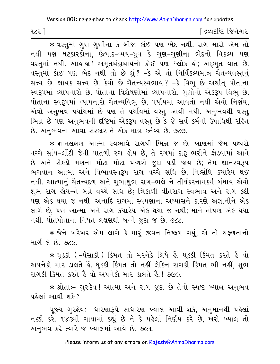$153P$ 

[ દ્રવ્યદષ્ટિ જિનેશ્વર

∗ વસ્તુમાં ગુણ−ગુણીના કે બીજા કાંઈ પણ ભેદ નથી. રાગ મારો એમ તો નથી પણ ષટ્કારકોના, ઉત્પાદ-વ્યય-ધ્રુવ કે ગુણ–ગુણીના ભેદનો વિકલ્પ પણ વસ્તુમાં નથી. આહાહા ! અમૃતચંદ્રાચાર્યનો કોઈ પણ શ્લોક હો; અદ્દભુત વાત છે. વસ્તુમાં કોઈ પણ ભેદ નથી તો છે શું? –કે એ તો નિર્વિકલ્પમાત્ર ચૈતન્યવસ્તુનું સત્ત્વ છે. જ્ઞાયક સત્ત્વ છે. કેવો છે ચૈતન્યસ્વભાવ? -કે વિભુ છે અર્થાત પોતાના સ્વરૂપમાં વ્યાપનારો છે. પોતાના વિશેષણોમાં વ્યાપનારો, ગુણોનો એકરૂપ વિભુ છે. પોતાના સ્વરૂપમાં વ્યાપનારો ચૈતન્યવિભુ છે, પર્યાયમાં આવતો નથી એવો નિર્ણય, એવો અનુભવ પર્યાયમાં છે પણ તે પર્યાયમાં વસ્તુ આવી નથી. અનુભવથી વસ્તુ ભિન્ન છે પણ અનુભવની દષ્ટિમાં એકરૂપ વસ્તુ છે કે જે સર્વ કર્મની ઉપાધિથી રહિત છે. અનભવના આવા સંસ્કાર તે એક માત્ર કર્તવ્ય છે. ૭૮૭.

★ જ્ઞાનલક્ષણ આત્મા સ્વભાવે રાગથી ભિન્ન જ છે. ખાણમાં જેમ પથ્થરો વચ્ચે સાંધ-લીંટી જેવી પાતળી રગ હોય છે, તે રગમાં દારૂ ભરીને ફોડવામાં આવે છે અને સેંકડો મણના મોટા મોટા પથ્થરો જદા પડી જાય છે; તેમ જ્ઞાનસ્વરૂપ ભગવાન આત્મા અને વિભાવસ્વરૂપ રાગ વચ્ચે સંધિ છે, નિઃસંધિ કયારેય થઈ નથી. આત્માનું ચૈતન્યદળ અને શુભાશુભ રાગ-ભલે ને તીર્થંકરનામકર્મ બંધાય એવો શુભ રાગ હોય-તે બન્ને વચ્ચે સાંધ છે; ત્રિકાળી વીતરાગ સ્વભાવ અને રાગ કદી પણ એક થયા જ નથી. અનાદિ રાગમાં સ્વપણાના અધ્યાસને કારણે અજ્ઞાનીને એક લાગે છે, પણ આત્મા અને રાગ કયારેય એક થયા જ નથી; માને તોપણ એક થયા નથી. પોતપોતાના નિયત લક્ષણથી બન્ને જુદા જ છે. ૭૮૮.

\* જેને ખરેખર એમ લાગે કે મારૂં જીવન નિષ્ફળ ગયું, એ તો સફળતાનો માર્ગલે છે. જ $\alpha$ 

∗ ધૂડકી ( –પૈસાકી ) કિંમત તો મરનેકે લિયે હૈં. ધૂડકી કિંમત કરતે હૈં વો અપનેકો માર ડાલતે કૈ. ધૂડકી કિંમત તો નહીં લેકિન રાગકી કિંમત ભી નહીં, શુભ રાગકી કિંમત કરતે કૈ વો અપનેકો માર ડાલતે કૈ.! ૭૯૦.

\* શ્રોતાઃ- ગુરુદેવ ! આત્મા અને રાગ જુદા છે તેનો સ્પષ્ટ ખ્યાલ અનુભવ पर्डेलां આવી શકે?

પુજ્ય ગુરુદેવઃ- ધારણારૂપે સાધારણ ખ્યાલ આવી શકે, અનુમાનથી પહેલાં નક્કી કરે. ૧૪૩મી ગાથામાં કહ્યું છે ને કે પહેલાં નિર્ણય કરે છે, ખરો ખ્યાલ તો અનુભવ કરે ત્યારે જ ખ્યાલમાં આવે છે. ૭૯૧.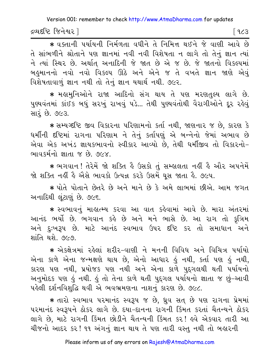દ્રવ્યદષ્ટિ જિનેશ્વર l

િ ૧૮૩

\* વક્તાની પર્યાયની નિર્મળતા વધીને તે નિમિત્ત થઈને જે વાણી આવે છે તે સાંભળીને શ્રોતાને પણ જ્ઞાનમાં નવી નવી વિશેષતા ન લાગે તો તેનું જ્ઞાન ત્યાં ને ત્યાં સ્થિર છે. અર્થાત અનાદિની જે જાત છે એ જ છે. જે જાતનો વિકલ્પમાં બહુમાનનો નવો નવો વિકલ્પ ઊઠે અને એને જ તે વખતે જ્ઞાન જાણે એવું વિશેષતાવાળું જ્ઞાન નથી તો તેનું જ્ઞાન યથાર્થ નથી. ૭૯૨.

\* મહામનિઓને રાજા આદિનો સંગ થાય તે પણ મરણતલ્ય લાગે છે. પુણ્યવંતમાં કાંઈક બધું સરખું રાખવું પડે... તેથી પુણ્યવંતોથી વૈરાગીઓને દૂર રહેવું સારં છે. ૭૯૩.

\* સમ્યગ્દષ્ટિ જીવ વિકારના પરિણામનો કર્તા નથી, જાણનાર જ છે, કારણ કે ધર્મીની દષ્ટિમાં રાગના પરિણામ ને તેનું કર્તાપણું એ બન્નેનો જેમાં અભાવ છે એવા એક અખંડ જ્ઞાયકભાવનો સ્વીકાર આવ્યો છે, તેથી ધર્મીજીવ તો વિકારનો-ભાવકર્મનો જ્ઞાતા જ છે. ૭૯૪.

★ ભગવાન ! તેરેમેં જો શક્તિ હૈ ઉસકો તું સમ્હાલતા નહીં હૈ ઔર અપનેમેં જો શક્તિ નહીં હૈ એેસે ભાવકો ઉત્પન્ન કરકે ઉસમેં ઘસ જાતા હૈ. ૭૯૫.

\* પોતે પોતાને છેતરે છે અને માને છે કે અમે લાભમાં છીએ. આમ જગત અનાદિથી લુંટાણું છે. ૭૯૬.

\* સ્વભાવનું માહાત્મ્ય કરવા આ વાત કહેવામાં આવે છે. મારા અંતરમાં આનંદ ભર્યો છે. ભગવાન કહે છે અને મને ભાસે છે. આ રાગ તો કૃત્રિમ અને દુઃખરૂપ છે. માટે આનંદ સ્વભાવ ઉપર દષ્ટિ કર તો સમાધાન અને શાંતિ થશે. ૭૯૭.

\* એક્ક્ષેત્રમાં રહેલાં શરીર-વાણી ને મનની વિવિધ અને વિચિત્ર પર્યાયો એના કાળે એના જન્મક્ષણે થાય છે, એનો આધાર હું નથી, કર્તા પણ હું નથી, કારણ પણ નથી, પ્રયોજક પણ નથી અને એના કાળે પુદ્દગલથી થતી પર્યાયનો અનુમોદક પણ કું નથી. કું તો તેના કાળે થતી પુદ્દગલ પર્યાયનો જ્ઞાતા જ છું-આવી પહેલી દર્શનવિશદ્ધિ થવી એ ભવભ્રમણના નાશનં કારણ છે. ૭૯૮.

\* તારો સ્વભાવ પરમાનંદ સ્વરૂપ જ છે, ધ્રુવ સત છે પણ રાગના પ્રેમમાં પરમાનંદ સ્વરૂપને ઠોકર લાગે છે. દયા-દાનના રાગની કિંમત કરતાં ચૈતન્યને ઠોકર લાગે છે, માટે રાગની કિંમત છોડીને ચૈતન્યની કિંમત કર! હવે એકવાર તારી આ ચીજનો આદર કર! ૧૧ અંગનું જ્ઞાન થાય તે પણ તારી વસ્તુ નથી તો બહારની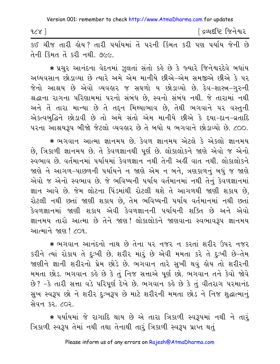| 928 | ંદ્રવ્યદષ્ટિ જિનેશ્વર |
|-----|-----------------------|
|     |                       |

કઈ ચીજ તારી લોય? તારી પર્યાયમાં તેં પરની કિંમત કરી પણ પર્યાય જેની છે તેની કિંમત તેં કરી નથી. ૭૯૯.

\* પ્રચુર આનંદના વેદનમાં ઝૂલતાં સંતો કહે છે કે જ્યારે જિનેશ્વરદેવે બધાંય અઘ્યવસાન છોડાવ્યા છે ત્યારે અમે એમ માનીયે છીએ-એમ સમજીએ છીએ કે પર જેનો આશ્રય છે એવો વ્યવહાર જ સઘળો ય છોડાવ્યો છે. દેવ-શાસ્ત્ર-ગુરુની શ્રદ્ધાના રાગના પરિણામમાં પરનો સંબંધ છે, સ્વનો સંબંધ નથી. જે તારામાં નથી અને તેં તારા માન્યા છે તે તદ્દન મિથ્યાભાવ છે, તેથી ભગવાને પર વસ્તુની એકત્વબુદ્ધિને છોડાવી છે તો અમે સંતો એમ માનીયે છીએ કે દયા-દાન-વ્રતાદિ ૫૨ના આશ્રયરૂપ બીજો જેટલો વ્યવહાર છે તે બધો ય ભગવાને છોડાવ્યો છે. ૮૦૦.

\* ભગવાન આત્મા જ્ઞાનમય છે. કેવળ જ્ઞાનમય એટલે કે એકલો જ્ઞાનમય છે, ત્રિકાળી જ્ઞાનમય છે. તે કેવળજ્ઞાનથી પૂર્ણ છે. લોકાલોકને જાણે એવો જ એનો સ્વભાવ છે. વર્તમાનમાં પર્યાયમાં કેવળજ્ઞાન નથી તેની અહીં વાત નથી. લોકાલોકને જાણે ને આગળ-પાછળની પર્યાયને ન જાણે એમ ન બને, ત્રણકાળનું બધું જ જાણે એવો જ એનો સ્વભાવ છે. જે ભવિષ્યની પર્યાય વર્તમાનમાં નથી તેનું કેવળજ્ઞાનમાં જ્ઞાન આવે છે. જેમ લોટના પિંડમાંથી રોટલી થશે તે આગળથી જાણી શકાય છે, રોટલી નથી છતાં જાણી શકાય છે, તેમ ભવિષ્યની પર્યાય વર્તમાનમાં નથી છતાં કેવળજ્ઞાનમાં જાણી શકાય એવી કેવળજ્ઞાનની પર્યાયની શક્તિ છે અને એવો જ્ઞાનમય તારો આત્મા છે તેને જાણ! લોકાલોકને જાણવાના સ્વભાવરૂપ જ્ઞાનમય આત્માને જાણ ! ૮૦૧.

\* ભગવાન આનંદનો નાથ છે તેના પર નજર ન કરતાં શરીર ઉપર નજર કરીને ત્યાં રોકાય તે દુઃખી છે. શરીર મારું છે એવી મમતા કરે તે દુઃખી છે-તેમ જાણીને જ્ઞાની શરીરનો પ્રેમ છોડે છે. ભગવાન તારે સુખી થવું હોય તો શરીરની મમતા છોડ. ભગવાન કહે છે કે તું નિજ સત્તાએ પૂર્ણ છો. ભગવાન તને કેવો જોવે છે? -કે તારી સત્તા વડે પરિપૂર્ણ દેખે છે. ભગવાન કહે છે કે તું વીતરાગ પરમાનંદ સુખ સ્વરૂપ છો ને શરીર દુઃખરૂપ છે માટે શરીરની મમતા છોડ ને નિજ શુદ્ધાત્માનું સેવન કર. ૮૦૨.

★ પર્યાયમાં જે રાગાદિ થાય છે એ તારા ત્રિકાળી સ્વરૂપમાં નથી ને તારૂં ત્રિકાળી સ્વરૂપ તેમાં નથી તથા તેનાથી તારૂં ત્રિકાળી સ્વરૂપ પ્રાપ્ત થતું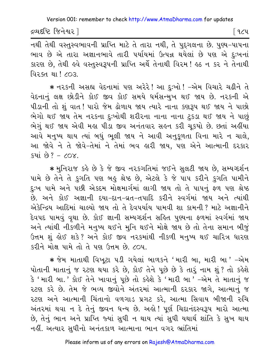દ્રવ્યદષ્ટિ જિનેશ્વર l

∣ ૧૮૫

નથી તેથી વસ્તુસ્વભાવની પ્રાપ્તિ માટે તે તારા નથી, તે પુદ્દગલના છે. પુણ્ય-પાપના ભાવ છે એ તારા અજ્ઞાનભાવે તારી પર્યાયમાં ઉત્પન્ન થયેલાં છે પણ એ દુઃખનાં કારણ છે, તેથી હવે વસ્તુસ્વરૂપની પ્રાપ્તિ અર્થે તેનાથી વિરમ! હઠ ન કર ને તેનાથી વિરક્ત થા ! ૮૦૩

∗ નરકની અસહ્ય વેદનામાં પણ અરેરે! આ દુઃખો! –એમ વિચારે ચઢીને તે વેદનાનું લક્ષ છોડીને કોઈ જીવ કોઈ સમયે ધર્મસન્મુખ થઈ જાય છે. નરકની એ પીડાની તો શું વાત! પારો જેમ ઢોળાય જાય ત્યારે નાના કણરૂપ થઈ જાય ને પાછો ભેગો થઈ જાય તેમ નરકના દુઃખોથી શરીરના નાના નાના ટુકડા થઈ જાય ને પાછું ભેગું થઈ જાય એવી મહા પીડા જીવ અનંતવાર સહન કરી ચુકયો છે. છતાં અહીંયા આવે મનુષ્ય થાય ત્યાં બધું ભલી જાય ને આવી અનુકળતા વિના મારે ન ચાલે, આ જોવે ને તે જોવે-તેમાં ને તેમાં ભવ હારી જાય, પણ એને આત્માની દરકાર  $s4i$   $s9? - 60x$ 

\* મુનિરાજ કહે છે કે જે જીવ નરકગતિમાં જઈને સુલટી જાય છે, સમ્યગ્દર્શન પામે છે તેને તે કુગતિ પણ બહુ શ્રેષ્ઠ છે, એટલે કે જે પાપ કરીને કુગતિ પામીને દુઃખ પામે અને પછી એકદમ મોક્ષમાર્ગમાં લાગી જાય તો તે પાપનું ફળ પણ શ્રેષ્ઠ છે. અને કોઈ અજ્ઞાની દયા-દાન-વ્રત-તપાદિ કરીને સ્વર્ગમાં જાય અને ત્યાંથી એકેન્દ્રિય આદિમાં ચાલ્યો જાય તો તે દેવપર્યાય પામવી શા કામની ? માટે અજ્ઞાનીને દેવપદ પામવું વૃથા છે. કોઈ જ્ઞાની સમ્યગ્દર્શન સહિત પુણ્યના ફળમાં સ્વર્ગમાં જાય અને ત્યાંથી નીકળીને મનુષ્ય થઈને મુનિ થઈને મોક્ષે જાય છે તો તેના સમાન બીજું ઉત્તમ શું હોઈ શકે? અને કોઈ જીવ નરકમાંથી નીકળી મનુષ્ય થઈ ચારિત્ર ધારણ કરીને મોક્ષ પામે તો તે પણ ઉત્તમ છે. ૮૦૫.

\* જેમ માતાથી વિખુટા પડી ગયેલાં બાળકને 'મારી બા, મારી બા*' –*એમ પોતાની માતાનું જ રટણ થયા કરે છે, કોઈ તેને પૂછે છે કે તારું નામ શું ? તો કહેશે કે 'મારી બા.' કોઈ તેને ખાવાનું પૂછે તો કહેશે કે 'મારી બા ' -એમ તે માતાનું જ રટણ કરે છે. તેમ જે ભવ્ય જીવોને અંતરમાં આત્માની દરકાર જાગે, આત્માનું જ ૨ટણ અને આત્માની ચિંતાનો વળગાડ પ્રગટ કરે, આત્મા સિવાય બીજાની રુચિ અંતરમાં થવા ન દે તેનું જીવન ધન્ય છે. અહો! પૂર્ણ ચિદાનંદસ્વરૂપ મારો આત્મા છે, તેનું ભાન અને પ્રાપ્તિ જ્યાં સુધી ન થાય ત્યાં સુધી યથાર્થ શાંતિ કે સુખ થાય નહીં. અત્યાર સુધીનો અનંતકાળ આત્માના ભાન વગર ભ્રાંતિમાં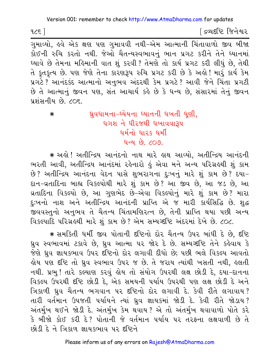<u>ડિલ્પદધ્દિ જિનેશ્વર</u>

ગુમાવ્યો, હવે એક ક્ષણ પણ ગુમાવવી નથી-એમ આત્માની ચિંતાવાળો જીવ બીજા .<br>કોઈની રુચિ કરતો નથી. જેઓ ચૈતન્યસ્વભાવનું ભાન પ્રગટ કરીને તેને ઘ્યાનમાં ઘ્યાવે છે તેમના મહિમાની વાત શું કરવી ? તેમણે તો કાર્ય પ્રગટ કરી લીધું છે, તેથી તે કુતકુત્ય છે. પણ જેણે તેના કારણરૂપ રુચિ પ્રગટ કરી છે કે અલે! મારૂં કાર્ય કેમ પ્રગટે ? આનંદકંદ આત્માનો અનુભવ અંદરથી કેમ પ્રગટે ? આવી જેને ચિંતા પ્રગટી છે તે આત્માનું જીવન પણ, સંત આચાર્ય કહે છે કે ધન્ય છે, સંસારમાં તેનું જીવન પ્રશંસનીય છે. ૮૦૬.

ઘ્રુવધામના-ઘ્યેયના ઘ્યાનની ધખતી ધુણી,  $\ast$ ધગશ ને ધીરજથી ધખાવવારૂપ धर्मनो धारुङ धर्मी  $900$   $(900$ 

\* અલે ! અતીન્દ્રિય આનંદનો નાથ મારે લાથ આવ્યો, અતીન્દ્રિય આનંદની ભરતી આવી, અતીન્દ્રિય આનંદમાં રહેનારો હું એવા મને અન્ય પરિગ્રહથી શું કામ છે? અતીન્દ્રિય આનંદના વેદન પાસે શુભરાગના દુઃખનું મારે શું કામ છે? દયા-દાન-વ્રતાદિના બાહ્ય વિકલ્પોથી મારે શું કામ છે? આ જીવ છે. આ જડ છે. આ વ્રતાદિના વિકલ્પો છે, આ ગુણભેદ છે-એવા વિકલ્પોનું મારે શું કામ છે? મારા દુઃખનો નાશ અને અતીન્દ્રિય આનંદની પ્રાપ્તિ એ જ મારી કાર્યસિદ્ધિ છે. શુદ્ધ \_<br>જીવવસ્તુનો અનુભવ તે ચૈતન્ય ચિંતામણિરત્ન છે, તેની પ્રાપ્તિ થયા પછી અન્ય વિકલ્પાદિ પરિગ્રહથી મારે શું કામ છે? એમ સમ્યગ્દષ્ટિ અંદરમાં દેખે છે. ૮૦૮.

\* समर्डिती धर्मी જીવ પોતાની દंહિનો દોર ચૈતન્ય ઉપર બાંધી દે છે, દંહિ ધ્રુવ સ્વભાવમાં ટકાવે છે, ધ્રુવ આત્મા ૫૨ જોર દે છે. સમ્યગ્દષ્ટિ તેને કહેવાય કે જેણે ધ્રુવ જ્ઞાયકભાવ ઉપર દષ્ટિનો દોર લગાવી દીધો છે; પછી ભલે વિકલ્પ આવતો હોય પણ દષ્ટિ તો ધ્રુવ સ્વભાવ ઉપર જ છે. તે જરાય ત્યાંથી ખસતી નથી, હલતી નથી. પ્રભુ! તારે કલ્યાણ કરવું હોય તો સંયોગ ઉપરથી લક્ષ છોડી દે, દયા-દાનના વિકલ્પ ઉપરથી દૃષ્ટિ છોડી દે, એક સમયની પર્યાય ઉપરથી પણ લક્ષ છોડી દે અને ત્રિકાળી ધ્રુવ ચૈતન્ય ભગવાન પર દષ્ટિનો દોર લગાવી દે. કેવી રીતે લગાવાય? તારી વર્તમાન ઉપજતી પર્યાયને ત્યાં ધ્રુવ જ્ઞાયકમાં જોડી દે. કેવી રીતે જોડાય? અંતર્મુખ થઈને જોડી દે. અંતર્મુખ કેમ થવાય ? એ તો અંતર્મુખ થવાવાળો પોતે કરે કે બીજો કોઈ કરી દે? પોતાની જે વર્તમાન પર્યાય પર તરફના લક્ષવાળી છે તે છોડી દે ને ત્રિકાળ જ્ઞાયકભાવ પર દષ્ટિને

 $125$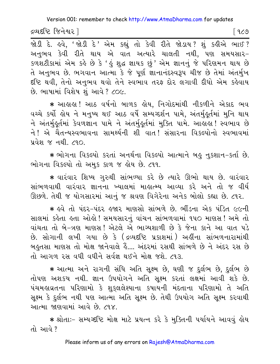દ્રવ્યદષ્ટિ જિનેશ્વર l

<u> જોડી દે. હવે, 'જોડી દે' એમ કહ્યું તો કેવી રીતે જોડાય? શું કહીએ ભાઈ?</u> અનુભવ કેવી રીતે થાય એ વાત અત્યારે ચાલતી નથી, પણ સમયસાર-કળશટીકામાં એમ કહે છે કે 'હું શુદ્ધ જ્ઞાયક છું ' એમ જ્ઞાનનું જે પરિણમન થાય છે તે અનુભવ છે. ભગવાન આત્મા કે જે પૂર્ણ જ્ઞાનાનંદસ્વરૂપ ચીજ છે તેમાં અંતર્મુખ દીષ્ટિ થવી, તેનો અનુભવ થવો તેને સ્વભાવ તરફ દોર લગાવી દીધો એમ કહેવાય છે. ભાષામાં વિશેષ શું આવે ? ૮૦૯.

★ આલાલ! આઠ વર્ષનો બાળક લેય, નિગોદમાંથી નીકળીને એકાદ ભવ વચ્ચે કર્યો હોય ને મનુષ્ય થઈ આઠ વર્ષે સમ્યગ્દર્શન પામે, અંતર્મુહુર્તમાં મુનિ થાય ને અંતર્મકૂર્તમાં કેવળજ્ઞાન પામે ને અંતર્મુકૂર્તમાં મુક્તિ પામે. આહાહા! સ્વભાવ છે ને ! એ ચૈતન્યસ્વભાવના સામર્થ્યની શી વાત !સંસારના વિકલ્પોનો સ્વભાવમાં <u>प्रवेश % नथी 290.</u>

\* ભોગના વિકલ્પો કરતાં અનર્થના વિકલ્પો આત્માને બહુ નુકશાન-કર્તા છે. ભોગના વિકલ્પો તો અમુક કાળ જ હોય છે. ૮૧૧.

★ વારંવાર શિષ્ય ગુરુથી સાંભળ્યા કરે છે ત્યારે ઊભો થાય છે. વારંવાર સાંભળવાથી વારંવાર જ્ઞાનના ખ્યાલમાં માહાત્મ્ય આવ્યા કરે અને તો જ વીર્ય ઊછળે. તેથી જ યોગસારમાં આનું જ શ્રવણ વિગેરેના અનેક બોલો કહ્યા છે. ૮૧૨.

\* ઙ્વે તો પંદર-પંદર ઙ્જાર માણસો સાંભળે છે. ભીંડના એક પંડિત ૯૯ની સાલમાં કહેતા હતા ઓહો! સમયસારનું વાંચન સાંભળવામાં ૧૫૦ માણસ! અમે તો વાંચતા તો બે-ત્રણ માણસ! એટલે એ ભાગ્યશાળી છે કે જેના કાને આ વાત પડે છે. સોગાની લખી ગયા છે કે (દ્રવ્યદ્દષ્ટિ પ્રકાશમાં) અહીંના સાંભળનારામાંથી બહુતસા માણસ તો મોક્ષ જાનેવાલે હૈં.... અંદરમાં રસથી સાંભળે છે ને અંદર રસ છે તો આગળ રસ વધી વધીને સર્વજ્ઞ થઈને મોક્ષ જશે. ૮૧૩.

\* આત્મા અને રાગની સંધિ અતિ સૂક્ષ્મ છે, ઘણી જ દુર્લભ છે, દુર્લભ છે તોપણ અશકય નથી. જ્ઞાન ઉપયોગને અતિ સૂક્ષ્મ કરતાં લક્ષમાં આવી શકે છે. પંચમહાવ્રતના પરિણામો કે શુકુલલેશ્યાના કપાયની મંદતાના પરિણામો તે અતિ સુક્ષ્મ કે દુર્લભ નથી પણ આત્મા અતિ સુક્ષ્મ છે. તેથી ઉપયોગ અતિ સુક્ષ્મ કરવાથી આત્મા જાણવામાં આવે છે. ૮૧૪.

\* श्रोताः- सम्यञ्दृष्टि भोक्ष भाटे प्रयत्न કરે કે મુક્તિની પર્યાયને આવવું હોય તો આવે ?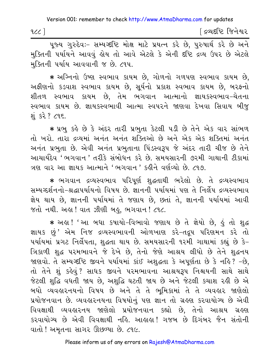| 922 | [ દ્રવ્યદષ્ટિ જિનેશ્વર |
|-----|------------------------|
|-----|------------------------|

પૂજ્ય ગુરુદેવઃ- સમ્યગ્દષ્ટિ મોક્ષ માટે પ્રયત્ન કરે છે, પુરુષાર્થ કરે છે અને મુક્તિની પર્યાયને આવવું હોય તો આવે એટલે કે એની દષ્ટિ દ્રવ્ય ઉપર છે એટલે મક્તિની પર્યાય આવવાની જ છે. ૮૧૫.

∗ અગ્નિનો ઉષ્ણ સ્વભાવ કાયમ છે, ગોળનો ગળપણ સ્વભાવ કાયમ છે, અફીણનો કડવાશ સ્વભાવ કાયમ છે, સૂર્યનો પ્રકાશ સ્વભાવ કાયમ છે, બરફનો શીતળ સ્વભાવ કાયમ છે, તેમ ભગવાન આત્માનો જ્ઞાયકસ્વભાવ-ચેતના સ્વભાવ કાયમ છે. જ્ઞાયકસ્વભાવી આત્મા સ્વપરને જાણવા દેખવા સિવાય બીજુ શંકરે? ૮૧૬.

\* પ્રભુ કહે છે કે અંદર તારી પ્રભુતા કેટલી પડી છે તેને એક વાર સાંભળ તો ખરો. તારા દ્રવ્યમાં અનંત અનંત શક્તિઓ છે અને એક એક શક્તિમાં અનંત અનંત પ્રભુતા છે. એવી અનંત પ્રભુતાના પિંડસ્વરૂપ જે અંદર તારી ચીજ છે તેને આચાર્યદેવ ' ભગવાન ' તરીકે સંબોધન કરે છે. સમયસારની ૭૨મી ગાથાની ટીકામાં ત્રણ વાર આ જ્ઞાયક આત્માને 'ભગવાન ' કહીને વર્ણવ્યો છે. ૮૧૭

∗ ભગવાન દ્રવ્યસ્વભાવ પરિપૂર્ણ શુદ્ધતાથી ભરેલો છે. તે દ્રવ્યસ્વભાવ સમ્યગ્દર્શનનો-શ્રદ્ધાપર્યાયનો વિષય છે. જ્ઞાનની પર્યાયમાં પણ તે નિર્લેપ દ્રવ્યસ્વભાવ જ્ઞેય થાય છે, જ્ઞાનની પર્યાયમાં તે જણાય છે, છતાં તે, જ્ઞાનની પર્યાયમાં આવી જતો નથી. અહ્ય ! વાત ઝીણી બહુ, ભગવાન ! ૮૧૮.

\* અલ! 'આ બધા કપાયો-વિભાવો જણાય છે તે જ્ઞેયો છે, હું તો શુદ્ધ જ્ઞાયક છું' એમ નિજ દ્રવ્યસ્વભાવની ઓળખાણ કરે-તદ્રુપ પરિણમન કરે તો પર્યાયમાં પ્રગટ નિર્લેપતા, શુદ્ધતા થાય છે. સમયસારની ૧૨મી ગાથામાં કહ્યું છે કે-ત્રિકાળી શુદ્ધ પરમભાવને જે દેખે છે, તેનો જેણે આશ્રય લીધો છે તેને શુદ્ધનય જાણવો. તે સમ્યગ્દષ્ટિ જીવને પર્યાયમાં કાંઈ અશદ્ધતા કે અપર્ણતા છે કે નહિ? -છે. તો તેને શું કહેવું? સાધક જીવને પરમભાવના આશ્રયરૂપ નિશ્ચયની સાથે સાથે જેટલી શુદ્ધિ વધતી જાય છે, અશુદ્ધિ ઘટતી જાય છે અને જેટલી કચાશ રહી છે એ બધો વ્યવહારનયનો વિષય છે અને તે તે ભમિકામાં તે તે વ્યવહાર જાણેલો પ્રયોજનવાન છે. વ્યવહારનયના વિષયોનું પણ જ્ઞાન તો ગ્રહણ કરવાયોગ્ય છે એવી વિવક્ષાથી વ્યવહારનય જાણેલો પ્રયોજનવાન કહ્યો છે, તેનો આશ્રય ગ્રહણ કરવાયોગ્ય છે એવી વિવક્ષાથી નહિ. આહાહા! ગજબ છે દિગંબર જૈન સંતોની વાતો ! અમૃતના સાગર ઊછળ્યા છે. ૮૧૯.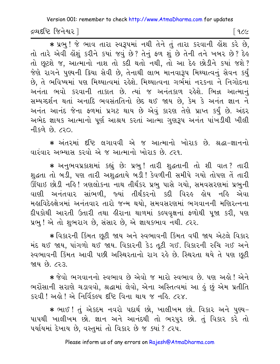દ્રવ્યદષ્ટિ જિનેશ્વર l

િ ૧૮૯

\* प्रलु! જે ભાવ તારા સ્વરૂપમાં નથી તેને તું તારા કરવાની હોંશ કરે છે, તો તારે એવી હોશું કરીને કયાં જવું છે? તેનું ફળ શું છે તેની તને ખબર છે? દેહ તો છૂટશે જ, આત્માનો નાશ તો કદી થતો નથી, તો આ દેહ છોડીને કયાં જશે? જેણે રાગને પુણ્યની ક્રિયા સેવી છે, તેનાથી લાભ માનવારૂપ મિથ્યાત્વનું સેવન કર્યું છે, તે ભવિષ્યમાં પણ મિથ્યાત્વમાં રહેશે. મિથ્યાત્વના ગર્ભમાં નરકના ને નિગોદના અનંતા ભવો કરવાની તાકાત છે. ત્યાં જ અનંતકાળ રહેશે. ભિન્ન આત્માનં સમ્યગ્દર્શન થતાં અનાદિ ભવસંતતિનો છેદ થઈ જાય છે, કેમ કે અનંત જ્ઞાન ને અનંત આનંદ જેના ફળમાં પ્રગટ થાય છે એવું કારણ તેણે પ્રાપ્ત કર્યું છે. અંદર અભેદ જ્ઞાયક આત્માનો પૂર્ણ આશ્રય કરતાં આત્મા ગુણરૂપ અનંત પાંખડીથી ખીલી નીકળે છે. ૮૨૦

\* અંતરમાં દષ્ટિ લગાવવી એ જ આત્માનો ખોરાક છે. શ્રદ્ધા-જ્ઞાનનો વારંવાર અભ્યાસ કરવો એ જ આત્માનો ખોરાક છે. ૮૨૧.

\* અનુભવપ્રકાશમાં કહ્યું છેઃ પ્રભુ! તારી શુદ્ધતાની તો શી વાત? તારી શુદ્ધતા તો બડી, પણ તારી અશુદ્ધતાયે બડી! કેવળીની સમીપે ગયો તોપણ તેં તારી ઊંઘાઇ છોડી નહિ! ત્રણલોકના નાથ તીર્થંકર પ્રભુ પાસે ગયો, સમવસરણમાં પ્રભુની વાણી અનંતવાર સાંભળી, જ્યાં તીર્થંકરનો કદી વિરહ હોય નહિ એવા મહાવિદેહક્ષેત્રમાં અનંતવાર તારો જન્મ થયો. સમવસરણમાં ભગવાનની મણિરત્નના દીપકોથી આરતી ઉતારી તથા હીરાના થાળમાં કલ્પવક્ષનાં ફળોથી પજા કરી. પણ પ્રભુ ! એ તો શુભરાગ છે, સંસાર છે, એ જ્ઞાયકભાવ નથી. ૮૨૨.

\* વિકારની કિંમત છૂટી જાય અને સ્વભાવની કિંમત વધી જાય એટલે વિકાર મંદ થઈ જાય, પાંગળો થઈ જાય. વિકારની કેડ તૂટી ગઈ. વિકારની રુચિ ગઈ અને સ્વભાવની કિંમત આવી પછી અસ્થિરતાનો રાગ રહે છે. સ્થિરતા થયે તે પણ છૂટી જાય છે. ૮૨૩

\* જેવો ભગવાનનો સ્વભાવ છે એવો જ મારો સ્વભાવ છે. પણ અહો ! એને ભરોસાની સરાણે ચડાવવો, શ્રદ્ધામાં લેવો, એના અસ્તિત્વમાં આ હું છું એમ પ્રતીતિ  $529$  ,  $129$  ,  $129$  ,  $129$  ,  $129$  ,  $129$  ,  $129$  ,  $129$  ,  $129$  ,  $129$  ,  $129$  ,  $129$  ,  $129$  ,  $129$  ,  $129$  ,  $129$  ,  $129$  ,  $129$  ,  $129$  ,  $129$  ,  $129$  ,  $129$  ,  $129$  ,  $129$  ,  $129$  ,  $129$  ,  $129$  ,  $129$ 

\* ભાઈ ! તું એકદમ નવરો પદાર્થ છો, ખાલીખમ છો. વિકાર અને પુણ્ય-પાપથી ખાલીખમ છો. જ્ઞાન અને આનંદથી તો ભરપુર છો. તું વિકાર કરે તો ૫ર્યાયમાં દેખાય છે, વસ્તુમાં તો વિકાર છે જ ક્યાં ? ૮૨૫.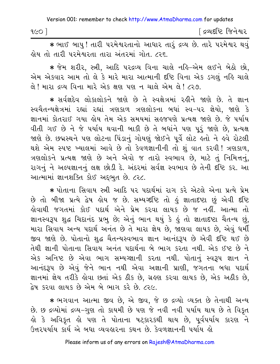| १૯० | [ દ્રવ્યદષ્ટિ જિનેશ્વર |
|-----|------------------------|
|     |                        |

\* ભાઈ બાપુ! તારી પરમેશ્વરતાનો આધાર તારૂં દ્રવ્ય છે. તારે પરમેશ્વર થવું લોય તો તારી પરમેશ્વરતા તારા અંતરમાં ગોત. ૮૨૬.

★ જેમ શરીર, સ્ત્રી, આદિ પરદ્રવ્ય વિના ચાલે નહિ–એમ લઈને બેઠો છો, એમ એકવાર આમ તો લે કે મારે મારા આત્માની દૃષ્ટિ વિના એક ડગલું નહિ ચાલે લે ! મારા દવ્ય વિના મારે એક ક્ષણ પણ ન ચાલે એમ લે ! ૮૨૭.

\* સર્વજ્ઞદેવ લોકાલોકને જાણે છે તે સ્વક્ષેત્રમાં રહીને જાણે છે. તે જ્ઞાન સ્વચૈતન્યક્ષેત્રમાં રહ્યાં રહ્યાં ત્રણકાળ ત્રણલોકના બધાં સ્વ-૫૨ જ્ઞેયો. જાણે કે જ્ઞાનમાં કોતરાઈ ગયા હોય તેમ એક સમયમાં સહજપણે પ્રત્યક્ષ જાણે છે. જે પર્યાય વીતી ગઈ છે ને જે પર્યાય થવાની બાકી છે તે બધાંને પણ પુરૂં જાણે છે, પ્રત્યક્ષ જાણે છે. છદ્મસ્થને પણ લોટના પિંડાનું ગોયણું જોઈને પૂર્વે લોટ હતો ને હવે રોટલી થશે એમ સ્પષ્ટ ખ્યાલમાં આવે છે તો કેવળજ્ઞાનીની તો શું વાત કરવી! ત્રણકાળ, ત્રણલોકને પ્રત્યક્ષ જાણે છે અને એવો જ તારો સ્વભાવ છે, માટે તું નિમિત્તનું, રાગનું ને અલ્પજ્ઞાનનું લક્ષ છોડી દે. અંદરમાં સર્વજ્ઞ સ્વભાવ છે તેની દૃષ્ટિ કર. આ આત્મામાં જ્ઞાનશક્તિ કોઈ અદ્દભુત છે. ૮૨૮.

\* પોતાના સિવાય સ્ત્રી આદિ પર પદાર્થમાં રાગ કરે એટલે એના પ્રત્યે પ્રેમ છે તો બીજા પ્રત્યે દ્વેષ હોય જ છે. સમ્યગ્દષ્ટિ તો હું જ્ઞાતાદષ્ટા છું એવી દષ્ટિ <mark>કોવાથી જગતમાં કોઈ પદાર્થ એને પ્રેમ કરવા લાય</mark>ક છે જ નહીં. આત્મા તો જ્ઞાનસ્વરૂપ શુદ્ધ ચિદાનંદ પ્રભુ છે; એનું ભાન થયું કે હું તો જ્ઞાતાદષ્ટા ચૈતન્ય છું, મારા સિવાય અન્ય પદાર્થ અનંત છે તે મારા જ્ઞેય છે, જાણવા લાયક છે, એવું ધર્મી જીવ જાણે છે. પોતાનો શુદ્ધ ચૈતન્યસ્વભાવ જ્ઞાન આનંદરૂપ છે એવી દષ્ટિ થઈ છે તેથી જ્ઞાની પોતાના સિવાય અનંત પદાર્થના બે ભાગ કરતા નથી. એક ઈષ્ટ છે ને એક અનિષ્ટ છે એવા ભાગ સમ્યગ્જ્ઞાની કરતા નથી. પોતાનું સ્વરૂપ જ્ઞાન ને આનંદરૂપ છે એવું જેને ભાન નથી એવા અજ્ઞાની પ્રાણી, જગતના બધા પદાર્થ જ્ઞાનમાં જ્ઞેય તરીકે લેવા છતાં એક ઠીક છે, ગ્રહણ કરવા લાયક છે, એક અઠીક છે, દ્વેષ કરવા લાયક છે એમ બે ભાગ કરે છે. ૮૨૯.

★ ભગવાન આત્મા જીવ છે, એ જીવ, જે છ દ્રવ્યો વ્યક્ત છે તેનાથી અન્ય છે. છ દ્રવ્યોમાં દ્રવ્ય–ગુણ તો કાયમી છે પણ જે નવી નવી પર્યાય થાય છે તે વિકૃત હો કે અવિકૃત હો પણ તે પોતાના ષટ્કા૨કથી થાય છે, પૂર્વપર્યાય કા૨ણ ને ઉત્તરપર્યાય કાર્ય એ બધા વ્યવહારના કથન છે. કેવળજ્ઞાનની પર્યાય હો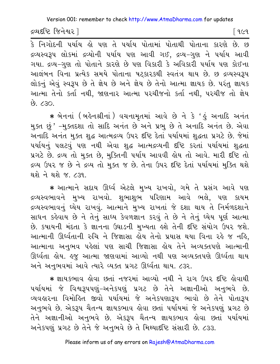<u>દ્રવ્યદષ્ટિ જિનેશ્વર સિંહ અને આ પ્રાપ્ત કરવા માટે આ પ્રાપ્ત કરવા માટે પ્રાપ્ત કરવા મા</u>

 $\overline{\hat{s}}$  નિગોદની પર્યાય હો પણ તે પર્યાય પોતામાં પોતાથી પોતાના કારણે છે. છ દ્રવ્યસ્વરૂપ લોકમાં દ્રવ્યોની પર્યાય પણ આવી ગઈ, દ્રવ્ય−ગુણ ને પર્યાય આવી ગયા. દ્રવ્ય–ગુણ તો પોતાને કારણે છે પણ વિકારી કે અવિકારી પર્યાય પણ કોઈના આલંબન વિના પ્રત્યેક સમયે પોતાના ષટકારકથી સ્વતંત્ર થાય છે. છ દ્રવ્યસ્વરૂપ લોકનું એવું સ્વરૂપ છે તે જ્ઞેય છે અને જ્ઞેય છે તેનો આત્મા જ્ઞાયક છે. પરંતુ જ્ઞાયક આત્મા તેનો કર્તા નથી, જાણનાર આત્મા પરચીજનો કર્તા નથી, પરચીજ તો જ્ઞેય  $OS \setminus 63$ 

 $\,$  **\*** બેનનાં (બર્લેનશ્રીનાં) વચનામૃતમાં આવે છે ને કે 'હું અનાદિ અનંત મુક્ત છું ' –મુક્તદશા તો સાદિ અનંત છે અને પ્રભુ છે તે અનાદિ અનંત છે. એવા અનાદિ અનંત મુક્ત શુદ્ધ આત્મદ્રવ્ય ઉપર દૃષ્ટિ દેતાં પર્યાયમાં શુદ્ધતા પ્રગટે છે. જેમાં ૫ર્યાયનું ૫લટવું ૫ણ નથી એવા શુદ્ધ આત્મદ્રવ્યની દષ્ટિ કરતાં ૫ર્યાયમાં શુદ્ધતા પ્રગટે છે. દ્રવ્ય તો મુક્ત છે, મુક્તિની ૫ર્યાય આવવી હોય તો આવે. મારી દષ્ટિ તો દ્રવ્ય ઉપર જ છે ને દ્રવ્ય તો મુક્ત જ છે. તેના ઉપર દષ્ટિ દેતાં પર્યાયમાં મુક્તિ થશે થશે ને થશે *જ. ૮*૩૧.

 $*$  આત્માને સદાય ઊર્ધ્વ એટલે મુખ્ય રાખવો, ગમે તે પ્રસંગ આવે પણ દ્રવ્યસ્વભાવને મુખ્ય રાખવો. શુભાશુભ પરિણામ આવે ભલે, પણ કાયમ દ્રવ્યસ્વભાવનું ઘ્યેય રાખવું. આત્માને મુખ્ય રાખતાં જે દશા થાય તે નિર્મળદશાને સાધન કહેવાય છે ને તેનું સાધ્ય કેવળજ્ઞાન કરવું તે છે ને તેનું ધ્યેય પૂર્ણ આત્મા છે. કપાયની મંદતા કે જ્ઞાનના ઉઘાડની મુખ્યતા હશે તેની દષ્ટિ સંયોગ ઉપર જશે. આત્માની ઊર્ધ્વતાની રુચિ ને જિજ્ઞાસા કોય તેનો પ્રયાસ થયા વિના રકે જ નકિ, આત્માના અનુભવ પહેલાં પણ સાચી જિજ્ઞાસા હોય તેને અવ્યક્તપણે આત્માની ઊર્ધ્વતા લેય. હજ આત્મા જાણવામાં આવ્યો નથી પણ અવ્યક્તપણે ઊર્ધ્વતા થાય અને અનુભવમાં આવે ત્યારે વ્યક્ત પ્રગટ ઊર્ધ્વતા થાય. ૮૩૨.

**·** &aykwav hova KtaH njrmaH AaVyae n=I ne rag \_pr ¹iÚ hova=I પર્યાયમાં જે વિશ્વરૂપપણું–અનેકપણું પ્રગટ છે તેને અજ્ઞાનીઓ અનુભવે છે. વ્યવહારના વિમોહિત જીવો પર્યાયમાં જે અનેકપણારૂપ ભાવો છે તેને પોતારૂપ અનુભવે છે. એકરૂપ ચૈતન્ય જ્ઞાયકભાવ લોવા છતાં પર્યાયમાં જે અનેકપણું પ્રગટ છે તેને અજ્ઞાનીઓ અનુભવે છે. એકરૂપ ચૈતન્ય જ્ઞાયકભાવ હોવા છતાં પર્યાયમાં અનેકપણું પ્રગટ છે તેને જે અનુભવે છે તે મિથ્યાદીષ્ટિ સંસારી છે. ૮૩૩.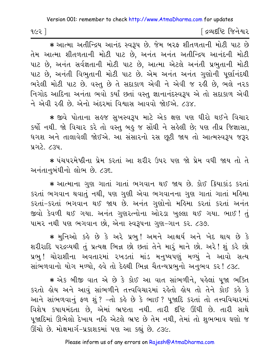| ૧૯૨ ] | ∫ દ્રવ્યદષ્ટિ જિનેશ્વર |
|-------|------------------------|
|-------|------------------------|

\* આત્મા અતીન્દ્રિય આનંદ સ્વરૂપ છે. જેમ બરફ શીતળતાની મોટી પાટ છે તેમ આત્મા શીતળતાની મોટી પાટ છે, અનંત અનંત અતીન્દ્રિય આનંદની મોટી પાટ છે, અનંત સર્વજ્ઞતાની મોટી પાટ છે, આત્મા એટલે અનંતી પ્રભુતાની મોટી પાટ છે, અનંતી વિભુતાની મોટી પાટ છે. એમ અનંત અનંત ગુણોની પૂર્ણાનંદથી ભરેલી મોટી પાટ છે. વસ્તુ છે તે સદાકાળ એવી ને એવી જ રહી છે. ભલે નરક નિગોદ આદિના અનંતા ભવો કર્યાં છતાં વસ્તુ જ્ઞાનાનંદસ્વરૂપ એ તો સદાકાળ એવી ને એવી રહી છે. એનો અંદરમાં વિશ્વાસ આવવો જોઈએ. ૮૩૪.

★ જીવે પોતાના સહજ સુખસ્વરૂપ માટે એક ક્ષણ પણ ધીરો થઈને વિચાર કર્યો નથી. જો વિચાર કરે તો વસ્તુ બહુ જ સોંઘી ને સહેલી છે; પણ તીવ્ર જિજ્ઞાસા, ધગશ અને તાલાવેલી જોઈએ. આ સંસારનો રસ છુટી જાય તો આત્મસ્વરૂપ જરૂર પ્રગટે. ૮૩૫.

\* પંચપરમેષ્ઠીના પ્રેમ કરતાં આ શરીર ઉપર પણ જો પ્રેમ વધી જાય તો તે અનંતાનબંધીનો લોભ છે. ૮૩૬.

\* આત્માના ગુણ ગાતાં ગાતાં ભગવાન થઈ જાય છે. કોઈ કિયાકાંડ કરતાં કરતાં ભગવાન થવાતું નથી, પણ ગુણી એવા ભગવાનના ગુણ ગાતાં ગાતાં મહિમા કરતાં-કરતાં ભગવાન થઈ જાય છે. અનંત ગુણોનો મહિમા કરતાં કરતાં અનંત જીવો કેવળી થઈ ગયા. અનંત ગુણરત્નોના ઓરડા ખલ્લા થઈ ગયા. ભાઈ! તું પામર નથી પણ ભગવાન છો, એના સ્વરૂપના ગુણ-ગાન કર. ૮૩૭.

\* મુનિઓ કહે છે કે અરે પ્રભુ! અમને આશ્ચર્ય અને ખેદ થાય છે કે શરીરાદિ પરદ્રવ્યથી તું પ્રત્યક્ષ ભિન્ન છો છતાં તેને મારું માને છો. અરે! શું કરે છો પ્રભ ! ચોરાશીના અવતારમાં રખડતાં માંડ મનુષ્યપણું મળ્યું ને આવો સત્ય સાંભળવાનો યોગ મળ્યો, હવે તો દેહથી ભિન્ન ચૈતન્યપ્રભુનો અનુભવ કર! ૮૩૮.

\* એક બીજી વાત એ છે કે કોઈ આ વાત સાંભળીને, પહેલાં પુજા ભક્તિ કરતો હોય અને આવું સાંભળીને તત્ત્વવિચારમાં રહેતો હોય તો તેને કોઈ કહે કે આને સાંભળવાનું ફળ શું ? -તો કહે છે કે ભાઈ ? પૂજાદિ કરતાં તો તત્ત્વવિચારમાં વિશેષ કષાયમંદતા છે, એમાં ભ્રષ્ટતા નથી. તારી દૃષ્ટિ ઊંઘી છે. તારી સાથે પૂજાદિમાં ઊભેલો દેખાય નહિ એટલે ભ્રષ્ટ છે તેમ નથી, તેમાં તો શુભભાવ ઘણો જ ઊંચો છે. મોક્ષમાર્ગ-પ્રકાશકમાં પણ આ કહ્યું છે. ૮૩૯.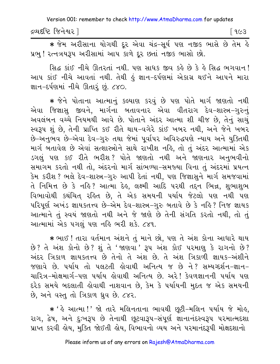દ્રવ્યદષ્ટિ જિનેશ્વર l િ ૧૯૩

\* જેમ અરીસાના યોગથી દૂર એવા ચંદ્ર-સૂર્ય પણ નજીક ભાસે છે તેમ હે પ્રભુ! રત્નત્રયરૂપ અરીસામાં આપ કાળે દૂર છતાં નજીક ભાસો છો.

સિદ્ધ કાંઈ નીચે ઊતરતાં નથી. પણ સાધક જીવ કહે છે કે હે સિદ્ધ ભગવાન! આપ કાંઈ નીચે આવતાં નથી. તેથી હું જ્ઞાન–દર્પણમાં એકાગ્ર થઈને આપને મારા જ્ઞાન-દર્પણમાં નીચે ઊતારું છું. ૮૪૦.

\* જેને પોતાના આત્માનું કલ્યાણ કરવું છે પણ પોતે માર્ગ જાણતો નથી એવા જિજ્ઞાસુ જીવને, માર્ગના બતાવનાર એવા વીતરાગ દેવ-શાસ્ત્ર-ગુરુનું અવલંબન વચ્ચે નિયમથી આવે છે. પોતાને અંદર આત્મા શી ચીજ છે, તેનું સાચું સ્વરૂપ શું છે, તેની પ્રાપ્તિ કઈ રીતે થાય-વગેરે કાંઈ ખબર નથી, અને જેને ખબર છે−અનુભવ છે−એવા દેવ−ગુરુ તથા જેમાં પુર્વાપર અવિરુદ્ધપણે ન્યાય અને યુક્તિથી માર્ગ બતાવેલ છે એવાં સત્શાસ્ત્રોને સાથે રાખીશ નહિ, તો તું અંદર આત્મામાં એક ડગલું પણ કઈ રીતે ભરીશ? પોતે જાણતો નથી અને જાણનાર અનુભવીનો સમાગમ કરતો નથી તો, અંદરનો માર્ગ સાંભળ્યા-સમજ્યા વિના તું અંદરમાં પ્રયત્ન કેમ કરીશ? ભલે દેવ-શાસ્ત્ર-ગુરુ આપી દેતાં નથી, પણ જિજ્ઞાસુને માર્ગ સમજવામાં તે નિમિત્ત છે કે નહિ? આત્મા દેહ, લક્ષ્મી આદિ પરથી તદ્દન ભિન્ન, શુભાશુભ વિભાવોથી કથંચિત્ રહિત છે, તે એક સમયની પર્યાય જેટલો પણ નથી પણ પરિપૂર્ણ અખંડ જ્ઞાયકતત્ત્વ છે-એમ દેવ-શાસ્ત્ર-ગુરુ બતાવે છે કે નહિ? નિજ જ્ઞાયક આત્માને તું સ્વયં જાણતો નથી અને જે જાણે છે તેની સંગતિ કરતો નથી, તો તું આત્મામાં એક પગલું પણ નહિ ભરી શકે. ૮૪૧.

\* ભાઈ ! તારા વર્તમાન અંશને તું માને છો, પણ તે અંશ કોના આધારે થાય છે? તે અંશ કોનો છે? શું તે 'જાણવા' રૂપ અંશ કોઈ પરમાણૂ કે રાગનો છે? અંદર ત્રિકાળ જ્ઞાયકતત્ત્વ છે તેનો તે અંશ છે. તે અંશ ત્રિકાળી જ્ઞાયક-અંશીને જણાવે છે. પર્યાય તો પલટતી કોવાથી અનિત્ય જ છે ને? સમ્યગ્દર્શન-જ્ઞાન-ચારિત્ર-મોક્ષમાર્ગ-પણ પર્યાય હોવાથી અનિત્ય છે. અરે! કેવળજ્ઞાનની પર્યાય પણ દરેક સમયે બદલાતી હોવાથી નાશવાન છે, કેમ કે પર્યાયની મુદત જ એક સમયની છે, અને વસ્તુ તો ત્રિકાળ ધ્રુવ છે. ૮૪૨.

\* ' કે આત્મા !' જો તારે મલિનતાના ભાવથી છુટી-મલિન પર્યાય જે મોક, રાગ, દ્વેષ, અને દુઃખરૂપ છે તેનાથી છૂટવારૂપ-સંપૂર્ણ જ્ઞાનાનંદસ્વરૂપ પરમાત્મદશા પ્રાપ્ત કરવી લેય, મુક્તિ જોઈતી લેય, વિભાવનો વ્યય અને પરમાનંદરૂપી મોક્ષદશાનો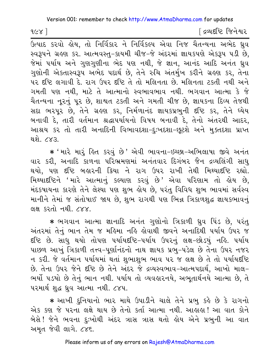$1829$ 

દિવ્યદષ્ટિ જિનેશ્વર

ઉત્પાદ કરવો હોય, તો નિર્વિકાર ને નિર્વિકલ્પ એવા નિજ ચૈતન્યના અભેદ ધ્રુવ સ્વરૂપને ગ્રહણ કર. આત્મવસ્તુ-કાયમી ચીજ-જે અંદરમાં જ્ઞાયકપણે એકરૂપ પડી છે. જેમાં પર્યાય અને ગુણગુણીના ભેદ પણ નથી, જે જ્ઞાન, આનંદ આદિ અનંત ધ્રુવ ગુણોની એકતાસ્વરૂપ અભેદ પદાર્થ છે, તેને રુચિ અંતર્મુખ કરીને ગ્રહણ કર, તેના ૫૨ દૃષ્ટિ લગાવી દે. રાગ ઉપર દૃષ્ટિ તે તો મલિનતા છે. મલિનતા ટકતી નથી અને ગમતી પણ નથી, માટે તે આત્માનો સ્વભાવભાવ નથી. ભગવાન આત્મા કે જે ચૈતન્યના નૂરનું પૂર છે, શાશ્વત ટકતી અને ગમતી ચીજ છે, જ્ઞાયકના દિવ્ય તેજથી સદા ભરપૂર છે, તેને ગ્રહણ કર, નિર્મળાનંદ જ્ઞાયકપ્રભુની દષ્ટિ કર, તેને ધ્યેય બનાવી દે, તારી વર્તમાન શ્રદ્ધાપર્યાયનો વિષય બનાવી દે, તેનો અંતરથી આદર, આશ્રય કર તો તારી અનાદિની વિભાવદશા-દઃખદશા-છુટશે અને મુક્તદશા પ્રાપ્ત થશે. ૮૪૩.

\* 'મારે મારૂં હિત કરવું છે' એવી ભાવના-ઇચ્છા-અભિલાષા જીવે અનંત વાર કરી, અનાદિ કાળના પરિભ્રમણમાં અનંતવાર દિગંબર જૈન દ્રવ્યલિંગી સાધુ થયો, પણ દૃષ્ટિ બહારની ક્રિયા ને રાગ ઉપર રાખી તેથી મિથ્યાદૃષ્ટિ રહ્યો. મિથ્યાદષ્ટિને 'મારે આત્માનું કલ્યાણ કરવું છે' એવા પરિણામ તો હોય છે, મંદકષાયના કારણે તેને લેશ્યા પણ શુભ હોય છે, પરંતુ વિવિધ શુભ ભાવમાં સર્વસ્વ માનીને તેમાં જ સંતોષાઈ જાય છે, શુભ રાગથી પણ ભિન્ન ત્રિકાળશુદ્ધ જ્ઞાયકભાવનું લક્ષ કરતો નથી. ૮૪૪.

\* ભગવાન આત્મા જ્ઞાનાદિ અનંત ગુણોનો ત્રિકાળી ઘ્રુવ પિંડ છે, પરંતુ અંતરમાં તેનું ભાન તેમ જ મહિમા નહિ હોવાથી જીવને અનાદિથી પર્યાય ઉપર જ દષ્ટિ છે. સાધુ થયો તોપણ પર્યાયદષ્ટિ−પર્યાય ઉપરનું લક્ષ−છોડયું નહિ. પર્યાય પાછળ આખું ત્રિકાળી તત્ત્વ-પૂર્ણાનંદનો નાથ જ્ઞાયક પ્રભુ-પડેલ છે તેના ઉપર નજર ન કરી. જે વર્તમાન પર્યાયમાં થતાં શુભાશુભ ભાવ પર જ લક્ષ છે તે તો પર્યાયદષ્ટિ છે. તેના ઉપર જેને દષ્ટિ છે તેને અંદર જે દ્રવ્યસ્વભાવ-આત્મપદાર્થ, આખો માલ-ભર્યો ૫ડયો છે તેનું ભાન નથી. ૫ર્યાય તો વ્યવહારનયે, અભૂતાર્થનયે આત્મા છે, તે ૫૨માર્થ શુદ્ધ ધ્રુવ આત્મા નથી. ૮૪૫.

\* આખી દુનિયાનો ભાર માથે ઉપાડીને ચાલે તેને પ્રભુ કહે છે કે રાગનો એક કણ જે પરના લક્ષે થાય છે તેનો કર્તા આત્મા નથી. આહાહા! આ વાત કોને બેસે! જેને ભવના દુઃખોથી અંદર ત્રાસ ત્રાસ થતો હોય એને પ્રભુની આ વાત અમૃત જેવી લાગે. ૮૪૬.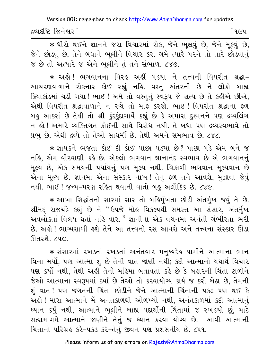દ્રવ્યદષ્ટિ જિનેશ્વર l

\* ધીરો થઈને જ્ઞાનને જરા વિચારમાં રોક, જેને ભૂલવું છે, જેને મૂકવું છે, જેને છોડવું છે, તેને બધાને ભૂલીને વિચાર કર. ગમે ત્યારે પરને તો તારે છોડવાનું જ છે તો અત્યારે જ એને ભૂલીને તું તને સંભાળ. ૮૪૭.

★ અઙ્રો ! ભગવાનના વિરઙ અઙ્રીં ૫ડયા ને તત્ત્વની વિપરીત શ્રદ્ધા− આચરણવાળાને રોકનાર કોઈ રહ્યું નહિ. વસ્તુ અંતરની છે ને લોકો બાહ્ય ક્રિયાકાંડમાં ચડી ગયા ! ભાઈ ! અમે તો વસ્તુનું સ્વરૂપ જે સત્ય છે તે કહીએ છીએ, એથી વિપરીત શ્રદ્ધાવાળાને ન રુચે તો માફ કરજો. ભાઈ! વિપરીત શ્રદ્ધાના ફળ બહુ આકરાં છે તેથી તો શ્રી કુંદકુંદાચાર્યે કહ્યું છે કે અમારા દુશ્મનને પણ દ્રવ્યલિંગ ન કો ! અમારે વ્યક્તિગત કોઈની સાથે વિરોધ નથી. તે બધા પણ દ્રવ્યસ્વભાવે તો પ્રભુ છે. એથી દ્રવ્યે તો તેઓ સાધર્મી છે. તેથી અમને સમભાવ છે. ૮૪૮.

\* જ્ઞાયકને ભજતાં કોઈ દી કોઈ પાછા પડયા છે? પાછા પડે એમ બને જ નહિ, એમ વીરવાણી કહે છે. એકલો ભગવાન જ્ઞાનાનંદ સ્વભાવ છે એ ભગવાનનું મુલ્ય છે, એક સમયની પર્યાયનું પણ મુલ્ય નથી. ત્રિકાળી ભગવાન મુલ્યવાન છે એના મુલ્ય છે. જ્ઞાનમાં એના સંસ્કાર નાખ! તેનું ફળ તને આવશે, મુંઝાવા જેવું નથી. ભાઈ ! જન્મ-મરણ રહિત થવાની વાતો બહુ અલૌકિક છે. ૮૪૯.

\* આખા સિદ્ધાંતનો સારમાં સાર તો બર્હિર્મુખતા છોડી અંતર્મુખ જવું તે છે. શ્રીમદ્દ રાજચંદ્રે કહ્યું છે ને "ઉપજે મોહ વિકલ્પથી સમસ્ત આ સંસાર, અંતર્મુખ અવલોકતાં વિલય થતાં નહિ વાર." જ્ઞાનીના એક વચનમાં અનંતી ગંભીરતા ભરી છે. અહી ! ભાગ્યશાળી હશે તેને આ તત્ત્વનો રસ આવશે અને તત્ત્વના સંસ્કાર ઊંડા ઊતરશે. ૮૫૦.

\* સંસારમાં ૨ખડતાં ૨ખડતાં અનંતવાર મનુષ્યદેહ પામીને આત્માના ભાન વિના મર્યો, પણ આત્મા શું છે તેની વાત જાણી નથી; કદી આત્માનો યથાર્થ વિચાર પણ કર્યો નથી, તેથી અહીં તેનો મહિમા બતાવતાં કહે છે કે બહારની ચિંતા ટાળીને જેઓ આત્માના સ્વરૂપમાં ઠર્યાં છે તેઓ તો કરવાયોગ્ય કાર્ય જ કરી બેઠા છે, તેમની શું વાત ! પણ જગતની ચિંતા છોડીને જેને આત્માની ચિંતાની ૫કડ પણ થઈ કે અલે! મારા આત્માને મેં અનંતકાળથી ઓળખ્યો નથી, અનંતકાળમાં કદી આત્માનું ઘ્યાન કર્યું નથી, આત્માને ભૂલીને બાહ્ય પદાર્થોની ચિંતામાં જ ૨ખડયો છું, માટે સત્સમાગમે આત્માને જાણીને તેનું જ ધ્યાન કરવા યોગ્ય છે. -આવી આત્માની ચિંતાનો પરિગ્રહ કરે-૫કડ કરે-તેનું જીવન પણ પ્રશંસનીય છે. ૮૫૧.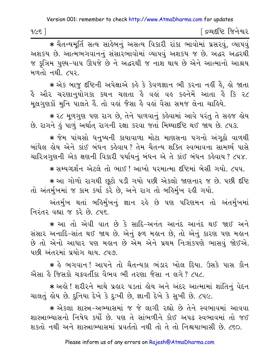\* यैतन्यमूर्ति सत्य साईजनुं असत्य विजयी रांडा लावोमां प्रसरवुं, व्यापवुं અશક્ય છે. આત્મભગવાનનું સંસારભાવોમાં વ્યાપવું અશકય જ છે. અદ્ધર અદ્ધરથી જ કૃત્રિમ પુણ્ય–પાપ ઊપજે છે ને અદ્ધરથી જ નાશ થાય છે એને આત્માનો આશ્રય મળતો નથી. ૮૫૨.

\* એક બાજુ દષ્ટિની અપેક્ષાએ કહે કે કેવળજ્ઞાન ભી કરના નહીં હૈ, હો જાતા હૈ ઔર ચરણાનુયોગકા કથન ચલતા હૈ વહાં વહ કહનેમેં આતા હૈ કિ ૨૮ મૂલગુણકોં મુનિ પાલતે કૈં. તો વહાં જૈસા કે વહાં વૈસા સમજ લેના ચાક્રિયે.

\* ૨૮ મૂળગુણ પણ રાગ છે, તેને પાળવાનું કહેવામાં આવે પરંતુ તે સહજ હોય છે. રાગને હું પાળું અર્થાત્ રાગની રક્ષા કરવા જતાં મિથ્યાદષ્ટિ થઈ જાય છે. ૮૫૩.

\* જેમ પાંચસો ધનુષ્યની કાયાવાળા મોટા માણસના પગનો અંગઠો વાળથી બાંધેલ કોય એને કાંઈ બંધન કર્કવાય ? તેમ ચૈતન્ય શક્તિ સ્વભાવના સામર્થ્ય પાસે ચારિત્રગૃણની એક ક્ષણની વિકારી પર્યાયનું બંધન એ તે કાંઈ બંધન કહેવાય ? ૮૫૪.

\* સમ્યગ્દર્શન એટલે તો ભાઈ ! આખો પરમાત્મા દૃષ્ટિમાં બેસી ગયો. ૮૫૫.

★ આ ગોળો રાગથી છૂટો ૫ડી ગયો ૫છી એકલો જાણનાર જ છે. ૫છી દષ્ટિ તો અંતર્મુખમાં જ કામ કર્યા કરે છે, અને રાગ તો બર્હિર્મુખ રહી ગયો.

અંતર્મુખ થતાં બહિર્મુખનું જ્ઞાન રહે છે પણ પરિણમન તો અંતર્મુખમાં નિરંતર વહ્યા જ કરે છે. ૮૫૬

\* આ તો એવી વાત છે કે સાદિ-અનંત આનંદ આનંદ થઈ જાઈ અને સંસાર અનાદિ-સાંત થઈ જાય છે. એનું ફળ મહાન છે, તો એનું કારણ પણ મહાન છે તો એનો આધાર પણ મહાન છે એમ એને પ્રથમ નિઃશંકપણે ભાસવું જોઈએ. ૫છી અંતરમાં પ્રયોગ થાય. ૮૫૭.

\* હે ભગવાન! આપને તો ચૈતન્યકા ભંડાર ખોલ દિયા. ઉસકે પાસ કૌન એમા કે જિસકો ચક્રવર્તીકા વૈભવ ભી તરણા જૈસા ન લગે ? ૮૫૮.

\* અહો ! શરીરને માથે પ્રહાર ૫ડતાં હોય અને અંદર આત્મામાં શાંતિનું વેદન ચાલતું હોય છે. દુનિયા દેખે કે દુઃખી છે, જ્ઞાની દેખે કે સુખી છે. ૮૫૯.

\* એકલા શાસ્ત્ર-અભ્યાસમાં જ જે લાગી રહ્યો છે તેને સ્વભાવમાં આવવા શાસ્ત્રાભ્યાસનો નિષેધ કર્યો છે. પણ તે સાંભળીને કોઈ અપઢ સ્વભાવમાં તો જઈ શકતો નથી અને શાસ્ત્રાભ્યાસમાં પ્રવર્તતો નથી તો તે તો નિશ્ચયાભાસી છે. ૮૬૦.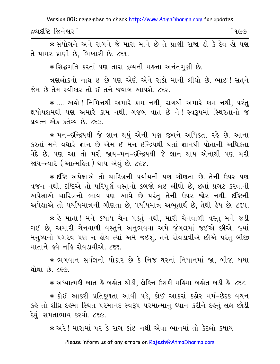દ્રવ્યદષ્ટિ જિનેશ્વર l ୮ ૧૯૭

\* સંયોગને અને રાગને જે મારા માને છે તે પ્રાણી રાજા લો કે દેવ લો પણ તે પામર પ્રાણી છે, ભિખારી છે. ૮૬૧.

\* સિદ્ધગતિ કરતાં પણ તારા દ્રવ્યની મહત્તા અનંતગણી છે.

ત્રણલોકનો નાથ ઈ છે પણ એણે એને રાંકો માની લીધો છે. ભાઈ ! સતને જેમ છે તેમ સ્વીકાર તો ઈ તને જવાબ આપશે. ૮૬૨.

\* .... અહો ! નિમિત્તથી અમારે કામ નથી, રાગથી અમારે કામ નથી, પરંત ક્ષયોપશમથી પણ અમારે કામ નથી. ગજબ વાત છે ને! સ્વરૂપમાં સ્થિરતાનો જ પ્રયત્ન એક કર્તવ્ય છે. ૮૬૩.

∗ મન−ઇન્દ્રિયથી જે જ્ઞાન થયું એની પણ જીવને અધિકતા રહે છે. આના કરતાં મને વધારે જ્ઞાન છે એમ ઈ મન-ઇન્દ્રિયથી થતાં જ્ઞાનથી પોતાની અધિકતા વેદે છે. પણ આ તો મરી જાય-મન-ઇન્દ્રિયથી જે જ્ઞાન થાય એનાથી પણ મરી જાય−ત્યારે ( આત્મહિત ) થાય એવું છે. ૮૬૪.

\* દૃષ્ટિ અપેક્ષાએ તો ચારિત્રની પર્યાયની પણ ગૌણતા છે. તેની ઉપર પણ વજન નથી. દષ્ટિએ તો પરિપૂર્ણ વસ્તુનો કબજો લઈ લીધો છે, છતાં પ્રગટ કરવાની અપેક્ષાએ ચારિત્રનો ભાવ પણ આવે છે પરંતુ તેની ઉપર જોર નથી. દષ્ટિની અપેક્ષાએ તો પર્યાયમાત્રની ગૌણતા છે, પર્યાયમાત્ર અભૂતાર્થ છે, તેથી હેય છે. ૮૬૫.

∗ હે માતા ! મને કયાંય ચેન ૫ડતું નથી, મારી ચેનવાળી વસ્તુ મને જડી ગઈ છે, અમારી ચેનવાળી વસ્તુને અનુભવવા અમે જંગલમાં જઈએ છીએ. જ્યાં મનુષ્યનો પગરવ પણ ન હોય ત્યાં અમે જઈશું. તને રોવડાવીએ છીએ પરંતુ બીજી માતાને હવે નહિ રોવડાવીએ. ૮૬૬.

\* ભગવાન સર્વજ્ઞનો પોકાર છે કે નિજ ઘરનાં નિધાનમાં જા, બીજા બધા થોથા છે. ૮૬૭.

\* અધ્યાત્મકી બાત કે બહોત થોડી, લેકિન ઉસકી મહિમા બહોત બડી કે. ૮૬૮.

★ કોઈ આકરી પ્રતિકુળતા આવી પડે, કોઈ આકરાં કઠોર મર્મ−છેદક વચન કહે તો શીઘ્ર દેહમાં સ્થિત પરમાનંદ સ્વરૂપ પરમાત્માનું ઘ્યાન કરીને દેહનું લક્ષ છોડી દેવું. સમતાભાવ કરવો. ૮૬૯.

\* અરે! મારામાં ૫૨ કે રાગ કાંઈ નથી એવા ભાનમાં તો કેટલો કૃષાય

Please inform us of any errors on Rajesh@AtmaDharma.com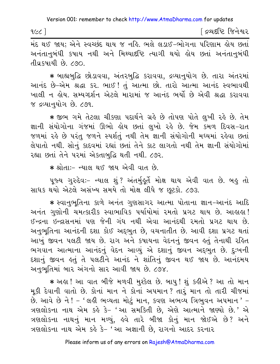|  | ∫ દ્રવ્યદષ્ટિ જિનેશ્વર |
|--|------------------------|

.<br>મંદ થઈ જાય: એને સ્વચ્છંદ થાય જ નહિ. ભલે લડાઈ-ભોગના પરિણામ હોય છતાં અનંતાનબંધી કષાય નથી અને મિથ્યાદષ્ટિ ત્યાગી થયો હોય છતાં અનંતાનબંધી તીવ્રકષાયી છે. ૮૭૦.

\* બાહ્યબુદ્ધિ છોડાવવા, અંતરબુદ્ધિ કરાવવા, દ્રવ્યાનુયોગ છે. તારા અંતરમાં આનંદ છે-એમ શ્રદ્ધા કર. ભાઈ ! તું આત્મા છો. તારો આત્મા આનંદ સ્વભાવથી ખાલી ન હોય. સમ્યગ્દર્શન એટલે મારામાં જ આનંદ ભર્યો છે એવી શ્રદ્ધા કરાવવા જ દ્રવ્યાનુયોગ છે. ૮૭૧.

\* જીભ ગમે તેટલા ચીકણા પદાર્થને ગ્રહે છે તોપણ પોતે લુખી રહે છે. તેમ જ્ઞાની સંયોગોના ગંજમાં ઊભો હોય છતાં લુખો રહે છે. જેમ કમળ દિવસ–રાત જળમાં રહે છે પરંતુ જળને સ્પર્શતું નથી તેમ જ્ઞાની સંયોગોની મધ્યમાં રહેવા છતાં લેપાતો નથી. સોનું કાદવમાં રહ્યાં છતાં તેને કાટ લાગતો નથી તેમ જ્ઞાની સંયોગોમાં રહ્યા છતાં તેને પરમાં એકતાબુદ્ધિ થતી નથી. ૮૭૨.

\* શ્રોતા:- ન્યાલ થઈ જાય એવી વાત છે.

પૂજ્ય ગુરુદેવઃ- ન્યાલ શું ? અંતર્મુહૂર્તે મોક્ષ થાય એવી વાત છે. બહુ તો સાધક થયો એટલે અસંખ્ય સમયે તો મોક્ષ લીધે જ છુટકો. ૮૭૩.

★ સ્વાનુભૂતિના કાળે અનંત ગુણસાગર આત્મા પોતાના જ્ઞાન−આનંદ આદિ અનંત ગુણોની ચમત્કારીક સ્વાભાવિક પર્યાયોમાં રમતો પ્રગટ થાય છે. આહાહા! ઈન્દ્રના ઇન્દ્રાસનમાં પણ જેની ગંધ નથી એવા આનંદથી રમતો પ્રગટ થાય છે. અનુભુતિના આનંદની દશા કોઈ અદ્દભુત છે. વચનાતીત છે. આવી દશા પ્રગટ થતાં આખું જીવન પલટી જાય છે. રાગ અને કપાયના વેદનનું જીવન હતું તેનાથી રહિત ભગવાન આત્માના આનંદનું વેદન આવ્યું એ દશાનું જીવન અદ્દભુત છે. દુ:ખની દશાનું જીવન હતું તે પલટીને આનંદ ને શાંતિનું જીવન થઈ જાય છે. આનંદમય અનુભૂતિમાં બાર અંગનો સાર આવી જાય છે. ૮૭૪.

★ અઙ્વ ! આ વાત બીજે મળવી મુશ્કેલ છે. બાપુ ! શું કઙ્રીએ ? આ તો માન મૂકી દેવાની વાતો છે. કોનાં માન ને કોનાં અપમાન? તારૂં માન તો તારી ચીજમાં છે. આવે છે ને ! - 'લહી ભવ્યતા મોટું માન, કવણ અભવ્ય ત્રિભુવન અ૫માન ' -ત્રણલોકના નાથ એમ કહે કે- 'આ સમકિતી છે, એણે આત્માને જાણ્યો છે.' એ ત્રણલોકના નાથનું માન મળ્યું, હવે તારે બીજા કોનું માન જોઈએ છે? અને ત્રણલોકના નાથ એમ કહે કે- 'આ અજ્ઞાની છે, રાગનો આદર કરનાર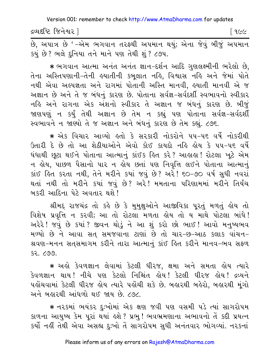દ્રવ્યદષ્ટિ જિનેશ્વર l િ ૧૯૯

છે, અપાત્ર છે '–એમ ભગવાન તરફ્થી અપમાન થયું; એના જેવું બીજું અપમાન કયું છે? ભલે દુનિયા તને માને પણ તેથી શું ? ૮૭૫.

\* ભગવાન આત્મા અનંત અનંત જ્ઞાન-દર્શન આદિ ગુણલક્ષ્મીની ભરેલો છે, તેના અસ્તિપણાની-તેની હયાતીની કબુલાત નહિ, વિશ્વાસ નહિ અને જેમાં પોતે નથી એવા અલ્પજ્ઞતા અને રાગમાં પોતાની અસ્તિ માનવી, હયાતી માનવી એ જ અજ્ઞાન છે અને તે જ બંધનું કારણ છે. પોતાના સર્વજ્ઞ-સર્વદર્શી સ્વભાવનો સ્વીકાર નહિ અને રાગના એક અંશનો સ્વીકાર તે અજ્ઞાન જ બંધનું કારણ છે. બીજું જાણપણું ન કર્યું તેથી અજ્ઞાન છે તેમ ન કહ્યું પણ પોતાના સર્વજ્ઞ-સર્વદર્શી સ્વભાવને ન જાણ્યો તે જ અજ્ઞાન અને બંધનું કારણ છે તેમ કહ્યું. ૮૭૬.

\* એક વિચાર આવ્યો હતો કે સરકારી નોકરોને ૫૫-૫૬ વર્ષે નોકરીથી ઉતારી દે છે તો આ શેઠીયાઓને એવો કોઈ કાયદો નહિ લોય કે ૫૫-૫૬ વર્ષે ધંધાથી છુટા થઈને પોતાના આત્માનું કાંઈક હિત કરે? આહાહા! રોટલા ખુટે એમ ન હોય, પાછળ પૈસાનો પાર ન હોય છતાં પણ નિવૃત્તિ લઈને પોતાના આત્માનું siઈ હિત કરતા નથી, તેને મરીને કયાં જવું છે? અરે! ૬૦-૭૦ વર્ષ સુધી નવરાં થતાં નથી તો મરીને કયાં જવું છે? અરે! મમતાના પરિણામમાં મરીને તિર્યંચ બકરી આદિના પેટે અવતાર થશે !

શ્રીમદ્દ રાજચંદ્ર તો કહે છે કે મુમુક્ષુઓને આજીવિકા પૂરતું મળતું હોય તો વિશેષ પ્રવૃત્તિ ન કરવી; આ તો રોટલા મળતા હોય તો ય માથે પોટલા બાંધે! અરેરે! જવું છે કયાં? જીવન થોડું ને આ શું કરો છો ભાઈ! આવો મનુષ્યભવ મળ્યો છે ને આવા સત સમજવાના ટાણાં છે તો ચાર-છ-આઠ કલાક વાંચન-શ્રવણ-મનન સતસમાગમ કરીને તારા આત્માનું કાંઈ હિત કરીને માનવ-ભવ સફળ sz. ८७७.

\* અહો કેવળજ્ઞાન લેવામાં કેટલી ધીરજ, ક્ષમા અને સમતા હોય ત્યારે કેવળજ્ઞાન થાય! નીચે પણ કેટલો નિશ્ચિંત લોય! કેટલી ધીરજ લોય! દ્રવ્યને પહોંચવામાં કેટલી ધીરજ હોય ત્યારે પહોંચી શકે છે. બહારથી બહેરો, બહારથી મુંગો અને બહારથી આંધળો થઈ જાય છે. ૮૭૮.

★ ન૨કમાં ભયંકર દુઃખોમાં એક ક્ષણ જવી પણ વસમી પડે ત્યાં સાગરોપમ કાળના આયુષ્ય કેમ પૂરાં થયાં હશે ? પ્રભુ ! ભવભ્રમણાના અભાવનો તેં કદી પ્રયત્ન કર્યો નહીં તેથી એવા અસહ્ય દુઃખો તેં સાગરોપમ સુધી અનંતવાર ભોગવ્યાં. નરકનાં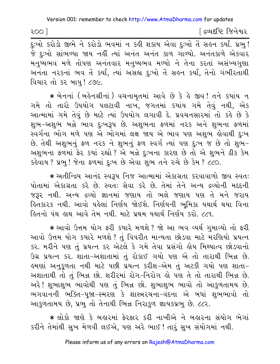$1005$ 

[ દ્રવ્યદષ્ટિ જિનેશ્વર

જે દઃખો સાંભળ્યા જાય નહીં ત્યાં અનંત અનંત કાળ ગાળ્યો. અનંતકાળે એકવાર મનુષ્યભવ મળે તોપણ અનંતવાર મનુષ્યભવ મળ્યો ને તેના કરતાં અસંખ્યગુણા અનંતા નરકનાં ભવ તેં કર્યાં, ત્યાં અસહ્ય દુઃખો તેં સહન કર્યાં, તેનો ગંભીરતાથી વિચાર તો કર બાપ! ૮૭૯.

★ બેનનાં (બહેનશ્રીનાં ) વચનામૃતમાં આવે છે કે હે જીવ !તને કયાંય ન ગમે તો તારો ઉપયોગ પલટાવી નાખ, જગતમાં કયાંય ગમે તેવું નથી, એક આત્મામાં ગમે તેવું છે માટે ત્યાં ઉપયોગ લગાવી દે. પ્રવચનસારમાં તો કહે છે કે શભ-અશભ બન્ને ભાવ દઃખરૂપ છે. અશભના ફળમાં નરક અને શભના ફળમાં સ્વર્ગના ભોગ મળે પણ એ ભોગમાં લક્ષ જાય એ ભાવ પણ અશુભ હોવાથી દુઃખ છે. તેથી અશુભનું ફળ નરક ને શુભનું ફળ સ્વર્ગ ત્યાં પણ દુઃખ જ છે તો શુભ-અશુભના ફળમાં ફેર કયાં રહ્યો ? એ બન્ને દુઃખના કારણ છે તો એ શુભને ઠીક કેમ કહેવાય ? પ્રભ! જેના ફળમાં દુઃખ છે એવા શુભ તને રુચે છે કેમ ? ૮૮૦.

\* અતીન્દ્રિય આનંદ સ્વરૂપ નિજ આત્મામાં એકાગ્રતા કરવાવાળો જીવ સ્વતઃ પોતામાં એકાગ્રતા કરે છે. સ્વત: સેવા કરે છે. તેમાં તેને અન્ય દ્રવ્યોની મદદની જરૂર નથી. અન્ય દ્રવ્યો જ્ઞાનમાં જણાય તો ભલે જણાય પણ તે મને જરાય હિતકારક નથી. આવો પહેલાં નિર્ણય જોઈશે. નિર્ણયની ભૂમિકા યથાર્થ થયા વિના ફ્રિતનો પંથ હાથ આવે તેમ નથી. માટે પ્રથમ યથાર્થ નિર્ણય કરો. ૮૮૧.

\* આવો ઉત્તમ યોગ ફરી કયારે મળશે ? જો આ ભવ વ્યર્થ ગમાવ્યો તો ફરી આવો ઉત્તમ યોગ કયારે મળશે ? તું વિપરીત માન્યતા છોડવા માટે મરણિયો પ્રયત્ન કર. મરીને પણ તું પ્રયત્ન કર એટલે કે ગમે તેવા પ્રસંગો હોય મિથ્યાત્વ છોડવાનો ઉગ્ર પ્રયત્ન કર. શાતા-અશાતામાં તું રોકાઈ ગયો પણ એ તો તારાથી ભિન્ન છે. ઙ્મણાં અનુકૂળતા નથી માટે પછી પ્રયત્ન કરીશ−એમ તું અટકી ગયો પણ શાતા− અશાતાથી તો તું ભિન્ન છો. શરીરમાં રોગ-નિરોગ લે પણ તે તો તારાથી ભિન્ન છે. અરે! શુભાશુભ ભાવોથી પણ તું ભિન્ન છો. શુભાશુભ ભાવો તો આકુળતામય છે. ભગવાનની ભક્તિ-પુજા-સ્મરણ કે શાસ્ત્રરચના-વંદના એ બધાં શુભભાવો તો આકુળતામય છે, પ્રભુ તો તેનાથી ભિન્ન નિરાકુળ જ્ઞાયકપ્રભુ છે. ૮૮૨.

★ લોકો જાણે કે બહારમાં ફેરફાર કરી નાખીએ ને બહારના સંયોગ ભેગાં કરીને તેમાંથી સુખ મેળવી લઈએ, પણ અરે ભાઈ ! તારૂં સુખ સંયોગમાં નથી.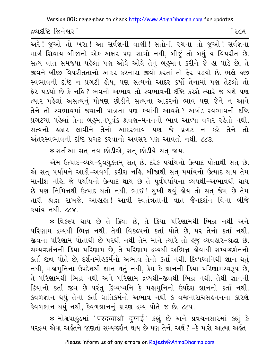દ્રવ્યદષ્ટિ જિનેશ્વર l

િર**ા** 

गरे! ४ आे तो ખरा! આ સર્વજ્ઞની વાણી! સંતોની રચના તો જુઓ! સર્વજ્ઞના માર્ગ સિવાય બીજાનો એક અક્ષર પણ સાચો નથી, બીજું તો બધું ય વિપરીત છે. સત્ય વાત સમજ્યા પહેલાં પણ ઓઘે ઓઘે તેનું બહુમાન કરીને જે હા પાડે છે, તે જીવને બીજી વિપરીતતાનો આદર કરનારા જીવો કરતાં તો ફેર પડયો છે. ભલે હજી સ્વભાવની દૃષ્ટિ ન પ્રગટી હોય. પણ સત્યનો આદર કર્યો તેનામાં પણ તેટલો તો ફેર ૫ડયો છે કે નહિ? ભવનો અભાવ તો સ્વભાવની દૃષ્ટિ કરશે ત્યારે જ થશે ૫ણ ત્યાર પહેલાં અસત્યનું પોષણ છોડીને સત્યના આદરનો ભાવ પણ જેને ન આવે તેને તો સ્વભાવમાં જવાની પાત્રતા પણ કયાંથી આવશે? અખંડ સ્વભાવની દષ્ટિ પ્રગટયા પહેલાં તેના બહુમાનપૂર્વક શ્રવણ-મનનનો ભાવ આવ્યા વગર રહેતો નથી. સત્યનો હકાર લાવીને તેનો આદરભાવ પણ જે પ્રગટ ન કરે તેને તો અંતરસ્વભાવની દૃષ્ટિ પ્રગટ કરવાનો અવસર પણ આવતો નથી. ૮૮૩.

\* સતીઆ સત નવ છોડીએ, સત છોડીયે સત જાય.

એમ ઉત્પાદ-વ્યય-ધ્રવયુક્તમ સત છે. દરેક પર્યાયનો ઉત્પાદ પોતાથી સત છે. એ સત પર્યાયને આડી-અવળી કરીશ નહિ. બીજાથી સત પર્યાયનો ઉત્પાદ થાય તેમ માનીશ નહિ. જે પર્યાયનો ઉત્પાદ થાય છે તે પૂર્વપર્યાયના વ્યયથી–અભાવથી થાય છે પણ નિમિત્તથી ઉત્પાદ થતો નથી. ભાઈ ! સુખી થવું હોય તો સત્ જેમ છે તેમ તારી શ્રદ્ધા રાખજે. આહાહા! આવી સ્વતંત્રતાની વાત જૈનદર્શન વિના બીજે  $\frac{1}{2}$ धाय नथी  $\frac{1}{2}$ 

\* વિકલ્પ થાય છે તે ક્રિયા છે. તે ક્રિયા પરિણામથી ભિન્ન નથી અને પરિણામ દ્રવ્યથી ભિન્ન નથી. તેથી વિકલ્પનો કર્તા પોતે છે, પર તેનો કર્તા નથી. જીવના પરિણામ પોતાથી છે પરથી નથી તેમ માને ત્યારે તો હજુ વ્યવહાર-શ્રદ્ધા છે. સમ્યગ્દર્શનની ક્રિયા પરિણામ છે, તે પરિણામ દ્રવ્યથી અભિન્ન હોવાથી સમ્યગ્દર્શનનો કર્તા જીવ પોતે છે, દર્શનમોહકર્મનો અભાવ તેનો કર્તા નથી. દિવ્યધ્વનિથી જ્ઞાન થતું નથી, મહામુનિના ઉપદેશથી જ્ઞાન થતું નથી, કેમ કે જ્ઞાનની ક્રિયા પરિણામસ્વરૂપ છે, તે પરિણામથી ભિન્ન નથી અને પરિણામ દ્રવ્યથી-જીવથી ભિન્ન નથી. તેથી જ્ઞાનની ક્રિયાનો કર્તા જીવ છે પરંતુ દિવ્યધ્વનિ કે મહામુનિનો ઉપદેશ જ્ઞાનનો કર્તા નથી. કેવળજ્ઞાન થયું તેનો કર્તા ઘાતિકર્મનો અભાવ નથી કે વજનારાચસંહનનના કારણે કેવળજ્ઞાન થયું નથી, કેવળજ્ઞાનનું કારણ દ્રવ્ય પોતે જ છે. ૮૮૫.

\* મોક્ષપાહુડમાં ' परदव्वाओ दुग्गई ' કહ્યું છે અને પ્રવચનસારમાં કહ્યું કે પરલ્વ્ય એવા અર્હતને જાણતાં સમ્યગ્દર્શન થાય છે પણ તેનો અર્થ ? –ેક મારો આત્મા અર્હત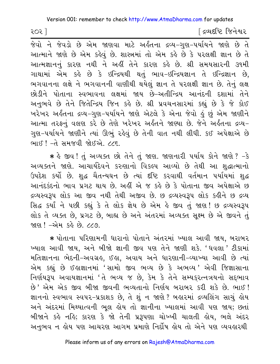૨૦૨ ]

[ દ્રવ્યદષ્ટિ જિનેશ્વર

જેવો ને જેવડો છે એમ જાણવા માટે અર્કતના દ્રવ્ય-ગુણ-પર્યાયને જાણે છે તે આત્માને જાણે છે એમ કહેવું છે. શાસ્ત્રમાં તો એમ કહે છે કે પરલક્ષી જ્ઞાન છે તે આત્મજ્ઞાનનું કારણ નથી ને અહીં તેને કારણ કહે છે. શ્રી સમયસારની ૩૧મી ગાથામાં એમ કહે છે કે ઇન્દ્રિયથી થતું ભાવ-ઇન્દ્રિયજ્ઞાન તે ઇન્દ્રિજ્ઞાન છે, ભગવાનના લક્ષે ને ભગવાનની વાણીથી થયેલું જ્ઞાન તે પરલક્ષી જ્ઞાન છે. તેનું લક્ષ છોડીને પોતાના સ્વભાવના લક્ષમાં જાય છે–અતીન્દ્રિય આનંદની દશામાં તેને અનુભવે છે તેને જિતેન્દ્રિય જિન કર્લ છે. શ્રી પ્રવચનસારમાં કહ્યું છે કે જે કોઈ ખરેખર અર્લ્ડતના દ્રવ્ય-ગુણ-પર્યાયને જાણે એટલે કે એના જેવો <u>હું</u> છું એમ જાણીને આત્મા તરફનું વલણ કરે છે તેણે ખરેખર અર્કતને જાણ્યા છે. જેને અર્કતના દ્રવ્ય-ગુણ-પર્યાયને જાણીને ત્યાં ઊભું રહેવું છે તેની વાત નથી લીધી. કઈ અપેક્ષાએ છે ભાઈ ! -તે સમજવી જોઈએ. ૮૮૬.

\* કે જીવ ! તું અવ્યક્ત છો તેને તું જાણ. જાણનારી પર્યાય કોને જાણે ? -કે અવ્યક્તને જાણે. આચાર્યદેવને કરુણાનો વિકલ્પ આવ્યો છે તેથી આ શુદ્ધાત્માનો ઉપદેશ કર્યો છે. શુદ્ધ ચૈતન્યઘન છે ત્યાં દીષ્ટિ કરવાથી વર્તમાન પર્યાયમાં શુદ્ધ આનંદકંદનો ભાવ પ્રગટ થાય છે. અહીં એ જ કહે છે કે પોતાના જીવ અપેક્ષાએ છ દ્રવ્યસ્વરૂપ લોક આ જીવ નથી તેથી અજીવ છે. છ દ્રવ્યસ્વરૂપ લોક કહીને છ દ્રવ્ય સિદ્ધ કર્યાં ને પછી કહ્યું કે તે લોક જ્ઞેય છે એમ હે જીવ તું જાણ! છ દ્રવ્યસ્વરૂપ લોક તે વ્યક્ત છે, પ્રગટ છે, બાહ્ય છે અને અંતરમાં અવ્યક્ત સૂક્ષ્મ છે એ જીવને તું જાણ! -એમ કર્લ છે. ૮૮૭.

\* પોતાના પરિણામની ધારાનો પોતાને અંતરમાં ખ્યાલ આવી જાય, બરાબર ખ્યાલ આવી જાય, અને બીજો જ્ઞાની જીવ પણ તેને જાણી શકે. 'ધવલા' ટીકામાં મતિજ્ઞાનના ભેદની-અવગ્રહ, ઈહા, અવાય અને ધારણાની-વ્યાખ્યા આવી છે ત્યાં એમ કહ્યું છે ઈહાજ્ઞાનમાં 'સામો જીવ ભવ્ય છે કે અભવ્ય ' એવી જિજ્ઞાસાના નિર્ણયરૂપ અવાયજ્ઞાનમાં 'તે ભવ્ય જ છે, કેમ કે તેને સમ્યકુરત્નત્રયનો સદ્દભાવ છે' એમ એક જીવ બીજા જીવની ભવ્યતાનો નિર્ણય બરાબર કરી શકે છે. ભાઈ! જ્ઞાનનો સ્વભાવ સ્વપર-પ્રકાશક છે, તે શું ન જાણે ? બહારમાં દ્રવ્યલિંગ સાચું હોય અને અંદરમાં મિથ્યાત્વની ભૂલ હોય તો જ્ઞાનીના ખ્યાલમાં આવી પણ જાય; છતાં બીજાને કહે નહિ; કારણ કે જો તેની પ્રરૂપણા ચોખ્ખી ચાલતી હોય, ભલે અંદર અનુભવ ન હોય પણ આચરણ આગમ પ્રમાણે નિર્દોષ હોય તો એને પણ વ્યવહારથી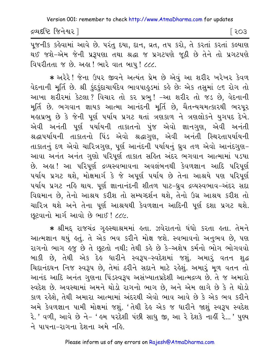દ્રવ્યદષ્ટિ જિનેશ્વર |

િર03

પૂજનીક કહેવામાં આવે છે. પરંતુ દયા, દાન, વ્રત, તપ કરો, તે કરતાં કરતાં કલ્યાણ થઈ જશે-એમ જેની પ્રરૂપણા તથા શ્રદ્ધા જ પ્રગટપણે જૂઠી છે તેને તો પ્રગટપણે વિપરીતતા જ છે. અહા! ભારે વાત બાપુ! ૮૮૮.

\* અરેરે! જેના ઉપર જીવને અત્યંત પ્રેમ છે એવું આ શરીર ખરેખર કેવળ વેદનાની મૂર્તિ છે. શ્રી કુંદકુંદાચાર્યદેવ ભાવપાહુડમાં કહે છેઃ એક તસુમાં ૯૬ રોગ તો આખા શરીરમાં કેટલા ? વિચાર તો કર પ્રભુ ! -આ શરીર તો જડ છે, વેદનાની મૂર્તિ છે. ભગવાન જ્ઞાયક આત્મા આનંદની મૂર્તિ છે, ચૈતન્યચમત્કારથી ભરપૂર મહાપ્રભુ છે કે જેની પૂર્ણ પર્યાય પ્રગટ થતાં ત્રણકાળ ને ત્રણલોકને યુગપદ દેખે. એવી અનંતી પૂર્ણ ૫ર્યાયની તાકાતનો પુંજ એવો જ્ઞાનગુણ, એવી અનંતી શ્રદ્ધાપર્યાયની તાકાતનો પિંડ એવો શ્રદ્ધાગુણ, એવી અનંતી સ્થિરતાપર્યાયની તાકાતનું દળ એવો ચારિત્રગુણ, પૂર્ણ આનંદની પર્યાયનું ઘ્રુવ તળ એવો આનંદગુણ-આવા અનંત અનંત ગુણો પરિપૂર્ણ તાકાત સહિત અંદર ભગવાન આત્મામાં ૫ડયા છે. અહા! આ પરિપૂર્ણ દ્રવ્યસ્વભાવના અવલંબનથી કેવળજ્ઞાન આદિ પરિપૂર્ણ પર્યાય પ્રગટ થશે, મોક્ષમાર્ગ કે જે અપૂર્ણ પર્યાય છે તેના આશ્રયે પણ પરિપૂર્ણ ૫ર્યાય પ્રગટ નહિ થાય. પૂર્ણ જ્ઞાનાનંદની શીતળ પાટ-ધ્રુવ દ્રવ્યસ્વભાવ-અંદર સદા વિદ્યમાન છે, તેનો આશ્રય કરીશ તો સમ્યગ્દર્શન થશે, તેનો ઉગ્ર આશ્રય કરીશ તો ચારિત્ર થશે અને તેના પૂર્ણ આશ્રયથી કેવળજ્ઞાન આદિની પૂર્ણ દશા પ્રગટ થશે. છુટવાનો માર્ગ આવો છે ભાઈ ! ૮૮૯.

\* શ્રીમદ્ રાજચંદ્ર ગૃહસ્થાશ્રમમાં હતા. ઝવેરાતનો ધંધો કરતા હતા. તેમને આત્મજ્ઞાન થયું કતું. તે એક ભવ કરીને મોક્ષ જશે. સ્વભાવનો અનુભવ છે, પણ રાગનો ભાગ હજુ છે તે છૂટતો નથી; તેથી કહે છે કે-અશેષ કર્મનો ભોગ ભોગવવો બાકી છે, તેથી એક દેહ ધારીને સ્વરૂપ-સ્વદેશમાં જશું. અમારું વતન શુદ્ધ ચિદાનંદઘન નિજ સ્વરૂપ છે, તેમાં ઠરીને સદાને માટે રહેશું. અમારૂં મૂળ વતન તો આનંદ આદિ અનંત ગુણના પિંડસ્વરૂપ અસંખ્યાતપ્રદેશી આત્મદ્રવ્ય છે. તે જ અમારો સ્વદેશ છે. અવસ્થામાં અમને થોડો રાગનો ભાગ છે, અને એમ લાગે છે કે તે થોડો કાળ રહેશે, તેથી અમારા આત્મામાં અંદરથી એવો ભાવ આવે છે કે એક ભવ કરીને અમે કેવળજ્ઞાન પામી મોક્ષમાં જશું. 'તેથી દેહ એક જ ધારીને જાશું સ્વરૂપ સ્વદેશ રે.' વળી, આવે છે ને- ' હુમ પરદેશી પંછી સાધુ જી, આ રે દેશકે નાહીં રે...' પુણ્ય ને પાપના–રાગના દેશના અમે નહિ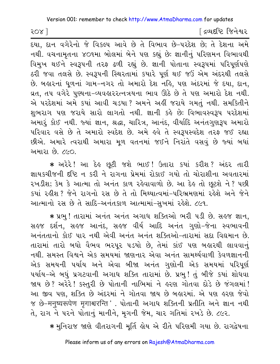२०४ ]

[ દ્રવ્યદષ્ટિ જિનેશ્વર

દયા, દાન વગેરેનો જે વિકલ્પ આવે છે તે વિભાવ છે-પરદેશ છે; તે દેશના અમે નથી. વચનામૃતના ૪૦૧મા બોલમાં બેને પણ કહ્યું છેઃ જ્ઞાનીનું પરિણમન વિભાવથી વિમુખ થઈને સ્વરૂપની તરફ ઢળી રહ્યું છે. જ્ઞાની પોતાના સ્વરૂપમાં પરિપૂર્ણપણે ઠરી જવા તલસે છે. સ્વરૂપની સ્થિરતામાં કયારે પૂર્ણ થઈ જઉં એમ અંદરથી તલસે છે. બહારનાં ધૂળનાં ગામ-નગર તો અમારો દેશ નહિ, પણ અંદરમાં જે દયા, દાન, વ્રત, તપ વગેરે પુણ્યના-વ્યવહારરત્નત્રયના ભાવ ઊઠે છે તે પણ અમારો દેશ નથી. એ પરદેશમાં અમે કયાં આવી ચડયા ? અમને અહીં જરાયે ગમતું નથી. સમકિતીને શુભરાગ પણ જરાયે સારો લાગતો નથી. જ્ઞાની કહે છેઃ વિભાવસ્વરૂપ પરદેશમાં અમારૂં કોઈ નથી. જ્યાં જ્ઞાન, શ્રદ્ધા, ચારિત્ર, આનંદ, વીર્યાદિ અનંતગુણરૂપ અમારો પરિવાર વસે છે તે અમારો સ્વદેશ છે. અમે હવે તે સ્વરૂપસ્વદેશ તરફ જઈ રહ્યા છીએ. અમારે ત્વરાથી અમારા મૂળ વતનમાં જઈને નિરાંતે વસવું છે જ્યાં બધાં અમારા છે. ૮૯૦

\* અરેરે! આ દેહ છુટી જશે ભાઈ! ઉતારા કયાં કરીશ? અંદર તારી જ્ઞાયકચીજની દષ્ટિ ન કરી ને રાગના પ્રેમમાં રોકાઈ ગયો તો ચોરાશીના અવતારમાં રખડીશ; કેમ કે આત્મા તો અનંત કાળ રહેવાવાળો છે. આ દેહ તો છૂટશે ને ? પછી કયાં રહીશ ? જેને રાગનો રસ છે તે તો મિથ્યાત્વમાં-પરિભ્રમણમાં રહેશે અને જેને આત્માનો રસ છે તે સાદિ-અનંતકાળ આત્મામાં-સુખમાં રહેશે. ૮૯૧.

\* પ્રભુ ! તારામાં અનંત અનંત અગાધ શક્તિઓ ભરી પડી છે. સહજ જ્ઞાન, સહજ દર્શન, સહજ આનંદ, સહજ વીર્ય આદિ અનંત ગણો-જેના સ્વભાવની અનંતતાનો કોઈ પાર નથી એવી અનંત અનંત શક્તિઓ-તારામાં સદા વિદ્યમાન છે. તારામાં તારો બધો વૈભવ ભરપૂર પડયો છે, તેમાં કાંઈ પણ બહારથી લાવવાનું નથી. સમસ્ત વિશ્વને એક સમયમાં જાણનાર એવા અનંત સામર્થ્યવાળી કેવળજ્ઞાનની એક સમયની પર્યાય અને એવા બીજા અનંત ગુણોની એક સમયમાં પરિપૂર્ણ પર્યાય-એ બધું પ્રગટવાની અગાધ શક્તિ તારામાં છે. પ્રભુ! તું બીજે કયાં શોધવા જાય છે? અરેરે! કસ્તરી છે પોતાની નાભિમાં ને હરણ ગોતવા દોડે છે જંગલમાં! આ જીવ પણ, શક્તિ છે અંદરમાં ને ગોતવા જાય છે બહારમાં. એ પણ હરણ જેવો % છે-मनुष्यरूपेण मृगाश्चरन्ति '. પોતાની અગાધ શક્તિની પ્રતીતિ અને જ્ઞાન નથી તે, રાગ ને પરને પોતાનું માનીને, મૃગની જેમ, ચાર ગતિમાં રખડે છે. ૮૯૨.

\* મુનિરાજ જાણે વીતરાગની મૂર્તિ હોય એ રીતે પરિણમી ગયા છે. રાગદ્વેષના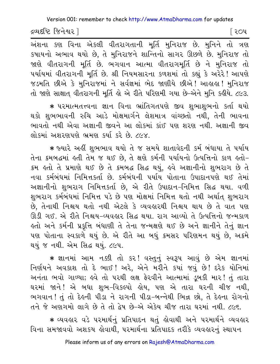દ્રવ્યદષ્ટિ જિનેશ્વર l

િર0પ

અંશના કણ વિના એકલી વીતરાગતાની મૂર્તિ મુનિરાજ છે. મુનિને તો ત્રણ કપાયનો અભાવ થયો છે, તે મુનિરાજને શાન્તિનો સાગર ઊછળે છે. મુનિરાજ તો જાણે વીતરાગની મૂર્તિ છે. ભગવાન આત્મા વીતરાગમૂર્તિ છે ને મુનિરાજ તો પર્યાયમાં વીતરાગની મૂર્તિ છે. શ્રી નિયમસારના કળશમાં તો કહ્યું કે અરેરે ! આપણે જડમતિ છીએ કે મુનિરાજમાં ને સર્વજ્ઞમાં ભેદ જાણીયે છીએ ! આહાહા ! મુનિરાજ તો જાણે સાક્ષાત વીતરાગની મૂર્તિ હો એ રીતે પરિણમી ગયા છે-એને મુનિ કહીયે. ૮૯૩.

\* પરમાત્મતત્ત્વના જ્ઞાન વિના ભ્રાંતિગતપણે જીવ શભાશભનો કર્તા થયો થકો શુભભાવની રુચિ આડે મોક્ષમાર્ગને લેશમાત્ર વાંચ્છતો નથી, તેની ભાવના ભાવતો નથી એવા અજ્ઞાની જીવને આ લોકમાં કાંઈ પણ શરણ નથી. અજ્ઞાની જીવ લોકમાં અશરણપણે ભ્રમણ કર્યા કરે છે. ૮૯૪.

\* જ્યારે અહીં શુભભાવ થયો તે જ સમયે શાતાવેદની કર્મ બંધાયા તે પર્યાય તેના ક્રમબદ્ધમાં હતી તેમ જ થઈ છે, તે ક્ષણે કર્મની પર્યાયનો ઉત્પત્તિનો કાળ હતો-ક્રમ હતો તે પ્રમાણે થઈ છે તે ક્રમબદ્ધ સિદ્ધ થયું, હવે અજ્ઞાનીનો શુભરાગ છે તે નવા કર્મબંધમાં નિમિત્તકર્તા છે. કર્મબંધની પર્યાય પોતાના ઉપાદાનપણે થઈ તેમાં અજ્ઞાનીનો શુભરાગ નિમિત્તકર્તા છે, એ રીતે ઉપાદાન-નિમિત્ત સિદ્ધ થયા. વળી શુભરાગ કર્મબંધમાં નિમિત્ત પડે છે પણ મોક્ષમાં નિમિત્ત થતો નથી અર્થાત્ શુભરાગ છે, તેનાથી નિશ્ચય થતો નથી એટલે કે વ્યવહારથી નિશ્ચય થાય છે તે વાત પણ ઊડી ગઈ. એ રીતે નિશ્ચય-વ્યવહાર સિદ્ધ થયા. રાગ આવ્યો તે ઉત્પત્તિનો જન્મકાળ ફ્રતો અને કર્મની પ્રકૃત્તિ બંધાણી તે તેના જન્મક્ષણે થઈ છે અને જ્ઞાનીને તેનું જ્ઞાન પણ પોતાના સ્વકાળે થયું છે. એ રીતે આ બધું ક્રમસર પરિણમન થયું છે, અક્રમે થયું જ નથી. એમ સિદ્ધ થયું. ૮૯૫.

\* જ્ઞાનમાં આમ નક્કી તો કર! વસ્તુનું સ્વરૂપ આવું છે એમ જ્ઞાનમાં નિર્ણયને અવકાશ તો દે ભાઈ! અરે, એને મરીને કયાં જવું છે! દરેક યોનિમાં અનંતા ભવો ગાળ્યા; હવે તો પરથી લક્ષ ફેરવીને આત્મામાં ડુબકી માર! તું તારા ઘરમાં જાને! એ બધા શુભ-વિકલ્પો હોય, પણ એ તારા ઘરની ચીજ નથી, ભગવાન! તું તો દેહની પીડા ને રાગની પીડા-બન્નેથી ભિન્ન છો, તે દેહના રોગનો તને જે અણગમો લાગે છે તે તો દેષ છે-એ એકેય ચીજ તારા ઘરમાં નથી. ૮૯૬.

\* વ્યવહાર વડે પરમાર્થનું પ્રતિપાદન થતું હોવાથી અને પરમાર્થને વ્યવહાર વિના સમજાવવો અશકય હોવાથી, પરમાર્થના પ્રતિપાદક તરીકે વ્યવહારનું સ્થાપન

Please inform us of any errors on Rajesh@AtmaDharma.com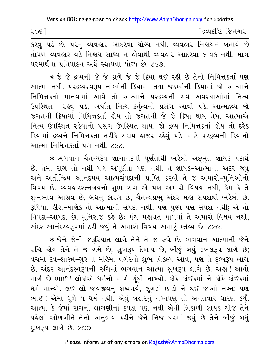| 505 | <sup>r</sup> દ્રવ્યદષ્ટિ જિનેશ્વર |
|-----|-----------------------------------|
|     |                                   |

કરવું ૫ડે છે. ૫રંતુ વ્યવહાર આદરવા યોગ્ય નથી. વ્યવહાર નિશ્ચયને બતાવે છે તોપણ વ્યવહાર વડે નિશ્ચય સાધ્ય ન હોવાથી વ્યવહાર આદરવા લાયક નથી. માત્ર પરમાર્થના પ્રતિપાદન અર્થે સ્થાપવા યોગ્ય છે. ૮૯૭.

★ જે જે દ્રવ્યની જે જે કાળે જે જે ક્રિયા થઈ રહી છે તેનો નિમિત્તકર્તા પણ આત્મા નથી. ૫૨૬વ્યસ્વરૂપ નોકર્મની ક્રિયામાં તથા જડકર્મની ક્રિયામાં જો આત્માને નિમિત્તકર્તા માનવામાં આવે તો આત્માને પરદ્રવ્યની સર્વ અવસ્થાઓમાં નિત્ય ઉપસ્થિત રહેવું ૫ડે, અર્થાત્ નિત્ય-કર્તૃત્વનો પ્રસંગ આવી ૫ડે. આત્મદ્રવ્ય જો જગતની ક્રિયામાં નિમિત્તકર્તા લોય તો જગતની જે જે ક્રિયા થાય તેમાં આત્માએ નિત્ય ઉપસ્થિત રહેવાનો પ્રસંગ ઉપસ્થિત થાય. જો દ્રવ્ય નિમિત્તકર્તા હોય તો દરેક ક્રિયામાં દ્રવ્યને નિમિત્તકર્તા તરીકે સદાય હાજર રહેવું પડે. માટે પરદ્રવ્યની ક્રિયાનો આત્મા નિમિત્તકર્તા પણ નથી. ૮૯૮.

\* ભગવાન ચૈતન્યદેવ જ્ઞાનાનંદની પૂર્ણતાથી ભરેલો અદ્દભુત જ્ઞાયક પદાર્થ છે. તેમાં રાગ તો નથી પણ અપૂર્ણતા પણ નથી. તે જ્ઞાયક-આત્માની અંદર જવું અને અતીન્દ્રિય આનંદમય આત્મસંપદાની પ્રાપ્તિ કરવી તે જ અમારો-મુનિઓનો વિષય છે. વ્યવહારરત્નત્રયનો શુભ રાગ એ પણ અમારો વિષય નથી, કેમ કે તે શુભભાવ આસવ છે, બંધનું કારણ છે, ચૈતન્યપ્રભુ અંદર મહા સંપદાથી ભરેલો છે. રૂપિયા, હીરા-માણેક તો આત્માની સંપદા નથી, પણ પુણ્ય પણ સંપદા નથી; એ તો વિપદા-આપદા છે. મુનિરાજ કહે છે: પંચ મહાવ્રત પાળવાં તે અમારો વિષય નથી, અંદર આનંદસ્વરૂપમાં ઠરી જવું તે અમારો વિષય-અમારું કર્તવ્ય છે. ૮૯૯.

\* જેને જેની જરૂરિયાત લાગે તેને તે જ રુચે છે. ભગવાન આત્માની જેને રુચિ હોય તેને તે જ ગમે છે, સુખરૂપ દેખાય છે, બીજું બધું ડખલરૂપ લાગે છે; વચમાં દેવ-શાસ્ત્ર-ગુરુના મહિમા વગેરેનો શુભ વિકલ્પ આવે, પણ તે દઃખરૂપ લાગે છે. અંદર આનંદસ્વરૂપની રુચિમાં ભગવાન આત્મા સુખરૂપ લાગે છે. અહ્ય! આવો માર્ગ છે ભાઈ ! લોકોએ ધર્મનો માર્ગ ચુંથી નાખ્યો; કોકે કાંઈકમાં ને કોકે કાંઈકમાં ધર્મ માન્યો. લઈ લો જાવજીવનું બ્રહ્મચર્ય, લૂગડાં છોડો ને થઈ જાઓ નગ્ન; પણ ભાઈ ! એમાં ધુળે ય ધર્મ નથી. એવું બહારનું નગ્નપણું તો અનંતવાર ધારણ કર્યું. આત્મા કે જેમાં રાગની લાગણીનાં કપડાં પણ નથી એવી ત્રિકાળી જ્ઞાયક ચીજ તેને પહેલાં ઓળખીને-તેનો અનુભવ કરીને જેને નિજ ઘરમાં જવું છે તેને બીજું બઘું દુઃખરૂપ લાગે છે. ૯૦૦.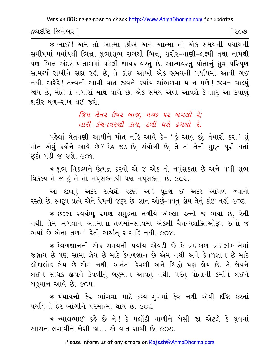દ્રવ્યદષ્ટિ જિનેશ્વર l

િર૦૭

\* ભાઈ ! અમે તો આત્મા છીએ અને આત્મા તો એક સમયની પર્યાયની સમીપમાં પર્યાયથી ભિન્ન, શુભાશુભ રાગથી ભિન્ન, શરીર–વાણી–લક્ષ્મી તથા નામથી પણ ભિન્ન અંદર પાતાળમાં પડેલી જ્ઞાયક વસ્તુ છે. આત્મવસ્તુ પોતાનું ધ્રુવ પરિપૂર્ણ સામર્થ્ય રાખીને સદા રહી છે, તે કાંઈ આખી એક સમયની પર્યાયમાં આવી ગઈ નથી. અરેરે! તત્ત્વની આવી વાત જીવને કયાંય સાંભળવા ય ન મળે! જીવન ચાલ્યું જાય છે, મોતનાં નગારાં માથે વાગે છે. એક સમય એવો આવશે કે તારું આ રૂપાળું શરીર ધળ-રાખ થઈ જશે.

> જિમ તેતર ઉપર બાજ. મચ્છ પર બગલો રે: તારી કંચનવરણી કાય, ઢળી થશે ઢગલો રે.

પહેલાં ચેતવણી આપીને મોત નહિ આવે કે- 'હું આવું છું, તૈયારી કર.' શું મોત એવું કહીને આવે છે? દેહ જડ છે, સંયોગી છે, તે તો તેની મુદ્દત પૂરી થતાં છૂટો ૫ડી જ જશે. ૯૦૧.

\* શુભ વિકલ્પને ઉત્પન્ન કરવો એ જ એક તો નપુંસકતા છે અને વળી શુભ વિકલ્પ તે જ હું તે તો નપુંસકતાથી પણ નપુંસકતા છે. ૯૦૨.

આ જીવનું અંદર રુચિથી રટણ અને ઘુંટણ ઈ અંદર આગળ જવાનો રસ્તો છે. સ્વરૂપ પ્રત્યે એને પ્રેમની જરૂર છે. જ્ઞાન ઓછું-વધતું હોય તેનું કાંઈ નહીં. ૯૦૩.

\* છેલ્લા સ્વયંભ રમણ સમુદ્રના તળીયે એકલા રત્નો જ ભર્યાં છે, રેતી નથી, તેમ ભગવાન આત્માના તળમાં-સત્ત્વમાં એકલી ચૈતન્યશક્તિઓરૂપ રત્નો જ ભર્યાં છે એના તળમાં રેતી અર્થાત રાગાદિ નથી. ૯૦૪.

\* કેવળજ્ઞાનની એક સમયની પર્યાય એવડી છે કે ત્રણકાળ ત્રણલોક તેમાં જણાય છે પણ સામા જ્ઞેય છે માટે કેવળજ્ઞાન છે એમ નથી અને કેવળજ્ઞાન છે માટે લોકાલોક જ્ઞેય છે એમ નથી. અનંતા કેવળી અને સિદ્ધો પણ જ્ઞેય છે. તે જ્ઞેયને લઈને સાધક જીવને કેવળીનું બહુમાન આવતું નથી. પરંતુ પોતાની કમીને લઈને બહુમાન આવે છે. ૯૦૫.

\* પર્યાયનો ફેર ભાંગવા માટે દ્રવ્ય-ગુણમાં ફેર નથી એવી દષ્ટિ કરતાં ૫ર્યાયનો ફેર ભાંગીને પરમાત્મા થાય છે. ૯૦૬.

\* ન્યાલભાઈ કહે છે ને! કે પલોઠી વાળીને બેસી જા એટલે કે ધ્રુવમાં આસન લગાવીને બેસી જા…. એ વાત સાચી છે. ૯૦૭.

Please inform us of any errors on Rajesh@AtmaDharma.com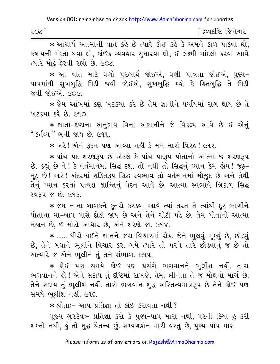| ર૦૮ં | ∫ દ્રવ્યદષ્ટિ જિનેશ્વર |
|------|------------------------|
|      |                        |

\* આચાર્ય આત્માની વાત કહે છે ત્યારે કોઈ કહે કે અમને કાળ પાકવા ઘો, કપાયની મંદતા થવા ઘો, કાંઈક વ્યવહાર સુધારવા ઘો, ઈ લક્ષ્મી ચાંદલો કરવા આવે ત્યારે મોઢું ફેરવી રહ્યો છે. ૯૦૮.

∗ આ વાત માટે ઘણો પુરુષાર્થ જોઈએ, ઘણી પાત્રતા જોઈએ, પુણ્ય− પાપમાંથી સુખબુદ્ધિ ઊડી જવી જોઈએ, સુખબુદ્ધિ કહો કે હિતબુદ્ધિ તે ઊડી જવી જોઈએ. ૯૦૯.

\* જેમ આંખમાં કર્ણુ ખટકયા કરે છે તેમ જ્ઞાનીને પર્યાયમાં રાગ થાય છે તે ખટકયા કરે છે. ૯૧૦.

★ જ્ઞાતા−દષ્ટાના અનુભવ વિના અજ્ઞાનીને જે વિકલ્પ આવે છે ઈ એનું " કર્તવ્ય" બની જાય છે. ૯૧૧.

\* અરે! એને રૂદન પણ આવ્યા નહીં કે મને મારો વિરહ! ૯૧૨.

∗ પાંચ પદ શરણરૂપ છે એટલે કે પાંચ પદરૂપ પોતાનો આત્મા જ શરણરૂપ છે. કહ્યું છે ને ! કે વર્તમાનમાં સિદ્ધ દશા તો નથી તો સિદ્ધનું ઘ્યાન કેમ હોય ! જૂઠ-મૂઠ છે! અરે! અંદરમાં શક્તિરૂપ સિદ્ધ સ્વભાવ તો વર્તમાનમાં મૌજૂદ છે અને તેથી તેનું ઘ્યાન કરતાં પ્રત્યક્ષ શાન્તિનું વેદન આવે છે. આત્મા સ્વભાવે ત્રિકાળ સિદ્ધ સ્વરૂપ જ છે. ૯૧૩.

\* જેમ નાના બાળકને કુતરો કરડવા આવે ત્યાં તરત તે ત્યાંથી દુર ભાગીને પોતાના મા-બાપ પાસે દોડી જાય છે અને તેને ચોંટી પડે છે. તેમ પોતાનો આત્મા મહાન છે. ઈ મોટો આધાર છે. એને શરણે જા. ૯૧૪.

\* ...... ધીરો થઈને જ્ઞાનને જરા વિચારમાં રોક. જેને ભુલવું-મુકવું છે, છોડવું છે, તેને બધાને ભૂલીને વિચાર કર. ગમે ત્યારે તો પરને તારે છોડવાનું જ છે તો અત્યારે જ એને ભૂલીને તું તને સંભાળ. ૯૧૫.

★ કોઈ પણ સમયે કોઈ પણ પ્રસંગે ભગવાનને ભલીશ નહીં. તારા ભગવાનને હો! એને સદાય તું દષ્ટિમાં રાખજે. તેમાં લીનતા તે જ મોક્ષનો માર્ગ છે. તેને સદાય તું ભૂલીશ નહીં. તારો ભગવાન શુદ્ધ અસ્તિત્વમાત્રરૂપ છે તેને કોઈ પણ સમયે ભલીશ નહીં. ૯૧૬.

\* શ્રોતાઃ- આપ પ્રતિજ્ઞા તો કાંઈ કરાવતા નથી ?

પૂજ્ય ગુરુદેવઃ- પ્રતિજ્ઞા કરો કે પુણ્ય-પાપ મારા નથી, પરની ક્રિયા હું કરી શકતો નથી, કું તો શુદ્ધ ચૈતન્ય છું. સમ્યગ્દર્શન મારી વસ્તુ છે, પુણ્ય-પાપ મારા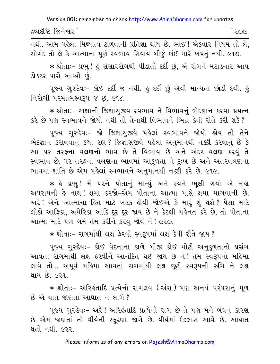દ્રવ્યદષ્ટિ જિનેશ્વર l િર૦૯

નથી. આમ પહેલાં મિથ્યાત્વ ટાળવાની પ્રતિજ્ઞા થાય છે. ભાઈ ! એકવાર નિયમ તો લે. સોગંદ તો લે કે આત્માના પૂર્ણ સ્વભાવ સિવાય બીજું કાંઈ મારે ખપતું નથી. ૯૧૭.

★ શ્રોતાઃ− પ્રભુ ! ઢું સંસારરોગથી પીડાતો દર્દી છું, એ રોગને મટાડનાર આપ ડોક્ટર પાસે આવ્યો છે.

પૂજ્ય ગુરુદેવઃ- કોઈ દર્દી જ નથી. હું દર્દી છું એવી માન્યતા છોડી દેવી. હું નિરોગી પરમાત્મસ્વરૂપ જ છું. ૯૧૮.

★ શ્રોતાઃ− અજ્ઞાની જિજ્ઞાસુજીવ સ્વભાવ ને વિભાવનું ભેદજ્ઞાન કરવા પ્રયત્ન કરે છે પણ સ્વભાવને જોયો નથી તો તેનાથી વિભાવને ભિન્ન કેવી રીતે કરી શકે?

પૂજ્ય ગુરુદેવઃ- જો જિજ્ઞાસુજીવે પહેલાં સ્વભાવને જોયો હોય તો તેને ભેદજ્ઞાન કરાવવાનું કયાં રહ્યું ? જિજ્ઞાસજીવે પહેલાં અનુમાનથી નક્કી કરવાનું છે કે આ પર તરફના વલણનો ભાવ છે તે વિભાવ છે અને અંદર વલણ કરવું તે સ્વભાવ છે. ૫૨ તરફના વલણના ભાવમાં આકુળતા ને દુઃખ છે અને અંતરવલણના ભાવમાં શાંતિ છે એમ પહેલાં સ્વભાવને અનુમાનથી નક્કી કરે છે. ૯૧૯.

\* હે પ્રભુ !મેં પરને પોતાનું માન્યું અને સ્વને ભૂલી ગયો એ મહા અપરાધની હે નાથ! ક્ષમા કરજો-એમ પોતાના આત્મા પાસે ક્ષમા માગવાની છે. અરે ! એને આત્માના હિત માટે ખટક હોવી જોઈએ કે મારૂં શું થશે ? પૈસા માટે લોકો આફ્રિકા, અમેરિકા આદિ દૂર દૂર જાય છે ને કેટલી મહેનત કરે છે, તો પોતાના આત્મા માટે પણ ગમે તેમ કરીને કરવું જોવે ને! ૯૨૦.

\* શ્રોતાઃ- રાગમાંથી લક્ષ ફેરવી સ્વરૂપમાં લક્ષ કેવી રીતે જાય?

પૂજ્ય ગુરુદેવઃ- કોઈ વેદનાના કાળે બીજી કોઈ મોટી અનુકૂળતાનો પ્રસંગ આવતા રોગમાંથી લક્ષ ફેરવીને આનંદિત થઈ જાય છે ને! તેમ સ્વરૂપનો મહિમા લાવે તો... અપૂર્વ મહિમા આવતાં રાગમાંથી લક્ષ છૂટી સ્વરૂપની રુચિ ને લક્ષ થાય છે. ૯૨૧.

\* શ્રોતાઃ- અરિલ્લાદિ પ્રત્યેનો રાગલવ (અંશ) પણ અનર્થ પરંપરાનું મળ છે એ વાત જાણતાં આઘાત ન લાગે ?

પુજ્ય ગુરુદેવઃ- અરે ! અરિકંતાદિ પ્રત્યેનો રાગ છે તે પણ મને બંધનું કારણ છે એમ જાણતાં તો વીર્યની સ્કૂરણા જાગે છે. વીર્યમાં ઉલ્લાસ આવે છે. આઘાત થતો નથી. ૯૨૨.

Please inform us of any errors on Rajesh@AtmaDharma.com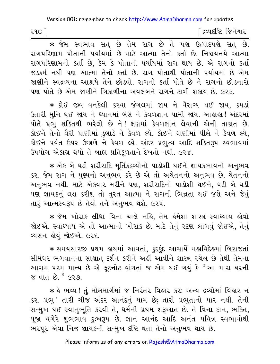| ૨૧૦ | [ દ્રવ્યદષ્ટિ જિનેશ્વર |
|-----|------------------------|
|-----|------------------------|

\* જેમ સ્વભાવ સત્ છે તેમ રાગ છે તે પણ ઉત્પાદપણે સત્ છે. રાગપરિણામ પોતાની પર્યાયમાં છે માટે આત્મા તેનો કર્તા છે. નિશ્ચયનયે આત્મા રાગપરિણામનો કર્તા છે, કેમ કે પોતાની પર્યાયમાં રાગ થાય છે. એ રાગનો કર્તા જડકર્મ નથી પણ આત્મા તેનો કર્તા છે. રાગ પોતાથી પોતાની પર્યાયમાં છે–એમ જાણીને સ્વદ્રવ્યના આશ્રયે તેને છોડવો. રાગનો કર્તા પોતે છે ને રાગનો છોડનારો પણ પોતે છે એમ જાણીને ત્રિકાળીના અવલંબને રાગને ટાળી શકાય છે. ૯૨૩.

★ કોઈ જીવ વનકેલી કરવા જંગલમાં જાય ને વૈરાગ્ય થઈ જાય, કપડાં ઉતારી મુનિ થઈ જાય ને ધ્યાનમાં બેસે ને કેવળજ્ઞાન પામી જાય. આહાહા ! અંદરમાં પોતે પ્રભુ શક્તિથી ભરેલો છે ને! ક્ષણમાં કેવળજ્ઞાન લેવાની એની તાકાત છે. કોઈને તેનો વૈરી પાણીમાં ડુબાડે ને કેવળ લ્યે, કોઈને ઘાણીમાં પીલે ને કેવળ લ્યે, કોઈને પર્વત ઉપર ઉછાળે ને કેવળ લ્યે. અંદર પ્રભુત્વ આદિ શક્તિરૂપ સ્વભાવમાં ઉપયોગ એકાગ્ર થયો તે બાહ્ય પ્રતિકળતાને દેખતો નથી. ૯૨૪.

\* એક બે ઘડી શરીરાદિ મર્તિકદ્રવ્યોનો પાડોશી થઈને જ્ઞાયકભાવનો અનુભવ કર. જેમ રાગ ને પુણ્યનો અનુભવ કરે છે એ તો અચેતનનો અનુભવ છે, ચેતનનો અનુભવ નથી. માટે એકવાર મરીને પણ, શરીરાદિનો પાડોશી થઈને, ઘડી બે ઘડી પણ જ્ઞાયકનું લક્ષ કરીશ તો તુરત આત્મા ને રાગની ભિન્નતા થઈ જશે અને જેવું તારૂં આત્મસ્વરૂપ છે તેવો તને અનુભવ થશે. ૯૨૫.

\* જેમ ખોરાક લીધા વિના ચાલે નહિ, તેમ હંમેશા શાસ્ત્ર-સ્વાધ્યાય હોવો જોઈએ. સ્વાધ્યાય એ તો આત્માનો ખોરાક છે. માટે તેનું રટણ લાગવું જોઈએ, તેનું વ્યસન લોવું જોઈએ. ૯૨૬.

★ સમયસારજી પ્રથમ હાથમાં આવતાં, કુંદકુંદ આચાર્યે મહાવિદેહમાં બિરાજતાં સીમંધર ભગવાનના સાક્ષાત દર્શન કરીને અહીં આવીને શાસ્ત્ર રચેલ છે તેથી તેમના આગમ પરમ માન્ય છે-એ ફૂટનોટ વાંચતાં જ એમ થઈ ગયું કે "આ મારા ઘરની જ વાત છે. " ૯૨૭.

∗ કે ભવ્ય ! તું મોક્ષમાર્ગમાં જ નિરંતર વિહાર કર; અન્ય દ્રવ્યોમાં વિહાર ન કર. પ્રભુ! તારી ચીજ અંદર આનંદનું ધામ છે; તારી પ્રભુતાનો પાર નથી. તેની સન્મુખ થઈ સ્વાનુભૂતિ કરવી તે, ધર્મની પ્રથમ શરૂઆત છે. તે વિના દાન, ભક્તિ, પુજા વગેરે શુભભાવ દુઃખરૂપ છે. જ્ઞાન આનંદ આદિ અનંત પવિત્ર સ્વભાવોથી ભરપૂર એવા નિજ જ્ઞાયકની સન્મુખ દષ્ટિ થતાં તેનો અનુભવ થાય છે.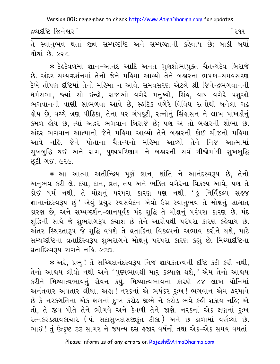દ્રવ્યદષ્ટિ જિનેશ્વર ી

િર૧૧

થોથાં છે ૯૨૮

∗ દેલ્ર્દેવળમાં જ્ઞાન−આનંદ આદિ અનંત ગુણશોભાયુક્ત ચૈતન્યદેવ બિરાજે છે. અંદર સમ્યગ્દર્શનમાં તેનો જેને મહિમા આવ્યો તેને બહારના ભપકા-સમવસરણ દેખે તોપણ દષ્ટિમાં તેનો મહિમા ન આવે. સમવસરણ એટલે શ્રી જિનેન્દ્રભગવાનની ધર્મસભા, જ્યાં સો ઇન્દ્રો, રાજાઓ વગેરે મનુષ્યો, સિંહ, વાઘ વગેરે પશુઓ ભગવાનની વાણી સાંભળવા આવે છે, સ્ફટિક વગેરે વિવિધ રત્નોથી બનેલા ગઢ હોય છે, વચ્ચે ત્રણ પીઠિકા, તેના ૫૨ ગંધકૂટી, રત્નોનું સિંહાસન ને લાખ પાંખડીનું કમળ લોય છે, ત્યાં અદ્ધર ભગવાન બિરાજે છે; પણ એ તો બલારની શોભા છે. અંદર ભગવાન આત્માનો જેને મહિમા આવ્યો તેને બહારની કોઈ ચીજનો મહિમા આવે નહિ. જેને પોતાના ચૈતન્યનો મહિમા આવ્યો તેને નિજ આત્મામાં સુખબુદ્ધિ થઈ અને રાગ, પુણ્યપરિણામ ને બહારની સર્વ ચીજોમાંથી સુખબુદ્ધિ છૂટી ગઈ. ૯૨૯.

\* આ આત્મા અતીન્દ્રિય પૂર્ણ જ્ઞાન, શાંતિ ને આનંદસ્વરૂપ છે, તેનો અનુભવ કરી લે. દયા, દાન, વ્રત, તપ અને ભક્તિ વગેરેના વિકલ્પ આવે, પણ તે કોઈ ધર્મ નથી, તે મોક્ષનું પરંપરા કારણ પણ નથી. 'હું નિર્વિકલ્પ સહજ જ્ઞાનાનંદસ્વરૂપ છું' એવું પ્રચુર સ્વસંવેદન-એવો ઉગ્ર સ્વાનુભવ તે મોક્ષનું સાક્ષાત્ કારણ છે, અને સમ્યગ્દર્શન-જ્ઞાનપૂર્વક મંદ શુદ્ધિ તે મોક્ષનું પરંપરા કારણ છે. મંદ શુદ્ધિની સાથે જે શુભરાગરૂપ કચાશ છે તેને આરોપથી પરંપરા કારણ કહેવાય છે. અંતર સ્થિરતારૂપ જે શુદ્ધિ વધશે તે વ્રતાદિના વિકલ્પનો અભાવ કરીને થશે, માટે સમ્યગ્દષ્ટિના વ્રતાદિસ્વરૂપ શુભરાગને મોક્ષનું પરંપરા કારણ કહ્યું છે, મિથ્યાદષ્ટિના प्रताहिस्वउप रागने नडि. ८३०.

\* અરે, પ્રભુ! તેં સચ્ચિદાનંદસ્વરૂપ નિજ જ્ઞાયકતત્ત્વની દષ્ટિ કદી કરી નથી, તેનો આશ્રય લીધો નથી અને 'પુણ્યભાવથી મારું કલ્યાણ થશે,' એમ તેનો આશ્રય કરીને મિથ્યાત્વભાવનું સેવન કર્યું. મિથ્યાત્વભાવના કારણે ૮૪ લાખ યોનિમાં અનંતવાર અવતાર લીધા. અહ્ય! નરકનાં એ ભયંકર દુઃખ! ભગવાન એમ ફરમાવે છે કે-નરકગતિના એક ક્ષણનાં દુઃખ કરોડ જીભે ને કરોડ ભવે કહી શકાય નહિ; એ તો, તે જીવ પોતે તેને ભોગવે અને કેવળી તેને જાણે. નરકનાં એક ક્ષણનાં દુઃખ રત્નકરંડશ્રાવકાચાર (પં. સદાસુખદાસજીકૃત ટીકા) અને છ ઢાળામાં વર્ણવ્યા<sup>ે</sup> છે. ભાઈ! તું ઉત્કૃષ્ટ ૩૩ સાગર ને જઘન્ય દસ હજાર વર્ષની તથા એક-એક સમય વધતાં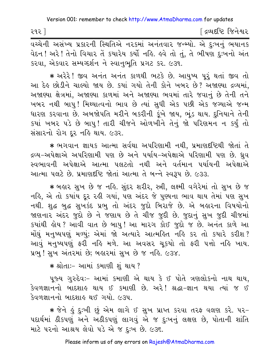∫ દ્રવ્યદષ્ટિ જિનેશ્વર ૨૧૨ ] .<br>વચ્ચેની અસંખ્ય પ્રકારની સ્થિતિએ નરકમાં અનંતવાર જન્મ્યો. એ દુઃખનું ભયાનક

વેદન ! અરે ! તેનો વિચાર તેં કયારેય કર્યો નહિ. હવે તો તું, તે ભીષણ દુઃખનો અંત કરવા, એકવાર સમ્યગ્દર્શન ને સ્વાનુભૂતિ પ્રગટ કર. ૯૩૧.

\* અરેરે! જીવ અનંત અનંત કાળથી ભટકે છે. આયુષ્ય પુરૂં થતાં જીવ તો આ દેહ છોડીને ચાલ્યો જાય છે. કયાં ગયો તેની કોને ખબર છે? અજાણ્યા દ્રવ્યમાં, અજાણ્યા ક્ષેત્રમાં, અજાણ્યા કાળમાં અને અજાણ્યા ભવમાં તારે જવાનું છે તેની તને ખબર નથી બાપુ! મિથ્યાત્વનો ભાવ છે ત્યાં સુધી એક પછી એક જગ્યાએ જન્મ ધારણ કરવાના છે. અબજોપતિ મરીને બકરીની કુંખે જાય, ભુંડ થાય. દુનિયાને તેની કયાં ખબર પડે છે બાપુ! તારી ચીજને ઓળખીને તેનું જો પરિણમન ન કર્યું તો સંસારનો રોગ દર નહિ થાય. ૯૩૨.

\* ભગવાન જ્ઞાયક આત્મા સર્વથા અપરિણામી નથી, પ્રમાણદષ્ટિથી જોતાં તે દ્રવ્ય−અપેક્ષાએ અપરિણામી પણ છે અને પર્યાય−અપેક્ષાએ પરિણામી પણ છે. ધ્રુવ સ્વભાવની અપેક્ષાએ આત્મા પલટતો નથી અને વર્તમાન પર્યાયની અપેક્ષાએ આત્મા ૫લટે છે. પ્રમાણદૃષ્ટિ જોતાં આત્મા તે બન્ને સ્વરૂપ છે. ૯૩૩.

\* બહાર સખ છે જ નહિ. સંદર શરીર, સ્ત્રી, લક્ષ્મી વગેરેમાં તો સખ છે જ નહિ, એ તો કયાંય દૂર રહી ગયાં, પણ અંદર જે પુણ્યના ભાવ થાય તેમાં પણ સુખ નથી. શુદ્ધ બુદ્ધ સુખકંદ પ્રભુ તો અંદર જુદો બિરાજે છે. એ બહારના વિષયોનો જાણનાર અંદર જુદો છે ને જણાય છે તે ચીજ જુદી છે. જુદાનું સુખ જુદી ચીજમાં કયાંથી હોય? આવી વાત છે બાપુ! આ મારગ કોઈ જુદો જ છે. અનંત કાળે આ મોંઘું મનુષ્યપણું મળ્યું; એમાં જો અત્યારે આત્મહિત નહિ કર તો કયારે કરીશ? આવું મનુષ્યપણું ફરી નહિ મળે. આ અવસર ચુકયો તો ફરી પત્તો નહિ ખાય. પ્રભુ ! સુખ અંતરમાં છે; બહારમાં સુખ છે જ નહિ. ૯૩૪.

\* શ્રોતાઃ- આમાં કમાણી શું થાય?

પૂજ્ય ગુરુદેવઃ- આમાં કમાણી એ થાય કે ઈ પોતે ત્રણલોકનો નાથ થાય, કેવળજ્ઞાનનો બાદશાહ થાય ઈ કમાણી છે. અરે! શ્રદ્ધા-જ્ઞાન થયા ત્યાં જ ઈ કેવળજ્ઞાનનો બાદશાહ થઈ ગયો. ૯૩૫.

\* જેને હું દુઃખી છું એમ લાગે ઈ સુખ પ્રાપ્ત કરવા તરફ વલણ કરે. ૫૨-પદાર્થમાં ઠીકપણું અને અઠીકપણું લાગવું એ જ દુઃખનું લક્ષણ છે, પોતાની શાંતિ માટે પરનો આશ્રય લેવો પડે એ જ દુઃખ છે. ૯૩૬.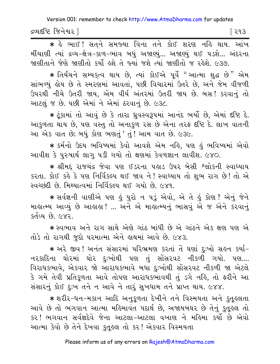દ્રવ્યદષ્ટિ જિનેશ્વર l િર૧૩

\* हे लाछ! सत्ने समञ्या विना तने डोछ शरश नहि थाय. आंण મીંચાણી ત્યાં દ્રવ્ય-ક્ષેત્ર-કાળ-ભાવ બધું અજાણ્યું... અજાણ્યું થઈ ૫ડશે... અંદરના જાણીતાને જેણે જાણીતો કર્યો હશે તે જ્યાં જશે ત્યાં જાણીતો જ રહેશે. ૯૩૭.

\* તિર્યંચને સમ્યકૃત્વ થાય છે, ત્યાં કોઈએ પૂર્વે "આત્મા શુદ્ધ છે" એમ સાંભળ્યું હોય છે તે સ્મરણમાં આવતાં, પછી વિચારમાં ઉતરે છે, અને જેમ વીજળી ઉપરથી નીચે ઉતરી જાય, એમ વીર્ય અંતરમાં ઉતરી જાય છે. બસ! કરવાનું તો આટલું જ છે. પછી એમાં ને એમાં ઠરવાનું છે. ૯૩૮.

\* ટૂંકામાં તો આવું છે કે તારા ધ્રુવસ્વરૂપમાં આનંદ ભર્યો છે, એમાં દૃષ્ટિ દે. આકળતા થાય છે. પણ વસ્તુ તો અનાકળ રસ છે એના તરફ દૃષ્ટિ દે. લાખ વાતની આ એક વાત છે; બધું કોણ ભણતું ' તું ! આમ વાત છે. ૯૩૯.

\* કર્મનો ઉદય ભવિષ્યમાં કેવો આવશે એમ નહિ, પણ હું ભવિષ્યમાં એવો આવીશ કે પુરુષાર્થ લાગુ પડી ગયો તો ક્ષણમાં કેવળજ્ઞાન લાવીશ. ૯૪૦.

\* શ્રીમદ્ રાજચંદ્ર જેવા પણ ઈડરના પહાડ ઉપર બેસી શ્લોકની સ્વાધ્યાય કરતા. કોઈ કહે કે પણ નિર્વિકલ્પ થઈ જાવ ને! સ્વાધ્યાય તો શુભ રાગ છે! તો એ સ્વચ્છંદી છે. મિથ્યાત્વમાં નિર્વિકલ્પ થઈ ગયો છે. ૯૪૧.

★ સર્વજ્ઞની વાણીએ પણ હું પુરો ન પડું એવો, એ તે હું કોણ? એનું જેને માહાત્મ્ય આવ્યું છે આહાહા ! ... અને એ માહાત્મ્યનું ભાસવું એ જ એને કરવાનું કર્તવ્ય છે. ૯૪૨.

\* સ્વભાવ અને રાગ સાથે એણે ગાંઠ બાંધી છે એ ગાંઠને એક ક્ષણ પણ એ તોડે તો રાગથી જુદો પરમાત્મા એને હાથમાં આવે છે. ૯૪૩.

\* અરે જીવ! અનંત સંસારમાં પરિભ્રમણ કરતાં તેં ઘણાં દઃખો સહન કર્યા-નરકાદિના ઘોરમાં ઘોર દુઃખોથી પણ તું સોંસરવટ નીકળી ગયો. પણ.... વિરાધકભાવે, એકવાર જો આરાધકભાવે બધા દુઃખોથી સોંસરવટ નીકળી જા એટલે કે ગમે તેવી પ્રતિકૂળતા આવે તોપણ આરાધકભાવથી તું ડગે નહિ, તો ફરીને આ સંસારનું કોઈ દઃખ તને ન આવે ને તારૂં સુખધામ તને પ્રાપ્ત થાય. ૯૪૪.

\* શરીર-ધન-મકાન આદિ અનુકળતા દેખીને તને વિસ્મયતા અને કૃતુલ્લતા આવે છે તો ભગવાન આત્મા મહિમાવંત પદાર્થ છે. અજાયબઘર છે તેનું કુતુહુલ તો કર ! ભગવાન સર્વજ્ઞદેવે જેના આટલા-આટલા વખાણ ને મહિમા કર્યો છે એવો આત્મા કેવો છે તેને દેખવા કુતૂહલ તો કર ! એકવાર વિસ્મયતા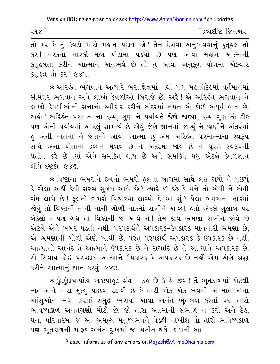| २१४ ] |  | ∫ દ્રવ્યદષ્ટિ જિનેશ્વર |
|-------|--|------------------------|
|-------|--|------------------------|

તો કર કે તું કેવડો મોટો મહાન પદાર્થ છો! તેને દેખવા-અનુભવવાનું કુતૂહલ તો કર ! નરકનો નારકી મહા પીડામાં પડયો છે પણ આવા મહાન આત્માની કુતુલ્લતા કરીને આત્માને અનુભવે છે તો તું આવા અનુકુળ યોગમાં એકવાર કુતૂહલ તો કર! ૯૪૫.

\* અરિહંત ભગવાન અત્યારે ભરતક્ષેત્રમાં નથી પણ મહાવિદેહમાં વર્તમાનમાં સીમંધર ભગવાન અને લાખો કેવળીઓ બિરાજે છે. અરે! એ અરિહંત ભગવાન ને લાખો કેવળીઓની સત્તાનો સ્વીકાર કરીને અંદરમાં નમન એ કોઈ અપૂર્વ વાત છે. અલે! અરિલંત પરમાત્માના દ્રવ્ય, ગુણ ને પર્યાયને જેણે જાણ્યા, દ્રવ્ય-ગુણ તો ઠીક પણ એની પર્યાયમાં આટલું સામર્થ્ય છે એવું જેણે જ્ઞાનમાં જાણ્યું ને જાણીને અંતરમાં કું એની નાતનો ને જાતનો આવો આત્મા છું–એમ અરિકંત પરમાત્માના સ્વરૂપ સાથે એના પોતાના દ્રવ્યને મેળવે છે ને અંદરમાં જાય છે ને પરણ સ્વરૂપની પ્રતીત કરે છે ત્યાં એને સમકિત થાય છે અને સમકિત થયું એટલે કેવળજ્ઞાન લીધે છૂટકો. ૯૪૬.

\* વિષ્ટાના ભમરાને ફૂલનો ભમરો ફૂલના બાગમાં સાથે લઈ ગયો ને પૂછયું કે એલા અહીં કેવી સરસ સુગંધ આવે છે? ત્યારે ઈ કહે કે મને તો એવી ને એવી ગંધ લાગે છે! ફૂલનો ભમરો વિચારવા લાગ્યો કે આ શું? પેલા ભમરાના નાકમાં જોયું તો વિષ્ટાની નાની નાની ગોળી નાકમાં રાખીને આવ્યો હતો એટલે ગુલાબ પર બેઠેલો તોપણ ગંધ તો વિષ્ટાની જ આવે ને! તેમ જીવ ભ્રમણા રાખીને જોવે છે એટલે એને ખબર પડતી નથી. પરપદાર્થને અપકારક-ઉપકારક માનનારી ભ્રમણા છે. એ ભ્રમણાની ગોળી એણે ખાધી છે. પરંતુ પરપદાર્થ અપકારક કે ઉપકારક છે નહીં. આત્માનો આનંદ તે આત્માને ઉપકારક છે ને રાગાદિ છે તે આત્માને અપકારક છે. એ સિવાય કોઈ પરપદાર્થ આત્માને ઉપકારક કે અપકારક છે નહીં-એમ એણે શ્રદ્ધા કરીને આત્માનું જ્ઞાન કરવું. ૯૪૭.

\* કુંદકુંદાચાર્યદેવ અષ્ટપાહુડ ગ્રંથમાં કહે છે કે હે જીવ! તેં ભૂતકાળમાં એટલી માતાઓને તારા મૃત્યુ પાછળ રડાવી છે કે તારી એક એક ભવની એ માતાઓના આંસુઓને ભેગા કરતાં સમુદ્રો ભરાય. આવા અનંત ભૂતકાળ કરતાં પણ તારો ભવિષ્યકાળ અનંતગુણો મોટો છે, જો તારા આત્માની સંભાળ ન કરી અને દેહ, ધન, પરિવારમાં જ આ અમૂલ્ય મનુષ્યભવને વેડફી નાખીશ તો તારો ભવિષ્યકાળ પણ ભૂતકાળની માફક અનંત દઃખમાં જ વ્યતીત થશે. કાળની આ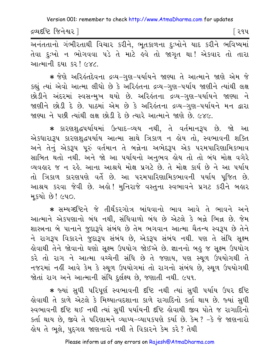દ્રવ્યદષ્ટિ જિનેશ્વર l

િર૧પ

जनंततानो ગંભીરતાથી વિચાર કરીને, ભૂતકાળના દુઃખોને યાદ કરીને ભવિષ્યમાં તેવા દુઃખો ન ભોગવવા પડે તે માટે હવે તો જાગૃત થા! એકવાર તો તારા આત્માની દયા કર*! ૯૪૮.* 

∗ જેણે અરિઙંતદેવના દ્રવ્ય−ગુણ−પર્યાયને જાણ્યા તે આત્માને જાણે એમ જે કહ્યું ત્યાં એવો આત્મા લીધો છે કે અરિહંતના દ્રવ્ય-ગુણ-પર્યાય જાણીને ત્યાંથી લક્ષ છોડીને અંદરમાં સ્વસન્મુખ થયો છે. અરિકંતના દ્રવ્ય-ગુણ-પર્યાયને જાણ્યા ને જાણીને છોડી દે છે. પાઠમાં એમ છે કે અરિલ્ંતના દ્રવ્ય-ગુણ-પર્યાયને મન દ્વારા જાણ્યા ને પછી ત્યાંથી લક્ષ છોડી દે છે ત્યારે આત્માને જાણે છે. ૯૪૯.

∗ કારણશુદ્ધપર્યાયમાં ઉત્પાદ−વ્યય નથી, તે વર્તમાનરૂપ છે. જો આ એકધારારૂપ કારણશુદ્ધપર્યાય આત્મા સાથે ત્રિકાળ ન હોય તો, સ્વભાવની શક્તિ અને તેનું એકરૂપ પૂરું વર્તમાન તે બન્નેના અભેદરૂપ એક પરમપારિણામિકભાવ સાબિત થતો નથી. અને જો આ પર્યાયનો અનુભવ હોય તો તો બંધ મોક્ષ વગેરે વ્યવહાર જ ન રહે. આના આશ્રયે મોક્ષ પ્રગટે છે. તે મોક્ષ કાર્ય છે ને આ પર્યાય તો ત્રિકાળ કારણપણે વર્તે છે. આ પરમપારિણામિકભાવની પર્યાય પૂજિત છે. આશ્રય કરવા જેવી છે. અહો! મુનિરાજે વસ્તુના સ્વભાવને પ્રગટ કરીને બહાર મુકયો છે! ૯૫૦.

\* સમ્યગ્દષ્ટિને જે તીર્થંકરગોત્ર બાંધવાનો ભાવ આવે તે ભાવને અને આત્માને એકપણાનો બંધ નથી, સંધિવાળો બંધ છે એટલે કે બન્ને ભિન્ન છે. જેમ શાસ્ત્રના બે પાનાને જુદારૂપે સંબંધ છે તેમ ભગવાન આત્મા ચૈતન્ય સ્વરૂપ છે તેને ને રાગરૂપ વિકારને જુદારૂપ સંબંધ છે, એકરૂપ સંબંધ નથી. પણ તે સંધિ સૂક્ષ્મ હોવાથી તેને જોવાનો ઘણો સૂક્ષ્મ ઉપયોગ જોઈએ છે. જ્ઞાનનો બહુ જ સૂક્ષ્મ ઉપયોગ કરે તો રાગ ને આત્મા વચ્ચેની સંધિ છે તે જણાય, પણ સ્થૂળ ઉપયોગથી તે નજરમાં નહીં આવે કેમ કે સ્થૂળ ઉપયોગમાં તો રાગનો સંબંધ છે, સ્થૂળ ઉપયોગથી જોતાં રાગ અને આત્માની સંધિ દુર્લક્ષ્ય છે, જણાતી નથી. ૯૫૧.

\* જ્યાં સુધી પરિપૂર્ણ સ્વભાવની દષ્ટિ નથી ત્યાં સુધી પર્યાય ઉપર દષ્ટિ હોવાથી તે કાળે એટલે કે મિથ્યાત્વદશાના કાળે રાગાદિનો કર્તા થાય છે. જ્યાં સુધી સ્વભાવની દષ્ટિ થઈ નથી ત્યાં સુધી પર્યાયની દષ્ટિ હોવાથી જીવ પોતે જ રાગાદિનો કર્તા થાય છે, જીવે તે પરિણામને વ્યાપ્ય-વ્યાપકપણે કર્યા છે. કેમ? -કે જે જાણનારો હોય તે ભલે, પદગલ જાણનારો નથી તે વિકારને કેમ કરે? તેથી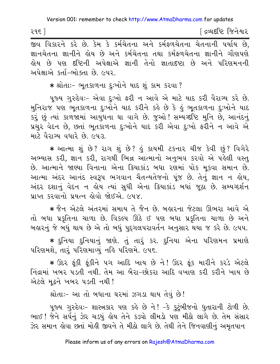| ૨૧૬ | [ દ્રવ્યદષ્ટિ જિનેશ્વર |
|-----|------------------------|
|-----|------------------------|

<u>.</u><br>જીવ વિકારને કરે છે. કેમ કે કર્મચેતના અને કર્મફળચેતના ચેતનાની પર્યાય છે, જ્ઞાનચેતના જ્ઞાનીને હોય છે અને કર્મચેતના તથા કર્મફળચેતના જ્ઞાનીને ગૌણપણે કોય છે પણ દૃષ્ટિની અપેક્ષાએ જ્ઞાની તેનો જ્ઞાતાદૃષ્ટા છે અને પરિણમનની અપેક્ષાએ કર્તા–ભોક્તા છે. ૯૫૨.

\* શ્રોતાઃ- ભૂતકાળના દુઃખોને યાદ શું કામ કરવા ?

૫જ્ય ગુરુદેવઃ- એવા દઃખો ફરી ન આવે એ માટે યાદ કરી વૈરાગ્ય કરે છે. મુનિરાજ પણ ભૂતકાળના દુઃખોને યાદ કરીને કહે છે કે હું ભૂતકાળના દુઃખોને યાદ કરૂં છું ત્યાં કાળજામાં આયુધના ઘા વાગે છે. જુઓ ! સમ્યગ્દષ્ટિ મુનિ છે, આનંદનું પ્રચુર વેદન છે, છતાં ભૂતકાળના દુઃખોને યાદ કરી એવા દુઃખો ફરીને ન આવે એ માટે વૈરાગ્ય વધારે છે. ૯૫૩.

\* આત્મા શું છે? રાગ શું છે? હું કાયમી ટકનાર ચીજ કેવી છું? વિગેરે અભ્યાસ કરી, જ્ઞાન કરી, રાગથી ભિન્ન આત્માનો અનુભવ કરવો એ પહેલી વસ્તુ છે. આત્માને જાણ્યા વિનાના એના ક્રિયાકાંડ બધા રણમાં પોક મૂકવા સમાન છે. આત્મા અંદર આનંદ સ્વરૂપ ભગવાન ચૈતન્યતેજનો પૂંજ છે. તેનું જ્ઞાન ન હોય, અંદર દશાનું વેદન ન હોય ત્યાં સુધી એના ક્રિયાકાંડ બધાં જુઠા છે. સમ્યગ્દર્શન પ્રાપ્ત કરવાનો પ્રયત્ન હોવો જોઈએ. ૯૫૪.

∗ જૈન એટલે અંતરમાં સમાય તે જૈન છે. બહારના જેટલા ઊભરા આવે એ તો બધા પ્રકૃતિના ચાળા છે. વિકલ્પ ઊઠે ઈ પણ બધા પ્રકૃતિના ચાળા છે અને બહારનું જે બધું થાય છે એ તો બધું પુદ્દગલપરાવર્તન અનુસાર થયા જ કરે છે. ૯૫૫.

∗ દુનિયા દુનિયાનું જાણે. તું તારૂં કર. દુનિયા એના પરિણમન પ્રમાણે પરિણમશે, તારું પરિણમાવ્યું નહિ પરિણમે. ૯૫૬.

\* ઉંદર ફૂંકી ફૂંકીને પગ આદિ ખાય છે ને! ઉંદર ફૂંક મારીને કરડે એટલે નિંદ્રામાં ખૂબર પડતી નથી. તેમ આ બૈરા-છોકરા આદિ વખાણ કરી કરીને ખાય છે એટલે મઢને ખબર પડતી નથી !

શ્રોતાઃ- આ તો બધાના ઘરમાં ઝગડા થાય તેવું છે!

પૂજ્ય ગુરુદેવઃ- શાસ્ત્રકાર પણ કહે છે ને! -કે કુટુંબીજનો ધુતારાની ટોળી છે. ભાઈ ! જેને સર્પનું ઝેર ચડ્યું હોય તેને કડવો લીમડો પણ મીઠો લાગે છે. તેમ સંસાર ઝેર સમાન લેવા છતાં મોલી જીવને તે મીઠો લાગે છે. તેથી તેને જિનવાણીનું અમૃતપાન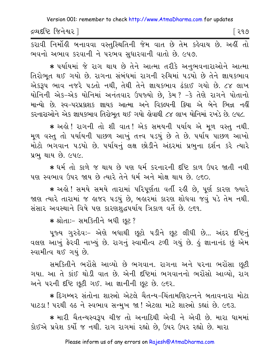દ્રવ્યદષ્ટિ જિનેશ્વર l િર૧૭

કરાવી નિર્મોહી બનાવવા વસ્તુસ્થિતિની જેમ વાત છે તેમ કહેવાય છે. અહીં તો ભવનો અભાવ કરવાની ને પરભવ સુધારવાની વાતો છે. ૯૫૭.

★ પર્યાયમાં જે રાગ થાય છે તેને આત્મા તરીકે અનુભવનારાઓને આત્મા તિરોભૂત થઈ ગયો છે. રાગના સંબંધમાં રાગની રુચિમાં ૫ડયો છે તેને જ્ઞાયકભાવ એકરૂપ ભાવ નજરે ૫ડતો નથી, તેથી તેને જ્ઞાયકભાવ ઢંકાઈ ગયો છે. ૮૪ લાખ યોનિની એક-એક યોનિમાં અનંતવાર ઉપજ્યો છે, કેમ? -કે તેણે રાગને પોતાનો માન્યો છે. સ્વ-પરપ્રકાશક જ્ઞાયક આત્મા અને વિકલ્પની ક્રિયા એ બેને ભિન્ન નહીં કરનારાઓને એક જ્ઞાયકભાવ તિરોભૂત થઈ ગયો લેવાથી ૮૪ લાખ યોનિમાં રખડે છે. ૯૫૮.

\* અહો ! રાગની તો શી વાત ! એક સમયની પર્યાય એ મૂળ વસ્તુ નથી. મૂળ વસ્તુ તો પર્યાયની પાછળ આખું તત્ત્વ પડયું છે તે છે. પર્યાય પાછળ આખો મોટો ભગવાન ૫ડયો છે. ૫યથિનું લક્ષ છોડીને અંદરમાં પ્રભુના દર્શન કરે ત્યારે પ્રભુ થાય છે. ૯૫૯.

\* ધર્મ તો કાળે જ થાય છે પણ ધર્મ કરનારની દૃષ્ટિ કાળ ઉપર જાતી નથી પણ સ્વભાવ ઉપર જાય છે ત્યારે તેને ધર્મ અને મોક્ષ થાય છે. ૯૬૦.

\* અલ્રે ! સમયે સમયે તારામાં પરિપૂર્ણતા વર્તી રહી છે, પૂર્ણ કારણ જ્યારે જાણ ત્યારે તારામાં જ હાજર ૫ડયું છે, બહારમાં કારણ શોધવા જવું ૫ડે તેમ નથી. સંસાર અવસ્થાને વિષે પણ કારણશુદ્ધપર્યાય ત્રિકાળ વર્તે છે. ૯૬૧.

\* શ્રોતાઃ- સમકિતીને બધી છૂટ?

પુજ્ય ગુરુદેવઃ- એણે બધાથી છુટો પડીને છુટ લીધી છે... અંદર દષ્ટિનું વલણ આખું ફેરવી નાખ્યું છે. રાગનું સ્વામીત્વ ટળી ગયું છે. કું જ્ઞાનાનંદ છું એમ સ્વામીત્વ થઈ ગયું છે.

સમકિતીને ભરોંસે આવ્યો છે ભગવાન. રાગના અને પરના ભરોંસા છુટી ગયા. આ તે કાંઈ થોડી વાત છે. એની દષ્ટિમાં ભગવાનનો ભરોંસો આવ્યો, રાગ અને પરની દષ્ટિ છૂટી ગઈ. આ જ્ઞાનીની છૂટ છે. ૯૬૨.

\* દિગમ્બર સંતોના શાસ્ત્રો એટલે ચૈતન્ય-ચિંતામણિરત્નને બતાવનારા મોટા પાટડા ! ૫૨થી ૬ઠ ને સ્વભાવ સન્મુખ જા ! એટલા માટે શાસ્ત્રો કહ્યાં છે. ૯૬૩.

\* મારી ચૈતન્યસ્વરૂપ ચીજ તો અનાદિથી એવી ને એવી છે. મારા ધામમાં કોઈએ પ્રવેશ કર્યો જ નથી. રાગ રાગમાં રહ્યો છે, ઉપર ઉપર રહ્યો છે. મારા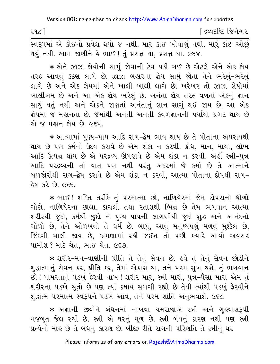<u>ડિલ્પદધ્દિ જિનેશ્વર</u> ૨૧૮ ] .<br>સ્વરૂપમાં એ કોઈનો પ્રવેશ થયો જ નથી. મારૂં કાંઈ ખોવાણું નથી. મારૂં કાંઈ ઓછું થયું નથી. આમ જાણીને હે ભાઈ ! તું પ્રસન્ન થા, પ્રસન્ન થા. ૯૬૪.

\* એને ઝાઝા જ્ઞેયોની સામં જોવાની ટેવ પડી ગઈ છે એટલે એને એક જ્ઞેય તરફ આવવું કઠણ લાગે છે. ઝાઝા બહારના જ્ઞેય સામું જોતા તેને ભરેલું-ભરેલું લાગે છે અને એક જ્ઞેયમાં એને ખાલી ખાલી લાગે છે. ખરેખર તો ઝાઝા જ્ઞેયોમાં ખાલીખમ છે અને આ એક જ્ઞેય ભરેલું છે. અનંતા જ્ઞેય તરફ વળતાં એકનું જ્ઞાન સાચું થતું નથી અને એકને જાણતાં અનંતાનું જ્ઞાન સાચું થઈ જાય છે. આ એક જ્ઞેયમાં જ મહાનતા છે. જેમાંથી અનંતી અનંતી કેવળજ્ઞાનની પર્યાયો પ્રગટ થાય છે એ જ મહાન જ્ઞેય છે. ૯૬૫.

\* આત્મામાં પુણ્ય-પાપ આદિ રાગ-દ્વેષ ભાવ થાય છે તે પોતાના અપરાધથી થાય છે પણ કર્મનો ઉંદય કરાવે છે એમ શંકા ન કરવી. ક્રોધ, માન, માયા, લોભ આદિ ઉત્પન્ન થાય છે એ પરદ્રવ્ય ઊપજાવે છે એમ શંકા ન કરવી. અહીં સ્ત્રી-પુત્ર આદિ પરદ્રવ્યની તો વાત પણ નથી પરંત અંદરમાં જે કર્મો છે તે આત્માને બળજોરીથી રાગ-દ્વેષ કરાવે છે એમ શંકા ન કરવી, આત્મા પોતાના દોષથી રાગ-દ્વેષ કરે છે. ૯૬૬.

\* ભાઈ ! શક્તિ તરીકે તું પરમાત્મા છો, નાળિયેરમાં જેમ ટોપરાનો ધોળો ગોટો, નાળિયેરના છાલા, કાચલી તથા રતાશથી ભિન્ન છે તેમ ભગવાન આત્મા શરીરથી જુદો, કર્મથી જુદો ને પુણ્ય-પાપની લાગણીથી જુદો શુદ્ધ અને આનંદનો ગોળો છે, તેને ઓળખવો તે ધર્મ છે. બાપુ, આવું મનુષ્યપણું મળવું મુશ્કેલ છે, જિંદગી ચાલી જાય છે, ભ્રમણામાં રહી જઈશ તો પછી કયારે આવો અવસર પામીશ ? માટે ચેત. ભાઈ ચેત. ૯૬૭.

★ શરીર-મન-વાણીની પ્રીતિ તે તેનું સેવન છે. ઙવે તું તેનું સેવન છોડીને શુદ્ધાત્માનું સેવન કર, પ્રીતિ કર, તેમાં એકાગ્ર થા, તને પરમ સુખ થશે. તું ભગવાન છો ! પામરતાનું ૫ડખું ફેરવી નાખ ! શરીર મારૂં, સ્ત્રી મારી, પુત્ર-પૈસા મારા એમ તું શરીરના ૫ડખે સતો છે ૫ણ ત્યાં કષાય સળગી રહ્યો છે તેથી ત્યાંથી ૫ડખું ફેરવીને શુદ્ધાત્મ પરમાત્મ સ્વરૂપને ૫ડખે આવ, તને ૫૨મ શાંતિ અનુભવાશે. ૯૬૮.

★ અજ્ઞાની જીવોને બંધનમાં નાખવા યમરાજાએ સ્ત્રી અને ગઢવાસરૂપી મજબુત જેલ ૨ચી છે. સ્ત્રી એ ઘરનું મુળ છે. સ્ત્રી બંધનું કારણ નથી પણ સ્ત્રી પ્રત્યેનો મોહ છે તે બંધનું કારણ છે. બીજી રીતે રાગની પરિણતિ તે સ્ત્રીનું ઘર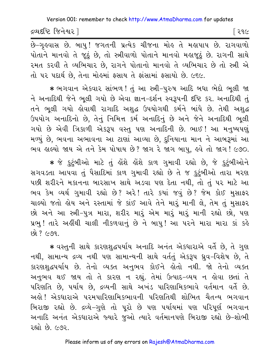| દ્રવ્યદૃષ્ટિ જિનેશ્વર |  |  |  |  |                                                                                                                     |
|-----------------------|--|--|--|--|---------------------------------------------------------------------------------------------------------------------|
|                       |  |  |  |  | $\hat{a}$ process $\hat{a}$ and $\hat{b}$ and $\hat{a}$ and $\hat{c}$ process $\hat{a}$ and $\hat{a}$ and $\hat{a}$ |

છે–ગૃહવાસ છે. બાપુ! જગતની પ્રત્યેક ચીજના મોહ તે મહાપાપ છે. રાગવાળો પોતાને માનવો તે જઠું છે. તો સ્ત્રીવાળો પોતાને માનવો મહાજઠું છે. રાગની સાથે રમત કરવી તે વ્યભિચાર છે, રાગને પોતાનો માનવો તે વ્યભિચાર છે તો સ્ત્રી એ તો પર પદાર્થ છે, તેના મોહમાં ફસાય તે ફાંસામાં ફસાયો છે. ૯૬૯.

∗ ભગવાન એકવાર સાંભળ! તું આ સ્ત્રી−પુરુષ આદિ બધા ભેદો ભૂલી જા ને અનાદિથી જેને ભૂલી ગયો છે એવા જ્ઞાન-દર્શન સ્વરૂપની દષ્ટિ કર. અનાદિથી તું તને ભુલી ગયો કોવાથી રાગાદિ અશુદ્ધ ઉપયોગથી કર્મને બાંધે છે. તેથી અશુદ્ધ ઉપયોગ અનાદિનો છે. તેનું નિમિત્ત કર્મ અનાદિનું છે અને જેને અનાદિથી ભુલી ગયો છે એવી ત્રિકાળી એકરૂપ વસ્તુ પણ અનાદિની છે. ભાઈ ! આ મનુષ્યપણું મળ્યું છે, ભવના અભાવના આ ટાણાં આવ્યા છે, દુનિયાના માન ને આબરૂમાં આ ભવ હાલ્યો જાય એ તને કેમ પોષાય છે? જાગ રે જાગ બાપ, હવે તો જાગ! ૯૭૦.

∗ જે કુટુંબીઓ માટે તું હોંશે હોંશે કાળ ગુમાવી રહ્યો છે, જે કુટુંબીઓને સગવડતા આપવા તું પૈસાદિમાં કાળ ગુમાવી રહ્યો છે તે જ કુટુંબીઓ તારા મરણ પછી શરીરને મકાનના બારસાખ સાથે અડવા પણ દેતા નથી, તો તું પર માટે આ ભવ કેમ વ્યર્થ ગુમાવી રહ્યો છે? અરે! તારે કયાં જવું છે? જેમ કોઈ મુસાફર ચાલ્યો જતો હોય અને રસ્તામાં જે કાંઈ આવે તેને મારૂં માની લે, તેમ તું મુસાફર છો અને આ સ્ત્રી-પુત્ર મારા, શરીર મારું એમ મારું મારું માની રહ્યો છો, પણ પ્રભુ! તારે અહીંથી ચાલી નીકળવાનું છે ને બાપુ! આ પરને મારા મારા કાં કહે  $69.769.$ 

\* વસ્તુની સાથે કારણશૂદ્ધપર્યાય અનાદિ અનંત એકધારાએ વર્તે છે, તે ગુણ નથી, સામાન્ય દ્રવ્ય નથી પણ સામાન્યની સાથે વર્તતું એકરૂપ ધ્રુવ-વિશેષ છે, તે કારણશુદ્ધપર્યાય છે. તેનો વ્યક્ત અનુભવ કોઈને હોતો નથી. જો તેનો વ્યક્ત અનુભવ થઈ જાય તો તે કારણ ન રહ્યું. તેમાં ઉત્પાદ-વ્યય ન હોવા છતાં તે પરિણતિ છે, પર્યાય છે, દ્રવ્યની સાથે અખંડ પારિણામિકભાવે વર્તમાન વર્તે છે. અલ્રો ! એકધારાએ પરમપારિણામિકભાવની પરિણતિથી શોભિત ચૈતન્ય ભગવાન બિરાજી રહ્યો છે. દ્રવ્યે-ગુણે તો પૂરો છે પણ પર્યાયમાં પણ પરિપૂર્ણ ભગવાન અનાદિ અનંત એકધારાએ જ્યારે જુઓ ત્યારે વર્તમાનપણે બિરાજી રહ્યો છે-શોભી રહ્યો છે. ૯૭૨.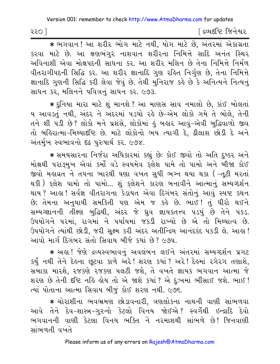| ૨૨૦ | દ્રવ્યદષ્ટિ જિનેશ્વર |
|-----|----------------------|
|-----|----------------------|

\* लगवान! આ शरीर लोग माटे नथी, योग माटे છે, અंतरमां એકાગ્રતા કરવા માટે છે. આ ક્ષણભંગુર નાશવાન શરીરના નિમિત્તે સાદિ અનંત સ્થિર અવિનાશી એવા મોક્ષપદની સાધના કર. આ શરીર મલિન છે તેના નિમિત્તે નિર્મળ વીતરાગીપદની સિદ્ધિ કર. આ શરીર જ્ઞાનાદિ ગુણ રહિત નિર્ગુણ છે, તેના નિમિત્તે જ્ઞાનાદિ ગુણની સિદ્ધિ કરી લેવા જેવું છે. તેથી મુનિરાજ કહે છે કે અનિત્યને નિત્યનું સાધન કર, મલિનને પવિત્રનું સાધન કર. ૯૭૩.

★ દુનિયા મારા માટે શું માનશે ? આ માણસ સાવ નમાલો છે, કાંઈ બોલતાં ય આવડતું નથી, અંદર ને અંદરમાં ૫ડયો રહે છે–એમ લોકો ગમે તે બોલે, તેની તને શી ૫ડી છે? લોકો મને પ્રશંસે, લોકોમાં કું બહાર આવું-એવી બુદ્ધિવાળો જીવ તો બહિરાત્મા-મિથ્યાદષ્ટિ છે. માટે લોકોનો ભય ત્યાગી દે. ઢીલાશ છોડી દે અને અંતર્મુખ સ્વભાવનો દઢ પુરુષાર્થ કર. ૯૭૪.

\* સમયસારના નિર્જરા અધિકારમાં કહ્યું છેઃ કોઈ જીવો તો અતિ દુષ્કર અને મોક્ષથી પરાઙ્મુખ એવાં કર્મો વડે સ્વયમેવ કુલેશ પામે તો પામો અને બીજા કોઈ જીવો મહાવ્રત ને તપના ભારથી ઘણા વખત સુધી ભગ્ન થયા થકા ( -તૂટી મરતાં થકી ) કુલેશ પામો તો પામો... શું કુલેશને કારણ બનાવીને આત્માનું સમ્યગ્દર્શન થાય ? આહા ! સર્વજ્ઞ વીતરાગના કેડાયત એવા દિગંબર સંતોનું આવું સ્પષ્ટ કથન છે; તેમના અનુયાયી સમકિતી પણ એમ જ કહે છે. ભાઈ! તું ધીરો થઈને સમ્યગ્જ્ઞાનની તીક્ષ્ણ બુદ્ધિથી, અંદર જે ધ્રુવ જ્ઞાયકતત્ત્વ ૫ડયું છે તેને ૫કડ. ઉપયોગને પરમાં, રાગમાં ને પર્યાયમાં જકડી રાખ્યો છે એ તો મિથ્યાત્વ છે. ઉપયોગને ત્યાંથી છોડી, જરી સુક્ષ્મ કરી અંદર અતીન્દ્રિય આનંદકંદ ૫કડી લે. આહા! આવો માર્ગ દિગંબર સંતો સિવાય બીજે ક્યાં છે? ૯૭૫.

\* અહા ! જેણે દ્રવ્યસ્વભાવનું અવલંબન લઈને અંતરમાં સમ્યગ્દર્શન પ્રગટ કર્યું નથી તેને દેહના છૂટવા કાળે અરે! શરણ કયાં? અરે! દેહમાં રગેરગ તણાશે, સબાકા મારશે, રજકણે રજકણ પલટી જશે, તે વખતે જ્ઞાયક ભગવાન આત્મા જે શરણ છે તેની દૃષ્ટિ નહિ હોય તો એ જાશે કયાં ? એ દઃખમાં ભીંસાઈ જશે. ભાઈ ! ત્યાં પોતાના આત્મા સિવાય બીજું કોઈ શરણ નથી. ૯૭૬.

\* ચોરાશીના ભવભ્રમણ છોડાવનારી, ત્રણલોકના નાથની વાણી સાંભળવા આવે તેને દેવ-શાસ્ત્ર-ગુરુનો કેટલો વિનય જોઈએ? સ્વર્ગેથી ઇન્દ્રાદિ દેવો ભગવાનની વાણી કેટલા વિનય ભક્તિ ને નરમાશથી સાંભળે છે! જિનવાણી સાંભળતી વખતે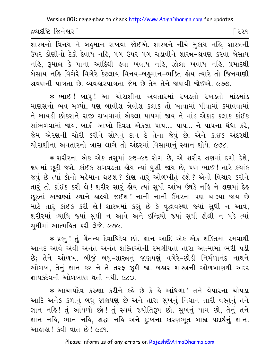દ્રવ્યદષ્ટિ જિનેશ્વર l

શાસ્ત્રનો વિનય ને બહુમાન રાખવા જોઈએ. શાસ્ત્રને નીચે મુકાય નહિ, શાસ્ત્રની ઉપર કોણીનો ટેકો દેવાય નહિ, પગ ઉપર પગ ચડાવીને શાસ્ત્ર-શ્રવણ કરવા બેસાય નહિ, રૂમાલ કે પાના આદિથી હવા ખવાય નહિ, ઝોલા ખવાય નહિ, પ્રમાદથી બેસાય નહિ વિગેરે વિગેરે કેટલાય વિનય–બહુમાન–ભક્તિ હોય ત્યારે તો જિનવાણી શ્રવણની પાત્રતા છે. વ્યવહારપાત્રતા જેમ છે તેમ તેને જાણવી જોઈએ. ૯૭૭.

\* ભાઈ ! બાપુ ! આ ચોરાશીના અવતારમાં રખડતો રખડતો માંડમાંડ માણસનો ભવ મળ્યો. પણ બાવીશ ત્રેવીશ કલાક તો ખાવામાં પીવામાં કમાવવામાં ને બાયડી છોકરાને રાજી રાખવામાં એકલા પાપમાં જાય ને માંડ એકાદ કલાક કાંઈક સાંભળવામાં જાય. બાકી આખો દિવસ એકલા પાપ.... પાપ... ને પાપના ધંધા કરે, જેમ એરણની ચોરી કરીને સોયનું દાન દે તેના જેવું છે. એને કાંઈક અંદરથી ચોરાશીના અવતારનો ત્રાસ લાગે તો અંદરમાં વિસામાનું સ્થાન શોધે. ૯૭૮.

**·** xrIrna Aek Aek tsumaH 96‐96 rog Ke, Ae xrIr Ù`maH dgae dexe, ક્ષણમાં છુટી જશે. કાંઈક સગવડતા હોય ત્યાં ઘુસી જાય છે. પણ ભાઈ ! તારે કયાંક જવું છે ત્યાં કોનો મહેમાન થઈશ? કોણ તારૂં ઓળખીતું હશે? એનો વિચાર કરીને તારૂં તો કાંઈક કરી લે! શરીર સારૂં હોય ત્યાં સુધી આંખ ઉઘડે નહિ ને ક્ષણમાં દેહ છુટતાં અજાણ્યાં સ્થાને હાલ્યો જઈશ! નાની નાની ઉંમરના પણ ચાલ્યા જાય છે માટે તારું કાંઈક કરી લે! શાસ્ત્રમાં કહ્યું છે કે વૃદ્ધાવસ્થા જ્યાં સુધી ન આવે, શરીરમાં વ્યાધિ જ્યાં સુધી ન આવે અને ઇન્દ્રિયો જ્યાં સુધી ઢીલી ન પડે ત્યાં સુધીમાં આત્મહિત કરી લેજે. ૯૭૯.

\* પ્રભુ ! તું ચૈતન્ય દેવાધિદેવ છો. જ્ઞાન આદિ એક–એક શક્તિમાં રમવાથી આનંદ આવે એવી અનંત અનંત શક્તિઓની રમણીયતા તારા આત્મામાં ભરી પડી છે; તેને ઓળખ. બીજું બધું-શાસ્ત્રનું જાણપણું વગેરે-છોડી નિર્મળાનંદ નાથને ઓળખ, તેનું જ્ઞાન કર ને તે તરફ ઝૂકી જા. બહાર શાસ્ત્રની ઓળખાણથી અંદર  $\mathfrak{su}(4)$  and  $\mathfrak{su}(4)$  and  $\mathfrak{so}(2)$ 

\* આચાર્યદેવ કરુણા કરીને કહે છે કે હે આંધળા! તને વેપારના ચોપડા આદિ અનેક કળાનું બધું જાણપણું છે અને તારા સુખનું નિધાન તારી વસ્તુનું તને જ્ઞાન નહિ! તું આંધળો છો! તું સ્વયં જ્યોતિરૂપ છો. સુખનું ધામ છો, તેનું તને જ્ઞાન નહિ, ભાન નહિ, શ્રદ્ધા નહિ અને દુઃખના કારણભૂત બાહ્ય પદાર્થનું જ્ઞાન. <u>આહાહા ! કેવી વાત છે! ૯૮૧.</u>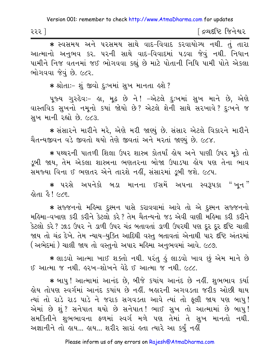| રરર $^7$ |  |  | [ દ્રવ્યદષ્ટિ જિનેશ્વર |
|----------|--|--|------------------------|
|----------|--|--|------------------------|

\* स्वसमय अने परसमय साथे वाह-विवाह sरवायोग्य नथी. तुं तारा આત્માનો અનુભવ કર. ૫૨ની સાથે વાદ-વિવાદમાં ૫ડવા જેવું નથી. નિધાન પામીને નિજ વતનમાં જઈ ભોગવવા કહ્યું છે માટે પોતાની નિધિ પામી પોતે એકલા ભોગવવા જેવું છે. ૯૮૨.

\* શ્રોતાઃ- શું જીવો દુઃખમાં સુખ માનતા હશે ?

પૂજ્ય ગુરુદેવઃ- હા, મૂઢ છે ને! -એટલે દુઃખમાં સુખ માને છે, એણે વાસ્તવિક સુખનો નમૂનો કયાં જોયો છે? એટલે શેની સાથે સરખાવે? દુઃખને જ સુખ માની રહ્યો છે. ૯૮૩.

\* સંસારને મારીને મરે, એણે મરી જાણ્યું છે. સંસાર એટલે વિકારને મારીને ચૈતન્યજીવન વડે જીવતો થયો તેણે જીવતાં અને મરતાં જાણ્યં છે. ૯૮૪.

∗ પથ્થરની પાતળી શિલા ઉપર શાસ્ત્ર કોતર્યાં હોય અને પાણી ઉપર મૂકે તો ડબી જાય. તેમ એકલા શાસ્ત્રના ભણતરના બોજા ઉપાડયા હોય પણ તેના ભાવ સમજ્યા વિના ઈ ભણતર એને તારશે નહીં, સંસારમાં ડૂબી જશે. ૯૮૫.

∗ પરસે અપનેકો બડા માનના ઈસમેં અપના સ્વરૂપકા "ખુન" હોતા હૈ ! ૯૮૬.

\* સજ્જનનો મહિમા દુશ્મન પાસે કરાવવામાં આવે તો એ દુશ્મન સજ્જનનો મહિમા-વખાણ કરી કરીને કેટલો કરે? તેમ ચૈતન્યનો જડ એવી વાણી મહિમા કરી કરીને કેટલો કરે ? ઝાડ ઉપર ને ડાળી ઉપર ચંદ્ર બતાવતાં ડાળી ઉપરથી પણ દૂર દૂર દષ્ટિ ચાલી જાય તો ચંદ્ર દેખે. તેમ ન્યાય-યુક્તિ આદિથી વસ્તુ બતાવતાં એનાથી પાર દષ્ટિ અંતરમાં ( અભેદમાં ) ચાલી જાય તો વસ્તુનો અપાર મહિમા અનુભવમાં આવે. ૯૮૭.

★ લાડવો આત્મા ખાઈ શક્તો નથી. પરંતુ કું લાડવો ખાવ છું એમ માને છે ઈ આત્મા જ નથી. હરખ-શોખને વેદે ઈ આત્મા જ નથી. ૯૮૮.

★ બાપુ ! આત્મામાં આનંદ છે, બીજે કયાંય આનંદ છે નહીં. શુભભાવ કર્યા લેય તોપણ સ્વર્ગમાં આનંદ કયાંય છે નહીં. બહારની અગવડતા જરીક ઓછી થાય ત્યાં તો રાડે રાડ પાડે ને જરાક સગવડતા આવે ત્યાં તો ફલી જાય પણ બાપ! એમાં છે શું ? સનેપાત થયો છે સનેપાત ! ભાઈ સુખ તો આત્મામાં છે બાપુ ! સમકિતીને શુભભાવના ફળમાં સ્વર્ગ મળે પણ તેમાં તે સુખ માનતો નથી. અજ્ઞાનીને તો હાય... હાય... શરીર સારાં હતા ત્યારે આ કર્યું નહીં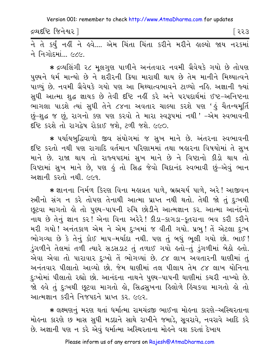દ્રવ્યદષ્ટિ જિનેશ્વર |

િરર૩

<u>.<br>ने ते sर्युं नडीं ने इवे.... એમ ચિંતા ચિંતા કરીને મરીને डाલ્યો જાય નરકમાં</u> ને નિગોદમાં... ૯૮૯.

\* દ્રવ્યલિંગી ૨૮ મૂલગુણ પાળીને અનંતવાર નવમી ગ્રૈવેયકે ગયો છે તોપણ પુણ્યને ધર્મ માન્યો છે ને શરીરની ક્રિયા મારાથી થાય છે તેમ માનીને મિથ્યાત્વને .<br>પાળ્યું છે. નવમી ગ્રૈવેયકે ગયો પણ આ મિથ્યાત્વભાવને ટાળ્યો નહિ. અજ્ઞાની જ્યાં સુધી આત્મા શુદ્ધ જ્ઞાયક છે તેવી દષ્ટિ નહીં કરે અને પરપદાર્થમાં ઈષ્ટ-અનિષ્ટના ભાગલા પાડશે ત્યાં સુધી તેને ૮૪ના અવતાર ચાલ્યા કરશે પણ 'હું ચૈતન્યમૂર્તિ છું-શુદ્ધ જ છું, રાગનો કણ પણ કરવો તે મારા સ્વરૂપમાં નથી ' -એમ સ્વભાવની દિષ્ટિ કરશે તો રાગદ્વેષ રોકાઈ જશે, ટળી જશે. ૯૯૦.

\* પર્યાયબુદ્ધિવાળો જીવ સંયોગમાં જ સુખ માને છે. અંતરના સ્વભાવની દૃષ્ટિ કરતો નથી પણ રાગાદિ વર્તમાન પરિણામમાં તથા બહારના વિષયોમાં તે સુખ માને છે. રાજા થાય તો રાજ્યપદમાં સુખ માને છે ને વિષ્ટાનો કીડો થાય તો વિષ્ટામાં સુખ માને છે, પણ કું તો સિદ્ધ જેવો ચિદાનંદ સ્વભાવી છું-એવું ભાન અજ્ઞાની કરતો નથી ૯૯૧

\* જ્ઞાનના નિર્મળ કિરણ વિના મહાવ્રત પાળે, બ્રહ્મચર્ય પાળે, અરે! આજીવન સ્ત્રીનો સંગ ન કરે તોપણ તેનાથી આત્મા પ્રાપ્ત નથી થતો. તેથી જો તું દુઃખથી છૂટવા માગતો કો તો પુણ્ય-પાપની રુચિ છોડીને આત્મજ્ઞાન કર. આત્મા આનંદનો નાથ છે તેનું જ્ઞાન કર! એના વિના અરેરે! કીડા-કાગડા-કુતરાના ભવ કરી કરીને મરી ગયો ! અનંતકાળ એમ ને એમ દુઃખમાં જ વીતી ગયો. પ્રભુ ! તેં એટલા દુઃખ ભોગવ્યા છે કે તેનું કોઈ માપ-મર્યાદા નથી. પણ તું બધું ભૂલી ગયો છો. ભાઈ ! ડુંગળીને તેલમાં તળી ત્યારે સડસડાટ તું તળાઈ ગયો હતો-તું ડુંગળીમાં બેઠો હતો. એવા એવા તો પારાવાર દુઃખો તેં ભોગવ્યાં છે. ૮૪ લાખ અવતારની ઘાણીમાં તું અનંતવાર પીલાતો આવ્યો છો. જેમ ઘાણીમાં તલ પીલાય તેમ ૮૪ લાખ યોનિના દુઃખોમાં પીલાતો રહ્યો છો. આનંદના નાથને પુણ્ય–પાપની ઘાણીમાં કચરી નાખ્યો છે. જો હવે તું દુઃખથી છૂટવા માગતો હો, સિદ્ધસુખના હિલોળે હિંચકવા માગતો હો તો આત્મજ્ઞાન કરીને નિજપદને પ્રાપ્ત કર. ૯૯૨.

\* લક્ષ્મણનું મરણ થતાં ધર્માત્મા રામચંદ્રજી ભાઈના મોહના કારણે-અસ્થિરતાના મોહના કારણે છ માસ સુધી મડદાને સાથે રાખીને જમાડે, સૂવરાવે, નવરાવે આદિ કરે છે. અજ્ઞાની પણ ન કરે એવું ધર્માત્મા અસ્થિરતાના મોહને વશ કરતાં દેખાય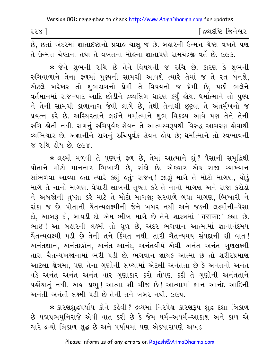| २२४ | <sup>r</sup> દ્રવ્યદષ્ટિ જિનેશ્વર |
|-----|-----------------------------------|
|     |                                   |

છે, છતાં અંદરમાં જ્ઞાતાદષ્ટાનો પ્રવાહ ચાલુ જ છે. બહારની ઉન્મત્ત ચેષ્ટા વખતે પણ તે ઉન્મત્ત ચેપ્ટાના તથા તે વખતના મોહના જ્ઞાતાપણે રામચંદ્રજી વર્તે છે. ૯૯૩.

\* જેને શુભની રુચિ છે તેને વિષયની જ રુચિ છે, કારણ કે શુભની રુચિવાળાને તેના ફળમાં પુણ્યની સામગ્રી આવશે ત્યારે તેમાં જ તે રત બનશે, એટલે ખરેખર તો શુભરાગનો પ્રેમી તે વિષયનો જ પ્રેમી છે, પછી ભલેને વર્તમાનમાં રાજ-પાટ આદિ છોડીને દ્રવ્યલિંગ ધારણ કર્યું હોય. ધર્માત્માને તો પુણ્ય ને તેની સામગ્રી કાળાનાગ જેવી લાગે છે, તેથી તેનાથી છૂટવા તે અંતર્મુખનો જ પ્રયત્ન કરે છે. અસ્થિરતાને લઈને ધર્માત્માને શભ વિકલ્પ આવે પણ તેને તેની રુચિ હોતી નથી. રાગનું રુચિપૂર્વક સેવન તે આત્મસ્વરૂપથી વિરુદ્ધ આચરણ હોવાથી વ્યભિચાર છે. અજ્ઞાનીને રાગનું રુચિપૂર્વક સેવન લોય છે; ધર્માત્માને તો સ્વભાવની જ રુચિ હોય છે *(*</×

\* લક્ષ્મી મળવી તે પુણ્યનું ફળ છે, તેમાં આત્માને શું ? પૈસાની સમૃદ્ધિથી પોતાને મોટો માનનાર ભિખારી છે. રાંકો છે. એકવાર એક રાજા વ્યાખ્યાન સાંભળવા આવ્યા હતા ત્યારે કહ્યું હતું: રાજન! ઝાઝું માગે તે મોટો માગણ, થોડું માગે તે નાનો માગણ. વેપારી લાખની તૃષ્ણા કરે તે નાનો માગણ અને રાજા કરોડો ને અબજોની તૃષ્ણા કરે માટે તે મોટો માગણ; સરવાળે બધા માગણ, ભિખારી ને રાંકા જ છે. પોતાની ચૈતન્યલક્ષ્મીની જેને ખબર નથી અને જડની લક્ષ્મીની-પૈસા દો, આબરૂ દો, બાયડી દો એમ-ભીખ માગે છે તેને શાસ્ત્રમાં ' वराकाः' કહ્યા છે. ભાઈ ! આ બહારની લક્ષ્મી તો ધૂળ છે, અંદર ભગવાન આત્મામાં જ્ઞાનાનંદમય ચૈતન્યલક્ષ્મી ૫ડી છે તેની તને કિંમત નથી. તારી ચૈતન્યમય સંપદાની શી વાત! અનંતજ્ઞાન, અનંતદર્શન, અનંત-આનંદ, અનંતવીર્ય-એવી અનંત અનંત ગુણલક્ષ્મી તારા ચૈતન્યખજાનામાં ભરી પડી છે. ભગવાન જ્ઞાયક આત્મા છે તો શરીરપ્રમાણ આટલા ક્ષેત્રમાં, પણ તેના ગણોની સંખ્યામાં એટલી અનંતતા છે કે અનંતનો અનંત વડે અનંત અનંત અનંત વાર ગુણાકાર કરો તોપણ કદી તે ગુણોની અનંતતાને પહોંચાતું નથી. અહા પ્રભુ ! આત્મા શી ચીજ છે ! આત્મામાં જ્ઞાન આનંદ આદિની અનંતી અનંતી લક્ષ્મી પડી છે તેની તને ખબર નથી. ૯૯૫.

\* કારણશુદ્ધપર્યાય કોને કહેવી ? દ્રવ્યમાં નિરપેક્ષ કારણરૂપ શુદ્ધ દશા ત્રિકાળ છે પદ્મપ્રભમુનિરાજે એવી વાત કરી છે કે જેમ ધર્મ–અધર્મ–આકાશ અને કાળ એ ચારે દ્રવ્યો ત્રિકાળ શુદ્ધ છે અને પર્યાયમાં પણ એકધારાપણે અખંડ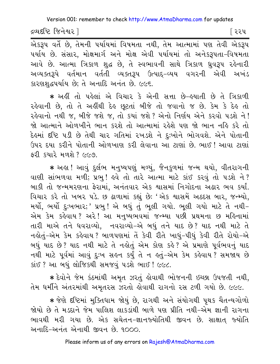દ્રવ્યદષ્ટિ જિનેશ્વર l

િરરપ

એકરૂપ વર્તે છે, તેમની પર્યાયમાં વિષમતા નથી, તેમ આત્મામાં પણ તેવી એકરૂપ પર્યાય છે. સંસાર, મોક્ષમાર્ગ અને મોક્ષ એવી પર્યાયમાં તો અનેકરૂપતા-વિષમતા આવે છે. આત્મા ત્રિકાળ શુદ્ધ છે, તે સ્વભાવની સાથે ત્રિકાળ ઘ્રુવરૂપ રહેનારી અવ્યક્તરૂપે વર્તમાન વર્તતી વ્યક્તરૂપ ઉત્પાદ્-વ્યય વગરની એવી અખંડ કારણશુદ્ધપર્યાય છે; તે અનાદિ અનંત છે. ૯૯૬.

\* અહીં તો પહેલાં એ વિચાર કે એની સત્તા છે-હયાતી છે તે ત્રિકાળી રહેવાની છે. તો તે અહીંથી દેહ છુટતાં બીજે તો જવાનો જ છે. કેમ કે દેહ તો રહેવાનો નથી જ, બીજે જશે જ, તો કયાં જશે ? એનો નિર્ણય એને કરવો ૫ડશે ને ! જો આત્માને ઓળખીને ભાન કરશે તો આત્મામાં રહેશે પણ જો ભાન નહિ કરે તો દેહમાં દષ્ટિ ૫ડી છે તેથી ચાર ગતિમાં રખડશે ને દુઃખોને ભોગવશે. એને પોતાની ઉપર દયા કરીને પોતાની ઓળખાણ કરી લેવાના આ ટાણાં છે. ભાઈ ! આવા ટાણાં કરી કયારે મળશે ? ૯૯૭.

\* અહા ! આવું દુર્લભ મનુષ્યપણું મળ્યું, જૈનકુળમાં જન્મ થયો, વીતરાગની વાણી સાંભળવા મળી; પ્રભુ! હવે તો તારે આત્મા માટે કાંઈ કરવું તો પડશે ને? બાકી તો જન્મમરણના ફેરામાં, અનંતવાર એક શાસમાં નિગોદના અઢાર ભવ કર્યાં. વિચાર કરે તો ખબર પડે. છ ઢાળામાં કહ્યું છે: 'એક શાસમેં અઠદસ બાર, જન્મ્યો, મર્યો, ભર્યો દુઃખભાર;' પ્રભુ ! એ બધું તું ભૂલી ગયો. ભૂલી ગયો માટે તે નથી-એમ કેમ કહેવાય? અરે! આ મનુષ્યભવમાં જન્મ્યા પછી પ્રથમના છ મહિનામાં તારી માએ તને ધવરાવ્યો. નવરાવ્યો-એ બધું તને યાદ છે? યાદ નથી માટે તે નહોતું-એમ કેમ કહેવાય ? બાળપણમાં તેં કેવી રીતે ખાધું-પીધું કેવી રીતે રોયો-એ બધું યાદ છે? યાદ નથી માટે તે નહોતું એમ કોણ કહે? એ પ્રમાણે પૂર્વભવનું યાદ નથી માટે પૂર્વમાં આવું દુઃખ સહન કર્યું તે ન હતું–એમ કેમ કહેવાય?સમજાય છે કાંઈ ? આ બધું લોજિકથી સમજવું ૫ડશે ભાઈ ! ૯૯૮.

★ દેવોને જેમ કંઠમાંથી અમૃત ઝરતું કોવાથી ભોજનની ઇચ્છા ઉપજતી નથી, તેમ ધર્મીને અંતરમાંથી અમૃતરસ ઝરતો લોવાથી રાગનો રસ ટળી ગયો છે. ૯૯૯.

★ જેણે દષ્ટિમાં મુક્તિધામ જોયું છે, રાગથી અને સંયોગથી પુથક ચૈતન્યગોળો જોયો છે તે મડદાને જેમ પાલિશ લાકડાંથી બાળે પણ પ્રીતિ નથી-એમ જ્ઞાની રાગના ભાવથી મરી ગયા છે. એક સચેતન-જ્ઞાનજ્યોતિથી જીવન છે. સાક્ષાત જ્યોતિ અનાદિ-અનંત એનાથી જીવન છે. ૧૦૦૦.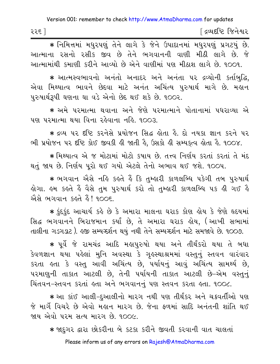| ૨૨૬ | <sup>r</sup> દ્રવ્યદષ્ટિ જિનેશ્વર |
|-----|-----------------------------------|
|-----|-----------------------------------|

\* નિમિત્તમાં મધુરપણું તેને લાગે કે જેને ઉપાદાનમાં મધુરપણું પ્રગટયું છે. આત્માના રસનો રસીક જીવ છે તેને ભગવાનની વાણી મીઠી લાગે છે. જે આત્મામાંથી કમાણી કરીને આવ્યો છે એને વાણીમાં પણ મીઠાશ લાગે છે. ૧૦૦૧.

\* આત્મસ્વભાવનો અનંતો અનાદર અને અનંતા ૫૨ દ્રવ્યોની કર્તાબુદ્ધિ, એવા મિથ્યાત્વ ભાવને છેદવા માટે અનંત અચિંત્ય પુરુષાર્થ માગે છે. મહાન પુરુષાર્થરૂપી ઘણના ઘા વડે એનો છેદ થઈ શકે છે. ૧૦૦૨.

\* અમે પરમાત્મા થવાના અને જેણે પરમાત્માને પોતાનામાં પધરાવ્યા એ પણ પરમાત્મા થયા વિના રહેવાના નહિ. ૧૦૦૩

\* દ્રવ્ય ૫૨ દષ્ટિ કરનેસે પ્રયોજન સિદ્ધ હોતા હૈ. દો નયકા જ્ઞાન કરને ૫૨ ભી પ્રયોજન પર દૃષ્ટિ કોઈ જીવકી હી જાતી હૈ, ઉસકો હી સમ્યક્ત્વ હોતા હૈ. ૧૦૦૪.

\* मिथ्यात्व એ જ મોટામાં મોટો કૃષાય છે તત્ત્વ નિર્ણય કરતાં કરતાં તે મંદ થતું જાય છે. નિર્ણય પૂરો થઈ ગયો એટલે તેનો અભાવ થઈ જશે. ૧૦૦૫.

\* ભગવાન ઐસે નહિ કહતે હૈં કિ તુમ્હારી કાળલબ્ધિ પકેગી તબ પુરુષાર્થ હોગા. હમ કહતે હૈ વૈસે તુમ પુરુષાર્થ કરો તો તુમ્હારી કાળલબ્ધિ ૫ક હી ગઈ હૈ એસે ભગવાન કહતે હૈં! ૧૦૦૬.

∗ કુંદકુંદ આચાર્ય કહે છે કે અમારા માલના ઘરાક કોણ હોય કે જેણે હૃદયમાં સિદ્ધ ભગવાનને બિરાજમાન કર્યાં છે. તે અમારા ઘરાક હોય. (આખી સભામાં તાલીના ગડગડાટ). હજી સમ્યગ્દર્શન થયું નથી તેને સમ્યગ્દર્શન માટે સમજાવે છે. ૧૦૦૭.

★ પૂર્વે જે રામચંદ્ર આદિ મહાપુરુષો થયા અને તીર્થંકરો થયા તે બધા કેવળજ્ઞાન થયા પહેલાં મુનિ અવસ્થા કે ગુહસ્થાશ્રમમાં વસ્તુનું સ્તવન વારંવાર કરતા હતા કે વસ્તુ આવી અચિંત્ય છે, પર્યાયનું આવું અચિંત્ય સામર્થ્ય છે, પરમાણુની તાકાત આટલી છે, તેની પર્યાયની તાકાત આટલી છે–એમ વસ્તુનું ચિંતવન-સ્તવન કરતાં હતા અને ભગવાનનું પણ સ્તવન કરતા હતા. ૧૦૦૮.

★ આ કાંઈ આલી−દુઆલીનો મારગ નથી પણ તીર્થંકર અને ચક્રવર્તીઓ પણ જે માર્ગે વિચરે છે એવો મહાન મારગ છે. જેના ફળમાં સાદિ અનંતની શાંતિ થઈ જાય એવો પરમ સત્ય મારગ છે. ૧૦૦૯.

\* જાદુગર દ્વારા છોકરીના બે કટકા કરીને જીવતી કરવાની વાત ચાલતાં Please inform us of any errors on Rajesh@AtmaDharma.com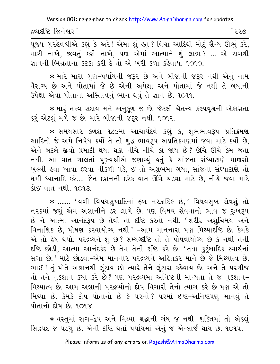દ્રવ્યદષ્ટિ જિનેશ્વર l

િરર૭

पूજ્ય ગુરુદેવશ્રીએ કહ્યું કે અરે! એમાં શું હતું ? વિદ્યા આદિથી મોટું સૈન્ય ઊભું કરે, મારી નાખે, જીવતું કરી નાખે, પણ એમાં આત્માને શું લાભ? ... એ રાગથી જ્ઞાનની ભિન્નતાના કટકા કરી દે તો એ ખરી કળા કહેવાય. ૧૦૧૦.

★ મારે મારા ગુણ−પર્યાયની જરૂર છે અને બીજાની જરૂર નથી એનું નામ વૈરાગ્ય છે અને પોતામાં જે છે એની અપેક્ષા અને પોતામાં જે નથી તે બધાની ઉપેક્ષા એવા પોતાના અસ્તિત્વનું ભાન થવું તે જ્ઞાન છે. ૧૦૧૧.

\* મારૂં તત્ત્વ સદાય મને અનુકૂળ જ છે. જેટલી ચૈતન્ય-કલ્પવૃક્ષની એકાગ્રતા કરું એટલું મળે જ છે. મારે બીજાની જરૂર નથી. ૧૦૧૨.

∗ સમયસાર કળશ ૧૮૯માં આચાર્યદેવે કહ્યું કે, શુભભાવરૂપ પ્રતિક્રમણ આદિનો જે અમે નિષેધ કર્યો તે તો શુદ્ધ ભાવરૂપ અપ્રતિક્રમણમાં જવા માટે કર્યો છે, એને બદલે જીવો પ્રમાદી થયા થકાં નીચે નીચે કાં જાય છે? ઊંચે ઊંચે કેમ જતા નથી. આ વાત ચાલતાં પુજ્યશ્રીએ જણાવ્યું હતું કે સાંજના સંઘ્યાટાણે માણસો ખુલ્લી હવા ખાવા ફરવા નીકળી પડે, ઈ તો અશુભમાં ગયા, સાંજના સંઘ્યાટાણે તો ધર્મી ધ્યાનાદિ કરે.... જૈન દર્શનની દરેક વાત ઊંચે ચડવા માટે છે, નીચે જવા માટે <u> शेध पात नथी. १०१३.</u>

\* ....... 'વળી વિષયસુખાદિનાં ફળ નરકાદિક છે.' વિષયસુખ સેવશું તો નરકમાં જશું એમ અજ્ઞાનીને ડર લાગે છે. પણ વિષય સેવવાનો ભાવ જ દુઃખરૂપ છે ને આત્મા આનંદરૂપ છે તેવી તો દષ્ટિ કરતો નથી. 'શરીર અશુચિમય અને વિનાશિક છે, પોષણ કરવાયોગ્ય નથી ' -આમ માનનારા પણ મિથ્યાદૃષ્ટિ છે. કેમકે એ તો દ્વેષ થયો. ૫૨૬વ્યને શું છે? સમ્યગ્દષ્ટિ તો તે પોષવાયોગ્ય છે કે નથી તેની દૃષ્ટિ છોડી, આત્મા આનંદકંદ છે તેમ તેની દૃષ્ટિ કરે છે. 'તથા કુટુંબાદિક સ્વાર્થનાં સગાં છે.' માટે છોડવા-એમ માનનાર પરદ્રવ્યને અહિતકર માને છે જે મિથ્યાત્વ છે. ભાઈ! તું પોતે અજ્ઞાનથી લુંટાય છો ત્યારે તેને લુંટારા કહેવાય છે. અને તે પરચીજ તો તને નુકશાન કયાં કરે છે? પણ પરદ્રવ્યમાં અનિષ્ટની માન્યતા તે જ નુકશાન-મિથ્યાત્વ છે. આમ અજ્ઞાની પરદ્રવ્યોનો દોષ વિચારી તેનો ત્યાગ કરે છે પણ એ તો મિથ્યા છે. કેમકે દોષ પોતાનો છે કે પરનો? પરમાં ઈષ્ટ-અનિષ્ટપણું માનવું તે પોતાનો દોષ છે. ૧૦૧૪.

\* વસ્તુમાં રાગ-દ્વેષ અને મિથ્યા શ્રદ્ધાની ગંધ જ નથી. શક્તિમાં તો એકલું સિદ્ધપદ જ ૫ડયું છે. એની દૃષ્ટિ થતાં ૫ર્યાયમાં એનું જ એન્લાર્જ થાય છે. ૧૦૧૫.

Please inform us of any errors on Rajesh@AtmaDharma.com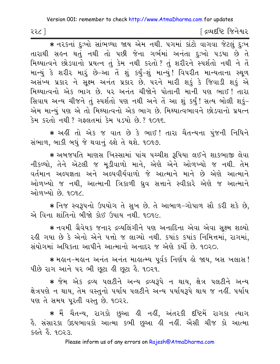૨૨૮ ]

∫ દ્રવ્યદષ્ટિ જિનેશ્વર

\* नरक्षनां हुः भो सांलिल्या श्रय એम नथी. पगमां डांटो वागवा श्रेटलुं हुः भ તારાથી સહન થતું નથી તો પછી જેના ગર્ભમાં અનંતા દુઃખો પડયા છે તે મિથ્યાત્વને છોડવાનો પ્રયત્ન તું કેમ નથી કરતો ? તું શરીરને સ્પર્શતો નથી ને તેં માન્યું કે શરીર મારૂં છે-આ તેં શું કર્યું-શું માન્યું! વિપરીત માન્યતાના સ્થળ અસંખ્ય પ્રકાર ને સૂક્ષ્મ અનંત પ્રકાર છે. પરને મારી શકું કે જિવાડી શકું એ મિથ્યાત્વનો એક ભાગ છે. ૫૨ અનંત ચીજોને પોતાની માની ૫ણ ભાઈ! તારા સિવાય અન્ય ચીજને તું સ્પર્શતો પણ નથી અને તેં આ શું કર્યું! સત્ય બોલી શકું-એમ માન્યું પણ એ તો મિથ્યાત્વનો એક ભાગ છે. મિથ્યાત્વભાવને છોડવાનો પ્રયત્ન કેમ કરતો નથી ? ગફલતમાં કેમ પડયો છે. ? ૧૦૧૬.

\* અહીં તો એક જ વાત છે કે ભાઈ! તારા ચૈતન્યના પંજની નિધિને સંભાળ, બાકી બધું જે થવાનું હશે તે થશે. ૧૦૧૭.

\* અબજપતિ માણસ ખિસ્સામાં પાંચ પચ્ચીશ રૂપિયા લઈને શાકભાજી લેવા નીકળ્યો, તેને એટલી જ મૂડીવાળો માને, એણે એને ઓળખ્યો જ નથી. તેમ વર્તમાન અલ્પજ્ઞતા અને અલ્પવીર્યવાળો જે આત્માને માને છે એણે આત્માને ઓળખ્યો જ નથી, આત્માની ત્રિકાળી ધ્રુવ સત્તાને સ્વીકારે એણે જ આત્માને ઓળખ્યો છે. ૧૦૧૮

★ નિજ સ્વરૂપનો ઉપયોગ તે સુખ છે. તે આબાળ−ગોપાળ સૌ કરી શકે છે, એ વિના શાંતિનો બીજો કોઈ ઉપાય નથી. ૧૦૧૯.

\* નવમી ગ્રૈવેયક જનાર દ્રવ્યલિંગીને પણ અનાદિના એવા એવા સક્ષ્મ શલ્યો રહી ગયા છે કે એનો એને પત્તો જ લાગ્યો નથી. કયાંક કયાંક નિમિત્તમાં. રાગમાં. સંયોગમાં અધિકતા આપીને આત્માનો અનાદર જ એણે કર્યો છે. ૧૦૨૦.

∗ મહાન-મહાન અનંત અનંત માહાત્મ્ય પૂર્વક નિર્ણય હો જાય, બસ ખલાસ ! પીછે રાગ આને ૫૨ ભી છુટા ઢી છુટા ઢે. ૧૦૨૧.

★ જેમ એક દ્રવ્ય ૫લટીને અન્ય દ્રવ્ય૩૫ે ન થાય. ક્ષેત્ર ૫લટીને અન્ય ક્ષેત્રપણે ન થાય, તેમ વસ્તુનો પર્યાય પલટીને અન્ય પર્યાયરૂપે થાય જ નહીં. પર્યાય પણ તે સમય પુરતી વસ્તુ છે. ૧૦૨૨.

<mark>કે. સંસારકા ઉદયભાવકો આત્મા કભી છુઆ ક્ષી ન</mark>હીં. એેસી ચીજ કો આત્મા કહતે હૈ. ૧૦૨૩.

Please inform us of any errors on Rajesh@AtmaDharma.com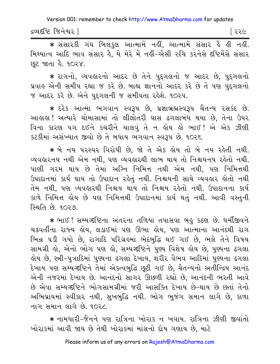દ્રવ્યદષ્ટિ જિનેશ્વર ]

⊺ ર૨૯

\* संसारडी गंध બિલકુલ આત્મામેં નહીં, આત્મામેં સંસાર હૈ હી નહીં. મિથ્યાત્વ આદિ ભાવ સંસાર હૈ, યે મેરે મેં નહીં-એેસી રુચિ કરનેસે દષ્ટિમેંસે સંસાર છટ જાતા *કે.* ૧૦૨૪.

\* રાગનો, વ્યવહારનો આદર છે તેને પુદગલનો જ આદર છે, પુદગલનો પ્રવાહ એની સમીપ રહ્યા જ કરે છે. બાહ્ય જ્ઞાનનો આદર કરે છે તે પણ પુદગલનો જ આદર કરે છે. એને પુદગલની જ સમીપતા રહેશે. ૧૦૨૫.

∗ દરેક આત્મા ભગવાન સ્વરૂપ છે, પ્રજ્ઞાબ્રહ્મસ્વરૂપ ચૈતન્ય રસકંદ છે. આહાહા ! અત્યારે ચોમાસામાં તો લીલોતરી ઘાસ ઢગલાબંધ થયા છે, તેના ઉપર વિના કારણ ૫ગ દઈને કચરીને ચાલવું તે ન હોય હો ભાઈ! એ એક ઝીણી કટકીમાં અસંખ્યાત જીવો છે તે બધાય ભગવાન સ્વરૂપ છે. ૧૦૨૬.

\* બે નય પરસ્પર વિરોધી છે, જો તે એક હોય તો બે નય રહેતી નથી. વ્યવહારનય નથી એમ નથી, પણ વ્યવહારથી લાભ થાય તો નિશ્ચયનય રહેતો નથી. પાણી ગરમ થાય છે તેમાં અગ્નિ નિમિત્ત નથી એમ નથી. પણ નિમિત્તથી ઉપાદાનમાં કાર્ય થાય તો ઉપાદાન રહેતું નથી. નિશ્ચયની સાથે વ્યવહાર હોતો નથી તેમ નથી. પણ વ્યવહારથી નિશ્ચય થાય તો નિશ્ચય રહેતો નથી. ઉપાદાનના કાર્ય કાળે નિમિત્ત હોય છે પણ નિમિત્તથી ઉપાદાનમાં કાર્ય થતું નથી. આવી વસ્તુની સ્થિતિ છે. ૧૦૨૭.

\* ભાઈ ! સમ્યગ્દષ્ટિના અંતરના તળિયા તપાસવા બહુ કઠણ છે. ધર્મીજીવને ચક્રવર્તીના રાજ્ય હોય, લડાઈમાં પણ ઊભા હોય, પણ આત્માના આનંદથી રાગ ભિન્ન પડી ગયો છે, રાગાદિ પરિગ્રહમાં ભેદબુદ્ધિ થઈ ગઈ છે, ભલે તેને વિષય સામગ્રી હો, એનો ભોગ પણ હો, સમ્યગ્દષ્ટિને પુણ્ય વિશેષ હોય છે, પુણ્યના ઢગલા લેય છે, સ્ત્રી−પુત્રાદિમાં પુણ્યના ઢગલાં દેખાય, શરીર વૈભવ આદિમાં પુણ્યના ઢગલા દેખાય પણ સમ્યગ્દષ્ટિને તેમાં એકત્વબુદ્ધિ છૂટી ગઈ છે, ચૈતન્યનો અતીન્દ્રિય આનંદ એની નજરમાં દેખાય છે. આનંદનો સાગર ઊછળી રહ્યો છે, આનંદની ભરતી આવે છે એવા સમ્યગ્દષ્ટિને ભોગસામગ્રીમાં જરી આસક્તિ દેખાય છે-થાય છે છતાં તેનો અભિપ્રાયમાં સ્વીકાર નથી, સુખબુદ્ધિ નથી. ભોગ ભુજંગ સમાન લાગે છે, કાળા નાગ સમાન લાગે છે. ૧૦૨૮

∗ નામધારી−જૈનને પણ રાત્રિના ખોરાક ન ખવાય. રાત્રિના ઝીણી જીવાંતો ખોરાકમાં આવી જાય છે તેથી ખોરાકમાં માંસનો દોષ ગણાય છે, માટે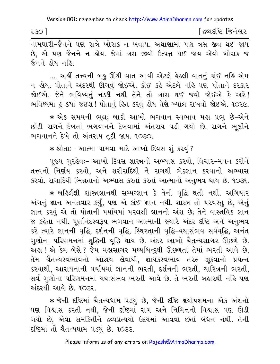[ દ્રવ્યદષ્ટિ જિનેશ્વર २३० ] નામધારી-જૈનને પણ રાત્રે ખોરાક ન ખવાય. અથાણામાં પણ ત્રસ જીવ થઈ જાય

છે. એ પણ જૈનને ન લોય. જેમાં ત્રસ જીવો ઉત્પન્ન થઈ જાય એવો ખોરાક જ જૈનને હોય નહિ

.... અહીં તત્ત્વની બહુ ઊંચી વાત આવી એટલે હેઠલી વાતનું કાંઈ નહિ એમ ન લોય. પોતાને અંદરથી ઊગવું જોઈએ. કોઈ કહે એટલે નહિ પણ પોતાને દરકાર જોઈએ. જેને ભવિષ્યનું નક્કી નથી તેને તો ત્રાસ થઈ જવો જોઈએ કે અરે! ભવિષ્યમાં કું કયાં જઈશ! પોતાનું ક્ષિત કરવું ક્ષેય તેણે ખ્યાલ રાખવો જોઈએ. ૧૦૨૯.

∗ એક સમયની ભૂલ; બાકી આખો ભગવાન સ્વભાવ મહા પ્રભુ છે−એને છોડી રાગને દેખતાં ભગવાનને દેખવામાં અંતરાય પડી ગયો છે. રાગને ભૂલીને ભગવાનને દેખે તો અંતરાય તટી જાય. ૧૦૩૦.

\* શ્રોતાઃ- આત્મા પામવા માટે આખો દિવસ શું કરવું ?

પૂજ્ય ગુરુદેવઃ- આખો દિવસ શાસ્ત્રનો અભ્યાસ કરવો, વિચાર-મનન કરીને તત્ત્વનો નિર્ણય કરવો, અને શરીરાદિથી ને રાગથી ભેદજ્ઞાન કરવાનો અભ્યાસ કરવો. રાગાદિથી ભિન્નતાનો અભ્યાસ કરતાં કરતાં આત્માનો અનુભવ થાય છે. ૧૦૩૧.

★ બઙિર્લક્ષી શાસ્ત્રજ્ઞાનથી સમ્યગ્જ્ઞાન કે તેની વૃદ્ધિ થતી નથી. અગિયાર અંગનું જ્ઞાન અનંતવાર કર્યું, પણ એ કાંઈ જ્ઞાન નથી. શાસ્ત્ર તો પરવસ્તુ છે, એનું જ્ઞાન કરવું એ તો પોતાની પર્યાયમાં પરલક્ષી જ્ઞાનનો અંશ છે; તેને વાસ્તવિક જ્ઞાન જ કહેતા નથી. પુર્ણાનંદસ્વરૂપ ભગવાન આત્માની જ્યારે અંદર દષ્ટિ અને અનુભવ કરે ત્યારે જ્ઞાનની વૃદ્ધિ, દર્શનની વૃદ્ધિ, સ્થિરતાની વૃદ્ધિ-યથાસંભવ સર્વવૃદ્ધિ, અનંત ગુણોના પરિણમનમાં શુદ્ધિની વૃદ્ધિ થાય છે. અંદર આખો ચૈતન્યસાગર ઊછળે છે. અહ્ય! એ કેમ બેસે ? જેમ મહાસાગર મધ્યબિન્દુથી ઊછળતાં તેમાં ભરતી આવે છે, તેમ ચૈતન્યસ્વભાવનો આશ્રય લેવાથી, જ્ઞાયકસ્વભાવ તરફ ઝૂકવાનો પ્રયત્ન કરવાથી, આરાધનાની પર્યાયમાં જ્ઞાનની ભરતી, દર્શનની ભરતી, ચારિત્રની ભરતી, સર્વ ગુણોના પરિણમનમાં યથાસંભવ ભરતી આવે છે. તે ભરતી બહારથી નહિ પણ અંદરથી આવે છે. ૧૦૩૨.

\* જેની દષ્ટિમાં ચૈતન્યધામ ૫ડયું છે, જેની દષ્ટિ ક્ષયોપશમના એક અંશનો પણ વિશ્વાસ કરતી નથી, જેની દષ્ટિમાં રાગ અને નિમિત્તનો વિશ્વાસ પણ ઊડી ગયો છે, એવા સમકિતીને દ્રવ્યપ્રત્યયો ઉદયમાં આવવા છતાં બંધન નથી. તેની દષ્ટિમાં તો ચૈતન્યધામ ૫ડયું છે. ૧૦૩૩.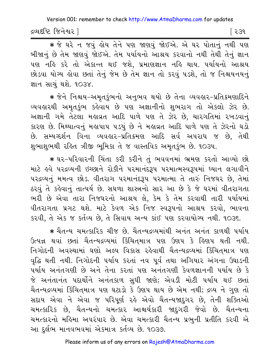દ્રવ્યદષ્ટિ જિનેશ્વર l

િર૩૧

★ જે ઘરે ન જવું હોય તેને પણ જાણવું જોઈએ. એ ઘર પોતાનું નથી પણ બીજાનું છે તેમ જાણવું જોઈએ. તેમ પર્યાયનો આશ્રય કરવાનો નથી તેથી તેનું જ્ઞાન પણ નહિ કરે તો એકાન્ત થઈ જશે, પ્રમાણજ્ઞાન નહિ થાય. પર્યાયનો આશ્રય છોડવા યોગ્ય હોવા છતાં તેનું જેમ છે તેમ જ્ઞાન તો કરવું ૫ડશે. તો જ નિશ્ચયનયનું જ્ઞાન સાચં થશે. ૧૦૩૪.

∗ જેને નિશ્ચય−અમૃતકુંભનો અનુભવ થયો છે તેના વ્યવહાર−પ્રતિ*ક્ર*મણાદિને વ્યવહારથી અમૃતકુંભ કહેવાય છે પણ અજ્ઞાનીનો શુભરાગ તો એકલો ઝેર છે. અજ્ઞાની ગમે તેટલા મહાવ્રત આદિ પાળે પણ તે ઝેર છે, ચારગતિમાં રખડવાનું કારણ છે. મિથ્યાત્વનું મહાપાપ પડયું છે ને મહાવ્રત આદિ પાળે પણ તે ઝેરનો ઘડો છે. સમ્યગ્દર્શન વિના વ્યવહાર-પ્રતિક્રમણ આદિ સર્વ અપરાધ જ છે, તેથી શુભાશુભથી રહિત ત્રીજી ભૂમિકા તે જ વાસ્તવિક અમૃતકુંભ છે. ૧૦૩૫.

\* ઘર-પરિવારની ચિંતા કરી કરીને તું ભવવનમાં ભ્રમણ કરતો આવ્યો છો માટે હવે પરદ્રવ્યની ઇચ્છાને રોકીને પરમાનંદરૂપ પરમાત્મસ્વરૂપમાં ધ્યાન લગાવીને ૫૨દ્રવ્યનું મમત્વ છોડ. વીતરાગ પરમાનંદરૂપ પરમાત્મા તે તારું નિજઘર છે, તેમાં ઠરવું તે કહેવાનું તાત્પર્ય છે. સઘળા શાસ્ત્રનો સાર આ છે કે જે ઘરમાં વીતરાગતા ભરી છે એવા તારા નિજઘરનો આશ્રય લે, કેમ કે તેમ કરવાથી તારી પર્યાયમાં વીતરાગતા પ્રગટ થશે. માટે કેવળ એક નિજ સ્વરૂપનો આશ્રય કરવો, ભાવના કરવી, તે એક જ કર્તવ્ય છે, તે સિવાય અન્ય કાંઈ પણ કરવાયોગ્ય નથી. ૧૦૩૬.

∗ ચૈતન્ય ચમત્કારિક ચીજ છે. ચૈતન્યદ્રવ્યમાંથી અનંત અનંત કાળથી પર્યાય ઉત્પન્ન થવાં છતાં ચૈતન્યદ્રવ્યમાં કિંચિતમાત્ર પણ ઉણપ કે હિણપ થતી નથી. નિગોદની અવસ્થામાં ઘણો અલ્પ વિકાસ રહેવાથી ચૈતન્યદ્રવ્યમાં કિંચિતમાત્ર પણ વૃદ્ધિ થતી નથી. નિગોદની પર્યાય કરતાં નવ પૂર્વ તથા અગિયાર અંગના ઉઘાડની પર્યાય અનંતગણી છે અને તેના કરતાં પણ અનંતગણી કેવળજ્ઞાનની પર્યાય છે કે જે અનંતાનંત પદાર્થોને અનંતકાળ સુધી જાણે; એવડી મોટી પર્યાય થઈ છતાં ચૈતન્યદ્રવ્યમાં કિંચિતમાત્ર પણ ઘટાડો કે ઉણપ થાય છે એમ નથી; દ્રવ્ય ને ગુણ તો સદાય એવા ને એવા જ પરિપૂર્ણ રહે એવો ચૈતન્યજાદ્ગર છે, તેની શક્તિઓ ચમત્કારિક છે, ચૈતન્યનો ચમત્કાર આશ્ચર્યકારી જાદગરી જેવો છે. ચૈતન્યના ચમત્કારનો મહિમા અપરંપાર છે. એવા ચમત્કારી ચૈતન્ય પ્રભુની પ્રતીતિ કરવી એ આ દુર્લભ માનવભવમાં એકમાત્ર કર્તવ્ય છે. ૧૦૩૭.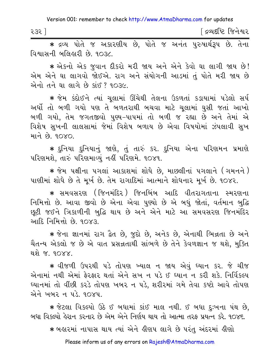| -             | જિનેશ્વર       |
|---------------|----------------|
| $\sim$ $\sim$ | ત્રવ્ય દ્રા છે |
| રડર           | $\sim$         |
|               |                |

\* દ્રવ્ય પોતે જ અકારણીય છે. પોતે જ અનંત પુરુષાર્થરૂપ છે. તેના વિશાસની બલિહારી છે. ૧૦૩૮.

★ એકનો એક જુવાન દીકરો મરી જાય અને એને કેવો ઘા લાગી જાય છે! એમ એને ઘા લાગવો જોઈએ. રાગ અને સંયોગની આડમાં તું પોતે મરી જાય છે એનો તને ઘા લાગે છે કાંઈ ? ૧૦૩૯.

\* જેમ કંદોઈને ત્યાં ચલામાં ઊંચેથી તેલના ઉકળતાં કડાયામાં પડેલો સર્પ અર્ધો તો બળી ગયો પણ તે બળતરાથી બચવા માટે ચુલામાં ઘુસી જતાં આખો બળી ગયો, તેમ જગતજીવો પુણ્ય-પાપમાં તો બળી જ રહ્યા છે અને તેમાં એ વિશેષ સુખની લાલસામાં જેમાં વિશેષ બળાય છે એવા વિષયોમાં ઝંપલાવી સુખ भाने છे 90XO

\* દુનિયા દુનિયાનું જાણે, તું તારું કર. દુનિયા એના પરિણમન પ્રમાણે ૫રિણમશે, તારું પરિણમાવ્યું નહીં પરિણમે. ૧૦૪૧.

★ જેમ પક્ષીના પગલાં આકાશમાં શોધે છે, માછલીનાં પગલાને (ગમનને ) પાણીમાં શોધે છે તે મૂર્ખ છે. તેમ રાગાદિમાં આત્માને શોધનાર મૂર્ખ છે. ૧૦૪૨.

∗ સમવસરણ (જિનમંદિર ) જિનબિંબ આદિ વીતરાગતાના સ્મરણના નિમિત્તો છે. આવા જીવો છે એના એવા પુણ્યો છે એ બધું જોતાં, વર્તમાન બુદ્ધિ છુટી જઈને ત્રિકાળીની બુદ્ધિ થાય છે અને એને માટે આ સમવસરણ જિનમંદિર આદિ નિમિત્તો છે. ૧૦૪૩.

\* જેના જ્ઞાનમાં રાગ દ્વૈત છે, જુદો છે, અનેક છે, એનાથી ભિન્નતા છે અને ચૈતન્ય એકલો જ છે એ વાત પ્રસન્નતાથી સાંભળે છે તેને કેવળજ્ઞાન જ થશે, મુક્તિ થશે જ ૧૦૪૪

\* વીજળી ઉપરથી પડે તોપણ ખ્યાલ ન જાય એવું ઘ્યાન કર. જે ચીજ એનામાં નથી એમાં ફેરફાર થતાં એને સખ ન પડે ઈ ધ્યાન ન કરી શકે. નિર્વિકલ્પ ઘ્યાનમાં તો વીંછી કરડે તોપણ ખબર ન પડે. શરીરમાં ગમે તેવા કષ્ટો આવે તોપણ એને ખબર ન પડે. ૧૦૪૫.

★ જેટલા વિકલ્પો ઉઠે ઈ બધામાં કાંઈ માલ નથી. ઈ બધા દુઃખના પંથ છે, બધા વિકલ્પો હેરાન કરનાર છે એમ એને નિર્ણય થાય તો આત્મા તરફ પ્રયત્ન કરે. ૧૦૪૬.

∗ બહારમાં નાપાસ થાય ત્યાં એને હીણપ લાગે છે પરંતુ અંદરમાં હીણો

Please inform us of any errors on Rajesh@AtmaDharma.com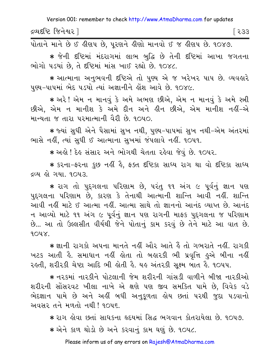દ્રવ્યદષ્ટિ જિનેશ્વર l િર૩૩

.<br>પોતાને માને છે ઈ લીણપ છે, પૂરણને લીણો માનવો ઈ જ લીણપ છે. ૧૦૪૭.

★ જેની દષ્ટિમાં મંદરાગમાં લાભ બુદ્ધિ છે તેની દષ્ટિમાં આખા જગતના ભોગો પડયાં છે, તે દષ્ટિમાં માંસ ખાઈ રહ્યો છે. ૧૦૪૮.

\* આત્માના અનભવની દષ્ટિએ તો પણ્ય એ જ ખરેખર પાપ છે. વ્યવહારે પુણ્ય-પાપમાં ભેદ ૫ડયો ત્યાં અજ્ઞાનીને લોશ આવે છે. ૧૦૪૯.

★ અરે! એમ ન માનવં કે અમે અભણ છીએ. એમ ન માનવં કે અમે સ્ત્રી છીએ, એમ ન માનીશ કે અમે દીન અને હીન છીએ, એમ માનીશ નહીં-એ માન્યતા જ તારા પરમાત્માની વૈરી છે. ૧૦૫૦.

\* જ્યાં સુધી એને પૈસામાં સુખ નથી, પુણ્ય-પાપમાં સુખ નથી-એમ અંતરમાં ભાસે નહીં, ત્યાં સુધી ઈ આત્માના સુખમાં જંપલાવે નહીં. ૧૦૫૧.

\* અહો ! દેહ સંસાર અને ભોગથી ચેતતા રહેવા જેવું છે. ૧૦૫૨.

\* કરના-ફરના કુછ નહીં હૈ, ફક્ત દૃષ્ટિકા સાધ્ય રાગ થા વો દૃષ્ટિકા સાધ્ય દ્રવ્ય હો ગયા. ૧૦૫૩.

\* રાગ તો પુદ્દગલના પરિણામ છે, પરંતુ ૧૧ અંગ ૯ પૂર્વનું જ્ઞાન પણ પુદ્ગલના પરિણામ છે, કારણ કે તેનાથી આત્માની શાન્તિ આવી નહીં. શાન્તિ આવી નહીં માટે ઈ આત્મા નહીં. આત્મા સાથે તો જ્ઞાનનો આનંદ વ્યાપ્ત છે. આનંદ ન આવ્યો માટે ૧૧ અંગ ૯ પર્વનું જ્ઞાન પણ રાગની માફક પુદગલના જ પરિણામ છે... આ તો ઉલ્લસીત વીર્યથી જેને પોતાનું કામ કરવું છે તેને માટે આ વાત છે.  $904X$ 

\* જ્ઞાની રાગકો અપના માનતે નહીં ઔર આતે હૈ તો ગભરાતે નહીં. રાગકી ખટક આતી કે. સમાધાન નહીં હોતા તો બહારકી ભી પ્રવૃત્તિ હુએ બીના નહીં રકતી, શરીરકી ચેપ્ટા આદિ ભી ક્રોતી કે. યક અંતરકી સુક્ષ્મ બાત કે. ૧૦૫૫.

\* નરકમાં નારકીને પોટલાની જેમ શરીરની ગાંસડી વાળીને બીજા નારકીઓ શરીરની સોંસરવટ ખીલા નાખે એ ક્ષણે પણ જીવ સમકિત પામે છે. વિવેક વડે ભેદજ્ઞાન પામે છે અને અહીં બધી અનુકૂળતા હોય છતાં ૫૨થી જુદા ૫ડવાનો અવસર તને મળતો નથી ! ૧૦૫૬.

\* રાગ લોવા છતાં સાધકના હૃદયમાં સિદ્ધ ભગવાન કોતરાયેલા છે. ૧૦૫૭. \* એને કાળ થોડો છે અને કરવાનું કામ ઘણું છે. ૧૦૫૮.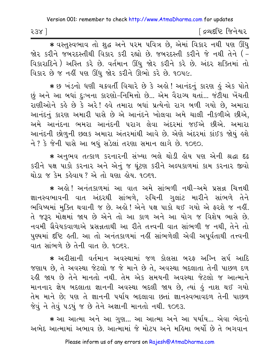| 538 | <u>[</u> દ્રવ્યદષ્ટિ જિનેશ્વર |
|-----|-------------------------------|
|-----|-------------------------------|

∗ વસ્તુસ્વભાવ તો શુદ્ધ અને પરમ પવિત્ર છે, એમાં વિકાર નથી પણ ઊંધુ જોર કરીને જબરદસ્તીથી વિકાર કરી રહ્યો છે. જબરદસ્તી કરીને જે નથી તેને (-વિકારાદિને) અસ્તિ કરે છે. વર્તમાન ઊંધુ જોર કરીને કરે છે. અંદર શક્તિમાં તો વિકાર છે જ નહીં પણ ઊંધુ જોર કરીને ઊભો કરે છે. ૧૦૫૯.

∗ છ ખંડનો ધણી ચક્રવર્તી વિચારે છે કે અલે! આનંદનું કારણ હું એક પોતે છું અને આ બધાં દુઃખના કારણો-નિમિત્તો છે... એમ વૈરાગ્ય થતાં... જંટીયા ખેંચતી રાણીઓને કહે છે કે અરે! હવે તમારા બધાં પ્રત્યેનો રાગ બળી ગયો છે, અમારા આનંદનું કારણ અમારી પાસે છે એ આનંદને ખોલવા અમે ચાલી નીકળીએ છીએ, અમે આનંદના ભમરા આનંદની પરાગ લેવા અંદરમાં જઈએ છીએ. અમારા આનંદની છોળુની છલક અમારા અંતરમાંથી આવે છે. એણે અંદરમાં કાંઈક જોયું હશે ને ? કે જેની પાસે આ બધું સડેલાં તરણા સમાન લાગે છે. ૧૦૬૦.

∗ અનુભવ તત્કાળ કરનારની સંખ્યા ભલે થોડી હોય પણ એની શ્રદ્ધા દઢ કરીને પક્ષ પાકો કરનાર અને એનું જ ઘૂંટણ કરીને અલ્પકાળમાં કામ કરનાર જીવો થોડા જ કેમ કહેવાય ? એ તો ઘણા હોય. ૧૦૬૧.

\* અલે! અનંતકાળમાં આ વાત અમે સાંભળી નથી-અમે પ્રસન્ન ચિત્તથી જ્ઞાનસ્વભાવની વાત અંદરથી સાંભળે, રુચિની ગુલાંટ મારીને સાંભળે તેને ભવિષ્યમાં મુક્તિ થવાની જ છે. અહો! એને પક્ષ પાકો થઈ ગયો એ ફરશે જ નહીં. તે જરૂર મોક્ષમાં જાય છે એને તો આ કાળ અને આ યોગ જ વિશેષ ભાસે છે. નવમી ગ્રૈવેયકવાળાએ પ્રસન્નતાથી આ રીતે તત્ત્વની વાત સાંભળી જ નથી, તેને તો પુણ્યમાં દષ્ટિ હતી. આ તો અનંતકાળમાં નહીં સાંભળેલી એવી અપૂર્વતાથી તત્ત્વની વાત સાંભળે છે તેની વાત છે. ૧૦૬૨.

\* અરીસાની વર્તમાન અવસ્થામાં જળ કોલસા બરફ અગ્નિ સર્પ આદિ જણાય છે, તે અવસ્થા જેટલો જ જે માને છે તે, અવસ્થા બદલાતા તેની પાછળ દળ રહી જાય છે તેને માનતો નથી. તેમ એક સમયની અવસ્થા જેટલો જ આત્માને માનનાર જ્ઞેય બદલાતા જ્ઞાનની અવસ્થા બદલી જાય છે, ત્યાં હું નાશ થઈ ગયો તેમ માને છે; પણ તે જ્ઞાનની પર્યાય બદલાવા છતાં જ્ઞાનસ્વભાવદળ તેની પાછળ જેવું ને તેવું ૫ડયું જ છે તેને અજ્ઞાની માનતો નથી. ૧૦૬૩.

★ આ આત્મા અને આ ગુણ... આ આત્મા અને આ પર્યાય... એવા ભેદનો અભેદ આત્મામાં અભાવ છે. આત્મામાં જે મોટપ અને મહિમા ભર્યો છે તે ભગવાન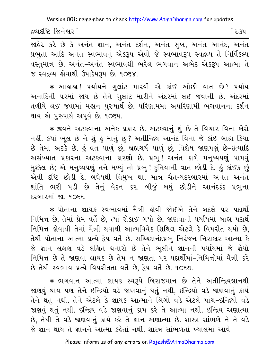દ્રવ્યદષ્ટિ જિનેશ્વર ]

<u> જાહેર કરે છે કે અનંત જ્ઞાન, અનંત દર્શન, અનંત સુખ, અનંત આનંદ, અનંત</u> પ્રભુતા આદિ અનંત સ્વભાવનું એકરૂપ એવો જે સ્વભાવરૂપ સ્વદ્રવ્ય તે નિર્વિકલ્પ વસ્તુમાત્ર છે. અનંત-અનંત સ્વભાવથી ભરેલ ભગવાન અભેદ એકરૂપ આત્મા તે જ સ્વદ્રવ્ય હોવાથી ઉપાદેયરૂપ છે. ૧૦૬૪.

\* આહાહા ! પર્યાયને ગુલાંટ મારવી એ કાંઈ ઓછી વાત છે? પર્યાય અનાદિની પરમાં જાય છે તેને ગુલાંટ મારીને અંદરમાં લઈ જવાની છે. અંદરમાં તળીયે લઈ જવામાં મહાન પુરુષાર્થ છે. પરિણામમાં અપરિણામી ભગવાનના દર્શન થાય એ પુરુષાર્થ અપૂર્વ છે. ૧૦૬૫.

∗ જીવને અટકવાના અનેક પ્રકાર છે. અટકવાનું શું છે તે વિચાર વિના બેસે નહીં. કયાં ભૂલ છે ને શું હું માનું છું? અતીન્દ્રિય આનંદ વિના જે કાંઈ બાહ્ય ક્રિયા છે તેમાં અટકે છે. કું વ્રત પાળું છું, બ્રહ્મચર્ય પાળું છું, વિશેષ જાણપણું છે-ઇત્યાદિ અસંખ્યાત પ્રકારના અટકવાના કારણો છે. પ્રભુ! અનંત કાળે મનુષ્યપણું પામવું મુશ્કેલ છે; એ મનુષ્યપણું તને મળ્યું તો પ્રભુ! દુનિયાની વાત છોડી દે. હું કાંઈક છું એવી દષ્ટિ છોડી દે. બધેયથી વિમુખ થા. માત્ર ચૈતન્યદરબારમાં અનંત અનંત શાંતિ ભરી ૫ડી છે તેનું વેદન કર. બીજું બધું છોડીને આનંદકંદ પ્રભુના દરબારમાં જા. ૧૦૬૬.

\* પોતાના જ્ઞાયક સ્વભાવમાં મૈત્રી હોવી જોઈએ તેને બદલે પર પદાર્થો નિમિત્ત છે, તેમાં પ્રેમ વર્તે છે, ત્યાં રોકાઈ ગયો છે, જાણવાની પર્યાયમાં બાહ્ય પદાર્થ નિમિત્ત હોવાથી તેમાં મૈત્રી થવાથી આત્મવિવેક શિથિલ એટલે કે વિપરીત થયો છે. તેથી પોતાના આત્મા પ્રત્યે દ્વેષ વર્તે છે. સચ્ચિદાનંદપ્રભુ નિરંજન નિરાકાર આત્મા કે જે જ્ઞાન લક્ષણ વડે લક્ષિત થનારો છે તેને ભૂલીને જ્ઞાનની પર્યાયમાં જે જ્ઞેયો નિમિત્ત છે તે જાણવા લાયક છે તેમ ન જાણતાં પર પદાર્થોમાં-નિમિત્તોમાં મૈત્રી કરે છે તેથી સ્વભાવ પ્રત્યે વિપરીતતા વર્તે છે, દ્વેષ વર્તે છે. ૧૦૬૭.

\* ભગવાન આત્મા જ્ઞાયક સ્વરૂપે બિરાજમાન છે તેને અતીન્દ્રિયજ્ઞાનથી જાણવું થાય પણ તેને ઇન્દ્રિયો વડે જાણવાનું થતું નથી, ઇન્દ્રિયો વડે જાણવાનું કાર્ય તેને થતું નથી. તેને એટલે કે જ્ઞાયક આત્માને લિંગો વડે એટલે પાંચ-ઇન્દ્રિયો વડે જાણવું થતું નથી. ઇન્દ્રિય વડે જાણવાનું કામ કરે તે આત્મા નથી. ઇન્દ્રિય અણાત્મા છે, તેથી તે વડે જાણવાનું કાર્ય કરે તે જ્ઞાન અણાત્મા છે. શાસ્ત્ર સાંભળે ને તે વડે જે જ્ઞાન થાય તે જ્ઞાનને આત્મા કહેતાં નથી. શાસ્ત્ર સાંભળતાં ખ્યાલમાં આવે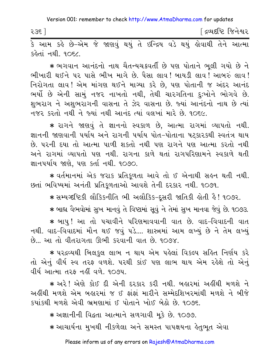∫ દ્રવ્યદષ્ટિ જિનેશ્વર २३६ ] 

કહેતાં નથી, ૧૦૬૮,

★ ભગવાન આનંદનો નાથ ચૈતન્યચક્રવર્તી છે પણ પોતાને ભૂલી ગયો છે ને ભીખારી થઈને પર પાસે ભીખ માગે છે. પૈસા લાવ! બાયડી લાવ! આબરું લાવ! નિરોગતા લાવ! એમ માંગણ થઈને માગ્યા કરે છે, પણ પોતાની જ અંદર આનંદ ભર્યો છે એની સામું નજર નાખતો નથી, તેથી ચારગતિના દુઃખોને ભોગવે છે. શુભરાગ ને અશુભરાગની વાસના તે ઝેર વાસના છે. જ્યાં આનંદનો નાથ છે ત્યાં નજર કરતો નથી ને જ્યાં નથી આનંદ ત્યાં વલખાં મારે છે. ૧૦૬૯.

★ રાગને જાણવું તે જ્ઞાનનો સ્વકાળ છે, આત્મા રાગમાં વ્યાપતો નથી. જ્ઞાનની જાણવાની પર્યાય અને રાગની પર્યાય પોત-પોતાના ષટકારકથી સ્વતંત્ર થાય છે. ૫૨ની દયા તો આત્મા પાળી શકતો નથી ૫ણ રાગને ૫ણ આત્મા કરતો નથી અને રાગમાં વ્યાપતો પણ નથી. રાગના કાળે થતાં રાગપરિણામને સ્વકાળે થતી જ્ઞાનપર્યાય જાણે, પણ કર્તા નથી. ૧૦૭૦.

★ વર્તમાનમાં એક જરાક પ્રતિકૂળતા આવે તો ઈ એનાથી સહન થતી નથી. છતાં ભવિષ્યમાં અનંતી પ્રતિકુળતાઓ આવશે તેની દરકાર નથી. ૧૦૭૧.

∗ સમ્યગ્દષ્ટિકી લૌકિકનીતિ ભી અલૌકિક-દૂસરી જાતિકી હોતી હૈ ! ૧૦૭૨.

★ બાહ્ય વૈભવોમાં સુખ માનવું તે વિષ્ટામાં સુવું ને તેમાં સુખ માનવા જેવું છે. ૧૦૭૩.

\* બાપુ ! આ તો પચાવીને પરિણમાવવાની વાત છે. વાદ-વિવાદની વાત નથી. વાદ-વિવાદમાં મૌન થઈ જવું પડે.... શાસ્ત્રમાં આમ લખ્યું છે ને તેમ લખ્યું છે... આ તો વીતરાગતા ઊભી કરવાની વાત છે. ૧૦૭૪.

\* ૫૨૬વ્યથી બિલકુલ લાભ ન થાય એમ પહેલાં વિકલ્પ સહિત નિર્ણય કરે તો એનું વીર્ય સ્વ તરફ વળશે. પરથી કાંઈ પણ લાભ થાય એમ રહેશે તો એનું વીર્ય આત્મા તરફ નહીં વળે. ૧૦૭૫.

★ અરે ! એણે કોઈ દી એની દરકાર કરી નથી. બહારમાં અહીંથી મળશે ને અહીંથી મળશે એમ બહારમાં જ ઈ ફાંફાં મારીને સમ્મેદશિખરમાંથી મળશે ને બીજે કયાંકથી મળશે એવી ભ્રમણામાં ઈ પોતાને ખોઈ બેઠો છે. ૧૦૭૬.

∗ અજ્ઞાનીની વિદ્વતા આત્માને સળગાવી મૂકે છે. ૧૦૭૭.

∗ આચાર્યના મુખથી નીકળેલા અને સમસ્ત પાપક્ષયના હેતુભુત એવા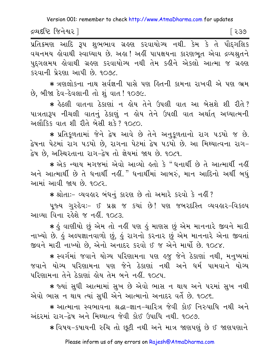દ્રવ્યદષ્ટિ જિનેશ્વર ]

પ્રતિક્રમણ આદિ રૂપ શુભભાવ ગ્રહણ કરવાયોગ્ય નથી. કેમ કે તે પૌદગલિક પુદ્ગલમય હોવાથી ગ્રહણ કરવાયોગ્ય નથી તેમ કહીને એકલો આત્મા જ ગ્રહણ કરવાની પ્રેરણા આપી છે. ૧૦૭૮.

\* ત્રણલોકના નાથ સર્વજ્ઞની પાસે પણ હિતની કામના રાખવી એ પણ ભ્રમ છે. બીજા દેવ-દેવલાની તો શં વાત ! ૧૦૭૯.

\* કેઠલી વાતના ઠેકાણાં ન ક્રોય તેને ઉપલી વાત આ બેસશે શી રીતે? પાત્રતારૂપ નીચલી વાતનું ઠેકાણું ન હોય તેને ઉપલી વાત અર્થાત અઘ્યાત્મની અલૌકિક વાત શી રીતે બેસી શકે? ૧૦૮૦.

\* પ્રતિકળતામાં જેને દ્વેષ આવે છે તેને અનુકળતાનો રાગ ૫ડયો જ છે. દ્વેષના પેટમાં રાગ ૫ડયો છે, રાગના પેટમાં દ્વેષ ૫ડયો છે. આ મિથ્યાત્વના રાગ− દ્વેષ છે, અસ્થિરતાના રાગ−દ્વેષ તો જ્ઞેયમાં જાય છે. ૧૦૮૧.

★ એક ન્યાય મગજમાં એવો આવ્યો હતો કે "ધનાર્થી છે તે આત્માર્થી નહીં અને આત્માર્થી છે તે ધનાર્થી નહીં." ધનાર્થીમાં આબરું, માન આદિનો અર્થી બધું આમાં આવી જાય છે. ૧૦૮૨.

\* श्रोता :- व्यवड़ार બंधनुं डारण छे तो अभारे sरवो डे नहीं?

પુજ્ય ગુરુદેવઃ- ઈ પ્રશ્ન જ કયાં છે! પણ જબરદસ્તિ વ્યવહાર-વિકલ્પ આવ્યા વિના રહેશે જ નહીં. ૧૦૮૩.

∗ કું વાણીયો છું એમ તો નકીં પણ કું માણસ છું એમ માનનારે જીવને મારી નાખ્યો છે. કું અલ્પજ્ઞાનવાળો છું, કું રાગનો કરનાર છું એમ માનનારે એના જીવતાં જીવને મારી નાખ્યો છે, એનો અનાદર કરવો ઈ જ એને માર્યો છે. ૧૦૮૪.

\* સ્વર્ગમાં જવાને યોગ્ય પરિણામના પણ હજુ જેને ઠેકાણાં નથી, મનુષ્યમાં જવાને યોગ્ય પરિણામના પણ જેને ઠેકાણાં નથી અને ધર્મ પામવાને યોગ્ય પરિણામના તેને ઠેકાણાં હોય તેમ બને નહીં. ૧૦૮૫.

★ જ્યાં સુધી આત્મામાં સુખ છે એવો ભાસ ન થાય અને પરમાં સુખ નથી એવો ભાસ ન થાય ત્યાં સુધી એને આત્માનો અનાદર વર્તે છે. ૧૦૮૬.

∗ આત્માના સ્વભાવના શ્રદ્ધા−જ્ઞાન−ચારિત્ર જેવી કોઈ નિરુપાધિ નથી અને અંદરમાં રાગ-દેષ અને મિથ્યાત્વ જેવી કોઈ ઉપાધિ નથી. ૧૦૮૭.

\* વિષય-કપાયની રુચિ તો છુટી નથી અને માત્ર જાણપણું છે ઈ જાણપણાને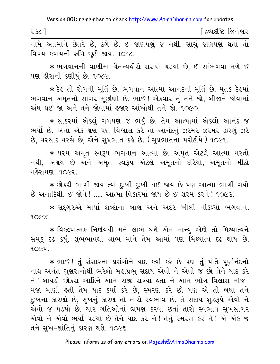| २३८ |                                                                                                                                                                             |  |  |  |  | <u>[</u> દ્રવ્યદૃષ્ટિ જિનેશ્વર |  |
|-----|-----------------------------------------------------------------------------------------------------------------------------------------------------------------------------|--|--|--|--|--------------------------------|--|
|     | $\overrightarrow{a}$ and igure more fits the series of $\overrightarrow{a}$ of $\overrightarrow{c}$ of $\overrightarrow{c}$ of $\overrightarrow{a}$ of $\overrightarrow{a}$ |  |  |  |  |                                |  |

નામે આત્માને છેતરે છે, ઠગે છે. ઈ જાણપણું જ નથી. સાચું જાણપણું થતાં તો વિષય-કપાયની રુચિ છૂટી જાય. ૧૦૮૮.

\* ભગવાનની વાણીમાં ચૈતન્યહીરો સરાણે ચડયો છે, ઈ સાંભળવા મળે ઈ પણ હીરાની કણીયું છે. ૧૦૮૯.

\* દેઙ તો રોગની મૂર્તિ છે, ભગવાન આત્મા આનંદની મૂર્તિ છે. મૃતક દેઙ્માં ભગવાન અમૃતનો સાગર મૂછીણો છે. ભાઈ ! એકવાર તું તને જો, બીજાને જોવામાં અંધ થઈ જા અને તને જોવામાં હજાર આંખોથી તને જો. ૧૦૯૦.

\* સાકરમાં એકલું ગળપણ જ ભર્યું છે. તેમ આત્મામાં એકલો આનંદ જ ભર્યો છે. એનો એક ક્ષણ પણ વિશ્વાસ કરે તો આનંદનું ઝરમર ઝરમર ઝરણું ઝરે છે. વરસાદ વરસે છે. એને સપ્રભાત કહે છે. (સપ્રભાતના પરોઢીયે ) ૧૦૯૧.

\* પરમ અમૃત સ્વરૂપ ભગવાન આત્મા છે. અમૃત એટલે આત્મા મરતો નથી, અક્ષય છે અને અમૃત સ્વરૂપ એટલે અમૃતનો દરિયો, અમૃતનો મીઠો મહેરામણ, ૧૦૯૨.

\* છોકરી ભાગી જાય ત્યાં દુઃખી દુઃખી થઈ જાય છે પણ આત્મા ભાગી ગયો છે અનાદિથી, ઈ જોને ! ..... આત્મા વિકારમાં જાય છે ઈ શરમ કરને ! ૧૦૯૩.

★ સદ્ગુરુએ માર્યા શબ્દોના બાણ અને અંદર ખીલી નીકળ્યો ભગવાન.  $90$  $\times$  $\times$ 

\* વિકલ્પાત્મક નિર્ણયથી મને લાભ થશે એમ માન્યું એણે તો મિથ્યાત્વને સમુક દઢ કર્યું. શુભભાવથી લાભ માને તેમ આમાં પણ મિથ્યાત્વ દઢ થાય છે.  $90CY$ 

\* ભાઈ ! તું સંસારના પ્રસંગોને યાદ કર્યા કરે છે પણ તું પોતે પૂર્ણાનંદનો નાથ અનંત ગુણરત્નોથી ભરેલો મહાપ્રભુ સદાય એવો ને એવો જ છો તેને યાદ કરે ને ! બાયડી છોકરા આદિને આમ રાજી રાખ્યા હતા ને આમ ભોગ-વિલાસ મોજ-મજા માણી હતી તેમ યાદ કર્યા કરે છે. સ્મરણ કરે છો પણ એ તો બધા તને દુઃખના કારણો છે, સુખનું કારણ તો તારો સ્વભાવ છે. તે સદાય શુદ્ધરૂપે એવો ને એવો જ પડયો છે. ચાર ગતિઓનાં ભ્રમણ કરવા છતાં તારો સ્વભાવ સુખસાગર એવો ને એવો ભર્યો ૫ડયો છે તેને યાદ કર ને! તેનું સ્મરણ કર ને! એ એક જ તને સુખ-શાંતિનું કારણ થશે. ૧૦૯૬.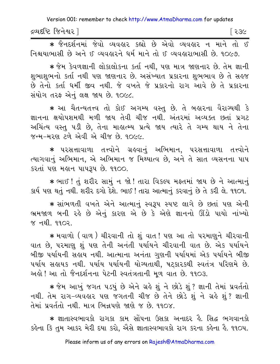| દ્રવ્યદષ્ટિ જિનેશ્વર |  |
|----------------------|--|
|                      |  |

\* જૈનદર્શનમાં જેવો વ્યવહાર કહ્યો છે એવો વ્યવહાર ન માને તો ઈ નિશ્ચયાભાસી છે અને ઈ વ્યવહારને ધર્મ માને તો ઈ વ્યવહારાભાસી છે. ૧૦૯૭.

∗ જેમ કેવળજ્ઞાની લોકાલોકના કર્તા નથી. પણ માત્ર જાણનાર છે. તેમ જ્ઞાની શભાશભનો કર્તા નથી પણ જાણનાર છે. અસંખ્યાત પ્રકારના શભભાવ છે તે સહજ છે તેનો કર્તા ધર્મી જીવ નથી. જે વખતે જે પ્રકારનો રાગ આવે છે તે પ્રકારના સંયોગ તરફ એનું લક્ષ જાય છે. ૧૦૯૮.

\* આ ચૈતન્યતત્ત્વ તો કોઈ અગમ્ય વસ્ત છે. તે બહારના વૈરાગ્યથી કે જ્ઞાનના ક્ષયોપશમથી મળી જાય તેવી ચીજ નથી. અંતરમાં અવ્યક્ત છતાં પ્રગટ અચિંત્ય વસ્તુ ૫ડી છે, તેના માહાત્મ્ય પ્રત્યે જાય ત્યારે તે ગમ્ય થાય ને તેના જન્મ-મરણ ટળે એવી એ ચીજ છે. ૧૦૯૯.

\* પરસત્તાવાળા તત્ત્વોને ગ્રહવાનું અભિમાન, પરસત્તાવાળા તત્ત્વોને ત્યાગવાનું અભિમાન, એ અભિમાન જ મિથ્યાત્વ છે, અને તે સાત વ્યસનના પાપ કરતાં પણ મહાન પાપરૂપ છે. ૧૧૦૦.

\* ભાઈ ! તું શરીર સામું ન જો ! તારા વિકલ્પ મફતમાં જાય છે ને આત્માનું કાર્ય પણ થતું નથી. શરીર દગો દેશે. ભાઈ ! તારા આત્માનું કરવાનું છે તે કરી લે. ૧૧૦૧.

\* सांભળતી વખતે એને આત્માનું સ્વરૂપ સ્પષ્ટ લાગે છે છતાં પણ એની ભ્રમજાળ બની રહે છે એનું કારણ એ છે કે એણે જ્ઞાનનો ઊંડો પાયો નાંખ્યો % नथी, ११०२.

\* મવાળો (વાળ) ચીરવાની તો શું વાત! પણ આ તો પરમાણને ચીરવાની વાત છે, પરમાણુ શું પણ તેની અનંતી પર્યાયને ચીરવાની વાત છે. એક પર્યાયને બીજી પર્યાયની સહાય નથી. આત્માના અનંતા ગુણની પર્યાયમાં એક પર્યાયને બીજી ૫ર્યાય સહાયક નથી. ૫ર્યાય ૫ર્યાયની યોગ્યતાથી, ષટ્કારકથી સ્વતંત્ર પરિણમે છે. અલે! આ તો જૈનદર્શનના પેટની સ્વતંત્રતાની મળ વાત છે. ૧૧૦૩.

∗ જેમ આખું જગત ૫ડયું છે એને ગ્રહે શું ને છોડે શું ? જ્ઞાની તેમાં પ્રવર્તતો નથી. તેમ રાગ-વ્યવહાર પણ જગતની ચીજ છે તેને છોડે શું ને ગ્રહે શું? જ્ઞાની તેમાં પ્રવર્તતો નથી. માત્ર ભિન્નપણે જાણે જ છે. ૧૧૦૪.

કર્લ્રના કિ તુમ આકર મેરી દયા કરો, એેસે જ્ઞાતાસ્વભાવકો રાગ કરના કર્લ્રના હૈ. ૧૧૦૫.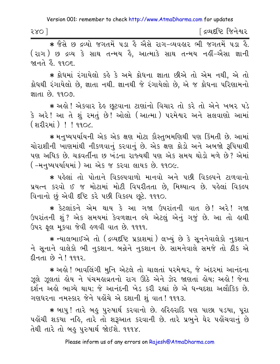\* જૈસે છ દ્રવ્યો જગતમેં ૫ડા કે ઐસે રાગ-વ્યવકાર ભી જગતમેં ૫ડા કે. ( રાગ ) છ દ્રવ્ય કે સાથ તન્મય કે, આત્માકે સાથ તન્મય નહીં-એેસા જ્ઞાની <u>જાનતે ફેં. ૧૧૦૬.</u>

\* ક્રોધમાં રંગાયેલો કહે કે અમે ક્રોધના જ્ઞાતા છીએ તો એમ નથી, એ તો ક્રોધથી રંગાયેલો છે, જ્ઞાતા નથી. જ્ઞાનથી જે રંગાયેલો છે, એ જ ક્રોધના પરિણામનો 9109 63 1111

∗ અલ્રો ! એકવાર દેલ્ર છુટવાના ટાણાંનો વિચાર તો કરે તો એને ખબર પડે .<br>કે અરે! આ તે શું રમતું છે! ઓલો (આત્મા) પરમેશ્વર અને સલવાણો આમાં (શરીરમાં) ! ! ૧૧૦૮.

\* મનુષ્યપર્યાયની એક એક ક્ષણ મોટા કૌસ્તુભમણિથી પણ કિંમતી છે. આમાં ચોરાશીની ખાણમાંથી નીકળવાનું કરવાનું છે. એક ક્ષણ ક્રોડો અને અબજો રૂપિયાથી પણ અધિક છે. ચક્રવર્તીના છ ખંડના રાજ્યથી પણ એક સમય થોડો મળે છે? એમાં ( –મનુષ્યપર્યાયમાં ) આ એક જ કરવા લાયક છે. ૧૧૦૯.

\* પહેલાં તો પોતાને વિકલ્પવાળો માનવો અને પછી વિકલ્પને ટાળવાનો પ્રયત્ન કરવો ઈ જ મોટામાં મોટી વિપરીતતા છે. મિથ્યાત્વ છે. પહેલાં વિકલ્પ વિનાનો છું એવી દૃષ્ટિ કરે પછી વિકલ્પ છૂટે. ૧૧૧૦.

\* કેટલાંકને એમ થાય કે આ ગજા ઉપરાંતની વાત છે! અરે! ગજા ઉપરાંતની શું ? એક સમયમાં કેવળજ્ઞાન લ્યે એટલું એનું ગજું છે. આ તો હાથી ઉપર ફલ મકવા જેવી હળવી વાત છે. ૧૧૧૧.

∗ ન્યાલભાઈએ તો (દ્રવ્યદષ્ટિ પ્રકાશમાં ) લખ્યું છે કે સૂનનેવાલેકો નુકશાન ને સુનાને વાલેકો ભી નુકશાન. બન્નેને નુકશાન છે. સામનેવાલે સમજે તો ઠીક એ દીનતા છે ને! ૧૧૧૨.

\* અહો ! ભાવલિંગી મુનિ એટલે તો ચાલતાં પરમેશ્વર, જે અંદરમાં આનંદના ઝૂલે ઝૂલતાં હોય ને પંચમહાવ્રતનો રાગ ઊઠે એને ઝેર જાણતાં હોય; અહો! જેના દર્શન અહો ભાગ્યે થાય; જે આનંદની ખેડ કરી રહ્યાં છે એ ધન્યદશા અલૌકિક છે. ગણધરના નમસ્કાર જેને પહોંચે એ દશાની શું વાત! ૧૧૧૩.

\* બાપુ ! તારે બહુ પુરુષાર્થ કરવાનો છે. હરિહરાદિ પણ પાછા પડયા, પૂરા પહોંચી શકયા નહિ, તારે તો શરૂઆત કરવાની છે. તારે પ્રભુને ઘેર પહોંચવાનું છે તેથી તારે તો બહુ પુરુષાર્થ જોઈશે. ૧૧૧૪.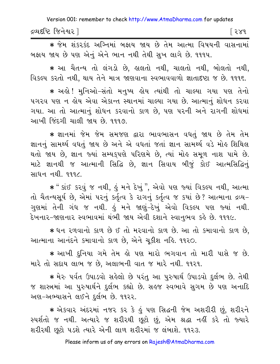દ્રવ્યદષ્ટિ જિનેશ્વર l િર૪૧

\* જેમ શંકરકંદ અગ્નિમાં બજ્ઞય જાય છે તેમ આત્મા વિષયની વાસનામાં બફાય જાય છે પણ એનું એને ભાન નથી તેથી સુખ લાગે છે. ૧૧૧૫.

\* આ ચૈતન્ય તો લંગડો છે, હાલતો નથી, ચાલતો નથી, બોલતો નથી, વિકલ્પ કરતો નથી. થાય તેને માત્ર જાણવાના સ્વભાવવાળો જ્ઞાતાદષ્ટા જ છે. ૧૧૧૬.

\* અલે! મુનિઓ-સંતો મનુષ્ય લોય ત્યાંથી તો ચાલ્યા ગયા પણ તેનો પગરવ પણ ન લોય એવા એકાન્ત સ્થાનમાં ચાલ્યા ગયા છે. આત્માન શોધન કરવા ગયા. આ તો આત્માનું શોધન કરવાનો કાળ છે, પણ પરની અને રાગની શોધમાં આખી જિંદગી ચાલી જાય છે. ૧૧૧૭.

∗ જ્ઞાનમાં જેમ જેમ સમજણ દ્વારા ભાવભાસન વધતું જાય છે તેમ તેમ જ્ઞાનનું સામર્થ્ય વધતું જાય છે અને એ વધતાં જતાં જ્ઞાન સામર્થ્ય વડે મોહ શિથિલ થતો જાય છે, જ્ઞાન જ્યાં સમ્યક્પણે પરિણમે છે, ત્યાં મોહ સમૂળ નાશ પામે છે. માટે જ્ઞાનથી જ આત્માની સિદ્ધિ છે, જ્ઞાન સિવાય બીજું કોઈ આત્મસિદ્ધિનું સાધન નથી. ૧૧૧૮.

\* " કાંઈ કરવું જ નથી, હું મને દેખું ", એવો પણ જ્યાં વિકલ્પ નથી, આત્મા તો ચૈતન્યસૂર્ય છે, એમાં ૫૨નું કર્તૃત્વ કે રાગનું કર્તૃત્વ જ કયાં છે? આત્માના દ્રવ્ય-ગુણમાં તેની ગંધ જ નથી. કું મને જાણું–દેખું એવો વિકલ્પ પણ જ્યાં નથી. દેખનાર-જાણનાર સ્વભાવમાં થંભી જાય એવી દશાને સ્વાનભવ કહે છે. ૧૧૧૯.

\* ધન રળવાનો કાળ છે ઈ તો મરવાનો કાળ છે. આ તો કમાવાનો કાળ છે, આત્માના આનંદને કમાવાનો કાળ છે, એને ચૂકીશ નહિ. ૧૧૨૦.

\* આખી દનિયા ગમે તેમ હો પણ મારો ભગવાન તો મારી પાસે જ છે. મારે તો સદાય લાભ જ છે, અલાભની વાત જ મારે નથી. ૧૧૨૧.

★ મેરુ પર્વત ઉપાડવો સહેલો છે પરંતુ આ પુરુષાર્થ ઉપાડવો દુર્લભ છે. તેથી જ શાસ્ત્રમાં આ પુરુષાર્થને દુર્લભ કહ્યો છે. સહજ સ્વભાવે સુગમ છે પણ અનાદિ અણ-અભ્યાસને લઈને દુર્લભ છે. ૧૧૨૨.

\* એકવાર અંદરમાં નજર કર કે હું પણ સિદ્ધની જેમ અશરીરી છું, શરીરને સ્પર્શતો જ નથી. અત્યારે જ શરીરથી છૂટો છું, એમ શ્રદ્ધા નહીં કરે તો જ્યારે શરીરથી છુટો પડશે ત્યારે એની લાળ શરીરમાં જ લંબાશે. ૧૧૨૩.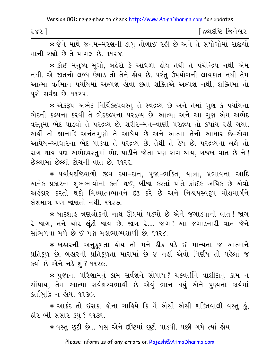| 585 | <sup>r</sup> દ્રવ્યદષ્ટિ જિનેશ્વર |
|-----|-----------------------------------|
|     |                                   |

∗ જેને માથે જનમ−મરણની ડાંગ તોળાઈ રહી છે અને તે સંયોગોમાં રાજીપો માની રહ્યો છે તે પાગલ છે. ૧૧૨૪.

★ કોઈ મનુષ્ય મંગો. બહેરો કે આંધળો હોય તેથી તે પંચેન્દ્રિય નથી એમ નથી. એ જાતનો લબ્ધ ઉઘાડ તો તેને હોય છે. પરંતુ ઉપયોગની લાયકાત નથી તેમ આત્મા વર્તમાન પર્યાયમાં અલ્પજ્ઞ હોવા છતાં શક્તિએ અલ્પજ્ઞ નથી. શક્તિમાં તો પૂરો સર્વજ્ઞ છે. ૧૧૨૫.

\* એકરૂપ અભેદ નિર્વિકલ્પવસ્તુ તે સ્વદ્રવ્ય છે અને તેમાં ગુણ કે પર્યાયના ભેદની કલ્પના કરવી તે ભેદકલ્પના પરદ્રવ્ય છે. આત્મા અને આ ગુણ એમ અભેદ વસ્તમાં ભેદ પાડવો તે પરદ્રવ્ય છે. શરીર-મન-વાણી પરદ્રવ્ય તો કયાંય રહી ગયા. અહીં તો જ્ઞાનાદિ અનંતગુણો તે આધેય છે અને આત્મા તેનો આધાર છે-એવા આધેય-આધારના ભેદ પાડવા તે પરદ્રવ્ય છે. તેથી તે હેય છે. પરદ્રવ્યના લક્ષે તો રાગ થાય પણ અભેદવસ્તુમાં ભેદ પાડીને જોતા પણ રાગ થાય, ગજબ વાત છે ને! છેલ્લામાં છેલ્લી ટોચની વાત છે. ૧૧૨૬.

\* પર્યાયદષ્ટિવાળો જીવ દયા-દાન, પૂજા-ભક્તિ, યાત્રા, પ્રભાવના આદિ અનેક પ્રકારના શુભભાવોનો કર્તા થઈ, બીજા કરતાં પોતે કાંઈક અધિક છે એવો અહંકાર કરતો થકો મિથ્યાત્વભાવને દઢ કરે છે અને નિશ્ચયસ્વરૂપ મોક્ષમાર્ગને લેશમાત્ર પણ જાણતો નથી. ૧૧૨૭.

\* બાદશાહુ ત્રણલોકનો નાથ ઊંઘમાં ૫ડયો છે એને જગાડવાની વાત ! જાગ રે જાગ, તને ચોર લૂંટી જાય છે. જાગ રે.... જાગ! આ જગાડનારી વાત જેને સાંભળવા મળે છે ઈ પણ મહાભાગ્યશાળી છે. ૧૧૨૮.

★ બહારની અનુકૂળતા હોય તો મને ઠીક પડે ઈ માન્યતા જ આત્માને પ્રતિકળ છે. બહારની પ્રતિકળતા મારામાં છે જ નહીં એવો નિર્ણય તો પહેલાં જ કર્યો છે એને નડે શું ? ૧૧૨૯.

★ પુણ્યના પરિણામનું કામ સર્વજ્ઞને સોંપાય? ચક્રવર્તીને વાશીદાનું કામ ન સોંપાય, તેમ આત્મા સર્વજ્ઞસ્વભાવી છે એવું ભાન થયું એને પુણ્યના કાર્યમાં કર્તાબુદ્ધિ ન શેય. ૧૧૩૦.

\* આકંદ તો ઈસકા હોના ચાહિયે કિ મૈં એેસી એેસી શક્તિવાલી વસ્તુ હું, ફીર ભી સંસાર કયું ? ૧૧૩૧.

∗ વસ્તુ છૂટી છે... બસ એને દષ્ટિમાં છૂટી પાડવી. પછી ગમે ત્યાં હોય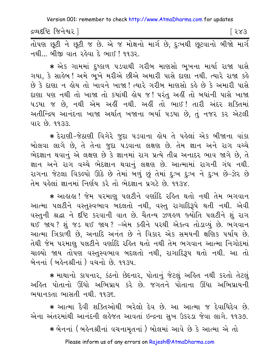દ્રવ્યદષ્ટિ જિનેશ્વર l

 $583$ 

तोपण्डा छूटी ने छूटी ४ छे. એ ४ मोक्षनो मार्ग छे, हुः भथी छूटवानो जी थो मार्ग નથી... બીજી વાત રહેવા દે ભાઈ ! ૧૧૩૨.

★ એક ગામમાં દુષ્કાળ પડવાથી ગરીબ માણસો ભુખના માર્યા રાજા પાસે ગયા, કે સાહેબ ! અમે ભુખે મરીએ છીએ અમારી પાસે દાણા નથી. ત્યારે રાજા કહે છે કે દાણા ન હોય તો ખાવને ખાજા ! ત્યારે ગરીબ માણસો કહે છે કે અમારી પાસે દાણા પણ નથી તો ખાજા તો કયાંથી લોય જ! પરંતુ અહીં તો બધાંની પાસે ખાજા ૫ડયા જ છે, નથી એમ અહીં નથી. અહીં તો ભાઈ ! તારી અંદર શક્તિમાં અતીન્દ્રિય આનંદના ખાજા અર્થાત્ ખજાના ભર્યા ૫ડયા છે, તું નજર કર એટલી વાર છે. ૧૧૩૩.

\* દેરાણી-જેઠાણી વિગેરે જુદા પડવાના હોય તે પહેલાં એક બીજાના વાંકા બોલવા લાગે છે, તે તેના જુદા પડવાના લક્ષણ છે. તેમ જ્ઞાન અને રાગ વચ્ચે ભેદજ્ઞાન થવાનું એ લક્ષણ છે કે જ્ઞાનમાં રાગ પ્રત્યે તીવ્ર અનાદર ભાવ જાગે છે, તે જ્ઞાન અને રાગ વચ્ચે ભેદજ્ઞાન થવાનું લક્ષણ છે. આત્મામાં રાગની ગંધ નથી. રાગના જેટલા વિકલ્પો ઊઠે છે તેમાં બળું છું તેમાં દુઃખ દુઃખ ને દુઃખ છે-ઝેર છે તેમ પહેલાં જ્ઞાનમાં નિર્ણય કરે તો ભેદજ્ઞાન પ્રગટે છે. ૧૧૩૪.

\* આહાહા ! જેમ પરમાણુ પલટીને વર્ણાદિ રહિત થતો નથી તેમ ભગવાન આત્મા ૫લટીને વસ્તુસ્વભાવ બદલતો નથી, વસ્તુ રાગાદિરૂપે થતી નથી. એવી વસ્તુની શ્રદ્ધા ને દૃષ્ટિ કરવાની વાત છે. ચૈતન્ય ઝળહળ જ્યોતિ પલટીને શું રાગ થઈ જાય? શંજડ થઈ જાય? –એમ કઢીને પરથી એકત્વ તોડાવ્યું છે. ભગવાન આત્મા ત્રિકાળી છે, અનાદિ અનંત છે ને વિકાર એક સમયની ક્ષણિક પર્યાય છે. તેથી જેમ પરમાણુ પલટીને વર્ણાદિ રહિત થતો નથી તેમ ભગવાન આત્મા નિગોદમાં ચાલ્યો જાય તોપણ વસ્તુસ્વભાવ બદલતો નથી, રાગાદિરૂપ થતો નથી. આ તો બેનનાં (બહેનશ્રીનાં) વચનો છે. ૧૧૩૫.

\* માથાનો કાપનાર, કંઠનો છેદનાર, પોતાનું જેટલું અહિત નથી કરતો તેટલું અહિત પોતાનો ઊંઘો અભિપ્રાય કરે છે. જગતને પોતાના ઊંઘા અભિપ્રાયની ભયાનકતા ભાસતી નથી. ૧૧૩૬.

\* આત્મા દૈવી શક્તિઓથી ભરેલો દેવ છે. આ આત્મા જ દેવાધિદેવ છે. એના અંતરમાંથી આનંદની લહેજત આવતાં ઇન્દ્રના સુખ ઉકરડા જેવા લાગે. ૧૧૩૭.

\* બેનનાં ( બહેનશ્રીનાં વચનામૃતનાં ) બોલમાં આવે છે કે આત્મા એ તો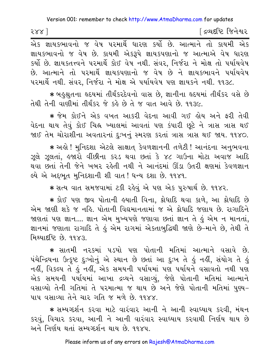| $588$ ] | ∫ દ્રવ્યદષ્ટિ જિનેશ્વર |
|---------|------------------------|
|         |                        |

.<br>એક જ્ઞાયકભાવનો જ વેષ પરમાર્થે ધારણ કર્યો છે. આત્માને તો કાયમી એક જ્ઞાયકભાવનો જ વેષ છે. કાયમી એકરૂપે જ્ઞાયકપણાનો જ આત્માએ વેષ ધારણ કર્યો છે. જ્ઞાયકતત્ત્વને પરમાર્થે કોઈ વેષ નથી. સંવર, નિર્જરા ને મોક્ષ તો પર્યાયવેષ છે. આત્માને તો પરમાર્થે જ્ઞાયકપણાનો જ વેષ છે ને જ્ઞાયકભાવને પર્યાયવેષ પરમાર્થે નથી. સંવર, નિર્જરા ને મોક્ષ એ પર્યાયવેષ પણ જ્ઞાયકને નથી. ૧૧૩૮.

★ બઙુશ્રુતના હૃદયમાં તીર્થંકરદેવનો વાસ છે, જ્ઞાનીના હૃદયમાં તીર્થંકર વસે છે તેથી તેની વાણીમાં તીર્થંકર જે કહે છે તે જ વાત આવે છે. ૧૧૩૯.

★ જેમ કોઈને એક વખત આકરી વેદના આવી ગઈ હોય અને ફરી તેવી વેદના થાય તેવું કોઈ ચિહ્ન ખ્યાલમાં આવતાં પણ કંપારી છૂટે ને ત્રાસ ત્રાસ થઈ જાઈ તેમ ચોરાશીના અવતારનાં દુઃખનું સ્મરણ કરતાં ત્રાસ ત્રાસ થઈ જાય. ૧૧૪૦. ∗ અહો ! મુનિદશા એટલે સાક્ષાત્ કેવળજ્ઞાનની તળેટી ! આનંદના અનુભવના ઝૂલે ઝૂલતાં, હજારો વીંછીના કરડ થવા છતાં કે ૪૮ ગાઉના મોટા અવાજ આદિ થવા છતાં તેની જેને ખબર રહેતી નથી ને આનંદમાં ઊંડા ઉતરી ક્ષણમાં કેવળજ્ઞાન લ્યે એ અદ્દભૂત મુનિદશાની શી વાત! ધન્ય દશા છે. ૧૧૪૧.

∗ સત્ય વાત સમજવામાં ટકી રહેવું એ પણ એક પુરુષાર્થ છે. ૧૧૪૨.

\* કોઈ પણ જીવ પોતાની હયાતી વિના, કોધાદિ થવા કાળે, આ ક્રોધાદિ છે એમ જાણી શકે જ નહિ. પોતાની વિદ્યમાનતામાં જ એ ક્રોધાદિ જણાય છે. રાગાદિને જાણતાં પણ જ્ઞાન.... જ્ઞાન એમ મુખ્યપણે જણાવા છતાં જ્ઞાન તે હું એમ ન માનતાં, જ્ઞાનમાં જણાતા રાગાદિ તે હું એમ રાગમાં એકતાબુદ્ધિથી જાણે છે-માને છે, તેથી તે <u>મિશ્યાદૃષ્ટિ છે ૧૧૪૩</u>

\* સાતમી નરકમાં પડયો પણ પોતાની મતિમાં આત્માને વસાવે છે. પંચેન્દ્રિયના ઉત્કૃષ્ટ દુઃખોનું એ સ્થાન છે છતાં આ દુઃખ તે હું નહીં, સંયોગ તે હું નહીં, વિકલ્પ તે હું નહીં, એક સમયની પર્યાયમાં પણ પર્યાયને વસાવતો નથી પણ એક સમયની પર્યાયમાં આખા દ્રવ્યને વસાવ્યું, જેણે પોતાની મતિમાં આત્માને વસાવ્યો તેની ગતિમાં તે પરમાત્મા જ થાય છે અને જેણે પોતાની મતિમાં પુણ્ય– પાપ વસાવ્યા તેને ચાર ગતિ જ મળે છે. ૧૧૪૪.

★ સમ્યગ્દર્શન કરવા માટે વારંવાર આની ને આની સ્વાધ્યાય કરવી, મંથન કરવું, વિચાર કરવા, આની ને આની વારંવાર સ્વાધ્યાય કરવાથી નિર્ણય થાય છે અને નિર્ણય થતાં સમ્યગ્દર્શન થાય છે. ૧૧૪૫.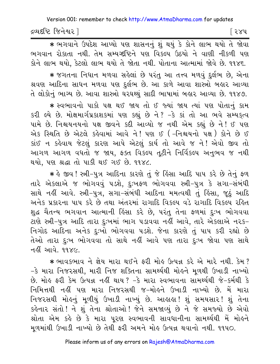દ્રવ્યદષ્ટિ જિનેશ્વર l િર૪૫

\* लगवाने ઉपદेश આપ્યો પણ શાસનનું શું થયું કે કોને લાભ થયો તે જોવા ભગવાન રોકાતા નથી. તેમ સમ્યગ્દષ્ટિને પણ વિકલ્પ ઉઠયો ને વાણી નીકળી પણ કોને લાભ થયો, કેટલો લાભ થયો તે જોતા નથી. પોતાના આત્મામાં જોવે છે. ૧૧૪૬.

★ જગતના નિધાન મળવા સહેલાં છે પરંતુ આ તત્ત્વ મળવું દુર્લભ છે, એના શ્રવણ આદિના સાધન મળવા પણ દુર્લભ છે. આ કાળે આવા શાસ્ત્રો બહાર આવ્યા તે લોકોનું ભાગ્ય છે. આવા શાસ્ત્રો ઘરઘથ્થું સાદી ભાષામાં બહાર આવ્યા છે. ૧૧૪૭.

\* સ્વભાવનો પાકો પક્ષ થઈ જાય તો ઈ જ્યાં જાય ત્યાં પણ પોતાનું કામ કરી લ્યે છે. મોક્ષમાર્ગપ્રકાશકમાં પણ કહ્યું છે ને? -કે કાં તો આ ભવે સમ્યક્ત્વ પામે છે. નિશ્ચયનયનો પક્ષ જીવને કદી આવ્યો જ નથી એમ કહ્યું છે ને! ઈ પણ એક સ્થિતિ છે એટલે કહેવામાં આવે ને! પણ ઈ (-નિશ્ચયનો પક્ષ) કોને છે ઈ કાંઈ ન કહેવાય જેટલું કારણ આપે એટલું કાર્ય તો આવે જ ને! એવો જીવ તો આગળ આગળ વધતો જ જાય, ફક્ત વિકલ્પ તૂટીને નિર્વિકલ્પ અનુભવ જ નથી થયો. પણ શ્રદ્ધા તો પાકી થઈ ગઈ છે. ૧૧૪૮.

∗ કે જીવ ! સ્ત્રી-પુત્ર આદિના કારણે તું જે કિંસા આદિ પાપ કરે છે તેનું ફળ તારે એકલાએ જ ભોગવવું ૫ડશે, દુઃખફળ ભોગવવા સ્ત્રી-પુત્ર કે સગા-સંબંધી સાથે નહીં આવે. સ્ત્રી-પુત્ર, સગા-સંબંધી આદિના મમત્વથી તું હિંસા, જૂઠું આદિ અનેક પ્રકારના પાપ કરે છે તથા અંતરમાં રાગાદિ વિકલ્પ વડે રાગાદિ વિકલ્પ રહિત શુદ્ધ ચૈતન્ય ભગવાન આત્માની હિંસા કરે છે, પરંતુ તેના ફળમાં દુઃખ ભોગવવા ટાણે સ્ત્રી-પુત્ર આદિ તારા દુઃખમાં ભાગ ૫ડાવવા નહીં આવે, તારે એકલાએ નરક− નિગોદ આદિના અનેક દુઃખો ભોગવવા ૫ડશે. જેના કારણે તું પાપ કરી રહ્યો છે તેઓ તારા દુઃખ ભોગવવા તો સાથે નહીં આવે પણ તારા દુઃખ જોવા પણ સાથે નહીં આવે. ૧૧૪૯.

\* ભાવકભાવ ને જ્ઞેય મારા થઈને ફરી મોહ ઉત્પન્ન કરે એ મારે નથી. કેમ? -કે મારા નિજરસથી, મારી નિજ શક્તિના સામર્થથી મોહને મૂળથી ઉખાડી નાખ્યો છે. મોઙ ફરી કેમ ઉત્પન્ન નહીં થાય ? −કે મારા સ્વભાવના સામર્થ્યથી જે−કર્મથી કે નિમિત્તથી નહીં પણ મારા નિજરસથી જ–મોહને ઉખાડી નાખ્યો છે. મેં મારા નિજરસથી મોહનું મળીયું ઉખાડી નાખ્યું છે. આહાહા! શું સમયસાર! શું તેના કહેનાર સંતો ! ને શું તેના શ્રોતાઓ ! જેને સમજાવ્યું છે ને જે સમજ્યો છે એવો શ્રોતા એમ કહે છે કે મારા પૂરણ સ્વભાવની સાવધાનીના સામર્થ્યથી મેં મોહને મૂળમાંથી ઉખાડી નાખ્યો છે તેથી ફરી અમને મોલ ઉત્પન્ન થવાનો નથી. ૧૧૫૦.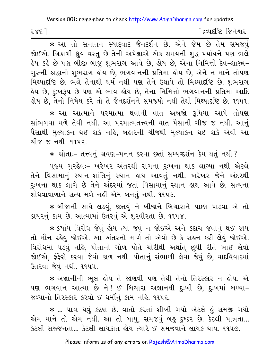२४६ ]

દ્વિવદષ્ટિ જિનેશ્વર

\* આ તો સનાતન સ્યાદ્વાદ જૈનદર્શન છે. એને જેમ છે તેમ સમજવું જોઈએ. ત્રિકાળી ઘ્રુવ વસ્તુ છે તેની અપેક્ષાએ એક સમયની શદ્ધ પર્યાયને પણ ભલે હેય કહે છે પણ બીજી બાજુ શુભરાગ આવે છે, હોય છે, એના નિમિત્તો દેવ−શાસ્ત્ર− ગુરુની શ્રદ્ધાનો શુભરાગ હોય છે, ભગવાનની પ્રતિમા હોય છે, એને ન માને તોપણ મિથ્યાદષ્ટિ છે. ભલે તેનાથી ધર્મ નથી પણ તેને ઉથાપે તો મિથ્યાદષ્ટિ છે. શુભરાગ હેય છે. દઃખરૂપ છે પણ એ ભાવ હોય છે. તેના નિમિત્તો ભગવાનની પ્રતિમા આદિ લ્રોય છે. તેનો નિષેધ કરે તો તે જૈનદર્શનને સમજ્યો નથી તેથી મિથ્યાદષ્ટિ છે. ૧૧૫૧.

\* આ આત્માને પરમાત્મા થવાની વાત અબજો રૂપિયા આપે તોપણ સાંભળવા મળે તેવી નથી. આ પરમાત્મતત્ત્વની વાત પૈસાની ચીજ જ નથી. આનં પૈસાથી મુલ્યાંકન થઈ શકે નહિ, બહારની ચીજથી મુલ્યાંકન થઈ શકે એવી આ ચીજ જ નથી. ૧૧૫૨.

\* શ્રોતાઃ- તત્ત્વનું શ્રવણ-મનન કરવા છતાં સમ્યગ્દર્શન કેમ થતું નથી ?

પૂજ્ય ગુરુદેવઃ- ખરેખર અંતરથી રાગના દુઃખના થાક લાગ્યા નથી એટલે તેને વિસામાનું સ્થાન–શાંતિનું સ્થાન હાથ આવતું નથી. ખરેખર જેને અંદરથી દુઃખના થાક લાગે છે તેને અંદરમાં જતાં વિસામાનું સ્થાન હાથ આવે છે. સત્યના શોધવાવાળાને સત્ય મળે નહીં એમ બનતું નથી. ૧૧૫૩.

★ બીજાની સાથે લડવું, જીતવું ને બીજાને બિચારાને પાછા પાડવા એ તો કાયરનું કામ છે. આત્મામાં ઉતરવું એ શરવીરતા છે. ૧૧૫૪.

★ કયાંય વિરોધ જેવું હોય ત્યાં જવું ન જોઈએ અને કદાચ જવાનું થઈ જાય તો મૌન રહેવું જોઈએ. આ અંતરનો માર્ગ તો એવો છે કે સહન કરી લેવું જોઈએ. વિરોધમાં ૫ડવું નહિ, પોતાનો ગોળ પોતે ચોરીથી અર્થાત છુપી રીતે ખાઈ લેવો જોઈએ, ફંફેરો કરવા જેવો કાળ નથી. પોતાનું સંભાળી લેવા જેવું છે, વાદવિવાદમાં ઉતરવા જેવં નથી. ૧૧૫૫.

\* અજ્ઞાનીની ભૂલ હોય તે જાણવી પણ તેથી તેનો તિરસ્કાર ન હોય. એ પણ ભગવાન આત્મા છે ને! ઈ બિચારા અજ્ઞાનથી દુઃખી છે, દુઃખમાં બળ્યા-જળ્યાનો તિરસ્કાર કરવો ઈ ધર્મીનું કામ નહિ. ૧૧૫૬.

\* ... પાત્ર થવું કઠણ છે. વાતો કરતાં શીખી ગયો એટલે હું સમજી ગયો એમ માને તો એમ નથી. આ તો બાપુ, સમજવું બહુ દુષ્કર છે. કેટલી પાત્રતા... કેટલી સરુજનતા... કેટલી લાયકાત હોય ત્યારે ઈ સમજવાને લાયક થાય. ૧૧૫૭.